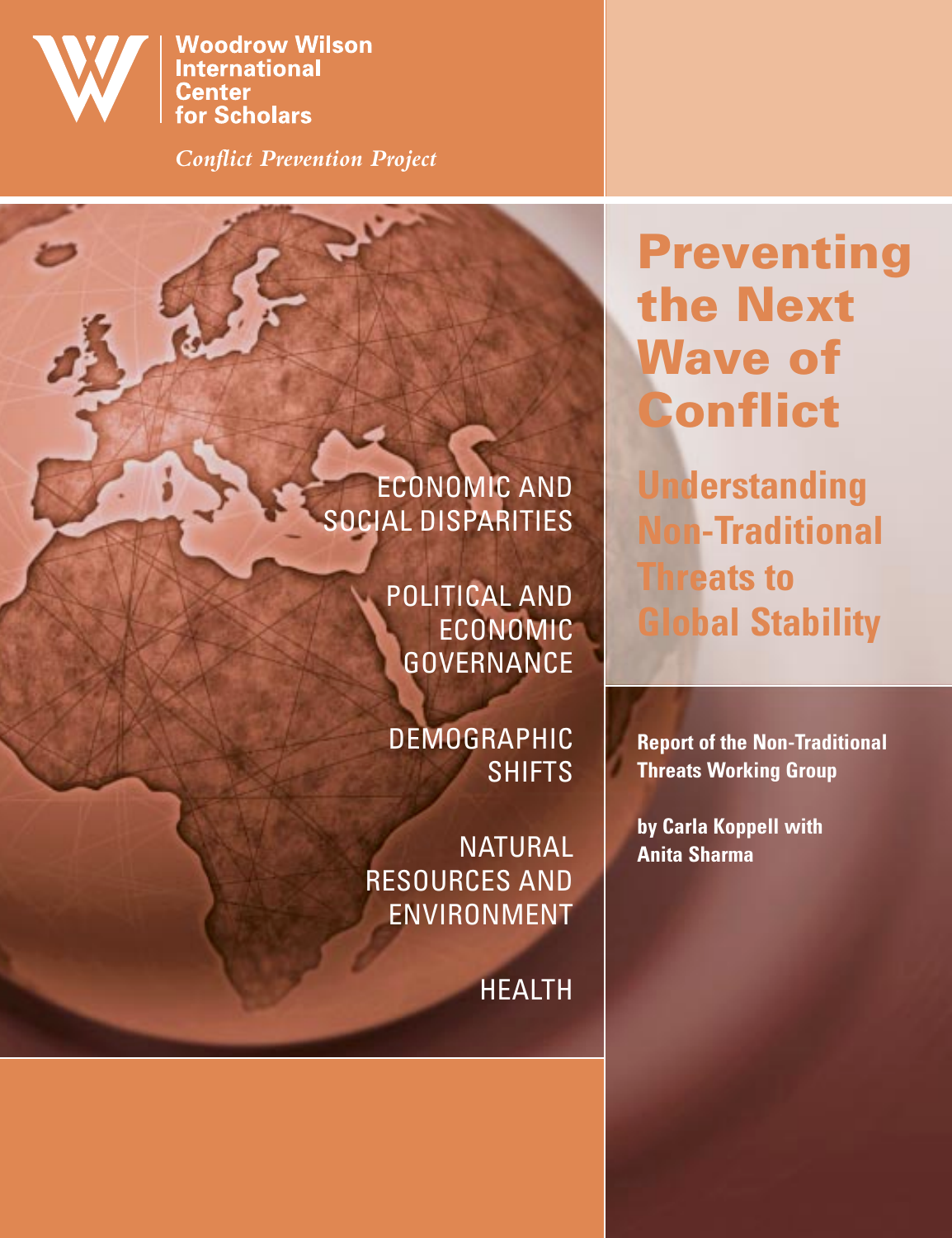

**Woodrow Wilson International Center for Scholars** 

*Conflict Prevention Project*

# ECONOMIC AND SOCIAL DISPARITIES

POLITICAL AND ECONOMIC **GOVERNANCE** 

DEMOGRAPHIC SHIFTS

NATURAL RESOURCES AND ENVIRONMENT

HEALTH

# **Preventing the Next Wave of Conflict**

**Understanding Non-Traditional Threats to Global Stability**

**Report of the Non-Traditional Threats Working Group**

**by Carla Koppell with Anita Sharma**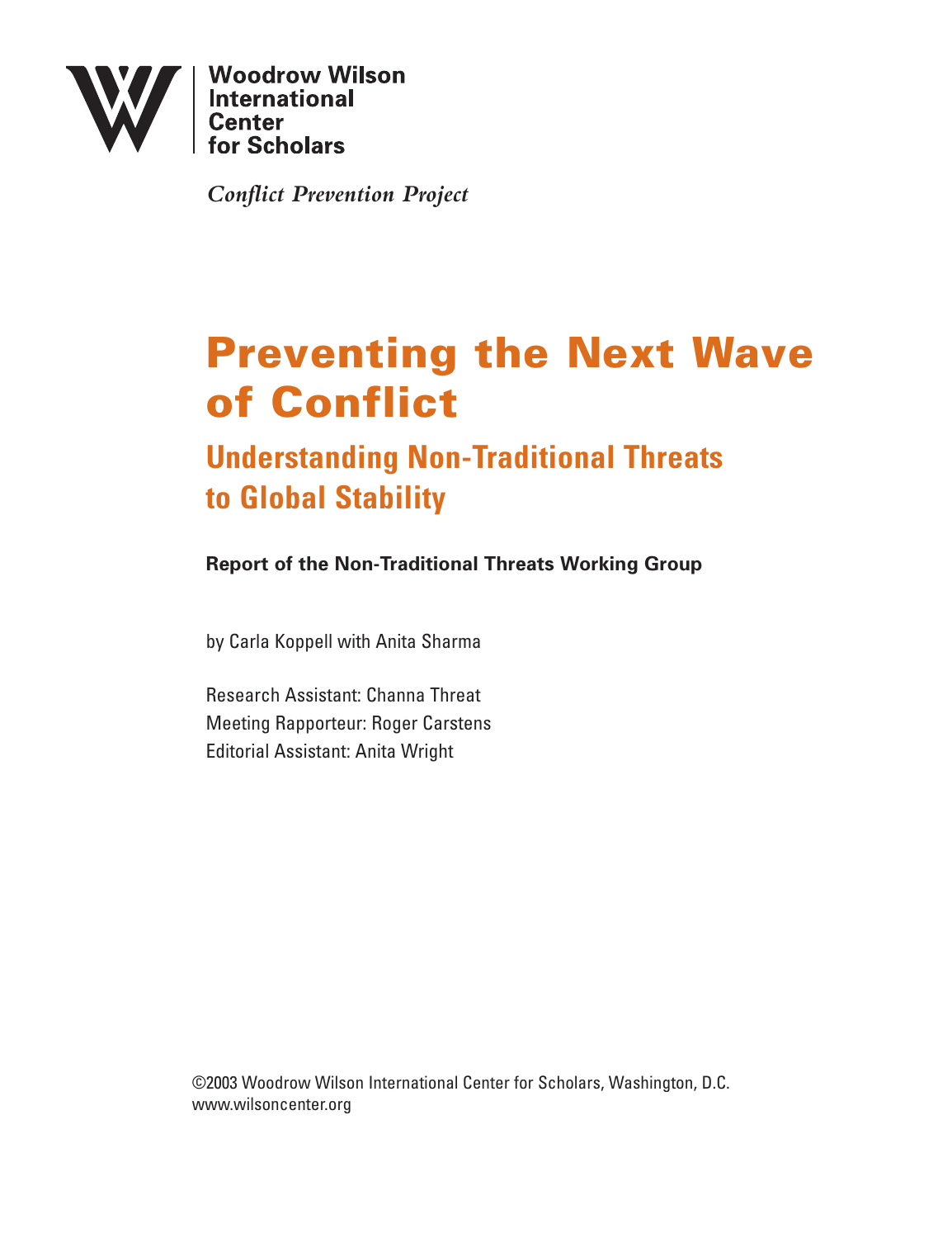

**Woodrow Wilson** International<br>Center

*Conflict Prevention Project*

# **Preventing the Next Wave of Conflict**

# **Understanding Non-Traditional Threats to Global Stability**

**Report of the Non-Traditional Threats Working Group**

by Carla Koppell with Anita Sharma

Research Assistant: Channa Threat Meeting Rapporteur: Roger Carstens Editorial Assistant: Anita Wright

©2003 Woodrow Wilson International Center for Scholars, Washington, D.C. www.wilsoncenter.org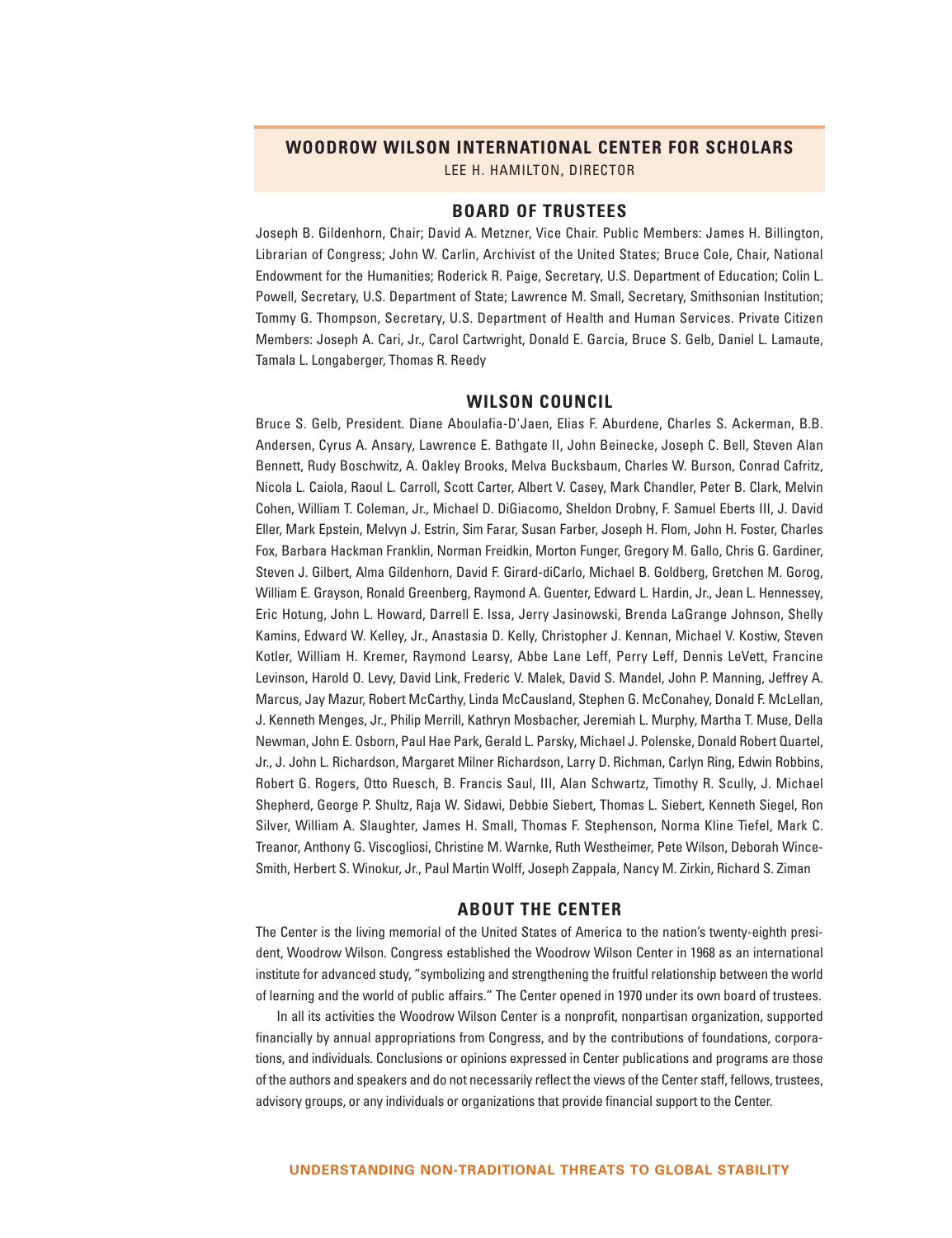#### **WOODROW WILSON INTERNATIONAL CENTER FOR SCHOLARS**

LEE H. HAMILTON, DIRECTOR

#### **BOARD OF TRUSTEES**

Joseph B. Gildenhorn, Chair; David A. Metzner, Vice Chair. Public Members: James H. Billington, Librarian of Congress; John W. Carlin, Archivist of the United States; Bruce Cole, Chair, National Endowment for the Humanities; Roderick R. Paige, Secretary, U.S. Department of Education; Colin L. Powell, Secretary, U.S. Department of State; Lawrence M. Small, Secretary, Smithsonian Institution; Tommy G. Thompson, Secretary, U.S. Department of Health and Human Services. Private Citizen Members: Joseph A. Cari, Jr., Carol Cartwright, Donald E. Garcia, Bruce S. Gelb, Daniel L. Lamaute, Tamala L. Longaberger, Thomas R. Reedy

#### **WILSON COUNCIL**

Bruce S. Gelb, President. Diane Aboulafia-D'Jaen, Elias F. Aburdene, Charles S. Ackerman, B.B. Andersen, Cyrus A. Ansary, Lawrence E. Bathgate II, John Beinecke, Joseph C. Bell, Steven Alan Bennett, Rudy Boschwitz, A. Oakley Brooks, Melva Bucksbaum, Charles W. Burson, Conrad Cafritz, Nicola L. Caiola, Raoul L. Carroll, Scott Carter, Albert V. Casey, Mark Chandler, Peter B. Clark, Melvin Cohen, William T. Coleman, Jr., Michael D. DiGiacomo, Sheldon Drobny, F. Samuel Eberts III, J. David Eller, Mark Epstein, Melvyn J. Estrin, Sim Farar, Susan Farber, Joseph H. Flom, John H. Foster, Charles Fox, Barbara Hackman Franklin, Norman Freidkin, Morton Funger, Gregory M. Gallo, Chris G. Gardiner, Steven J. Gilbert, Alma Gildenhorn, David F. Girard-diCarlo, Michael B. Goldberg, Gretchen M. Gorog, William E. Grayson, Ronald Greenberg, Raymond A. Guenter, Edward L. Hardin, Jr., Jean L. Hennessey, Eric Hotung, John L. Howard, Darrell E. Issa, Jerry Jasinowski, Brenda LaGrange Johnson, Shelly Kamins, Edward W. Kelley, Jr., Anastasia D. Kelly, Christopher J. Kennan, Michael V. Kostiw, Steven Kotler, William H. Kremer, Raymond Learsy, Abbe Lane Leff, Perry Leff, Dennis LeVett, Francine Levinson, Harold O. Levy, David Link, Frederic V. Malek, David S. Mandel, John P. Manning, Jeffrey A. Marcus, Jay Mazur, Robert McCarthy, Linda McCausland, Stephen G. McConahey, Donald F. McLellan, J. Kenneth Menges, Jr., Philip Merrill, Kathryn Mosbacher, Jeremiah L. Murphy, Martha T. Muse, Della Newman, John E. Osborn, Paul Hae Park, Gerald L. Parsky, Michael J. Polenske, Donald Robert Quartel, Jr., J. John L. Richardson, Margaret Milner Richardson, Larry D. Richman, Carlyn Ring, Edwin Robbins, Robert G. Rogers, Otto Ruesch, B. Francis Saul, III, Alan Schwartz, Timothy R. Scully, J. Michael Shepherd, George P. Shultz, Raja W. Sidawi, Debbie Siebert, Thomas L. Siebert, Kenneth Siegel, Ron Silver, William A. Slaughter, James H. Small, Thomas F. Stephenson, Norma Kline Tiefel, Mark C. Treanor, Anthony G. Viscogliosi, Christine M. Warnke, Ruth Westheimer, Pete Wilson, Deborah Wince-Smith, Herbert S. Winokur, Jr., Paul Martin Wolff, Joseph Zappala, Nancy M. Zirkin, Richard S. Ziman

#### **ABOUT THE CENTER**

The Center is the living memorial of the United States of America to the nation's twenty-eighth president, Woodrow Wilson. Congress established the Woodrow Wilson Center in 1968 as an international institute for advanced study, "symbolizing and strengthening the fruitful relationship between the world of learning and the world of public affairs." The Center opened in 1970 under its own board of trustees.

In all its activities the Woodrow Wilson Center is a nonprofit, nonpartisan organization, supported financially by annual appropriations from Congress, and by the contributions of foundations, corporations, and individuals. Conclusions or opinions expressed in Center publications and programs are those of the authors and speakers and do not necessarily reflect the views of the Center staff, fellows, trustees, advisory groups, or any individuals or organizations that provide financial support to the Center.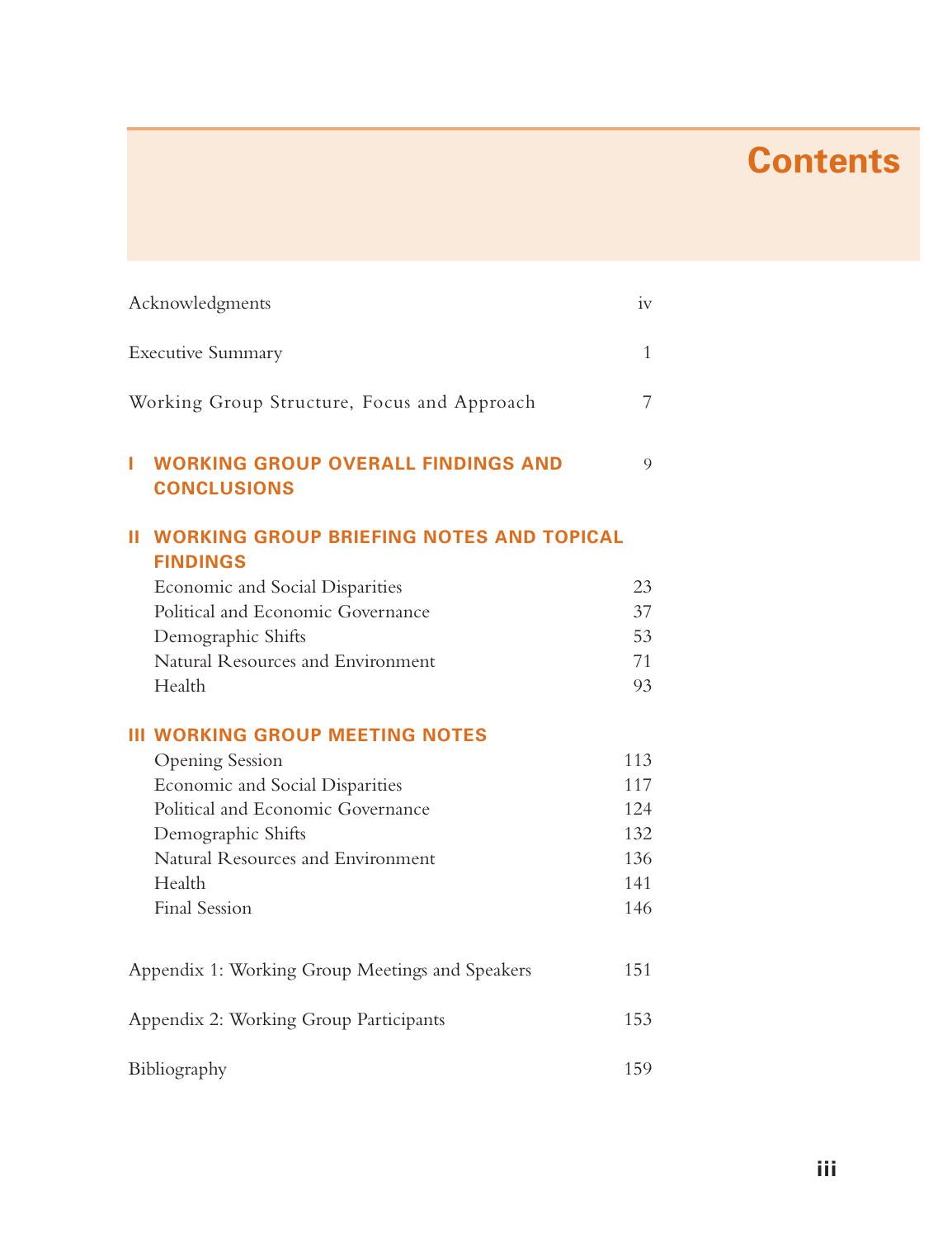# **Contents**

| Acknowledgments                                                       | iv  |
|-----------------------------------------------------------------------|-----|
| <b>Executive Summary</b>                                              | 1   |
| Working Group Structure, Focus and Approach                           | 7   |
| <b>WORKING GROUP OVERALL FINDINGS AND</b><br>ı<br><b>CONCLUSIONS</b>  | 9   |
| <b>II WORKING GROUP BRIEFING NOTES AND TOPICAL</b><br><b>FINDINGS</b> |     |
| Economic and Social Disparities                                       | 23  |
| Political and Economic Governance                                     | 37  |
| Demographic Shifts                                                    | 53  |
| Natural Resources and Environment                                     | 71  |
| Health                                                                | 93  |
| <b>III WORKING GROUP MEETING NOTES</b>                                |     |
| <b>Opening Session</b>                                                | 113 |
| Economic and Social Disparities                                       | 117 |
| Political and Economic Governance                                     | 124 |
| Demographic Shifts                                                    | 132 |
| Natural Resources and Environment                                     | 136 |
| Health                                                                | 141 |
| <b>Final Session</b>                                                  | 146 |
|                                                                       |     |
| Appendix 1: Working Group Meetings and Speakers                       | 151 |
| Appendix 2: Working Group Participants                                | 153 |
| Bibliography                                                          | 159 |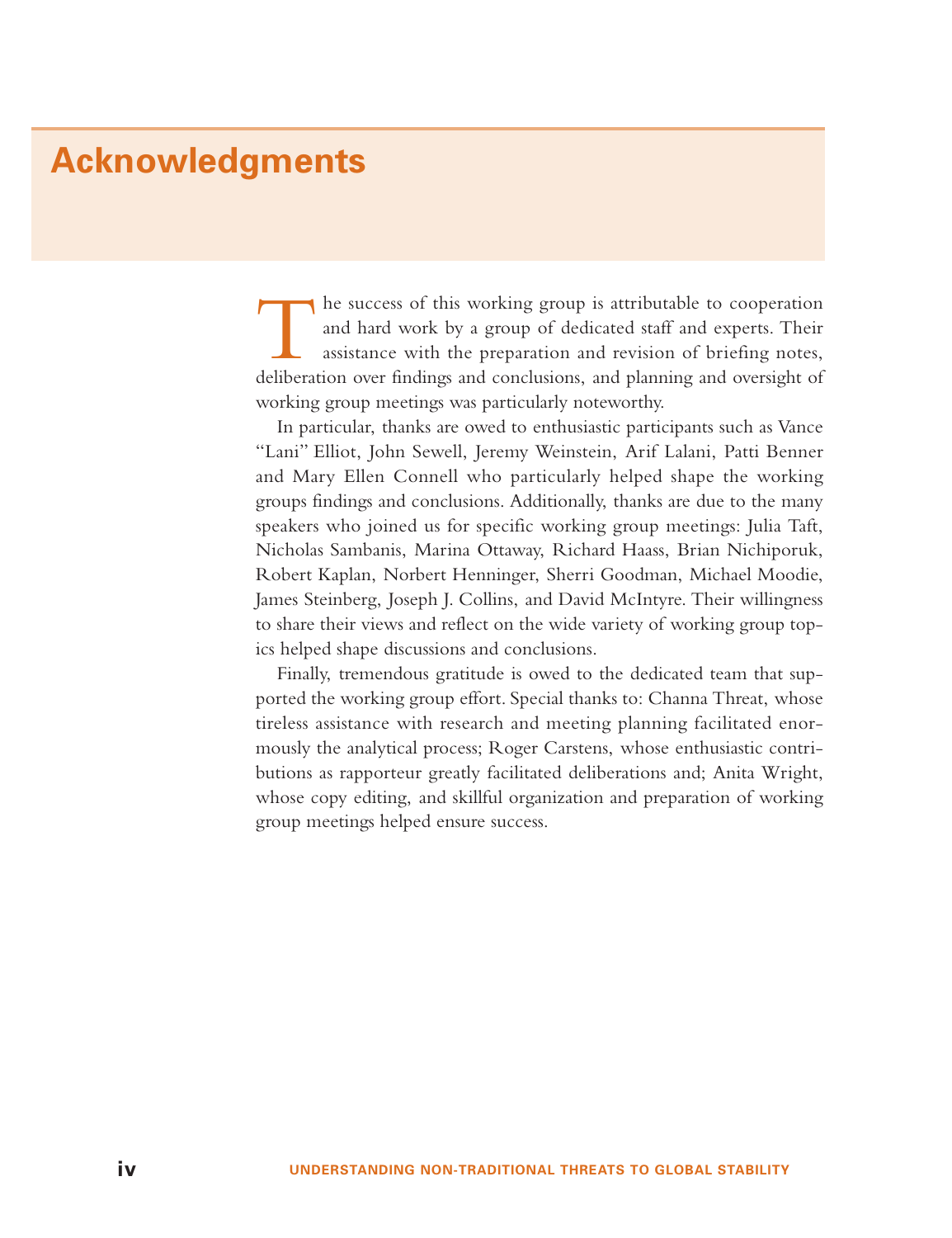# **Acknowledgments**

The success of this working group is attributable to cooperation and hard work by a group of dedicated staff and experts. Their assistance with the preparation and revision of briefing notes, deliberation over findings and conclusions, and planning and oversight of working group meetings was particularly noteworthy.

In particular, thanks are owed to enthusiastic participants such as Vance "Lani" Elliot, John Sewell, Jeremy Weinstein, Arif Lalani, Patti Benner and Mary Ellen Connell who particularly helped shape the working groups findings and conclusions. Additionally, thanks are due to the many speakers who joined us for specific working group meetings: Julia Taft, Nicholas Sambanis, Marina Ottaway, Richard Haass, Brian Nichiporuk, Robert Kaplan, Norbert Henninger, Sherri Goodman, Michael Moodie, James Steinberg, Joseph J. Collins, and David McIntyre. Their willingness to share their views and reflect on the wide variety of working group topics helped shape discussions and conclusions.

Finally, tremendous gratitude is owed to the dedicated team that supported the working group effort. Special thanks to: Channa Threat, whose tireless assistance with research and meeting planning facilitated enormously the analytical process; Roger Carstens, whose enthusiastic contributions as rapporteur greatly facilitated deliberations and; Anita Wright, whose copy editing, and skillful organization and preparation of working group meetings helped ensure success.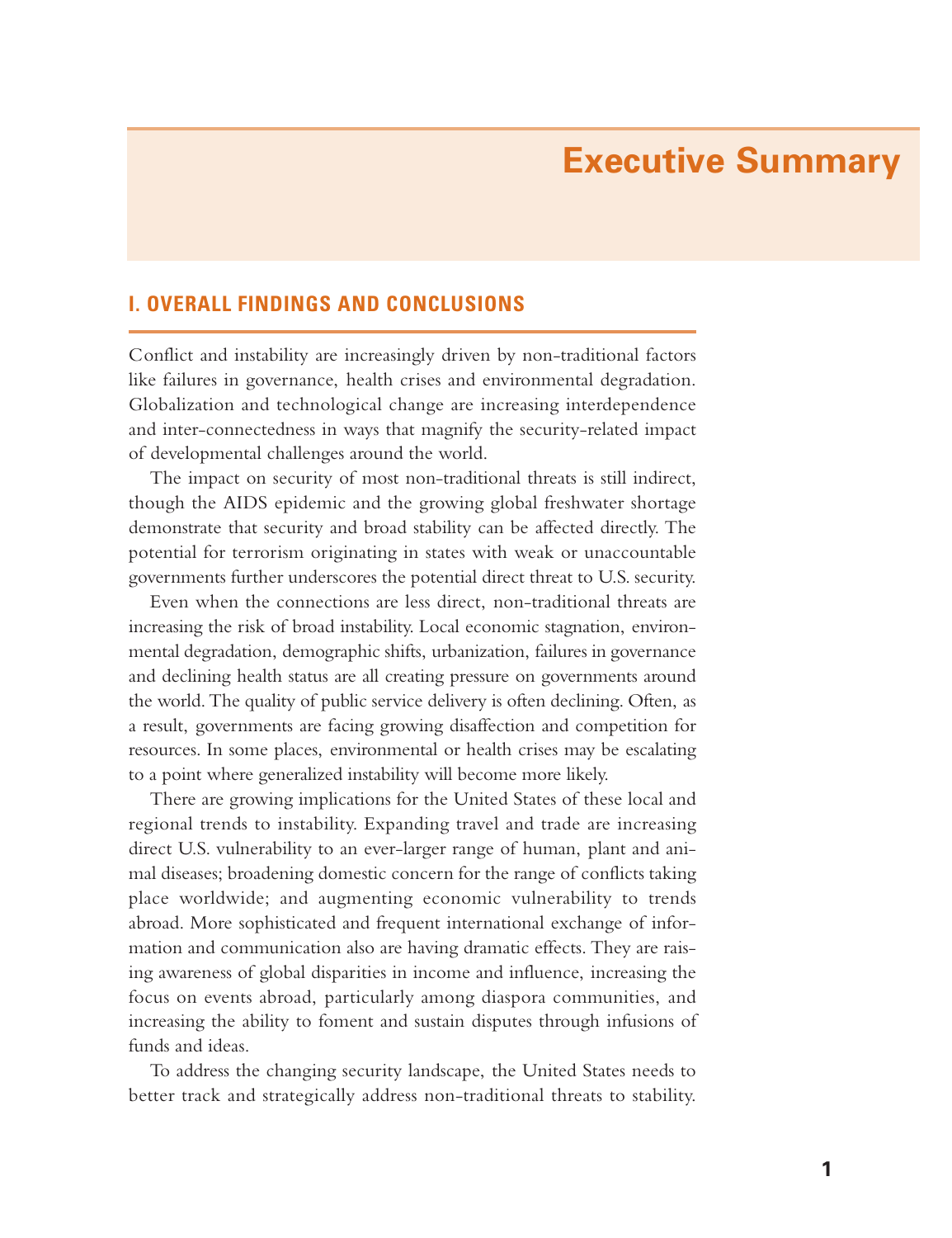# **Executive Summary**

## **I. OVERALL FINDINGS AND CONCLUSIONS**

Conflict and instability are increasingly driven by non-traditional factors like failures in governance, health crises and environmental degradation. Globalization and technological change are increasing interdependence and inter-connectedness in ways that magnify the security-related impact of developmental challenges around the world.

The impact on security of most non-traditional threats is still indirect, though the AIDS epidemic and the growing global freshwater shortage demonstrate that security and broad stability can be affected directly. The potential for terrorism originating in states with weak or unaccountable governments further underscores the potential direct threat to U.S. security.

Even when the connections are less direct, non-traditional threats are increasing the risk of broad instability. Local economic stagnation, environmental degradation, demographic shifts, urbanization, failures in governance and declining health status are all creating pressure on governments around the world. The quality of public service delivery is often declining. Often, as a result, governments are facing growing disaffection and competition for resources. In some places, environmental or health crises may be escalating to a point where generalized instability will become more likely.

There are growing implications for the United States of these local and re gional trends to instability. Expanding travel and trade are increasing direct U.S. vulnerability to an ever-larger range of human, plant and animal diseases; broadening domestic concern for the range of conflicts taking place worldwide; and augmenting economic vulnerability to trends abroad. More sophisticated and frequent international exchange of information and communication also are having dramatic effects. They are raising awareness of global disparities in income and influence, increasing the focus on events abroad, particularly among diaspora communities, and increasing the ability to foment and sustain disputes through infusions of funds and ideas.

To address the changing security landscape, the United States needs to better track and strategically address non-traditional threats to stability.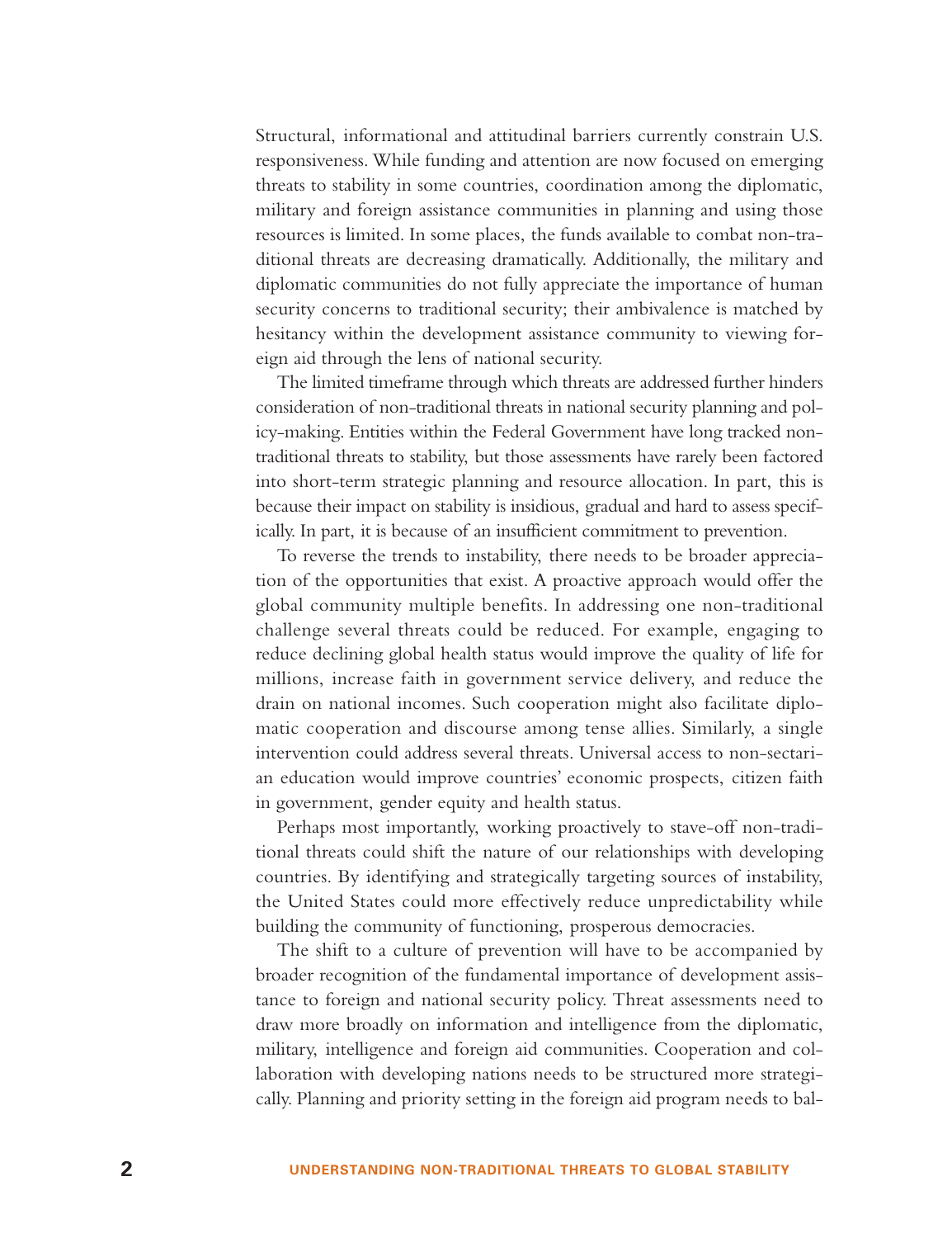Structural, informational and attitudinal barriers currently constrain U.S. responsiveness. While funding and attention are now focused on emerging threats to stability in some countries, coordination among the diplomatic, military and foreign assistance communities in planning and using those resources is limited. In some places, the funds available to combat non-traditional threats are decreasing dramatically. Additionally, the military and diplomatic communities do not fully appreciate the importance of human security concerns to traditional security; their ambivalence is matched by hesitancy within the development assistance community to viewing foreign aid through the lens of national security.

The limited timeframe through which threats are addressed further hinders consideration of non-traditional threats in national security planning and policy-making. Entities within the Federal Government have long tracked nontraditional threats to stability, but those assessments have rarely been factored into short-term strategic planning and resource allocation. In part, this is because their impact on stability is insidious, gradual and hard to assess specifically. In part, it is because of an insufficient commitment to prevention.

To reverse the trends to instability, there needs to be broader appreciation of the opportunities that exist. A proactive approach would offer the global community multiple benefits. In addressing one non-traditional challenge several threats could be reduced. For example, engaging to reduce declining global health status would improve the quality of life for millions, increase faith in government service delivery, and reduce the drain on national incomes. Such cooperation might also facilitate diplomatic cooperation and discourse among tense allies. Similarly, a single intervention could address several threats. Universal access to non-sectarian education would improve countries' economic prospects, citizen faith in government, gender equity and health status.

Perhaps most importantly, working proactively to stave-off non-traditional threats could shift the nature of our relationships with developing countries. By identifying and strategically targeting sources of instability, the United States could more effectively reduce unpredictability while building the community of functioning, prosperous democracies.

The shift to a culture of prevention will have to be accompanied by broader recognition of the fundamental importance of development assistance to foreign and national security policy. Threat assessments need to draw more broadly on information and intelligence from the diplomatic, military, intelligence and foreign aid communities. Cooperation and collaboration with developing nations needs to be structured more strategically. Planning and priority setting in the foreign aid program needs to bal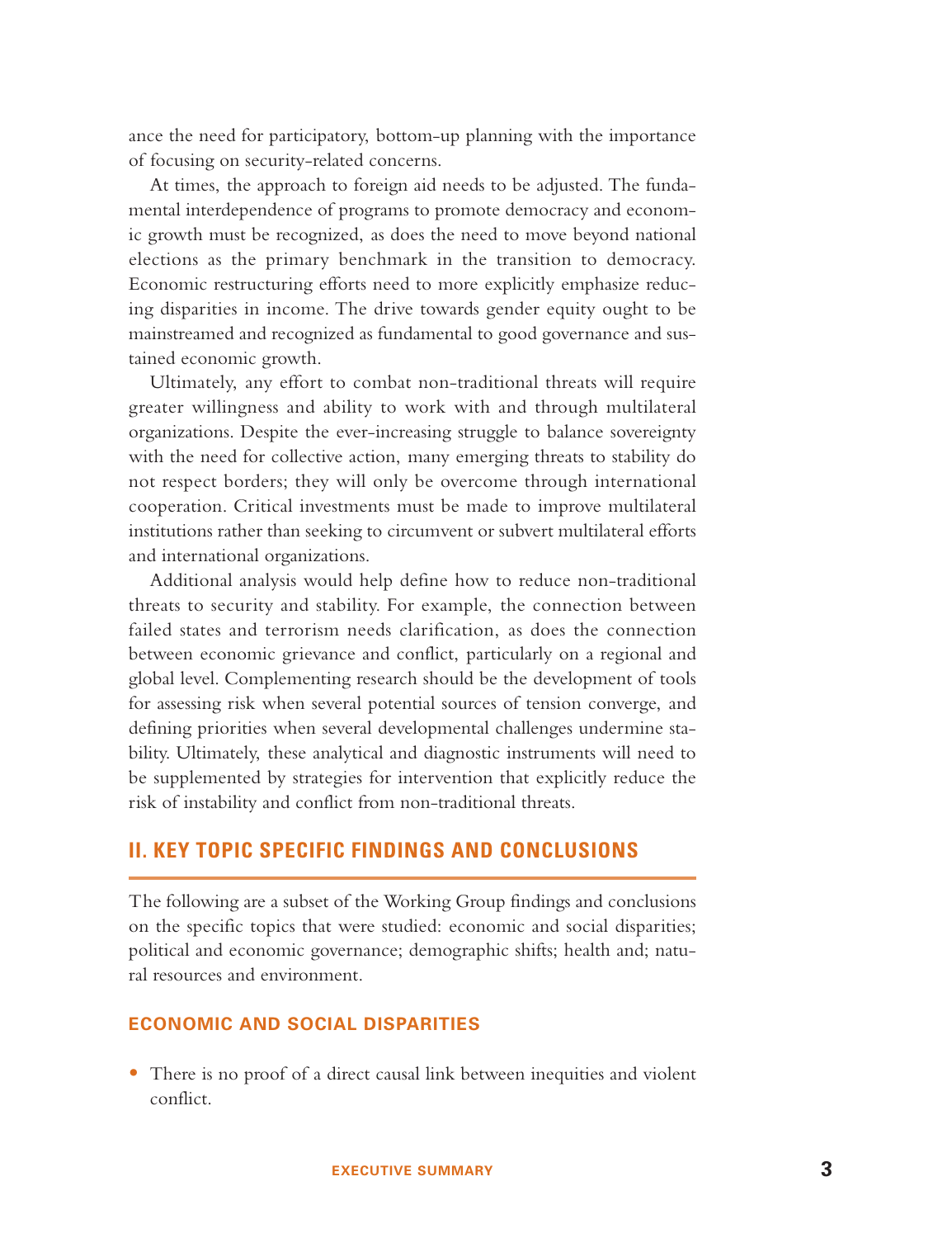ance the need for participatory, bottom-up planning with the importance of focusing on security-related concerns.

At times, the approach to foreign aid needs to be adjusted. The fundamental interdependence of programs to promote democracy and economic growth must be recognized, as does the need to move beyond national elections as the primary benchmark in the transition to democracy. Economic restructuring efforts need to more explicitly emphasize reducing disparities in income. The drive towards gender equity ought to be mainstreamed and recognized as fundamental to good governance and sustained economic growth.

Ultimately, any effort to combat non-traditional threats will require greater willingness and ability to work with and through multilateral organizations. Despite the ever-increasing struggle to balance sovereignty with the need for collective action, many emerging threats to stability do not respect borders; they will only be overcome through international cooperation. Critical investments must be made to improve multilateral institutions rather than seeking to circumvent or subvert multilateral efforts and international organizations.

Additional analysis would help define how to reduce non-traditional threats to security and stability. For example, the connection between failed states and terrorism needs clarification, as does the connection between economic grievance and conflict, particularly on a regional and global level. Complementing research should be the development of tools for assessing risk when several potential sources of tension converge, and defining priorities when several developmental challenges undermine stability. Ultimately, these analytical and diagnostic instruments will need to be supplemented by strategies for intervention that explicitly reduce the risk of instability and conflict from non-traditional threats.

#### **II. KEY TOPIC SPECIFIC FINDINGS AND CONCLUSIONS**

The following are a subset of the Working Group findings and conclusions on the specific topics that were studied: economic and social disparities; political and economic governance; demographic shifts; health and; natural resources and environment.

#### **ECONOMIC AND SOCIAL DISPARITIES**

• There is no proof of a direct causal link between inequities and violent conflict.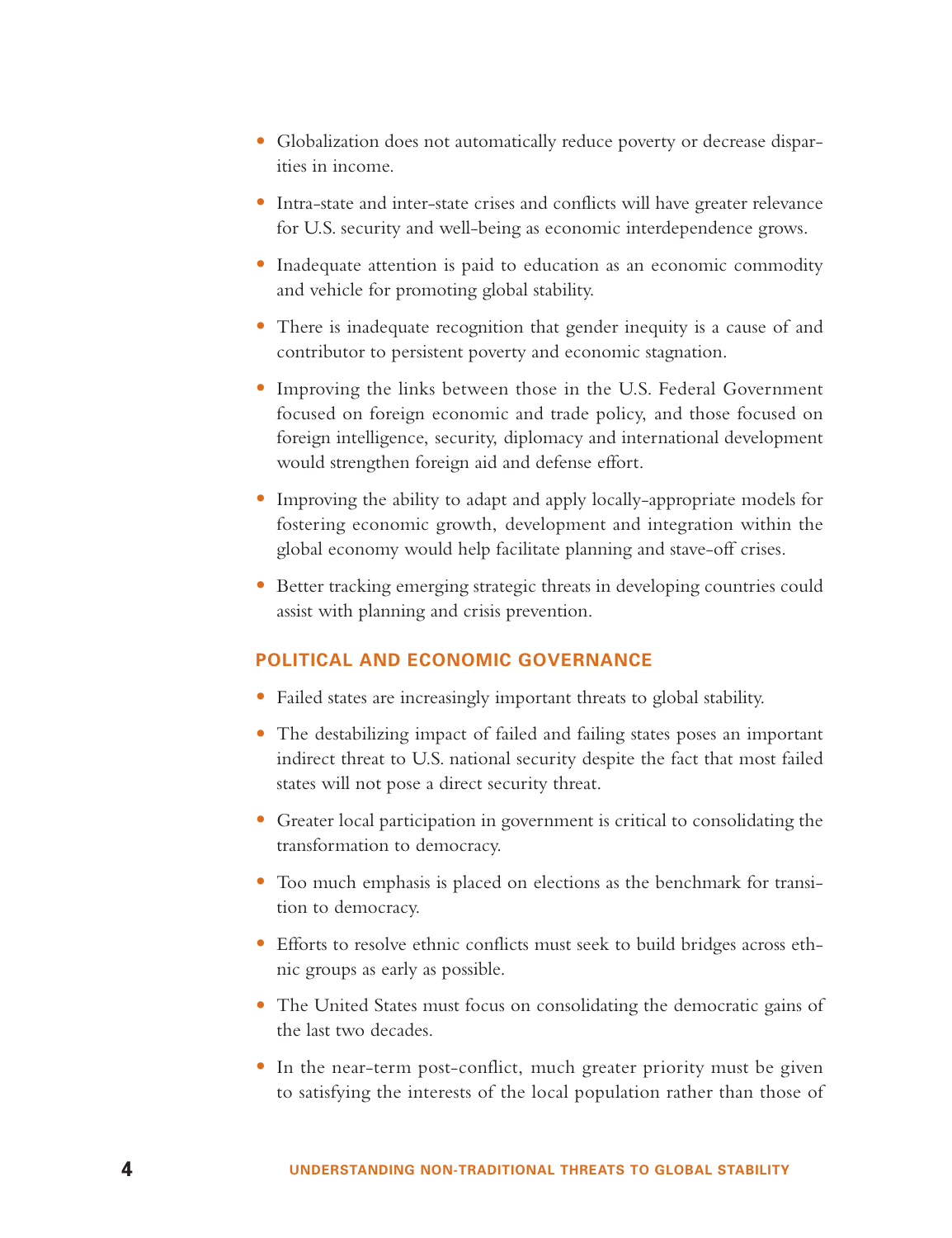- Globalization does not automatically reduce poverty or decrease disparities in income.
- Intra-state and inter-state crises and conflicts will have greater relevance for U.S. security and well-being as economic interdependence grows.
- Inadequate attention is paid to education as an economic commodity and vehicle for promoting global stability.
- There is inadequate recognition that gender inequity is a cause of and contributor to persistent poverty and economic stagnation.
- Improving the links between those in the U.S. Federal Government focused on foreign economic and trade policy, and those focused on foreign intelligence, security, diplomacy and international development would strengthen foreign aid and defense effort.
- Improving the ability to adapt and apply locally-appropriate models for fostering economic growth, development and integration within the global economy would help facilitate planning and stave-off crises.
- Better tracking emerging strategic threats in developing countries could assist with planning and crisis prevention.

## **POLITICAL AND ECONOMIC GOVERNANCE**

- Failed states are increasingly important threats to global stability.
- The destabilizing impact of failed and failing states poses an important indirect threat to U.S. national security despite the fact that most failed states will not pose a direct security threat.
- Greater local participation in government is critical to consolidating the transformation to democracy.
- Too much emphasis is placed on elections as the benchmark for transition to democracy.
- Efforts to resolve ethnic conflicts must seek to build bridges across ethnic groups as early as possible.
- The United States must focus on consolidating the democratic gains of the last two decades.
- In the near-term post-conflict, much greater priority must be given to satisfying the interests of the local population rather than those of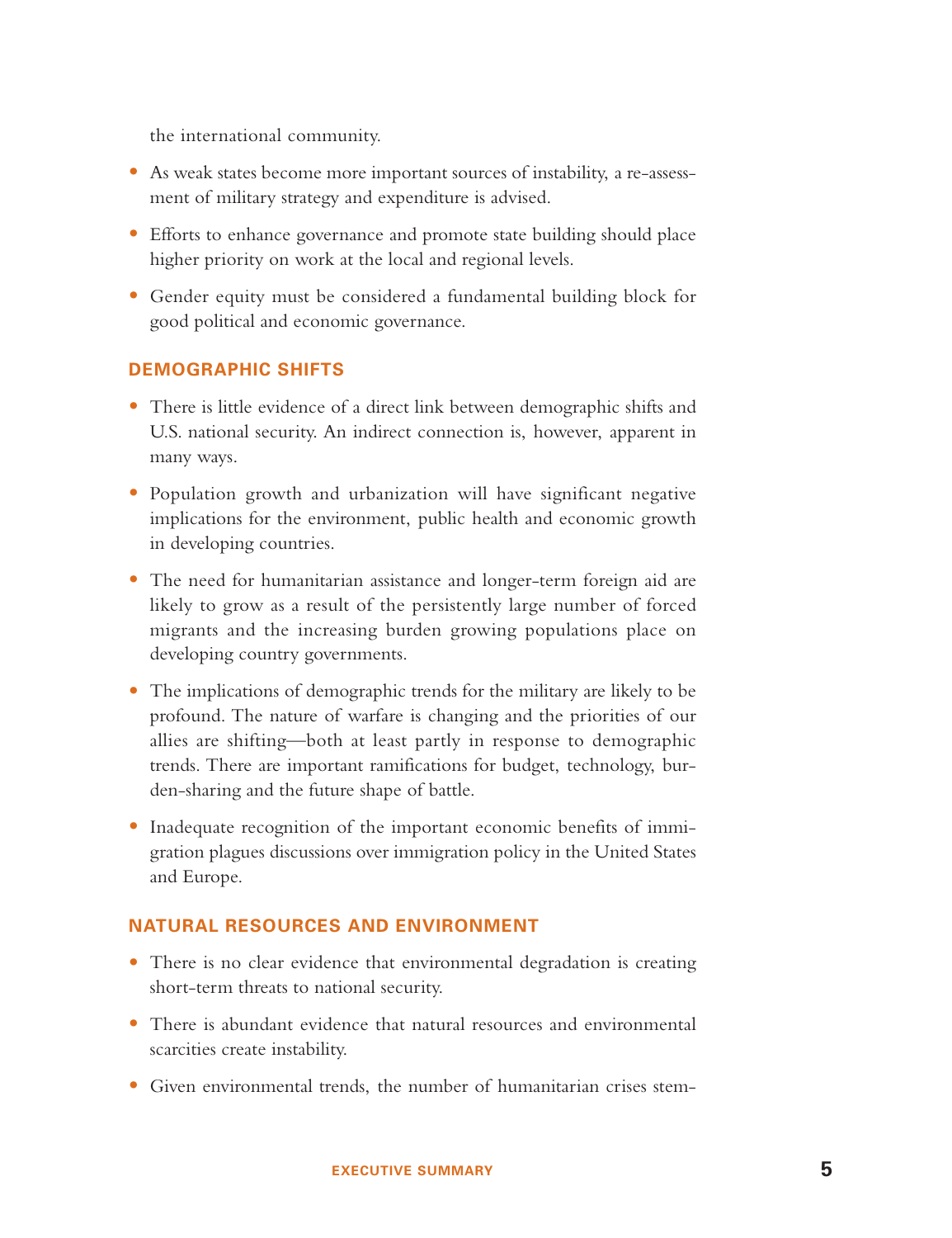the international community.

- As weak states become more important sources of instability, a re-assessment of military strategy and expenditure is advised.
- Efforts to enhance governance and promote state building should place higher priority on work at the local and regional levels.
- Gender equity must be considered a fundamental building block for good political and economic governance.

#### **DEMOGRAPHIC SHIFTS**

- There is little evidence of a direct link between demographic shifts and U.S. national security. An indirect connection is, however, apparent in many ways.
- Population growth and urbanization will have significant negative implications for the environment, public health and economic growth in developing countries.
- The need for humanitarian assistance and longer-term foreign aid are likely to grow as a result of the persistently large number of forced migrants and the increasing burden growing populations place on developing country governments.
- The implications of demographic trends for the military are likely to be profound. The nature of warfare is changing and the priorities of our allies are shifting—both at least partly in response to demographic trends. There are important ramifications for budget, technology, burden-sharing and the future shape of battle.
- Inadequate recognition of the important economic benefits of immigration plagues discussions over immigration policy in the United States and Europe.

#### **NATURAL RESOURCES AND ENVIRONMENT**

- There is no clear evidence that environmental degradation is creating short-term threats to national security.
- There is abundant evidence that natural resources and environmental scarcities create instability.
- Given environmental trends, the number of humanitarian crises stem-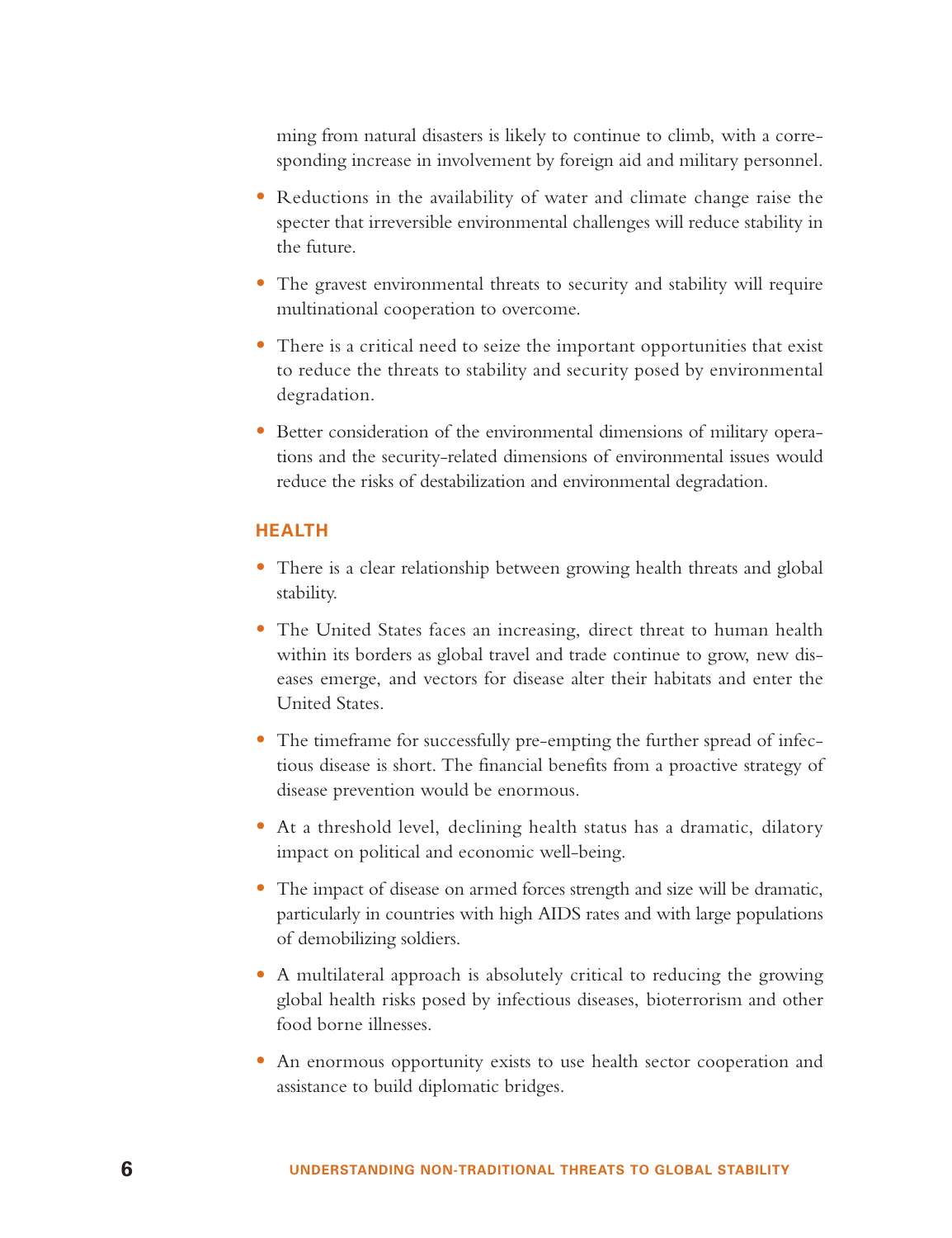ming from natural disasters is likely to continue to climb, with a corresponding increase in involvement by foreign aid and military personnel.

- Reductions in the availability of water and climate change raise the specter that irreversible environmental challenges will reduce stability in the future.
- The gravest environmental threats to security and stability will require multinational cooperation to overcome.
- There is a critical need to seize the important opportunities that exist to reduce the threats to stability and security posed by environmental degradation.
- Better consideration of the environmental dimensions of military operations and the security-related dimensions of environmental issues would reduce the risks of destabilization and environmental degradation.

#### **HEALTH**

- There is a clear relationship between growing health threats and global stability.
- The United States faces an increasing, direct threat to human health within its borders as global travel and trade continue to grow, new diseases emerge, and vectors for disease alter their habitats and enter the United States.
- The timeframe for successfully pre-empting the further spread of infectious disease is short. The financial benefits from a proactive strategy of disease prevention would be enormous.
- At a threshold level, declining health status has a dramatic, dilatory impact on political and economic well-being.
- The impact of disease on armed forces strength and size will be dramatic, particularly in countries with high AIDS rates and with large populations of demobilizing soldiers.
- A multilateral approach is absolutely critical to reducing the growing global health risks posed by infectious diseases, bioterrorism and other food borne illnesses.
- An enormous opportunity exists to use health sector cooperation and assistance to build diplomatic bridges.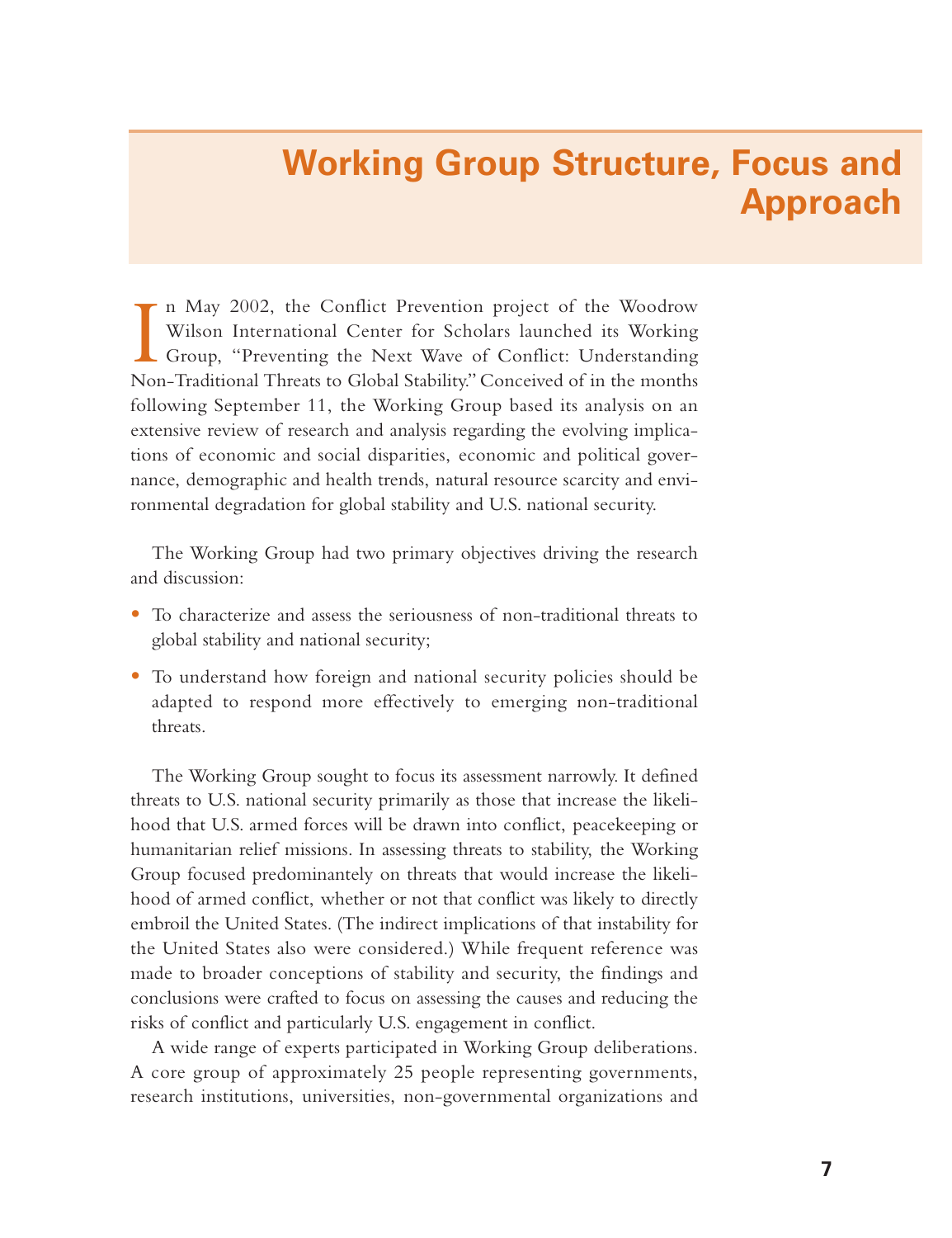# **Working Group Structure, Focus and Approach**

I n May 2002, the Conflict Prevention project of the Woodrow Wilson International Center for Scholars launched its Working Group, "Preventing the Next Wave of Conflict: Understanding Non-Traditional Threats to Global Stability." Conceived of in the months following September 11, the Working Group based its analysis on an extensive review of research and analysis regarding the evolving implications of economic and social disparities, economic and political governance, demographic and health trends, natural resource scarcity and environmental degradation for global stability and U.S. national security.

The Working Group had two primary objectives driving the research and discussion:

- To characterize and assess the seriousness of non-traditional threats to global stability and national security;
- To understand how foreign and national security policies should be adapted to respond more effectively to emerging non-traditional threats.

The Working Group sought to focus its assessment narrowly. It defined threats to U.S. national security primarily as those that increase the likelihood that U.S. armed forces will be drawn into conflict, peacekeeping or humanitarian relief missions. In assessing threats to stability, the Working Group focused predominantely on threats that would increase the likelihood of armed conflict, whether or not that conflict was likely to directly embroil the United States. (The indirect implications of that instability for the United States also were considered.) While frequent reference was made to broader conceptions of stability and security, the findings and conclusions were crafted to focus on assessing the causes and reducing the risks of conflict and particularly U.S. engagement in conflict.

A wide range of experts participated in Working Group deliberations. A core group of approximately 25 people representing governments, research institutions, universities, non-governmental organizations and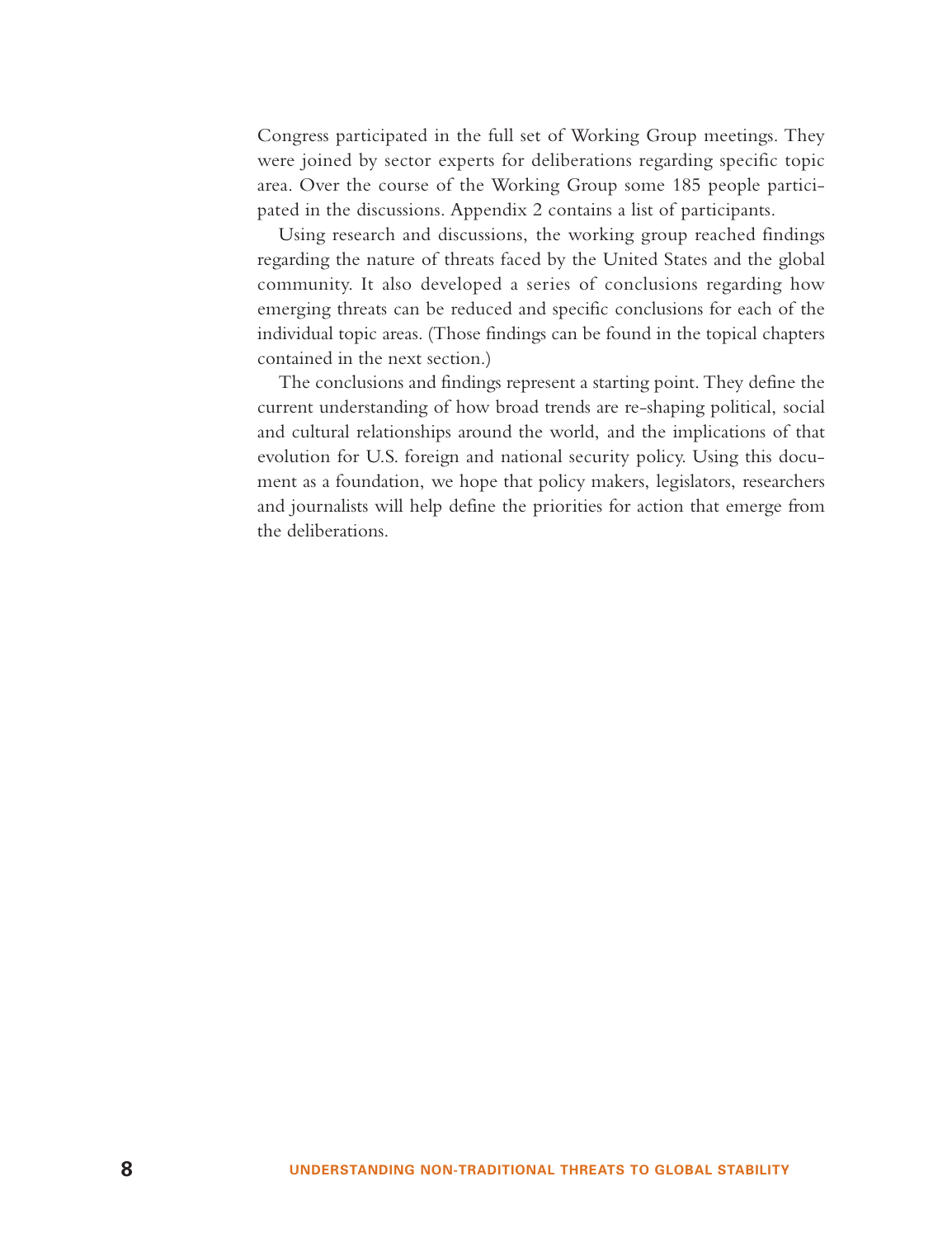Congress participated in the full set of Working Group meetings. They were joined by sector experts for deliberations regarding specific topic area. Over the course of the Working Group some 185 people participated in the discussions. Appendix 2 contains a list of participants.

Using research and discussions, the working group reached findings regarding the nature of threats faced by the United States and the global community. It also developed a series of conclusions regarding how emerging threats can be reduced and specific conclusions for each of the individual topic areas. (Those findings can be found in the topical chapters contained in the next section.)

The conclusions and findings represent a starting point. They define the current understanding of how broad trends are re-shaping political, social and cultural relationships around the world, and the implications of that evolution for U.S. foreign and national security policy. Using this document as a foundation, we hope that policy makers, legislators, researchers and journalists will help define the priorities for action that emerge from the deliberations.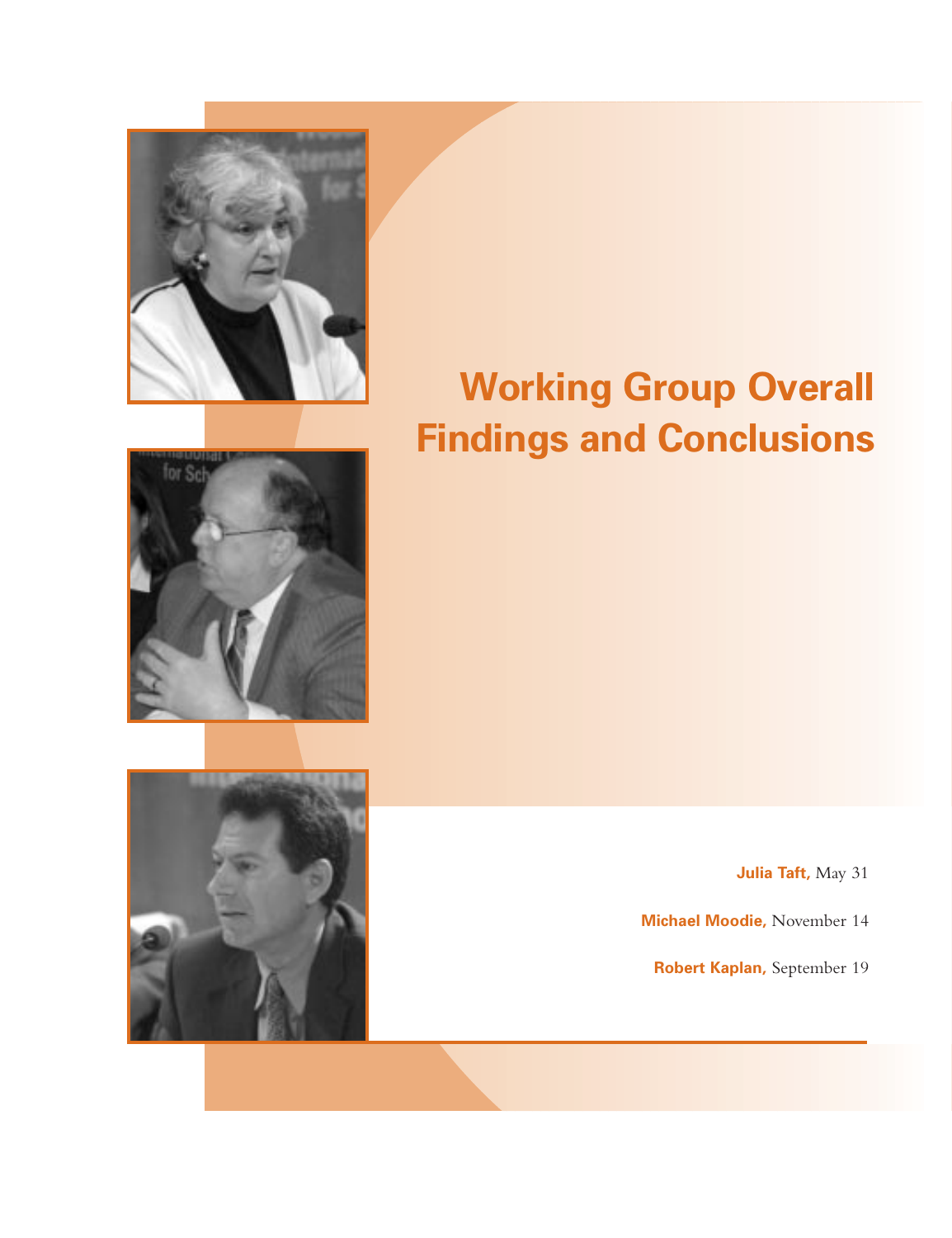

# **Working Group Overall Findings and Conclusions**





**Julia Taft,** May 31

**Michael Moodie,** November 14

**Robert Kaplan,** September 19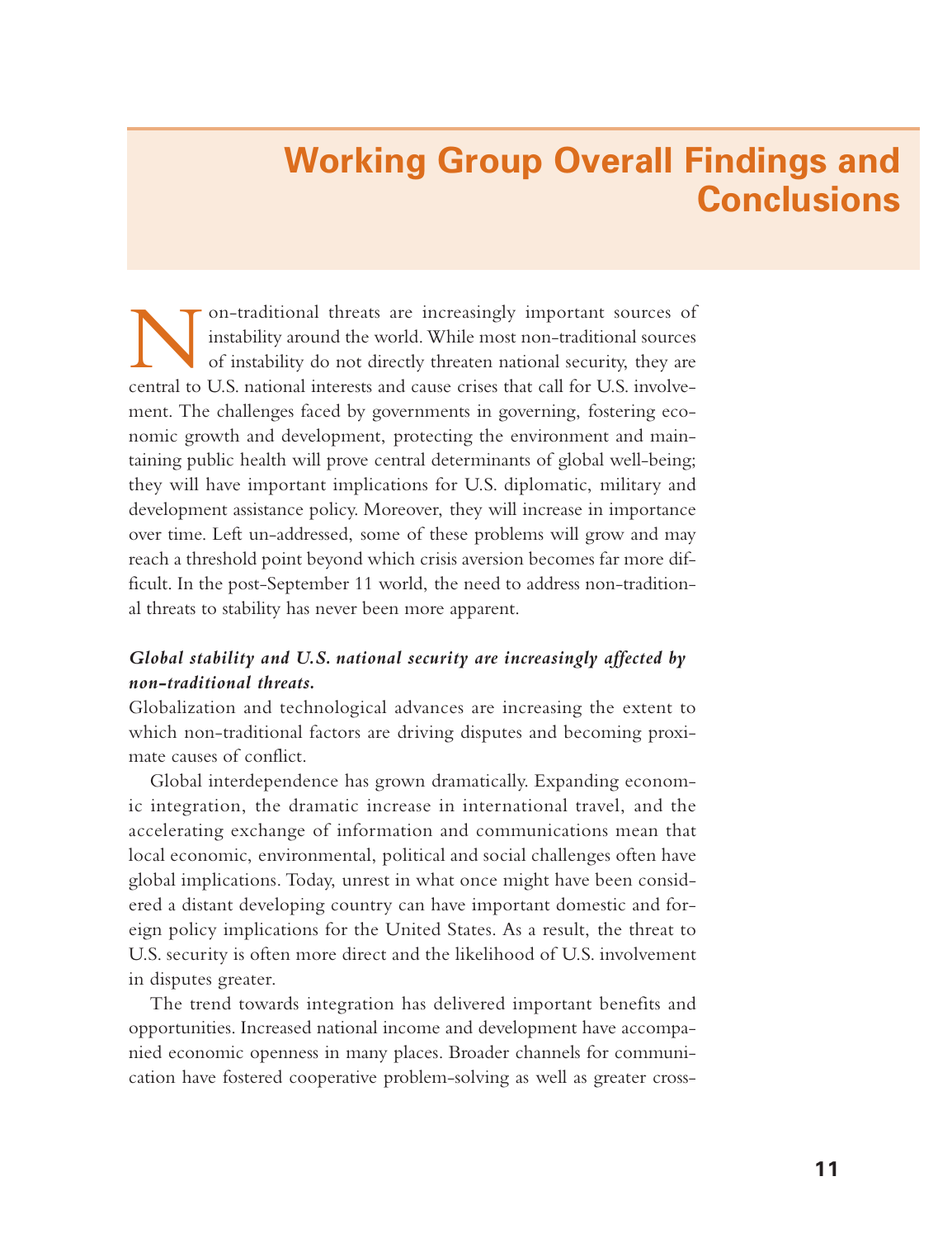# **Working Group Overall Findings and Conclusions**

Non-traditional threats are increasingly important sources of instability around the world. While most non-traditional sources of instability do not directly threaten national security, they are central to U.S. national interests and cause crises that call for U.S. involvement. The challenges faced by governments in governing, fostering economic growth and development, protecting the environment and maintaining public health will prove central determinants of global well-being; they will have important implications for U.S. diplomatic, military and development assistance policy. Moreover, they will increase in importance over time. Left un-addressed, some of these problems will grow and may reach a threshold point beyond which crisis aversion becomes far more difficult. In the post-September 11 world, the need to address non-traditional threats to stability has never been more apparent.

### *Global stability and U.S. national security are increasingly affected by non-traditional threats.*

Globalization and technological advances are increasing the extent to which non-traditional factors are driving disputes and becoming proximate causes of conflict.

Global interdependence has grown dramatically. Expanding economic integration, the dramatic increase in international travel, and the accelerating exchange of information and communications mean that local economic, environmental, political and social challenges often have global implications. Today, unrest in what once might have been considered a distant developing country can have important domestic and foreign policy implications for the United States. As a result, the threat to U.S. security is often more direct and the likelihood of U.S. involvement in disputes greater.

The trend towards integration has delivered important benefits and opportunities. Increased national income and development have accompanied economic openness in many places. Broader channels for communication have fostered cooperative problem-solving as well as greater cross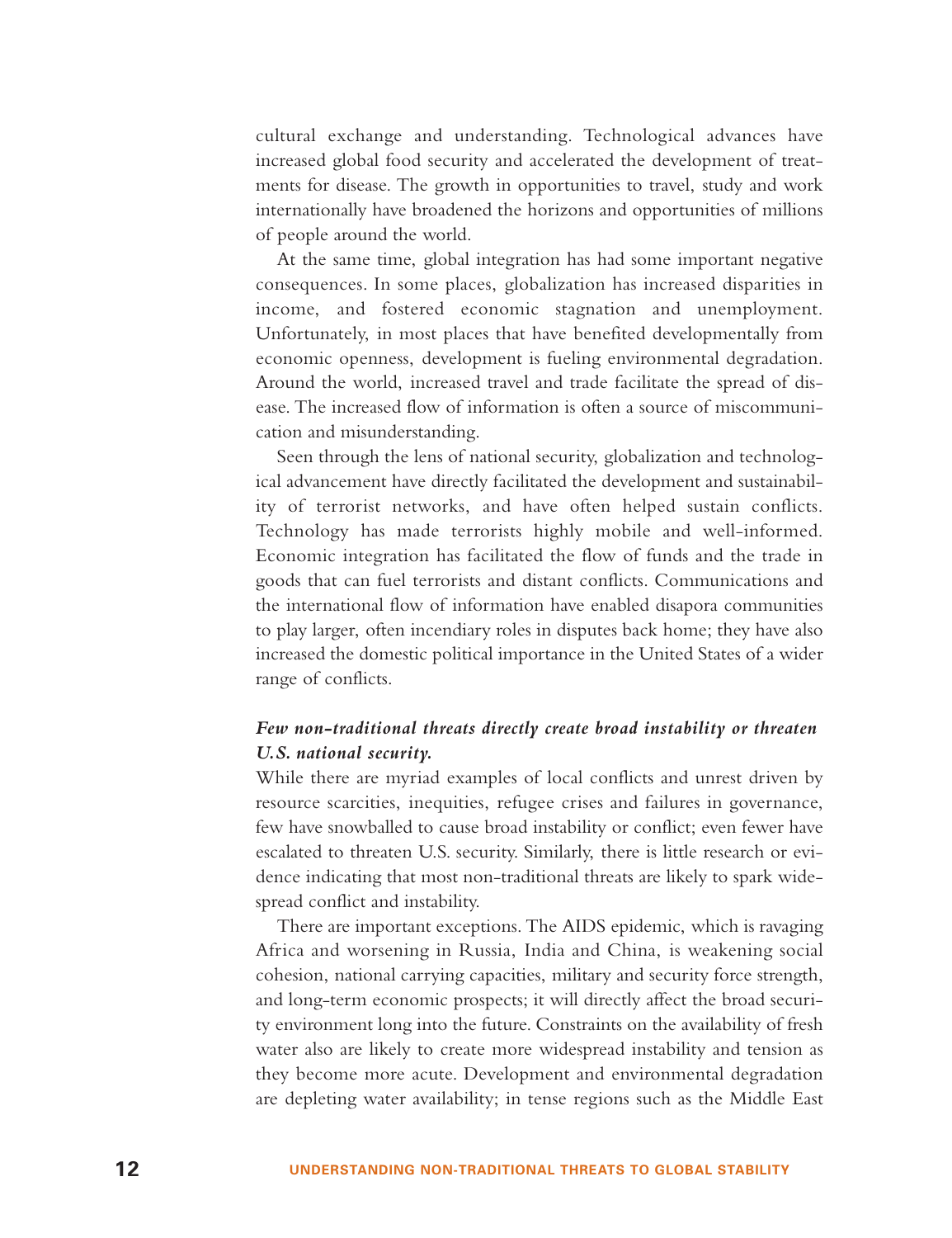cultural exchange and understanding. Technological advances have increased global food security and accelerated the development of treatments for disease. The growth in opportunities to travel, study and work internationally have broadened the horizons and opportunities of millions of people around the world.

At the same time, global integration has had some important negative consequences. In some places, globalization has increased disparities in income, and fostered economic stagnation and unemployment. Unfortunately, in most places that have benefited developmentally from economic openness, development is fueling environmental degradation. Around the world, increased travel and trade facilitate the spread of disease. The increased flow of information is often a source of miscommunication and misunderstanding.

Seen through the lens of national security, globalization and technological advancement have directly facilitated the development and sustainability of terrorist networks, and have often helped sustain conflicts. Technology has made terrorists highly mobile and well-informed. Economic integration has facilitated the flow of funds and the trade in goods that can fuel terrorists and distant conflicts. Communications and the international flow of information have enabled disapora communities to play larger, often incendiary roles in disputes back home; they have also increased the domestic political importance in the United States of a wider range of conflicts.

### *Few non-traditional threats directly create broad instability or threaten U.S. national security.*

While there are myriad examples of local conflicts and unrest driven by resource scarcities, inequities, refugee crises and failures in governance, few have snowballed to cause broad instability or conflict; even fewer have escalated to threaten U.S. security. Similarly, there is little research or evidence indicating that most non-traditional threats are likely to spark widespread conflict and instability.

There are important exceptions. The AIDS epidemic, which is ravaging Africa and worsening in Russia, India and China, is weakening social cohesion, national carrying capacities, military and security force strength, and long-term economic prospects; it will directly affect the broad security environment long into the future. Constraints on the availability of fresh water also are likely to create more widespread instability and tension as they become more acute. Development and environmental degradation are depleting water availability; in tense regions such as the Middle East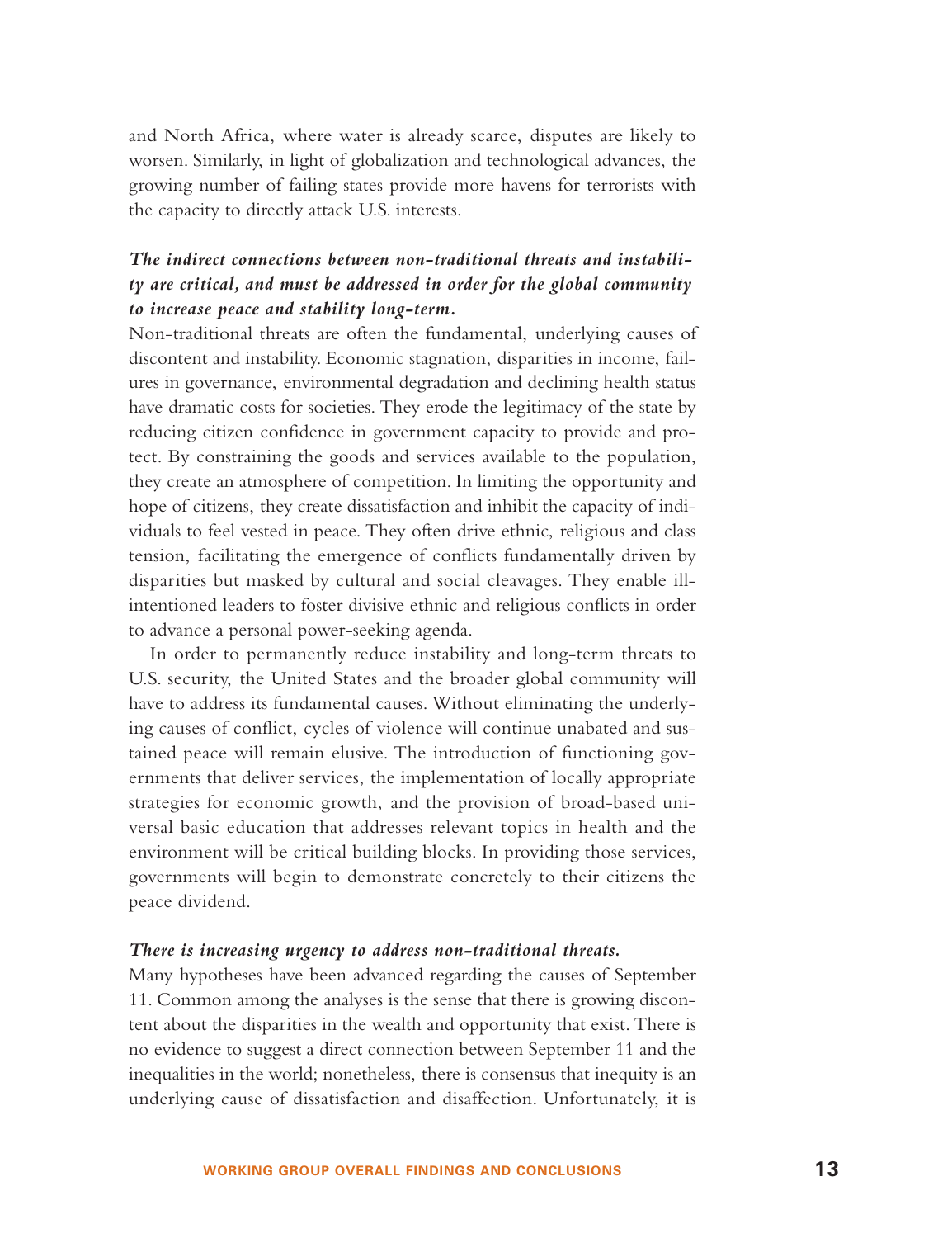and North Africa, where water is already scarce, disputes are likely to worsen. Similarly, in light of globalization and technological advances, the gr owing number of failing states provide more havens for terrorists with the capacity to directly attack U.S. interests.

### *The indirect connections between non-traditional threats and instability are critical, and must be addressed in order for the global community to increase peace and stability long-term.*

Non-traditional threats are often the fundamental, underlying causes of discontent and instability. Economic stagnation, disparities in income, failures in governance, environmental degradation and declining health status have dramatic costs for societies. They erode the legitimacy of the state by reducing citizen confidence in government capacity to provide and protect. By constraining the goods and services available to the population, they create an atmosphere of competition. In limiting the opportunity and hope of citizens, they create dissatisfaction and inhibit the capacity of individuals to feel vested in peace. They often drive ethnic, religious and class tension, facilitating the emergence of conflicts fundamentally driven by disparities but masked by cultural and social cleavages. They enable illintentioned leaders to foster divisive ethnic and religious conflicts in order to advance a personal power-seeking agenda.

In order to permanently reduce instability and long-term threats to U.S. security, the United States and the broader global community will have to address its fundamental causes. Without eliminating the underlying causes of conflict, cycles of violence will continue unabated and sustained peace will remain elusive. The introduction of functioning governments that deliver services, the implementation of locally appropriate strategies for economic growth, and the provision of broad-based universal basic education that addresses relevant topics in health and the environment will be critical building blocks. In providing those services, governments will begin to demonstrate concretely to their citizens the peace dividend.

#### *There is increasing urgency to address non-traditional threats.*

Many hypotheses have been advanced regarding the causes of September 11. Common among the analyses is the sense that there is growing discontent about the disparities in the wealth and opportunity that exist. There is no evidence to suggest a direct connection between September 11 and the inequalities in the world; nonetheless, there is consensus that inequity is an underlying cause of dissatisfaction and disaffection. Unfortunately, it is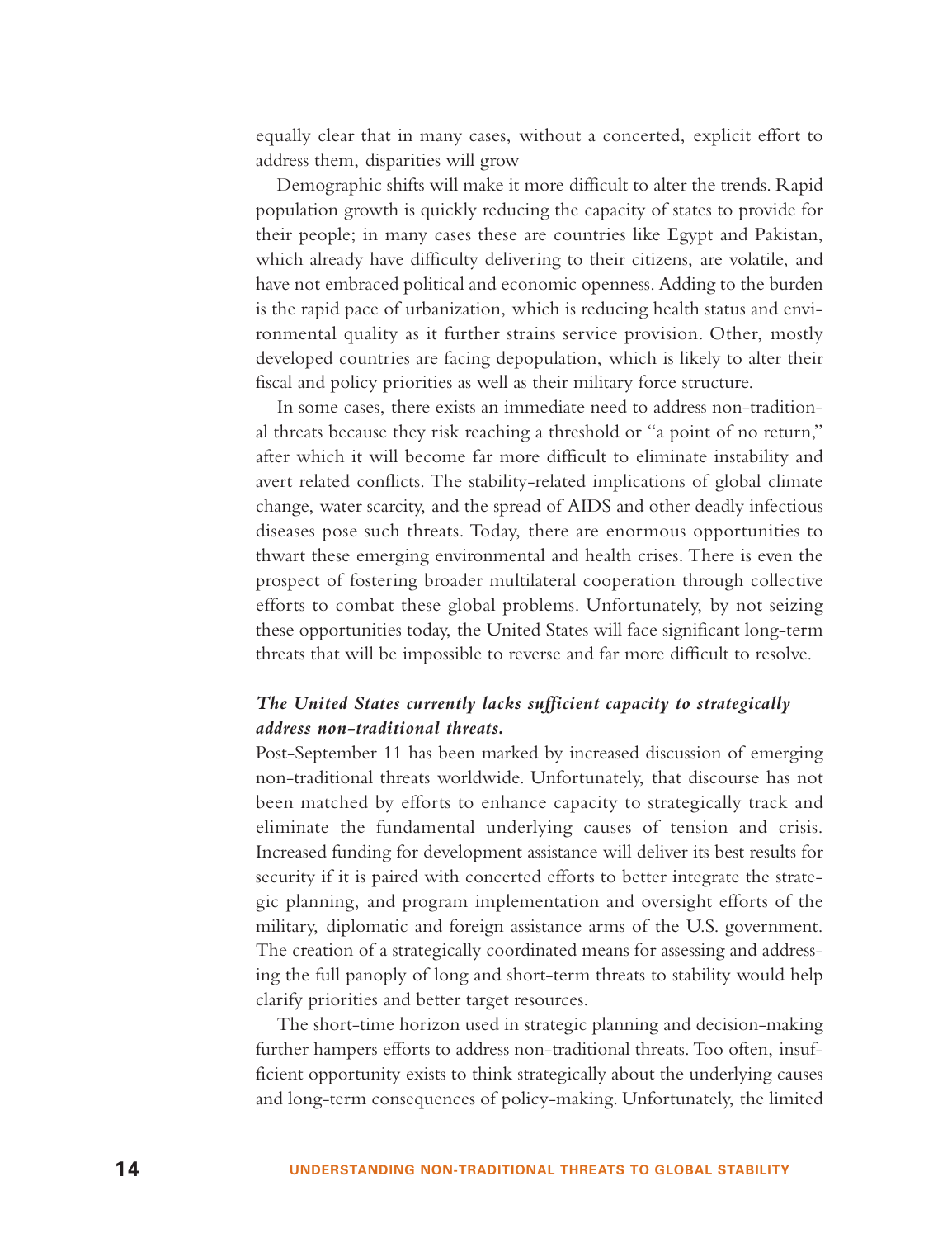equally clear that in many cases, without a concerted, explicit effort to address them, disparities will grow

Demographic shifts will make it more difficult to alter the trends. Rapid population growth is quickly reducing the capacity of states to provide for their people; in many cases these are countries like Egypt and Pakistan, which already have difficulty delivering to their citizens, are volatile, and have not embraced political and economic openness. Adding to the burden is the rapid pace of urbanization, which is reducing health status and environmental quality as it further strains service provision. Other, mostly developed countries are facing depopulation, which is likely to alter their fiscal and policy priorities as well as their military force structure.

In some cases, there exists an immediate need to address non-traditional threats because they risk reaching a threshold or "a point of no return," after which it will become far more difficult to eliminate instability and avert related conflicts. The stability-related implications of global climate change, water scarcity, and the spread of AIDS and other deadly infectious diseases pose such threats. Today, there are enormous opportunities to thwart these emerging environmental and health crises. There is even the prospect of fostering broader multilateral cooperation through collective efforts to combat these global problems. Unfortunately, by not seizing these opportunities today, the United States will face significant long-term threats that will be impossible to reverse and far more difficult to resolve.

### *The United States currently lacks sufficient capacity to strategically address non-traditional threats.*

Post-September 11 has been marked by increased discussion of emerging non-traditional threats worldwide. Unfortunately, that discourse has not been matched by efforts to enhance capacity to strategically track and eliminate the fundamental underlying causes of tension and crisis. Increased funding for development assistance will deliver its best results for security if it is paired with concerted efforts to better integrate the strategic planning, and program implementation and oversight efforts of the military, diplomatic and foreign assistance arms of the U.S. government. The creation of a strategically coordinated means for assessing and addressing the full panoply of long and short-term threats to stability would help clarify priorities and better target resources.

The short-time horizon used in strategic planning and decision-making further hampers efforts to address non-traditional threats. Too often, insufficient opportunity exists to think strategically about the underlying causes and long-term consequences of policy-making. Unfortunately, the limited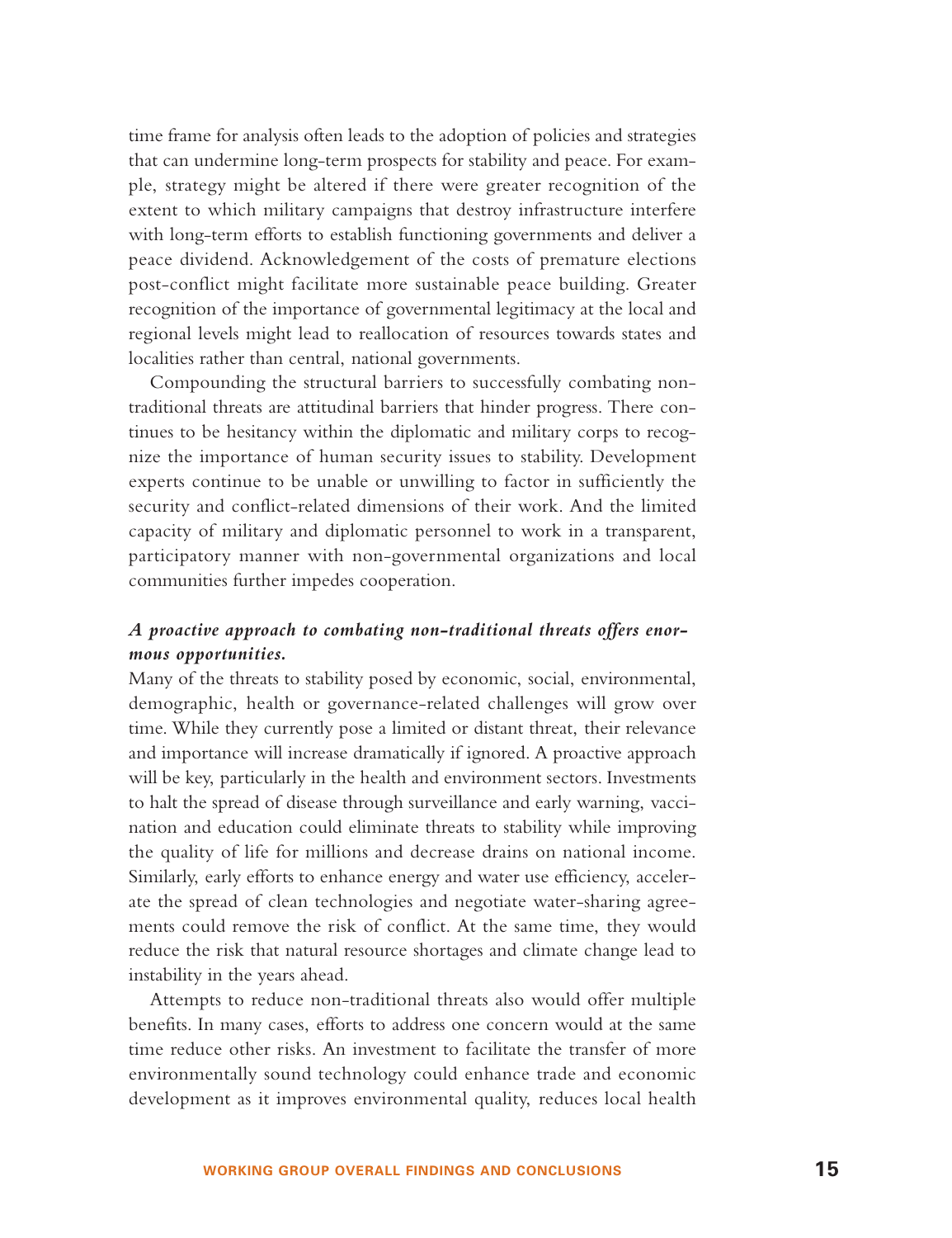time frame for analysis often leads to the adoption of policies and strategies that can undermine long-term prospects for stability and peace. For example, strategy might be altered if there were greater recognition of the extent to which military campaigns that destroy infrastructure interfere with long-term efforts to establish functioning governments and deliver a peace dividend. Acknowledgement of the costs of premature elections post-conflict might facilitate more sustainable peace building. Greater recognition of the importance of governmental legitimacy at the local and re gional levels might lead to reallocation of resources towards states and localities rather than central, national governments.

Compounding the structural barriers to successfully combating nontraditional threats are attitudinal barriers that hinder progress. There continues to be hesitancy within the diplomatic and military corps to recognize the importance of human security issues to stability. Development experts continue to be unable or unwilling to factor in sufficiently the security and conflict-related dimensions of their work. And the limited capacity of military and diplomatic personnel to work in a transparent, participatory manner with non-governmental organizations and local communities further impedes cooperation.

### *A proactive approach to combating non-traditional threats offers enormous opportunities.*

Many of the threats to stability posed by economic, social, environmental, demographic, health or governance-related challenges will grow over time. While they currently pose a limited or distant threat, their relevance and importance will increase dramatically if ignored. A proactive approach will be key, particularly in the health and environment sectors. Investments to halt the spread of disease through surveillance and early warning, vaccination and education could eliminate threats to stability while improving the quality of life for millions and decrease drains on national income. Similarly, early efforts to enhance energy and water use efficiency, accelerate the spread of clean technologies and negotiate water-sharing agreements could remove the risk of conflict. At the same time, they would reduce the risk that natural resource shortages and climate change lead to instability in the years ahead.

Attempts to reduce non-traditional threats also would offer multiple benefits. In many cases, efforts to address one concern would at the same time reduce other risks. An investment to facilitate the transfer of more environmentally sound technology could enhance trade and economic development as it improves environmental quality, reduces local health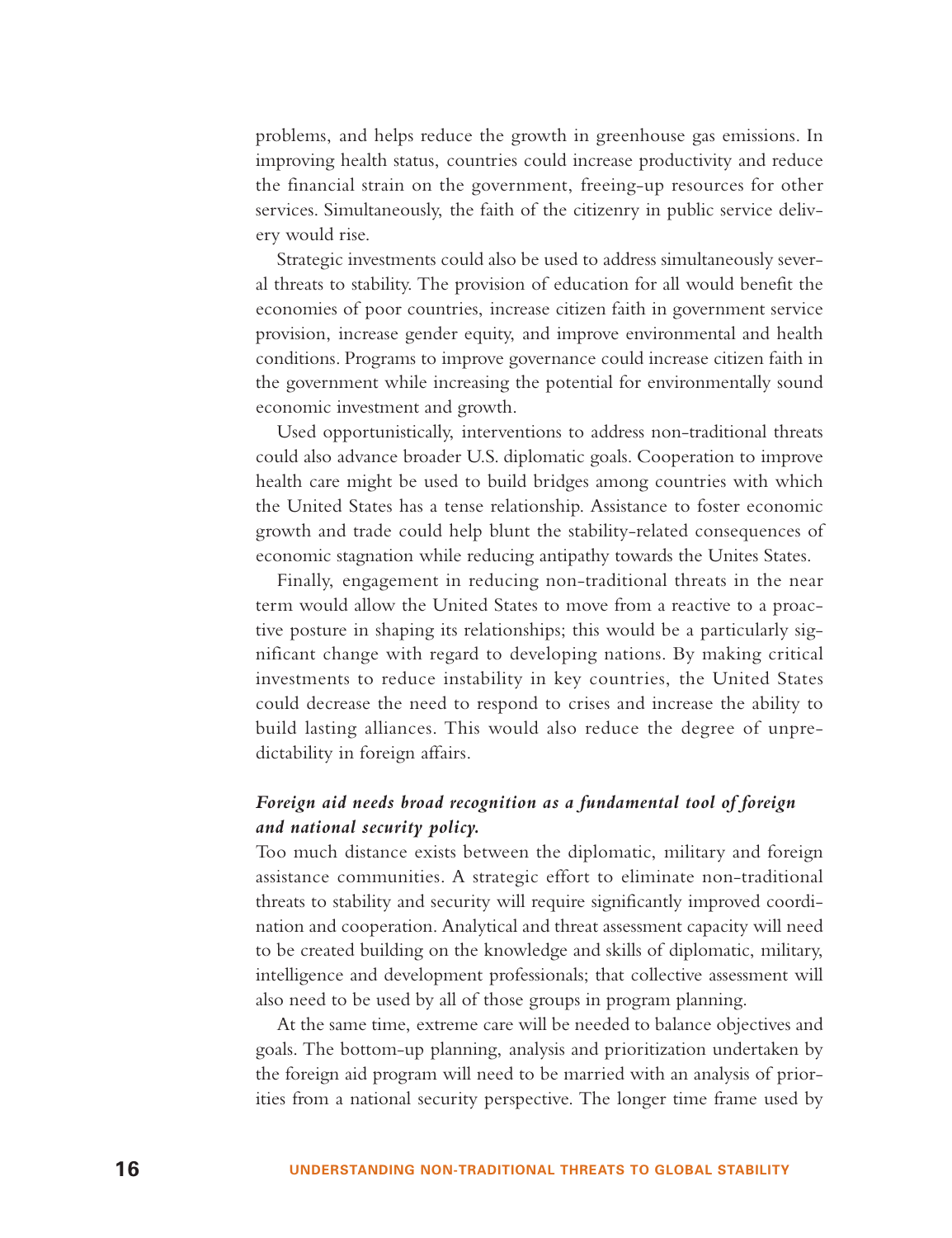problems, and helps reduce the growth in greenhouse gas emissions. In improving health status, countries could increase productivity and reduce the financial strain on the government, freeing-up resources for other services. Simultaneously, the faith of the citizenry in public service delivery would rise.

Strategic investments could also be used to address simultaneously several threats to stability. The provision of education for all would benefit the economies of poor countries, increase citizen faith in government service provision, increase gender equity, and improve environmental and health conditions. Programs to improve governance could increase citizen faith in the government while increasing the potential for environmentally sound economic investment and growth.

Used opportunistically, interventions to address non-traditional threats could also advance broader U.S. diplomatic goals. Cooperation to improve health care might be used to build bridges among countries with which the United States has a tense relationship. Assistance to foster economic growth and trade could help blunt the stability-related consequences of economic stagnation while reducing antipathy towards the Unites States.

Finally, engagement in reducing non-traditional threats in the near term would allow the United States to move from a reactive to a proactive posture in shaping its relationships; this would be a particularly significant change with regard to developing nations. By making critical investments to reduce instability in key countries, the United States could decrease the need to respond to crises and increase the ability to build lasting alliances. This would also reduce the degree of unpredictability in foreign affairs.

## *Foreign aid needs broad recognition as a fundamental tool of foreign and national security policy.*

Too much distance exists between the diplomatic, military and foreign assistance communities. A strategic effort to eliminate non-traditional threats to stability and security will require significantly improved coordination and cooperation. Analytical and threat assessment capacity will need to be created building on the knowledge and skills of diplomatic, military, intelligence and development professionals; that collective assessment will also need to be used by all of those groups in program planning.

At the same time, extreme care will be needed to balance objectives and goals. The bottom-up planning, analysis and prioritization undertaken by the foreign aid program will need to be married with an analysis of priorities from a national security perspective. The longer time frame used by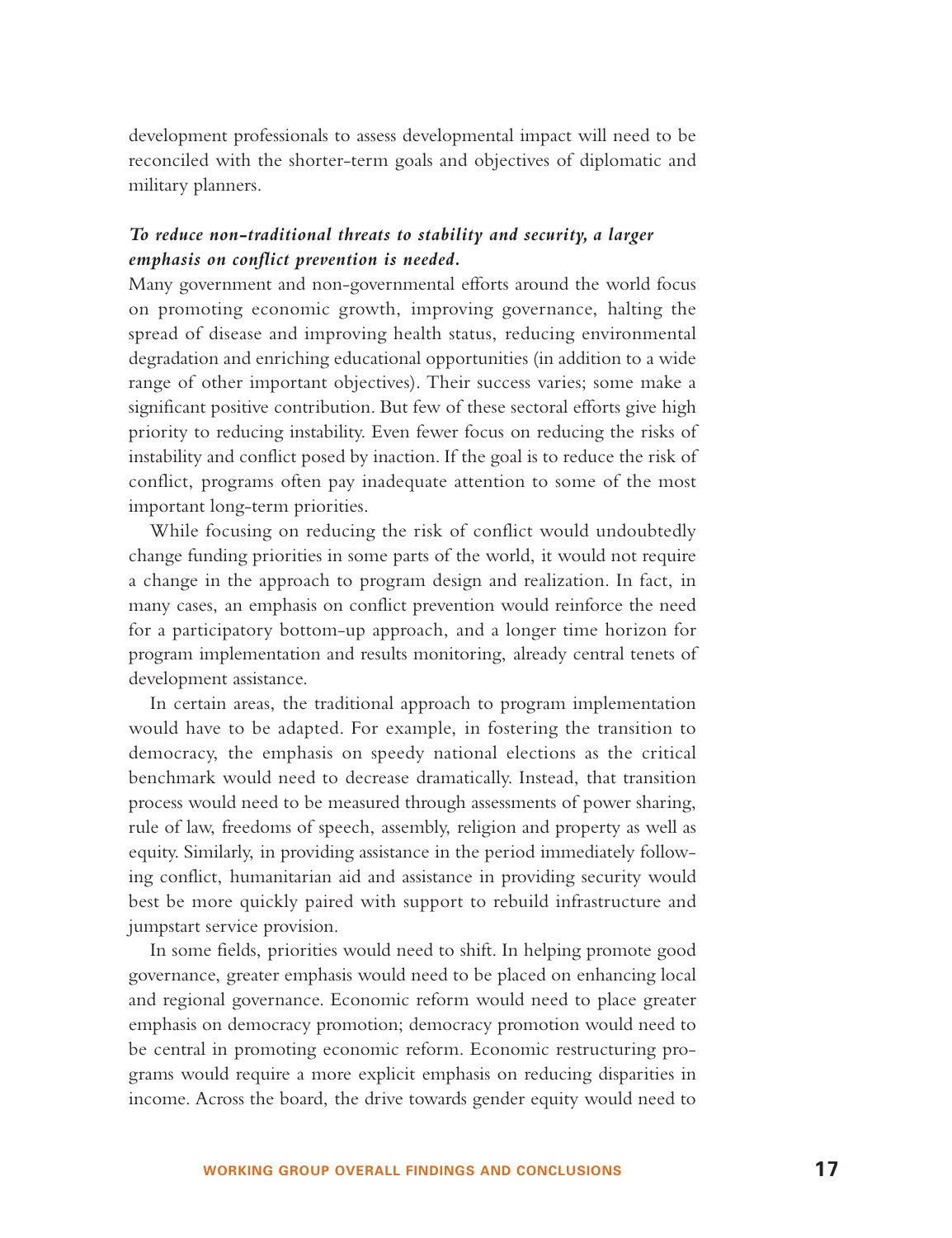development professionals to assess developmental impact will need to be reconciled with the shorter-term goals and objectives of diplomatic and military planners.

#### *To reduce non-traditional threats to stability and security, a larger emphasis on conflict prevention is needed.*

Many government and non-governmental efforts around the world focus on promoting economic growth, improving governance, halting the spread of disease and improving health status, reducing environmental degradation and enriching educational opportunities (in addition to a wide range of other important objectives). Their success varies; some make a significant positive contribution. But few of these sectoral efforts give high priority to reducing instability. Even fewer focus on reducing the risks of instability and conflict posed by inaction. If the goal is to reduce the risk of conflict, programs often pay inadequate attention to some of the most important long-term priorities.

While focusing on reducing the risk of conflict would undoubtedly change funding priorities in some parts of the world, it would not require a change in the approach to program design and realization. In fact, in many cases, an emphasis on conflict prevention would reinforce the need for a participatory bottom-up approach, and a longer time horizon for program implementation and results monitoring, already central tenets of development assistance.

In certain areas, the traditional approach to program implementation would have to be adapted. For example, in fostering the transition to democracy, the emphasis on speedy national elections as the critical benchmark would need to decrease dramatically. Instead, that transition process would need to be measured through assessments of power sharing, rule of law, freedoms of speech, assembly, religion and property as well as equity. Similarly, in providing assistance in the period immediately following conflict, humanitarian aid and assistance in providing security would best be more quickly paired with support to rebuild infrastructure and jumpstart service provision.

In some fields, priorities would need to shift. In helping promote good governance, greater emphasis would need to be placed on enhancing local and regional governance. Economic reform would need to place greater emphasis on democracy promotion; democracy promotion would need to be central in promoting economic reform. Economic restructuring programs would require a more explicit emphasis on reducing disparities in income. Across the board, the drive towards gender equity would need to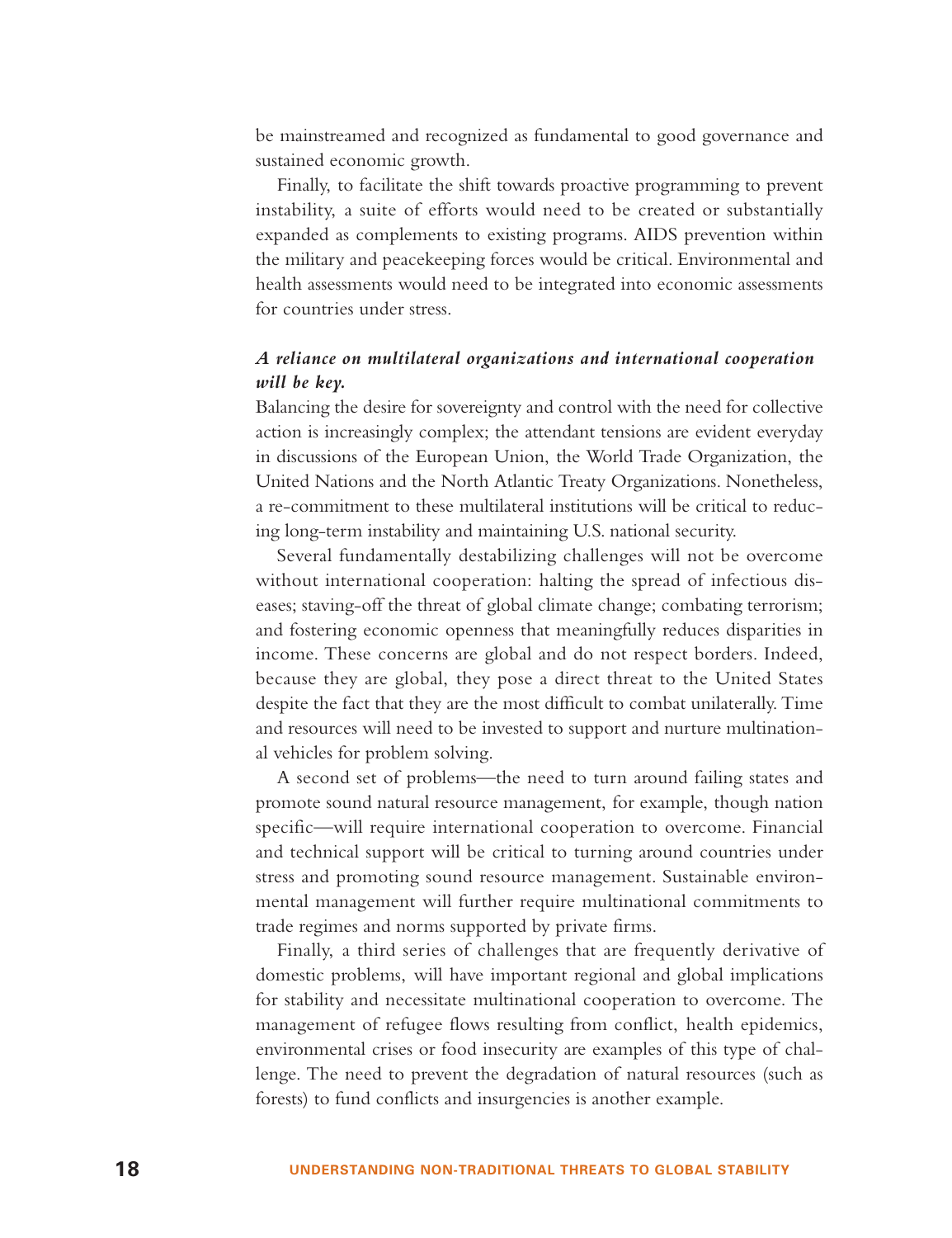be mainstreamed and recognized as fundamental to good governance and sustained economic growth.

Finally, to facilitate the shift towards proactive programming to prevent instability, a suite of efforts would need to be created or substantially expanded as complements to existing programs. AIDS prevention within the military and peacekeeping forces would be critical. Environmental and health assessments would need to be integrated into economic assessments for countries under stress.

### *A reliance on multilateral organizations and international cooperation will be key.*

Balancing the desire for sovereignty and control with the need for collective action is increasingly complex; the attendant tensions are evident everyday in discussions of the European Union, the World Trade Organization, the United Nations and the North Atlantic Treaty Organizations. Nonetheless, a re-commitment to these multilateral institutions will be critical to reducing long-term instability and maintaining U.S. national security.

Several fundamentally destabilizing challenges will not be overcome without international cooperation: halting the spread of infectious diseases; staving-off the threat of global climate change; combating terrorism; and fostering economic openness that meaningfully reduces disparities in income. These concerns are global and do not respect borders. Indeed, because they are global, they pose a direct threat to the United States despite the fact that they are the most difficult to combat unilaterally. Time and resources will need to be invested to support and nurture multinational vehicles for problem solving.

A second set of problems—the need to turn around failing states and promote sound natural resource management, for example, though nation specific—will require international cooperation to overcome. Financial and technical support will be critical to turning around countries under stress and promoting sound resource management. Sustainable environmental management will further require multinational commitments to trade regimes and norms supported by private firms.

Finally, a third series of challenges that are frequently derivative of domestic problems, will have important regional and global implications for stability and necessitate multinational cooperation to overcome. The management of refugee flows resulting from conflict, health epidemics, environmental crises or food insecurity are examples of this type of challenge. The need to prevent the degradation of natural resources (such as forests) to fund conflicts and insurgencies is another example.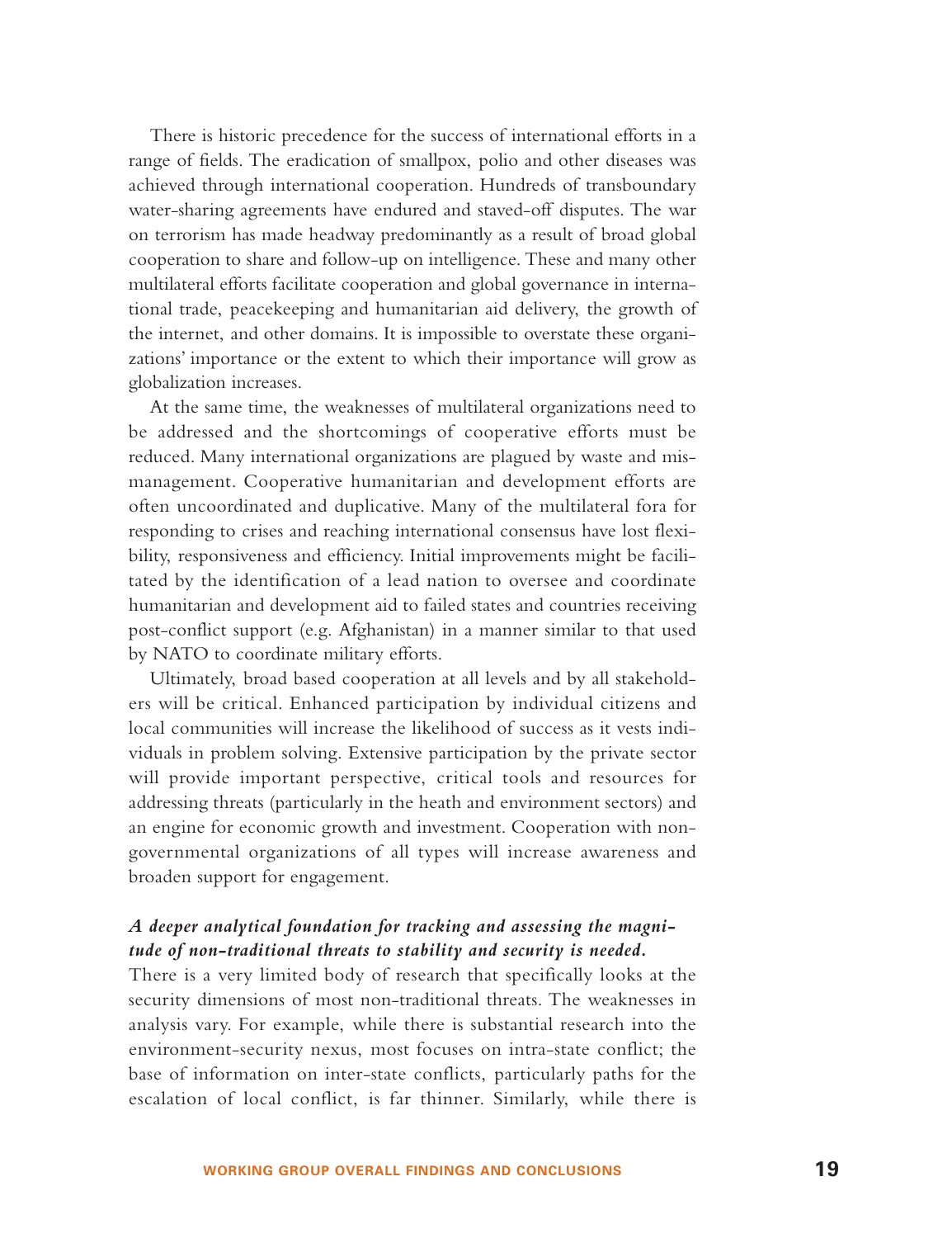There is historic precedence for the success of international efforts in a range of fields. The eradication of smallpox, polio and other diseases was achieved through international cooperation. Hundreds of transboundary water-sharing agreements have endured and staved-off disputes. The war on terrorism has made headway predominantly as a result of broad global cooperation to share and follow-up on intelligence. These and many other multilateral efforts facilitate cooperation and global governance in international trade, peacekeeping and humanitarian aid delivery, the growth of the internet, and other domains. It is impossible to overstate these organizations' importance or the extent to which their importance will grow as globalization increases.

At the same time, the weaknesses of multilateral organizations need to be addressed and the shortcomings of cooperative efforts must be reduced. Many international organizations are plagued by waste and mismanagement. Cooperative humanitarian and development efforts are often uncoordinated and duplicative. Many of the multilateral fora for responding to crises and reaching international consensus have lost flexibility, responsiveness and efficiency. Initial improvements might be facilitated by the identification of a lead nation to oversee and coordinate humanitarian and development aid to failed states and countries receiving post-conflict support (e.g. Afghanistan) in a manner similar to that used by NATO to coordinate military efforts.

Ultimately, broad based cooperation at all levels and by all stakeholders will be critical. Enhanced participation by individual citizens and local communities will increase the likelihood of success as it vests individuals in problem solving. Extensive participation by the private sector will provide important perspective, critical tools and resources for addressing threats (particularly in the heath and environment sectors) and an engine for economic growth and investment. Cooperation with nongovernmental organizations of all types will increase awareness and broaden support for engagement.

### *A deeper analytical foundation for tracking and assessing the magnitude of non-traditional threats to stability and security is needed.*

There is a very limited body of research that specifically looks at the security dimensions of most non-traditional threats. The weaknesses in analysis vary. For example, while there is substantial research into the environment-security nexus, most focuses on intra-state conflict; the base of information on inter-state conflicts, particularly paths for the escalation of local conflict, is far thinner. Similarly, while there is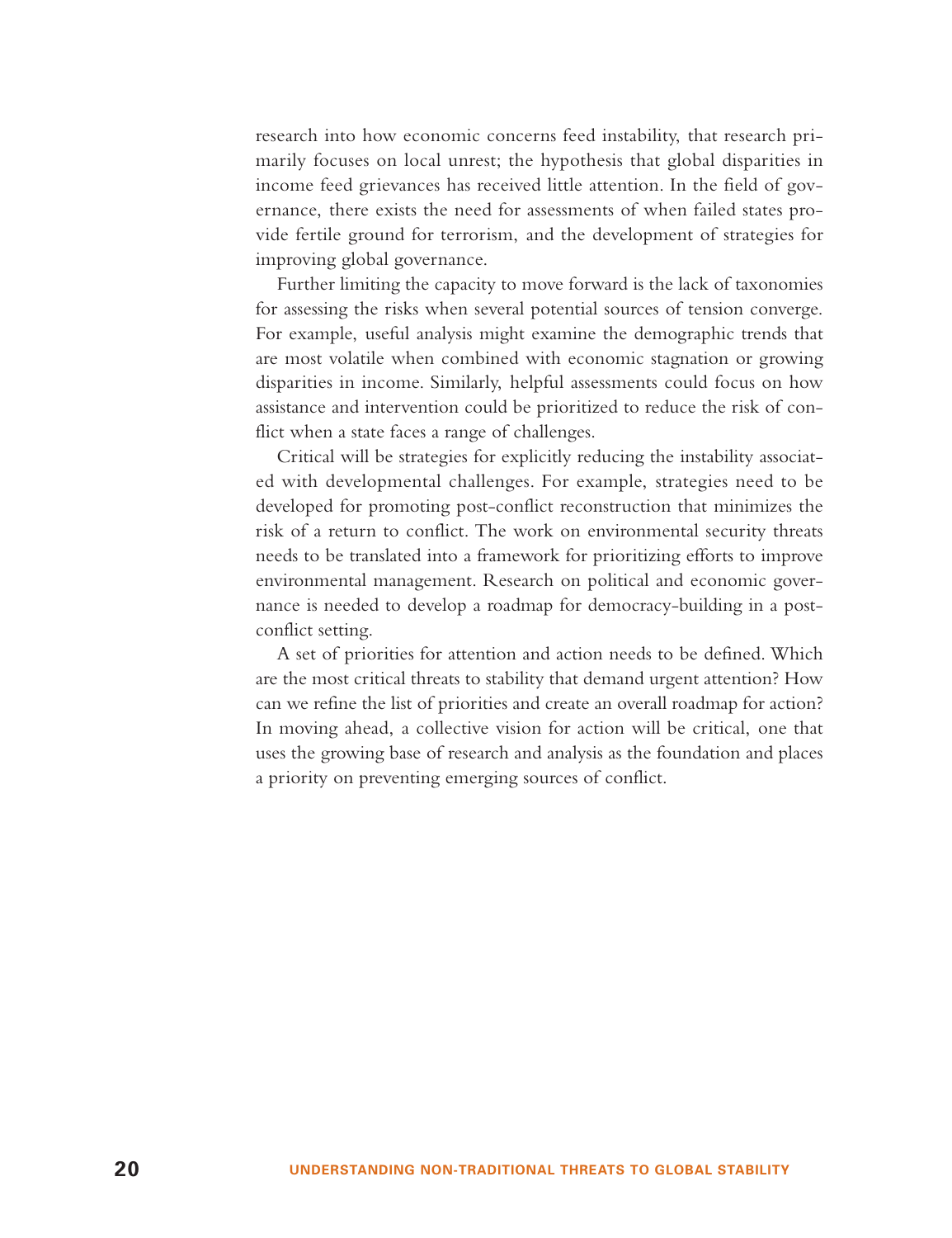research into how economic concerns feed instability, that research primarily focuses on local unrest; the hypothesis that global disparities in income feed grievances has received little attention. In the field of governance, there exists the need for assessments of when failed states provide fertile ground for terrorism, and the development of strategies for improving global governance.

Further limiting the capacity to move forward is the lack of taxonomies for assessing the risks when several potential sources of tension converge. For example, useful analysis might examine the demographic trends that are most volatile when combined with economic stagnation or growing disparities in income. Similarly, helpful assessments could focus on how assistance and intervention could be prioritized to reduce the risk of conflict when a state faces a range of challenges.

Critical will be strategies for explicitly reducing the instability associated with developmental challenges. For example, strategies need to be developed for promoting post-conflict reconstruction that minimizes the risk of a return to conflict. The work on environmental security threats needs to be translated into a framework for prioritizing efforts to improve environmental management. Research on political and economic governance is needed to develop a roadmap for democracy-building in a postconflict setting.

A set of priorities for attention and action needs to be defined. Which are the most critical threats to stability that demand urgent attention? How can we refine the list of priorities and create an overall roadmap for action? In moving ahead, a collective vision for action will be critical, one that uses the growing base of research and analysis as the foundation and places a priority on preventing emerging sources of conflict.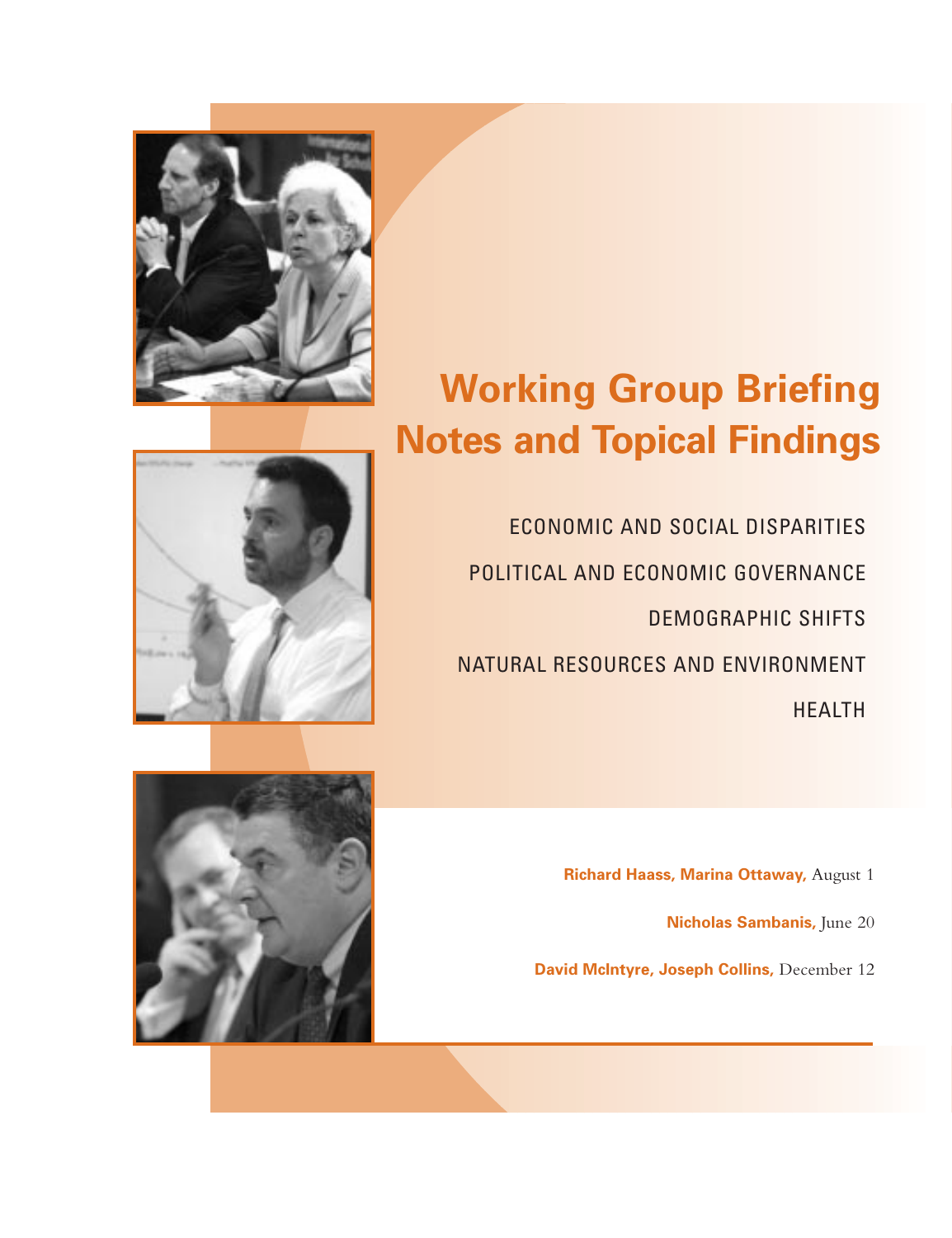

ECONOMIC AND SOCIAL DISPARITIES POLITICAL AND ECONOMIC GOVERNANCE DEMOGRAPHIC SHIFTS NATURAL RESOURCES AND ENVIRONMENT HEALTH

**Richard Haass, Marina Ottaway,** August 1

**Nicholas Sambanis,** June 20

**David McIntyre, Joseph Collins,** December 12





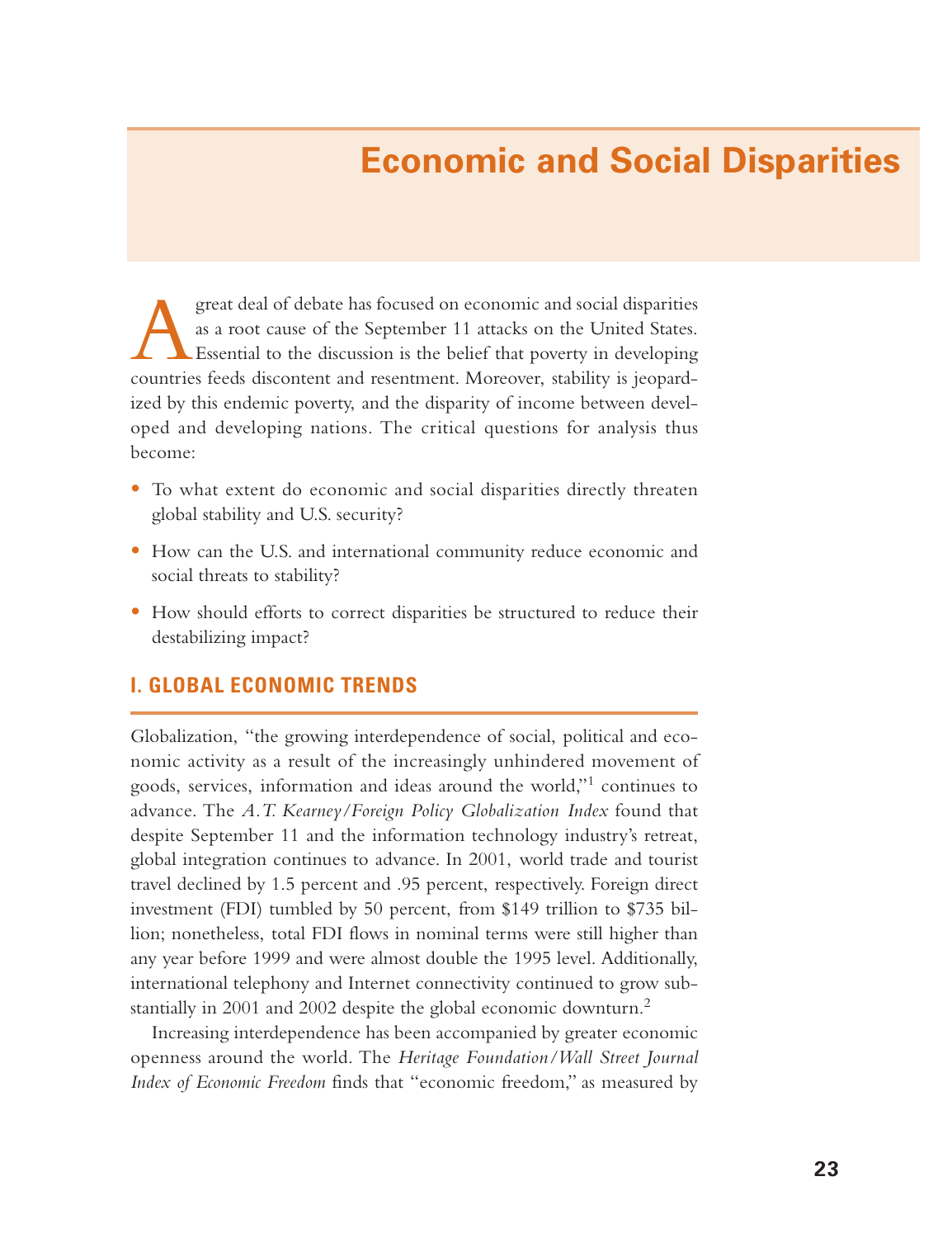# **Economic and Social Disparities**

Agreat deal of debate has focused on economic and social disparities as a root cause of the September 11 attacks on the United States. Essential to the discussion is the belief that poverty in developing countries feeds discontent and resentment. Moreover, stability is jeopardized by this endemic poverty, and the disparity of income between developed and developing nations. The critical questions for analysis thus become:

- To what extent do economic and social disparities directly threaten global stability and U.S. security?
- How can the U.S. and international community reduce economic and social threats to stability?
- How should efforts to correct disparities be structured to reduce their destabilizing impact?

## **I. GLOBAL ECONOMIC TRENDS**

Globalization, "the growing interdependence of social, political and economic activity as a result of the increasingly unhindered movement of goods, services, information and ideas around the world,"<sup>1</sup> continues to advance. The *A.T. Kearney/Foreign Policy Globalization Index* found that despite September 11 and the information technology industry's retreat, global integration continues to advance. In 2001, world trade and tourist travel declined by 1.5 percent and .95 percent, respectively. Foreign direct investment (FDI) tumbled by 50 percent, from \$149 trillion to \$735 billion; nonetheless, total FDI flows in nominal terms were still higher than any year before 1999 and were almost double the 1995 level. Additionally, international telephony and Internet connectivity continued to grow substantially in 2001 and 2002 despite the global economic downturn.<sup>2</sup>

Increasing interdependence has been accompanied by greater economic openness around the world. The *Heritage Foundation/Wall Street Journal Index of Economic Freedom* finds that "economic freedom," as measured by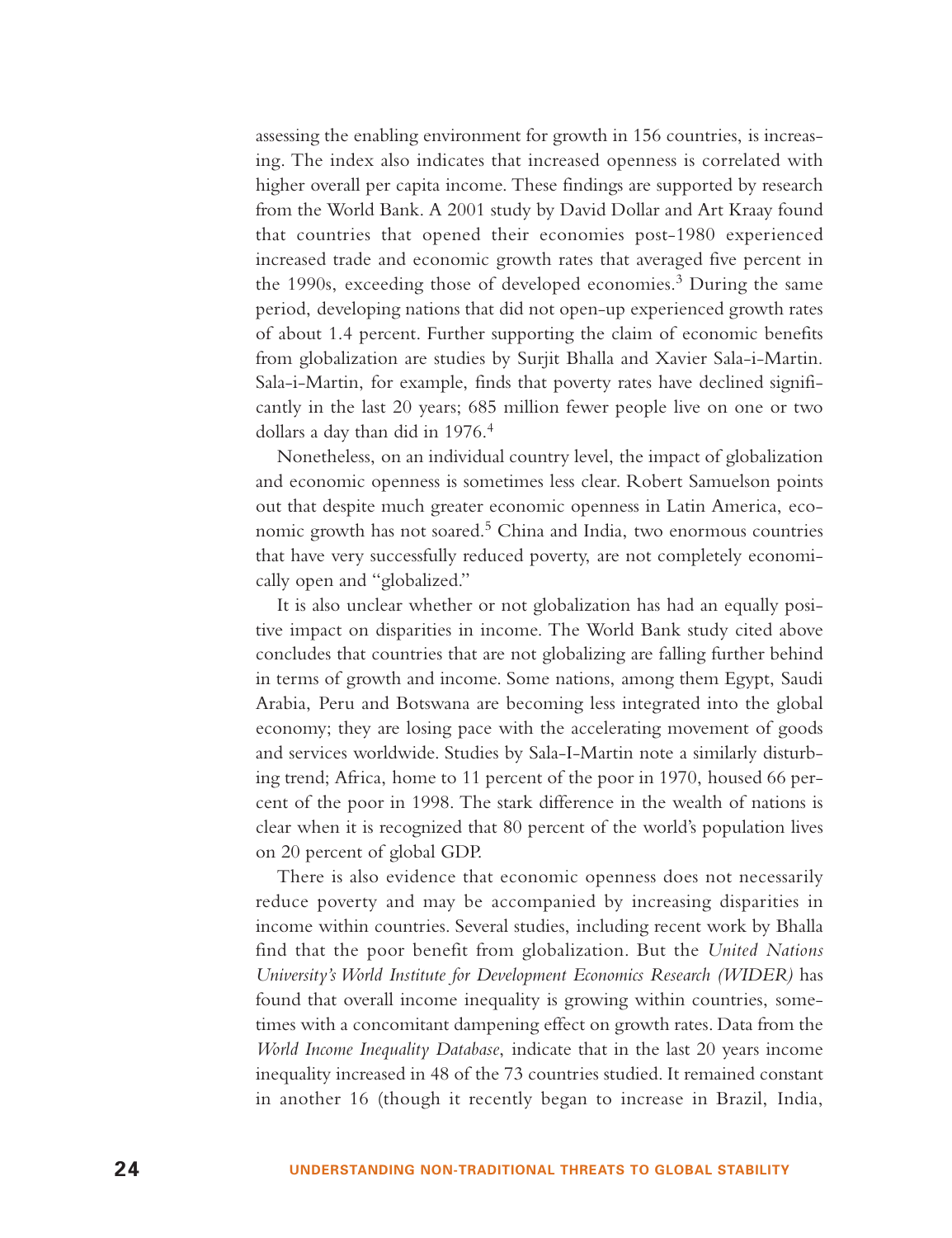assessing the enabling environment for growth in 156 countries, is increasing. The index also indicates that increased openness is correlated with higher overall per capita income. These findings are supported by research from the World Bank. A 2001 study by David Dollar and Art Kraay found that countries that opened their economies post-1980 experienced increased trade and economic growth rates that averaged five percent in the 1990s, exceeding those of developed economies.<sup>3</sup> During the same period, developing nations that did not open-up experienced growth rates of about 1.4 percent. Further supporting the claim of economic benefits from globalization are studies by Surjit Bhalla and Xavier Sala-i-Martin. Sala-i-Martin, for example, finds that poverty rates have declined significantly in the last 20 years; 685 million fewer people live on one or two dollars a day than did in 1976.<sup>4</sup>

Nonetheless, on an individual country level, the impact of globalization and economic openness is sometimes less clear. Robert Samuelson points out that despite much greater economic openness in Latin America, economic growth has not soared.<sup>5</sup> China and India, two enormous countries that have very successfully reduced poverty, are not completely economically open and "globalized."

It is also unclear whether or not globalization has had an equally positive impact on disparities in income. The World Bank study cited above concludes that countries that are not globalizing are falling further behind in terms of growth and income. Some nations, among them Egypt, Saudi Arabia, Peru and Botswana are becoming less integrated into the global economy; they are losing pace with the accelerating movement of goods and services worldwide. Studies by Sala-I-Martin note a similarly disturbing trend; Africa, home to 11 percent of the poor in 1970, housed 66 percent of the poor in 1998. The stark difference in the wealth of nations is clear when it is recognized that 80 percent of the world's population lives on 20 percent of global GDP.

There is also evidence that economic openness does not necessarily reduce poverty and may be accompanied by increasing disparities in income within countries. Several studies, including recent work by Bhalla find that the poor benefit from globalization. But the *United Nations University's World Institute for Development Economics Research (WIDER)* has found that overall income inequality is growing within countries, sometimes with a concomitant dampening effect on growth rates. Data from the *World Income Inequality Database*, indicate that in the last 20 years income inequality increased in 48 of the 73 countries studied. It remained constant in another 16 (though it recently began to increase in Brazil, India,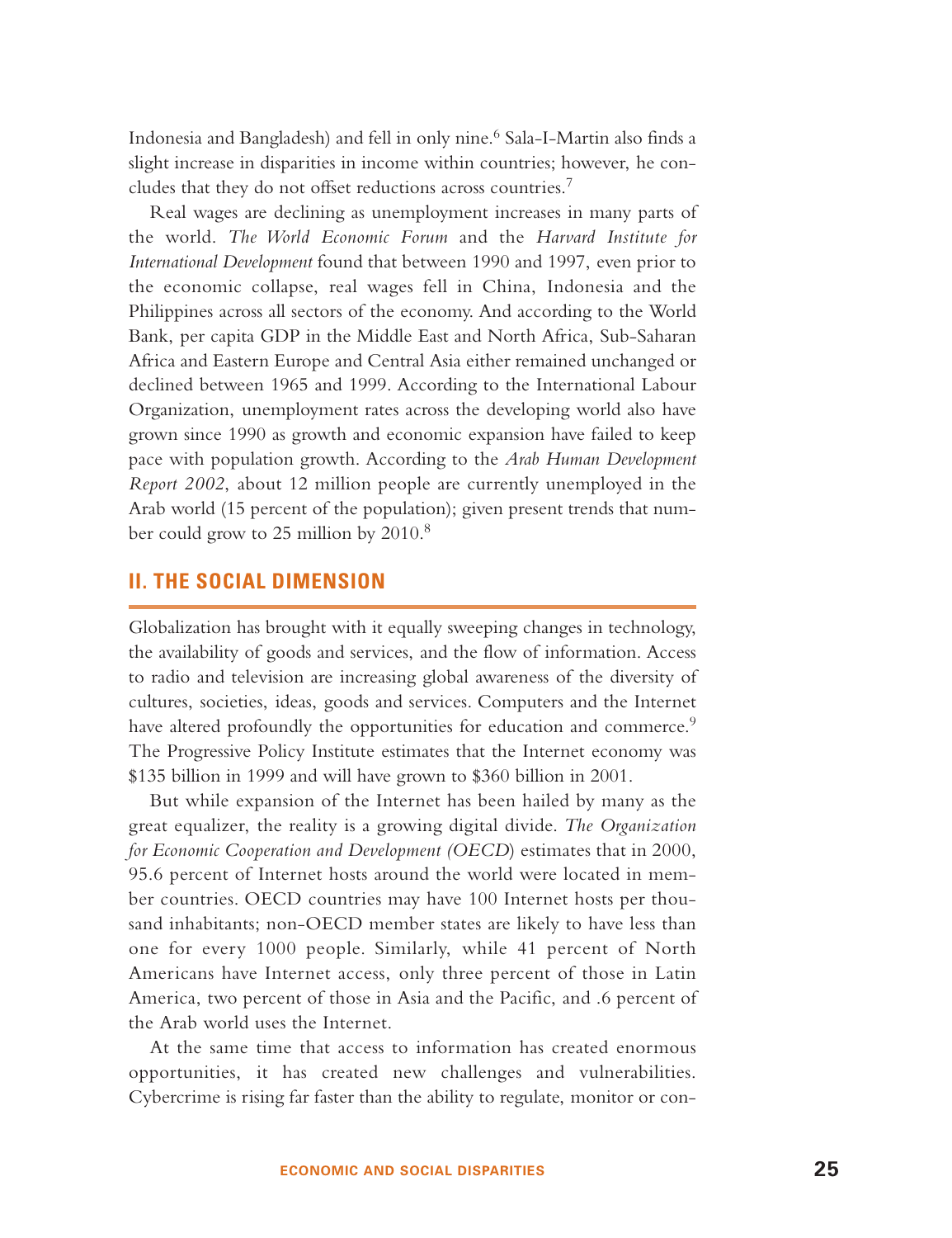Indonesia and Bangladesh) and fell in only nine.<sup>6</sup> Sala-I-Martin also finds a slight increase in disparities in income within countries; however, he concludes that they do not offset reductions across countries.<sup>7</sup>

Real wages are declining as unemployment increases in many parts of the world. *The World Economic Forum* and the *Harvard Institute for International Development* found that between 1990 and 1997, even prior to the economic collapse, real wages fell in China, Indonesia and the Philippines across all sectors of the economy. And according to the World Bank, per capita GDP in the Middle East and North Africa, Sub-Saharan Africa and Eastern Europe and Central Asia either remained unchanged or declined between 1965 and 1999. According to the International Labour Organization, unemployment rates across the developing world also have grown since 1990 as growth and economic expansion have failed to keep pace with population growth. According to the *Arab Human Development Report 2002*, about 12 million people are currently unemployed in the Arab world (15 percent of the population); given present trends that number could grow to 25 million by 2010.<sup>8</sup>

#### **II. THE SOCIAL DIMENSION**

Globalization has brought with it equally sweeping changes in technology, the availability of goods and services, and the flow of information. Access to radio and television are increasing global awareness of the diversity of cultures, societies, ideas, goods and services. Computers and the Internet have altered profoundly the opportunities for education and commerce.<sup>9</sup> The Progressive Policy Institute estimates that the Internet economy was \$135 billion in 1999 and will have grown to \$360 billion in 2001.

But while expansion of the Internet has been hailed by many as the great equalizer, the reality is a growing digital divide. *The Organization for Economic Cooperation and Development (OECD*) estimates that in 2000, 95.6 percent of Internet hosts around the world were located in member countries. OECD countries may have 100 Internet hosts per thousand inhabitants; non-OECD member states are likely to have less than one for every 1000 people. Similarly, while 41 percent of North Americans have Internet access, only three percent of those in Latin America, two percent of those in Asia and the Pacific, and .6 percent of the Arab world uses the Internet.

At the same time that access to information has created enormous opportunities, it has created new challenges and vulnerabilities. Cybercrime is rising far faster than the ability to regulate, monitor or con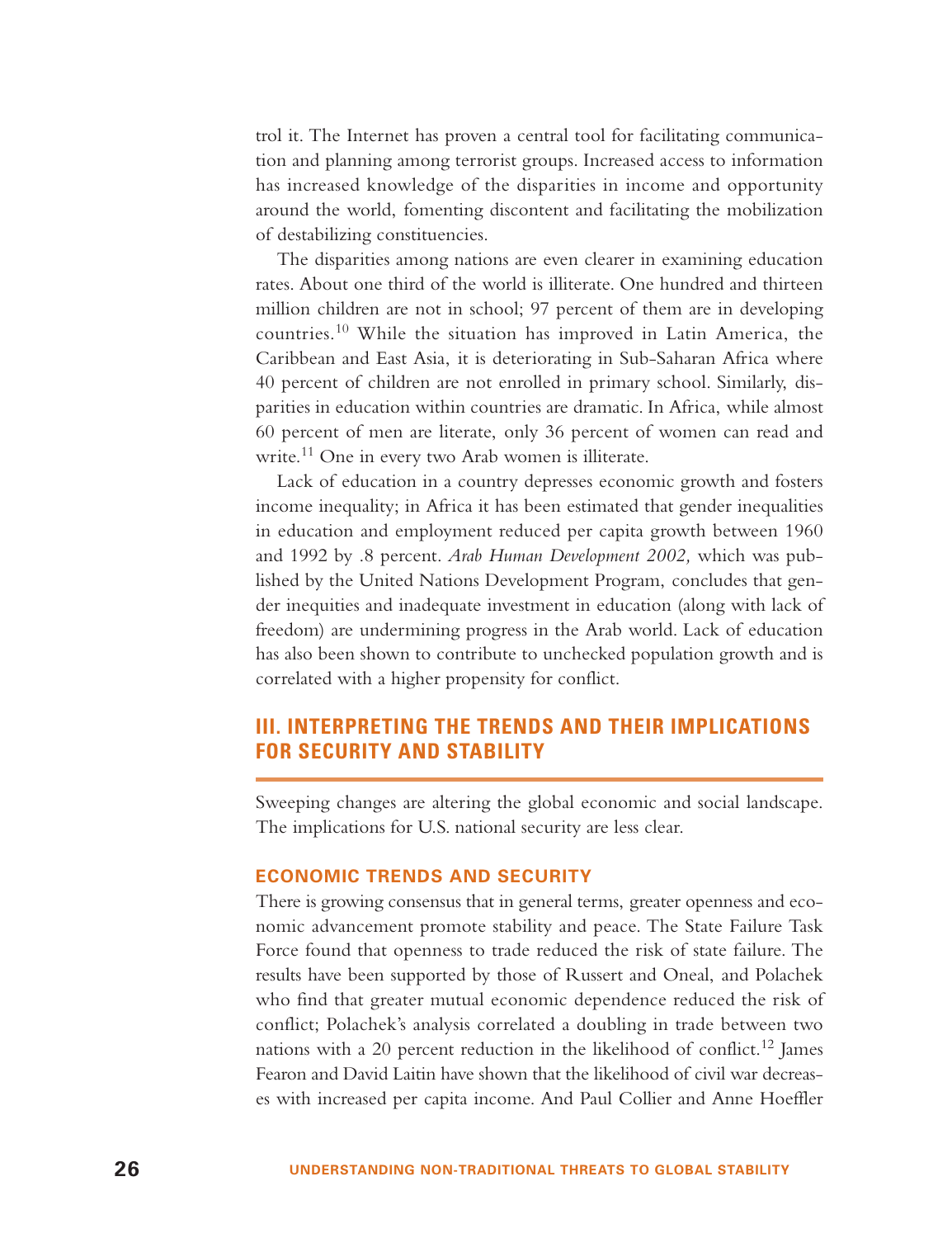trol it. The Internet has proven a central tool for facilitating communication and planning among terrorist groups. Increased access to information has increased knowledge of the disparities in income and opportunity around the world, fomenting discontent and facilitating the mobilization of destabilizing constituencies.

The disparities among nations are even clearer in examining education rates. About one third of the world is illiterate. One hundred and thirteen million children are not in school; 97 percent of them are in developing countries.<sup>10</sup> While the situation has improved in Latin America, the Caribbean and East Asia, it is deteriorating in Sub-Saharan Africa where 40 percent of children are not enrolled in primary school. Similarly, disparities in education within countries are dramatic. In Africa, while almost 60 percent of men are literate, only 36 percent of women can read and write.<sup>11</sup> One in every two Arab women is illiterate.

Lack of education in a country depresses economic growth and fosters income inequality; in Africa it has been estimated that gender inequalities in education and employment reduced per capita growth between 1960 and 1992 by .8 percent. *Arab Human Development 2002,* which was published by the United Nations Development Program, concludes that gender inequities and inadequate investment in education (along with lack of freedom) are undermining progress in the Arab world. Lack of education has also been shown to contribute to unchecked population growth and is correlated with a higher propensity for conflict.

# **III. INTERPRETING THE TRENDS AND THEIR IMPLICATIONS FOR SECURITY AND STABILITY**

Sweeping changes are altering the global economic and social landscape. The implications for U.S. national security are less clear.

#### **ECONOMIC TRENDS AND SECURITY**

There is growing consensus that in general terms, greater openness and economic advancement promote stability and peace. The State Failure Task Force found that openness to trade reduced the risk of state failure. The results have been supported by those of Russert and Oneal, and Polachek who find that greater mutual economic dependence reduced the risk of conflict; Polachek's analysis correlated a doubling in trade between two nations with a 20 percent reduction in the likelihood of conflict.<sup>12</sup> James Fearon and David Laitin have shown that the likelihood of civil war decreases with increased per capita income. And Paul Collier and Anne Hoeffler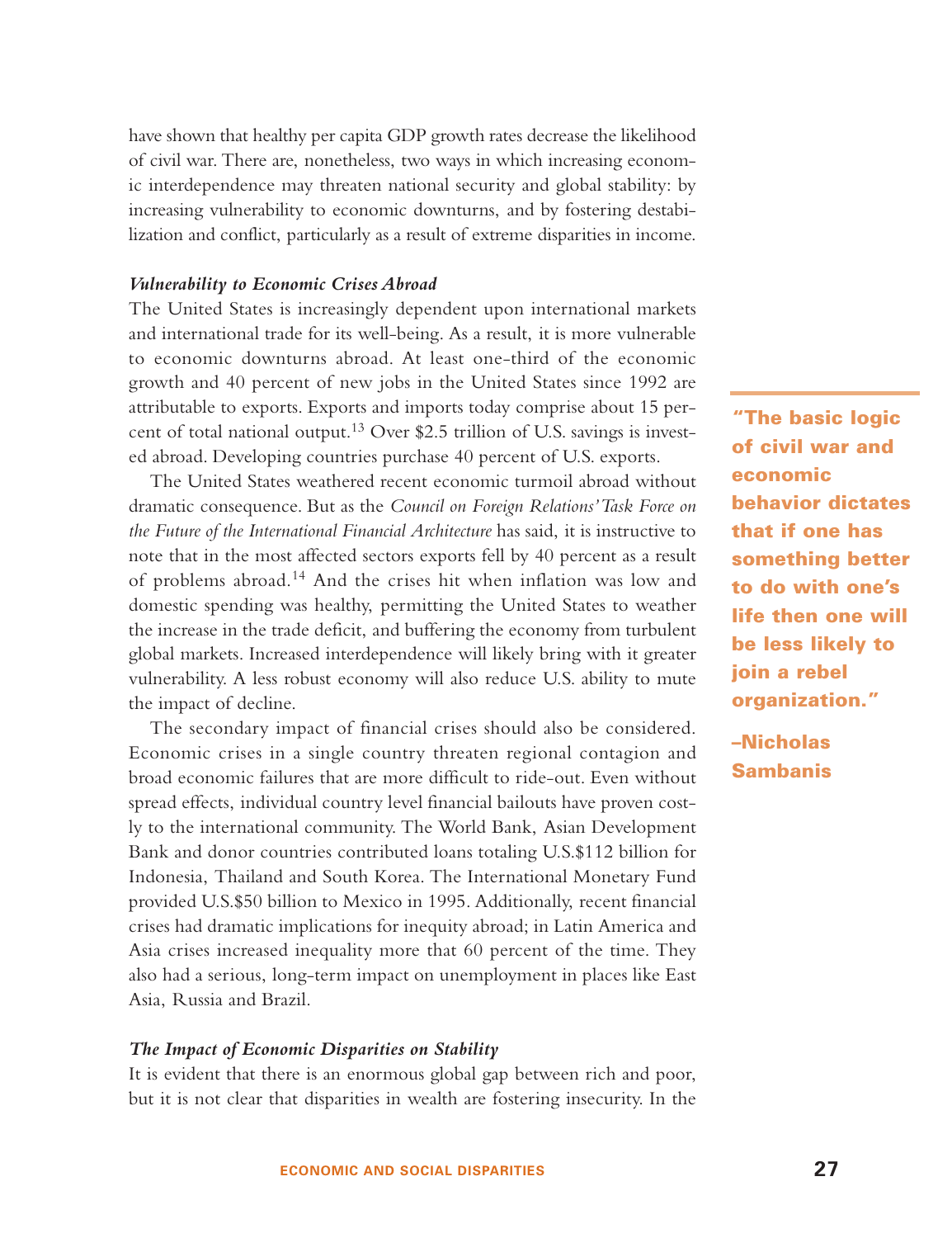have shown that healthy per capita GDP growth rates decrease the likelihood of civil war. There are, nonetheless, two ways in which increasing economic interdependence may threaten national security and global stability: by increasing vulnerability to economic downturns, and by fostering destabilization and conflict, particularly as a result of extreme disparities in income.

#### *Vulnerability to Economic Crises Abroad*

The United States is increasingly dependent upon international markets and international trade for its well-being. As a result, it is more vulnerable to economic downturns abroad. At least one-third of the economic growth and 40 percent of new jobs in the United States since 1992 are attributable to exports. Exports and imports today comprise about 15 percent of total national output.<sup>13</sup> Over \$2.5 trillion of U.S. savings is invested abroad. Developing countries purchase 40 percent of U.S. exports.

The United States weathered recent economic turmoil abroad without dramatic consequence. But as the *Council on Foreign Relations'Task Force on the Future of the International Financial Architecture* has said, it is instructive to note that in the most affected sectors exports fell by 40 percent as a result of problems abroad.<sup>14</sup> And the crises hit when inflation was low and domestic spending was healthy, permitting the United States to weather the increase in the trade deficit, and buffering the economy from turbulent global markets. Increased interdependence will likely bring with it greater vulnerability. A less robust economy will also reduce U.S. ability to mute the impact of decline.

The secondary impact of financial crises should also be considered. Economic crises in a single country threaten regional contagion and broad economic failures that are more difficult to ride-out. Even without spread effects, individual country level financial bailouts have proven costly to the international community. The World Bank, Asian Development Bank and donor countries contributed loans totaling U.S.\$112 billion for Indonesia, Thailand and South Korea. The International Monetary Fund provided U.S.\$50 billion to Mexico in 1995. Additionally, recent financial crises had dramatic implications for inequity abroad; in Latin America and Asia crises increased inequality more that 60 percent of the time. They also had a serious, long-term impact on unemployment in places like East Asia, Russia and Brazil.

#### *The Impact of Economic Disparities on Stability*

It is evident that there is an enormous global gap between rich and poor, but it is not clear that disparities in wealth are fostering insecurity. In the

**"The basic logic of civil war and economic behavior dictates that if one has something better to do with one's life then one will be less likely to join a rebel organization."**

# **–Nicholas Sambanis**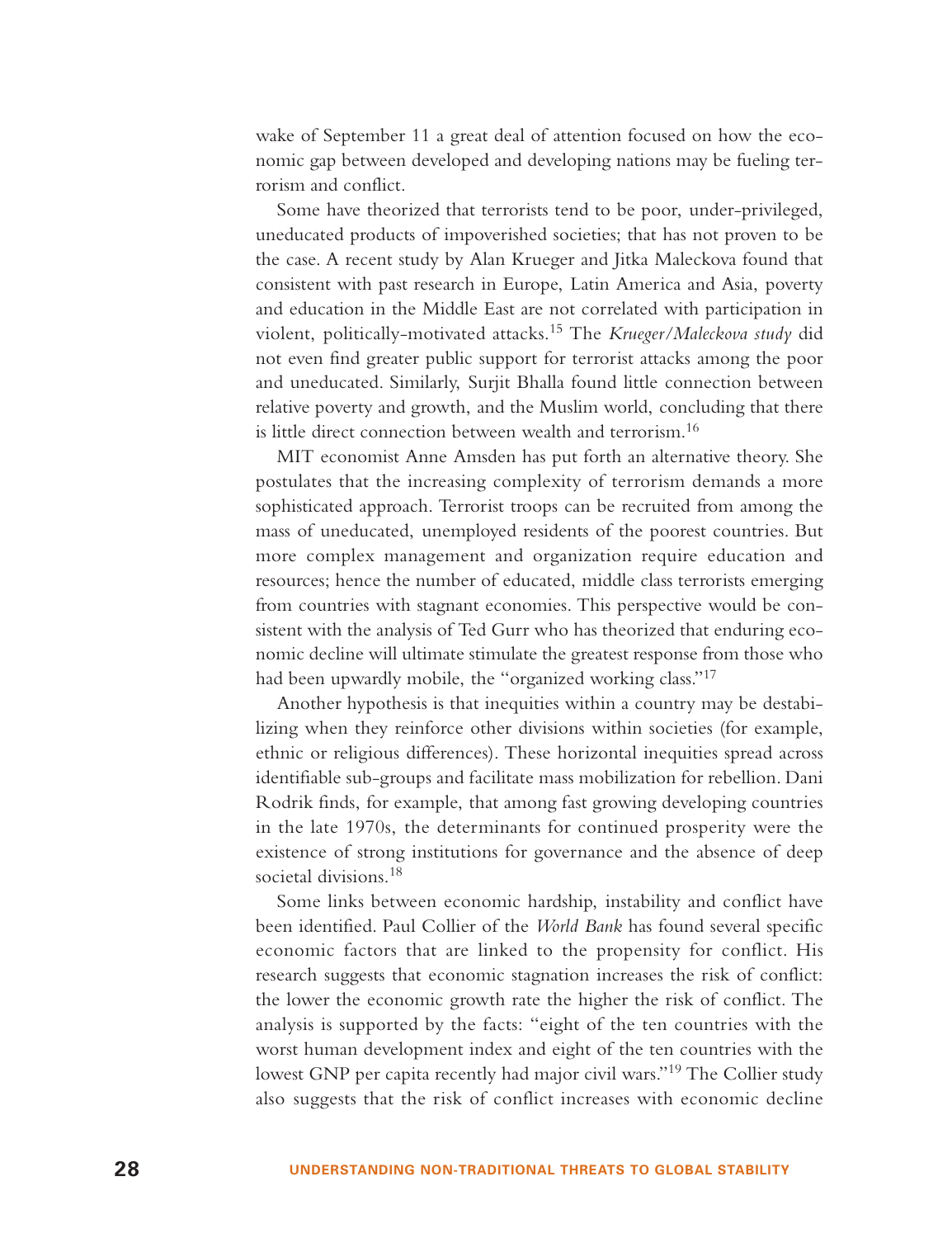wake of September 11 a great deal of attention focused on how the economic gap between developed and developing nations may be fueling terrorism and conflict.

Some have theorized that terrorists tend to be poor, under-privileged, uneducated products of impoverished societies; that has not proven to be the case. A recent study by Alan Krueger and Jitka Maleckova found that consistent with past research in Europe, Latin America and Asia, poverty and education in the Middle East are not correlated with participation in violent, politically-motivated attacks.<sup>15</sup> The *Krueger/Maleckova study* did not even find greater public support for terrorist attacks among the poor and uneducated. Similarly, Surjit Bhalla found little connection between relative poverty and growth, and the Muslim world, concluding that there is little direct connection between wealth and terrorism.<sup>16</sup>

MIT economist Anne Amsden has put forth an alternative theory. She postulates that the increasing complexity of terrorism demands a more sophisticated approach. Terrorist troops can be recruited from among the mass of uneducated, unemployed residents of the poorest countries. But more complex management and organization require education and resources; hence the number of educated, middle class terrorists emerging from countries with stagnant economies. This perspective would be consistent with the analysis of Ted Gurr who has theorized that enduring economic decline will ultimate stimulate the greatest response from those who had been upwardly mobile, the "organized working class."<sup>17</sup>

Another hypothesis is that inequities within a country may be destabilizing when they reinforce other divisions within societies (for example, ethnic or religious differences). These horizontal inequities spread across identifiable sub-groups and facilitate mass mobilization for rebellion. Dani Rodrik finds, for example, that among fast growing developing countries in the late 1970s, the determinants for continued prosperity were the existence of strong institutions for governance and the absence of deep societal divisions.<sup>18</sup>

Some links between economic hardship, instability and conflict have been identified. Paul Collier of the *World Bank* has found several specific economic factors that are linked to the propensity for conflict. His research suggests that economic stagnation increases the risk of conflict: the lower the economic growth rate the higher the risk of conflict. The analysis is supported by the facts: "eight of the ten countries with the worst human development index and eight of the ten countries with the lowest GNP per capita recently had major civil wars."<sup>19</sup> The Collier study also suggests that the risk of conflict increases with economic decline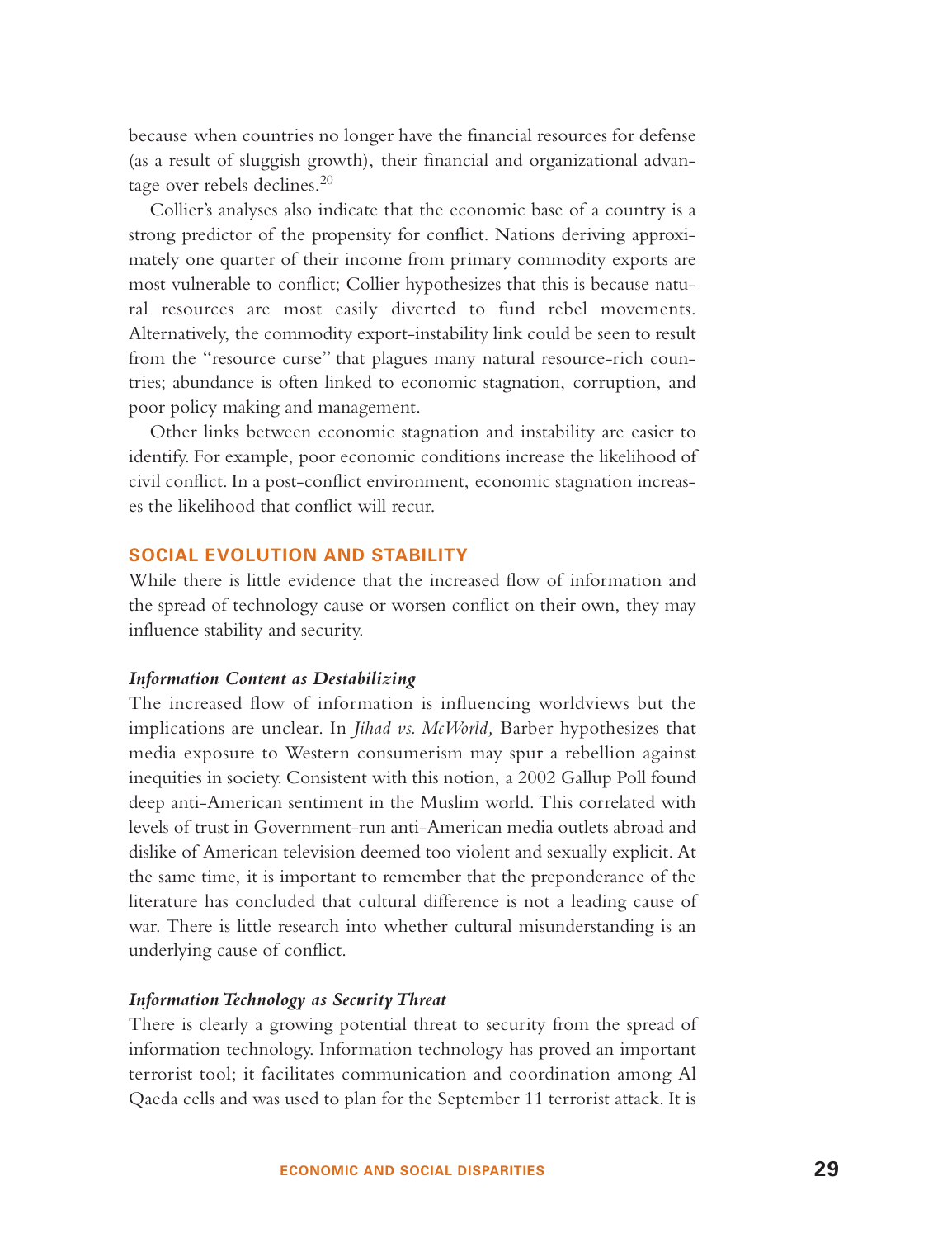because when countries no longer have the financial resources for defense (as a result of sluggish growth), their financial and organizational advantage over rebels declines.<sup>20</sup>

Collier's analyses also indicate that the economic base of a country is a strong predictor of the propensity for conflict. Nations deriving approximately one quarter of their income from primary commodity exports are most vulnerable to conflict; Collier hypothesizes that this is because natural resources are most easily diverted to fund rebel movements. Alternatively, the commodity export-instability link could be seen to result from the "resource curse" that plagues many natural resource-rich countries; abundance is often linked to economic stagnation, corruption, and poor policy making and management.

Other links between economic stagnation and instability are easier to identify. For example, poor economic conditions increase the likelihood of civil conflict. In a post-conflict environment, economic stagnation increases the likelihood that conflict will recur.

#### **SOCIAL EVOLUTION AND STABILITY**

While there is little evidence that the increased flow of information and the spread of technology cause or worsen conflict on their own, they may influence stability and security.

#### *Information Content as Destabilizing*

The increased flow of information is influencing worldviews but the implications are unclear. In *Jihad vs. McWorld,* Barber hypothesizes that media exposure to Western consumerism may spur a rebellion against inequities in society. Consistent with this notion, a 2002 Gallup Poll found deep anti-American sentiment in the Muslim world. This correlated with levels of trust in Government-run anti-American media outlets abroad and dislike of American television deemed too violent and sexually explicit. At the same time, it is important to remember that the preponderance of the literature has concluded that cultural difference is not a leading cause of war. There is little research into whether cultural misunderstanding is an underlying cause of conflict.

#### *Information Technology as Security Threat*

There is clearly a growing potential threat to security from the spread of information technology. Information technology has proved an important terrorist tool; it facilitates communication and coordination among Al Qaeda cells and was used to plan for the September 11 terrorist attack. It is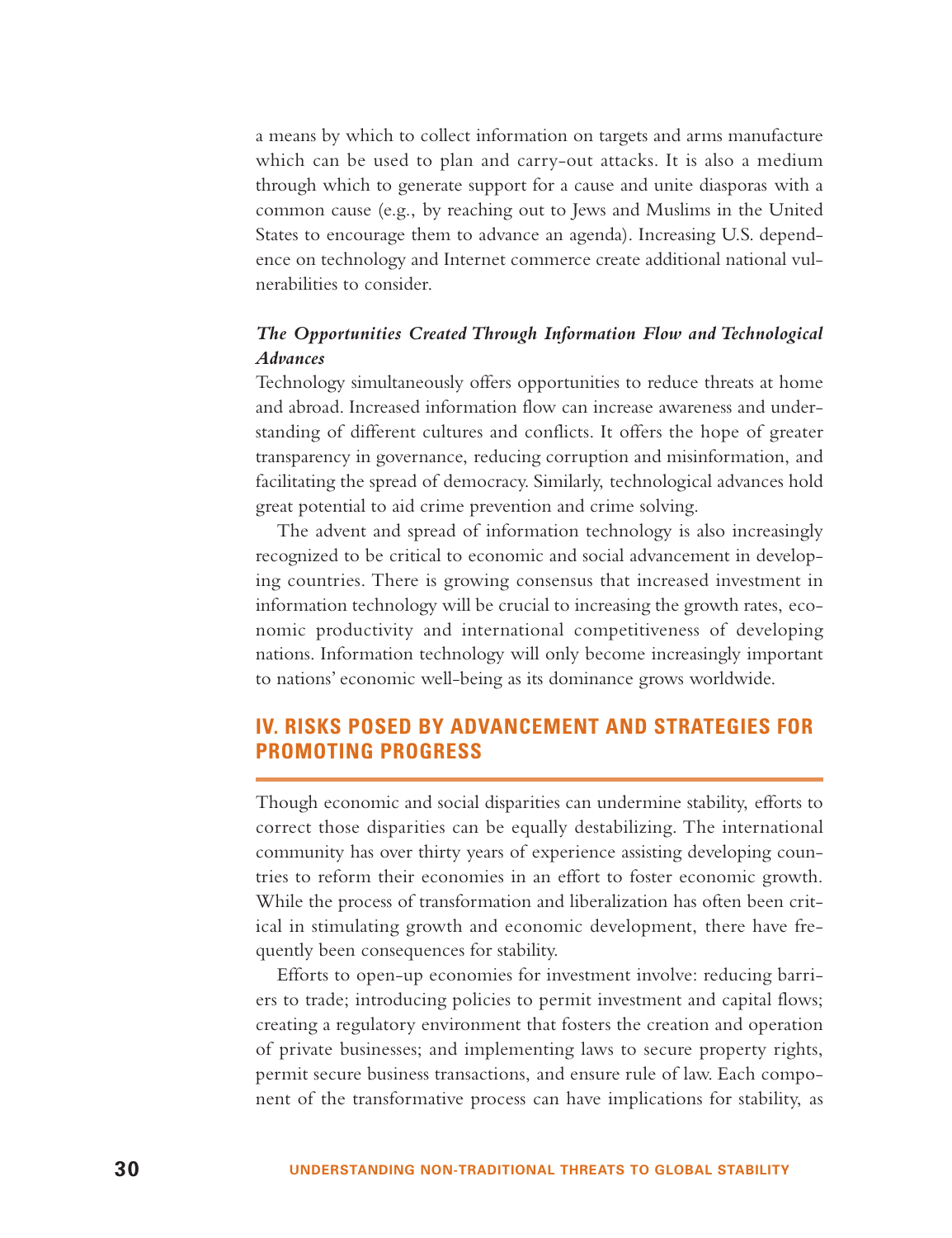a means by which to collect information on targets and arms manufacture which can be used to plan and carry-out attacks. It is also a medium through which to generate support for a cause and unite diasporas with a common cause (e.g., by reaching out to Jews and Muslims in the United States to encourage them to advance an agenda). Increasing U.S. dependence on technology and Internet commerce create additional national vulnerabilities to consider.

### *The Opportunities Created Through Information Flow and Technological Advances*

Technology simultaneously offers opportunities to reduce threats at home and abroad. Increased information flow can increase awareness and understanding of different cultures and conflicts. It offers the hope of greater transparency in governance, reducing corruption and misinformation, and facilitating the spread of democracy. Similarly, technological advances hold great potential to aid crime prevention and crime solving.

The advent and spread of information technology is also increasingly recognized to be critical to economic and social advancement in developing countries. There is growing consensus that increased investment in information technology will be crucial to increasing the growth rates, economic productivity and international competitiveness of developing nations. Information technology will only become increasingly important to nations' economic well-being as its dominance grows worldwide.

## **IV. RISKS POSED BY ADVANCEMENT AND STRATEGIES FOR PROMOTING PROGRESS**

Though economic and social disparities can undermine stability, efforts to correct those disparities can be equally destabilizing. The international community has over thirty years of experience assisting developing countries to reform their economies in an effort to foster economic growth. While the process of transformation and liberalization has often been critical in stimulating growth and economic development, there have frequently been consequences for stability.

Efforts to open-up economies for investment involve: reducing barriers to trade; introducing policies to permit investment and capital flows; creating a regulatory environment that fosters the creation and operation of private businesses; and implementing laws to secure property rights, permit secure business transactions, and ensure rule of law. Each component of the transformative process can have implications for stability, as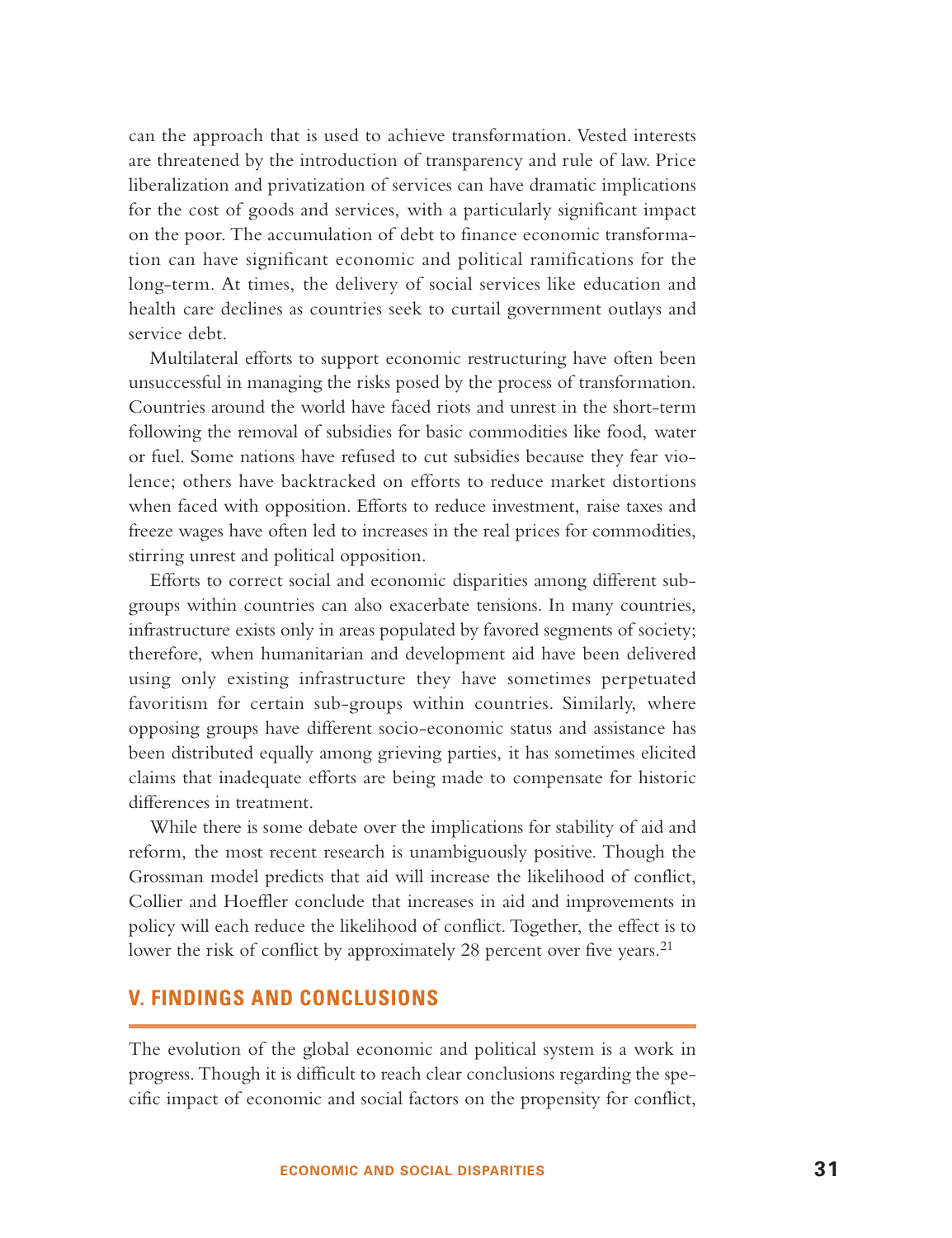can the approach that is used to achieve transformation. Vested interests are threatened by the introduction of transparency and rule of law. Price liberalization and privatization of services can have dramatic implications for the cost of goods and services, with a particularly significant impact on the poor. The accumulation of debt to finance economic transformation can have significant economic and political ramifications for the long-term. At times, the delivery of social services like education and health care declines as countries seek to curtail government outlays and service debt.

Multilateral efforts to support economic restructuring have often been unsuccessful in managing the risks posed by the process of transformation. Countries around the world have faced riots and unrest in the short-term following the removal of subsidies for basic commodities like food, water or fuel. Some nations have refused to cut subsidies because they fear violence; others have backtracked on efforts to reduce market distortions when faced with opposition. Efforts to reduce investment, raise taxes and freeze wages have often led to increases in the real prices for commodities, stirring unrest and political opposition.

Efforts to correct social and economic disparities among different subgroups within countries can also exacerbate tensions. In many countries, infrastructure exists only in areas populated by favored segments of society; therefore, when humanitarian and development aid have been delivered using only existing infrastructure they have sometimes perpetuated favoritism for certain sub-groups within countries. Similarly, where opposing groups have different socio-economic status and assistance has been distributed equally among grieving parties, it has sometimes elicited claims that inadequate efforts are being made to compensate for historic differences in treatment.

While there is some debate over the implications for stability of aid and reform, the most recent research is unambiguously positive. Though the Grossman model predicts that aid will increase the likelihood of conflict, Collier and Hoeffler conclude that increases in aid and improvements in policy will each reduce the likelihood of conflict. Together, the effect is to lower the risk of conflict by approximately 28 percent over five years.<sup>21</sup>

### **V. FINDINGS AND CONCLUSIONS**

The evolution of the global economic and political system is a work in progress. Though it is difficult to reach clear conclusions regarding the specific impact of economic and social factors on the propensity for conflict,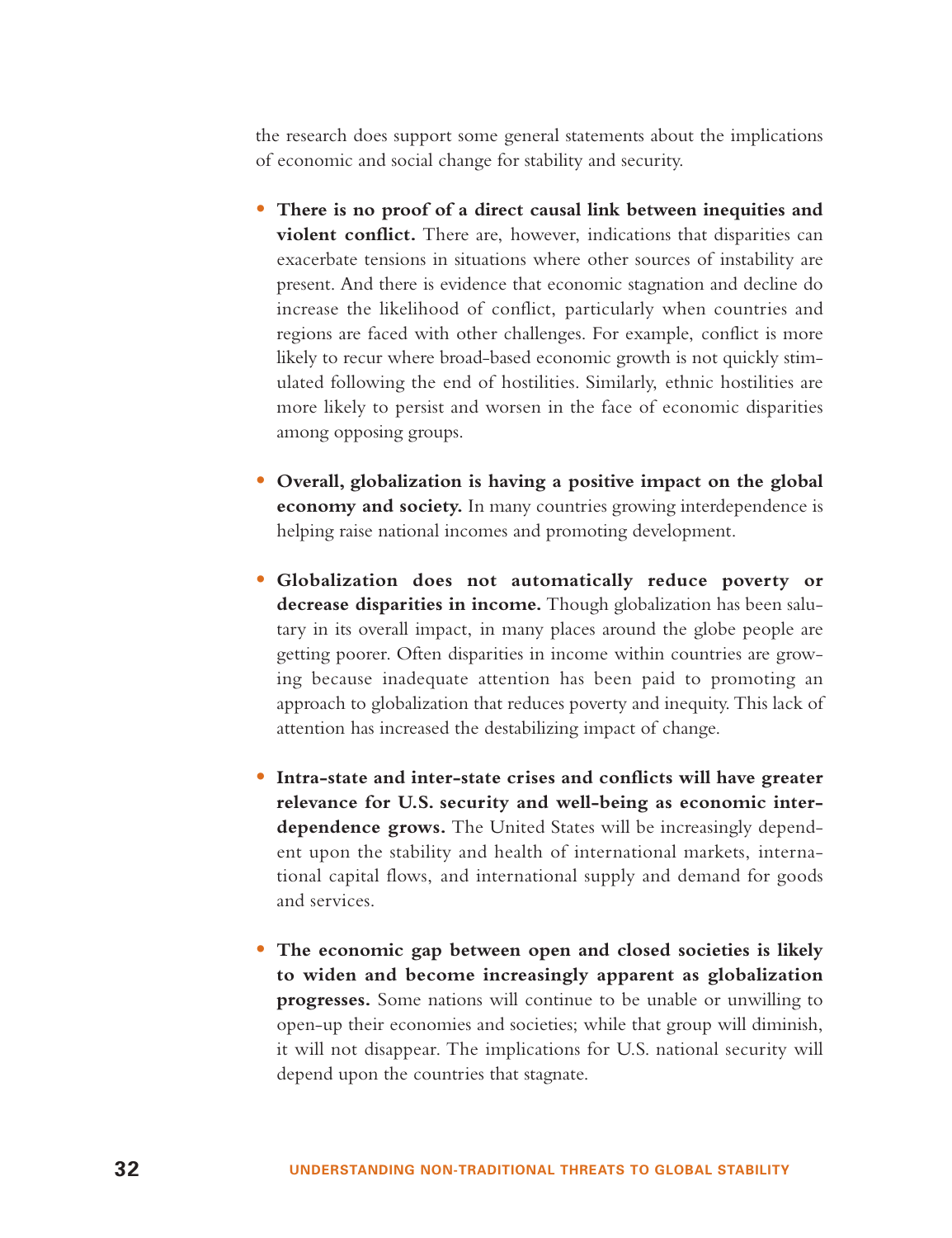the research does support some general statements about the implications of economic and social change for stability and security.

- **There is no proof of a direct causal link between inequities and violent conflict.** There are, however, indications that disparities can exacerbate tensions in situations where other sources of instability are present. And there is evidence that economic stagnation and decline do increase the likelihood of conflict, particularly when countries and regions are faced with other challenges. For example, conflict is more likely to recur where broad-based economic growth is not quickly stimulated following the end of hostilities. Similarly, ethnic hostilities are more likely to persist and worsen in the face of economic disparities among opposing groups.
- **Overall, globalization is having a positive impact on the global economy and society.** In many countries growing interdependence is helping raise national incomes and promoting development.
- **Globalization does not automatically reduce poverty or decrease disparities in income.** Though globalization has been salutary in its overall impact, in many places around the globe people are getting poorer. Often disparities in income within countries are growing because inadequate attention has been paid to promoting an approach to globalization that reduces poverty and inequity. This lack of attention has increased the destabilizing impact of change.
- **Intra-state and inter-state crises and conflicts will have greater relevance for U.S. security and well-being as economic interdependence grows.** The United States will be increasingly dependent upon the stability and health of international markets, international capital flows, and international supply and demand for goods and services.
- **The economic gap between open and closed societies is likely to widen and become increasingly apparent as globalization progresses.** Some nations will continue to be unable or unwilling to open-up their economies and societies; while that group will diminish, it will not disappear. The implications for U.S. national security will depend upon the countries that stagnate.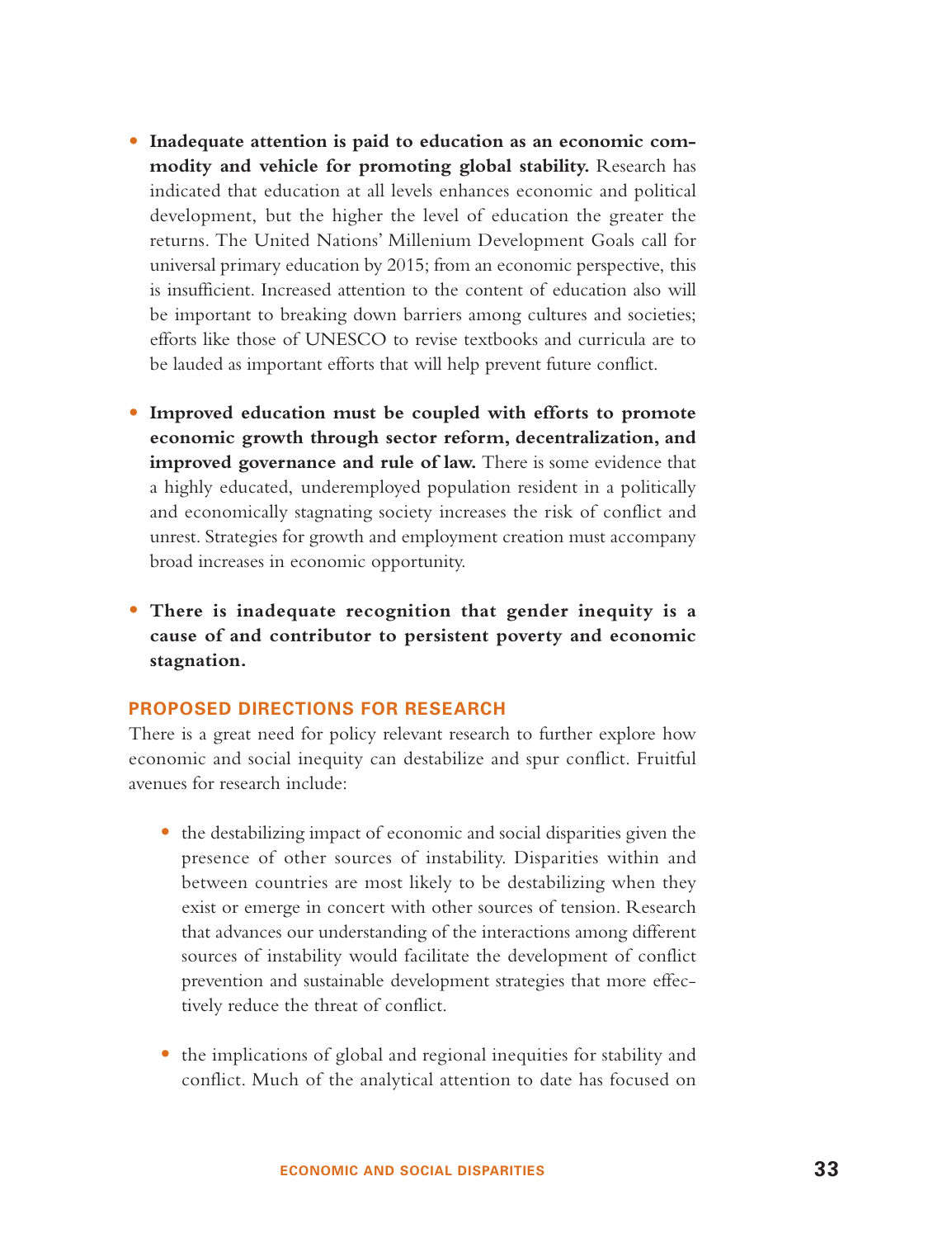- **Inadequate attention is paid to education as an economic commodity and vehicle for promoting global stability.** Research has indicated that education at all levels enhances economic and political development, but the higher the level of education the greater the returns. The United Nations' Millenium Development Goals call for universal primary education by 2015; from an economic perspective, this is insufficient. Increased attention to the content of education also will be important to breaking down barriers among cultures and societies; efforts like those of UNESCO to revise textbooks and curricula are to be lauded as important efforts that will help prevent future conflict.
- **Improved education must be coupled with efforts to promote economic growth through sector reform, decentralization, and improved governance and rule of law.** There is some evidence that a highly educated, underemployed population resident in a politically and economically stagnating society increases the risk of conflict and unrest. Strategies for growth and employment creation must accompany broad increases in economic opportunity.
- **There is inadequate recognition that gender inequity is a cause of and contributor to persistent poverty and economic stagnation.**

#### **PROPOSED DIRECTIONS FOR RESEARCH**

There is a great need for policy relevant research to further explore how economic and social inequity can destabilize and spur conflict. Fruitful avenues for research include:

- the destabilizing impact of economic and social disparities given the presence of other sources of instability. Disparities within and between countries are most likely to be destabilizing when they exist or emerge in concert with other sources of tension. Research that advances our understanding of the interactions among different sources of instability would facilitate the development of conflict prevention and sustainable development strategies that more effectively reduce the threat of conflict.
- the implications of global and regional inequities for stability and conflict. Much of the analytical attention to date has focused on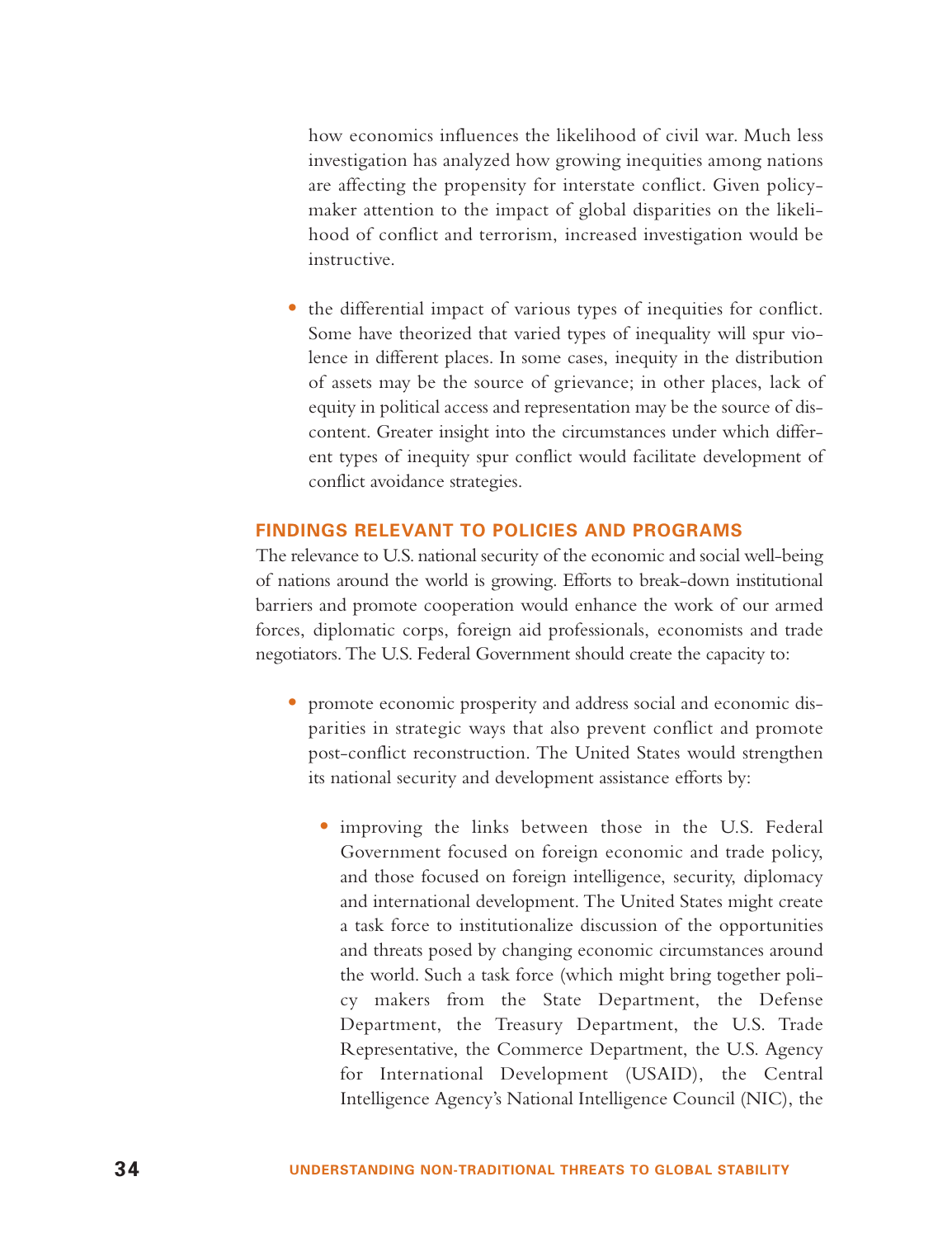how economics influences the likelihood of civil war. Much less investigation has analyzed how growing inequities among nations are affecting the propensity for interstate conflict. Given policymaker attention to the impact of global disparities on the likelihood of conflict and terrorism, increased investigation would be instructive.

• the differential impact of various types of inequities for conflict. Some have theorized that varied types of inequality will spur violence in different places. In some cases, inequity in the distribution of assets may be the source of grievance; in other places, lack of equity in political access and representation may be the source of discontent. Greater insight into the circumstances under which different types of inequity spur conflict would facilitate development of conflict avoidance strategies.

## **FINDINGS RELEVANT TO POLICIES AND PROGRAMS**

The relevance to U.S. national security of the economic and social well-being of nations around the world is growing. Efforts to break-down institutional barriers and promote cooperation would enhance the work of our armed forces, diplomatic corps, foreign aid professionals, economists and trade negotiators. The U.S. Federal Government should create the capacity to:

- promote economic prosperity and address social and economic disparities in strategic ways that also prevent conflict and promote post-conflict reconstruction. The United States would strengthen its national security and development assistance efforts by:
	- improving the links between those in the U.S. Federal Government focused on foreign economic and trade policy, and those focused on foreign intelligence, security, diplomacy and international development. The United States might create a task force to institutionalize discussion of the opportunities and threats posed by changing economic circumstances around the world. Such a task force (which might bring together policy makers from the State Department, the Defense Department, the Treasury Department, the U.S. Trade Representative, the Commerce Department, the U.S. Agency for International Development (USAID), the Central Intelligence Agency's National Intelligence Council (NIC), the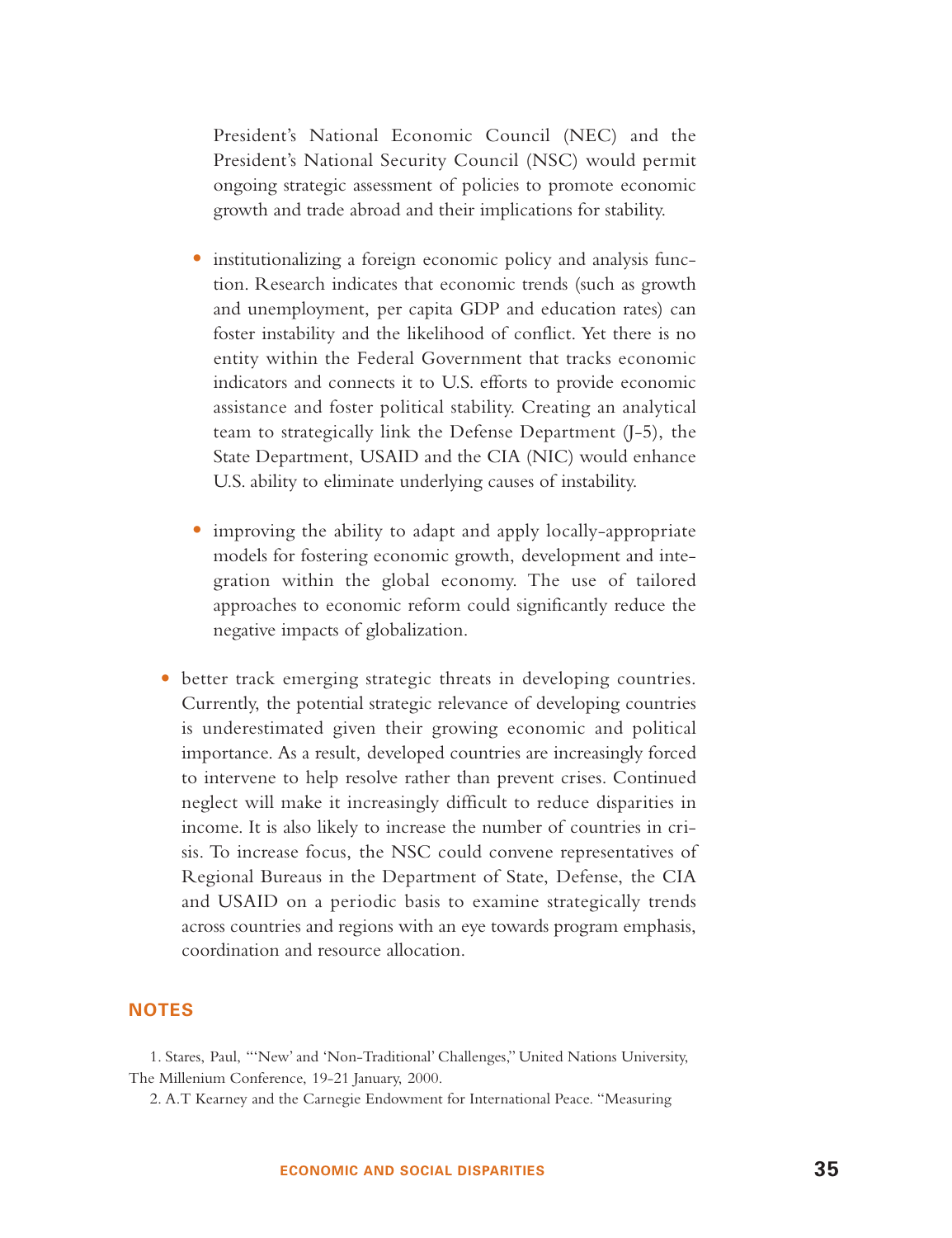President's National Economic Council (NEC) and the President's National Security Council (NSC) would permit ongoing strategic assessment of policies to promote economic growth and trade abroad and their implications for stability.

- institutionalizing a foreign economic policy and analysis function. Research indicates that economic trends (such as growth and unemployment, per capita GDP and education rates) can foster instability and the likelihood of conflict. Yet there is no entity within the Federal Government that tracks economic indicators and connects it to U.S. efforts to provide economic assistance and foster political stability. Creating an analytical team to strategically link the Defense Department (J-5), the State Department, USAID and the CIA (NIC) would enhance U.S. ability to eliminate underlying causes of instability.
- improving the ability to adapt and apply locally-appropriate models for fostering economic growth, development and integration within the global economy. The use of tailored approaches to economic reform could significantly reduce the negative impacts of globalization.
- better track emerging strategic threats in developing countries. Currently, the potential strategic relevance of developing countries is underestimated given their growing economic and political importance. As a result, developed countries are increasingly forced to intervene to help resolve rather than prevent crises. Continued neglect will make it increasingly difficult to reduce disparities in income. It is also likely to increase the number of countries in crisis. To increase focus, the NSC could convene representatives of Regional Bureaus in the Department of State, Defense, the CIA and USAID on a periodic basis to examine strategically trends across countries and regions with an eye towards program emphasis, coordination and resource allocation.

## **NOTES**

1. Stares, Paul, "'New' and 'Non-Traditional' Challenges," United Nations University, The Millenium Conference, 19-21 January, 2000.

2. A.T Kearney and the Carnegie Endowment for International Peace. "Measuring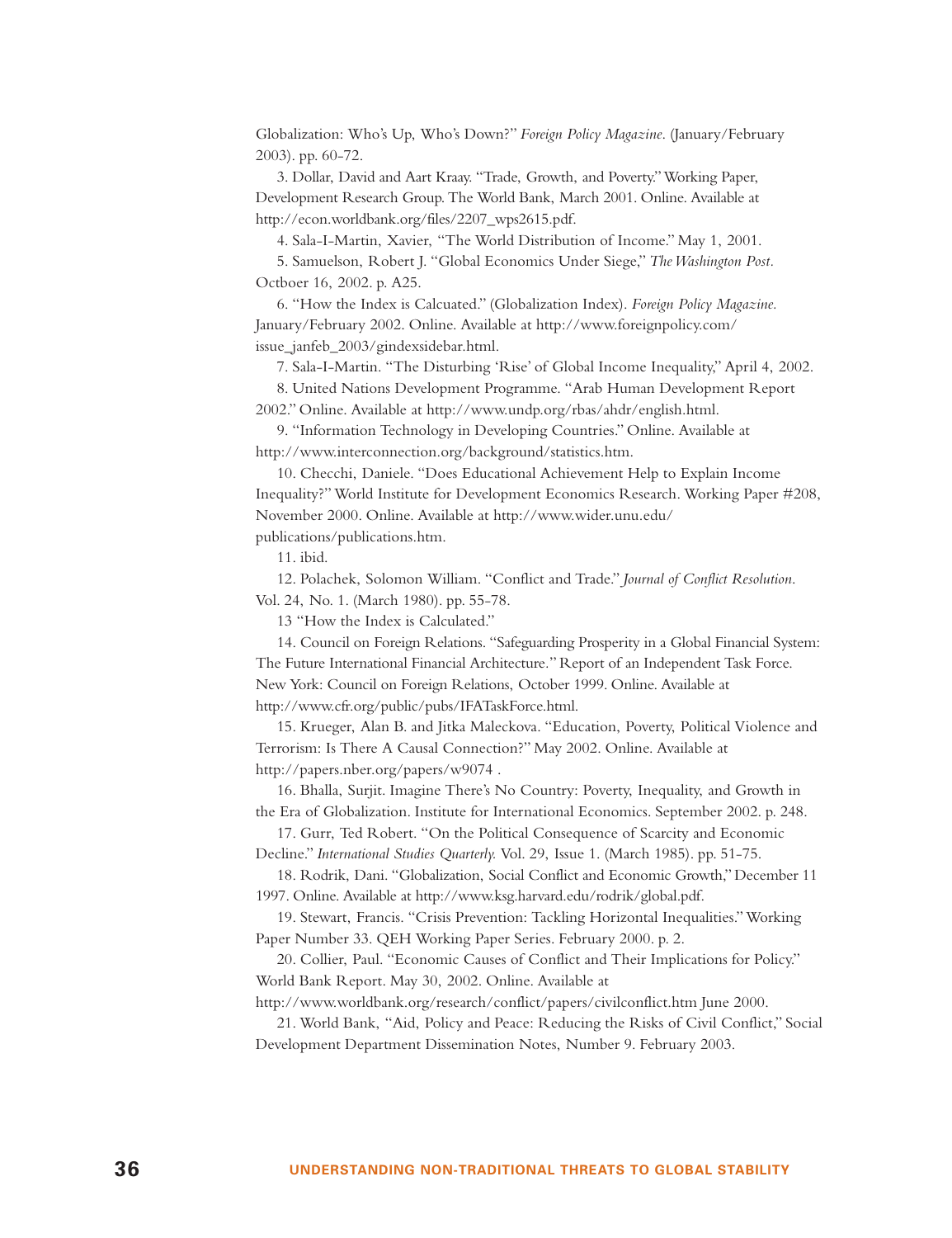Globalization: Who's Up, Who's Down?" *Foreign Policy Magazine*. (January/February 2003). pp. 60-72.

3. Dollar, David and Aart Kraay. "Trade, Growth, and Poverty."Working Paper, Development Research Group. The World Bank, March 2001. Online. Available at http://econ.worldbank.org/files/2207\_wps2615.pdf.

4. Sala-I-Martin, Xavier, "The World Distribution of Income." May 1, 2001.

5. Samuelson, Robert J. "Global Economics Under Siege," *The Washington Post.* Octboer 16, 2002. p. A25.

6. "How the Index is Calcuated." (Globalization Index). *Foreign Policy Magazine.* January/February 2002. Online. Available at http://www.foreignpolicy.com/ issue\_janfeb\_2003/gindexsidebar.html.

7. Sala-I-Martin. "The Disturbing 'Rise' of Global Income Inequality," April 4, 2002.

8. United Nations Development Programme. "Arab Human Development Report 2002." Online. Available at http://www.undp.org/rbas/ahdr/english.html.

9. "Information Technology in Developing Countries." Online. Available at http://www.interconnection.org/background/statistics.htm.

10. Checchi, Daniele. "Does Educational Achievement Help to Explain Income Inequality?" World Institute for Development Economics Research. Working Paper #208, November 2000. Online. Available at http://www.wider.unu.edu/ publications/publications.htm.

11. ibid.

12. Polachek, Solomon William. "Conflict and Trade." *Journal of Conflict Resolution*. Vol. 24, No. 1. (March 1980). pp. 55-78.

13 "How the Index is Calculated."

14. Council on Foreign Relations. "Safeguarding Prosperity in a Global Financial System: The Future International Financial Architecture*.*" Report of an Independent Task Force. New York: Council on Foreign Relations, October 1999. Online. Available at http://www.cfr.org/public/pubs/IFATaskForce.html.

15. Krueger, Alan B. and Jitka Maleckova. "Education, Poverty, Political Violence and Terrorism: Is There A Causal Connection?" May 2002. Online. Available at http://papers.nber.org/papers/w9074 .

16. Bhalla, Surjit. Imagine There's No Country: Poverty, Inequality, and Growth in the Era of Globalization. Institute for International Economics. September 2002. p. 248.

17. Gurr, Ted Robert. "On the Political Consequence of Scarcity and Economic Decline." *International Studies Quarterly.* Vol. 29, Issue 1. (March 1985). pp. 51-75.

18. Rodrik, Dani. "Globalization, Social Conflict and Economic Growth," December 11 1997. Online. Available at http://www.ksg.harvard.edu/rodrik/global.pdf.

19. Stewart, Francis. "Crisis Prevention: Tackling Horizontal Inequalities." Working Paper Number 33. QEH Working Paper Series. February 2000. p. 2.

20. Collier, Paul. "Economic Causes of Conflict and Their Implications for Policy." World Bank Report. May 30, 2002. Online. Available at

http://www.worldbank.org/research/conflict/papers/civilconflict.htm June 2000.

21. World Bank, "Aid, Policy and Peace: Reducing the Risks of Civil Conflict," Social Development Department Dissemination Notes, Number 9. February 2003.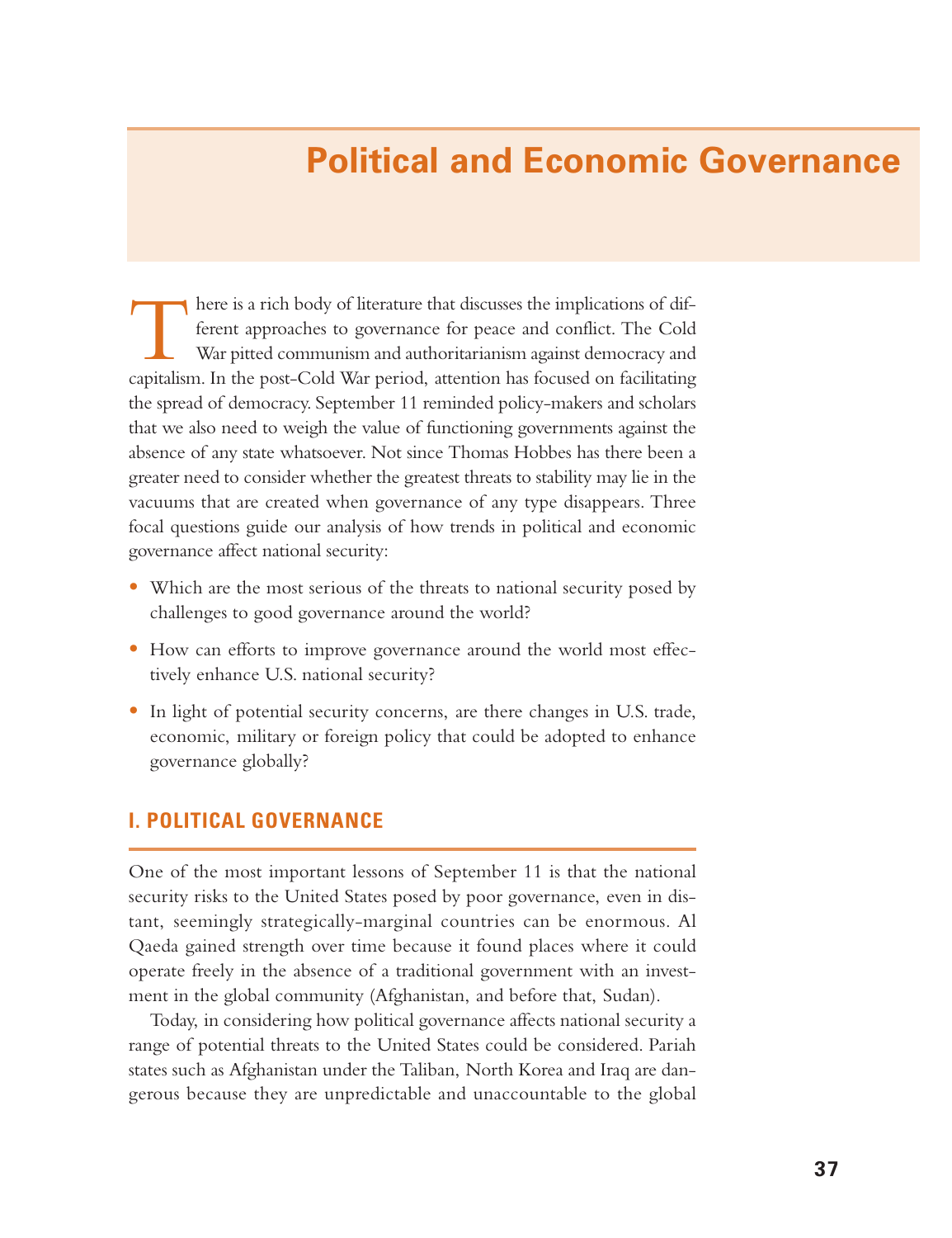# **Political and Economic Governance**

There is a rich body of literature that discusses the implications of dif- ferent approaches to governance for peace and conflict. The Cold War pitted communism and authoritarianism against democracy and capitalism. In the post-Cold War period, attention has focused on facilitating the spread of democracy. September 11 reminded policy-makers and scholars that we also need to weigh the value of functioning governments against the absence of any state whatsoever. Not since Thomas Hobbes has there been a greater need to consider whether the greatest threats to stability may lie in the vacuums that are created when governance of any type disappears. Three focal questions guide our analysis of how trends in political and economic governance affect national security:

- Which are the most serious of the threats to national security posed by challenges to good governance around the world?
- How can efforts to improve governance around the world most effectively enhance U.S. national security?
- In light of potential security concerns, are there changes in U.S. trade, economic, military or foreign policy that could be adopted to enhance governance globally?

## **I. POLITICAL GOVERNANCE**

One of the most important lessons of September 11 is that the national security risks to the United States posed by poor governance, even in distant, seemingly strategically-marginal countries can be enormous. Al Qaeda gained strength over time because it found places where it could operate freely in the absence of a traditional government with an investment in the global community (Afghanistan, and before that, Sudan).

Today, in considering how political governance affects national security a range of potential threats to the United States could be considered. Pariah states such as Afghanistan under the Taliban, North Korea and Iraq are dangerous because they are unpredictable and unaccountable to the global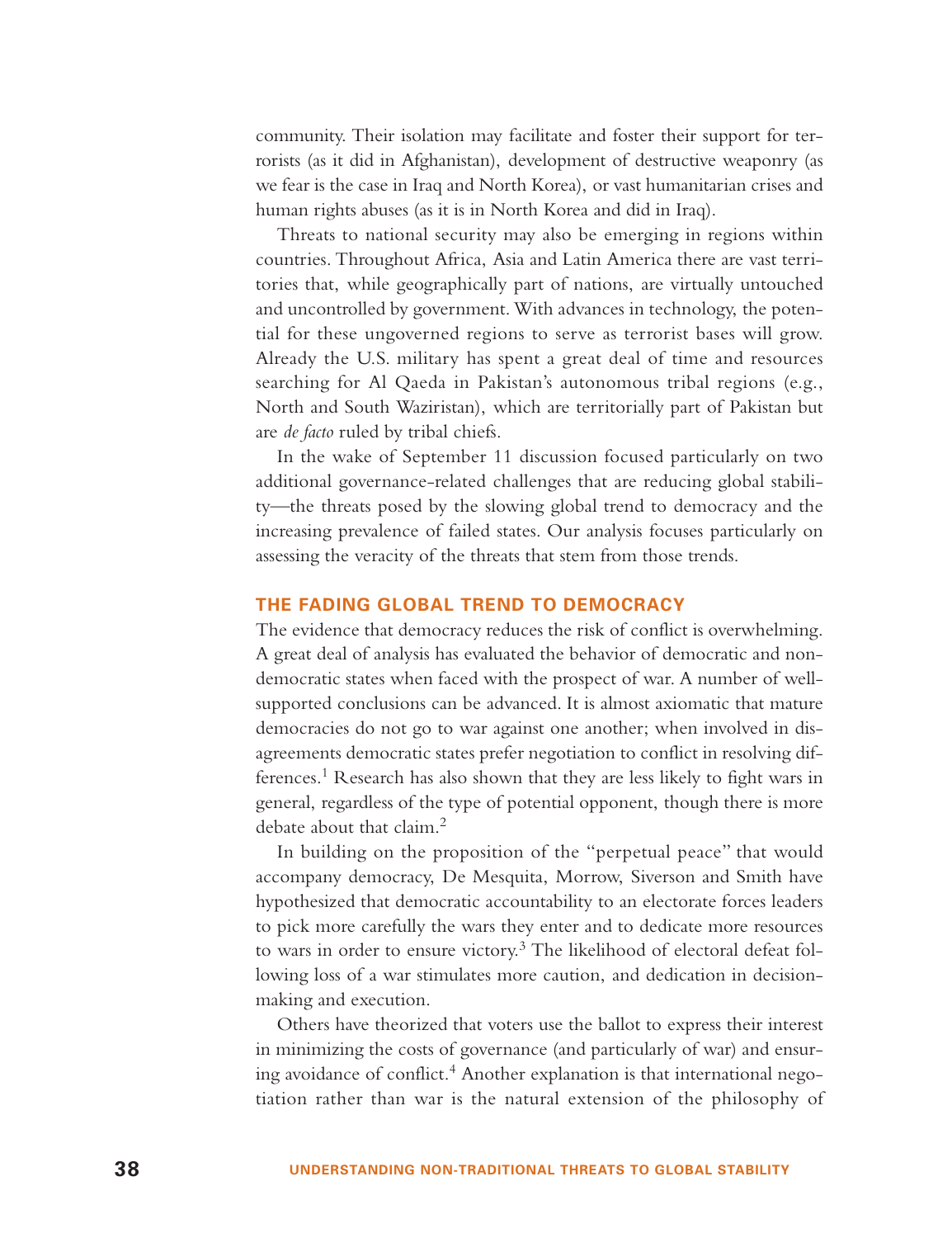community. Their isolation may facilitate and foster their support for terrorists (as it did in Afghanistan), development of destructive weaponry (as we fear is the case in Iraq and North Korea), or vast humanitarian crises and human rights abuses (as it is in North Korea and did in Iraq).

Threats to national security may also be emerging in regions within countries. Throughout Africa, Asia and Latin America there are vast territories that, while geographically part of nations, are virtually untouched and uncontrolled by government. With advances in technology, the potential for these ungoverned regions to serve as terrorist bases will grow. Already the U.S. military has spent a great deal of time and resources searching for Al Qaeda in Pakistan's autonomous tribal regions (e.g., North and South Waziristan), which are territorially part of Pakistan but are *de facto* ruled by tribal chiefs.

In the wake of September 11 discussion focused particularly on two additional governance-related challenges that are reducing global stability—the threats posed by the slowing global trend to democracy and the increasing prevalence of failed states. Our analysis focuses particularly on assessing the veracity of the threats that stem from those trends.

## **THE FADING GLOBAL TREND TO DEMOCRACY**

The evidence that democracy reduces the risk of conflict is overwhelming. A great deal of analysis has evaluated the behavior of democratic and nondemocratic states when faced with the prospect of war. A number of wellsupported conclusions can be advanced. It is almost axiomatic that mature democracies do not go to war against one another; when involved in disagreements democratic states prefer negotiation to conflict in resolving differences.<sup>1</sup> Research has also shown that they are less likely to fight wars in general, regardless of the type of potential opponent, though there is more debate about that claim.<sup>2</sup>

In building on the proposition of the "perpetual peace" that would accompany democracy, De Mesquita, Morrow, Siverson and Smith have hypothesized that democratic accountability to an electorate forces leaders to pick more carefully the wars they enter and to dedicate more resources to wars in order to ensure victory.<sup>3</sup> The likelihood of electoral defeat following loss of a war stimulates more caution, and dedication in decisionmaking and execution.

Others have theorized that voters use the ballot to express their interest in minimizing the costs of governance (and particularly of war) and ensuring avoidance of conflict.<sup>4</sup> Another explanation is that international negotiation rather than war is the natural extension of the philosophy of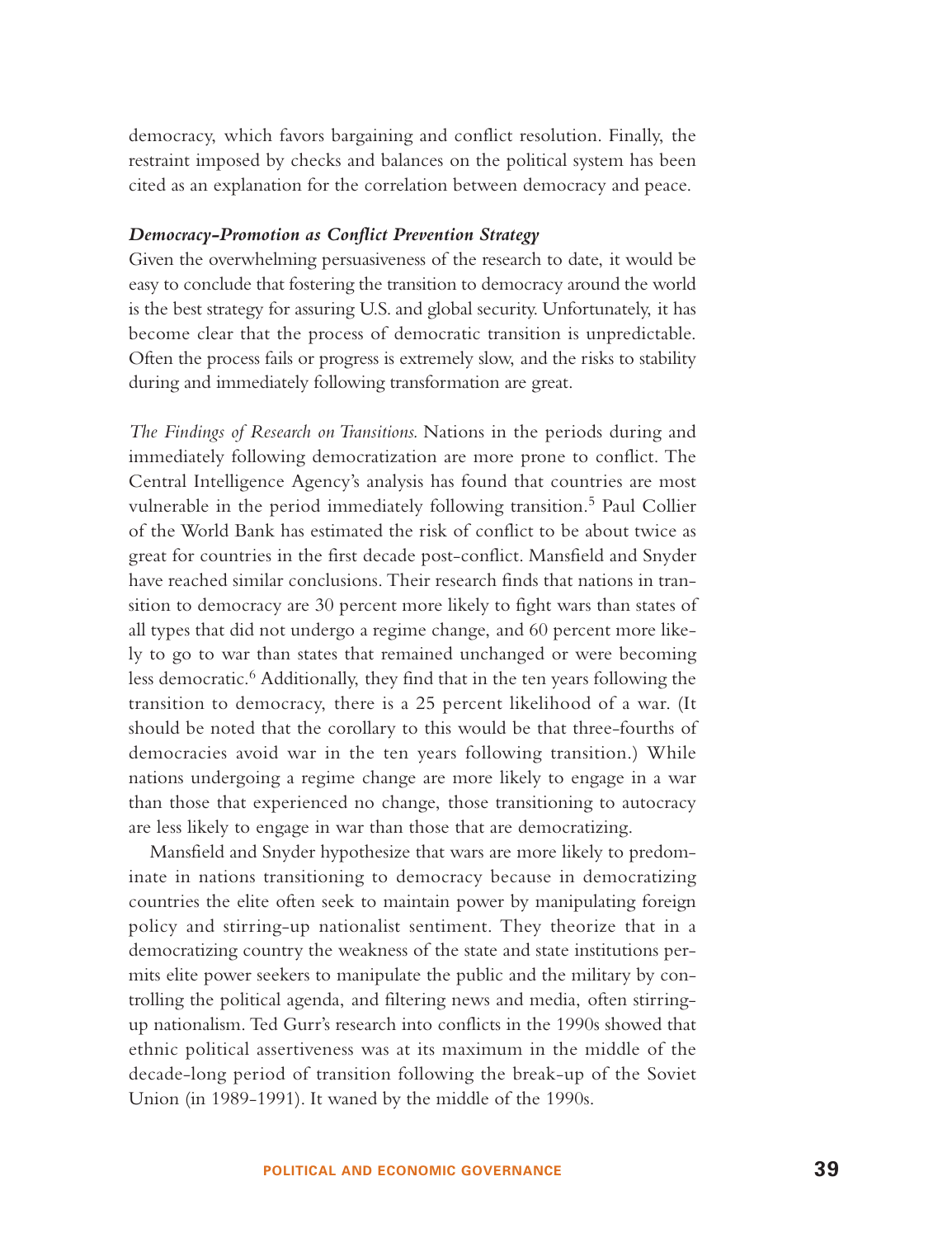democracy, which favors bargaining and conflict resolution. Finally, the restraint imposed by checks and balances on the political system has been cited as an explanation for the correlation between democracy and peace.

#### *Democracy-Promotion as Conflict Prevention Strategy*

Given the overwhelming persuasiveness of the research to date, it would be easy to conclude that fostering the transition to democracy around the world is the best strategy for assuring U.S. and global security. Unfortunately, it has become clear that the process of democratic transition is unpredictable. Often the process fails or progress is extremely slow, and the risks to stability during and immediately following transformation are great.

*The Findings of Research on Transitions.* Nations in the periods during and immediately following democratization are more prone to conflict. The Central Intelligence Agency's analysis has found that countries are most vulnerable in the period immediately following transition.<sup>5</sup> Paul Collier of the World Bank has estimated the risk of conflict to be about twice as great for countries in the first decade post-conflict. Mansfield and Snyder have reached similar conclusions. Their research finds that nations in transition to democracy are 30 percent more likely to fight wars than states of all types that did not undergo a regime change, and 60 percent more likely to go to war than states that remained unchanged or were becoming less democratic.<sup>6</sup> Additionally, they find that in the ten years following the transition to democracy, there is a 25 percent likelihood of a war. (It should be noted that the corollary to this would be that three-fourths of democracies avoid war in the ten years following transition.) While nations undergoing a regime change are more likely to engage in a war than those that experienced no change, those transitioning to autocracy are less likely to engage in war than those that are democratizing.

Mansfield and Snyder hypothesize that wars are more likely to predominate in nations transitioning to democracy because in democratizing countries the elite often seek to maintain power by manipulating foreign policy and stirring-up nationalist sentiment. They theorize that in a democratizing country the weakness of the state and state institutions permits elite power seekers to manipulate the public and the military by controlling the political agenda, and filtering news and media, often stirringup nationalism. Ted Gurr's research into conflicts in the 1990s showed that ethnic political assertiveness was at its maximum in the middle of the decade-long period of transition following the break-up of the Soviet Union (in 1989-1991). It waned by the middle of the 1990s.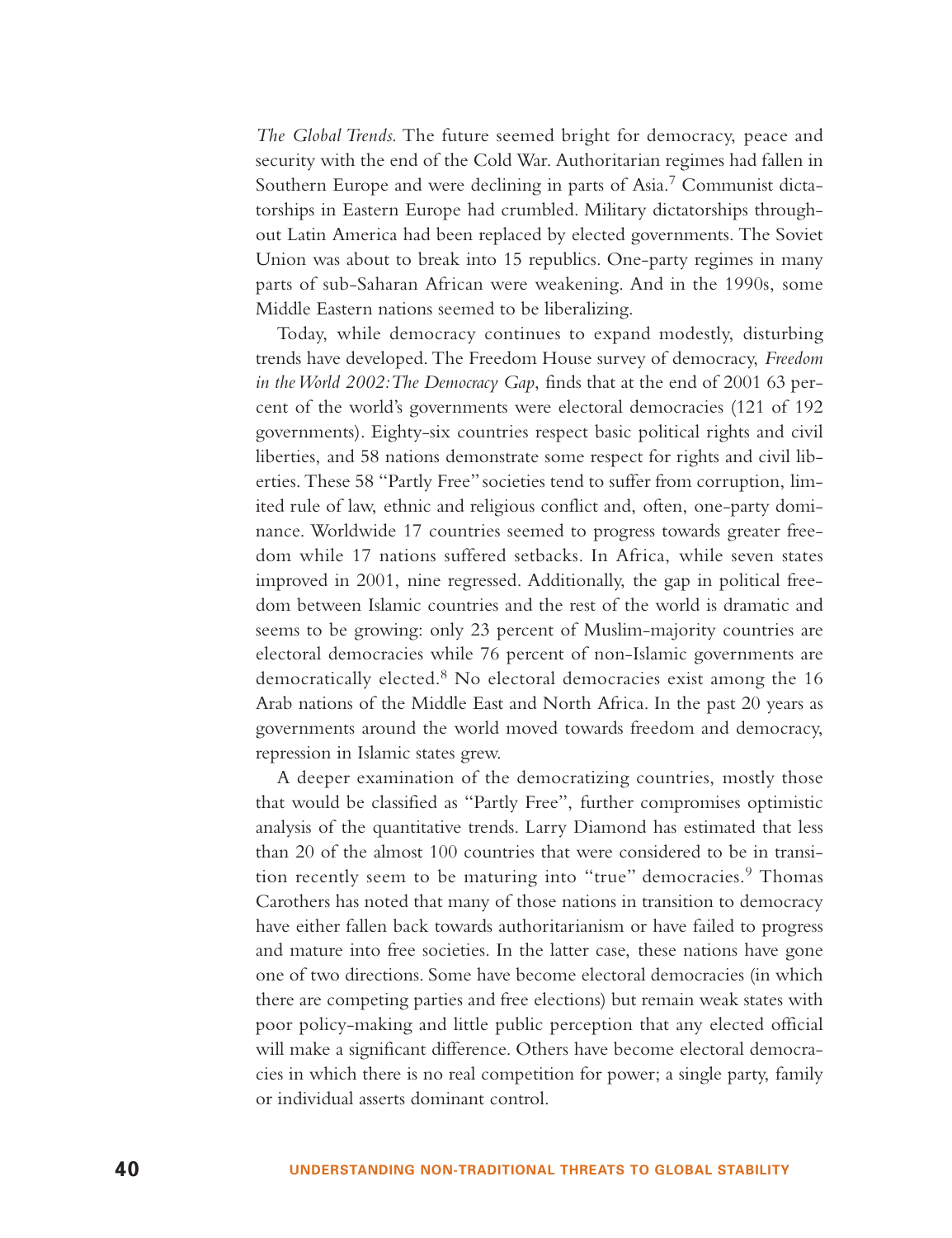*The Global Trends.* The future seemed bright for democracy, peace and security with the end of the Cold War. Authoritarian regimes had fallen in Southern Europe and were declining in parts of Asia.<sup>7</sup> Communist dictatorships in Eastern Europe had crumbled. Military dictatorships throughout Latin America had been replaced by elected governments. The Soviet Union was about to break into 15 republics. One-party regimes in many parts of sub-Saharan African were weakening. And in the 1990s, some Middle Eastern nations seemed to be liberalizing.

Today, while democracy continues to expand modestly, disturbing trends have developed. The Freedom House survey of democracy, *Freedom in the World 2002:The Democracy Gap*, finds that at the end of 2001 63 percent of the world's governments were electoral democracies (121 of 192 governments). Eighty-six countries respect basic political rights and civil liberties, and 58 nations demonstrate some respect for rights and civil liberties. These 58 "Partly Free" societies tend to suffer from corruption, limited rule of law, ethnic and religious conflict and, often, one-party dominance. Worldwide 17 countries seemed to progress towards greater freedom while 17 nations suffered setbacks. In Africa, while seven states improved in 2001, nine regressed. Additionally, the gap in political freedom between Islamic countries and the rest of the world is dramatic and seems to be growing: only 23 percent of Muslim-majority countries are electoral democracies while 76 percent of non-Islamic governments are democratically elected.<sup>8</sup> No electoral democracies exist among the 16 Arab nations of the Middle East and North Africa. In the past 20 years as governments around the world moved towards freedom and democracy, repression in Islamic states grew.

A deeper examination of the democratizing countries, mostly those that would be classified as "Partly Free", further compromises optimistic analysis of the quantitative trends. Larry Diamond has estimated that less than 20 of the almost 100 countries that were considered to be in transition recently seem to be maturing into "true" democracies.<sup>9</sup> Thomas Carothers has noted that many of those nations in transition to democracy have either fallen back towards authoritarianism or have failed to progress and mature into free societies. In the latter case, these nations have gone one of two directions. Some have become electoral democracies (in which there are competing parties and free elections) but remain weak states with poor policy-making and little public perception that any elected official will make a significant difference. Others have become electoral democracies in which there is no real competition for power; a single party, family or individual asserts dominant control.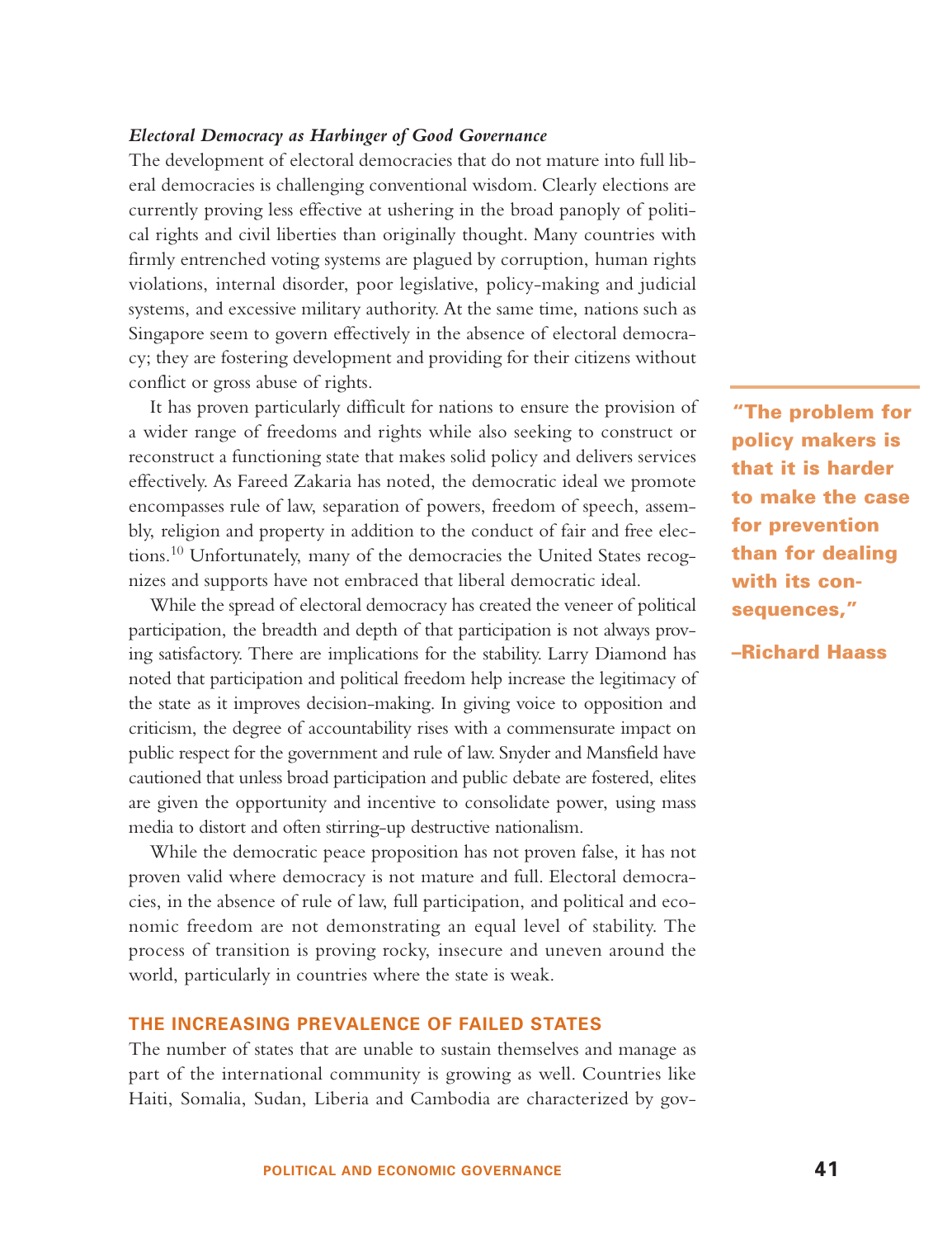## *Electoral Democracy as Harbinger of Good Governance*

The development of electoral democracies that do not mature into full liberal democracies is challenging conventional wisdom. Clearly elections are currently proving less effective at ushering in the broad panoply of political rights and civil liberties than originally thought. Many countries with firmly entrenched voting systems are plagued by corruption, human rights violations, internal disorder, poor legislative, policy-making and judicial systems, and excessive military authority. At the same time, nations such as Singapore seem to govern effectively in the absence of electoral democracy; they are fostering development and providing for their citizens without conflict or gross abuse of rights.

It has proven particularly difficult for nations to ensure the provision of a wider range of freedoms and rights while also seeking to construct or reconstruct a functioning state that makes solid policy and delivers services effectively. As Fareed Zakaria has noted, the democratic ideal we promote encompasses rule of law, separation of powers, freedom of speech, assembly, religion and property in addition to the conduct of fair and free elections.<sup>10</sup> Unfortunately, many o<sup>f</sup> the democracies the United States recognizes and supports have not embraced that liberal democratic ideal.

While the spread of electoral democracy has created the veneer of political participation, the breadth and depth of that participation is not always proving satisfactory. There are implications for the stability. Larry Diamond has noted that participation and political freedom help increase the legitimacy of the state as it improves decision-making. In giving voice to opposition and criticism, the degree of accountability rises with a commensurate impact on public respect for the government and rule of law. Snyder and Mansfield have cautioned that unless broad participation and public debate are fostered, elites are given the opportunity and incentive to consolidate power, using mass media to distort and often stirring-up destructive nationalism.

While the democratic peace proposition has not proven false, it has not proven valid where democracy is not mature and full. Electoral democracies, in the absence of rule of law, full participation, and political and economic freedom are not demonstrating an equal level of stability. The process of transition is proving rocky, insecure and uneven around the world, particularly in countries where the state is weak.

## **THE INCREASING PREVALENCE OF FAILED STATES**

The number of states that are unable to sustain themselves and manage as part of the international community is growing as well. Countries like Haiti, Somalia, Sudan, Liberia and Cambodia are characterized by gov-

**"The problem for policy makers is that it is harder to make the case for prevention than for dealing with its consequences,"**

**–Richard Haass**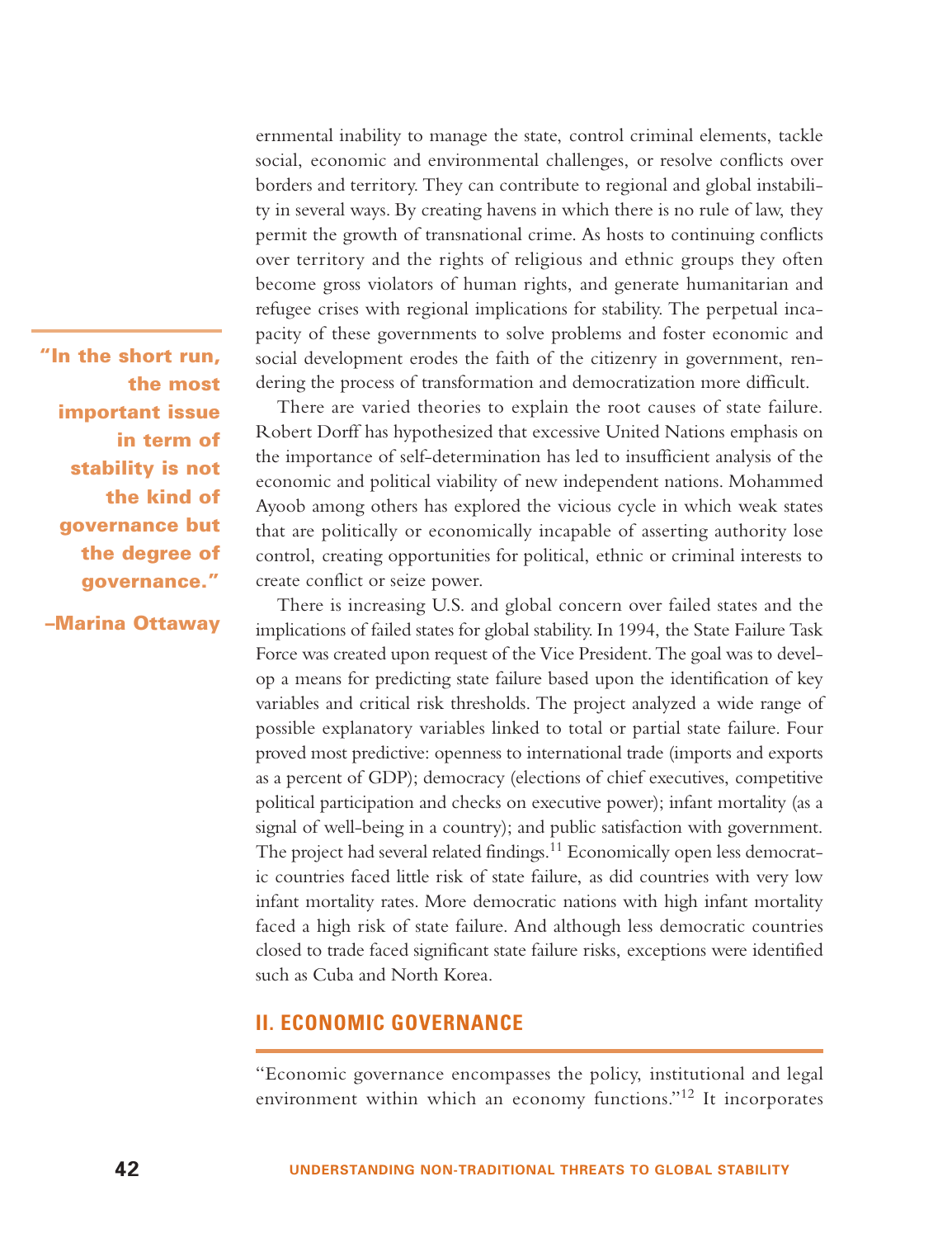**"In the short run, the most important issue in term of stability is not the kind of governance but the degree of governance."** 

**–Marina Ottaway**

ernmental inability to manage the state, control criminal elements, tackle social, economic and environmental challenges, or resolve conflicts over borders and territory. They can contribute to regional and global instability in several ways. By creating havens in which there is no rule of law, they permit the growth of transnational crime. As hosts to continuing conflicts over territory and the rights of religious and ethnic groups they often become gross violators of human rights, and generate humanitarian and refugee crises with regional implications for stability. The perpetual incapacity of these governments to solve problems and foster economic and social development erodes the faith of the citizenry in government, rendering the process of transformation and democratization more difficult.

There are varied theories to explain the root causes of state failure. Robert Dorff has hypothesized that excessive United Nations emphasis on the importance of self-determination has led to insufficient analysis of the economic and political viability of new independent nations. Mohammed Ayoob among others has explored the vicious cycle in which weak states that are politically or economically incapable of asserting authority lose control, creating opportunities for political, ethnic or criminal interests to create conflict or seize power.

There is increasing U.S. and global concern over failed states and the implications of failed states for global stability. In 1994, the State Failure Task Force was created upon request of the Vice President. The goal was to develop a means for predicting state failure based upon the identification of key variables and critical risk thresholds. The project analyzed a wide range of possible explanatory variables linked to total or partial state failure. Four proved most predictive: openness to international trade (imports and exports as a percent of GDP); democracy (elections of chief executives, competitive political participation and checks on executive power); infant mortality (as a signal of well-being in a country); and public satisfaction with government. The project had several related findings.<sup>11</sup> Economically open less democratic countries faced little risk of state failure, as did countries with very low infant mortality rates. More democratic nations with high infant mortality faced a high risk of state failure. And although less democratic countries closed to trade faced significant state failure risks, exceptions were identified such as Cuba and North Korea.

# **II. ECONOMIC GOVERNANCE**

"Economic governance encompasses the policy, institutional and legal environment within which an economy functions."<sup>12</sup> It incorporates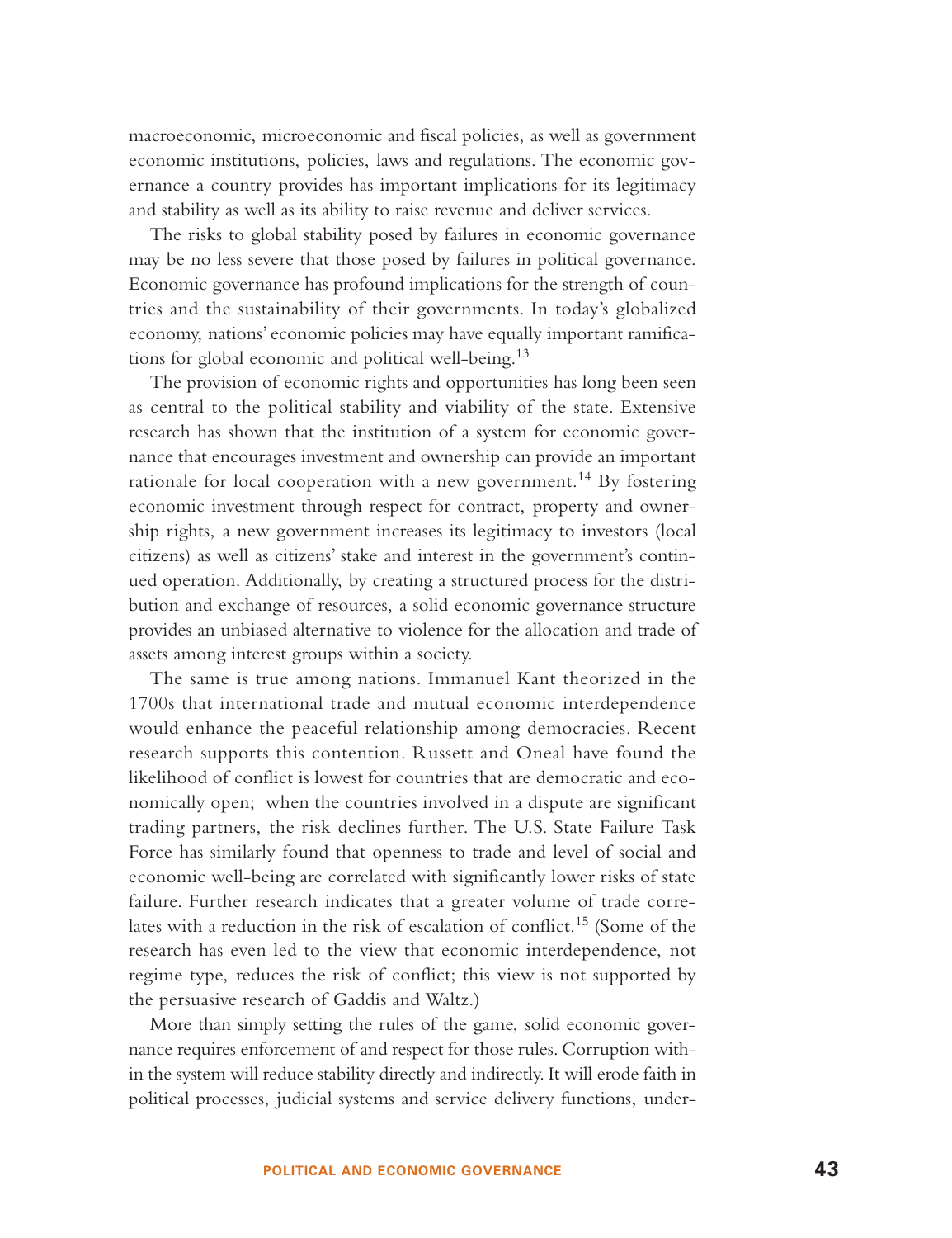macroeconomic, microeconomic and fiscal policies, as well as government economic institutions, policies, laws and regulations. The economic governance a country provides has important implications for its legitimacy and stability as well as its ability to raise revenue and deliver services.

The risks to global stability posed by failures in economic governance may be no less severe that those posed by failures in political governance. Economic governance has profound implications for the strength of countries and the sustainability of their governments. In today's globalized economy, nations' economic policies may have equally important ramifications for global economic and political well-being.<sup>13</sup>

The provision of economic rights and opportunities has long been seen as central to the political stability and viability of the state. Extensive research has shown that the institution of a system for economic governance that encourages investment and ownership can provide an important rationale for local cooperation with a new government.<sup>14</sup> By fostering economic investment through respect for contract, property and ownership rights, a new government increases its legitimacy to investors (local citizens) as well as citizens' stake and interest in the government's continued operation. Additionally, by creating a structured process for the distribution and exchange of resources, a solid economic governance structure provides an unbiased alternative to violence for the allocation and trade of assets among interest groups within a society.

The same is true among nations. Immanuel Kant theorized in the 1700s that international trade and mutual economic interdependence would enhance the peaceful relationship among democracies. Recent research supports this contention. Russett and Oneal have found the likelihood of conflict is lowest for countries that are democratic and economically open; when the countries involved in a dispute are significant trading partners, the risk declines further. The U.S. State Failure Task Force has similarly found that openness to trade and level of social and economic well-being are correlated with significantly lower risks of state failure. Further research indicates that a greater volume of trade correlates with a reduction in the risk of escalation of conflict.<sup>15</sup> (Some of the research has even led to the view that economic interdependence, not regime type, reduces the risk of conflict; this view is not supported by the persuasive research of Gaddis and Waltz.)

More than simply setting the rules of the game, solid economic governance requires enforcement of and respect for those rules. Corruption within the system will reduce stability directly and indirectly. It will erode faith in political processes, judicial systems and service delivery functions, under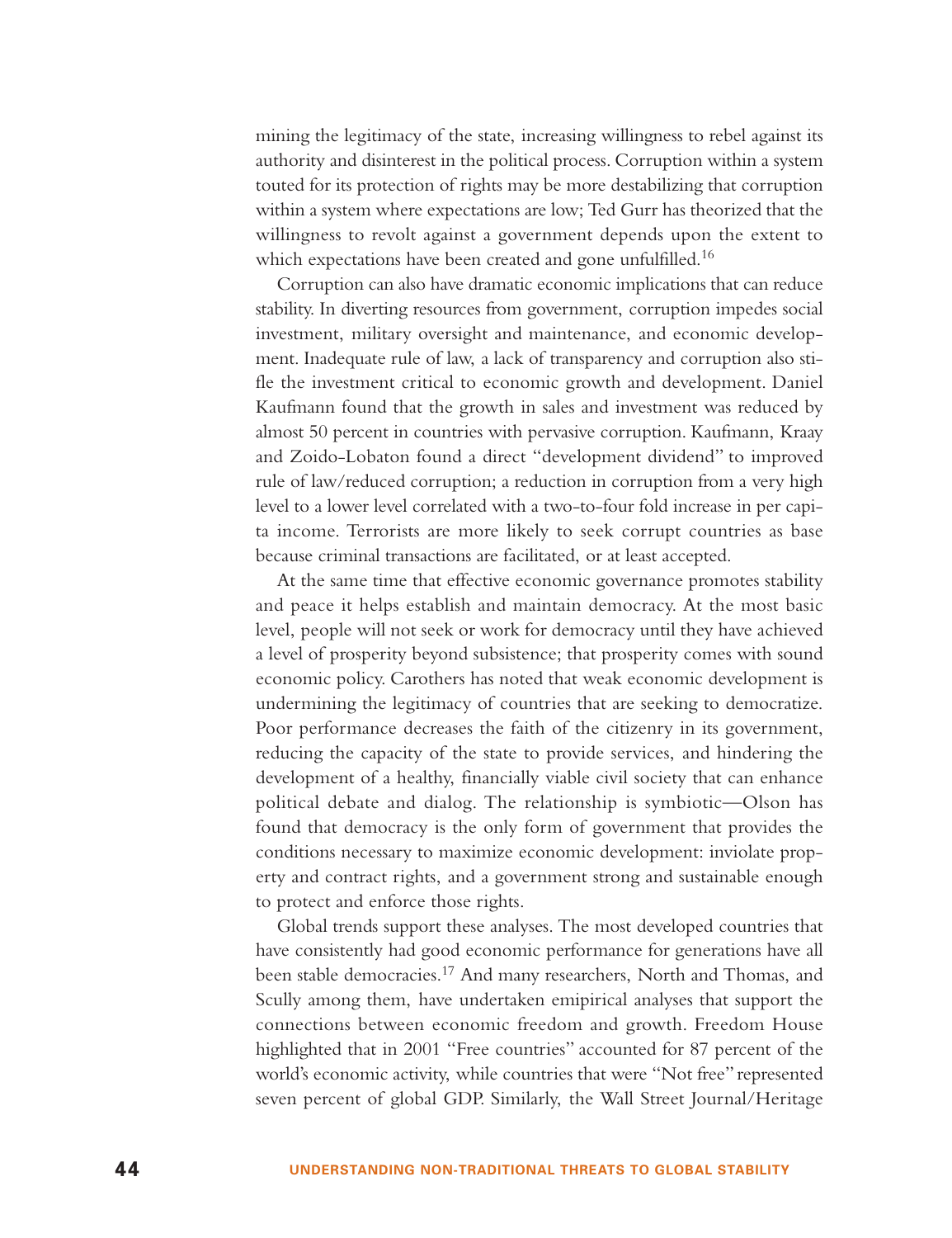mining the legitimacy of the state, increasing willingness to rebel against its authority and disinterest in the political process. Corruption within a system touted for its protection of rights may be more destabilizing that corruption within a system where expectations are low; Ted Gurr has theorized that the willingness to revolt against a government depends upon the extent to which expectations have been created and gone unfulfilled.<sup>16</sup>

Corruption can also have dramatic economic implications that can reduce stability. In diverting resources from government, corruption impedes social investment, military oversight and maintenance, and economic development. Inadequate rule of law, a lack of transparency and corruption also stifle the investment critical to economic growth and development. Daniel Kaufmann found that the growth in sales and investment was reduced by almost 50 percent in countries with pervasive corruption. Kaufmann, Kraay and Zoido-Lobaton found a direct "development dividend" to improved rule of law/reduced corruption; a reduction in corruption from a very high level to a lower level correlated with a two-to-four fold increase in per capita income. Terrorists are more likely to seek corrupt countries as base because criminal transactions are facilitated, or at least accepted.

At the same time that effective economic governance promotes stability and peace it helps establish and maintain democracy. At the most basic level, people will not seek or work for democracy until they have achieved a level of prosperity beyond subsistence; that prosperity comes with sound economic policy. Carothers has noted that weak economic development is undermining the legitimacy of countries that are seeking to democratize. Poor performance decreases the faith of the citizenry in its government, reducing the capacity of the state to provide services, and hindering the development of a healthy, financially viable civil society that can enhance political debate and dialog. The relationship is symbiotic—Olson has found that democracy is the only form of government that provides the conditions necessary to maximize economic development: inviolate property and contract rights, and a government strong and sustainable enough to protect and enforce those rights.

Global trends support these analyses. The most developed countries that have consistently had good economic performance for generations have all been stable democracies.<sup>17</sup> And many researchers, North and Thomas, and Scully among them, have undertaken emipirical analyses that support the connections between economic freedom and growth. Freedom House highlighted that in 2001 "Free countries" accounted for 87 percent of the world's economic activity, while countries that were "Not free" represented seven percent of global GDP. Similarly, the Wall Street Journal/Heritage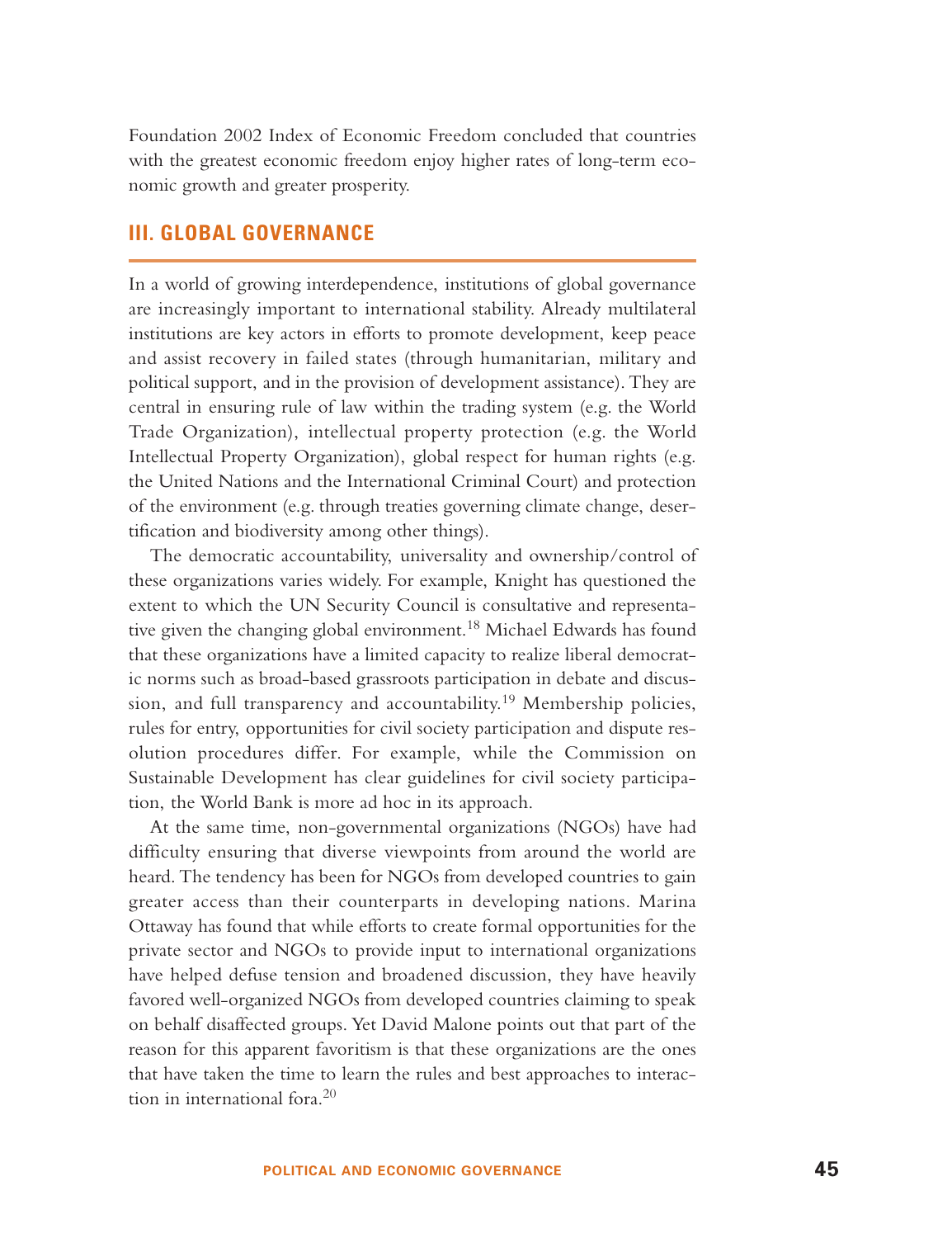Foundation 2002 Index of Economic Freedom concluded that countries with the greatest economic freedom enjoy higher rates of long-term economic growth and greater prosperity.

## **III. GLOBAL GOVERNANCE**

In a world of growing interdependence, institutions of global governance are increasingly important to international stability. Already multilateral institutions are key actors in efforts to promote development, keep peace and assist recovery in failed states (through humanitarian, military and political support, and in the provision of development assistance). They are central in ensuring rule of law within the trading system (e.g. the World Trade Organization), intellectual property protection (e.g. the World Intellectual Property Organization), global respect for human rights (e.g. the United Nations and the International Criminal Court) and protection of the environment (e.g. through treaties governing climate change, desertification and biodiversity among other things).

The democratic accountability, universality and ownership/control of these organizations varies widely. For example, Knight has questioned the extent to which the UN Security Council is consultative and representative given the changing global environment.<sup>18</sup> Michael Edwards has found that these organizations have a limited capacity to realize liberal democratic norms such as broad-based grassroots participation in debate and discussion, and full transparency and accountability.<sup>19</sup> Membership policies, rules for entry, opportunities for civil society participation and dispute resolution procedures differ. For example, while the Commission on Sustainable Development has clear guidelines for civil society participation, the World Bank is more ad hoc in its approach.

At the same time, non-governmental organizations (NGOs) have had difficulty ensuring that diverse viewpoints from around the world are heard. The tendency has been for NGOs from developed countries to gain greater access than their counterparts in developing nations. Marina Ottaway has found that while efforts to create formal opportunities for the private sector and NGOs to provide input to international organizations have helped defuse tension and broadened discussion, they have heavily favored well-organized NGOs from developed countries claiming to speak on behalf disaffected groups. Yet David Malone points out that part of the reason for this apparent favoritism is that these organizations are the ones that have taken the time to learn the rules and best approaches to interaction in international fora.<sup>20</sup>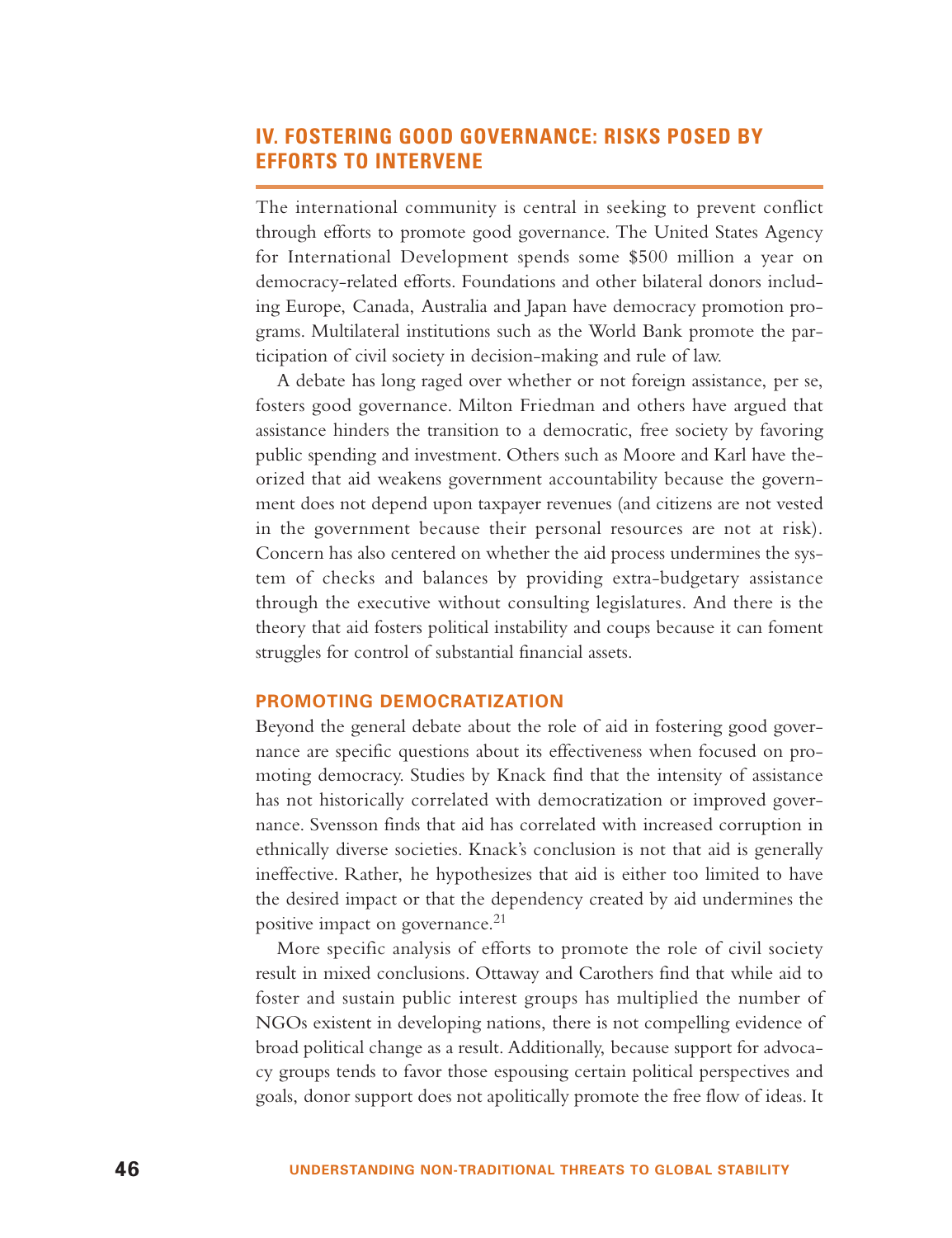# **IV. FOSTERING GOOD GOVERNANCE: RISKS POSED BY EFFORTS TO INTERVENE**

The international community is central in seeking to prevent conflict through efforts to promote good governance. The United States Agency for International Development spends some \$500 million a year on democracy-related efforts. Foundations and other bilateral donors including Europe, Canada, Australia and Japan have democracy promotion programs. Multilateral institutions such as the World Bank promote the participation of civil society in decision-making and rule of law.

A debate has long raged over whether or not foreign assistance, per se, fosters good governance. Milton Friedman and others have argued that assistance hinders the transition to a democratic, free society by favoring public spending and investment. Others such as Moore and Karl have theorized that aid weakens government accountability because the government does not depend upon taxpayer revenues (and citizens are not vested in the government because their personal resources are not at risk). Concern has also centered on whether the aid process undermines the system of checks and balances by providing extra-budgetary assistance through the executive without consulting legislatures. And there is the theory that aid fosters political instability and coups because it can foment struggles for control of substantial financial assets.

## **PROMOTING DEMOCRATIZATION**

Beyond the general debate about the role of aid in fostering good governance are specific questions about its effectiveness when focused on promoting democracy. Studies by Knack find that the intensity of assistance has not historically correlated with democratization or improved governance. Svensson finds that aid has correlated with increased corruption in ethnically diverse societies. Knack's conclusion is not that aid is generally ineffective. Rather, he hypothesizes that aid is either too limited to have the desired impact or that the dependency created by aid undermines the positive impact on governance.<sup>21</sup>

More specific analysis of efforts to promote the role of civil society result in mixed conclusions. Ottaway and Carothers find that while aid to foster and sustain public interest groups has multiplied the number of NGOs existent in developing nations, there is not compelling evidence of broad political change as a result. Additionally, because support for advocacy groups tends to favor those espousing certain political perspectives and goals, donor support does not apolitically promote the free flow of ideas. It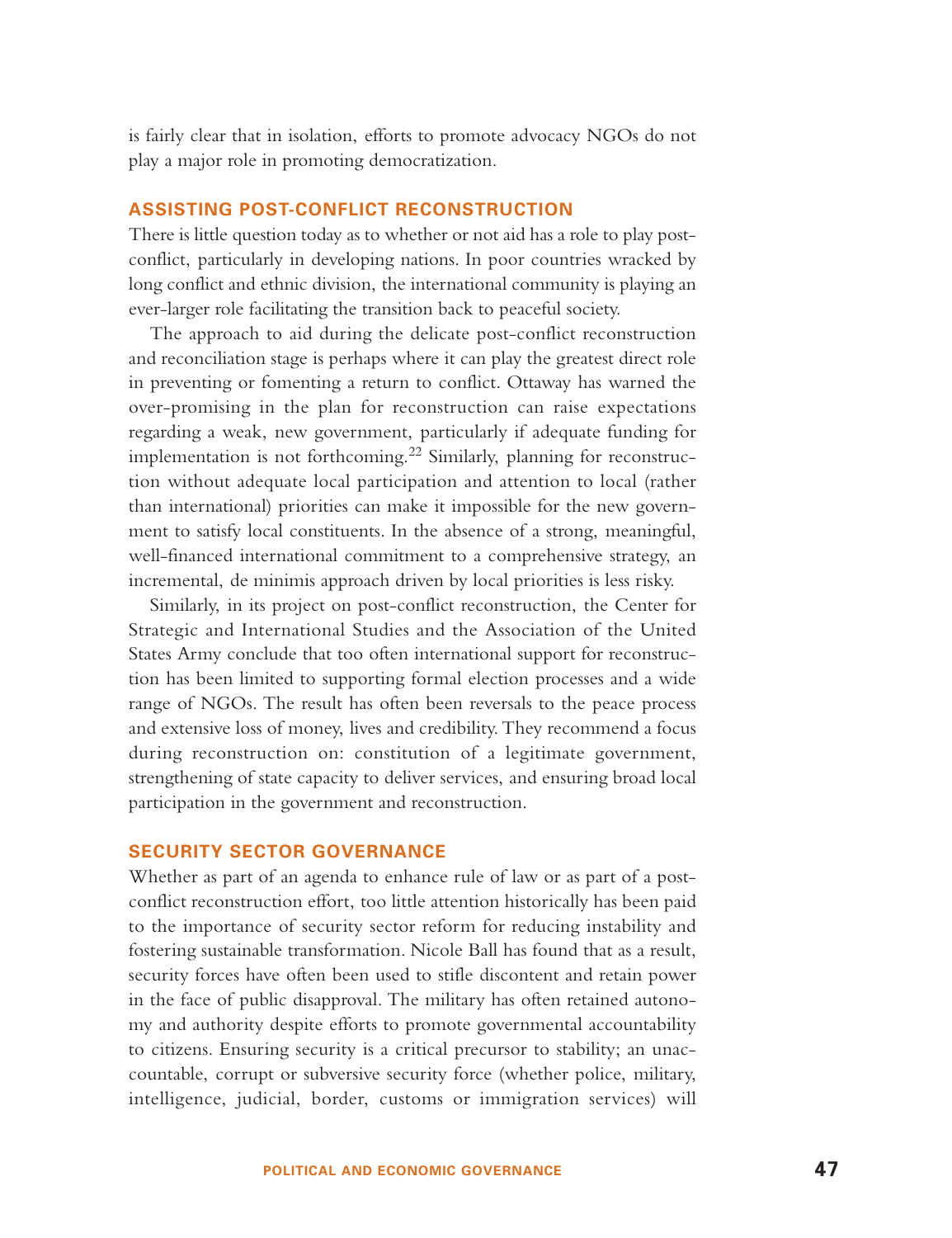is fairly clear that in isolation, efforts to promote advocacy NGOs do not play a major role in promoting democratization.

## **ASSISTING POST-CONFLICT RECONSTRUCTION**

There is little question today as to whether or not aid has a role to play postconflict, particularly in developing nations. In poor countries wracked by long conflict and ethnic division, the international community is playing an ever-larger role facilitating the transition back to peaceful society.

The approach to aid during the delicate post-conflict reconstruction and reconciliation stage is perhaps where it can play the greatest direct role in preventing or fomenting a return to conflict. Ottaway has warned the over-promising in the plan for reconstruction can raise expectations regarding a weak, new government, particularly if adequate funding for implementation is not forthcoming.<sup>22</sup> Similarly, planning for reconstruction without adequate local participation and attention to local (rather than international) priorities can make it impossible for the new government to satisfy local constituents. In the absence of a strong, meaningful, well-financed international commitment to a comprehensive strategy, an incremental, de minimis approach driven by local priorities is less risky.

Similarly, in its project on post-conflict reconstruction, the Center for Strategic and International Studies and the Association of the United States Army conclude that too often international support for reconstruction has been limited to supporting formal election processes and a wide range of NGOs. The result has often been reversals to the peace process and extensive loss of money, lives and credibility. They recommend a focus during reconstruction on: constitution of a legitimate government, strengthening of state capacity to deliver services, and ensuring broad local participation in the government and reconstruction.

## **SECURITY SECTOR GOVERNANCE**

Whether as part of an agenda to enhance rule of law or as part of a postconflict reconstruction effort, too little attention historically has been paid to the importance of security sector reform for reducing instability and fostering sustainable transformation. Nicole Ball has found that as a result, security forces have often been used to stifle discontent and retain power in the face of public disapproval. The military has often retained autonomy and authority despite efforts to promote governmental accountability to citizens. Ensuring security is a critical precursor to stability; an unaccountable, corrupt or subversive security force (whether police, military, intelligence, judicial, border, customs or immigration services) will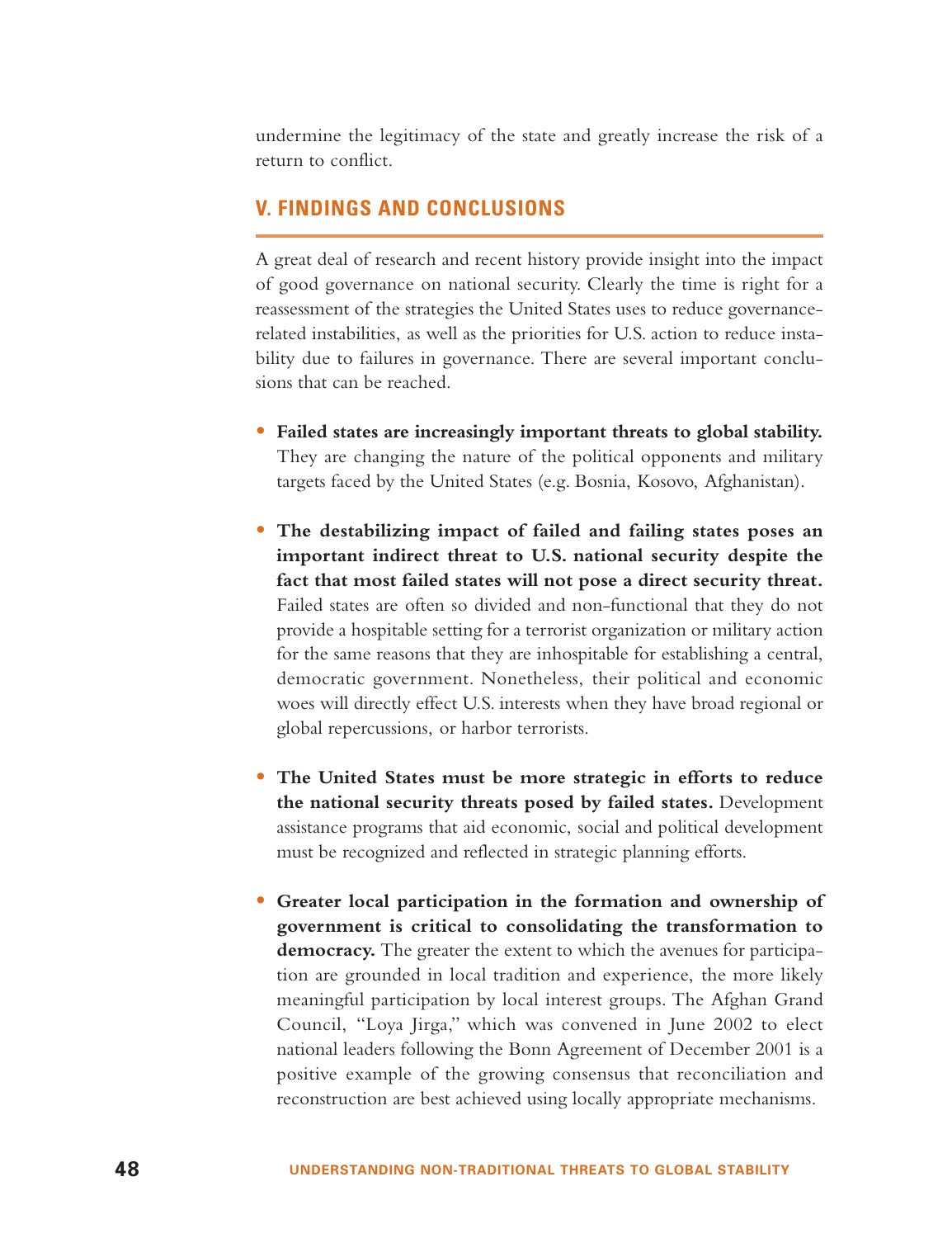undermine the legitimacy of the state and greatly increase the risk of <sup>a</sup> return to conflict.

## **V. FINDINGS AND CONCLUSIONS**

A great deal of research and recent history provide insight into the impact of good governance on national security. Clearly the time is right for a reassessment of the strategies the United States uses to reduce governancerelated instabilities, as well as the priorities for U.S. action to reduce instability due to failures in governance. There are several important conclusions that can be reached.

- **Failed states are increasingly important threats to global stability.** They are changing the nature of the political opponents and military targets faced by the United States (e.g. Bosnia, Kosovo, Afghanistan).
- **The destabilizing impact of failed and failing states poses an important indirect threat to U.S. national security despite the fact that most failed states will not pose a direct security threat.** Failed states are often so divided and non-functional that they do not provide a hospitable setting for a terrorist organization or military action for the same reasons that they are inhospitable for establishing a central, democratic government. Nonetheless, their political and economic woes will directly effect U.S. interests when they have broad regional or global repercussions, or harbor terrorists.
- **The United States must be more strategic in efforts to reduce the national security threats posed by failed states.** Development assistance programs that aid economic, social and political development must be recognized and reflected in strategic planning efforts.
- **Greater local participation in the formation and ownership of government is critical to consolidating the transformation to democracy.** The greater the extent to which the avenues for participation are grounded in local tradition and experience, the more likely meaningful participation by local interest groups. The Afghan Grand Council, "Loya Jirga," which was convened in June 2002 to elect national leaders following the Bonn Agreement of December 2001 is a positive example of the growing consensus that reconciliation and reconstruction are best achieved using locally appropriate mechanisms.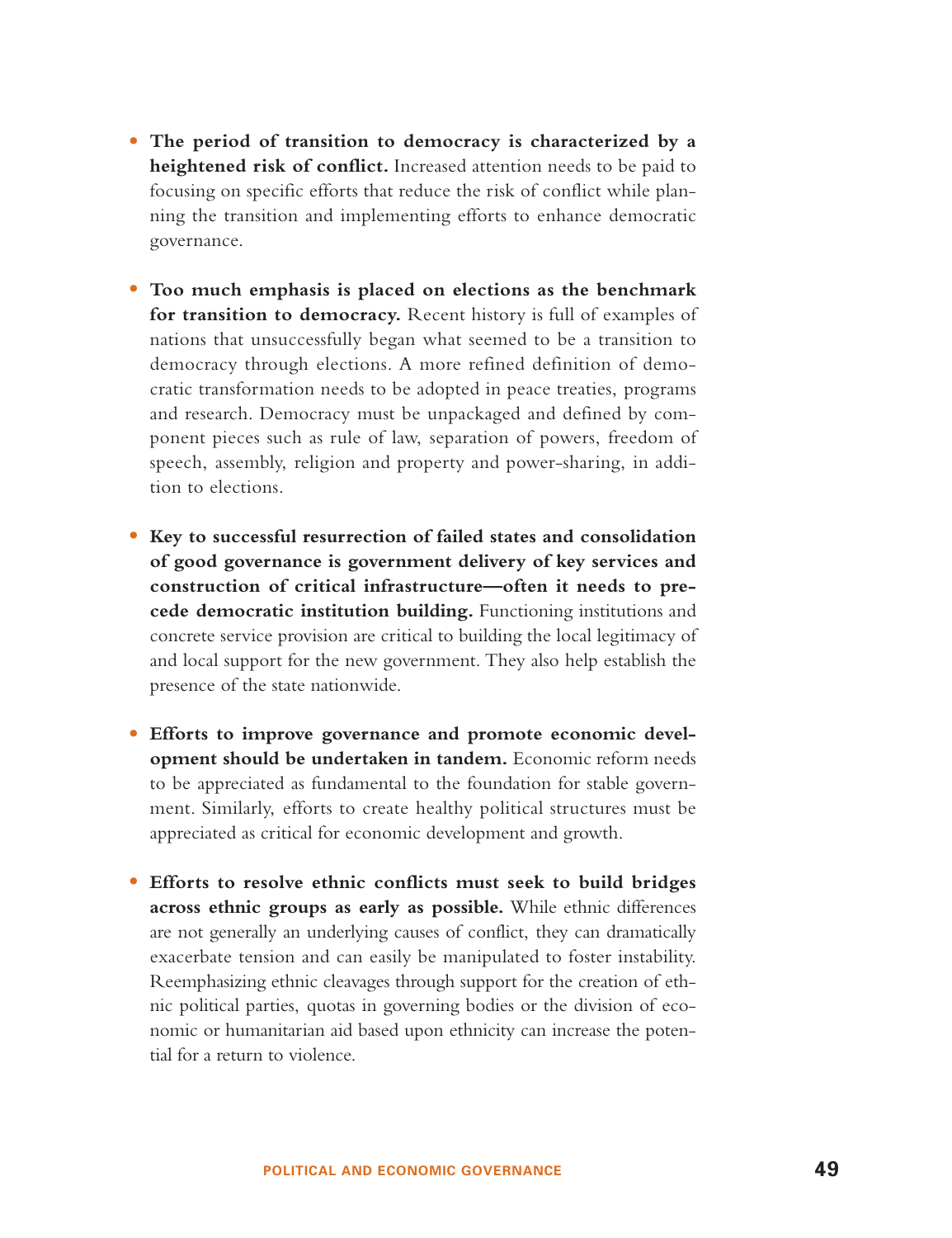- **The period of transition to democracy is characterized by a heightened risk of conflict.** Increased attention needs to be paid to focusing on specific efforts that reduce the risk of conflict while planning the transition and implementing efforts to enhance democratic governance.
- **Too much emphasis is placed on elections as the benchmark for transition to democracy.** Recent history is full of examples of nations that unsuccessfully began what seemed to be a transition to democracy through elections. A more refined definition of democratic transformation needs to be adopted in peace treaties, programs and research. Democracy must be unpackaged and defined by component pieces such as rule of law, separation of powers, freedom of speech, assembly, religion and property and power-sharing, in addition to elections.
- **Key to successful resurrection of failed states and consolidation of good governance is government delivery of key services and construction of critical infrastructure—often it needs to precede democratic institution building.** Functioning institutions and concrete service provision are critical to building the local legitimacy of and local support for the new government. They also help establish the presence of the state nationwide.
- **Efforts to improve governance and promote economic development should be undertaken in tandem.** Economic reform needs to be appreciated as fundamental to the foundation for stable government. Similarly, efforts to create healthy political structures must be appreciated as critical for economic development and growth.
- **Efforts to resolve ethnic conflicts must seek to build bridges across ethnic groups as early as possible.** While ethnic differences are not generally an underlying causes of conflict, they can dramatically exacerbate tension and can easily be manipulated to foster instability. Reemphasizing ethnic cleavages through support for the creation of ethnic political parties, quotas in governing bodies or the division of economic or humanitarian aid based upon ethnicity can increase the potential for a return to violence.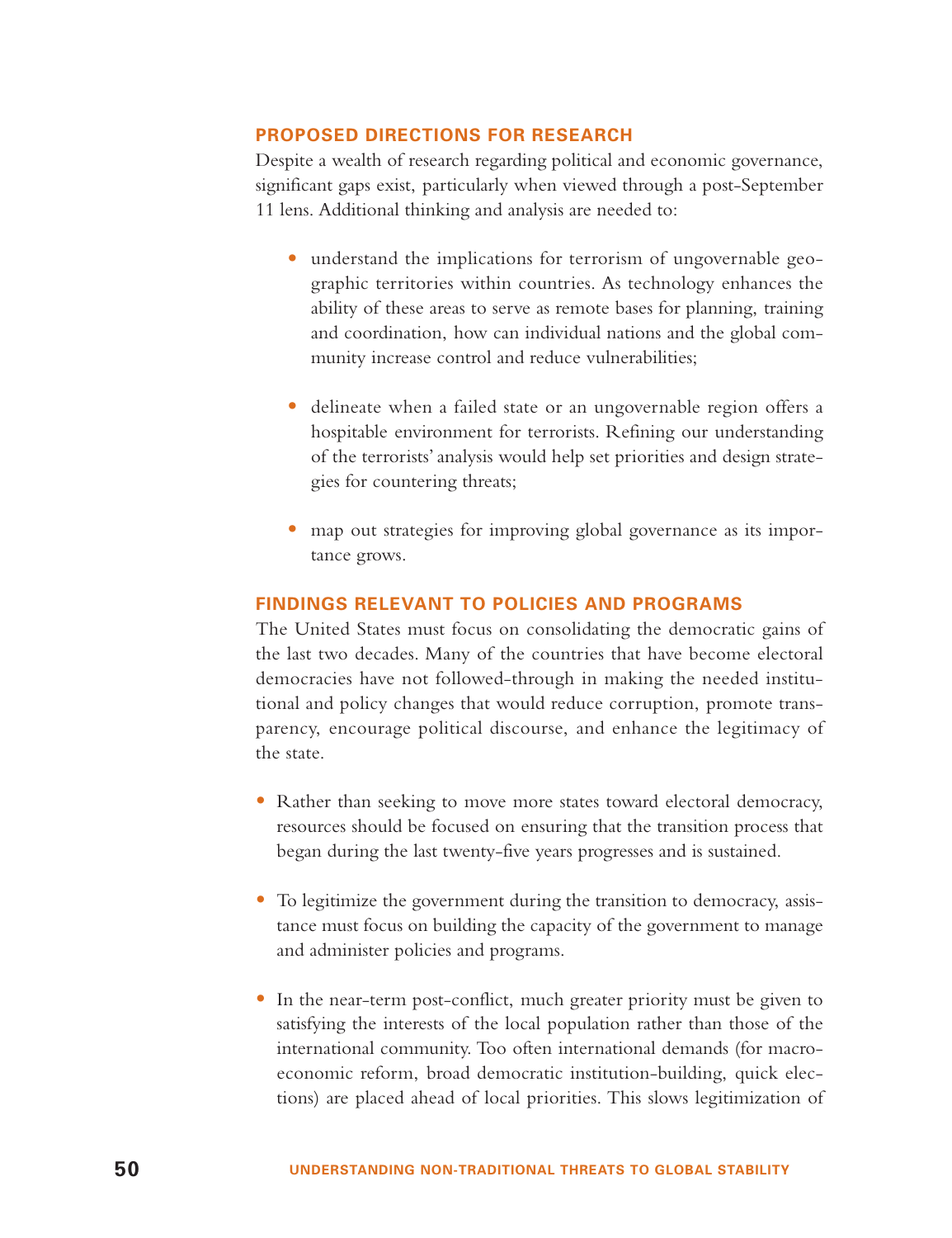## **PROPOSED DIRECTIONS FOR RESEARCH**

Despite a wealth of research regarding political and economic governance, significant gaps exist, particularly when viewed through a post-September 11 lens. Additional thinking and analysis are needed to:

- understand the implications for terrorism of ungovernable geographic territories within countries. As technology enhances the ability of these areas to serve as remote bases for planning, training and coordination, how can individual nations and the global community increase control and reduce vulnerabilities;
- delineate when a failed state or an ungovernable region offers a hospitable environment for terrorists. Refining our understanding of the terrorists' analysis would help set priorities and design strategies for countering threats;
- map out strategies for improving global governance as its importance grows.

## **FINDINGS RELEVANT TO POLICIES AND PROGRAMS**

The United States must focus on consolidating the democratic gains of the last two decades. Many of the countries that have become electoral democracies have not followed-through in making the needed institutional and policy changes that would reduce corruption, promote transparency, encourage political discourse, and enhance the legitimacy of the state.

- Rather than seeking to move more states toward electoral democracy, resources should be focused on ensuring that the transition process that began during the last twenty-five years progresses and is sustained.
- To legitimize the government during the transition to democracy, assistance must focus on building the capacity of the government to manage and administer policies and programs.
- In the near-term post-conflict, much greater priority must be given to satisfying the interests of the local population rather than those of the international community. Too often international demands (for macroeconomic reform, broad democratic institution-building, quick elections) are placed ahead of local priorities. This slows legitimization of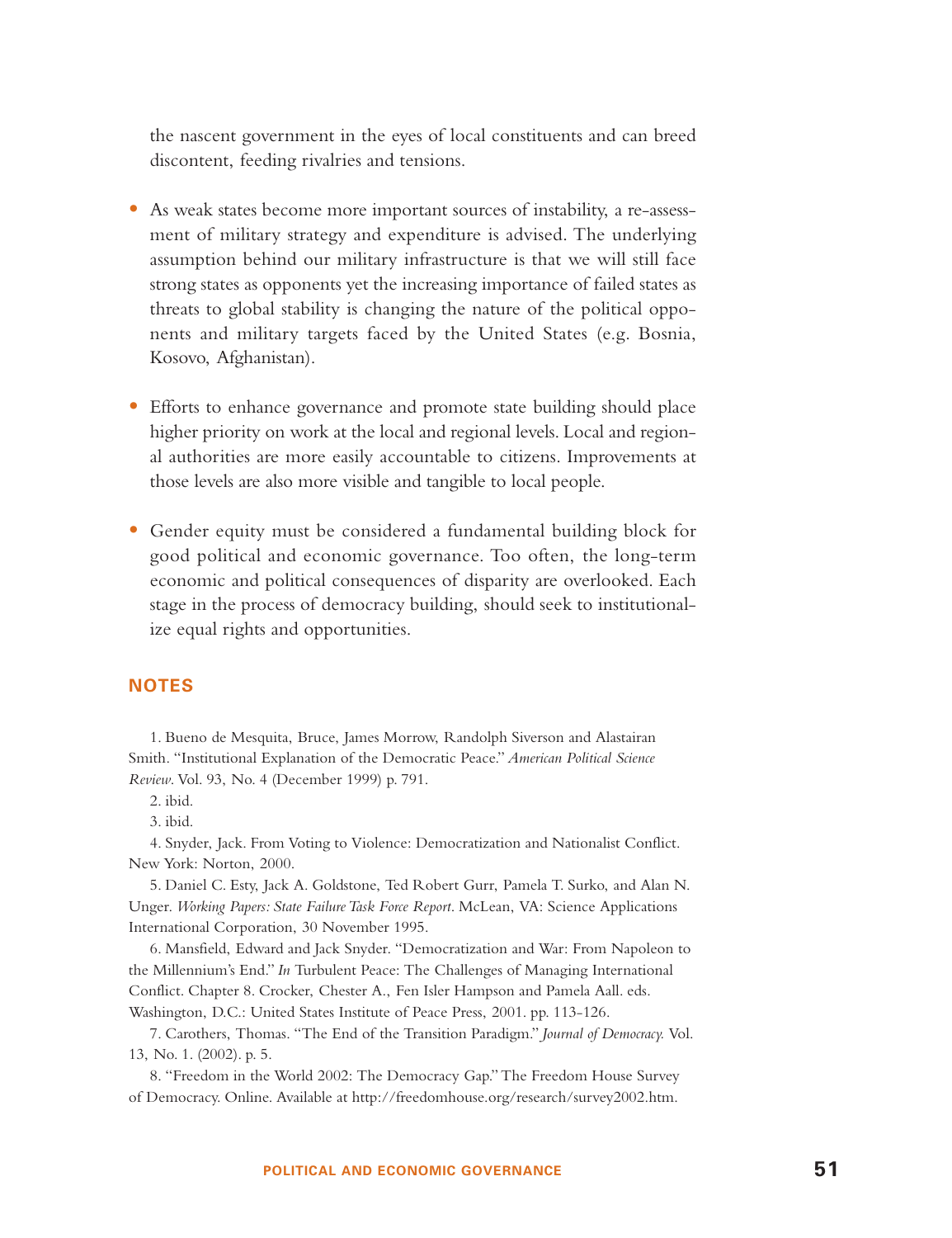the nascent government in the eyes of local constituents and can breed discontent, feeding rivalries and tensions.

- As weak states become more important sources of instability, a re-assessment of military strategy and expenditure is advised. The underlying assumption behind our military infrastructure is that we will still face strong states as opponents yet the increasing importance of failed states as threats to global stability is changing the nature of the political opponents and military targets faced by the United States (e.g. Bosnia, Kosovo, Afghanistan).
- Efforts to enhance governance and promote state building should place higher priority on work at the local and regional levels. Local and regional authorities are more easily accountable to citizens. Improvements at those levels are also more visible and tangible to local people.
- Gender equity must be considered a fundamental building block for good political and economic governance. Too often, the long-term economic and political consequences of disparity are overlooked. Each stage in the process of democracy building, should seek to institutionalize equal rights and opportunities.

## **NOTES**

1. Bueno de Mesquita, Bruce, James Morrow, Randolph Siverson and Alastairan Smith. "Institutional Explanation of the Democratic Peace." *American Political Science Review*. Vol. 93, No. 4 (December 1999) p. 791.

3. ibid.

4. Snyder, Jack. From Voting to Violence: Democratization and Nationalist Conflict. New York: Norton, 2000.

5. Daniel C. Esty, Jack A. Goldstone, Ted Robert Gurr, Pamela T. Surko, and Alan N. Unger. *Working Papers: State Failure Task Force Report*. McLean, VA: Science Applications International Corporation, 30 November 1995.

6. Mansfield, Edward and Jack Snyder. "Democratization and War: From Napoleon to the Millennium's End." *In* Turbulent Peace: The Challenges of Managing International Conflict. Chapter 8. Crocker, Chester A., Fen Isler Hampson and Pamela Aall. eds. Washington, D.C.: United States Institute of Peace Press, 2001. pp. 113-126.

7. Carothers, Thomas. "The End of the Transition Paradigm." *Journal of Democracy.* Vol. 13, No. 1. (2002). p. 5.

8. "Freedom in the World 2002: The Democracy Gap." The Freedom House Survey of Democracy. Online. Available at http://freedomhouse.org/research/survey2002.htm.

<sup>2.</sup> ibid.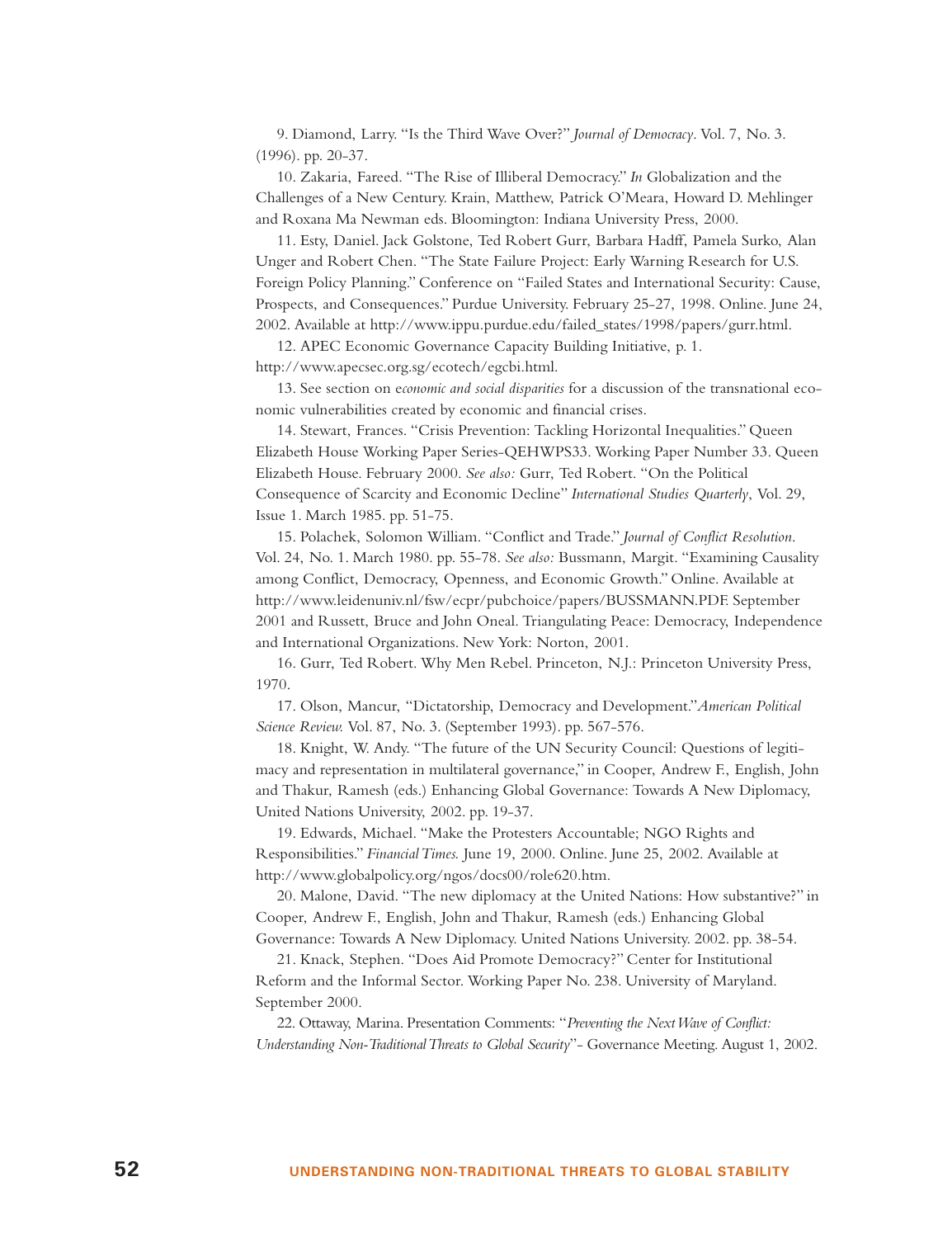9. Diamond, Larry. "Is the Third Wave Over?" *Journal of Democracy*. Vol. 7, No. 3. (1996). pp. 20-37.

10. Zakaria, Fareed. "The Rise of Illiberal Democracy." *In* Globalization and the Challenges of a New Century. Krain, Matthew, Patrick O'Meara, Howard D. Mehlinger and Roxana Ma Newman eds. Bloomington: Indiana University Press, 2000.

11. Esty, Daniel. Jack Golstone, Ted Robert Gurr, Barbara Hadff, Pamela Surko, Alan Unger and Robert Chen. "The State Failure Project: Early Warning Research for U.S. Foreign Policy Planning." Conference on "Failed States and International Security: Cause, Prospects, and Consequences." Purdue University. February 25-27, 1998. Online. June 24, 2002. Available at http://www.ippu.purdue.edu/failed\_states/1998/papers/gurr.html.

12. APEC Economic Governance Capacity Building Initiative, p. 1. http://www.apecsec.org.sg/ecotech/egcbi.html.

13. See section on e*conomic and social disparities* for a discussion of the transnational economic vulnerabilities created by economic and financial crises.

14. Stewart, Frances. "Crisis Prevention: Tackling Horizontal Inequalities." Queen Elizabeth House Working Paper Series-QEHWPS33. Working Paper Number 33. Queen Elizabeth House. February 2000. *See also:* Gurr, Ted Robert. "On the Political Consequence of Scarcity and Economic Decline" *International Studies Quarterly*, Vol. 29, Issue 1. March 1985. pp. 51-75.

15. Polachek, Solomon William. "Conflict and Trade." *Journal of Conflict Resolution*. Vol. 24, No. 1. March 1980. pp. 55-78. *See also:* Bussmann, Margit. "Examining Causality among Conflict, Democracy, Openness, and Economic Growth." Online. Available at http://www.leidenuniv.nl/fsw/ecpr/pubchoice/papers/BUSSMANN.PDF. September 2001 and Russett, Bruce and John Oneal. Triangulating Peace: Democracy, Independence and International Organizations. New York: Norton, 2001.

16. Gurr, Ted Robert. Why Men Rebel. Princeton, N.J.: Princeton University Press, 1970.

17. Olson, Mancur, "Dictatorship, Democracy and Development."*American Political Science Review.* Vol. 87, No. 3. (September 1993). pp. 567-576.

18. Knight, W. Andy. "The future of the UN Security Council: Questions of legitimacy and representation in multilateral governance," in Cooper, Andrew F., English, John and Thakur, Ramesh (eds.) Enhancing Global Governance: Towards A New Diplomacy, United Nations University, 2002. pp. 19-37.

19. Edwards, Michael. "Make the Protesters Accountable; NGO Rights and Responsibilities." *Financial Times.* June 19, 2000. Online. June 25, 2002. Available at http://www.globalpolicy.org/ngos/docs00/role620.htm.

20. Malone, David. "The new diplomacy at the United Nations: How substantive?" in Cooper, Andrew F., English, John and Thakur, Ramesh (eds.) Enhancing Global Governance: Towards A New Diplomacy. United Nations University. 2002. pp. 38-54.

21. Knack, Stephen. "Does Aid Promote Democracy?" Center for Institutional Reform and the Informal Sector. Working Paper No. 238. University of Maryland. September 2000.

22. Ottaway, Marina. Presentation Comments: "*Preventing the Next Wave of Conflict: Understanding Non-Traditional Threats to Global Security*"- Governance Meeting. August 1, 2002.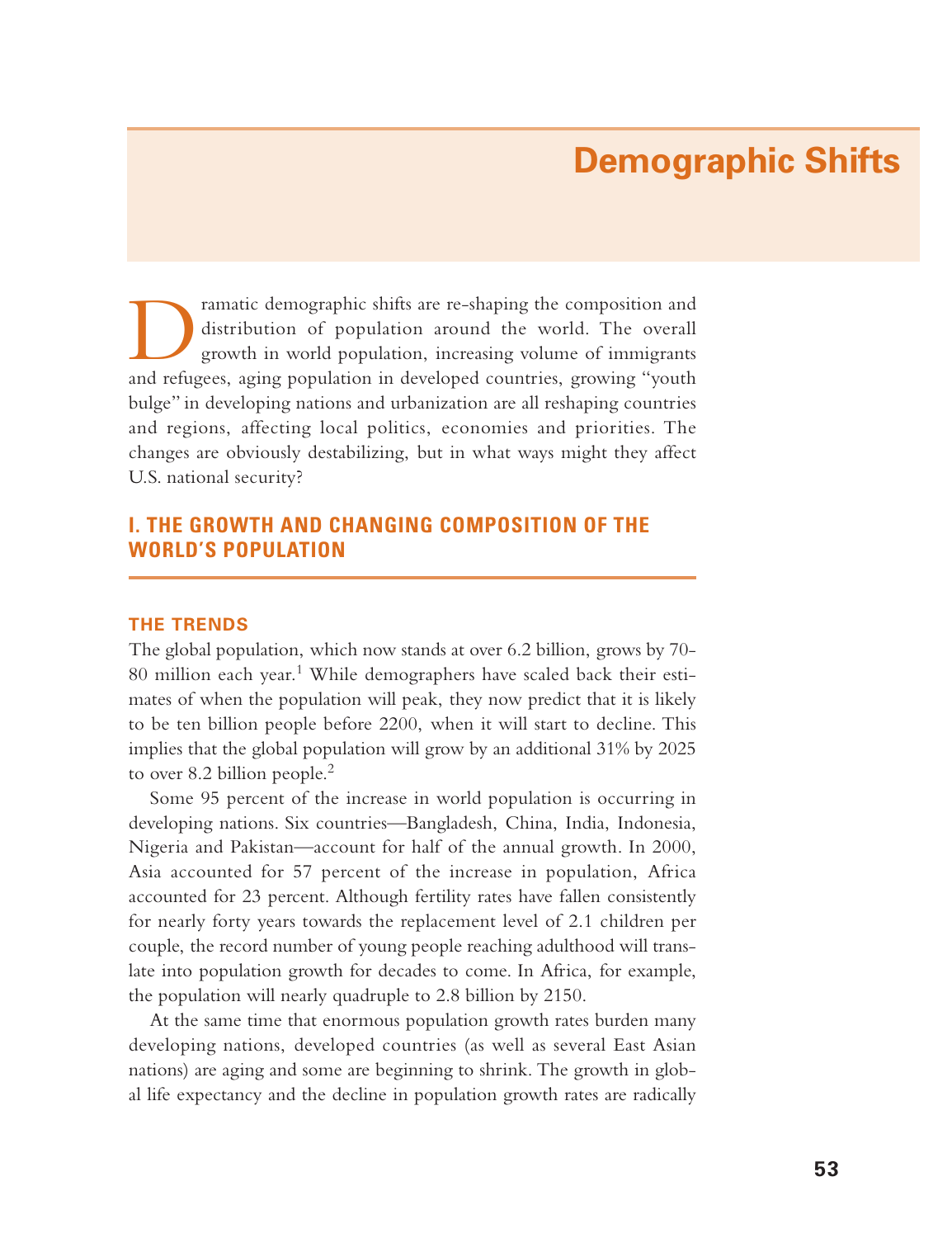# **Demographic Shifts**

ramatic demographic shifts are re-shaping the composition and distribution of population around the world. The overall growth in world population, increasing volume of immigrants and refugees, aging population in developed countries, growing "youth bulge" in developing nations and urbanization are all reshaping countries and regions, affecting local politics, economies and priorities. The changes are obviously destabilizing, but in what ways might they affect U.S. national security?

# **I. THE GROWTH AND CHANGING COMPOSITION OF THE WORLD'S POPULATION**

## **THE TRENDS**

The global population, which now stands at over 6.2 billion, grows by 70- 80 million each year.<sup>1</sup> While demographers have scaled back their estimates of when the population will peak, they now predict that it is likely to be ten billion people before 2200, when it will start to decline. This implies that the global population will grow by an additional 31% by 2025 to over 8.2 billion people.<sup>2</sup>

Some 95 percent of the increase in world population is occurring in developing nations. Six countries—Bangladesh, China, India, Indonesia, Nigeria and Pakistan—account for half of the annual growth. In 2000, Asia accounted for 57 percent of the increase in population, Africa accounted for 23 percent. Although fertility rates have fallen consistently for nearly forty years towards the replacement level of 2.1 children per couple, the record number of young people reaching adulthood will translate into population growth for decades to come. In Africa, for example, the population will nearly quadruple to 2.8 billion by 2150.

At the same time that enormous population growth rates burden many developing nations, developed countries (as well as several East Asian nations) are aging and some are beginning to shrink. The growth in global life expectancy and the decline in population growth rates are radically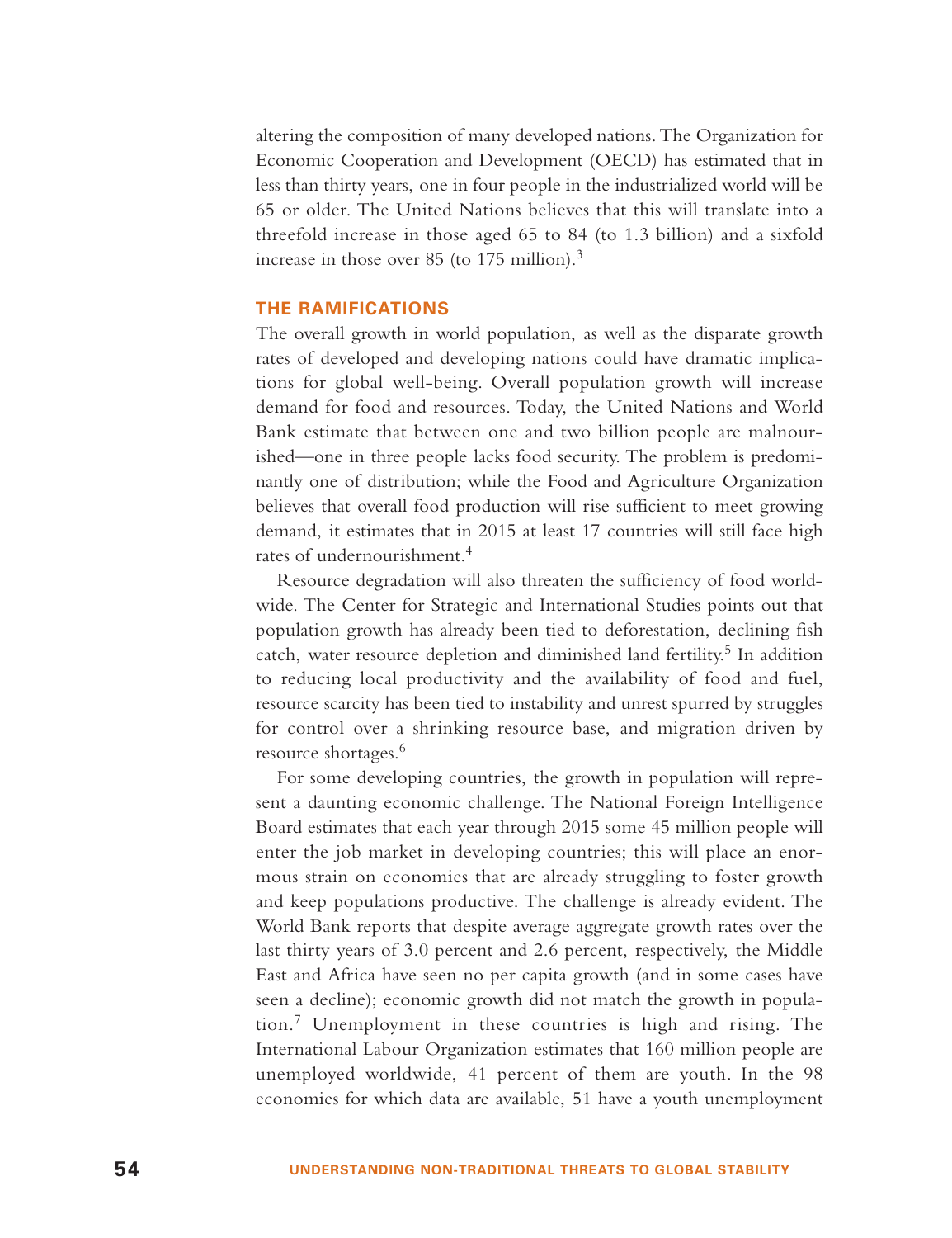altering the composition of many developed nations. The Organization for Economic Cooperation and Development (OECD) has estimated that in less than thirty years, one in four people in the industrialized world will be 65 or older. The United Nations believes that this will translate into a threefold increase in those aged 65 to 84 (to 1.3 billion) and a sixfold increase in those over 85 (to 175 million).<sup>3</sup>

## **THE RAMIFICATIONS**

The overall growth in world population, as well as the disparate growth rates of developed and developing nations could have dramatic implications for global well-being. Overall population growth will increase demand for food and resources. Today, the United Nations and World Bank estimate that between one and two billion people are malnourished—one in three people lacks food security. The problem is predominantly one of distribution; while the Food and Agriculture Organization believes that overall food production will rise sufficient to meet growing demand, it estimates that in 2015 at least 17 countries will still face high rates of undernourishment.<sup>4</sup>

Resource degradation will also threaten the sufficiency of food worldwide. The Center for Strategic and International Studies points out that population growth has already been tied to deforestation, declining fish catch, water resource depletion and diminished land fertility.<sup>5</sup> In addition to reducing local productivity and the availability of food and fuel, resource scarcity has been tied to instability and unrest spurred by struggles for control over a shrinking resource base, and migration driven by resource shortages.<sup>6</sup>

For some developing countries, the growth in population will represent a daunting economic challenge. The National Foreign Intelligence Board estimates that each year through 2015 some 45 million people will enter the job market in developing countries; this will place an enormous strain on economies that are already struggling to foster growth and keep populations productive. The challenge is already evident. The World Bank reports that despite average aggregate growth rates over the last thirty years of 3.0 percent and 2.6 percent, respectively, the Middle East and Africa have seen no per capita growth (and in some cases have seen a decline); economic growth did not match the growth in population.<sup>7</sup> Unemployment in these countries is high and rising. The International Labour Organization estimates that 160 million people are unemployed worldwide, 41 percent of them are youth. In the 98 economies for which data are available, 51 have a youth unemployment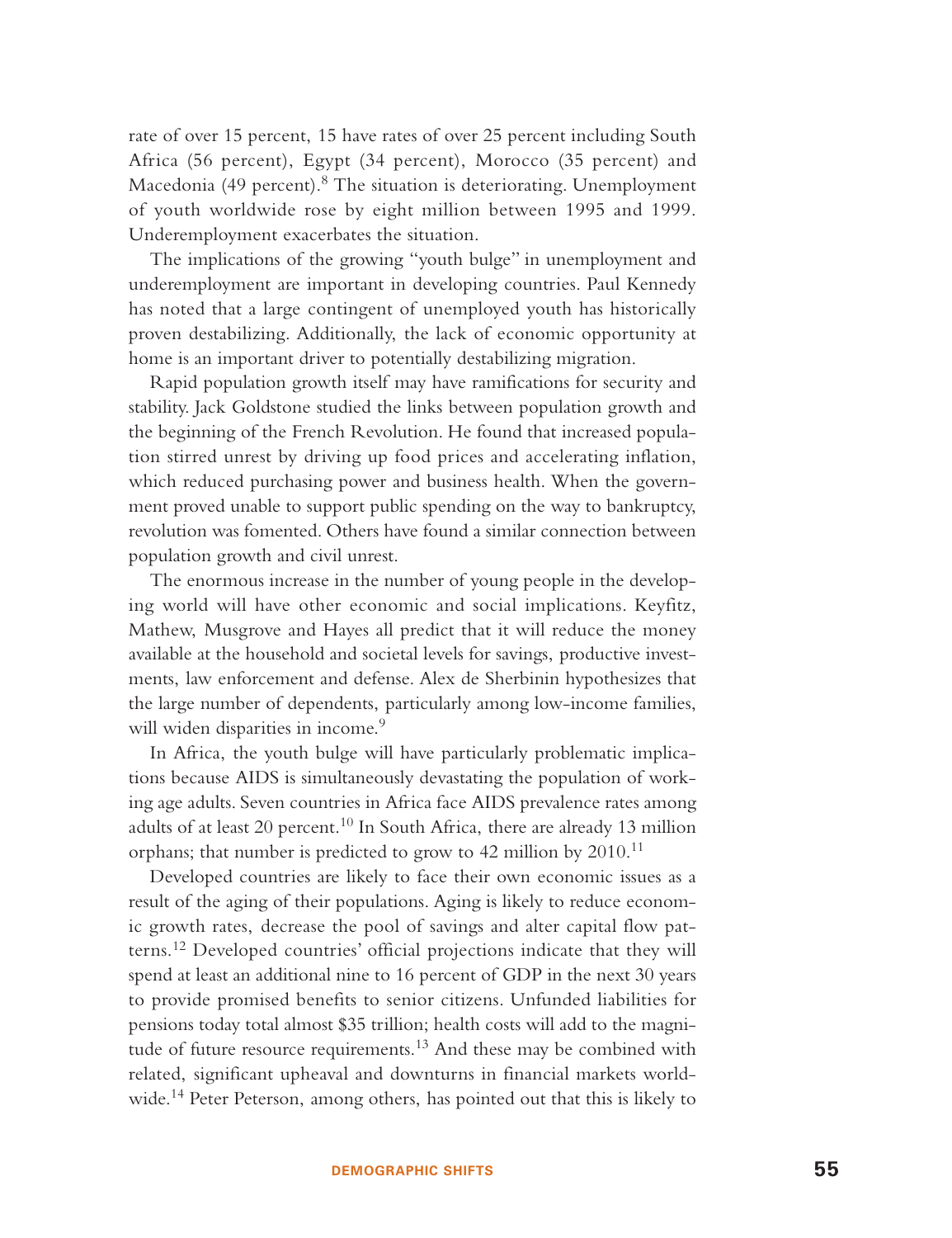rate of over 15 percent, 15 have rates of over 25 percent including South Africa (56 percent), Egypt (34 percent), Morocco (35 percent) and Macedonia (49 percent). $8$  The situation is deteriorating. Unemployment of youth worldwide rose by eight million between 1995 and 1999. Underemployment exacerbates the situation.

The implications of the growing "youth bulge" in unemployment and underemployment are important in developing countries. Paul Kennedy has noted that a large contingent of unemployed youth has historically proven destabilizing. Additionally, the lack of economic opportunity at home is an important driver to potentially destabilizing migration.

Rapid population growth itself may have ramifications for security and stability. Jack Goldstone studied the links between population growth and the beginning of the French Revolution. He found that increased population stirred unrest by driving up food prices and accelerating inflation, which reduced purchasing power and business health. When the government proved unable to support public spending on the way to bankruptcy, revolution was fomented. Others have found a similar connection between population growth and civil unrest.

The enormous increase in the number of young people in the developing world will have other economic and social implications. Keyfitz, Mathew, Musgrove and Hayes all predict that it will reduce the money available at the household and societal levels for savings, productive investments, law enforcement and defense. Alex de Sherbinin hypothesizes that the large number of dependents, particularly among low-income families, will widen disparities in income.<sup>9</sup>

In Africa, the youth bulge will have particularly problematic implications because AIDS is simultaneously devastating the population of working age adults. Seven countries in Africa face AIDS prevalence rates among adults of at least 20 percent.<sup>10</sup> In South Africa, there are already 13 million orphans; that number is predicted to grow to 42 million by  $2010$ .<sup>11</sup>

Developed countries are likely to face their own economic issues as a result of the aging of their populations. Aging is likely to reduce economic growth rates, decrease the pool of savings and alter capital flow patterns.<sup>12</sup> Developed countries' official projections indicate that they will spend at least an additional nine to 16 percent of GDP in the next 30 years to provide promised benefits to senior citizens. Unfunded liabilities for pensions today total almost \$35 trillion; health costs will add to the magnitude of future resource requirements.<sup>13</sup> And these may be combined with related, significant upheaval and downturns in financial markets worldwide.<sup>14</sup> Peter Peterson, among others, has pointed out that this is likely to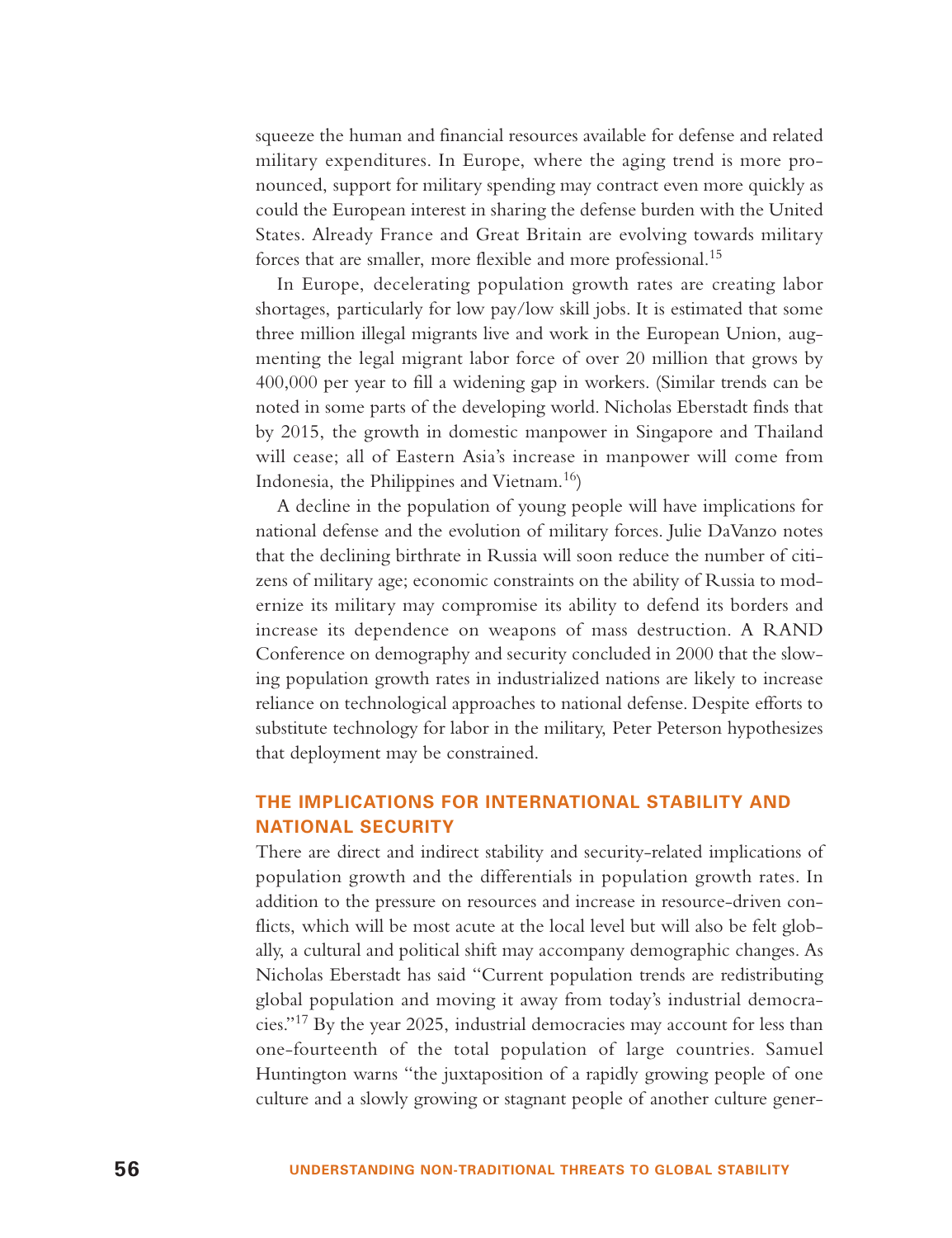squeeze the human and financial resources available for defense and related military expenditures. In Europe, where the aging trend is more pronounced, support for military spending may contract even more quickly as could the European interest in sharing the defense burden with the United States. Already France and Great Britain are evolving towards military forces that are smaller, more flexible and more professional.<sup>15</sup>

In Europe, decelerating population growth rates are creating labor shortages, particularly for low pay/low skill jobs. It is estimated that some three million illegal migrants live and work in the European Union, augmenting the legal migrant labor force of over 20 million that grows by 400,000 per year to fill a widening gap in workers. (Similar trends can be noted in some parts of the developing world. Nicholas Eberstadt finds that by 2015, the growth in domestic manpower in Singapore and Thailand will cease; all of Eastern Asia's increase in manpower will come from Indonesia, the Philippines and Vietnam.16)

A decline in the population of young people will have implications for national defense and the evolution of military forces. Julie DaVanzo notes that the declining birthrate in Russia will soon reduce the number of citizens of military age; economic constraints on the ability of Russia to modernize its military may compromise its ability to defend its borders and increase its dependence on weapons of mass destruction. A RAND Conference on demography and security concluded in 2000 that the slowing population growth rates in industrialized nations are likely to increase reliance on technological approaches to national defense. Despite efforts to substitute technology for labor in the military, Peter Peterson hypothesizes that deployment may be constrained.

## **THE IMPLICATIONS FOR INTERNATIONAL STABILITY AND NATIONAL SECURITY**

There are direct and indirect stability and security-related implications of population growth and the differentials in population growth rates. In addition to the pressure on resources and increase in resource-driven conflicts, which will be most acute at the local level but will also be felt globally, a cultural and political shift may accompany demographic changes. As Nicholas Eberstadt has said "Current population trends are redistributing global population and moving it away from today's industrial democracies."<sup>17</sup> By the year 2025, industrial democracies may account for less than one-fourteenth of the total population of large countries. Samuel Huntington warns "the juxtaposition of a rapidly growing people of one culture and a slowly growing or stagnant people of another culture gener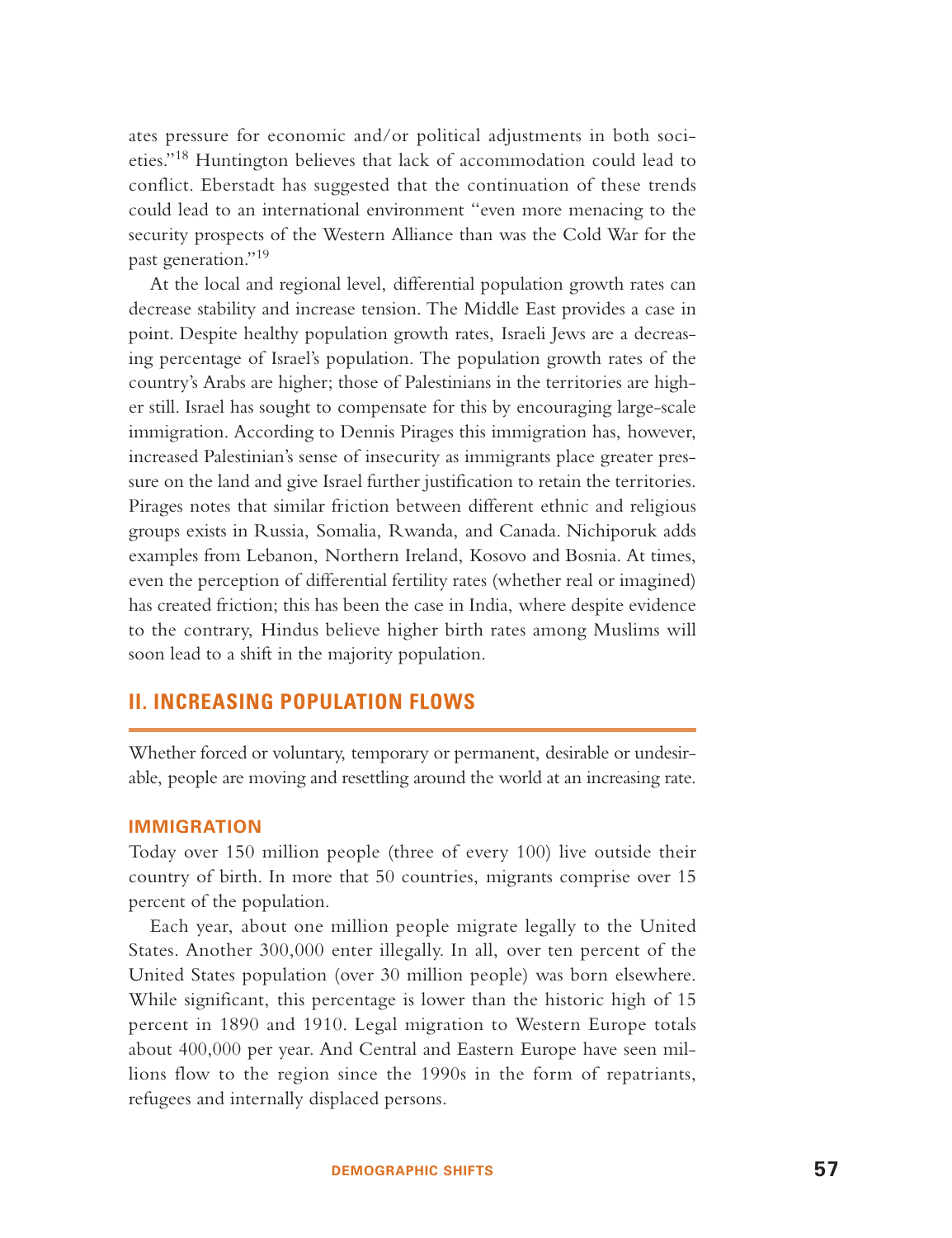ates pressure for economic and/or political adjustments in both societies."<sup>18</sup> Huntington believes that lack of accommodation could lead to conflict. Eberstadt has suggested that the continuation of these trends could lead to an international environment "even more menacing to the security prospects of the Western Alliance than was the Cold War for the past generation."<sup>19</sup>

At the local and regional level, differential population growth rates can decrease stability and increase tension. The Middle East provides a case in point. Despite healthy population growth rates, Israeli Jews are a decreasing percentage of Israel's population. The population growth rates of the country's Arabs are higher; those of Palestinians in the territories are higher still. Israel has sought to compensate for this by encouraging large-scale immigration. According to Dennis Pirages this immigration has, however, increased Palestinian's sense of insecurity as immigrants place greater pressure on the land and give Israel further justification to retain the territories. Pirages notes that similar friction between different ethnic and religious groups exists in Russia, Somalia, Rwanda, and Canada. Nichiporuk adds examples from Lebanon, Northern Ireland, Kosovo and Bosnia. At times, even the perception of differential fertility rates (whether real or imagined) has created friction; this has been the case in India, where despite evidence to the contrary, Hindus believe higher birth rates among Muslims will soon lead to a shift in the majority population.

# **II. INCREASING POPULATION FLOWS**

Whether forced or voluntary, temporary or permanent, desirable or undesirable, people are moving and resettling around the world at an increasing rate.

## **IMMIGRATION**

Today over 150 million people (three of every 100) live outside their country of birth. In more that 50 countries, migrants comprise over 15 percent of the population.

Each year, about one million people migrate legally to the United States. Another 300,000 enter illegally. In all, over ten percent of the United States population (over 30 million people) was born elsewhere. While significant, this percentage is lower than the historic high of 15 percent in 1890 and 1910. Legal migration to Western Europe totals about 400,000 per year. And Central and Eastern Europe have seen millions flow to the region since the 1990s in the form of repatriants, refugees and internally displaced persons.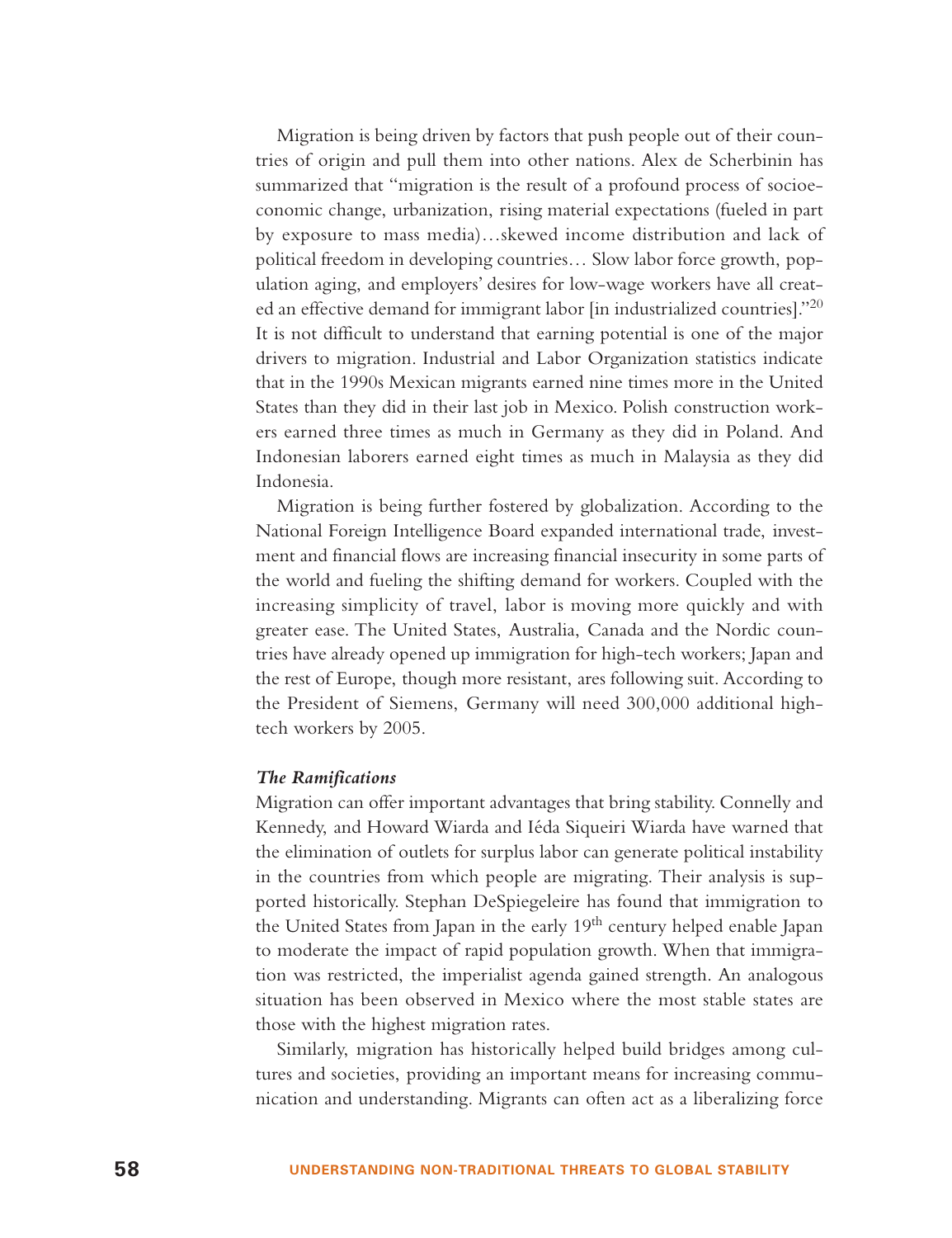Migration is being driven by factors that push people out of their countries of origin and pull them into other nations. Alex de Scherbinin has summarized that "migration is the result of a profound process of socioeconomic change, urbanization, rising material expectations (fueled in part by exposure to mass media)…skewed income distribution and lack of political freedom in developing countries… Slow labor force growth, population aging, and employers' desires for low-wage workers have all created an effective demand for immigrant labor [in industrialized countries]."<sup>20</sup> It is not difficult to understand that earning potential is one of the major drivers to migration. Industrial and Labor Organization statistics indicate that in the 1990s Mexican migrants earned nine times more in the United States than they did in their last job in Mexico. Polish construction workers earned three times as much in Germany as they did in Poland. And Indonesian laborers earned eight times as much in Malaysia as they did Indonesia.

Migration is being further fostered by globalization. According to the National Foreign Intelligence Board expanded international trade, investment and financial flows are increasing financial insecurity in some parts of the world and fueling the shifting demand for workers. Coupled with the increasing simplicity of travel, labor is moving more quickly and with greater ease. The United States, Australia, Canada and the Nordic countries have already opened up immigration for high-tech workers; Japan and the rest of Europe, though more resistant, ares following suit. According to the President of Siemens, Germany will need 300,000 additional hightech workers by 2005.

#### *The Ramifications*

Migration can offer important advantages that bring stability. Connelly and Kennedy, and Howard Wiarda and Iéda Siqueiri Wiarda have warned that the elimination of outlets for surplus labor can generate political instability in the countries from which people are migrating. Their analysis is supported historically. Stephan DeSpiegeleire has found that immigration to the United States from Japan in the early 19<sup>th</sup> century helped enable Japan to moderate the impact of rapid population growth. When that immigration was restricted, the imperialist agenda gained strength. An analogous situation has been observed in Mexico where the most stable states are those with the highest migration rates.

Similarly, migration has historically helped build bridges among cultures and societies, providing an important means for increasing communication and understanding. Migrants can often act as a liberalizing force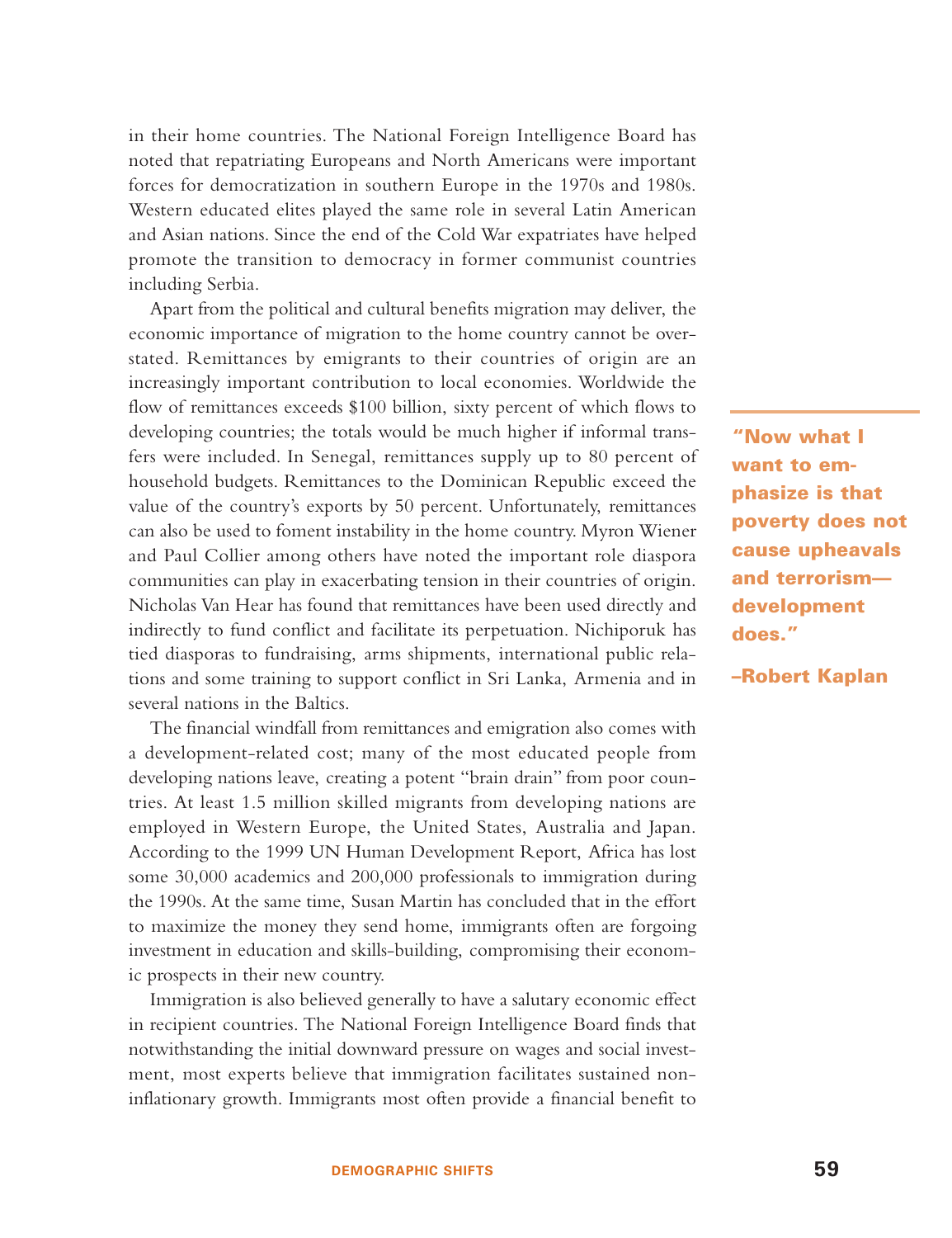in their home countries. The National Foreign Intelligence Board has noted that repatriating Europeans and North Americans were important forces for democratization in southern Europe in the 1970s and 1980s. Western educated elites played the same role in several Latin American and Asian nations. Since the end of the Cold War expatriates have helped promote the transition to democracy in former communist countries including Serbia.

Apart from the political and cultural benefits migration may deliver, the economic importance of migration to the home country cannot be overstated. Remittances by emigrants to their countries of origin are an increasingly important contribution to local economies. Worldwide the flow of remittances exceeds \$100 billion, sixty percent of which flows to developing countries; the totals would be much higher if informal transfers were included. In Senegal, remittances supply up to 80 percent of household budgets. Remittances to the Dominican Republic exceed the value of the country's exports by 50 percent. Unfortunately, remittances can also be used to foment instability in the home country. Myron Wiener and Paul Collier among others have noted the important role diaspora communities can play in exacerbating tension in their countries of origin. Nicholas Van Hear has found that remittances have been used directly and indirectly to fund conflict and facilitate its perpetuation. Nichiporuk has tied diasporas to fundraising, arms shipments, international public relations and some training to support conflict in Sri Lanka, Armenia and in several nations in the Baltics.

The financial windfall from remittances and emigration also comes with a development-related cost; many of the most educated people from developing nations leave, creating a potent "brain drain" from poor countries. At least 1.5 million skilled migrants from developing nations are employed in Western Europe, the United States, Australia and Japan. According to the 1999 UN Human Development Report, Africa has lost some 30,000 academics and 200,000 professionals to immigration during the 1990s. At the same time, Susan Martin has concluded that in the effort to maximize the money they send home, immigrants often are forgoing investment in education and skills-building, compromising their economic prospects in their new country.

Immigration is also believed generally to have a salutary economic effect in recipient countries. The National Foreign Intelligence Board finds that notwithstanding the initial downward pressure on wages and social investment, most experts believe that immigration facilitates sustained noninflationary growth. Immigrants most often provide a financial benefit to

**"Now what I want to emphasize is that poverty does not cause upheavals and terrorism development does."**

**–Robert Kaplan**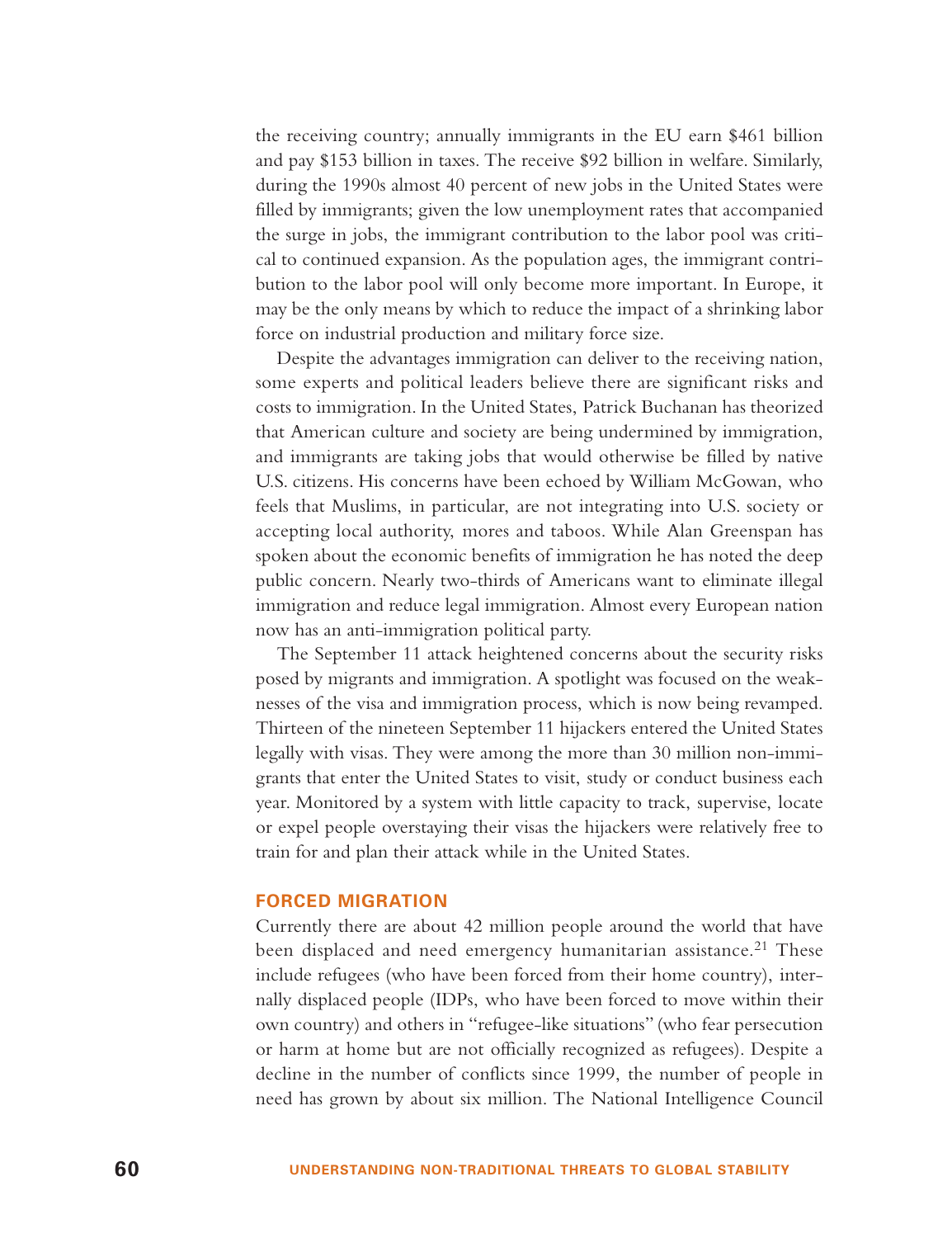the receiving country; annually immigrants in the EU earn \$461 billion and pay \$153 billion in taxes. The receive \$92 billion in welfare. Similarly, during the 1990s almost 40 percent of new jobs in the United States were filled by immigrants; given the low unemployment rates that accompanied the surge in jobs, the immigrant contribution to the labor pool was critical to continued expansion. As the population ages, the immigrant contribution to the labor pool will only become more important. In Europe, it may be the only means by which to reduce the impact of a shrinking labor force on industrial production and military force size.

Despite the advantages immigration can deliver to the receiving nation, some experts and political leaders believe there are significant risks and costs to immigration. In the United States, Patrick Buchanan has theorized that American culture and society are being undermined by immigration, and immigrants are taking jobs that would otherwise be filled by native U.S. citizens. His concerns have been echoed by William McGowan, who feels that Muslims, in particular, are not integrating into U.S. society or accepting local authority, mores and taboos. While Alan Greenspan has spoken about the economic benefits of immigration he has noted the deep public concern. Nearly two-thirds of Americans want to eliminate illegal immigration and reduce legal immigration. Almost every European nation now has an anti-immigration political party.

The September 11 attack heightened concerns about the security risks posed by migrants and immigration. A spotlight was focused on the weaknesses of the visa and immigration process, which is now being revamped. Thirteen of the nineteen September 11 hijackers entered the United States legally with visas. They were among the more than 30 million non-immigrants that enter the United States to visit, study or conduct business each year. Monitored by a system with little capacity to track, supervise, locate or expel people overstaying their visas the hijackers were relatively free to train for and plan their attack while in the United States.

#### **FORCED MIGRATION**

Currently there are about 42 million people around the world that have been displaced and need emergency humanitarian assistance.<sup>21</sup> These include refugees (who have been forced from their home country), internally displaced people (IDPs, who have been forced to move within their own country) and others in "refugee-like situations" (who fear persecution or harm at home but are not officially recognized as refugees). Despite a decline in the number of conflicts since 1999, the number of people in need has grown by about six million. The National Intelligence Council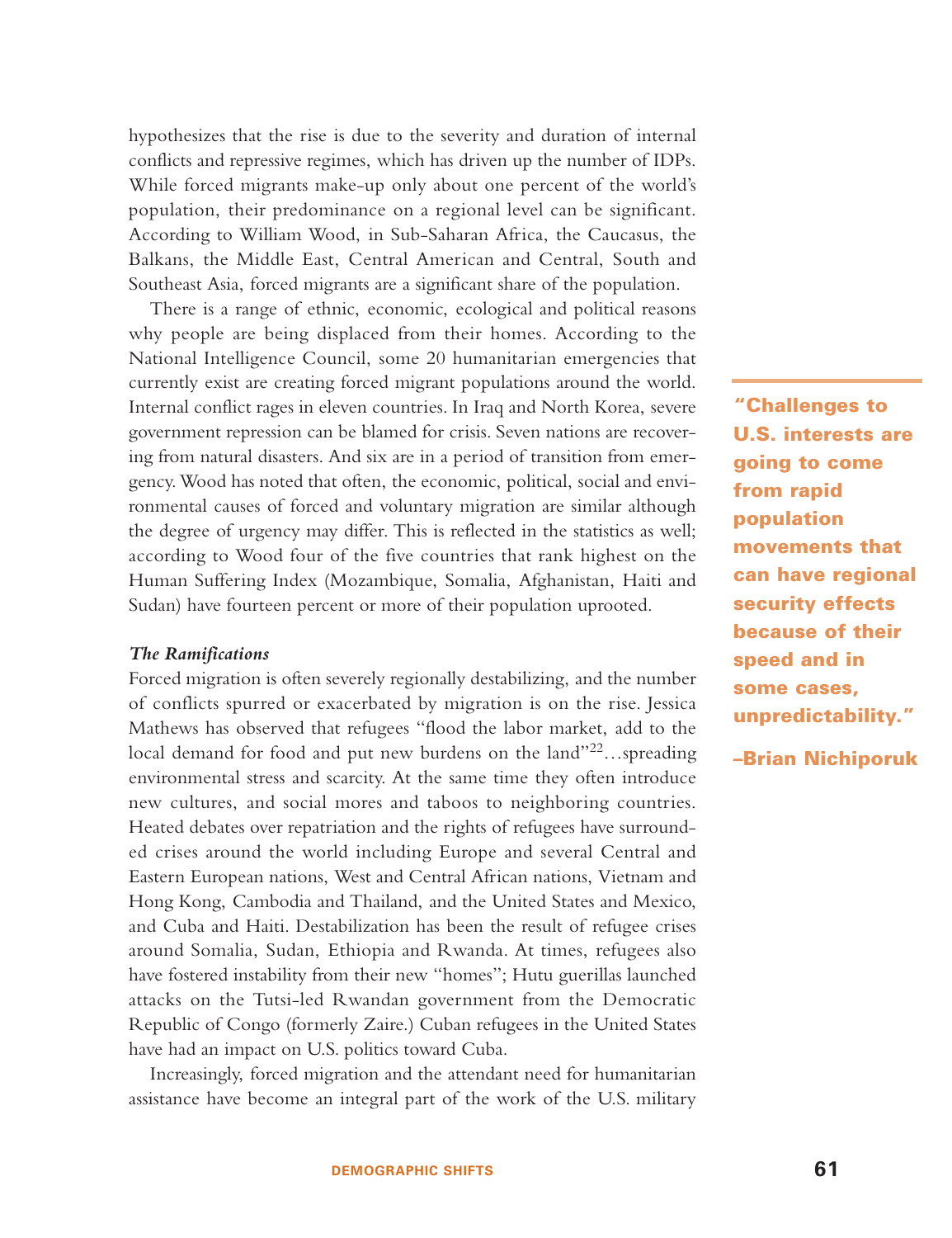hypothesizes that the rise is due to the severity and duration of internal conflicts and repressive regimes, which has driven up the number of IDPs. While forced migrants make-up only about one percent of the world's population, their predominance on a regional level can be significant. According to William Wood, in Sub-Saharan Africa, the Caucasus, the Balkans, the Middle East, Central American and Central, South and Southeast Asia, forced migrants are a significant share of the population.

There is a range of ethnic, economic, ecological and political reasons why people are being displaced from their homes. According to the National Intelligence Council, some 20 humanitarian emergencies that currently exist are creating forced migrant populations around the world. Internal conflict rages in eleven countries. In Iraq and North Korea, severe government repression can be blamed for crisis. Seven nations are recovering from natural disasters. And six are in a period of transition from emergency. Wood has noted that often, the economic, political, social and environmental causes of forced and voluntary migration are similar although the degree of urgency may differ. This is reflected in the statistics as well; according to Wood four of the five countries that rank highest on the Human Suffering Index (Mozambique, Somalia, Afghanistan, Haiti and Sudan) have fourteen percent or more of their population uprooted.

#### *The Ramifications*

Forced migration is often severely regionally destabilizing, and the number of conflicts spurred or exacerbated by migration is on the rise. Jessica Mathews has observed that refugees "flood the labor market, add to the local demand for food and put new burdens on the land"<sup>22</sup>...spreading environmental stress and scarcity. At the same time they often introduce new cultures, and social mores and taboos to neighboring countries. Heated debates over repatriation and the rights of refugees have surrounded crises around the world including Europe and several Central and Eastern European nations, West and Central African nations, Vietnam and Hong Kong, Cambodia and Thailand, and the United States and Mexico, and Cuba and Haiti. Destabilization has been the result of refugee crises around Somalia, Sudan, Ethiopia and Rwanda. At times, refugees also have fostered instability from their new "homes"; Hutu guerillas launched attacks on the Tutsi-led Rwandan government from the Democratic Republic of Congo (formerly Zaire.) Cuban refugees in the United States have had an impact on U.S. politics toward Cuba.

Increasingly, forced migration and the attendant need for humanitarian assistance have become an integral part of the work of the U.S. military

**"Challenges to U.S. interests are going to come from rapid population movements that can have regional security effects because of their speed and in some cases, unpredictability."**

**–Brian Nichiporuk**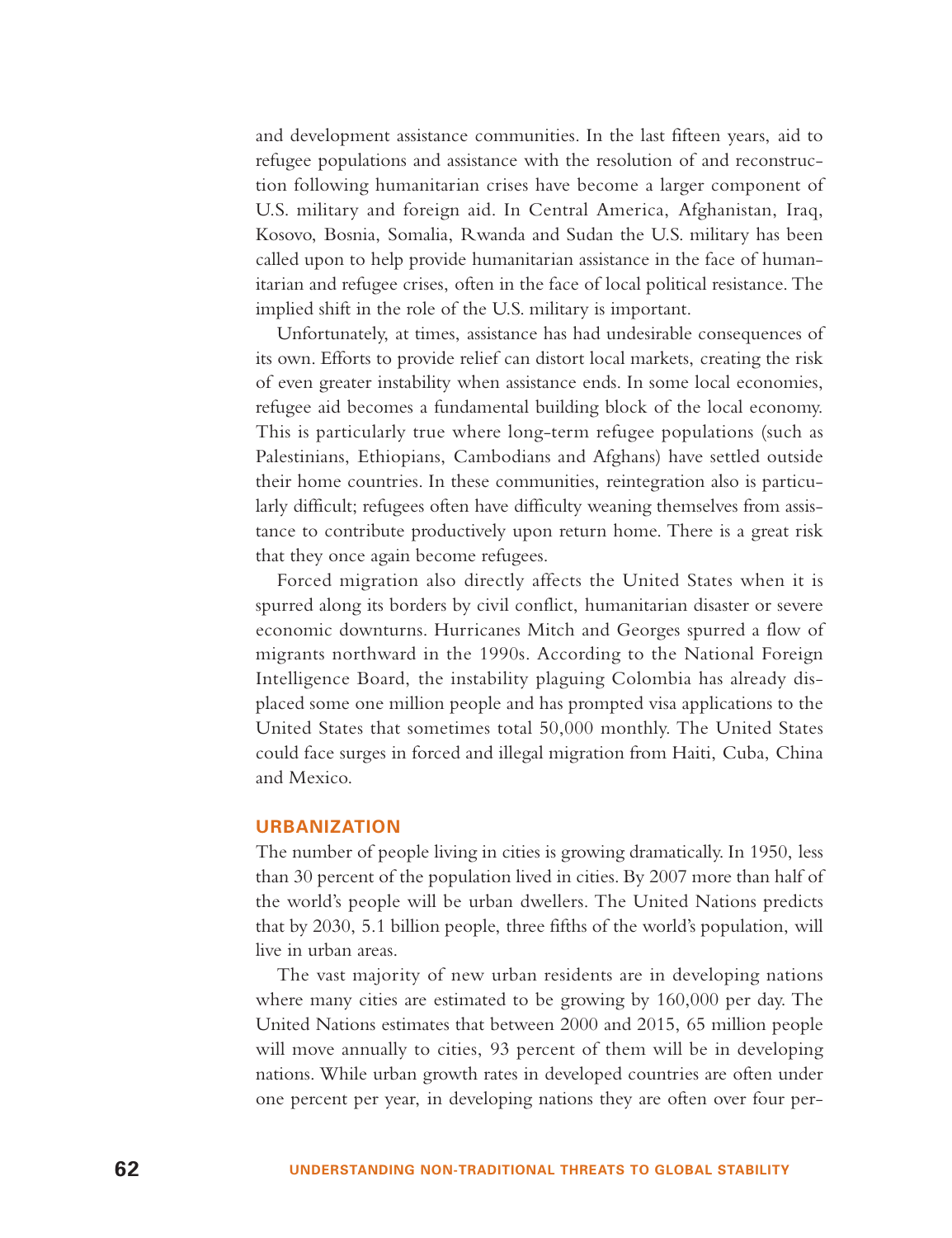and development assistance communities. In the last fifteen years, aid to refugee populations and assistance with the resolution of and reconstruction following humanitarian crises have become a larger component of U.S. military and foreign aid. In Central America, Afghanistan, Iraq, Kosovo, Bosnia, Somalia, Rwanda and Sudan the U.S. military has been called upon to help provide humanitarian assistance in the face of humanitarian and refugee crises, often in the face of local political resistance. The implied shift in the role of the U.S. military is important.

Unfortunately, at times, assistance has had undesirable consequences of its own. Efforts to provide relief can distort local markets, creating the risk of even greater instability when assistance ends. In some local economies, refugee aid becomes a fundamental building block of the local economy. This is particularly true where long-term refugee populations (such as Palestinians, Ethiopians, Cambodians and Afghans) have settled outside their home countries. In these communities, reintegration also is particularly difficult; refugees often have difficulty weaning themselves from assistance to contribute productively upon return home. There is a great risk that they once again become refugees.

Forced migration also directly affects the United States when it is spurred along its borders by civil conflict, humanitarian disaster or severe economic downturns. Hurricanes Mitch and Georges spurred a flow of migrants northward in the 1990s. According to the National Foreign Intelligence Board, the instability plaguing Colombia has already displaced some one million people and has prompted visa applications to the United States that sometimes total 50,000 monthly. The United States could face surges in forced and illegal migration from Haiti, Cuba, China and Mexico.

## **URBANIZATION**

The number of people living in cities is growing dramatically. In 1950, less than 30 percent of the population lived in cities. By 2007 more than half of the world's people will be urban dwellers. The United Nations predicts that by 2030, 5.1 billion people, three fifths of the world's population, will live in urban areas.

The vast majority of new urban residents are in developing nations where many cities are estimated to be growing by 160,000 per day. The United Nations estimates that between 2000 and 2015, 65 million people will move annually to cities, 93 percent of them will be in developing nations. While urban growth rates in developed countries are often under one percent per year, in developing nations they are often over four per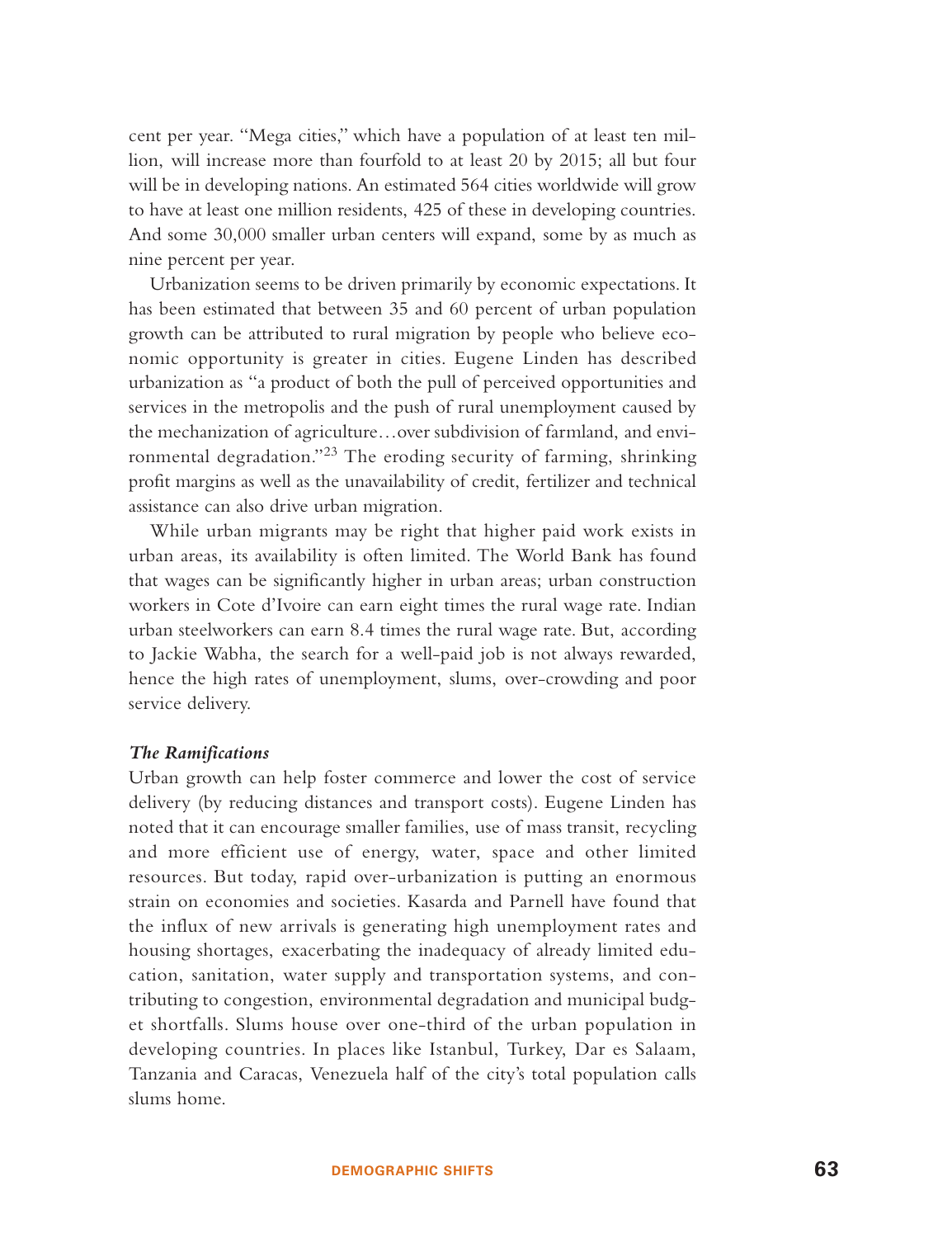cent per year. "Mega cities," which have a population of at least ten million, will increase more than fourfold to at least 20 by 2015; all but four will be in developing nations. An estimated 564 cities worldwide will grow to have at least one million residents, 425 of these in developing countries. And some 30,000 smaller urban centers will expand, some by as much as nine percent per year.

Urbanization seems to be driven primarily by economic expectations. It has been estimated that between 35 and 60 percent of urban population growth can be attributed to rural migration by people who believe economic opportunity is greater in cities. Eugene Linden has described urbanization as "a product of both the pull of perceived opportunities and services in the metropolis and the push of rural unemployment caused by the mechanization of agriculture…over subdivision of farmland, and environmental degradation."<sup>23</sup> The eroding security of farming, shrinking profit margins as well as the unavailability of credit, fertilizer and technical assistance can also drive urban migration.

While urban migrants may be right that higher paid work exists in urban areas, its availability is often limited. The World Bank has found that wages can be significantly higher in urban areas; urban construction workers in Cote d'Ivoire can earn eight times the rural wage rate. Indian urban steelworkers can earn 8.4 times the rural wage rate. But, according to Jackie Wabha, the search for a well-paid job is not always rewarded, hence the high rates of unemployment, slums, over-crowding and poor service delivery.

#### *The Ramifications*

Urban growth can help foster commerce and lower the cost of service delivery (by reducing distances and transport costs). Eugene Linden has noted that it can encourage smaller families, use of mass transit, recycling and more efficient use of energy, water, space and other limited resources. But today, rapid over-urbanization is putting an enormous strain on economies and societies. Kasarda and Parnell have found that the influx of new arrivals is generating high unemployment rates and housing shortages, exacerbating the inadequacy of already limited education, sanitation, water supply and transportation systems, and contributing to congestion, environmental degradation and municipal budget shortfalls. Slums house over one-third of the urban population in developing countries. In places like Istanbul, Turkey, Dar es Salaam, Tanzania and Caracas, Venezuela half of the city's total population calls slums home.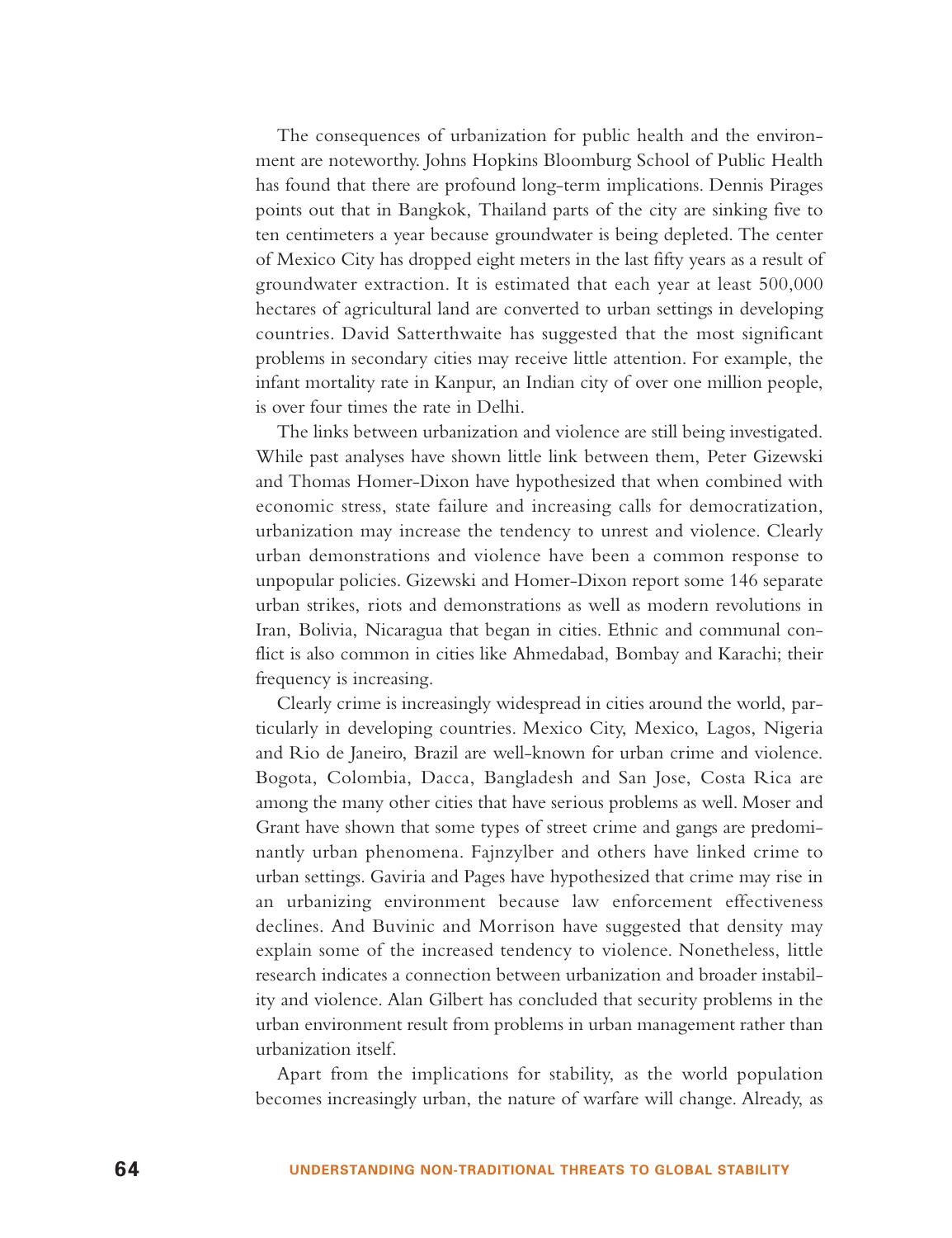The consequences of urbanization for public health and the environment are noteworthy. Johns Hopkins Bloomburg School of Public Health has found that there are profound long-term implications. Dennis Pirages points out that in Bangkok, Thailand parts of the city are sinking five to ten centimeters a year because groundwater is being depleted. The center of Mexico City has dropped eight meters in the last fifty years as a result of groundwater extraction. It is estimated that each year at least 500,000 hectares of agricultural land are converted to urban settings in developing countries. David Satterthwaite has suggested that the most significant problems in secondary cities may receive little attention. For example, the infant mortality rate in Kanpur, an Indian city of over one million people, is over four times the rate in Delhi.

The links between urbanization and violence are still being investigated. While past analyses have shown little link between them, Peter Gizewski and Thomas Homer-Dixon have hypothesized that when combined with economic stress, state failure and increasing calls for democratization, urbanization may increase the tendency to unrest and violence. Clearly urban demonstrations and violence have been a common response to unpopular policies. Gizewski and Homer-Dixon report some 146 separate urban strikes, riots and demonstrations as well as modern revolutions in Iran, Bolivia, Nicaragua that began in cities. Ethnic and communal conflict is also common in cities like Ahmedabad, Bombay and Karachi; their frequency is increasing.

Clearly crime is increasingly widespread in cities around the world, particularly in developing countries. Mexico City, Mexico, Lagos, Nigeria and Rio de Janeiro, Brazil are well-known for urban crime and violence. Bogota, Colombia, Dacca, Bangladesh and San Jose, Costa Rica are among the many other cities that have serious problems as well. Moser and Grant have shown that some types of street crime and gangs are predominantly urban phenomena. Fajnzylber and others have linked crime to urban settings. Gaviria and Pages have hypothesized that crime may rise in an urbanizing environment because law enforcement effectiveness declines. And Buvinic and Morrison have suggested that density may explain some of the increased tendency to violence. Nonetheless, little research indicates a connection between urbanization and broader instability and violence. Alan Gilbert has concluded that security problems in the urban environment result from problems in urban management rather than urbanization itself.

Apart from the implications for stability, as the world population becomes increasingly urban, the nature of warfare will change. Already, as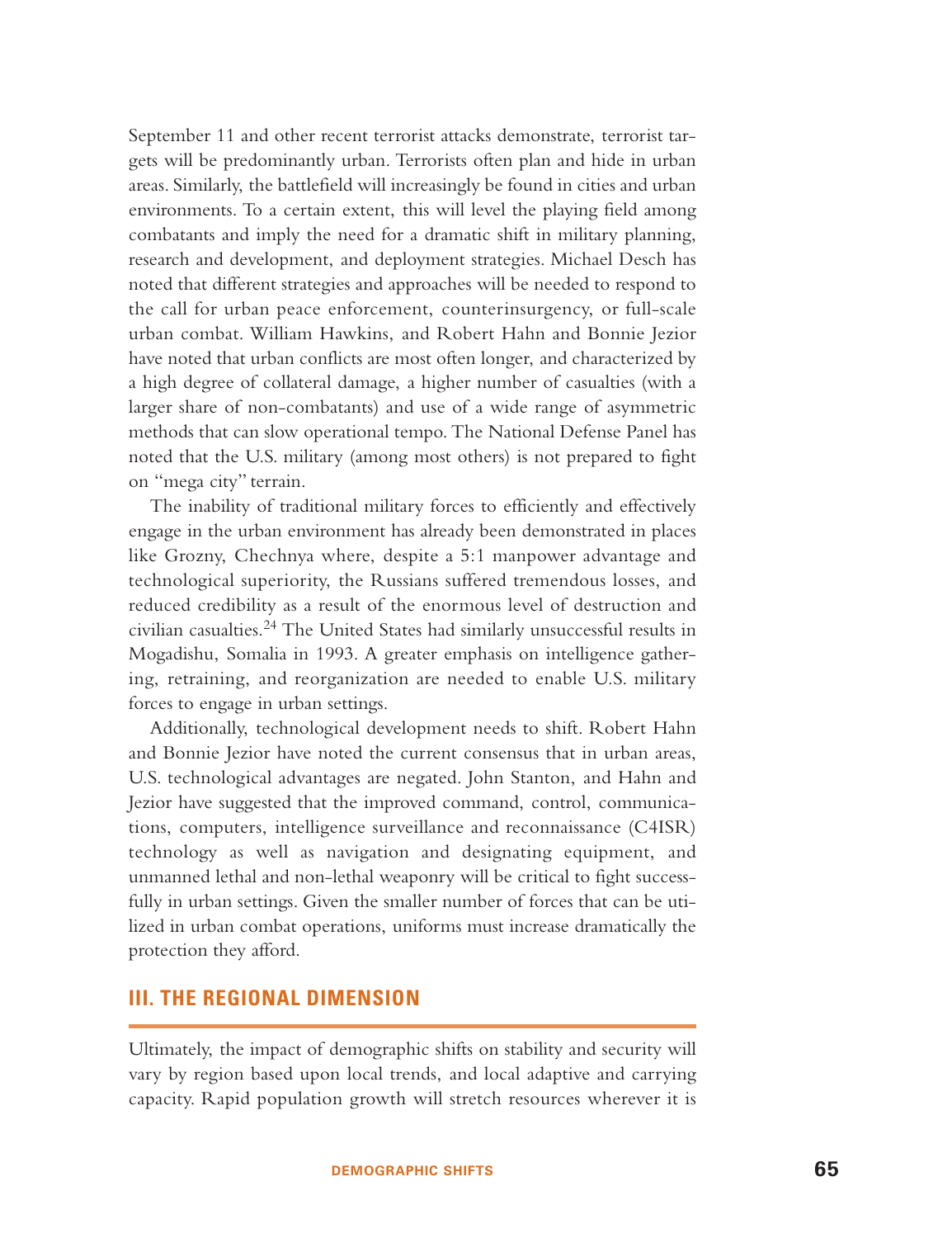September 11 and other recent terrorist attacks demonstrate, terrorist targets will be predominantly urban. Terrorists often plan and hide in urban areas. Similarly, the battlefield will increasingly be found in cities and urban environments. To a certain extent, this will level the playing field among combatants and imply the need for a dramatic shift in military planning, research and development, and deployment strategies. Michael Desch has noted that different strategies and approaches will be needed to respond to the call for urban peace enforcement, counterinsurgency, or full-scale urban combat. William Hawkins, and Robert Hahn and Bonnie Jezior have noted that urban conflicts are most often longer, and characterized by a high degree of collateral damage, a higher number of casualties (with a larger share of non-combatants) and use of a wide range of asymmetric methods that can slow operational tempo. The National Defense Panel has noted that the U.S. military (among most others) is not prepared to fight on "mega city" terrain.

The inability of traditional military forces to efficiently and effectively engage in the urban environment has already been demonstrated in places like Grozny, Chechnya where, despite a 5:1 manpower advantage and technological superiority, the Russians suffered tremendous losses, and reduced credibility as a result of the enormous level of destruction and civilian casualties.<sup>24</sup> The United States had similarly unsuccessful results in Mogadishu, Somalia in 1993. A greater emphasis on intelligence gathering, retraining, and reorganization are needed to enable U.S. military forces to engage in urban settings.

Additionally, technological development needs to shift. Robert Hahn and Bonnie Jezior have noted the current consensus that in urban areas, U.S. technological advantages are negated. John Stanton, and Hahn and Jezior have suggested that the improved command, control, communications, computers, intelligence surveillance and reconnaissance (C4ISR) technology as well as navigation and designating equipment, and unmanned lethal and non-lethal weaponry will be critical to fight successfully in urban settings. Given the smaller number of forces that can be utilized in urban combat operations, uniforms must increase dramatically the protection they afford.

## **III. THE REGIONAL DIMENSION**

Ultimately, the impact of demographic shifts on stability and security will vary by region based upon local trends, and local adaptive and carrying capacity. Rapid population growth will stretch resources wherever it is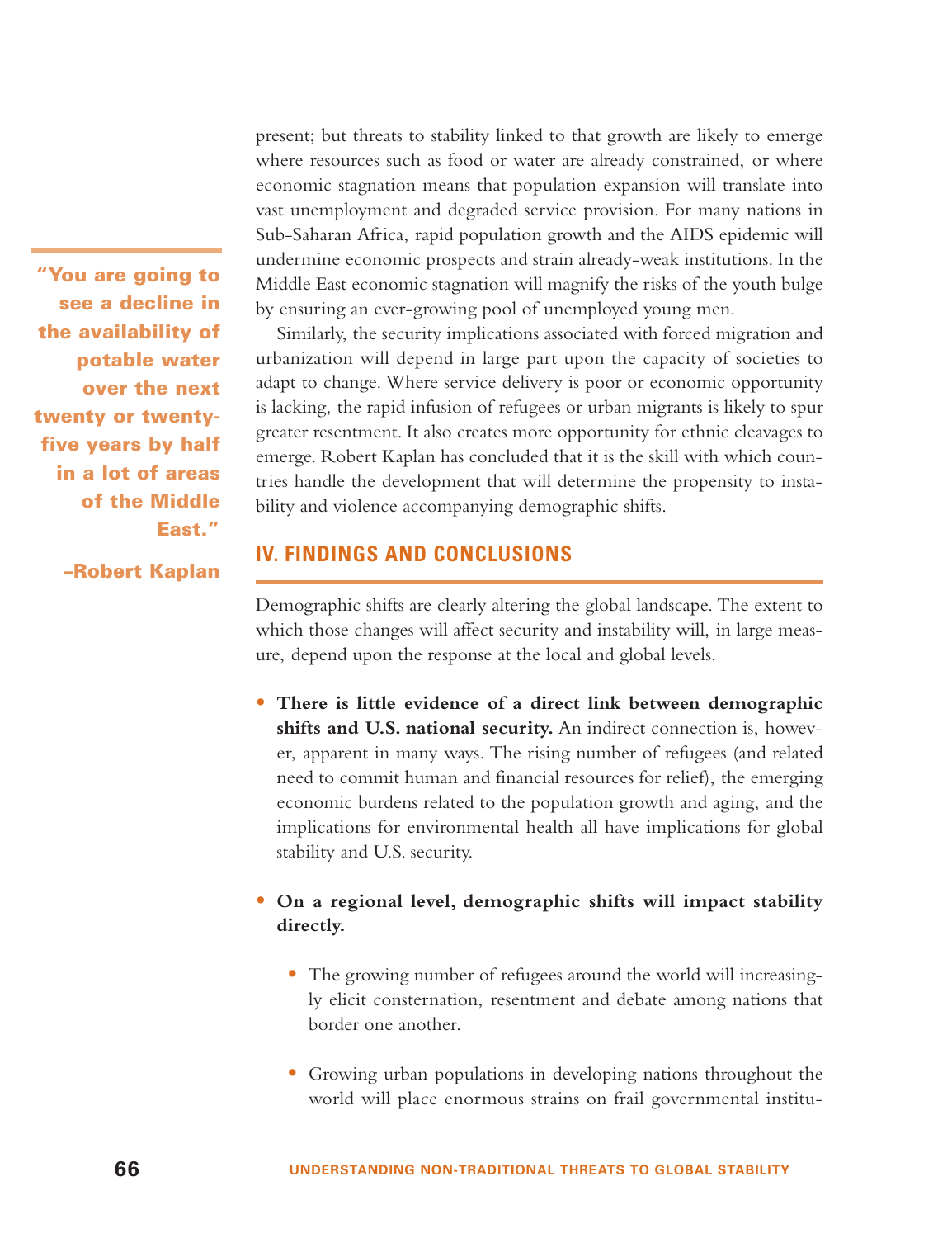where resources such as food or water are already constrained, or where economic stagnation means that population expansion will translate into vast unemployment and degraded service provision. For many nations in Sub-Saharan Africa, rapid population growth and the AIDS epidemic will undermine economic prospects and strain already-weak institutions. In the Middle East economic stagnation will magnify the risks of the youth bulge by ensuring an ever-growing pool of unemployed young men. Similarly, the security implications associated with forced migration and

urbanization will depend in large part upon the capacity of societies to adapt to change. Where service delivery is poor or economic opportunity is lacking, the rapid infusion of refugees or urban migrants is likely to spur greater resentment. It also creates more opportunity for ethnic cleavages to emerge. Robert Kaplan has concluded that it is the skill with which countries handle the development that will determine the propensity to instability and violence accompanying demographic shifts.

present; but threats to stability linked to that growth are likely to emerge

# **IV. FINDINGS AND CONCLUSIONS**

Demographic shifts are clearly altering the global landscape. The extent to which those changes will affect security and instability will, in large measure, depend upon the response at the local and global levels.

• **There is little evidence of a direct link between demographic** shifts and U.S. national security. An indirect connection is, however, apparent in many ways. The rising number of refugees (and related need to commit human and financial resources for relief), the emerging economic burdens related to the population growth and aging, and the implications for environmental health all have implications for global stability and U.S. security.

# • **On a regional level, demographic shifts will impact stability directly.**

- The growing number of refugees around the world will increasingly elicit consternation, resentment and debate among nations that border one another.
- Growing urban populations in developing nations throughout the world will place enormous strains on frail governmental institu-

**"You are going to see a decline in the availability of potable water over the next twenty or twentyfive years by half in a lot of areas of the Middle East."**

**–Robert Kaplan**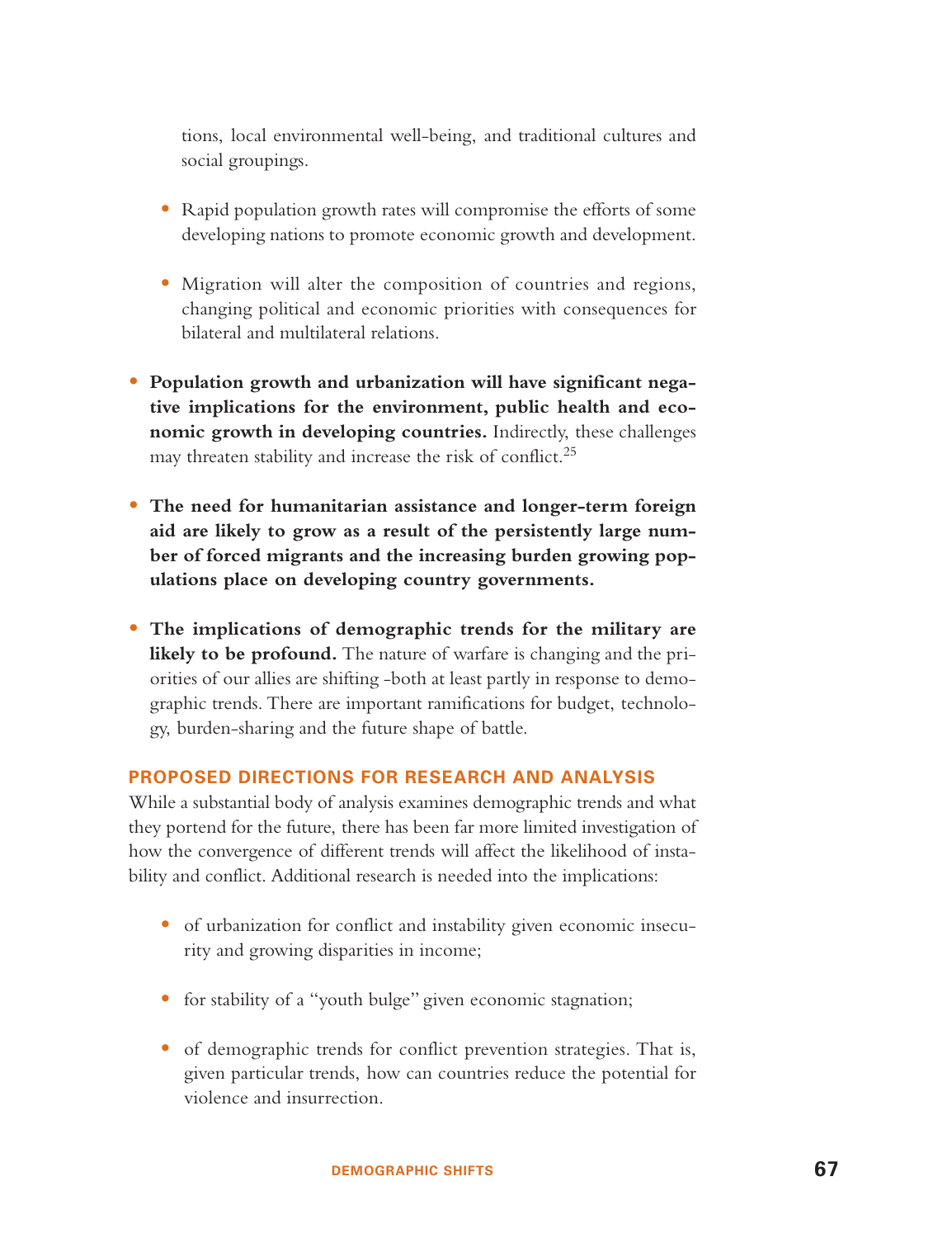tions, local environmental well-being, and traditional cultures and social groupings.

- Rapid population growth rates will compromise the efforts of some developing nations to promote economic growth and development.
- Migration will alter the composition of countries and regions, changing political and economic priorities with consequences for bilateral and multilateral relations.
- **Population growth and urbanization will have significant negative implications for the environment, public health and economic growth in developing countries.** Indirectly, these challenges may threaten stability and increase the risk of conflict.<sup>25</sup>
- **The need for humanitarian assistance and longer-term foreign aid are likely to grow as a result of the persistently large number of forced migrants and the increasing burden growing populations place on developing country governments.**
- **The implications of demographic trends for the military are** likely to be profound. The nature of warfare is changing and the priorities of our allies are shifting -both at least partly in response to demographic trends. There are important ramifications for budget, technology, burden-sharing and the future shape of battle.

## **PROPOSED DIRECTIONS FOR RESEARCH AND ANALYSIS**

While a substantial body of analysis examines demographic trends and what they portend for the future, there has been far more limited investigation of how the convergence of different trends will affect the likelihood of instability and conflict. Additional research is needed into the implications:

- of urbanization for conflict and instability given economic insecurity and growing disparities in income;
- for stability of a "youth bulge" given economic stagnation;
- of demographic trends for conflict prevention strategies. That is, given particular trends, how can countries reduce the potential for violence and insurrection.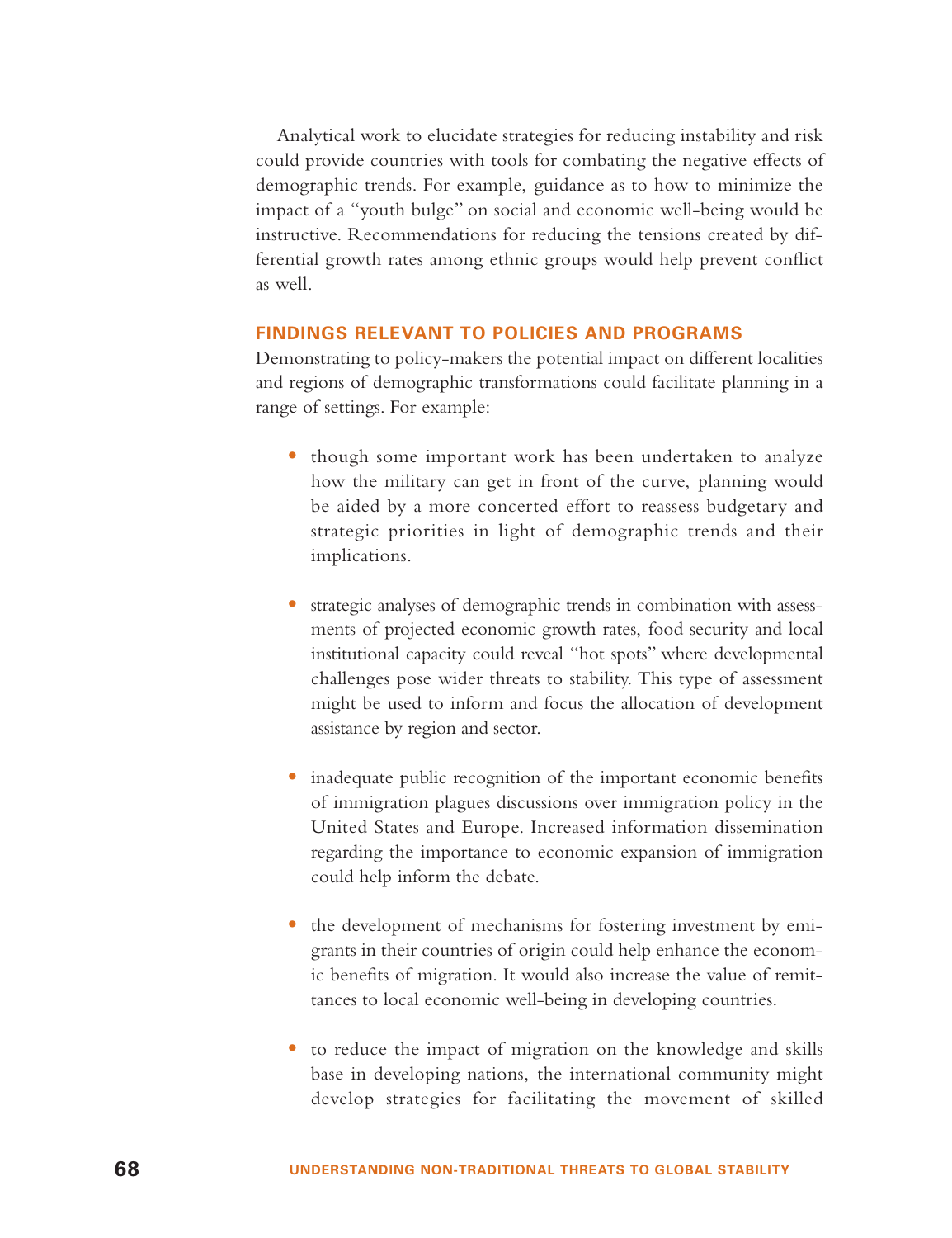Analytical work to elucidate strategies for reducing instability and risk could provide countries with tools for combating the negative effects of demographic trends. For example, guidance as to how to minimize the impact of <sup>a</sup>"youth bulge" on social and economic well-being would be instructive. Recommendations for reducing the tensions created by differential growth rates among ethnic groups would help prevent conflict as well.

## **FINDINGS RELEVANT TO POLICIES AND PROGRAMS**

Demonstrating to policy-makers the potential impact on different localities and regions of demographic transformations could facilitate planning in a range of settings. For example:

- though some important work has been undertaken to analyze how the military can get in front of the curve, planning would be aided by a more concerted effort to reassess budgetary and strategic priorities in light of demographic trends and their implications.
- strategic analyses of demographic trends in combination with assessments of projected economic growth rates, food security and local institutional capacity could reveal "hot spots" where developmental challenges pose wider threats to stability. This type of assessment might be used to inform and focus the allocation of development assistance by region and sector.
- • inadequate public recognition of the important economic benefits of immigration plagues discussions over immigration policy in the United States and Europe. Increased information dissemination regarding the importance to economic expansion of immigration could help inform the debate.
- the development of mechanisms for fostering investment by emigrants in their countries of origin could help enhance the economic benefits of migration. It would also increase the value of remittances to local economic well-being in developing countries.
- to reduce the impact of migration on the knowledge and skills base in developing nations, the international community might develop strategies for facilitating the movement of skilled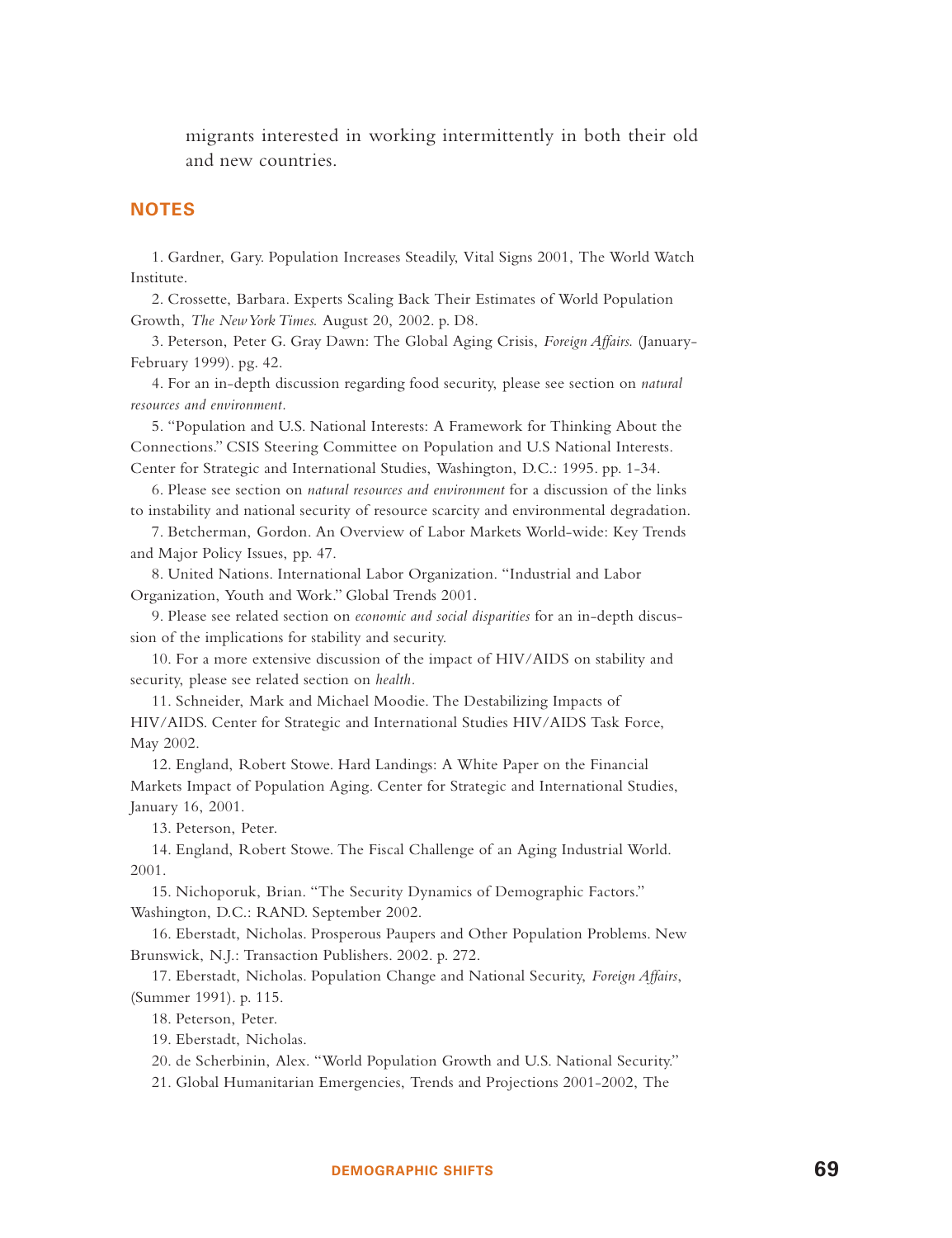migrants interested in working intermittently in both their old and new countries.

## **NOTES**

1. Gardner, Gary. Population Increases Steadily, Vital Signs 2001, The World Watch Institute.

2. Crossette, Barbara. Experts Scaling Back Their Estimates of World Population Growth, *The New York Times.* August 20, 2002. p. D8.

3. Peterson, Peter G. Gray Dawn: The Global Aging Crisis, *Foreign Affairs.* (January-February 1999). pg. 42.

4. For an in-depth discussion regarding food security, please see section on *natural resources and environment.*

5. "Population and U.S. National Interests: A Framework for Thinking About the Connections." CSIS Steering Committee on Population and U.S National Interests. Center for Strategic and International Studies, Washington, D.C.: 1995. pp. 1-34.

6. Please see section on *natural resources and environment* for a discussion of the links to instability and national security of resource scarcity and environmental degradation.

7. Betcherman, Gordon. An Overview of Labor Markets World-wide: Key Trends and Major Policy Issues, pp. 47.

8. United Nations. International Labor Organization. "Industrial and Labor Organization, Youth and Work." Global Trends 2001.

9. Please see related section on *economic and social disparities* for an in-depth discussion of the implications for stability and security.

10. For a more extensive discussion of the impact of HIV/AIDS on stability and security, please see related section on *health.*

11. Schneider, Mark and Michael Moodie. The Destabilizing Impacts of HIV/AIDS. Center for Strategic and International Studies HIV/AIDS Task Force, May 2002.

12. England, Robert Stowe. Hard Landings: A White Paper on the Financial Markets Impact of Population Aging. Center for Strategic and International Studies, January 16, 2001.

13. Peterson, Peter.

14. England, Robert Stowe. The Fiscal Challenge of an Aging Industrial World. 2001.

15. Nichoporuk, Brian. "The Security Dynamics of Demographic Factors." Washington, D.C.: RAND. September 2002.

16. Eberstadt, Nicholas. Prosperous Paupers and Other Population Problems. New Brunswick, N.J.: Transaction Publishers. 2002. p. 272.

17. Eberstadt, Nicholas. Population Change and National Security, *Foreign Affairs*, (Summer 1991). p. 115.

18. Peterson, Peter.

19. Eberstadt, Nicholas.

20. de Scherbinin, Alex. "World Population Growth and U.S. National Security."

21. Global Humanitarian Emergencies, Trends and Projections 2001-2002, The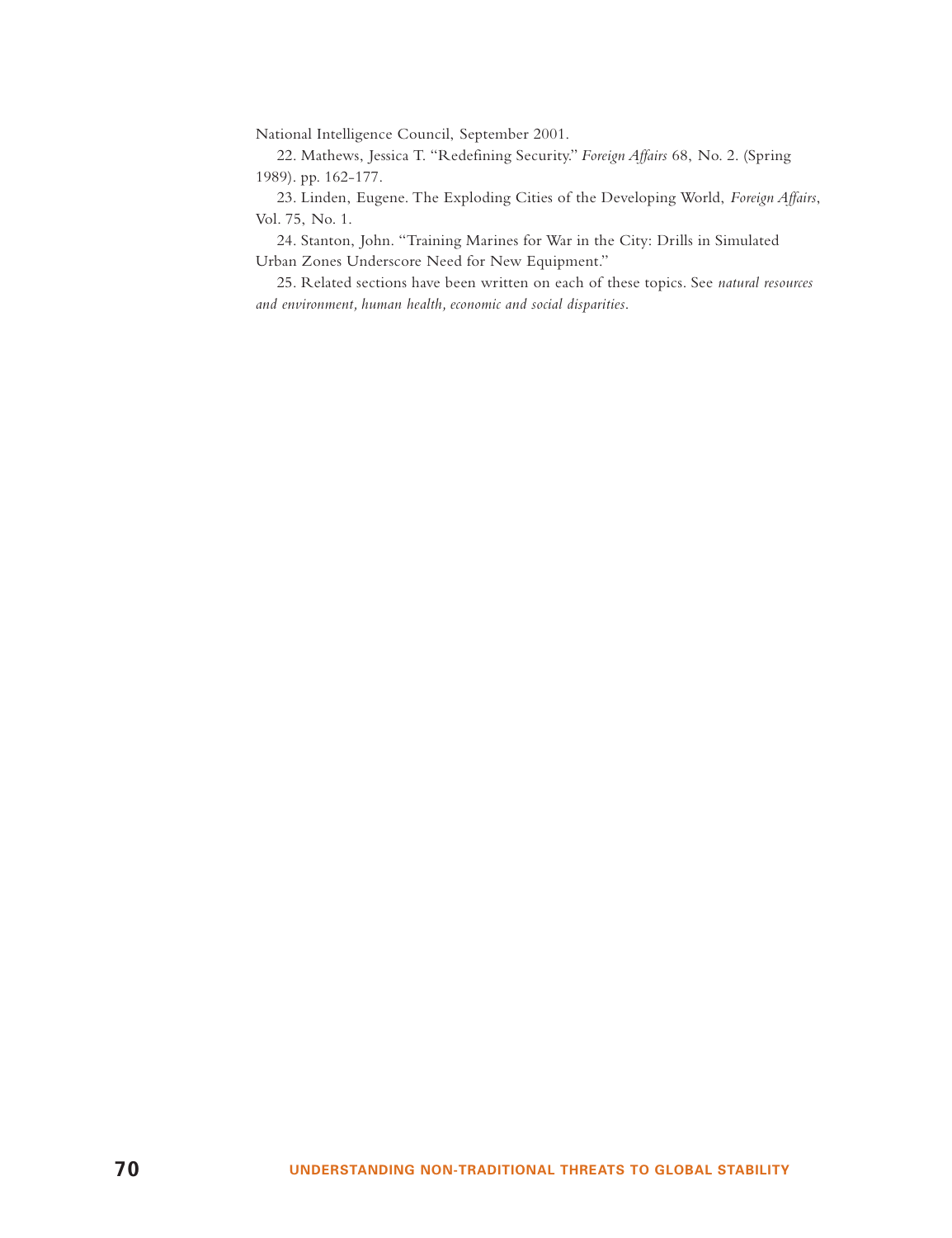National Intelligence Council, September 2001.

22. Mathews, Jessica T. "Redefining Security." *Foreign Affairs* 68, No. 2. (Spring 1989). pp. 162-177.

23. Linden, Eugene. The Exploding Cities of the Developing World, *Foreign Affairs*, Vol. 75, No. 1.

24. Stanton, John. "Training Marines for War in the City: Drills in Simulated Urban Zones Underscore Need for New Equipment."

25. Related sections have been written on each of these topics. See *natural resources and environment, human health, economic and social disparities*.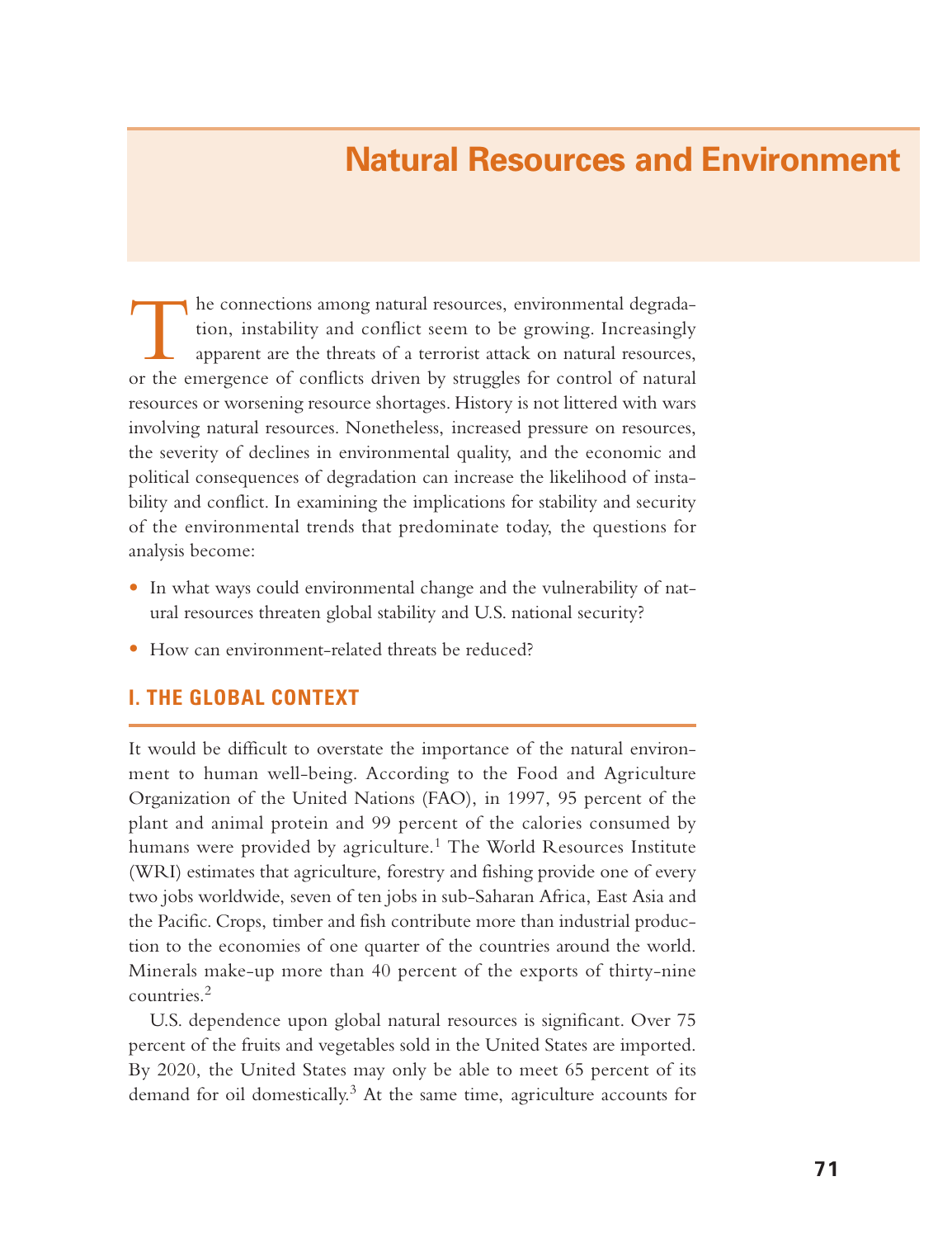# **Natural Resources and Environment**

The connections among natural resources, environmental degrada- tion, instability and conflict seem to be growing. Increasingly apparent are the threats of a terrorist attack on natural resources, or the emergence of conflicts driven by struggles for control of natural resources or worsening resource shortages. History is not littered with wars involving natural resources. Nonetheless, increased pressure on resources, the severity of declines in environmental quality, and the economic and political consequences of degradation can increase the likelihood of instability and conflict. In examining the implications for stability and security of the environmental trends that predominate today, the questions for analysis become:

- In what ways could environmental change and the vulnerability of natural resources threaten global stability and U.S. national security?
- How can environment-related threats be reduced?

## **I. THE GLOBAL CONTEXT**

It would be difficult to overstate the importance of the natural environment to human well-being. According to the Food and Agriculture Organization of the United Nations (FAO), in 1997, 95 percent of the plant and animal protein and 99 percent of the calories consumed by humans were provided by agriculture.<sup>1</sup> The World Resources Institute (WRI) estimates that agriculture, forestry and fishing provide one of every two jobs worldwide, seven of ten jobs in sub-Saharan Africa, East Asia and the Pacific. Crops, timber and fish contribute more than industrial production to the economies of one quarter of the countries around the world. Minerals make-up more than 40 percent of the exports of thirty-nine countries.<sup>2</sup>

U.S. dependence upon global natural resources is significant. Over 75 percent of the fruits and vegetables sold in the United States are imported. By 2020, the United States may only be able to meet 65 percent of its demand for oil domestically.<sup>3</sup> At the same time, agriculture accounts for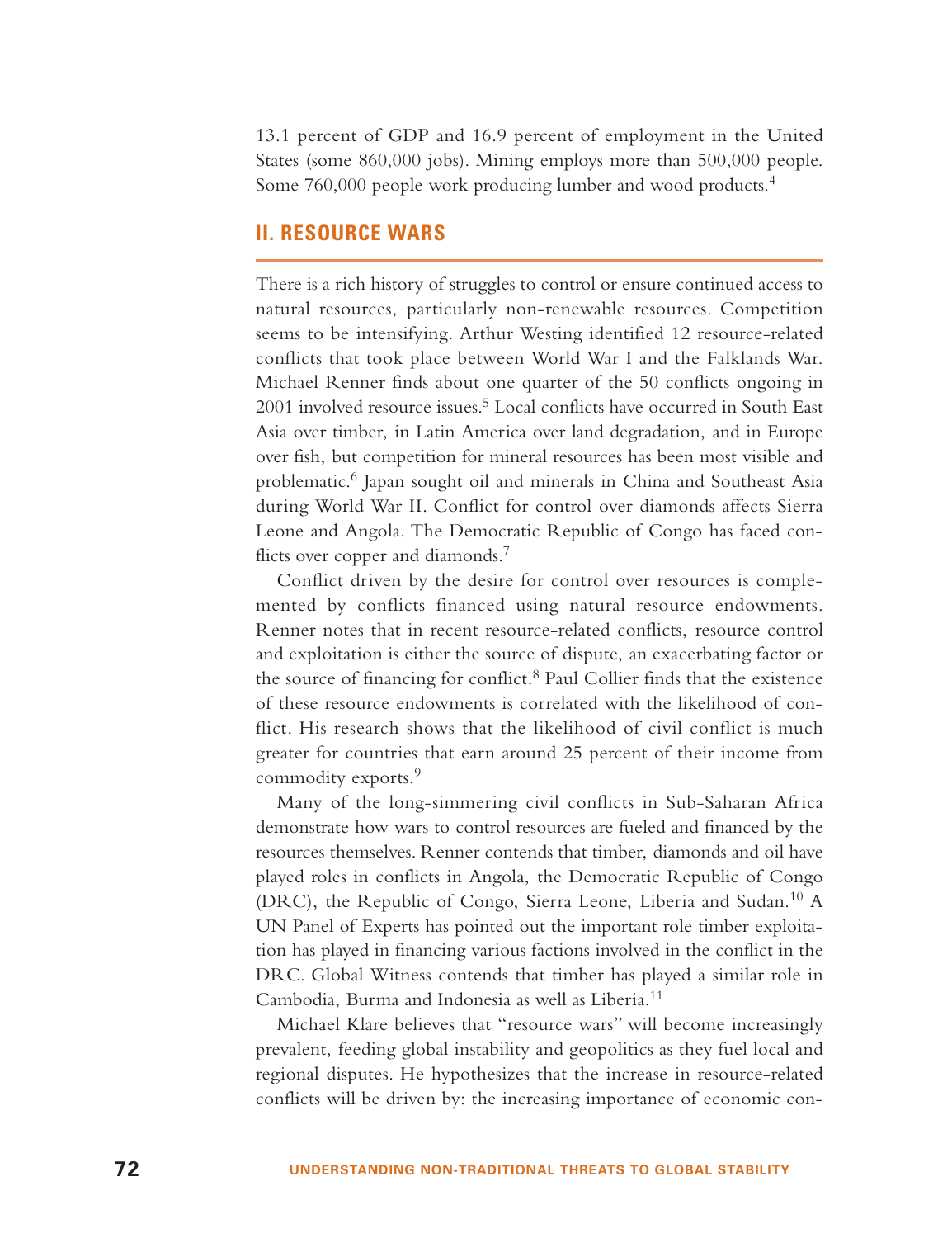13.1 percent of GDP and 16.9 percent of employment in the United States (some 860,000 jobs). Mining employs more than 500,000 people. Some 760,000 people work producing lumber and wood products.<sup>4</sup>

## **II. RESOURCE WARS**

There is a rich history of struggles to control or ensure continued access to natural resources, particularly non-renewable resources. Competition seems to be intensifying. Arthur Westing identified 12 resource-related conflicts that took place between World War I and the Falklands War. Michael Renner finds about one quarter of the 50 conflicts ongoing in 2001 involved resource issues.<sup>5</sup> Local conflicts have occurred in South East Asia over timber, in Latin America over land degradation, and in Europe over fish, but competition for mineral resources has been most visible and problematic.<sup>6</sup> Japan sought oil and minerals in China and Southeast Asia during World War II. Conflict for control over diamonds affects Sierra Leone and Angola. The Democratic Republic of Congo has faced conflicts over copper and diamonds.<sup>7</sup>

Conflict driven by the desire for control over resources is complemented by conflicts financed using natural resource endowments. Renner notes that in recent resource-related conflicts, resource control and exploitation is either the source of dispute, an exacerbating factor or the source of financing for conflict.<sup>8</sup> Paul Collier finds that the existence of these resource endowments is correlated with the likelihood of conflict. His research shows that the likelihood of civil conflict is much greater for countries that earn around 25 percent of their income from commodity exports.<sup>9</sup>

Many of the long-simmering civil conflicts in Sub-Saharan Africa demonstrate how wars to control resources are fueled and financed by the resources themselves. Renner contends that timber, diamonds and oil have played roles in conflicts in Angola, the Democratic Republic of Congo (DRC), the Republic of Congo, Sierra Leone, Liberia and Sudan.<sup>10</sup> <sup>A</sup> UN Panel of Experts has pointed out the important role timber exploitation has played in financing various factions involved in the conflict in the DRC. Global Witness contends that timber has played a similar role in Cambodia, Burma and Indonesia as well as Liberia.<sup>11</sup>

Michael Klare believes that "resource wars" will become increasingly prevalent, feeding global instability and geopolitics as they fuel local and regional disputes. He hypothesizes that the increase in resource-related conflicts will be driven by: the increasing importance of economic con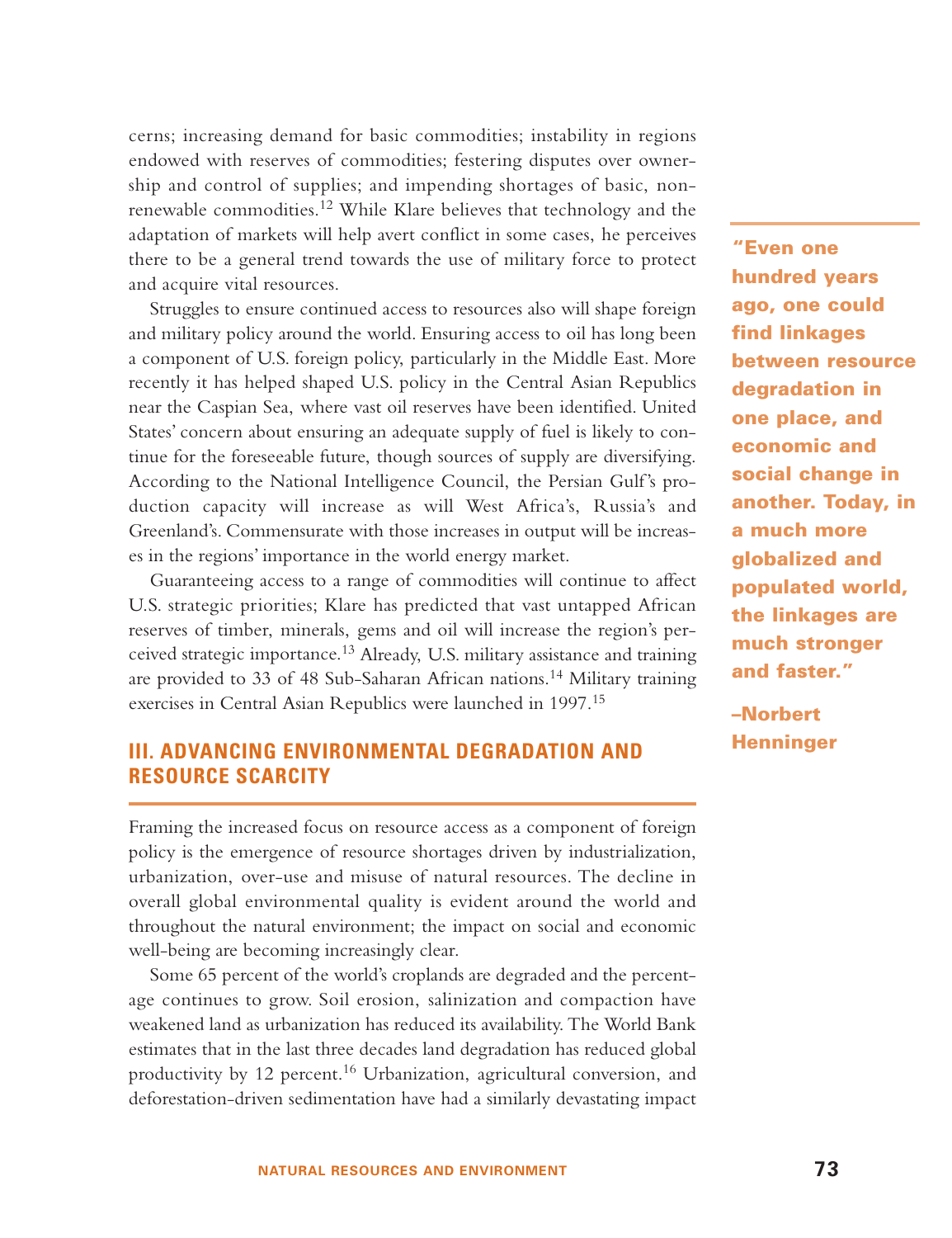cerns; increasing demand for basic commodities; instability in regions endowed with reserves of commodities; festering disputes over ownership and control of supplies; and impending shortages of basic, nonrenewable commodities.<sup>12</sup> While Klare believes that technology and the adaptation of markets will help avert conflict in some cases, he perceives there to be a general trend towards the use of military force to protect and acquire vital resources.

Struggles to ensure continued access to resources also will shape foreign and military policy around the world. Ensuring access to oil has long been a component of U.S. foreign policy, particularly in the Middle East. More recently it has helped shaped U.S. policy in the Central Asian Republics near the Caspian Sea, where vast oil reserves have been identified. United States' concern about ensuring an adequate supply of fuel is likely to continue for the foreseeable future, though sources of supply are diversifying. According to the National Intelligence Council, the Persian Gulf's production capacity will increase as will West Africa's, Russia's and Greenland's. Commensurate with those increases in output will be increases in the regions' importance in the world energy market.

Guaranteeing access to a range of commodities will continue to affect U.S. strategic priorities; Klare has predicted that vast untapped African reserves of timber, minerals, gems and oil will increase the region's perceived strategic importance.<sup>13</sup> Already, U.S. military assistance and training are provided to 33 of 48 Sub-Saharan African nations.<sup>14</sup> Military training exercises in Central Asian Republics were launched in 1997.<sup>15</sup>

# **III. ADVANCING ENVIRONMENTAL DEGRADATION AND RESOURCE SCARCITY**

Framing the increased focus on resource access as a component of foreign policy is the emergence of resource shortages driven by industrialization, urbanization, over-use and misuse of natural resources. The decline in overall global environmental quality is evident around the world and throughout the natural environment; the impact on social and economic well-being are becoming increasingly clear.

Some 65 percent of the world's croplands are degraded and the percentage continues to grow. Soil erosion, salinization and compaction have weakened land as urbanization has reduced its availability. The World Bank estimates that in the last three decades land degradation has reduced global productivity by 12 percent.<sup>16</sup> Urbanization, agricultural conversion, and deforestation-driven sedimentation have had a similarly devastating impact

**"Even one hundred years ago, one could find linkages between resource degradation in one place, and economic and social change in another. Today, in a much more globalized and populated world, the linkages are much stronger and faster."**

**–Norbert Henninger**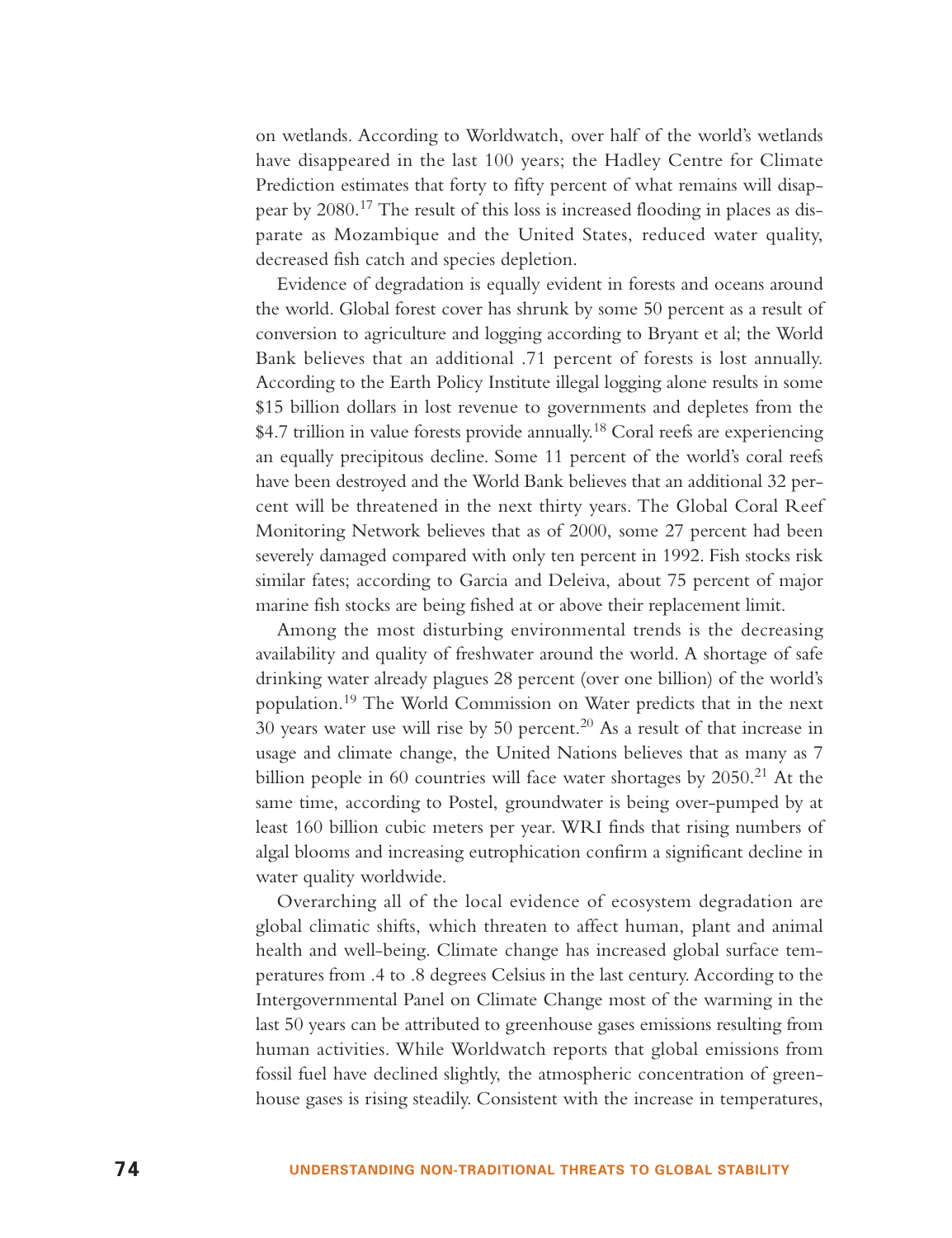on wetlands. According to Worldwatch, over half of the world's wetlands have disappeared in the last 100 years; the Hadley Centre for Climate Prediction estimates that forty to fifty percent of what remains will disappear by 2080.<sup>17</sup> The result of this loss is increased flooding in places as disparate as Mozambique and the United States, reduced water quality, decreased fish catch and species depletion.

Evidence of degradation is equally evident in forests and oceans around the world. Global forest cover has shrunk by some 50 percent as a result of conversion to agriculture and logging according to Bryant et al; the World Bank believes that an additional .71 percent of forests is lost annually. According to the Earth Policy Institute illegal logging alone results in some \$15 billion dollars in lost revenue to governments and depletes from the \$4.7 trillion in value forests provide annually.<sup>18</sup> Coral reefs are experiencing an equally precipitous decline. Some 11 percent of the world's coral reefs have been destroyed and the World Bank believes that an additional 32 percent will be threatened in the next thirty years. The Global Coral Reef Monitoring Network believes that as of 2000, some 27 percent had been severely damaged compared with only ten percent in 1992. Fish stocks risk similar fates; according to Garcia and Deleiva, about 75 percent of major marine fish stocks are being fished at or above their replacement limit.

Among the most disturbing environmental trends is the decreasing availability and quality of freshwater around the world. A shortage of safe drinking water already plagues 28 percent (over one billion) of the world's population.<sup>19</sup> The World Commission on Water predicts that in the next 30 years water use will rise by 50 percent.<sup>20</sup> As a result of that increase in usage and climate change, the United Nations believes that as many as 7 billion people in 60 countries will face water shortages by  $2050<sup>21</sup>$  At the same time, according to Postel, groundwater is being over-pumped by at least 160 billion cubic meters per year. WRI finds that rising numbers of algal blooms and increasing eutrophication confirm a significant decline in water quality worldwide.

Overarching all of the local evidence of ecosystem degradation are global climatic shifts, which threaten to affect human, plant and animal health and well-being. Climate change has increased global surface temperatures from .4 to .8 degrees Celsius in the last century. According to the Intergovernmental Panel on Climate Change most of the warming in the last 50 years can be attributed to greenhouse gases emissions resulting from human activities. While Worldwatch reports that global emissions from fossil fuel have declined slightly, the atmospheric concentration of greenhouse gases is rising steadily. Consistent with the increase in temperatures,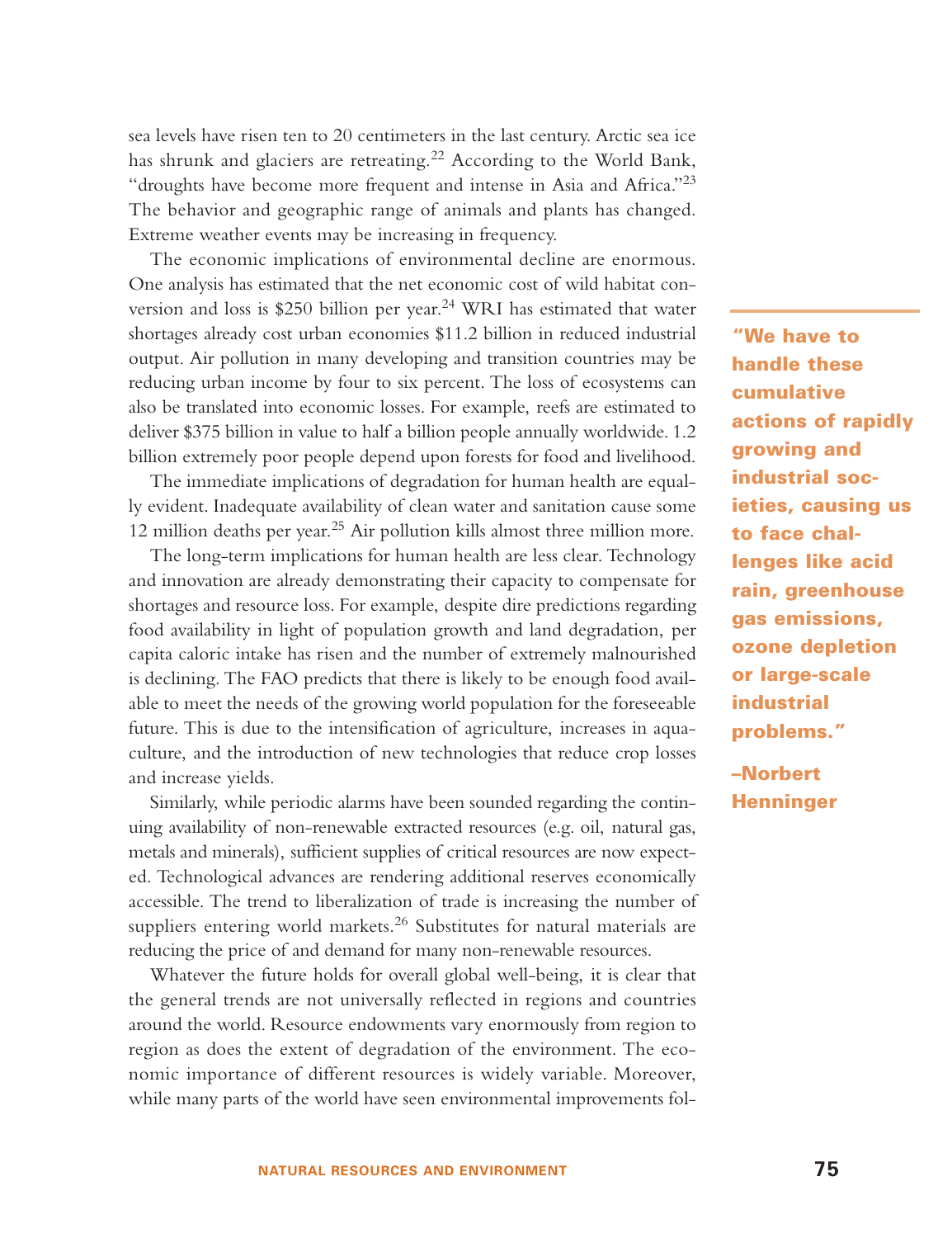sea levels have risen ten to 20 centimeters in the last century. Arctic sea ice has shrunk and glaciers are retreating.<sup>22</sup> According to the World Bank, "droughts have become more frequent and intense in Asia and Africa."<sup>23</sup> The behavior and geographic range of animals and plants has changed. Extreme weather events may be increasing in frequency.

The economic implications of environmental decline are enormous. One analysis has estimated that the net economic cost of wild habitat conversion and loss is \$250 billion per year.<sup>24</sup> WRI has estimated that water shortages already cost urban economies \$11.2 billion in reduced industrial output. Air pollution in many developing and transition countries may be reducing urban income by four to six percent. The loss of ecosystems can also be translated into economic losses. For example, reefs are estimated to deliver \$375 billion in value to half a billion people annually worldwide. 1.2 billion extremely poor people depend upon forests for food and livelihood.

The immediate implications of degradation for human health are equally evident. Inadequate availability of clean water and sanitation cause some 12 million deaths per year.<sup>25</sup> Air pollution kills almost three million more.

The long-term implications for human health are less clear. Technology and innovation are already demonstrating their capacity to compensate for shortages and resource loss. For example, despite dire predictions regarding food availability in light of population growth and land degradation, per capita caloric intake has risen and the number of extremely malnourished is declining. The FAO predicts that there is likely to be enough food available to meet the needs of the growing world population for the foreseeable future. This is due to the intensification of agriculture, increases in aquaculture, and the introduction of new technologies that reduce crop losses and increase yields.

Similarly, while periodic alarms have been sounded regarding the continuing availability of non-renewable extracted resources (e.g. oil, natural gas, metals and minerals), sufficient supplies of critical resources are now expected. Technological advances are rendering additional reserves economically accessible. The trend to liberalization of trade is increasing the number of suppliers entering world markets.<sup>26</sup> Substitutes for natural materials are reducing the price of and demand for many non-renewable resources.

Whatever the future holds for overall global well-being, it is clear that the general trends are not universally reflected in regions and countries around the world. Resource endowments vary enormously from region to region as does the extent of degradation of the environment. The economic importance of different resources is widely variable. Moreover, while many parts of the world have seen environmental improvements fol-

**"We have to handle these cumulative actions of rapidly growing and industrial societies, causing us to face challenges like acid rain, greenhouse gas emissions, ozone depletion or large-scale industrial problems."**

**–Norbert Henninger**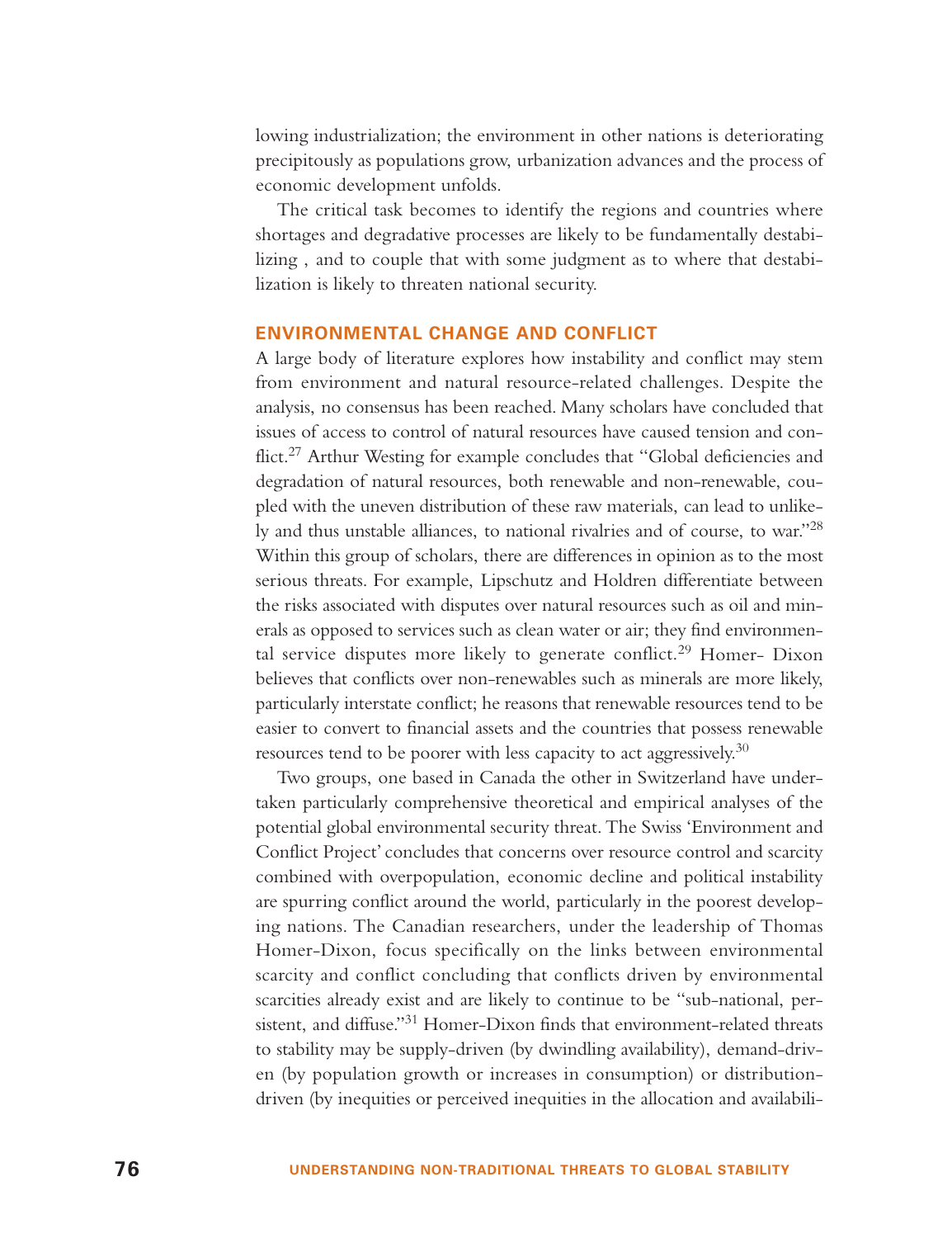lowing industrialization; the environment in other nations is deteriorating precipitously as populations grow, urbanization advances and the process of economic development unfolds.

The critical task becomes to identify the regions and countries where shortages and degradative processes are likely to be fundamentally destabilizing , and to couple that with some judgment as to where that destabilization is likely to threaten national security.

#### **ENVIRONMENTAL CHANGE AND CONFLICT**

A large body of literature explores how instability and conflict may stem from environment and natural resource-related challenges. Despite the analysis, no consensus has been reached. Many scholars have concluded that issues of access to control of natural resources have caused tension and conflict.<sup>27</sup> Arthur Westing for example concludes that "Global deficiencies and degradation of natural resources, both renewable and non-renewable, coupled with the uneven distribution of these raw materials, can lead to unlikely and thus unstable alliances, to national rivalries and of course, to war."28 Within this group of scholars, there are differences in opinion as to the most serious threats. For example, Lipschutz and Holdren differentiate between the risks associated with disputes over natural resources such as oil and minerals as opposed to services such as clean water or air; they find environmental service disputes more likely to generate conflict.<sup>29</sup> Homer- Dixon believes that conflicts over non-renewables such as minerals are more likely, particularly interstate conflict; he reasons that renewable resources tend to be easier to convert to financial assets and the countries that possess renewable resources tend to be poorer with less capacity to act aggressively. $30$ 

Two groups, one based in Canada the other in Switzerland have undertaken particularly comprehensive theoretical and empirical analyses of the potential global environmental security threat. The Swiss 'Environment and Conflict Project' concludes that concerns over resource control and scarcity combined with overpopulation, economic decline and political instability are spurring conflict around the world, particularly in the poorest developing nations. The Canadian researchers, under the leadership of Thomas Homer-Dixon, focus specifically on the links between environmental scarcity and conflict concluding that conflicts driven by environmental scarcities already exist and are likely to continue to be "sub-national, persistent, and diffuse."<sup>31</sup> Homer-Dixon finds that environment-related threats to stability may be supply-driven (by dwindling availability), demand-driven (by population growth or increases in consumption) or distributiondriven (by inequities or perceived inequities in the allocation and availabili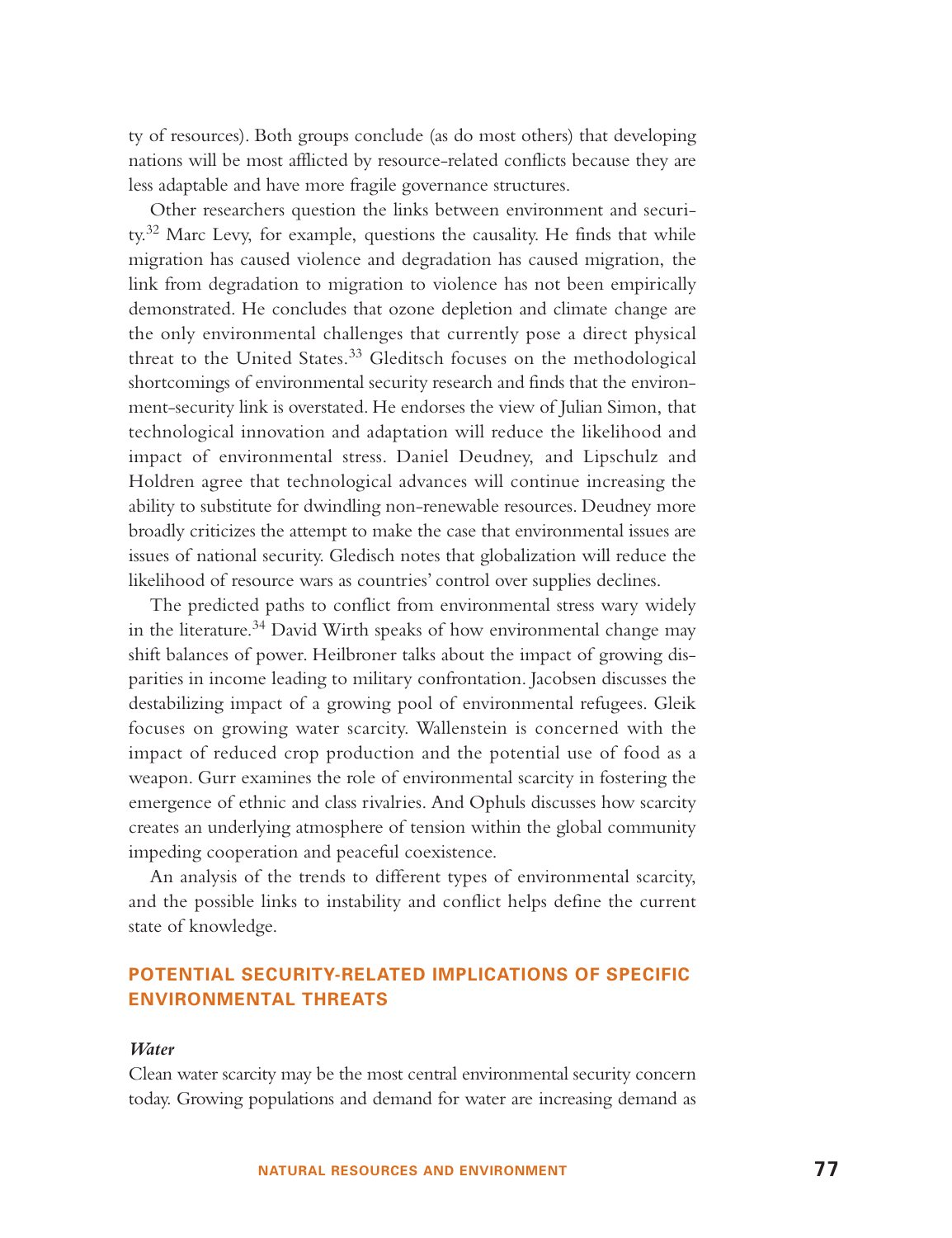ty of resources). Both groups conclude (as do most others) that developing nations will be most afflicted by resource-related conflicts because they are less adaptable and have more fragile governance structures.

Other researchers question the links between environment and security.<sup>32</sup> Marc Levy, for example, questions the causality. He finds that while migration has caused violence and degradation has caused migration, the link from degradation to migration to violence has not been empirically demonstrated. He concludes that ozone depletion and climate change are the only environmental challenges that currently pose a direct physical threat to the United States.<sup>33</sup> Gleditsch focuses on the methodological shortcomings of environmental security research and finds that the environment-security link is overstated. He endorses the view of Julian Simon, that technological innovation and adaptation will reduce the likelihood and impact of environmental stress. Daniel Deudney, and Lipschulz and Holdren agree that technological advances will continue increasing the ability to substitute for dwindling non-renewable resources. Deudney more broadly criticizes the attempt to make the case that environmental issues are issues of national security. Gledisch notes that globalization will reduce the likelihood of resource wars as countries' control over supplies declines.

The predicted paths to conflict from environmental stress wary widely in the literature.<sup>34</sup> David Wirth speaks of how environmental change may shift balances of power. Heilbroner talks about the impact of growing disparities in income leading to military confrontation. Jacobsen discusses the destabilizing impact of a growing pool of environmental refugees. Gleik focuses on growing water scarcity. Wallenstein is concerned with the impact of reduced crop production and the potential use of food as a weapon. Gurr examines the role of environmental scarcity in fostering the emergence of ethnic and class rivalries. And Ophuls discusses how scarcity creates an underlying atmosphere of tension within the global community impeding cooperation and peaceful coexistence.

An analysis of the trends to different types of environmental scarcity, and the possible links to instability and conflict helps define the current state of knowledge.

# **POTENTIAL SECURITY-RELATED IMPLICATIONS OF SPECIFIC ENVIRONMENTAL THREATS**

#### *Water*

Clean water scarcity may be the most central environmental security concern today. Growing populations and demand for water are increasing demand as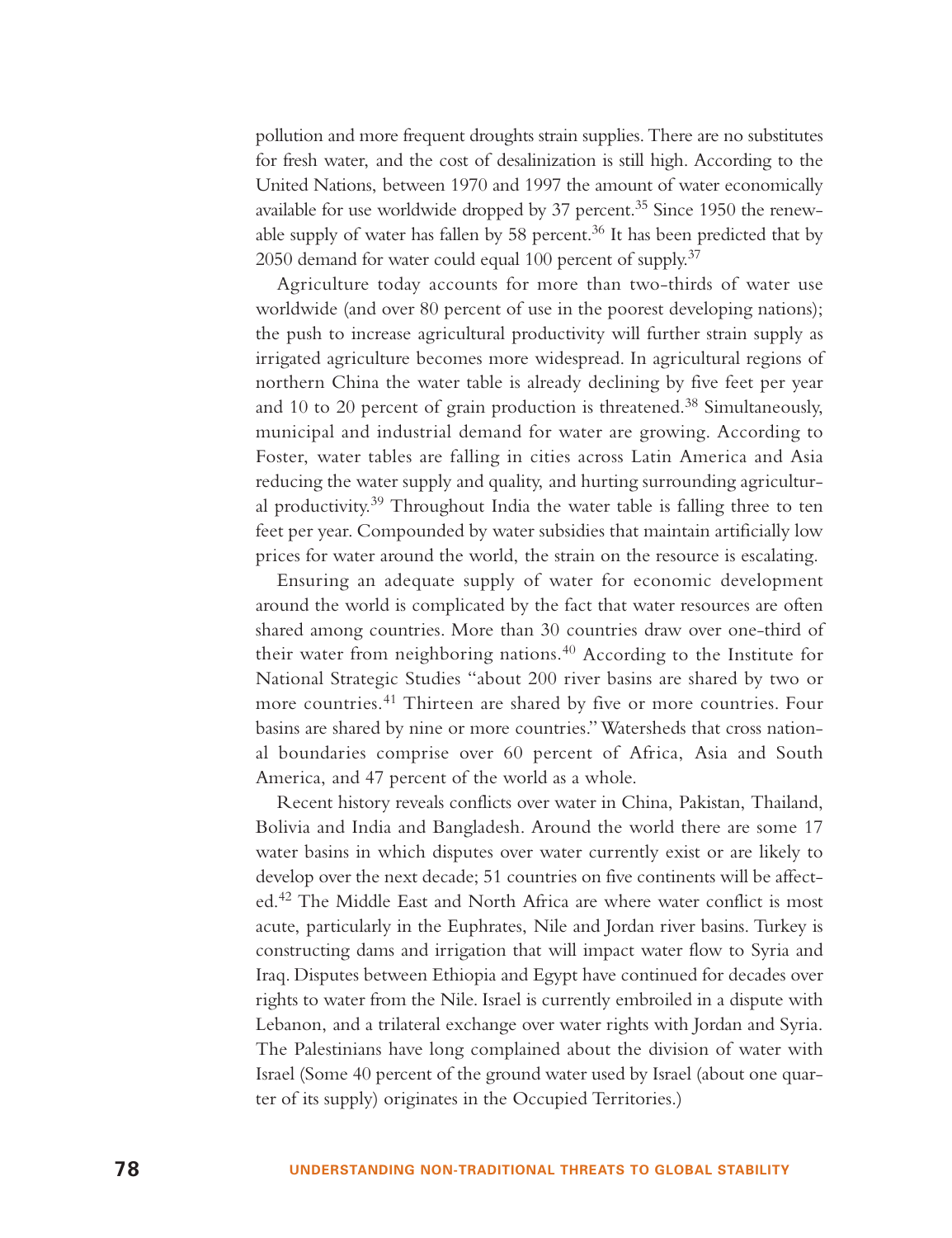pollution and more frequent droughts strain supplies. There are no substitutes for fresh water, and the cost of desalinization is still high. According to the United Nations, between 1970 and 1997 the amount of water economically available for use worldwide dropped by 37 percent.<sup>35</sup> Since 1950 the renewable supply of water has fallen by 58 percent.<sup>36</sup> It has been predicted that by 2050 demand for water could equal 100 percent of supply.<sup>37</sup>

Agriculture today accounts for more than two-thirds of water use worldwide (and over 80 percent of use in the poorest developing nations); the push to increase agricultural productivity will further strain supply as irrigated agriculture becomes more widespread. In agricultural regions of northern China the water table is already declining by five feet per year and 10 to 20 percent of grain production is threatened.<sup>38</sup> Simultaneously, municipal and industrial demand for water are growing. According to Foster, water tables are falling in cities across Latin America and Asia reducing the water supply and quality, and hurting surrounding agricultural productivity.<sup>39</sup> Throughout India the water table is falling three to ten feet per year. Compounded by water subsidies that maintain artificially low prices for water around the world, the strain on the resource is escalating.

Ensuring an adequate supply of water for economic development around the world is complicated by the fact that water resources are often shared among countries. More than 30 countries draw over one-third of their water from neighboring nations.<sup>40</sup> According to the Institute for National Strategic Studies "about 200 river basins are shared by two or more countries.<sup>41</sup> Thirteen are shared by five or more countries. Four basins are shared by nine or more countries." Watersheds that cross national boundaries comprise over 60 percent of Africa, Asia and South America, and 47 percent of the world as a whole.

Recent history reveals conflicts over water in China, Pakistan, Thailand, Bolivia and India and Bangladesh. Around the world there are some 17 water basins in which disputes over water currently exist or are likely to develop over the next decade; 51 countries on five continents will be affected.<sup>42</sup> The Middle East and North Africa are where water conflict is most acute, particularly in the Euphrates, Nile and Jordan river basins. Turkey is constructing dams and irrigation that will impact water flow to Syria and Iraq. Disputes between Ethiopia and Egypt have continued for decades over rights to water from the Nile. Israel is currently embroiled in a dispute with Lebanon, and a trilateral exchange over water rights with Jordan and Syria. The Palestinians have long complained about the division of water with Israel (Some 40 percent of the ground water used by Israel (about one quarter of its supply) originates in the Occupied Territories.)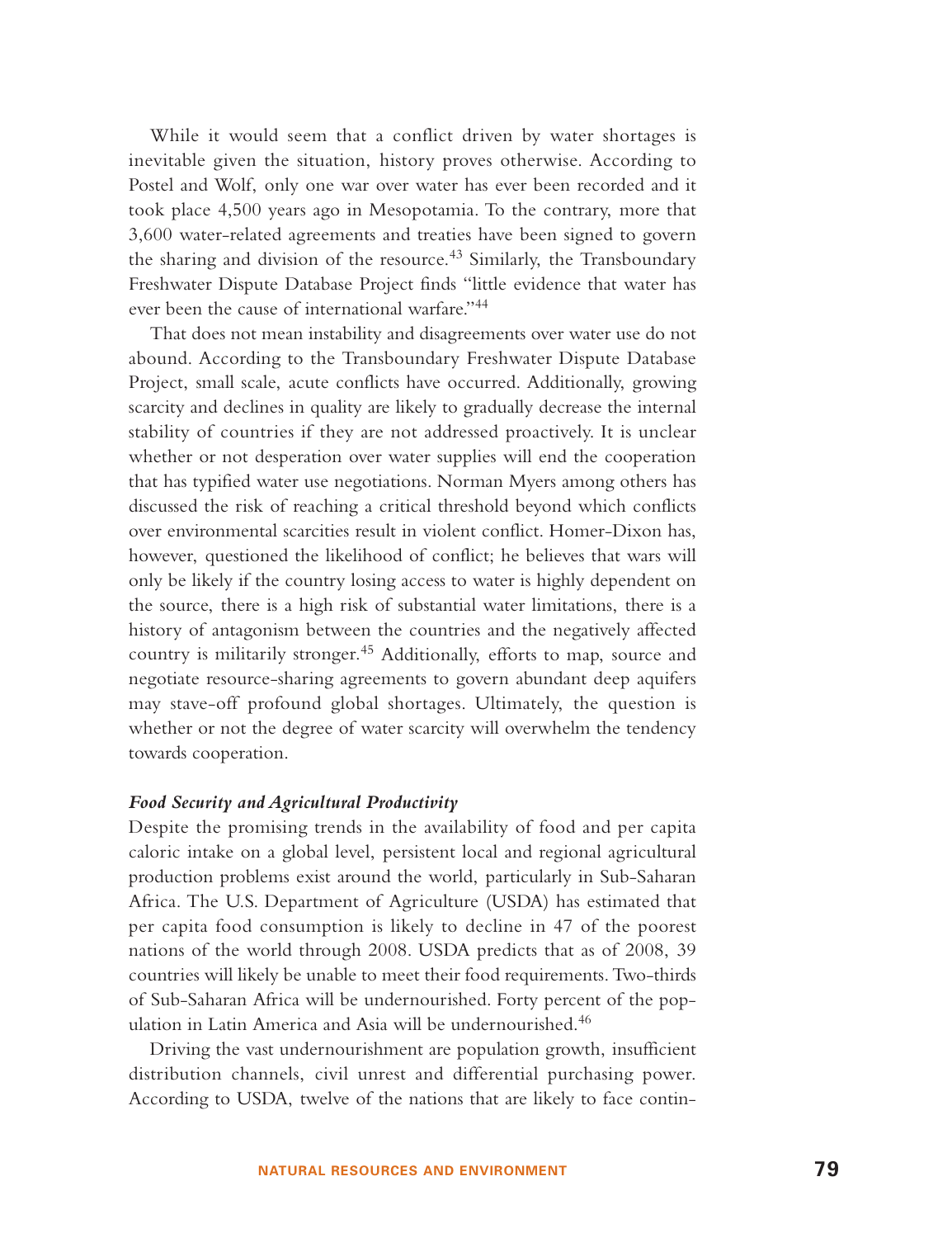While it would seem that a conflict driven by water shortages is inevitable given the situation, history proves otherwise. According to Postel and Wolf, only one war over water has ever been recorded and it took place 4,500 years ago in Mesopotamia. To the contrary, more that 3,600 water-related agreements and treaties have been signed to govern the sharing and division of the resource.<sup>43</sup> Similarly, the Transboundary Freshwater Dispute Database Project finds "little evidence that water has ever been the cause of international warfare."<sup>44</sup>

That does not mean instability and disagreements over water use do not abound. According to the Transboundary Freshwater Dispute Database Project, small scale, acute conflicts have occurred. Additionally, growing scarcity and declines in quality are likely to gradually decrease the internal stability of countries if they are not addressed proactively. It is unclear whether or not desperation over water supplies will end the cooperation that has typified water use negotiations. Norman Myers among others has discussed the risk of reaching a critical threshold beyond which conflicts over environmental scarcities result in violent conflict. Homer-Dixon has, however, questioned the likelihood of conflict; he believes that wars will only be likely if the country losing access to water is highly dependent on the source, there is a high risk of substantial water limitations, there is a history of antagonism between the countries and the negatively affected country is militarily stronger.<sup>45</sup> Additionally, efforts to map, source and negotiate resource-sharing agreements to govern abundant deep aquifers may stave-off profound global shortages. Ultimately, the question is whether or not the degree of water scarcity will overwhelm the tendency towards cooperation.

#### *Food Security and Agricultural Productivity*

Despite the promising trends in the availability of food and per capita caloric intake on a global level, persistent local and regional agricultural production problems exist around the world, particularly in Sub-Saharan Africa. The U.S. Department of Agriculture (USDA) has estimated that per capita food consumption is likely to decline in 47 of the poorest nations of the world through 2008. USDA predicts that as of 2008, 39 countries will likely be unable to meet their food requirements. Two-thirds of Sub-Saharan Africa will be undernourished. Forty percent of the population in Latin America and Asia will be undernourished.<sup>46</sup>

Driving the vast undernourishment are population growth, insufficient distribution channels, civil unrest and differential purchasing power. According to USDA, twelve of the nations that are likely to face contin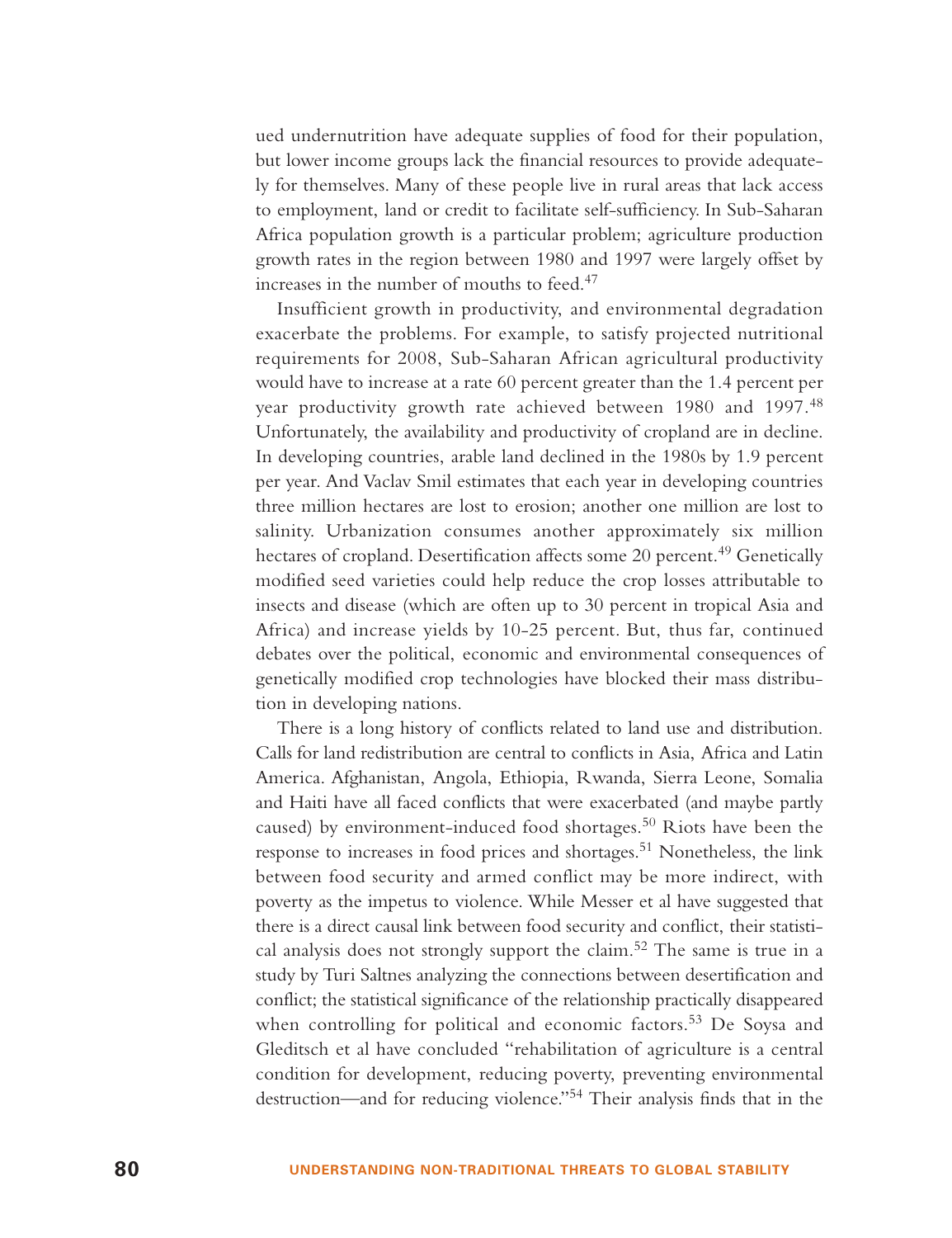ued undernutrition have adequate supplies of food for their population, but lower income groups lack the financial resources to provide adequately for themselves. Many of these people live in rural areas that lack access to employment, land or credit to facilitate self-sufficiency. In Sub-Saharan Africa population growth is a particular problem; agriculture production growth rates in the region between 1980 and 1997 were largely offset by increases in the number of mouths to feed.<sup>47</sup>

Insufficient growth in productivity, and environmental degradation exacerbate the problems. For example, to satisfy projected nutritional requirements for 2008, Sub-Saharan African agricultural productivity would have to increase at a rate 60 percent greater than the 1.4 percent per year productivity growth rate achieved between 1980 and 1997.<sup>48</sup> Unfortunately, the availability and productivity of cropland are in decline. In developing countries, arable land declined in the 1980s by 1.9 percent per year. And Vaclav Smil estimates that each year in developing countries three million hectares are lost to erosion; another one million are lost to salinity. Urbanization consumes another approximately six million hectares of cropland. Desertification affects some 20 percent.<sup>49</sup> Genetically modified seed varieties could help reduce the crop losses attributable to insects and disease (which are often up to 30 percent in tropical Asia and Africa) and increase yields by 10-25 percent. But, thus far, continued debates over the political, economic and environmental consequences of genetically modified crop technologies have blocked their mass distribution in developing nations.

There is a long history of conflicts related to land use and distribution. Calls for land redistribution are central to conflicts in Asia, Africa and Latin America. Afghanistan, Angola, Ethiopia, Rwanda, Sierra Leone, Somalia and Haiti have all faced conflicts that were exacerbated (and maybe partly caused) by environment-induced food shortages.<sup>50</sup> Riots have been the response to increases in food prices and shortages.<sup>51</sup> Nonetheless, the link between food security and armed conflict may be more indirect, with poverty as the impetus to violence. While Messer et al have suggested that there is a direct causal link between food security and conflict, their statistical analysis does not strongly support the claim.<sup>52</sup> The same is true in a study by Turi Saltnes analyzing the connections between desertification and conflict; the statistical significance of the relationship practically disappeared when controlling for political and economic factors.<sup>53</sup> De Soysa and Gleditsch et al have concluded "rehabilitation of agriculture is a central condition for development, reducing poverty, preventing environmental destruction—and for reducing violence."<sup>54</sup> Their analysis finds that in the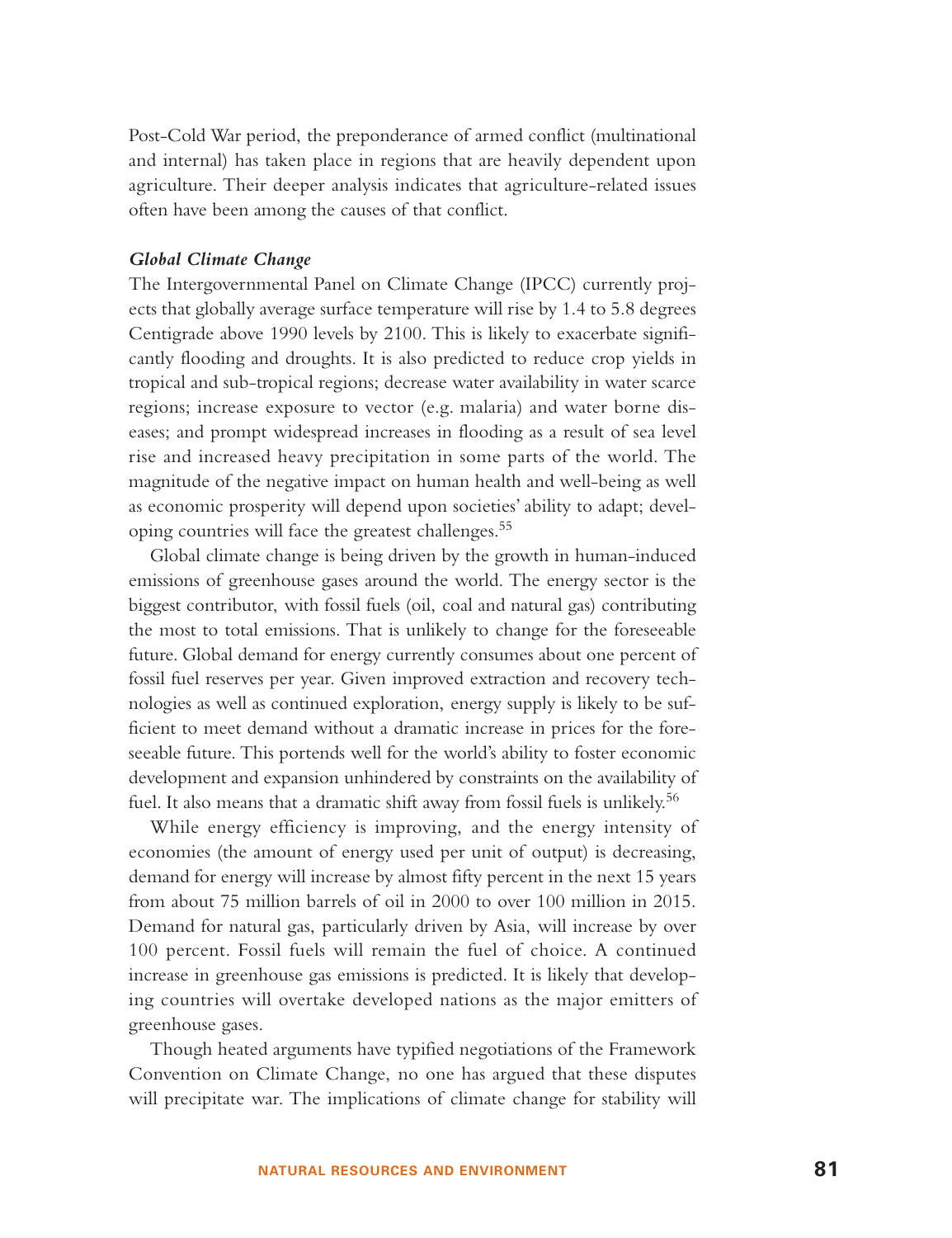Post-Cold War period, the preponderance of armed conflict (multinational and internal) has taken place in regions that are heavily dependent upon agriculture. Their deeper analysis indicates that agriculture-related issues often have been among the causes of that conflict.

#### *Global Climate Change*

The Intergovernmental Panel on Climate Change (IPCC) currently projects that globally average surface temperature will rise by 1.4 to 5.8 degrees Centigrade above 1990 levels by 2100. This is likely to exacerbate significantly flooding and droughts. It is also predicted to reduce crop yields in tropical and sub-tropical regions; decrease water availability in water scarce regions; increase exposure to vector (e.g. malaria) and water borne diseases; and prompt widespread increases in flooding as a result of sea level rise and increased heavy precipitation in some parts of the world. The magnitude of the negative impact on human health and well-being as well as economic prosperity will depend upon societies' ability to adapt; developing countries will face the greatest challenges.<sup>55</sup>

Global climate change is being driven by the growth in human-induced emissions of greenhouse gases around the world. The energy sector is the biggest contributor, with fossil fuels (oil, coal and natural gas) contributing the most to total emissions. That is unlikely to change for the foreseeable future. Global demand for energy currently consumes about one percent of fossil fuel reserves per year. Given improved extraction and recovery technologies as well as continued exploration, energy supply is likely to be sufficient to meet demand without a dramatic increase in prices for the foreseeable future. This portends well for the world's ability to foster economic development and expansion unhindered by constraints on the availability of fuel. It also means that a dramatic shift away from fossil fuels is unlikely.<sup>56</sup>

While energy efficiency is improving, and the energy intensity of economies (the amount of energy used per unit of output) is decreasing, demand for energy will increase by almost fifty percent in the next 15 years from about 75 million barrels of oil in 2000 to over 100 million in 2015. Demand for natural gas, particularly driven by Asia, will increase by over 100 percent. Fossil fuels will remain the fuel of choice. A continued increase in greenhouse gas emissions is predicted. It is likely that developing countries will overtake developed nations as the major emitters of greenhouse gases.

Though heated arguments have typified negotiations of the Framework Convention on Climate Change, no one has argued that these disputes will precipitate war. The implications of climate change for stability will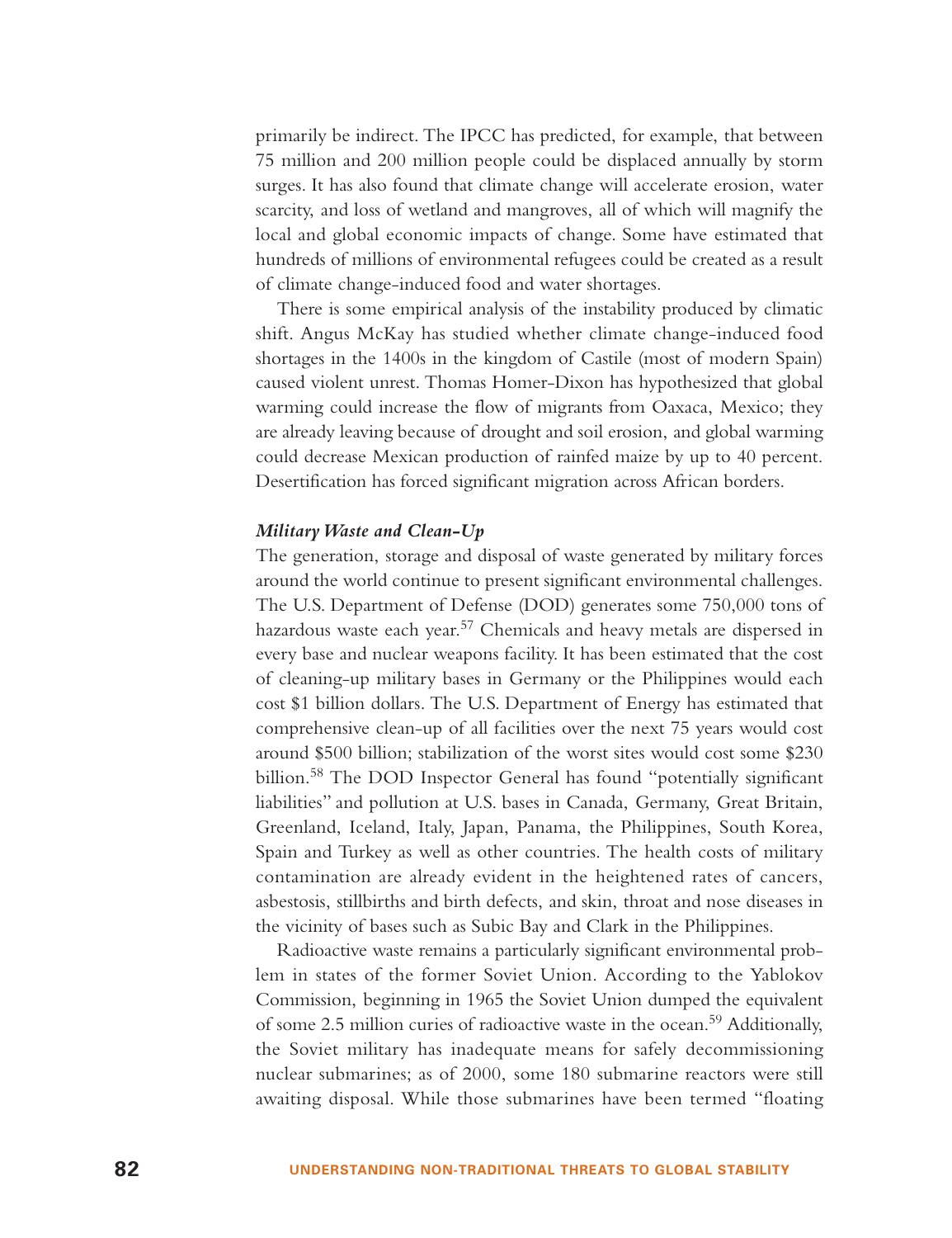primarily be indirect. The IPCC has predicted, for example, that between 75 million and 200 million people could be displaced annually by storm surges. It has also found that climate change will accelerate erosion, water scarcity, and loss of wetland and mangroves, all of which will magnify the local and global economic impacts of change. Some have estimated that hundreds of millions of environmental refugees could be created as a result of climate change-induced food and water shortages.

There is some empirical analysis of the instability produced by climatic shift. Angus McKay has studied whether climate change-induced food shortages in the 1400s in the kingdom of Castile (most of modern Spain) caused violent unrest. Thomas Homer-Dixon has hypothesized that global warming could increase the flow of migrants from Oaxaca, Mexico; they are already leaving because of drought and soil erosion, and global warming could decrease Mexican production of rainfed maize by up to 40 percent. Desertification has forced significant migration across African borders.

#### *Military Waste and Clean-Up*

The generation, storage and disposal of waste generated by military forces around the world continue to present significant environmental challenges. The U.S. Department of Defense (DOD) generates some 750,000 tons of hazardous waste each year.<sup>57</sup> Chemicals and heavy metals are dispersed in every base and nuclear weapons facility. It has been estimated that the cost of cleaning-up military bases in Germany or the Philippines would each cost \$1 billion dollars. The U.S. Department of Energy has estimated that comprehensive clean-up of all facilities over the next 75 years would cost around \$500 billion; stabilization of the worst sites would cost some \$230 billion.<sup>58</sup> The DOD Inspector General has found "potentially significant liabilities" and pollution at U.S. bases in Canada, Germany, Great Britain, Greenland, Iceland, Italy, Japan, Panama, the Philippines, South Korea, Spain and Turkey as well as other countries. The health costs of military contamination are already evident in the heightened rates of cancers, asbestosis, stillbirths and birth defects, and skin, throat and nose diseases in the vicinity of bases such as Subic Bay and Clark in the Philippines.

Radioactive waste remains a particularly significant environmental problem in states of the former Soviet Union. According to the Yablokov Commission, beginning in 1965 the Soviet Union dumped the equivalent of some 2.5 million curies of radioactive waste in the ocean.<sup>59</sup> Additionally, the Soviet military has inadequate means for safely decommissioning nuclear submarines; as of 2000, some 180 submarine reactors were still awaiting disposal. While those submarines have been termed "floating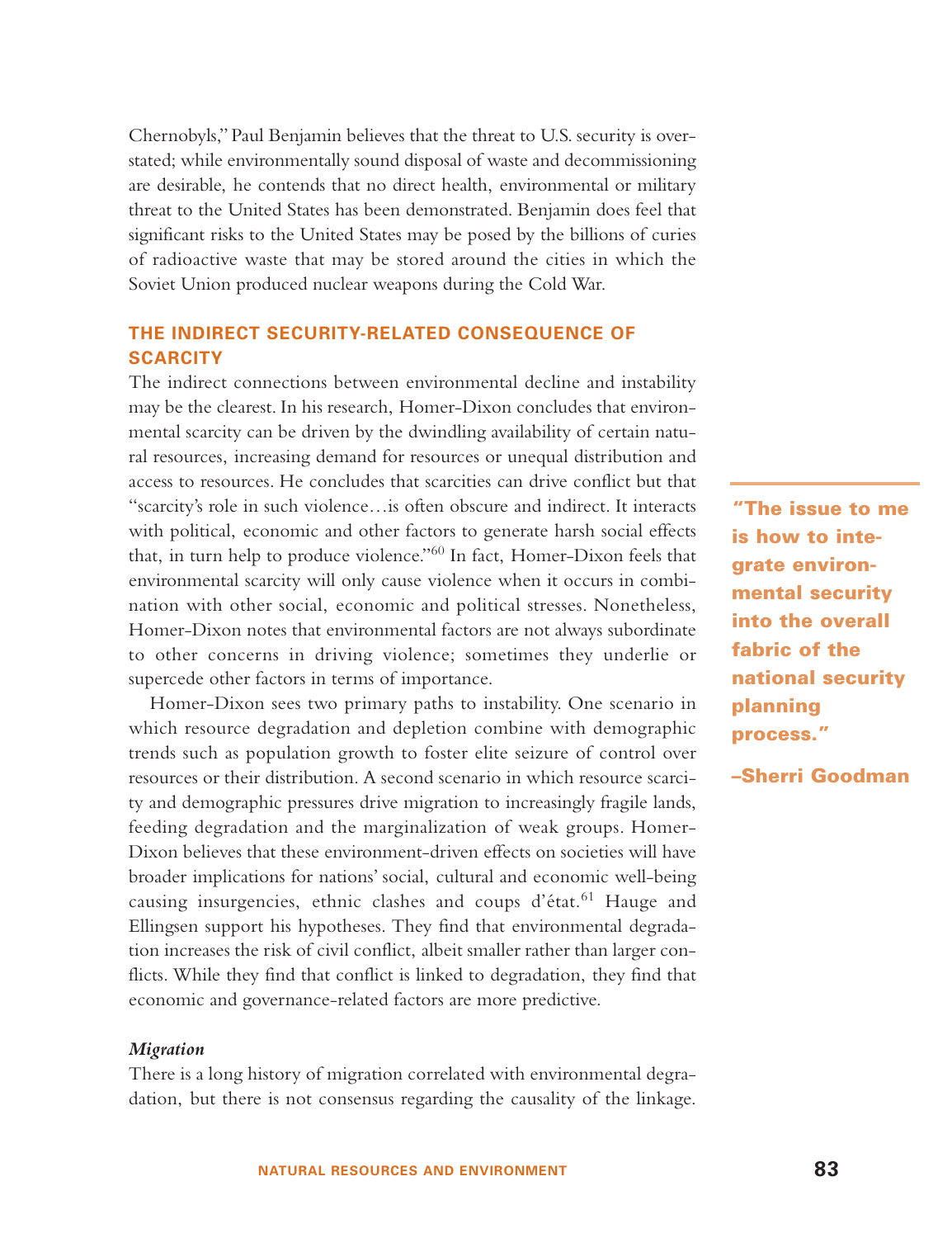Chernobyls," Paul Benjamin believes that the threat to U.S. security is overstated; while environmentally sound disposal of waste and decommissioning are desirable, he contends that no direct health, environmental or military threat to the United States has been demonstrated. Benjamin does feel that significant risks to the United States may be posed by the billions of curies of radioactive waste that may be stored around the cities in which the Soviet Union produced nuclear weapons during the Cold War.

# **THE INDIRECT SECURITY-RELATED CONSEQUENCE OF SCARCITY**

The indirect connections between environmental decline and instability may be the clearest. In his research, Homer-Dixon concludes that environmental scarcity can be driven by the dwindling availability of certain natural resources, increasing demand for resources or unequal distribution and access to resources. He concludes that scarcities can drive conflict but that "scarcity's role in such violence…is often obscure and indirect. It interacts with political, economic and other factors to generate harsh social effects that, in turn help to produce violence."<sup>60</sup> In fact, Homer-Dixon feels that environmental scarcity will only cause violence when it occurs in combination with other social, economic and political stresses. Nonetheless, Homer-Dixon notes that environmental factors are not always subordinate to other concerns in driving violence; sometimes they underlie or supercede other factors in terms of importance.

Homer-Dixon sees two primary paths to instability. One scenario in which resource degradation and depletion combine with demographic trends such as population growth to foster elite seizure of control over resources or their distribution. A second scenario in which resource scarcity and demographic pressures drive migration to increasingly fragile lands, feeding degradation and the marginalization of weak groups. Homer-Dixon believes that these environment-driven effects on societies will have broader implications for nations' social, cultural and economic well-being causing insurgencies, ethnic clashes and coups d'état.<sup>61</sup> Hauge and Ellingsen support his hypotheses. They find that environmental degradation increases the risk of civil conflict, albeit smaller rather than larger conflicts. While they find that conflict is linked to degradation, they find that economic and governance-related factors are more predictive.

#### *Migration*

There is a long history of migration correlated with environmental degradation, but there is not consensus regarding the causality of the linkage.

**"The issue to me is how to integrate environmental security into the overall fabric of the national security planning process."**

**–Sherri Goodman**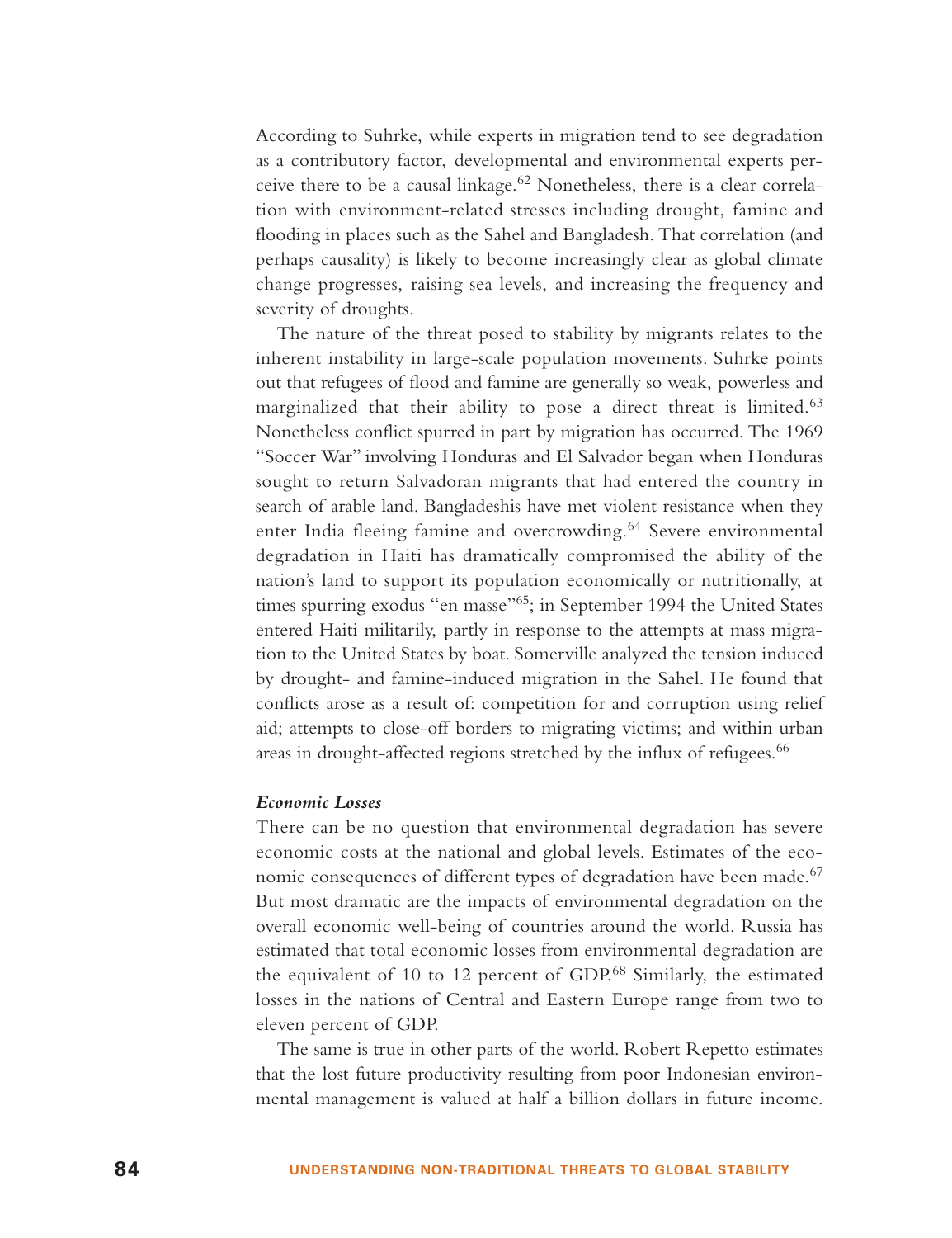According to Suhrke, while experts in migration tend to see degradation as a contributory factor, developmental and environmental experts perceive there to be a causal linkage.<sup>62</sup> Nonetheless, there is a clear correlation with environment-related stresses including drought, famine and flooding in places such as the Sahel and Bangladesh. That correlation (and perhaps causality) is likely to become increasingly clear as global climate change progresses, raising sea levels, and increasing the frequency and severity of droughts.

The nature of the threat posed to stability by migrants relates to the inherent instability in large-scale population movements. Suhrke points out that refugees of flood and famine are generally so weak, powerless and marginalized that their ability to pose a direct threat is limited.<sup>63</sup> Nonetheless conflict spurred in part by migration has occurred. The 1969 "Soccer War" involving Honduras and El Salvador began when Honduras sought to return Salvadoran migrants that had entered the country in search of arable land. Bangladeshis have met violent resistance when they enter India fleeing famine and overcrowding.<sup>64</sup> Severe environmental degradation in Haiti has dramatically compromised the ability of the nation's land to support its population economically or nutritionally, at times spurring exodus "en masse"65; in September 1994 the United States entered Haiti militarily, partly in response to the attempts at mass migration to the United States by boat. Somerville analyzed the tension induced by drought- and famine-induced migration in the Sahel. He found that conflicts arose as a result of: competition for and corruption using relief aid; attempts to close-off borders to migrating victims; and within urban areas in drought-affected regions stretched by the influx of refugees.<sup>66</sup>

#### *Economic Losses*

There can be no question that environmental degradation has severe economic costs at the national and global levels. Estimates of the economic consequences of different types of degradation have been made.<sup>67</sup> But most dramatic are the impacts of environmental degradation on the overall economic well-being of countries around the world. Russia has estimated that total economic losses from environmental degradation are the equivalent of 10 to 12 percent of GDP.<sup>68</sup> Similarly, the estimated losses in the nations of Central and Eastern Europe range from two to eleven percent of GDP.

The same is true in other parts of the world. Robert Repetto estimates that the lost future productivity resulting from poor Indonesian environmental management is valued at half a billion dollars in future income.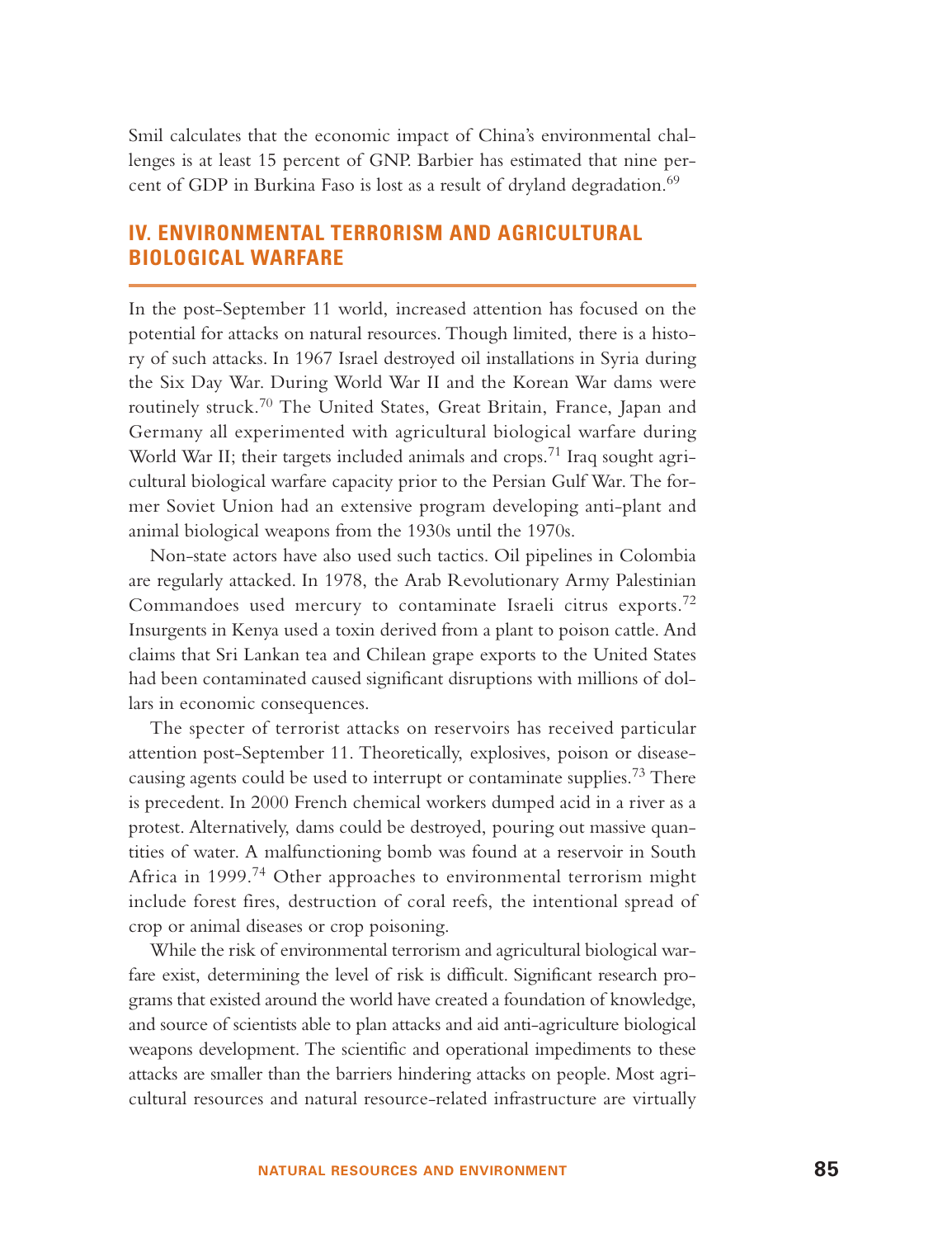Smil calculates that the economic impact of China's environmental challenges is at least 15 percent of GNP. Barbier has estimated that nine percent of GDP in Burkina Faso is lost as a result of dryland degradation.<sup>69</sup>

# **IV. ENVIRONMENTAL TERRORISM AND AGRICULTURAL BIOLOGICAL WARFARE**

In the post-September 11 world, increased attention has focused on the potential for attacks on natural resources. Though limited, there is a history of such attacks. In 1967 Israel destroyed oil installations in Syria during the Six Day War. During World War II and the Korean War dams were routinely struck.<sup>70</sup> The United States, Great Britain, France, Japan and Germany all experimented with agricultural biological warfare during World War II; their targets included animals and crops.<sup>71</sup> Iraq sought agricultural biological warfare capacity prior to the Persian Gulf War. The former Soviet Union had an extensive program developing anti-plant and animal biological weapons from the 1930s until the 1970s.

Non-state actors have also used such tactics. Oil pipelines in Colombia are regularly attacked. In 1978, the Arab Revolutionary Army Palestinian Commandoes used mercury to contaminate Israeli citrus exports.<sup>72</sup> Insurgents in Kenya used a toxin derived from a plant to poison cattle. And claims that Sri Lankan tea and Chilean grape exports to the United States had been contaminated caused significant disruptions with millions of dollars in economic consequences.

The specter of terrorist attacks on reservoirs has received particular attention post-September 11. Theoretically, explosives, poison or diseasecausing agents could be used to interrupt or contaminate supplies.<sup>73</sup> There is precedent. In 2000 French chemical workers dumped acid in a river as a protest. Alternatively, dams could be destroyed, pouring out massive quantities of water. A malfunctioning bomb was found at a reservoir in South Africa in 1999.<sup>74</sup> Other approaches to environmental terrorism might include forest fires, destruction of coral reefs, the intentional spread of crop or animal diseases or crop poisoning.

While the risk of environmental terrorism and agricultural biological warfare exist, determining the level of risk is difficult. Significant research programs that existed around the world have created a foundation of knowledge, and source of scientists able to plan attacks and aid anti-agriculture biological weapons development. The scientific and operational impediments to these attacks are smaller than the barriers hindering attacks on people. Most agricultural resources and natural resource-related infrastructure are virtually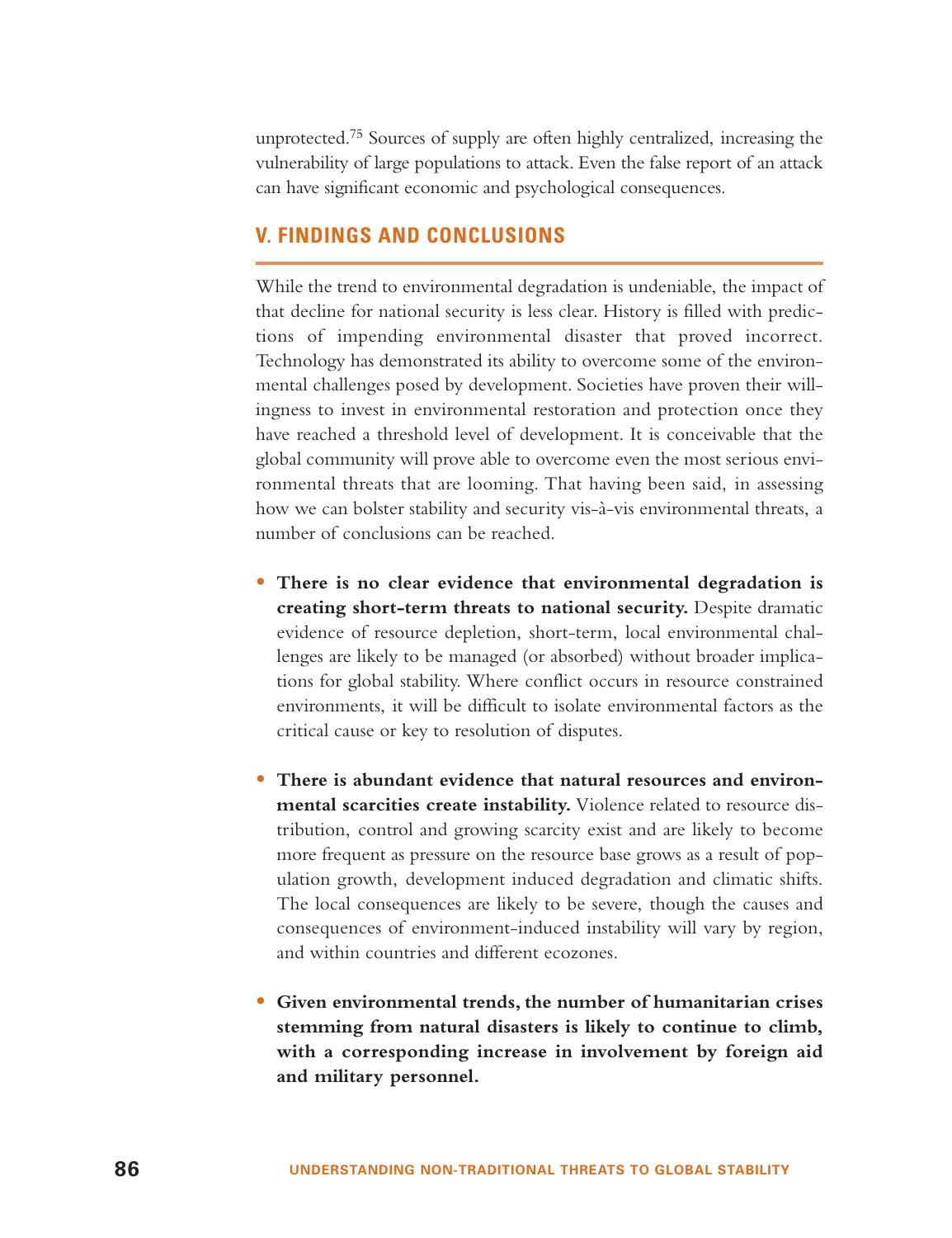unprotected.<sup>75</sup> Sources of supply are often highly centralized, increasing the vulnerability of large populations to attack. Even the false report of an attack can have significant economic and psychological consequences.

## **V. FINDINGS AND CONCLUSIONS**

While the trend to environmental degradation is undeniable, the impact of that decline for national security is less clear. History is filled with predictions of impending environmental disaster that proved incorrect. Technology has demonstrated its ability to overcome some of the environmental challenges posed by development. Societies have proven their willingness to invest in environmental restoration and protection once they have reached a threshold level of development. It is conceivable that the global community will prove able to overcome even the most serious environmental threats that are looming. That having been said, in assessing how we can bolster stability and security vis-à-vis environmental threats, <sup>a</sup> number of conclusions can be reached.

- **There is no clear evidence that environmental degradation is creating short-term threats to national security.** Despite dramatic evidence of resource depletion, short-term, local environmental challenges are likely to be managed (or absorbed) without broader implications for global stability. Where conflict occurs in resource constrained environments, it will be difficult to isolate environmental factors as the critical cause or key to resolution of disputes.
- **There is abundant evidence that natural resources and environmental scarcities create instability.** Violence related to resource distribution, control and growing scarcity exist and are likely to become more frequent as pressure on the resource base grows as a result of population growth, development induced degradation and climatic shifts. The local consequences are likely to be severe, though the causes and consequences of environment-induced instability will vary by region, and within countries and different ecozones.
- **Given environmental trends, the number of humanitarian crises stemming from natural disasters is likely to continue to climb, with a corresponding increase in involvement by foreign aid and military personnel.**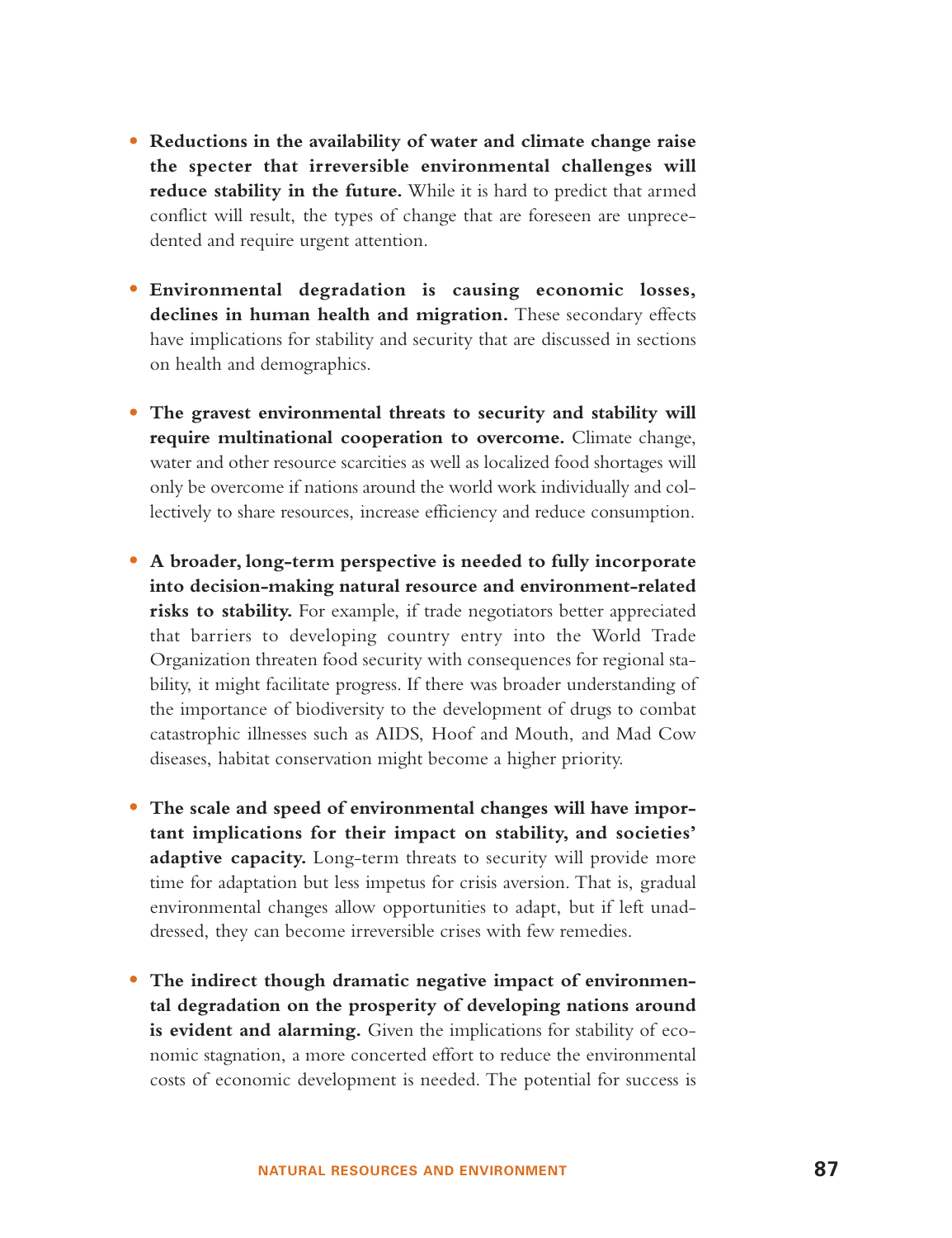- **Reductions in the availability of water and climate change raise the specter that irreversible environmental challenges will reduce stability in the future.** While it is hard to predict that armed conflict will result, the types of change that are foreseen are unprecedented and require urgent attention.
- **Environmental degradation is causing economic losses, declines in human health and migration.** These secondary effects have implications for stability and security that are discussed in sections on health and demographics.
- **The gravest environmental threats to security and stability will require multinational cooperation to overcome.** Climate change, water and other resource scarcities as well as localized food shortages will only be overcome if nations around the world work individually and collectively to share resources, increase efficiency and reduce consumption.
- **A broader, long-term perspective is needed to fully incorporate into decision-making natural resource and environment-related risks to stability.** For example, if trade negotiators better appreciated that barriers to developing country entry into the World Trade Organization threaten food security with consequences for regional stability, it might facilitate progress. If there was broader understanding of the importance of biodiversity to the development of drugs to combat catastrophic illnesses such as AIDS, Hoof and Mouth, and Mad Cow diseases, habitat conservation might become a higher priority.
- **The scale and speed of environmental changes will have important implications for their impact on stability, and societies'** adaptive capacity. Long-term threats to security will provide more time for adaptation but less impetus for crisis aversion. That is, gradual environmental changes allow opportunities to adapt, but if left unaddressed, they can become irreversible crises with few remedies.
- **The indirect though dramatic negative impact of environmental degradation on the prosperity of developing nations around is evident and alarming.** Given the implications for stability of economic stagnation, a more concerted effort to reduce the environmental costs of economic development is needed. The potential for success is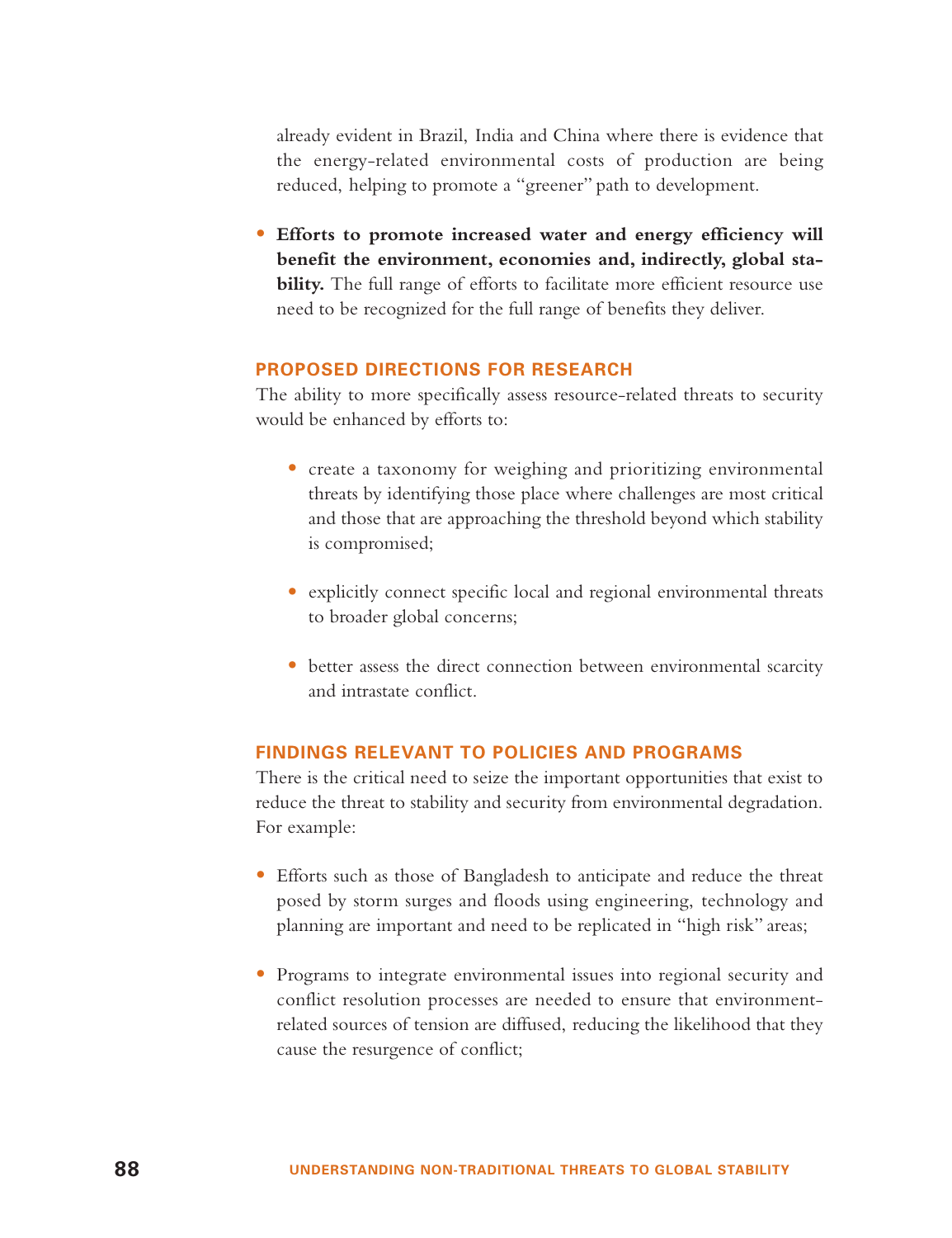already evident in Brazil, India and China where there is evidence that the energy-related environmental costs of production are being reduced, helping to promote a "greener" path to development.

• **Efforts to promote increased water and energy efficiency will benefit the environment, economies and, indirectly, global stability.** The full range of efforts to facilitate more efficient resource use need to be recognized for the full range of benefits they deliver.

#### **PROPOSED DIRECTIONS FOR RESEARCH**

The ability to more specifically assess resource-related threats to security would be enhanced by efforts to:

- create a taxonomy for weighing and prioritizing environmental threats by identifying those place where challenges are most critical and those that are approaching the threshold beyond which stability is compromised;
- explicitly connect specific local and regional environmental threats to broader global concerns;
- better assess the direct connection between environmental scarcity and intrastate conflict.

#### **FINDINGS RELEVANT TO POLICIES AND PROGRAMS**

There is the critical need to seize the important opportunities that exist to reduce the threat to stability and security from environmental degradation. For example:

- Efforts such as those of Bangladesh to anticipate and reduce the threat posed by storm surges and floods using engineering, technology and planning are important and need to be replicated in "high risk" areas;
- Programs to integrate environmental issues into regional security and conflict resolution processes are needed to ensure that environmentrelated sources of tension are diffused, reducing the likelihood that they cause the resurgence of conflict;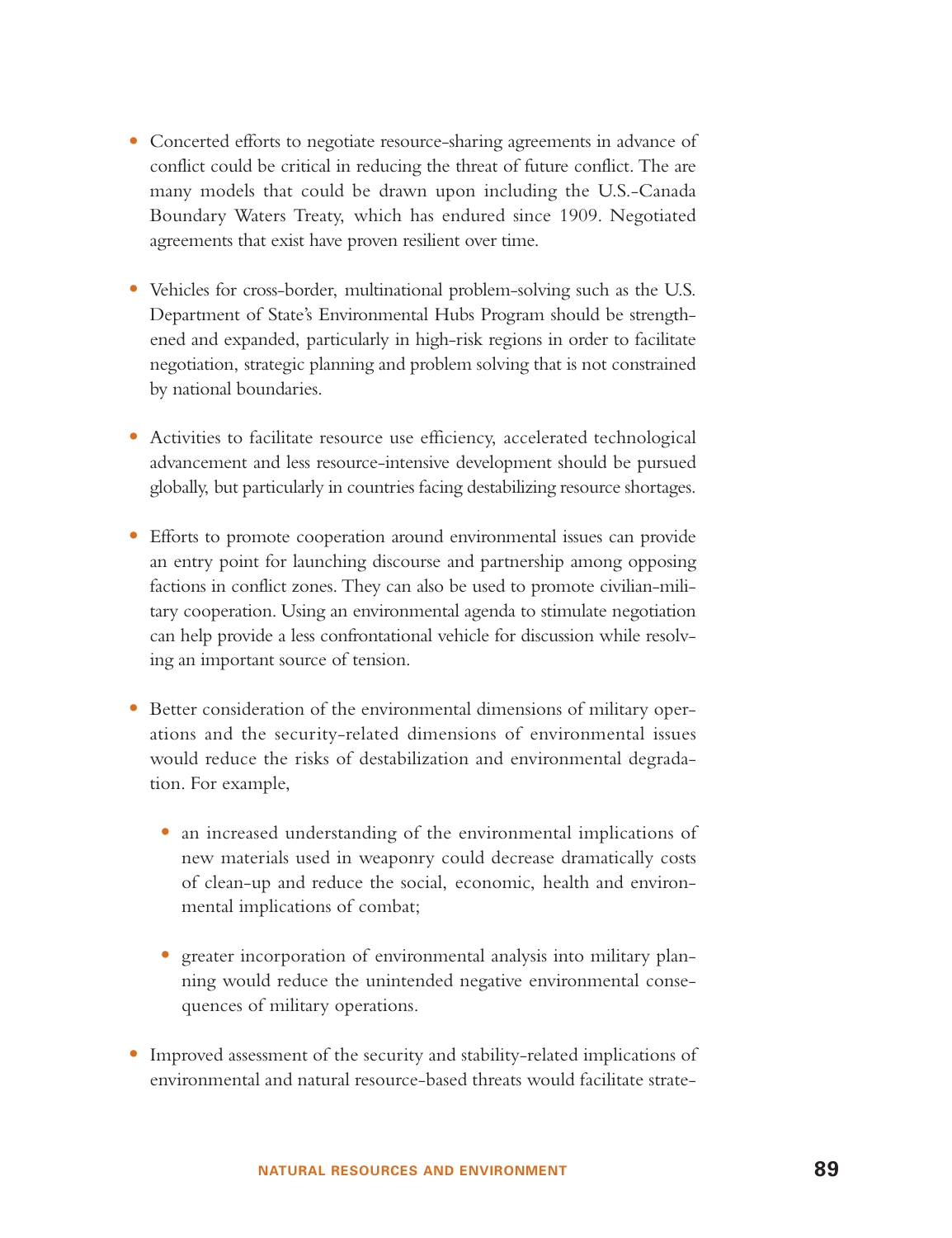- Concerted efforts to negotiate resource-sharing agreements in advance of conflict could be critical in reducing the threat of future conflict. The are many models that could be drawn upon including the U.S.-Canada Boundary Waters Treaty, which has endured since 1909. Negotiated agreements that exist have proven resilient over time.
- Vehicles for cross-border, multinational problem-solving such as the U.S. Department of State's Environmental Hubs Program should be strengthened and expanded, particularly in high-risk regions in order to facilitate negotiation, strategic planning and problem solving that is not constrained by national boundaries.
- Activities to facilitate resource use efficiency, accelerated technological advancement and less resource-intensive development should be pursued globally, but particularly in countries facing destabilizing resource shortages.
- Efforts to promote cooperation around environmental issues can provide an entry point for launching discourse and partnership among opposing factions in conflict zones. They can also be used to promote civilian-military cooperation. Using an environmental agenda to stimulate negotiation can help provide a less confrontational vehicle for discussion while resolving an important source of tension.
- Better consideration of the environmental dimensions of military operations and the security-related dimensions of environmental issues would reduce the risks of destabilization and environmental degradation. For example,
	- an increased understanding of the environmental implications of new materials used in weaponry could decrease dramatically costs of clean-up and reduce the social, economic, health and environmental implications of combat;
	- greater incorporation of environmental analysis into military planning would reduce the unintended negative environmental consequences of military operations.
- • Improved assessment of the security and stability-related implications of environmental and natural resource-based threats would facilitate strate-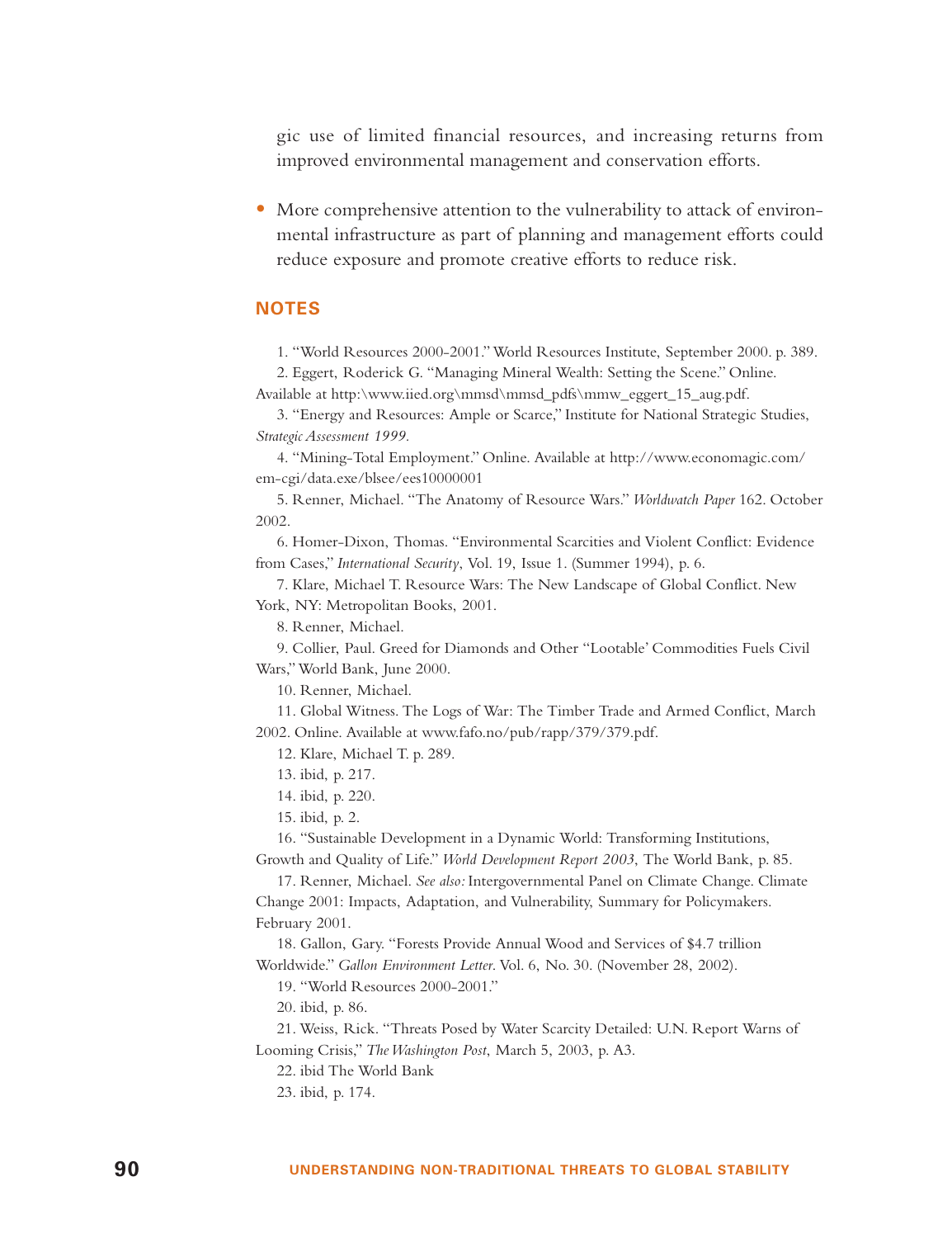gic use of limited financial resources, and increasing returns from improved environmental management and conservation efforts.

• More comprehensive attention to the vulnerability to attack of environmental infrastructure as part of planning and management efforts could reduce exposure and promote creative efforts to reduce risk.

#### **NOTES**

1. "World Resources 2000-2001." World Resources Institute, September 2000. p. 389.

2. Eggert, Roderick G. "Managing Mineral Wealth: Setting the Scene." Online. Available at http:\www.iied.org\mmsd\mmsd\_pdfs\mmw\_eggert\_15\_aug.pdf.

3. "Energy and Resources: Ample or Scarce," Institute for National Strategic Studies, *Strategic Assessment 1999.*

4. "Mining-Total Employment." Online. Available at http://www.economagic.com/ em-cgi/data.exe/blsee/ees10000001

5. Renner, Michael. "The Anatomy of Resource Wars." *Worldwatch Paper* 162. October 2002.

6. Homer-Dixon, Thomas. "Environmental Scarcities and Violent Conflict: Evidence from Cases," *International Security*, Vol. 19, Issue 1. (Summer 1994), p. 6.

7. Klare, Michael T. Resource Wars: The New Landscape of Global Conflict. New York, NY: Metropolitan Books, 2001.

8. Renner, Michael.

9. Collier, Paul. Greed for Diamonds and Other "Lootable' Commodities Fuels Civil Wars,"World Bank, June 2000.

10. Renner, Michael.

11. Global Witness. The Logs of War: The Timber Trade and Armed Conflict, March 2002. Online. Available at www.fafo.no/pub/rapp/379/379.pdf.

12. Klare, Michael T. p. 289.

13. ibid, p. 217.

14. ibid, p. 220.

15. ibid, p. 2.

16. "Sustainable Development in a Dynamic World: Transforming Institutions,

Growth and Quality of Life." *World Development Report 2003*, The World Bank, p. 85.

17. Renner, Michael. *See also:* Intergovernmental Panel on Climate Change. Climate Change 2001: Impacts, Adaptation, and Vulnerability, Summary for Policymakers. February 2001.

18. Gallon, Gary. "Forests Provide Annual Wood and Services of \$4.7 trillion Worldwide." *Gallon Environment Letter*. Vol. 6, No. 30. (November 28, 2002).

19. "World Resources 2000-2001."

20. ibid, p. 86.

21. Weiss, Rick. "Threats Posed by Water Scarcity Detailed: U.N. Report Warns of Looming Crisis," *The Washington Post*, March 5, 2003, p. A3.

22. ibid The World Bank

23. ibid, p. 174.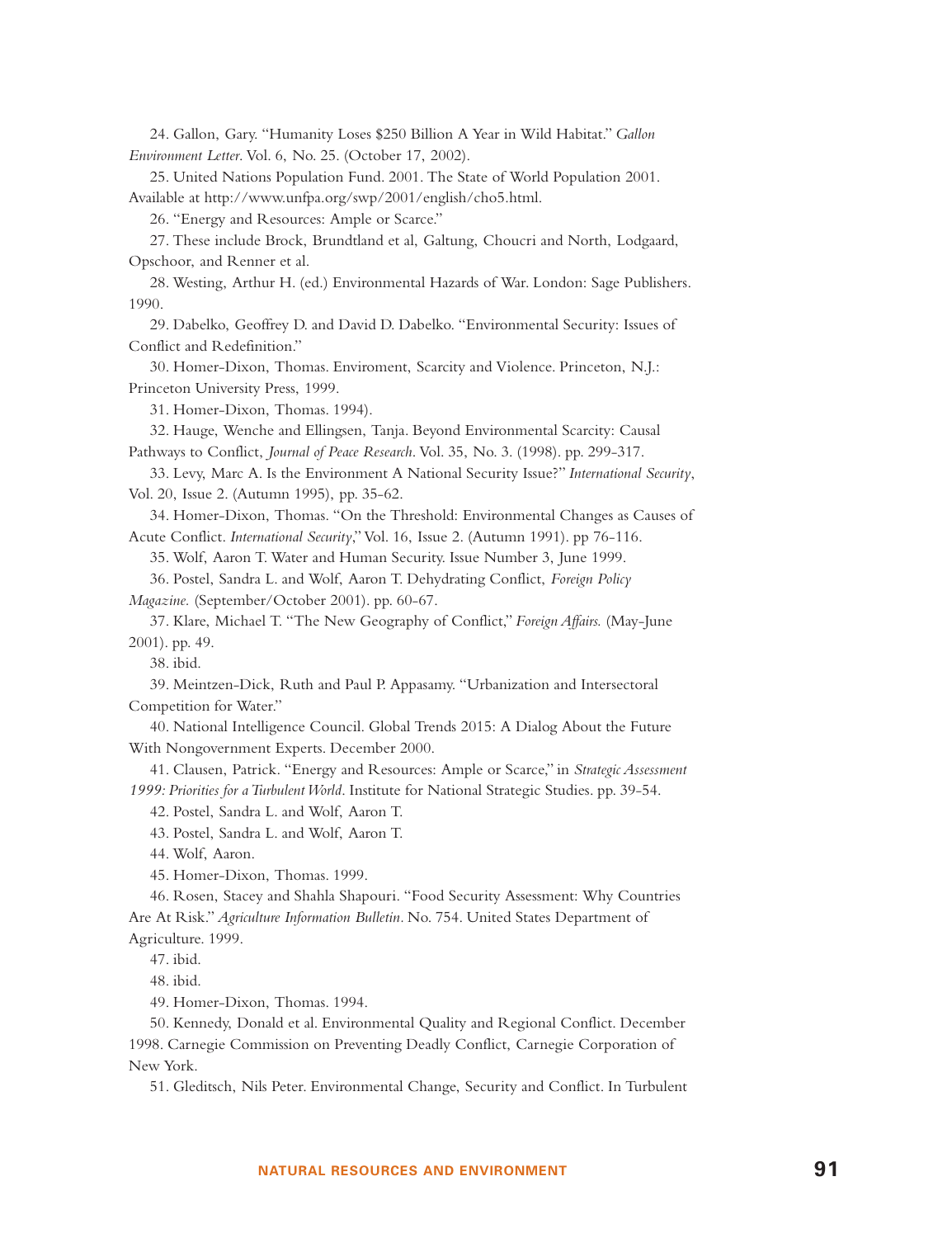24. Gallon, Gary. "Humanity Loses \$250 Billion A Year in Wild Habitat." *Gallon Environment Letter*. Vol. 6, No. 25. (October 17, 2002).

25. United Nations Population Fund. 2001. The State of World Population 2001.

Available at http://www.unfpa.org/swp/2001/english/cho5.html.

26. "Energy and Resources: Ample or Scarce."

27. These include Brock, Brundtland et al, Galtung, Choucri and North, Lodgaard, Opschoor, and Renner et al.

28. Westing, Arthur H. (ed.) Environmental Hazards of War. London: Sage Publishers. 1990.

29. Dabelko, Geoffrey D. and David D. Dabelko. "Environmental Security: Issues of Conflict and Redefinition."

30. Homer-Dixon, Thomas. Enviroment, Scarcity and Violence. Princeton, N.J.: Princeton University Press, 1999.

31. Homer-Dixon, Thomas. 1994).

32. Hauge, Wenche and Ellingsen, Tanja. Beyond Environmental Scarcity: Causal Pathways to Conflict, *Journal of Peace Research*. Vol. 35, No. 3. (1998). pp. 299-317.

33. Levy, Marc A. Is the Environment A National Security Issue?" *International Security*, Vol. 20, Issue 2. (Autumn 1995), pp. 35-62.

34. Homer-Dixon, Thomas. "On the Threshold: Environmental Changes as Causes of Acute Conflict. *International Security*,"Vol. 16, Issue 2. (Autumn 1991). pp 76-116.

35. Wolf, Aaron T. Water and Human Security. Issue Number 3, June 1999.

36. Postel, Sandra L. and Wolf, Aaron T. Dehydrating Conflict, *Foreign Policy Magazine.* (September/October 2001). pp. 60-67.

37. Klare, Michael T. "The New Geography of Conflict," *Foreign Affairs.* (May-June 2001). pp. 49.

38. ibid.

39. Meintzen-Dick, Ruth and Paul P. Appasamy. "Urbanization and Intersectoral Competition for Water."

40. National Intelligence Council. Global Trends 2015: A Dialog About the Future With Nongovernment Experts. December 2000.

41. Clausen, Patrick. "Energy and Resources: Ample or Scarce," in *Strategic Assessment 1999: Priorities for a Turbulent World*. Institute for National Strategic Studies. pp. 39-54.

42. Postel, Sandra L. and Wolf, Aaron T.

43. Postel, Sandra L. and Wolf, Aaron T.

44. Wolf, Aaron.

45. Homer-Dixon, Thomas. 1999.

46. Rosen, Stacey and Shahla Shapouri. "Food Security Assessment: Why Countries Are At Risk." *Agriculture Information Bulletin.* No. 754. United States Department of Agriculture. 1999.

47. ibid.

48. ibid.

49. Homer-Dixon, Thomas. 1994.

50. Kennedy, Donald et al. Environmental Quality and Regional Conflict. December 1998. Carnegie Commission on Preventing Deadly Conflict, Carnegie Corporation of New York.

51. Gleditsch, Nils Peter. Environmental Change, Security and Conflict. In Turbulent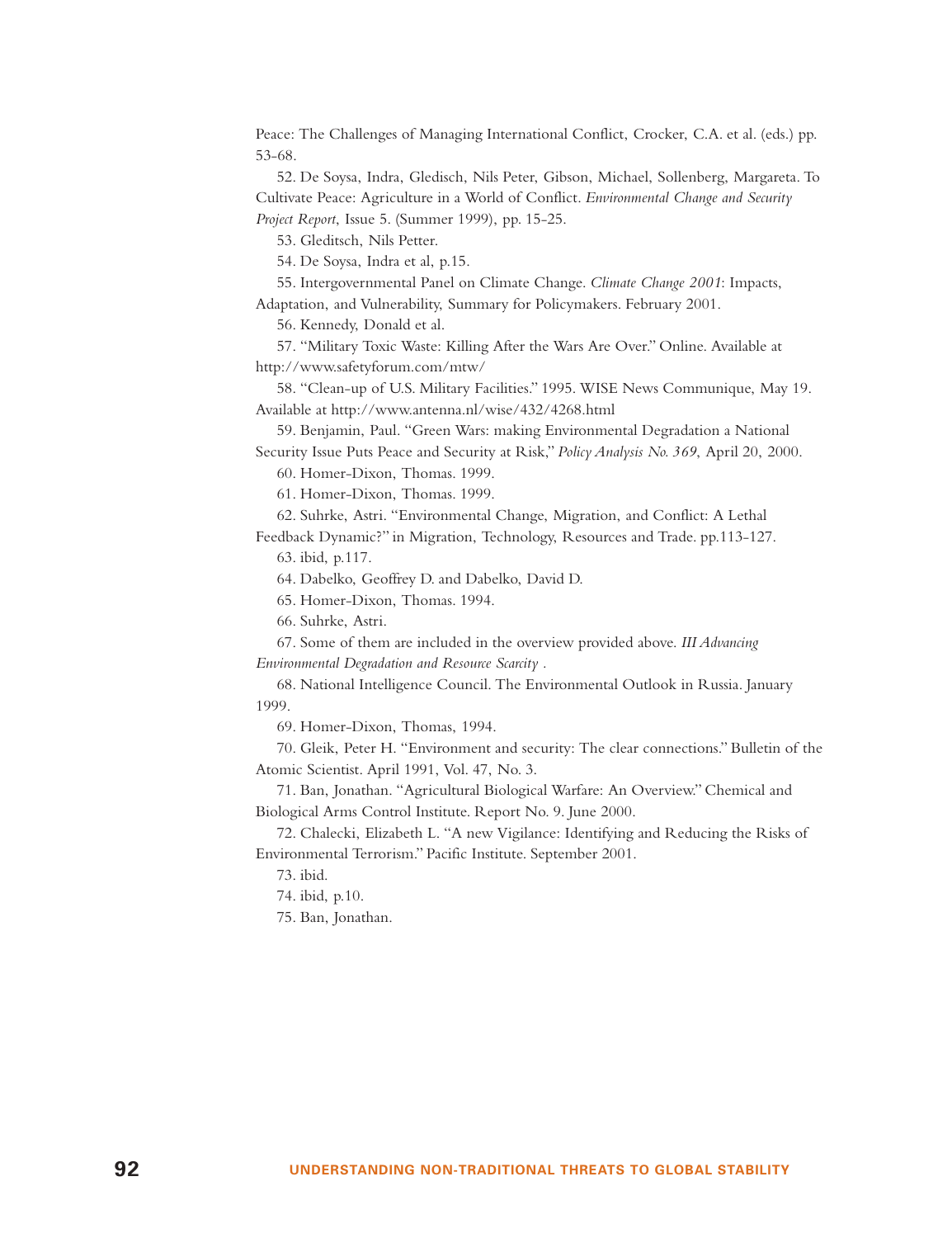Peace: The Challenges of Managing International Conflict, Crocker, C.A. et al. (eds.) pp. 53-68.

52. De Soysa, Indra, Gledisch, Nils Peter, Gibson, Michael, Sollenberg, Margareta. To Cultivate Peace: Agriculture in a World of Conflict. *Environmental Change and Security Project Report*, Issue 5. (Summer 1999), pp. 15-25.

53. Gleditsch, Nils Petter.

54. De Soysa, Indra et al, p.15.

55. Intergovernmental Panel on Climate Change. *Climate Change 2001*: Impacts, Adaptation, and Vulnerability, Summary for Policymakers. February 2001.

56. Kennedy, Donald et al.

57. "Military Toxic Waste: Killing After the Wars Are Over." Online. Available at http://www.safetyforum.com/mtw/

58. "Clean-up of U.S. Military Facilities." 1995. WISE News Communique, May 19. Available at http://www.antenna.nl/wise/432/4268.html

59. Benjamin, Paul. "Green Wars: making Environmental Degradation a National Security Issue Puts Peace and Security at Risk," *Policy Analysis No. 369*, April 20, 2000.

60. Homer-Dixon, Thomas. 1999.

61. Homer-Dixon, Thomas. 1999.

62. Suhrke, Astri. "Environmental Change, Migration, and Conflict: A Lethal

Feedback Dynamic?" in Migration, Technology, Resources and Trade. pp.113-127. 63. ibid, p.117.

64. Dabelko, Geoffrey D. and Dabelko, David D.

65. Homer-Dixon, Thomas. 1994.

66. Suhrke, Astri.

67. Some of them are included in the overview provided above. *III Advancing Environmental Degradation and Resource Scarcity .*

68. National Intelligence Council. The Environmental Outlook in Russia. January 1999.

69. Homer-Dixon, Thomas, 1994.

70. Gleik, Peter H. "Environment and security: The clear connections." Bulletin of the Atomic Scientist. April 1991, Vol. 47, No. 3.

71. Ban, Jonathan. "Agricultural Biological Warfare: An Overview." Chemical and Biological Arms Control Institute. Report No. 9. June 2000.

72. Chalecki, Elizabeth L. "A new Vigilance: Identifying and Reducing the Risks of Environmental Terrorism." Pacific Institute. September 2001.

73. ibid.

74. ibid, p.10.

75. Ban, Jonathan.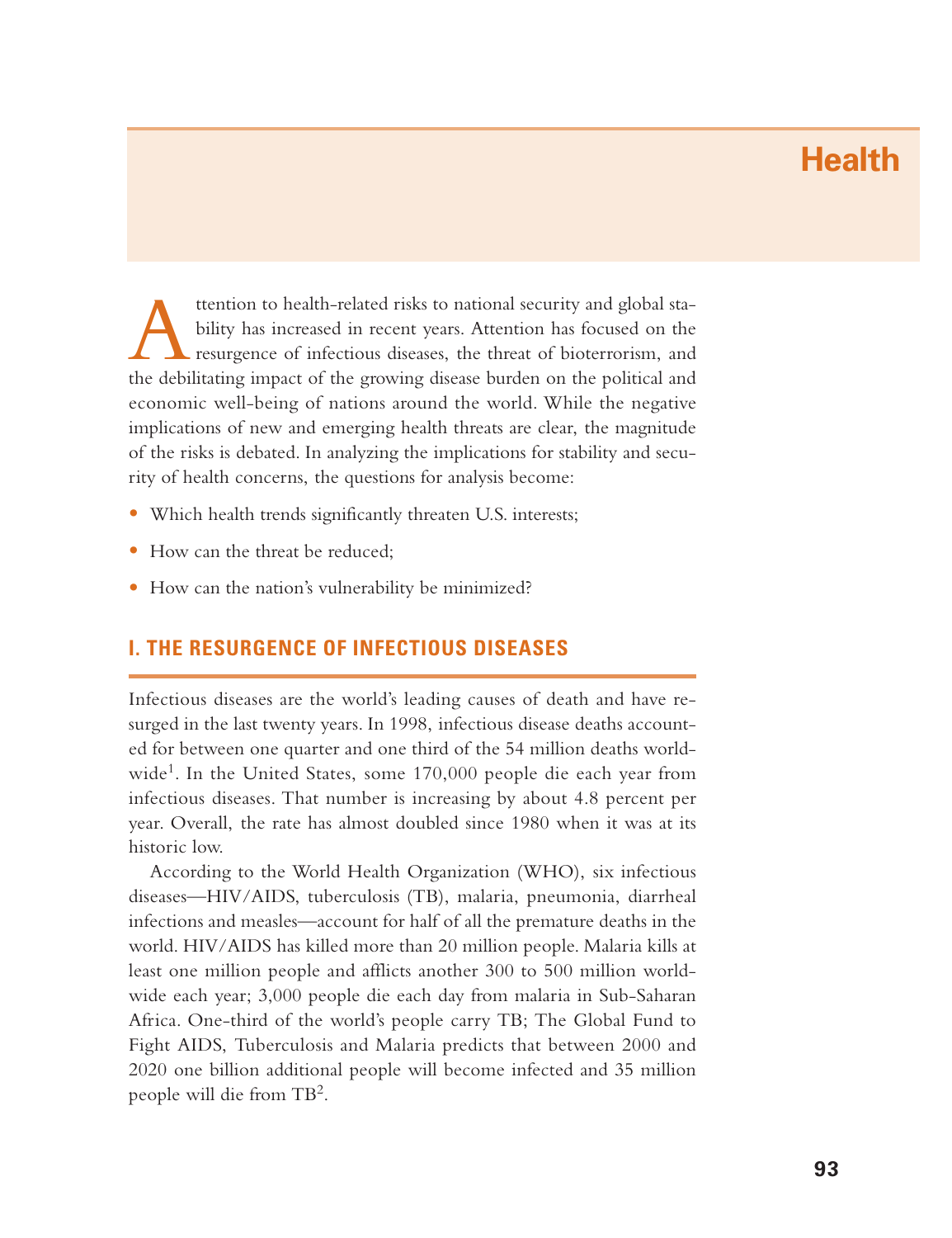# **Health**

Attention to health-related risks to national security and global sta- bility has increased in recent years. Attention has focused on the resurgence o<sup>f</sup> infectious diseases, the threat of bioterrorism, and the debilitating impact of the growing disease burden on the political and economic well-being of nations around the world. While the negative implications of new and emerging health threats are clear, the magnitude of the risks is debated. In analyzing the implications for stability and security of health concerns, the questions for analysis become:

- Which health trends significantly threaten U.S. interests;
- How can the threat be reduced;
- How can the nation's vulnerability be minimized?

# **I. THE RESURGENCE OF INFECTIOUS DISEASES**

Infectious diseases are the world's leading causes of death and have resurged in the last twenty years. In 1998, infectious disease deaths accounted for between one quarter and one third of the 54 million deaths worldwide<sup>1</sup>. In the United States, some  $170,000$  people die each year from infectious diseases. That number is increasing by about 4.8 percent per year. Overall, the rate has almost doubled since 1980 when it was at its historic low.

According to the World Health Organization (WHO), six infectious diseases—HIV/AIDS, tuberculosis (TB), malaria, pneumonia, diarrheal infections and measles—account for half of all the premature deaths in the world. HIV/AIDS has killed more than 20 million people. Malaria kills at least one million people and afflicts another 300 to 500 million worldwide each year; 3,000 people die each day from malaria in Sub-Saharan Africa. One-third of the world's people carry TB; The Global Fund to Fight AIDS, Tuberculosis and Malaria predicts that between 2000 and 2020 one billion additional people will become infected and 35 million people will die from TB2.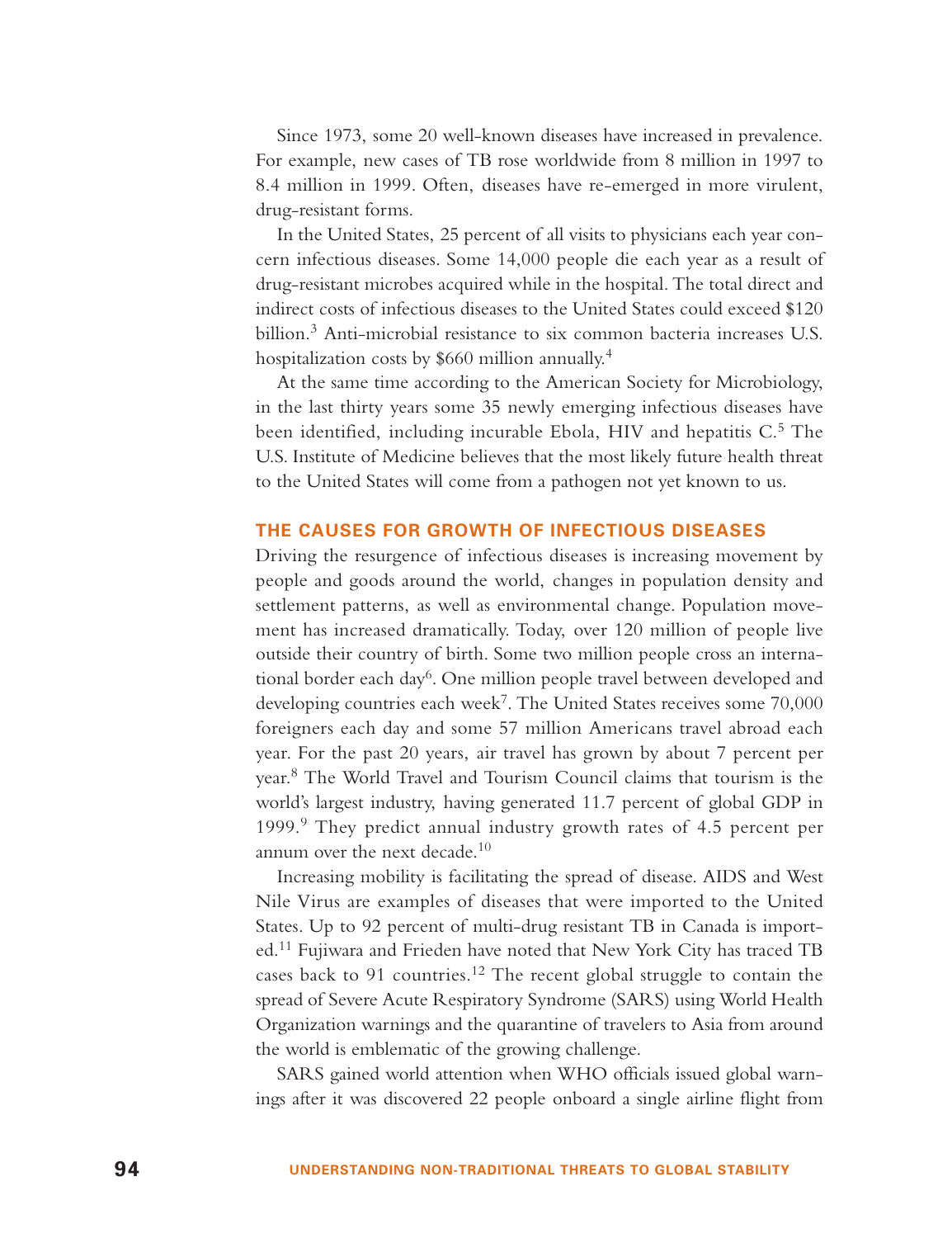Since 1973, some 20 well-known diseases have increased in prevalence. For example, new cases of TB rose worldwide from 8 million in 1997 to 8.4 million in 1999. Often, diseases have re-emerged in more virulent, drug-resistant forms.

In the United States, 25 percent of all visits to physicians each year concern infectious diseases. Some 14,000 people die each year as a result of drug-resistant microbes acquired while in the hospital. The total direct and indirect costs of infectious diseases to the United States could exceed \$120 billion.<sup>3</sup> Anti-microbial resistance to six common bacteria increases U.S. hospitalization costs by \$660 million annually.<sup>4</sup>

At the same time according to the American Society for Microbiology, in the last thirty years some 35 newly emerging infectious diseases have been identified, including incurable Ebola, HIV and hepatitis C.<sup>5</sup> The U.S. Institute of Medicine believes that the most likely future health threat to the United States will come from a pathogen not yet known to us.

#### **THE CAUSES FOR GROWTH OF INFECTIOUS DISEASES**

Driving the resurgence of infectious diseases is increasing movement by people and goods around the world, changes in population density and settlement patterns, as well as environmental change. Population movement has increased dramatically. Today, over 120 million of people live outside their country of birth. Some two million people cross an international border each day<sup>6</sup>. One million people travel between developed and developing countries each week<sup>7</sup>. The United States receives some  $70,000$ foreigners each day and some 57 million Americans travel abroad each year. For the past 20 years, air travel has grown by about 7 percent per year.<sup>8</sup> The World Travel and Tourism Council claims that tourism is the world's largest industry, having generated 11.7 percent of global GDP in 1999.<sup>9</sup> They predict annual industry growth rates of 4.5 percent per annum over the next decade. $10$ 

Increasing mobility is facilitating the spread of disease. AIDS and West Nile Virus are examples of diseases that were imported to the United States. Up to 92 percent of multi-drug resistant TB in Canada is imported.<sup>11</sup> Fujiwara and Frieden have noted that New York City has traced TB cases back to 91 countries.<sup>12</sup> The recent global struggle to contain the spread of Severe Acute Respiratory Syndrome (SARS) using World Health Organization warnings and the quarantine of travelers to Asia from around the world is emblematic of the growing challenge.

SARS gained world attention when WHO officials issued global warnings after it was discovered 22 people onboard a single airline flight from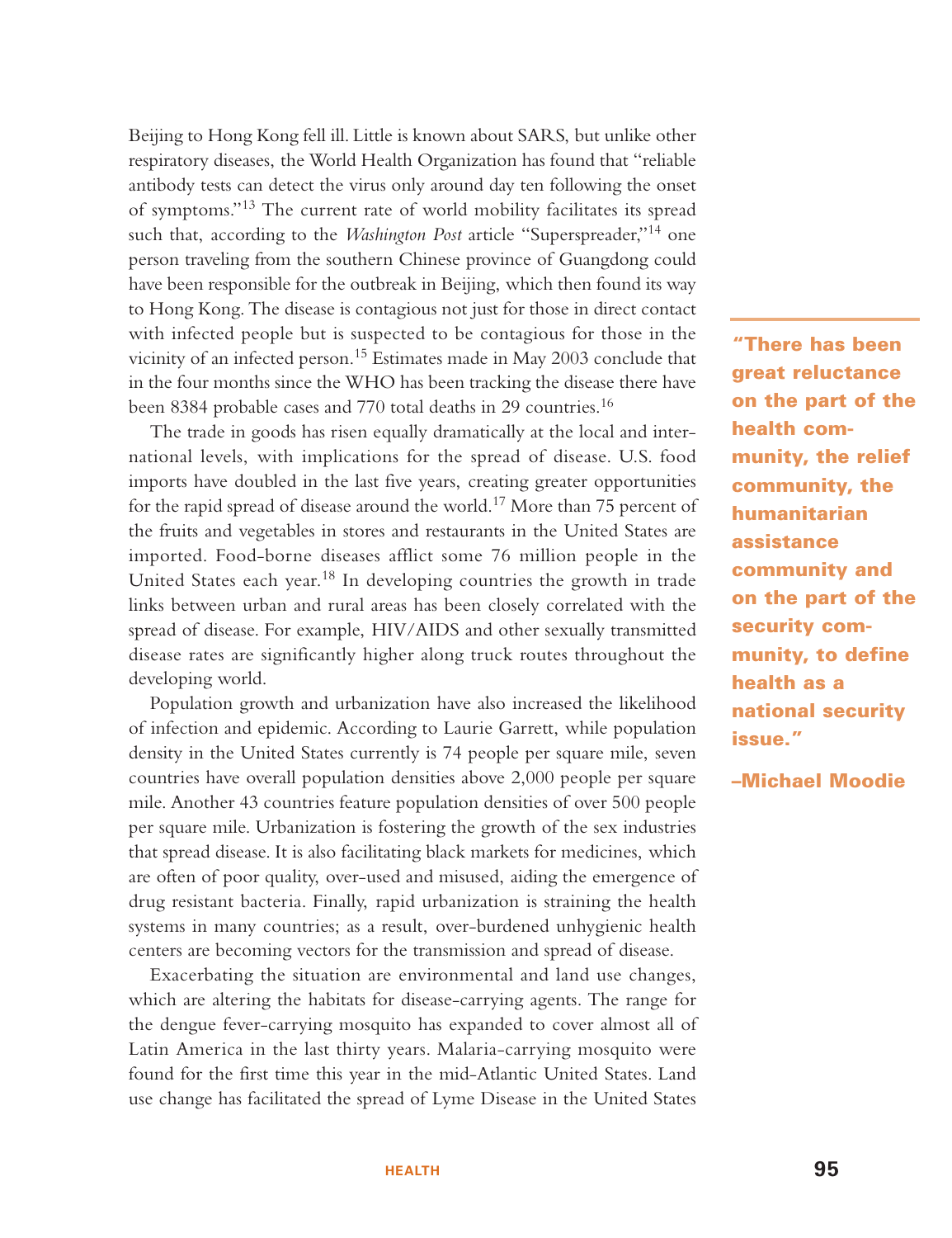Beijing to Hong Kong fell ill. Little is known about SARS, but unlike other respiratory diseases, the World Health Organization has found that "reliable antibody tests can detect the virus only around day ten following the onset of symptoms."13 The current rate of world mobility facilitates its spread such that, according to the *Washington Post* article "Superspreader,"<sup>14</sup> one person traveling from the southern Chinese province of Guangdong could have been responsible for the outbreak in Beijing, which then found its way to Hong Kong. The disease is contagious not just for those in direct contact with infected people but is suspected to be contagious for those in the vicinity of an infected person.<sup>15</sup> Estimates made in May 2003 conclude that in the four months since the WHO has been tracking the disease there have been 8384 probable cases and 770 total deaths in 29 countries.<sup>16</sup>

The trade in goods has risen equally dramatically at the local and international levels, with implications for the spread of disease. U.S. food imports have doubled in the last five years, creating greater opportunities for the rapid spread of disease around the world.<sup>17</sup> More than 75 percent of the fruits and vegetables in stores and restaurants in the United States are imported. Food-borne diseases afflict some 76 million people in the United States each year.<sup>18</sup> In developing countries the growth in trade links between urban and rural areas has been closely correlated with the spread of disease. For example, HIV/AIDS and other sexually transmitted disease rates are significantly higher along truck routes throughout the developing world.

Population growth and urbanization have also increased the likelihood of infection and epidemic. According to Laurie Garrett, while population density in the United States currently is 74 people per square mile, seven countries have overall population densities above 2,000 people per square mile. Another 43 countries feature population densities of over 500 people per square mile. Urbanization is fostering the growth of the sex industries that spread disease. It is also facilitating black markets for medicines, which are often of poor quality, over-used and misused, aiding the emergence of drug resistant bacteria. Finally, rapid urbanization is straining the health systems in many countries; as a result, over-burdened unhygienic health centers are becoming vectors for the transmission and spread of disease.

Exacerbating the situation are environmental and land use changes, which are altering the habitats for disease-carrying agents. The range for the dengue fever-carrying mosquito has expanded to cover almost all of Latin America in the last thirty years. Malaria-carrying mosquito were found for the first time this year in the mid-Atlantic United States. Land use change has facilitated the spread of Lyme Disease in the United States

**"There has been great reluctance on the part of the health community, the relief community, the humanitarian assistance community and on the part of the security community, to define health as a national security issue."**

#### **–Michael Moodie**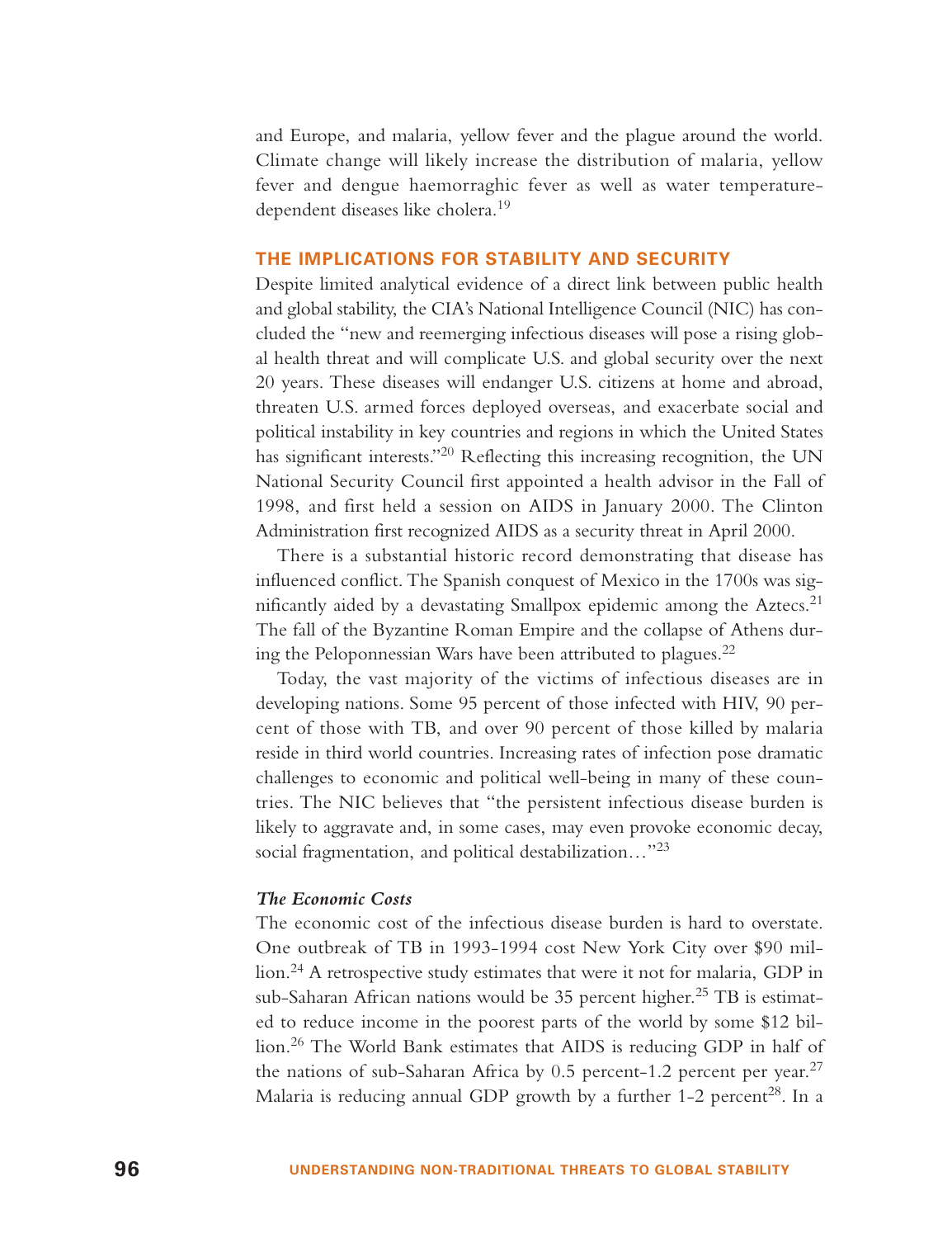and Europe, and malaria, yellow fever and the plague around the world. Climate change will likely increase the distribution of malaria, yellow fever and dengue haemorraghic fever as well as water temperaturedependent diseases like cholera.<sup>19</sup>

#### **THE IMPLICATIONS FOR STABILITY AND SECURITY**

Despite limited analytical evidence of a direct link between public health and global stability, the CIA's National Intelligence Council (NIC) has concluded the "new and reemerging infectious diseases will pose a rising global health threat and will complicate U.S. and global security over the next 20 years. These diseases will endanger U.S. citizens at home and abroad, threaten U.S. armed forces deployed overseas, and exacerbate social and political instability in key countries and regions in which the United States has significant interests."<sup>20</sup> Reflecting this increasing recognition, the UN National Security Council first appointed a health advisor in the Fall of 1998, and first held a session on AIDS in January 2000. The Clinton Administration first recognized AIDS as a security threat in April 2000.

There is a substantial historic record demonstrating that disease has influenced conflict. The Spanish conquest of Mexico in the 1700s was significantly aided by a devastating Smallpox epidemic among the Aztecs.<sup>21</sup> The fall of the Byzantine Roman Empire and the collapse of Athens during the Peloponnessian Wars have been attributed to plagues.<sup>22</sup>

Today, the vast majority of the victims of infectious diseases are in developing nations. Some 95 percent of those infected with HIV, 90 percent of those with TB, and over 90 percent of those killed by malaria reside in third world countries. Increasing rates of infection pose dramatic challenges to economic and political well-being in many of these countries. The NIC believes that "the persistent infectious disease burden is likely to aggravate and, in some cases, may even provoke economic decay, social fragmentation, and political destabilization…"<sup>23</sup>

#### *The Economic Costs*

The economic cost of the infectious disease burden is hard to overstate. One outbreak of TB in 1993-1994 cost New York City over \$90 million.<sup>24</sup> A retrospective study estimates that were it not for malaria, GDP in sub-Saharan African nations would be 35 percent higher.<sup>25</sup> TB is estimated to reduce income in the poorest parts of the world by some \$12 billion.<sup>26</sup> The World Bank estimates that AIDS is reducing GDP in half of the nations of sub-Saharan Africa by 0.5 percent-1.2 percent per year.<sup>27</sup> Malaria is reducing annual GDP growth by a further 1-2 percent<sup>28</sup>. In a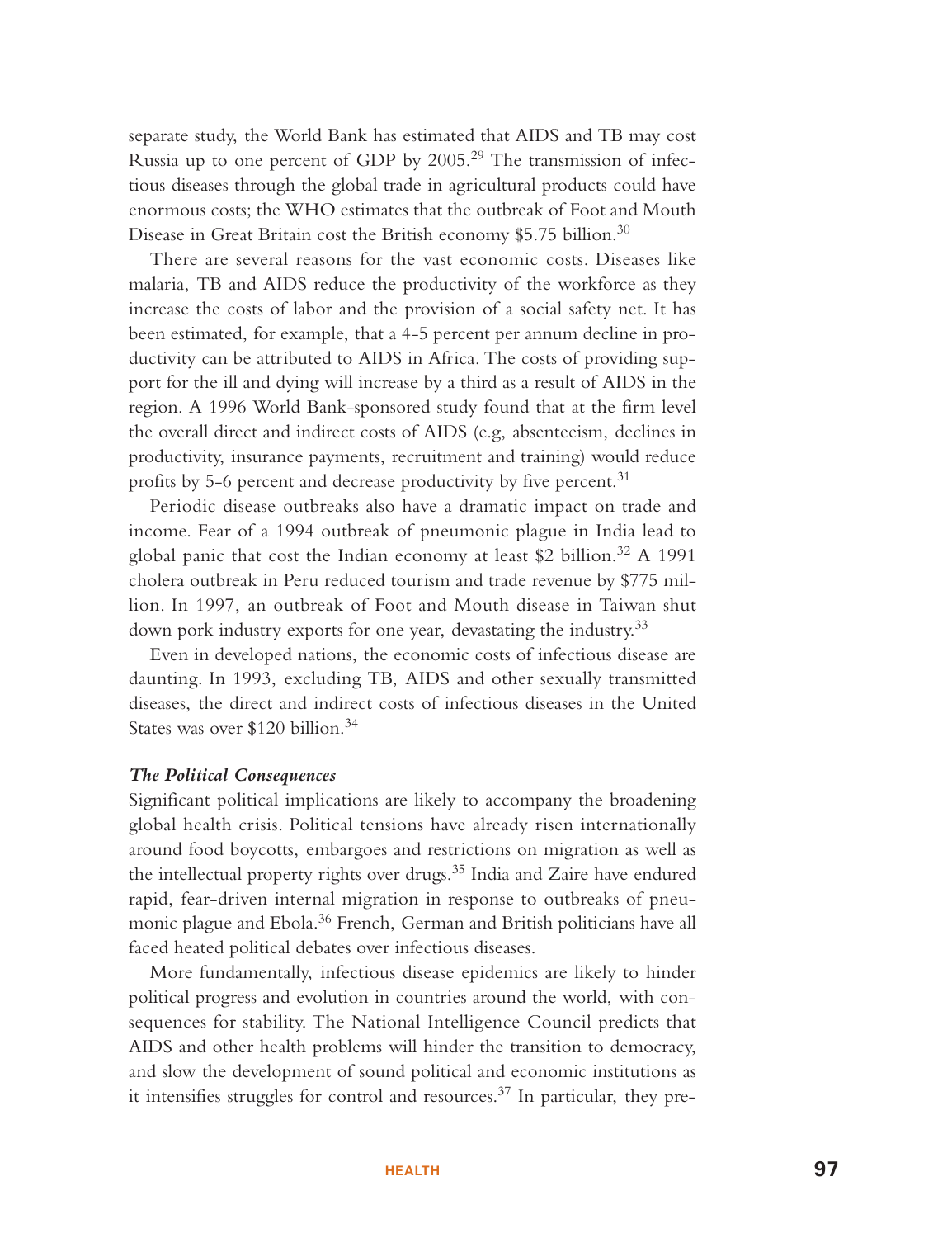separate study, the World Bank has estimated that AIDS and TB may cost Russia up to one percent of GDP by  $2005<sup>29</sup>$  The transmission of infectious diseases through the global trade in agricultural products could have enormous costs; the WHO estimates that the outbreak of Foot and Mouth Disease in Great Britain cost the British economy \$5.75 billion.<sup>30</sup>

There are several reasons for the vast economic costs. Diseases like malaria, TB and AIDS reduce the productivity of the workforce as they increase the costs of labor and the provision of a social safety net. It has been estimated, for example, that a 4-5 percent per annum decline in productivity can be attributed to AIDS in Africa. The costs of providing support for the ill and dying will increase by a third as a result of AIDS in the region. A 1996 World Bank-sponsored study found that at the firm level the overall direct and indirect costs of AIDS (e.g, absenteeism, declines in productivity, insurance payments, recruitment and training) would reduce profits by 5-6 percent and decrease productivity by five percent.<sup>31</sup>

Periodic disease outbreaks also have a dramatic impact on trade and income. Fear of a 1994 outbreak of pneumonic plague in India lead to global panic that cost the Indian economy at least \$2 billion.<sup>32</sup> A 1991 cholera outbreak in Peru reduced tourism and trade revenue by \$775 million. In 1997, an outbreak of Foot and Mouth disease in Taiwan shut down pork industry exports for one year, devastating the industry.<sup>33</sup>

Even in developed nations, the economic costs of infectious disease are daunting. In 1993, excluding TB, AIDS and other sexually transmitted diseases, the direct and indirect costs of infectious diseases in the United States was over \$120 billion.<sup>34</sup>

#### *The Political Consequences*

Significant political implications are likely to accompany the broadening global health crisis. Political tensions have already risen internationally around food boycotts, embargoes and restrictions on migration as well as the intellectual property rights over drugs.<sup>35</sup> India and Zaire have endured rapid, fear-driven internal migration in response to outbreaks of pneumonic plague and Ebola.<sup>36</sup> French, German and British politicians have all faced heated political debates over infectious diseases.

More fundamentally, infectious disease epidemics are likely to hinder political progress and evolution in countries around the world, with consequences for stability. The National Intelligence Council predicts that AIDS and other health problems will hinder the transition to democracy, and slow the development of sound political and economic institutions as it intensifies struggles for control and resources.<sup>37</sup> In particular, they pre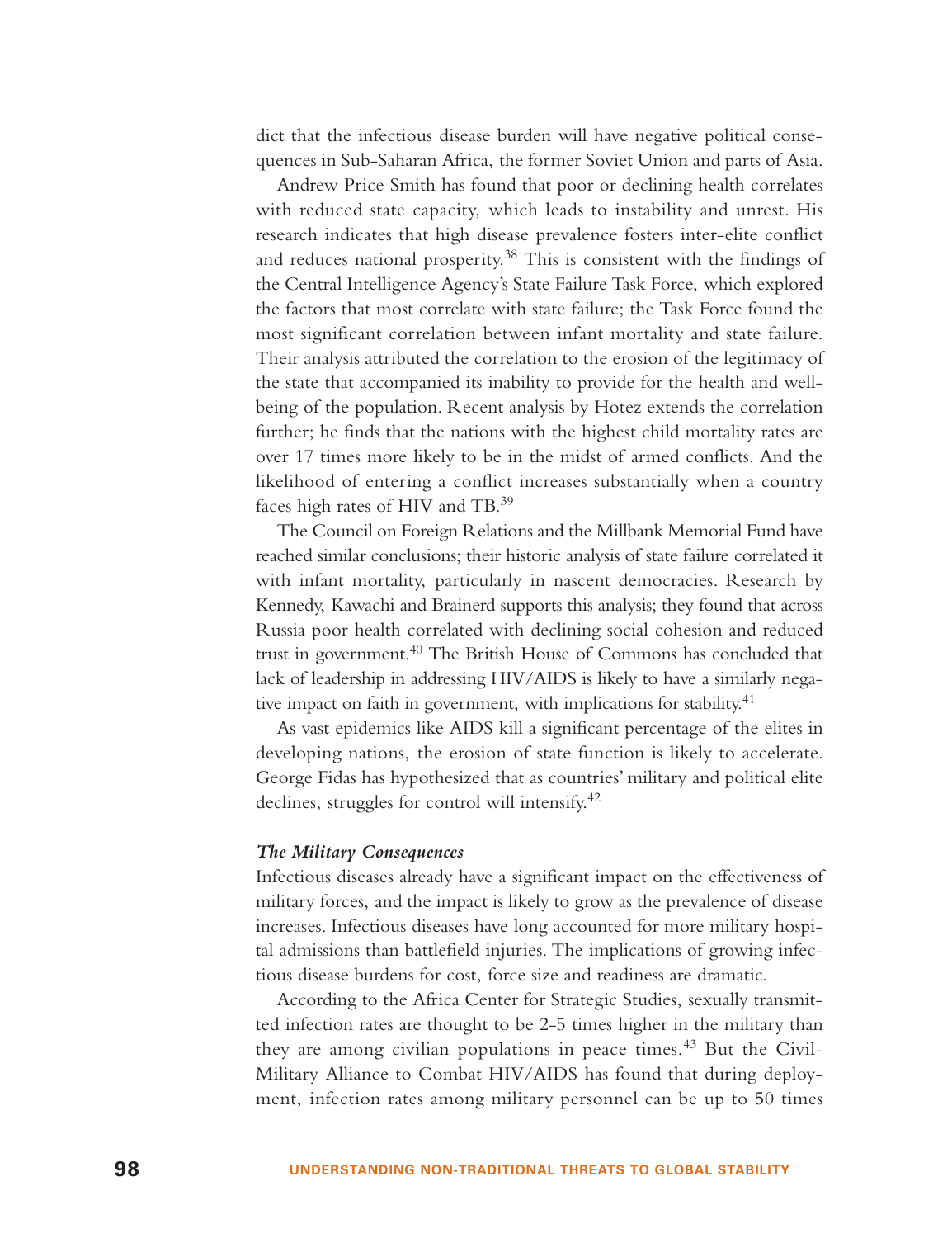dict that the infectious disease burden will have negative political consequences in Sub-Saharan Africa, the former Soviet Union and parts of Asia.

Andrew Price Smith has found that poor or declining health correlates with reduced state capacity, which leads to instability and unrest. His research indicates that high disease prevalence fosters inter-elite conflict and reduces national prosperity.<sup>38</sup> This is consistent with the findings of the Central Intelligence Agency's State Failure Task Force, which explored the factors that most correlate with state failure; the Task Force found the most significant correlation between infant mortality and state failure. Their analysis attributed the correlation to the erosion of the legitimacy of the state that accompanied its inability to provide for the health and wellbeing of the population. Recent analysis by Hotez extends the correlation further; he finds that the nations with the highest child mortality rates are over 17 times more likely to be in the midst of armed conflicts. And the likelihood of entering a conflict increases substantially when a country faces high rates of HIV and TB.<sup>39</sup>

The Council on Foreign Relations and the Millbank Memorial Fund have reached similar conclusions; their historic analysis of state failure correlated it with infant mortality, particularly in nascent democracies. Research by Kennedy, Kawachi and Brainerd supports this analysis; they found that across Russia poor health correlated with declining social cohesion and reduced trust in government.<sup>40</sup> The British House of Commons has concluded that lack of leadership in addressing HIV/AIDS is likely to have a similarly negative impact on faith in government, with implications for stability.<sup>41</sup>

As vast epidemics like AIDS kill a significant percentage of the elites in developing nations, the erosion of state function is likely to accelerate. George Fidas has hypothesized that as countries' military and political elite declines, struggles for control will intensify.<sup>42</sup>

#### *The Military Consequences*

Infectious diseases already have a significant impact on the effectiveness of military forces, and the impact is likely to grow as the prevalence of disease increases. Infectious diseases have long accounted for more military hospital admissions than battlefield injuries. The implications of growing infectious disease burdens for cost, force size and readiness are dramatic.

According to the Africa Center for Strategic Studies, sexually transmitted infection rates are thought to be 2-5 times higher in the military than they are among civilian populations in peace times.<sup>43</sup> But the Civil-Military Alliance to Combat HIV/AIDS has found that during deployment, infection rates among military personnel can be up to 50 times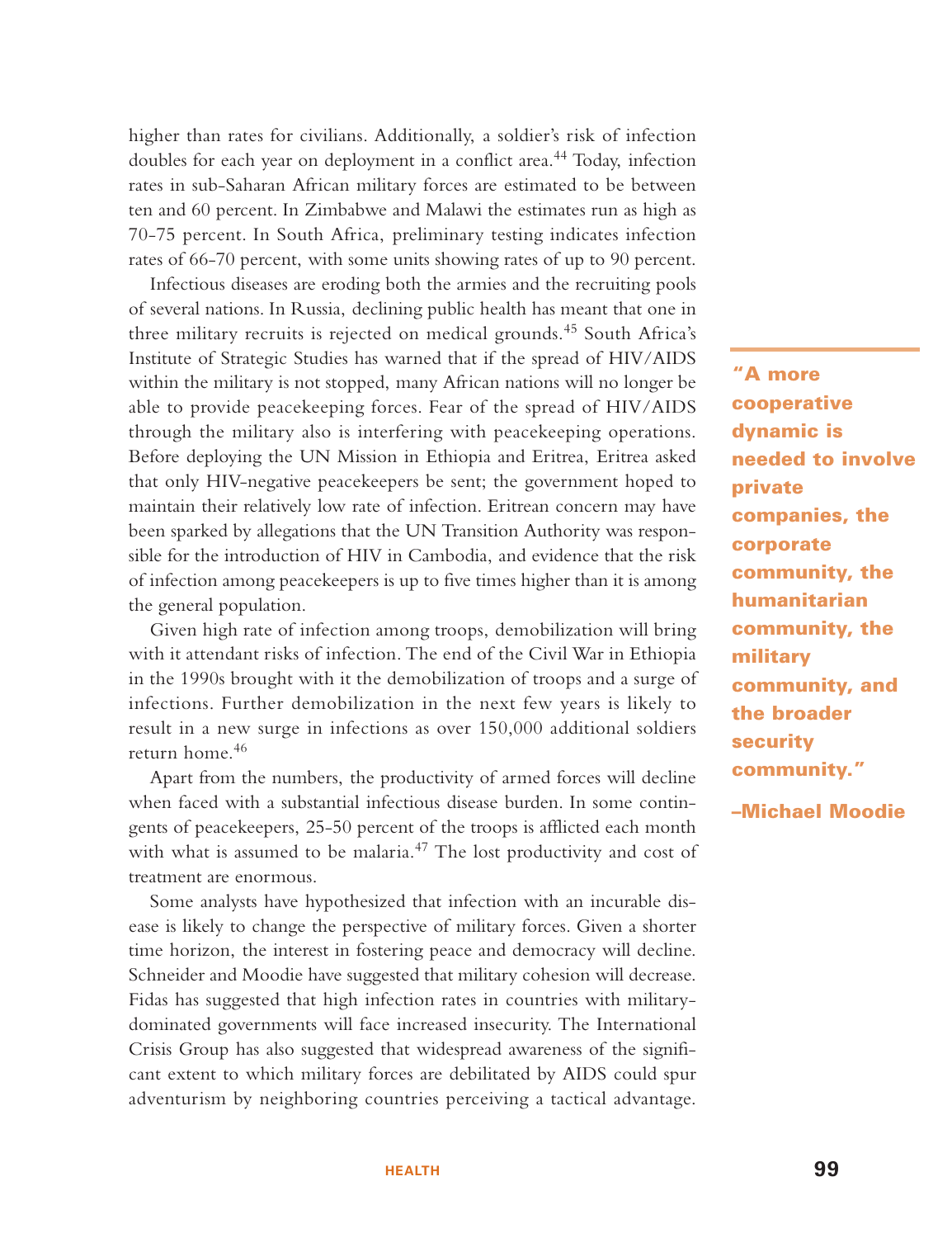higher than rates for civilians. Additionally, a soldier's risk of infection doubles for each year on deployment in a conflict area.<sup>44</sup> Today, infection rates in sub-Saharan African military forces are estimated to be between ten and 60 percent. In Zimbabwe and Malawi the estimates run as high as 70-75 percent. In South Africa, preliminary testing indicates infection rates of 66-70 percent, with some units showing rates of up to 90 percent.

Infectious diseases are eroding both the armies and the recruiting pools of several nations. In Russia, declining public health has meant that one in three military recruits is rejected on medical grounds.<sup>45</sup> South Africa's Institute of Strategic Studies has warned that if the spread of HIV/AIDS within the military is not stopped, many African nations will no longer be able to provide peacekeeping forces. Fear of the spread of HIV/AIDS through the military also is interfering with peacekeeping operations. Before deploying the UN Mission in Ethiopia and Eritrea, Eritrea asked that only HIV-negative peacekeepers be sent; the government hoped to maintain their relatively low rate of infection. Eritrean concern may have been sparked by allegations that the UN Transition Authority was responsible for the introduction of HIV in Cambodia, and evidence that the risk of infection among peacekeepers is up to five times higher than it is among the general population.

Given high rate of infection among troops, demobilization will bring with it attendant risks of infection. The end of the Civil War in Ethiopia in the 1990s brought with it the demobilization of troops and a surge of infections. Further demobilization in the next few years is likely to result in a new surge in infections as over 150,000 additional soldiers return home.<sup>46</sup>

Apart from the numbers, the productivity of armed forces will decline when faced with a substantial infectious disease burden. In some contingents of peacekeepers, 25-50 percent of the troops is afflicted each month with what is assumed to be malaria.<sup>47</sup> The lost productivity and cost of treatment are enormous.

Some analysts have hypothesized that infection with an incurable disease is likely to change the perspective of military forces. Given a shorter time horizon, the interest in fostering peace and democracy will decline. Schneider and Moodie have suggested that military cohesion will decrease. Fidas has suggested that high infection rates in countries with militarydominated governments will face increased insecurity. The International Crisis Group has also suggested that widespread awareness of the significant extent to which military forces are debilitated by AIDS could spur adventurism by neighboring countries perceiving a tactical advantage.

**"A more cooperative dynamic is needed to involve private companies, the corporate community, the humanitarian community, the military community, and the broader security community."**

**–Michael Moodie**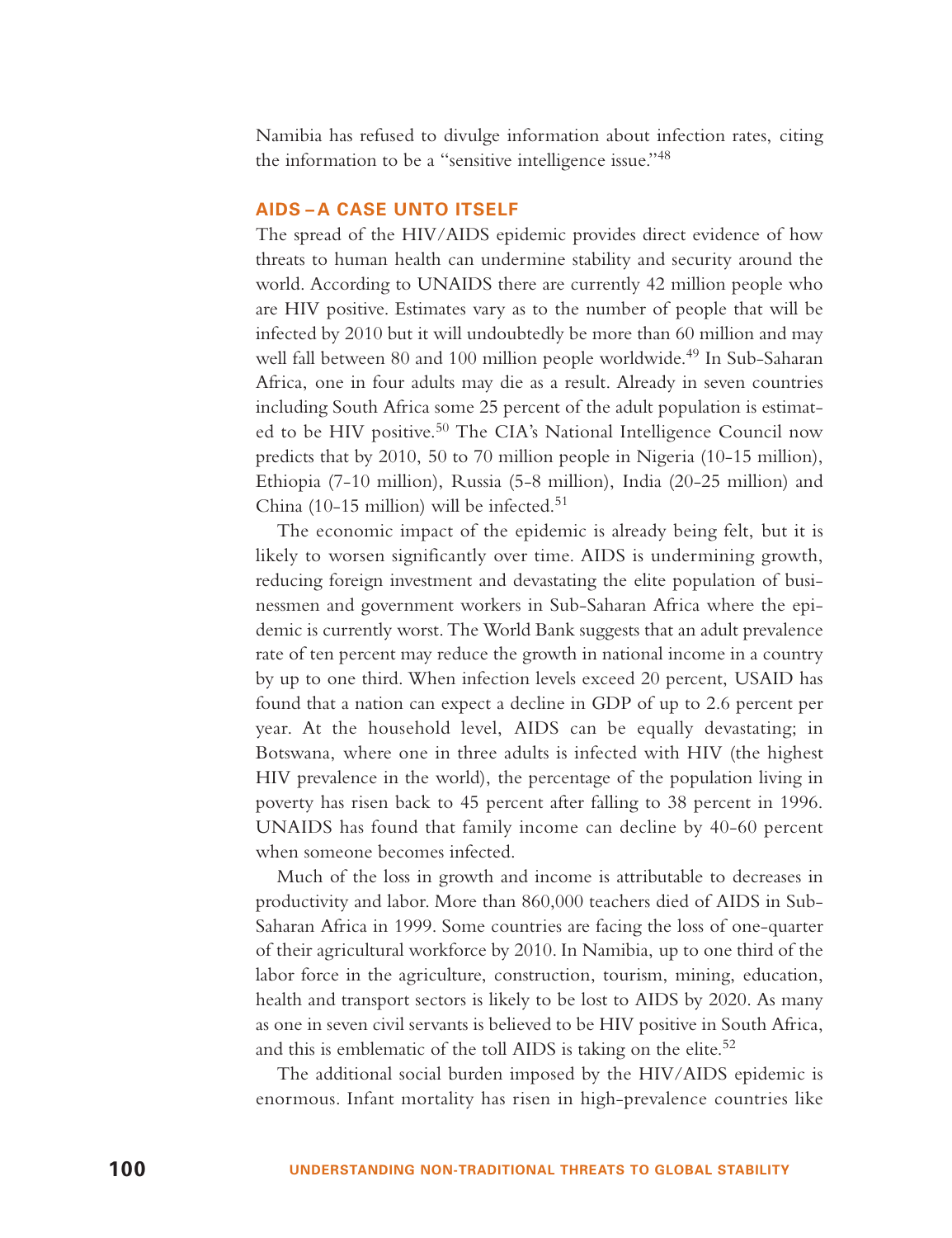Namibia has refused to divulge information about infection rates, citing the information to be a "sensitive intelligence issue."<sup>48</sup>

#### **AIDS – A CASE UNTO ITSELF**

The spread of the HIV/AIDS epidemic provides direct evidence of how threats to human health can undermine stability and security around the world. According to UNAIDS there are currently 42 million people who are HIV positive. Estimates vary as to the number of people that will be infected by 2010 but it will undoubtedly be more than 60 million and may well fall between 80 and 100 million people worldwide.<sup>49</sup> In Sub-Saharan Africa, one in four adults may die as a result. Already in seven countries including South Africa some 25 percent of the adult population is estimated to be HIV positive.<sup>50</sup> The CIA's National Intelligence Council now predicts that by 2010, 50 to 70 million people in Nigeria (10-15 million), Ethiopia (7-10 million), Russia (5-8 million), India (20-25 million) and China (10-15 million) will be infected.<sup>51</sup>

The economic impact of the epidemic is already being felt, but it is likely to worsen significantly over time. AIDS is undermining growth, reducing foreign investment and devastating the elite population of businessmen and government workers in Sub-Saharan Africa where the epidemic is currently worst. The World Bank suggests that an adult prevalence rate of ten percent may reduce the growth in national income in a country by up to one third. When infection levels exceed 20 percent, USAID has found that a nation can expect a decline in GDP of up to 2.6 percent per year. At the household level, AIDS can be equally devastating; in Botswana, where one in three adults is infected with HIV (the highest HIV prevalence in the world), the percentage of the population living in poverty has risen back to 45 percent after falling to 38 percent in 1996. UNAIDS has found that family income can decline by 40-60 percent when someone becomes infected.

Much of the loss in growth and income is attributable to decreases in productivity and labor. More than 860,000 teachers died of AIDS in Sub-Saharan Africa in 1999. Some countries are facing the loss of one-quarter of their agricultural workforce by 2010. In Namibia, up to one third of the labor force in the agriculture, construction, tourism, mining, education, health and transport sectors is likely to be lost to AIDS by 2020. As many as one in seven civil servants is believed to be HIV positive in South Africa, and this is emblematic of the toll AIDS is taking on the elite. $52$ 

The additional social burden imposed by the HIV/AIDS epidemic is enormous. Infant mortality has risen in high-prevalence countries like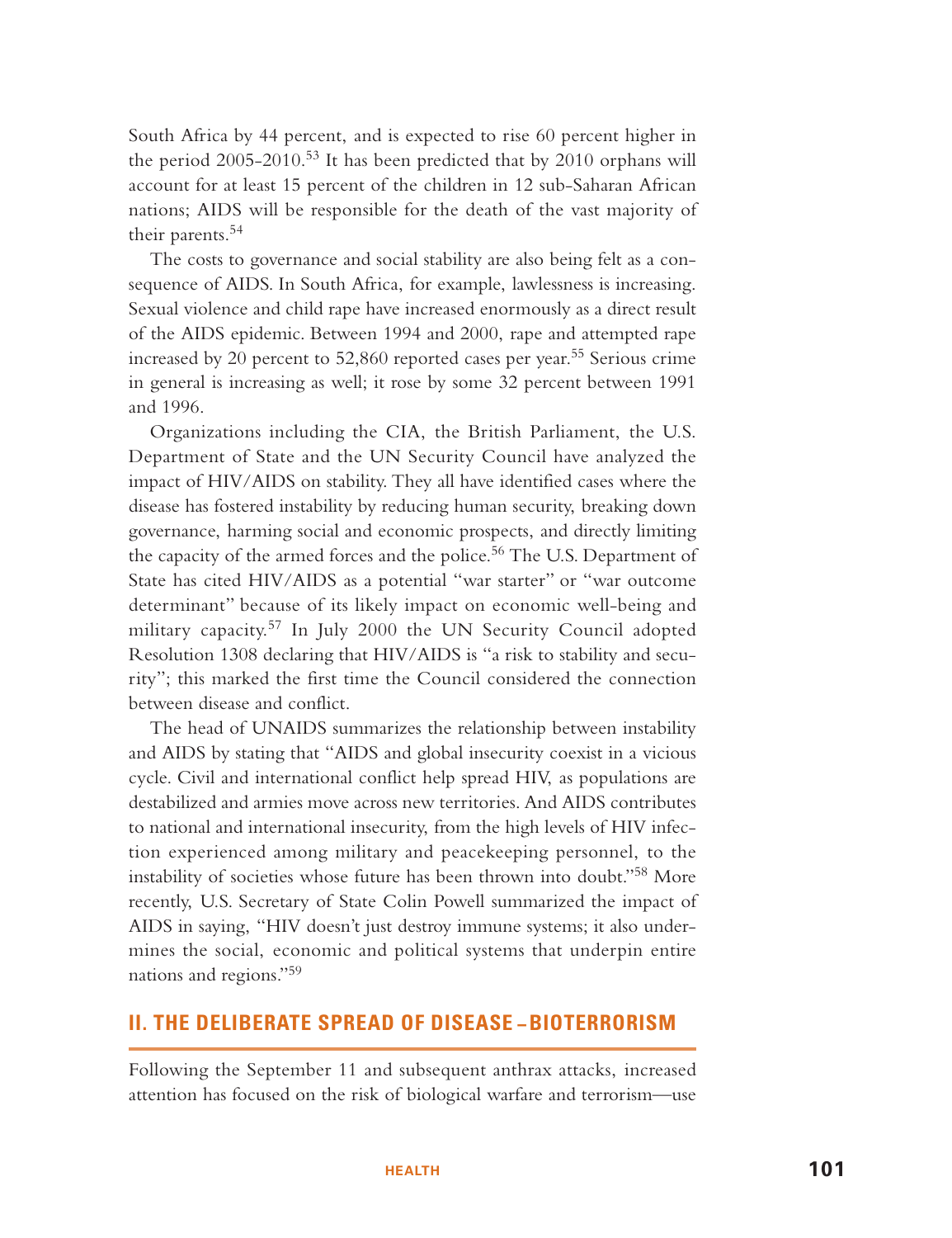South Africa by 44 percent, and is expected to rise 60 percent higher in the period  $2005-2010$ .<sup>53</sup> It has been predicted that by  $2010$  orphans will account for at least 15 percent of the children in 12 sub-Saharan African nations; AIDS will be responsible for the death of the vast majority of their parents.<sup>54</sup>

The costs to governance and social stability are also being felt as a consequence of AIDS. In South Africa, for example, lawlessness is increasing. Sexual violence and child rape have increased enormously as a direct result of the AIDS epidemic. Between 1994 and 2000, rape and attempted rape increased by 20 percent to 52,860 reported cases per year.<sup>55</sup> Serious crime in general is increasing as well; it rose by some 32 percent between 1991 and 1996.

Organizations including the CIA, the British Parliament, the U.S. Department of State and the UN Security Council have analyzed the impact of HIV/AIDS on stability. They all have identified cases where the disease has fostered instability by reducing human security, breaking down governance, harming social and economic prospects, and directly limiting the capacity of the armed forces and the police.<sup>56</sup> The U.S. Department of State has cited HIV/AIDS as a potential "war starter" or "war outcome determinant" because of its likely impact on economic well-being and military capacity.<sup>57</sup> In July 2000 the UN Security Council adopted Resolution 1308 declaring that HIV/AIDS is "a risk to stability and security"; this marked the first time the Council considered the connection between disease and conflict.

The head of UNAIDS summarizes the relationship between instability and AIDS by stating that "AIDS and global insecurity coexist in a vicious cycle. Civil and international conflict help spread HIV, as populations are destabilized and armies move across new territories. And AIDS contributes to national and international insecurity, from the high levels of HIV infection experienced among military and peacekeeping personnel, to the instability of societies whose future has been thrown into doubt."<sup>58</sup> More recently, U.S. Secretary of State Colin Powell summarized the impact of AIDS in saying, "HIV doesn't just destroy immune systems; it also undermines the social, economic and political systems that underpin entire nations and regions."<sup>59</sup>

# **II. THE DELIBERATE SPREAD OF DISEASE – BIOTERRORISM**

Following the September 11 and subsequent anthrax attacks, increased attention has focused on the risk of biological warfare and terrorism—use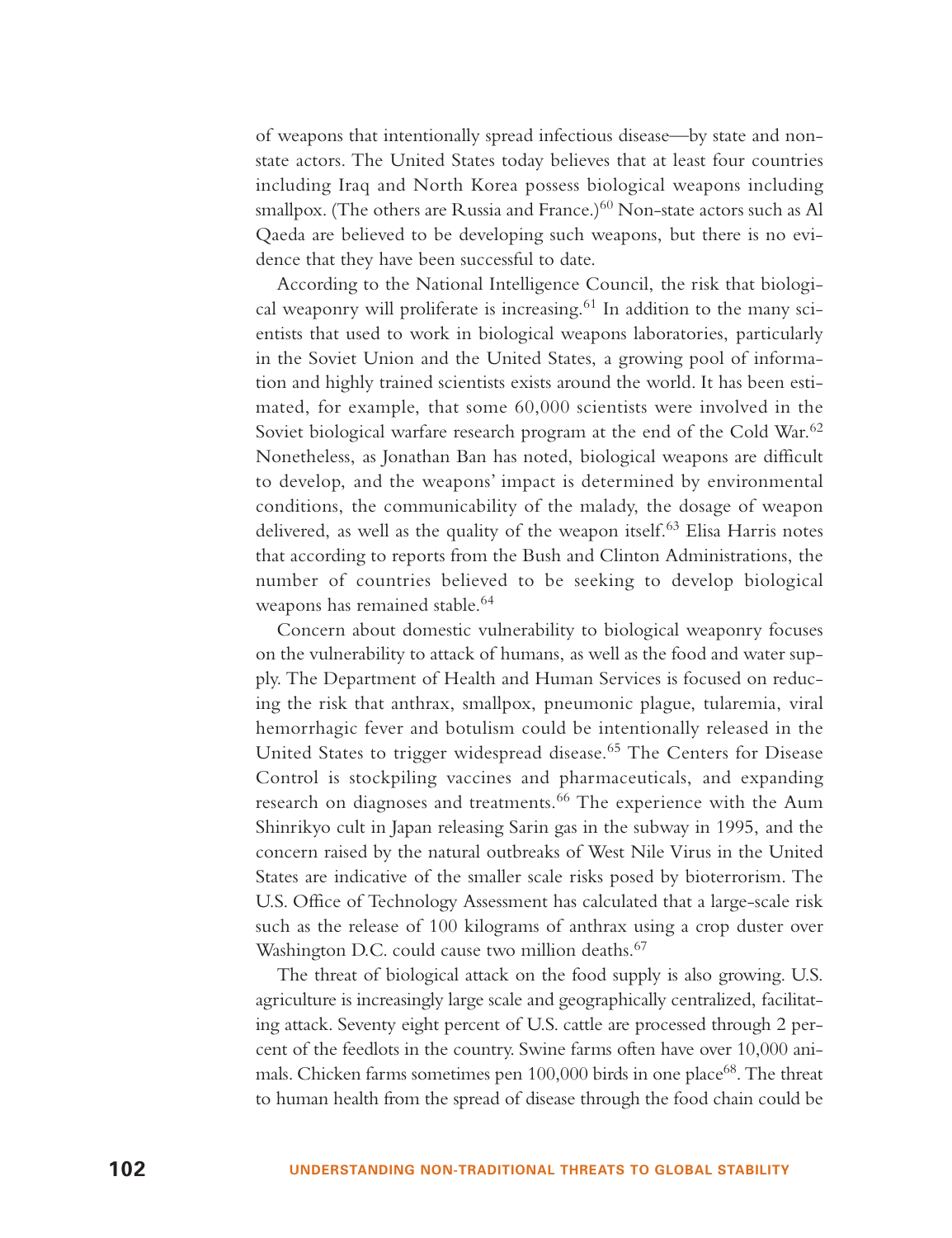of weapons that intentionally spread infectious disease—by state and nonstate actors. The United States today believes that at least four countries including Iraq and North Korea possess biological weapons including smallpox. (The others are Russia and France.)<sup>60</sup> Non-state actors such as Al Qaeda are believed to be developing such weapons, but there is no evidence that they have been successful to date.

According to the National Intelligence Council, the risk that biological weaponry will proliferate is increasing. $61$  In addition to the many scientists that used to work in biological weapons laboratories, particularly in the Soviet Union and the United States, a growing pool of information and highly trained scientists exists around the world. It has been estimated, for example, that some 60,000 scientists were involved in the Soviet biological warfare research program at the end of the Cold War.<sup>62</sup> Nonetheless, as Jonathan Ban has noted, biological weapons are difficult to develop, and the weapons' impact is determined by environmental conditions, the communicability of the malady, the dosage of weapon delivered, as well as the quality of the weapon itself.<sup>63</sup> Elisa Harris notes that according to reports from the Bush and Clinton Administrations, the number of countries believed to be seeking to develop biological weapons has remained stable.<sup>64</sup>

Concern about domestic vulnerability to biological weaponry focuses on the vulnerability to attack of humans, as well as the food and water supply. The Department of Health and Human Services is focused on reducing the risk that anthrax, smallpox, pneumonic plague, tularemia, viral hemorrhagic fever and botulism could be intentionally released in the United States to trigger widespread disease.<sup>65</sup> The Centers for Disease Control is stockpiling vaccines and pharmaceuticals, and expanding research on diagnoses and treatments.<sup>66</sup> The experience with the Aum Shinrikyo cult in Japan releasing Sarin gas in the subway in 1995, and the concern raised by the natural outbreaks of West Nile Virus in the United States are indicative of the smaller scale risks posed by bioterrorism. The U.S. Office of Technology Assessment has calculated that a large-scale risk such as the release of 100 kilograms of anthrax using a crop duster over Washington D.C. could cause two million deaths.<sup>67</sup>

The threat of biological attack on the food supply is also growing. U.S. agriculture is increasingly large scale and geographically centralized, facilitating attack. Seventy eight percent of U.S. cattle are processed through 2 percent of the feedlots in the country. Swine farms often have over 10,000 animals. Chicken farms sometimes pen 100,000 birds in one place<sup>68</sup>. The threat to human health from the spread of disease through the food chain could be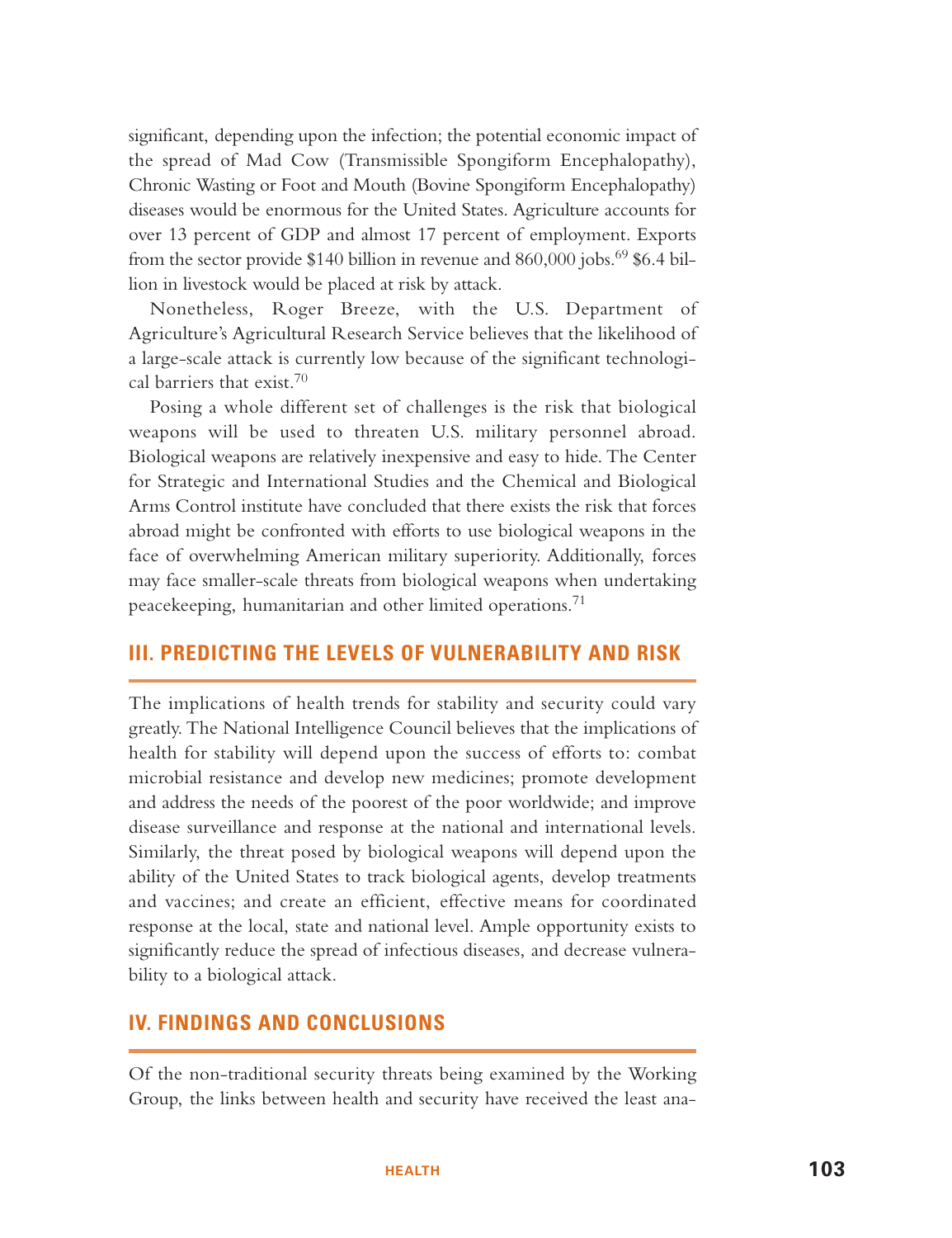significant, depending upon the infection; the potential economic impact of the spread of Mad Cow (Transmissible Spongiform Encephalopathy), Chronic Wasting or Foot and Mouth (Bovine Spongiform Encephalopathy) diseases would be enormous for the United States. Agriculture accounts for over 13 percent of GDP and almost 17 percent of employment. Exports from the sector provide \$140 billion in revenue and 860,000 jobs.<sup>69</sup> \$6.4 billion in livestock would be placed at risk by attack.

Nonetheless, Roger Breeze, with the U.S. Department of Agriculture's Agricultural Research Service believes that the likelihood of a large-scale attack is currently low because of the significant technological barriers that exist.<sup>70</sup>

Posing a whole different set of challenges is the risk that biological weapons will be used to threaten U.S. military personnel abroad. Biological weapons are relatively inexpensive and easy to hide. The Center for Strategic and International Studies and the Chemical and Biological Arms Control institute have concluded that there exists the risk that forces abroad might be confronted with efforts to use biological weapons in the face of overwhelming American military superiority. Additionally, forces may face smaller-scale threats from biological weapons when undertaking peacekeeping, humanitarian and other limited operations.<sup>71</sup>

# **III. PREDICTING THE LEVELS OF VULNERABILITY AND RISK**

The implications of health trends for stability and security could vary greatly. The National Intelligence Council believes that the implications of health for stability will depend upon the success of efforts to: combat microbial resistance and develop new medicines; promote development and address the needs of the poorest of the poor worldwide; and improve disease surveillance and response at the national and international levels. Similarly, the threat posed by biological weapons will depend upon the ability of the United States to track biological agents, develop treatments and vaccines; and create an efficient, effective means for coordinated response at the local, state and national level. Ample opportunity exists to significantly reduce the spread of infectious diseases, and decrease vulnerability to a biological attack.

# **IV. FINDINGS AND CONCLUSIONS**

Of the non-traditional security threats being examined by the Working Group, the links between health and security have received the least ana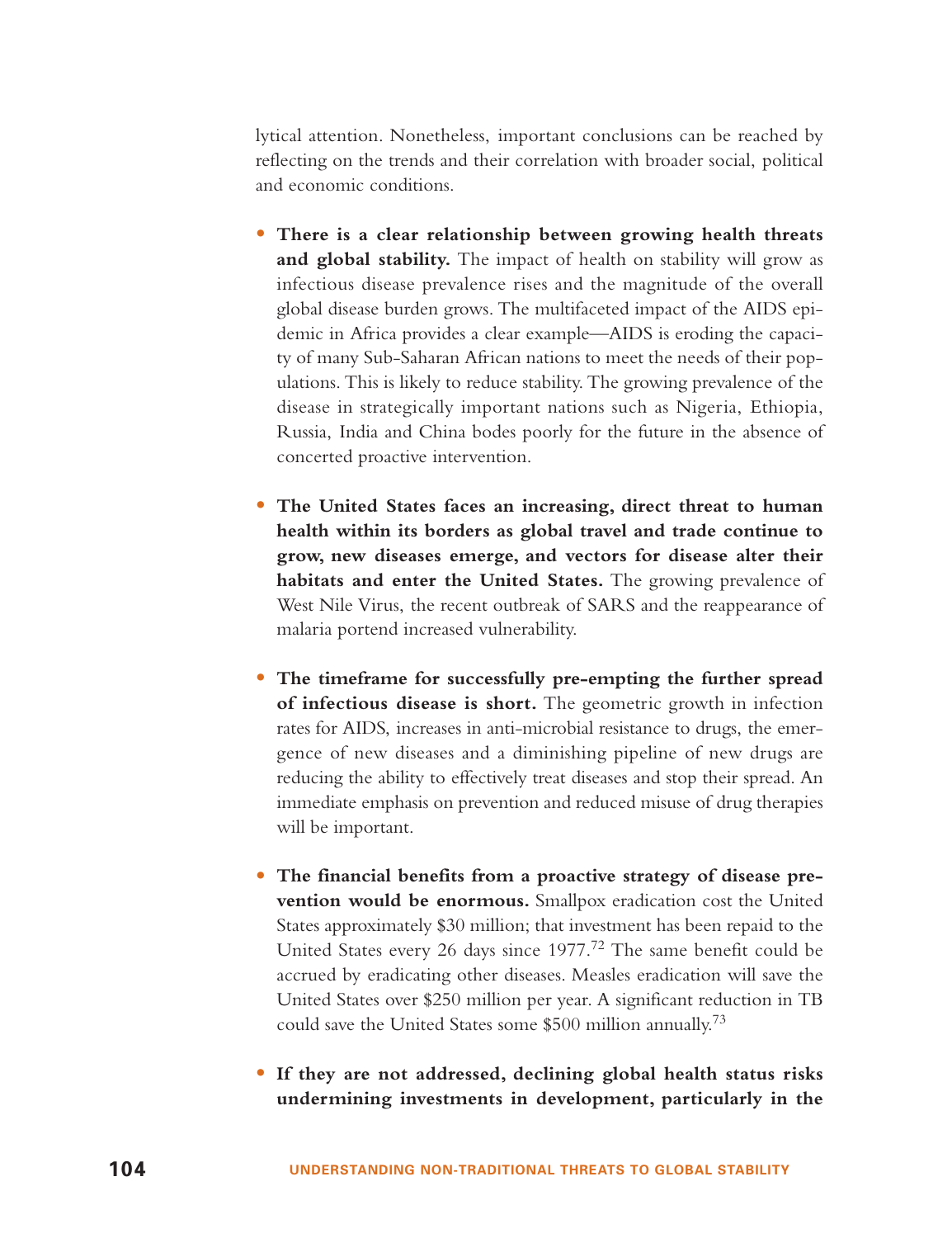lytical attention. Nonetheless, important conclusions can be reached by reflecting on the trends and their correlation with broader social, political and economic conditions.

- **There is a clear relationship between growing health threats and global stability.** The impact of health on stability will grow as infectious disease prevalence rises and the magnitude of the overall global disease burden grows. The multifaceted impact of the AIDS epidemic in Africa provides a clear example—AIDS is eroding the capacity of many Sub-Saharan African nations to meet the needs of their populations. This is likely to reduce stability. The growing prevalence of the disease in strategically important nations such as Nigeria, Ethiopia, Russia, India and China bodes poorly for the future in the absence of concerted proactive intervention.
- **The United States faces an increasing, direct threat to human health within its borders as global travel and trade continue to grow, new diseases emerge, and vectors for disease alter their habitats and enter the United States.** The growing prevalence of West Nile Virus, the recent outbreak of SARS and the reappearance of malaria portend increased vulnerability.
- **The timeframe for successfully pre-empting the further spread of infectious disease is short.** The geometric growth in infection rates for AIDS, increases in anti-microbial resistance to drugs, the emergence of new diseases and a diminishing pipeline of new drugs are reducing the ability to effectively treat diseases and stop their spread. An immediate emphasis on prevention and reduced misuse of drug therapies will be important.
- **The financial benefits from a proactive strategy of disease prevention would be enormous.** Smallpox eradication cost the United States approximately \$30 million; that investment has been repaid to the United States every 26 days since 1977.<sup>72</sup> The same benefit could be accrued by eradicating other diseases. Measles eradication will save the United States over \$250 million per year. A significant reduction in TB could save the United States some  $$500$  million annually.<sup>73</sup>
- **If they are not addressed, declining global health status risks undermining investments in development, particularly in the**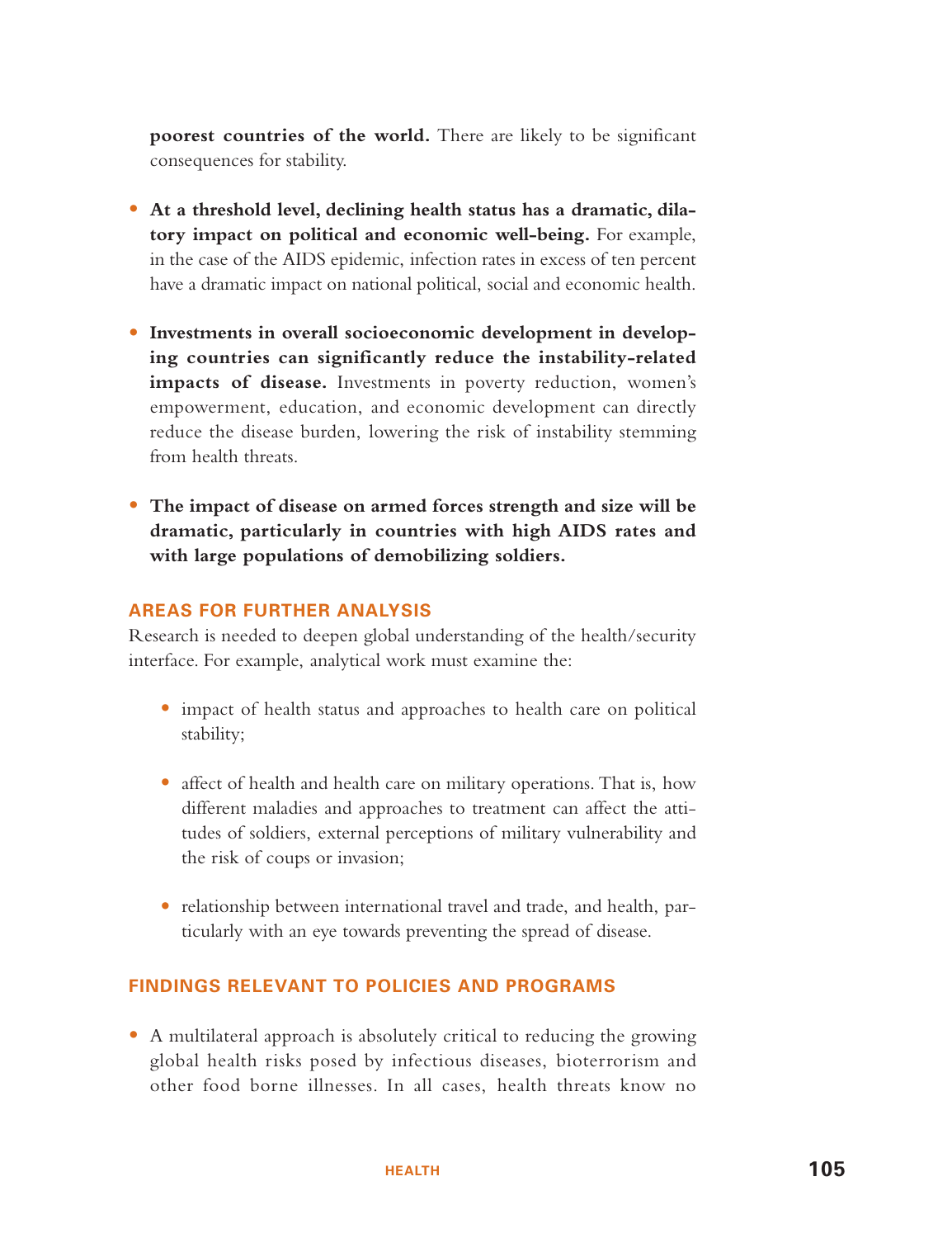**poorest countries of the world.** There are likely to be significant consequences for stability.

- **At a threshold level, declining health status has a dramatic, dilatory impact on political and economic well-being.** For example, in the case of the AIDS epidemic, infection rates in excess of ten percent have a dramatic impact on national political, social and economic health.
- **Investments in overall socioeconomic development in developing countries can significantly reduce the instability-related** impacts of disease. Investments in poverty reduction, women's empowerment, education, and economic development can directly reduce the disease burden, lowering the risk of instability stemming from health threats.
- **The impact of disease on armed forces strength and size will be dramatic, particularly in countries with high AIDS rates and with large populations of demobilizing soldiers.**

## **AREAS FOR FURTHER ANALYSIS**

Research is needed to deepen global understanding of the health/security interface. For example, analytical work must examine the:

- impact of health status and approaches to health care on political stability;
- affect of health and health care on military operations. That is, how different maladies and approaches to treatment can affect the attitudes of soldiers, external perceptions of military vulnerability and the risk of coups or invasion;
- relationship between international travel and trade, and health, particularly with an eye towards preventing the spread of disease.

#### **FINDINGS RELEVANT TO POLICIES AND PROGRAMS**

• A multilateral approach is absolutely critical to reducing the growing global health risks posed by infectious diseases, bioterrorism and other food borne illnesses. In all cases, health threats know no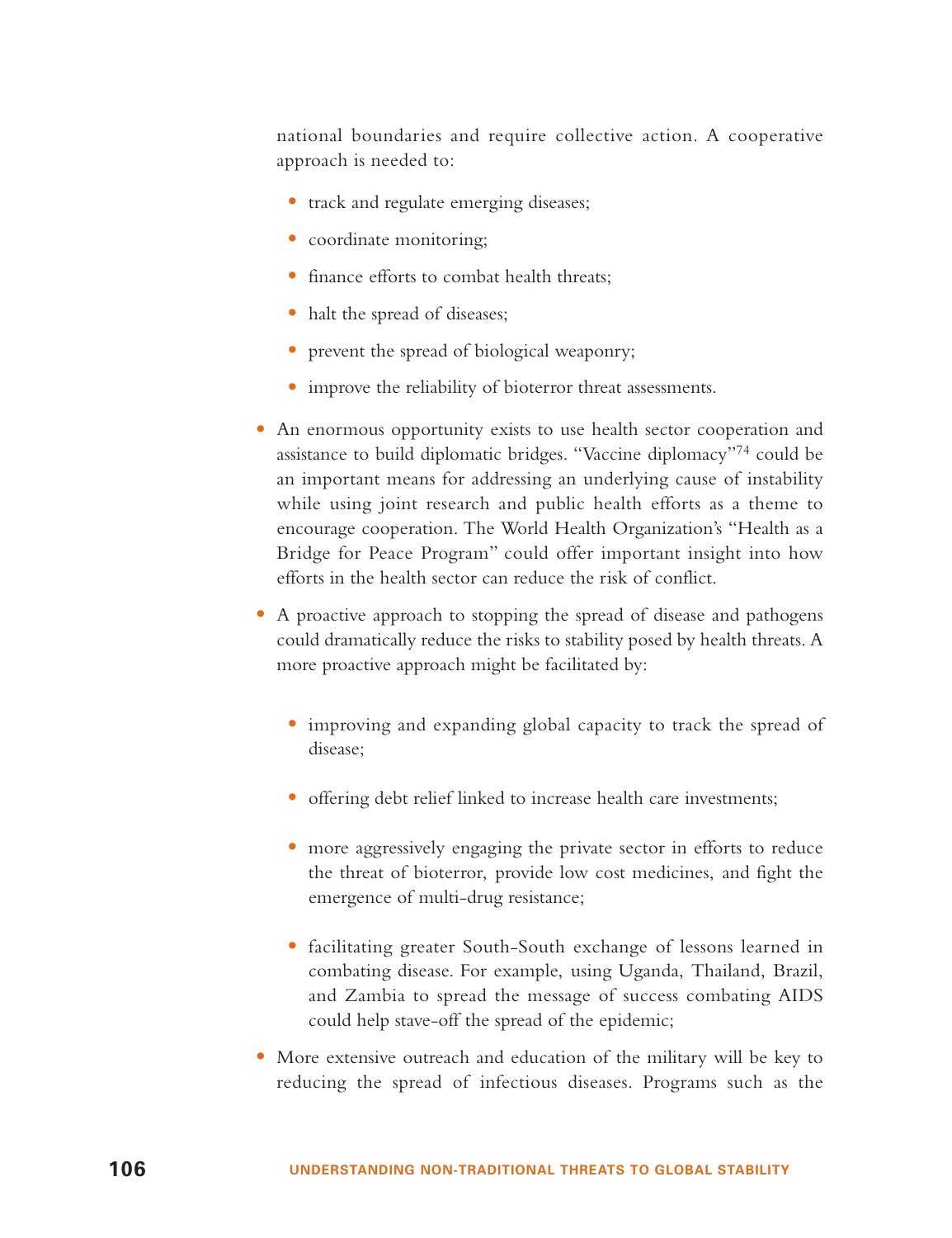national boundaries and require collective action. A cooperative approach is needed to:

- track and regulate emerging diseases;
- coordinate monitoring;
- finance efforts to combat health threats;
- halt the spread of diseases;
- prevent the spread of biological weaponry;
- improve the reliability of bioterror threat assessments.
- An enormous opportunity exists to use health sector cooperation and assistance to build diplomatic bridges. "Vaccine diplomacy"<sup>74</sup> could be an important means for addressing an underlying cause of instability while using joint research and public health efforts as a theme to encourage cooperation. The World Health Organization's "Health as a Bridge for Peace Program" could offer important insight into how efforts in the health sector can reduce the risk of conflict.
- A proactive approach to stopping the spread of disease and pathogens could dramatically reduce the risks to stability posed by health threats. A more proactive approach might be facilitated by:
	- improving and expanding global capacity to track the spread of disease;
	- offering debt relief linked to increase health care investments;
	- more aggressively engaging the private sector in efforts to reduce the threat of bioterror, provide low cost medicines, and fight the emergence of multi-drug resistance;
	- facilitating greater South-South exchange of lessons learned in combating disease. For example, using Uganda, Thailand, Brazil, and Zambia to spread the message of success combating AIDS could help stave-off the spread of the epidemic;
- More extensive outreach and education of the military will be key to reducing the spread of infectious diseases. Programs such as the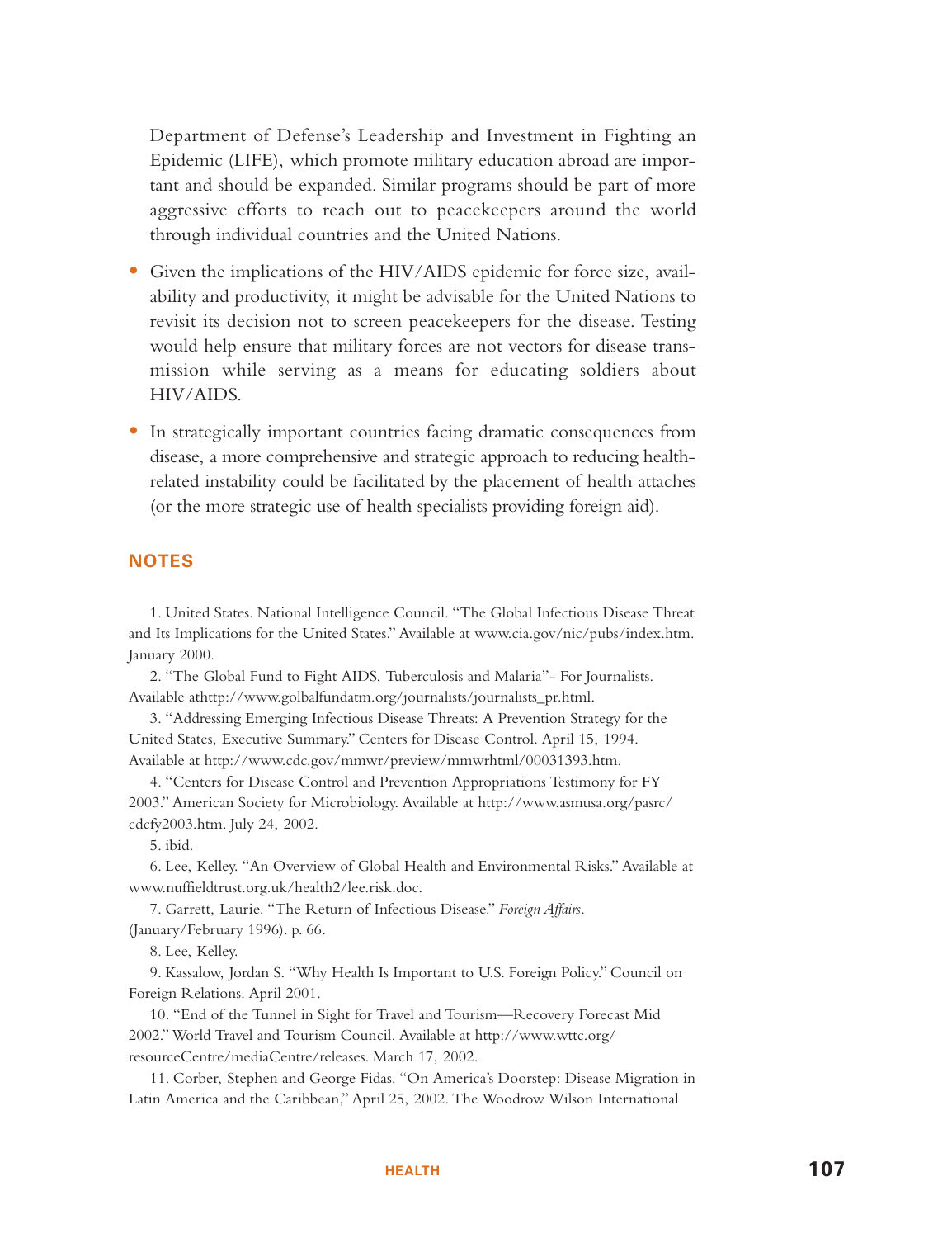Department of Defense's Leadership and Investment in Fighting an Epidemic (LIFE), which promote military education abroad are important and should be expanded. Similar programs should be part of more aggressive efforts to reach out to peacekeepers around the world through individual countries and the United Nations.

- Given the implications of the HIV/AIDS epidemic for force size, availability and productivity, it might be advisable for the United Nations to revisit its decision not to screen peacekeepers for the disease. Testing would help ensure that military forces are not vectors for disease transmission while serving as a means for educating soldiers about HIV/AIDS.
- In strategically important countries facing dramatic consequences from disease, a more comprehensive and strategic approach to reducing healthrelated instability could be facilitated by the placement of health attaches (or the more strategic use of health specialists providing foreign aid).

#### **NOTES**

1. United States. National Intelligence Council. "The Global Infectious Disease Threat and Its Implications for the United States." Available at www.cia.gov/nic/pubs/index.htm. January 2000.

2. "The Global Fund to Fight AIDS, Tuberculosis and Malaria"- For Journalists. Available athttp://www.golbalfundatm.org/journalists/journalists\_pr.html.

3. "Addressing Emerging Infectious Disease Threats: A Prevention Strategy for the United States, Executive Summary." Centers for Disease Control. April 15, 1994. Available at http://www.cdc.gov/mmwr/preview/mmwrhtml/00031393.htm.

4. "Centers for Disease Control and Prevention Appropriations Testimony for FY 2003." American Society for Microbiology. Available at http://www.asmusa.org/pasrc/ cdcfy2003.htm. July 24, 2002.

5. ibid.

6. Lee, Kelley. "An Overview of Global Health and Environmental Risks." Available at www.nuffieldtrust.org.uk/health2/lee.risk.doc.

7. Garrett, Laurie. "The Return of Infectious Disease." *Foreign Affairs*. (January/February 1996). p. 66.

8. Lee, Kelley.

9. Kassalow, Jordan S. "Why Health Is Important to U.S. Foreign Policy." Council on Foreign Relations. April 2001.

10. "End of the Tunnel in Sight for Travel and Tourism—Recovery Forecast Mid 2002." World Travel and Tourism Council. Available at http://www.wttc.org/ resourceCentre/mediaCentre/releases. March 17, 2002.

11. Corber, Stephen and George Fidas. "On America's Doorstep: Disease Migration in Latin America and the Caribbean," April 25, 2002. The Woodrow Wilson International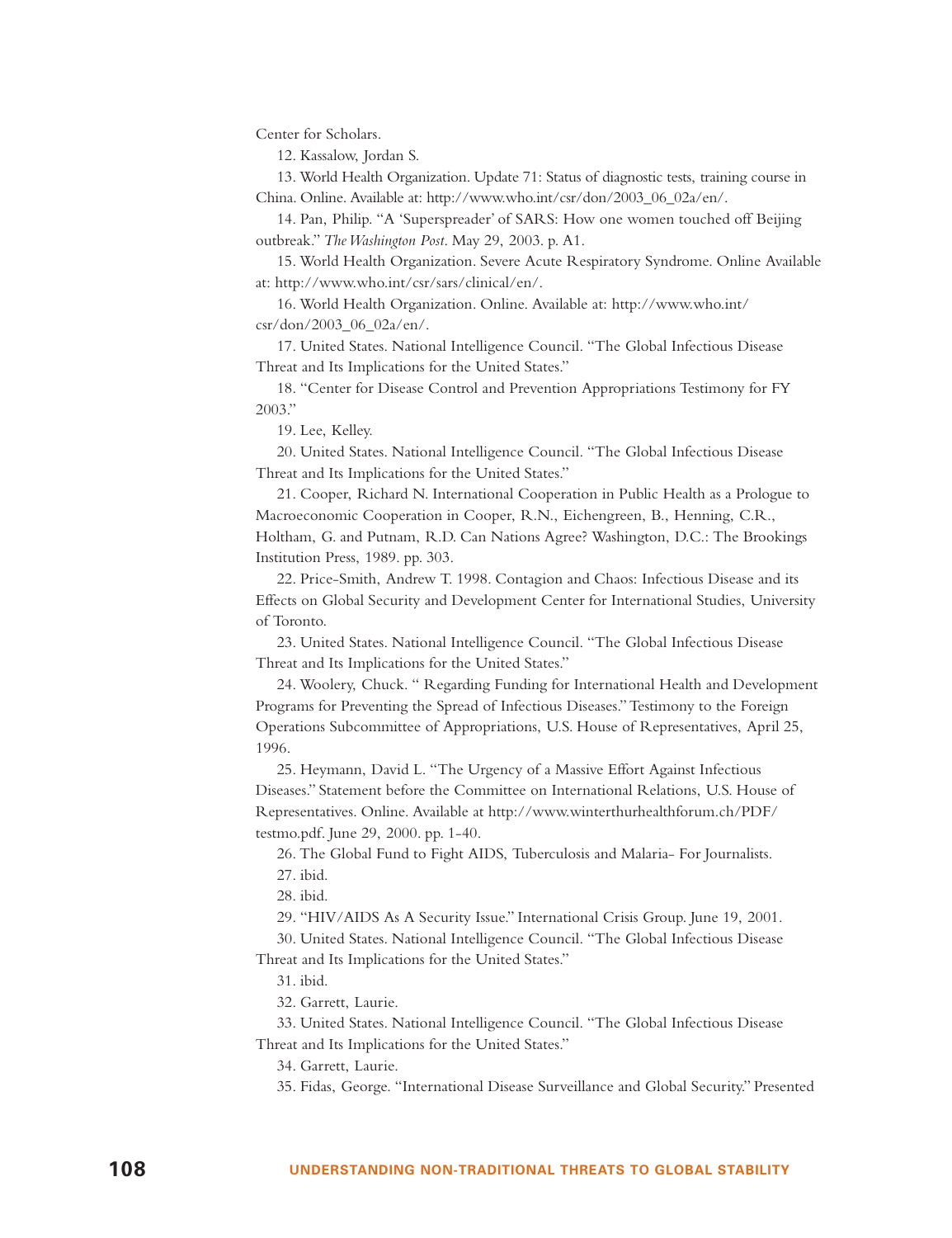Center for Scholars.

12. Kassalow, Jordan S.

13. World Health Organization. Update 71: Status of diagnostic tests, training course in China. Online. Available at: http://www.who.int/csr/don/2003\_06\_02a/en/.

14. Pan, Philip. "A 'Superspreader' of SARS: How one women touched off Beijing outbreak." *The Washington Post*. May 29, 2003. p. A1.

15. World Health Organization. Severe Acute Respiratory Syndrome. Online Available at: http://www.who.int/csr/sars/clinical/en/.

16. World Health Organization. Online. Available at: http://www.who.int/ csr/don/2003\_06\_02a/en/.

17. United States. National Intelligence Council. "The Global Infectious Disease Threat and Its Implications for the United States."

18. "Center for Disease Control and Prevention Appropriations Testimony for FY 2003."

19. Lee, Kelley.

20. United States. National Intelligence Council. "The Global Infectious Disease Threat and Its Implications for the United States."

21. Cooper, Richard N. International Cooperation in Public Health as a Prologue to Macroeconomic Cooperation in Cooper, R.N., Eichengreen, B., Henning, C.R., Holtham, G. and Putnam, R.D. Can Nations Agree? Washington, D.C.: The Brookings Institution Press, 1989. pp. 303.

22. Price-Smith, Andrew T. 1998. Contagion and Chaos: Infectious Disease and its Effects on Global Security and Development Center for International Studies, University of Toronto.

23. United States. National Intelligence Council. "The Global Infectious Disease Threat and Its Implications for the United States."

24. Woolery, Chuck. " Regarding Funding for International Health and Development Programs for Preventing the Spread of Infectious Diseases." Testimony to the Foreign Operations Subcommittee of Appropriations, U.S. House of Representatives, April 25, 1996.

25. Heymann, David L. "The Urgency of a Massive Effort Against Infectious Diseases." Statement before the Committee on International Relations, U.S. House of Representatives. Online. Available at http://www.winterthurhealthforum.ch/PDF/ testmo.pdf. June 29, 2000. pp. 1-40.

26. The Global Fund to Fight AIDS, Tuberculosis and Malaria- For Journalists. 27. ibid.

28. ibid.

29. "HIV/AIDS As A Security Issue." International Crisis Group. June 19, 2001.

30. United States. National Intelligence Council. "The Global Infectious Disease Threat and Its Implications for the United States."

31. ibid.

32. Garrett, Laurie.

33. United States. National Intelligence Council. "The Global Infectious Disease Threat and Its Implications for the United States."

34. Garrett, Laurie.

35. Fidas, George. "International Disease Surveillance and Global Security." Presented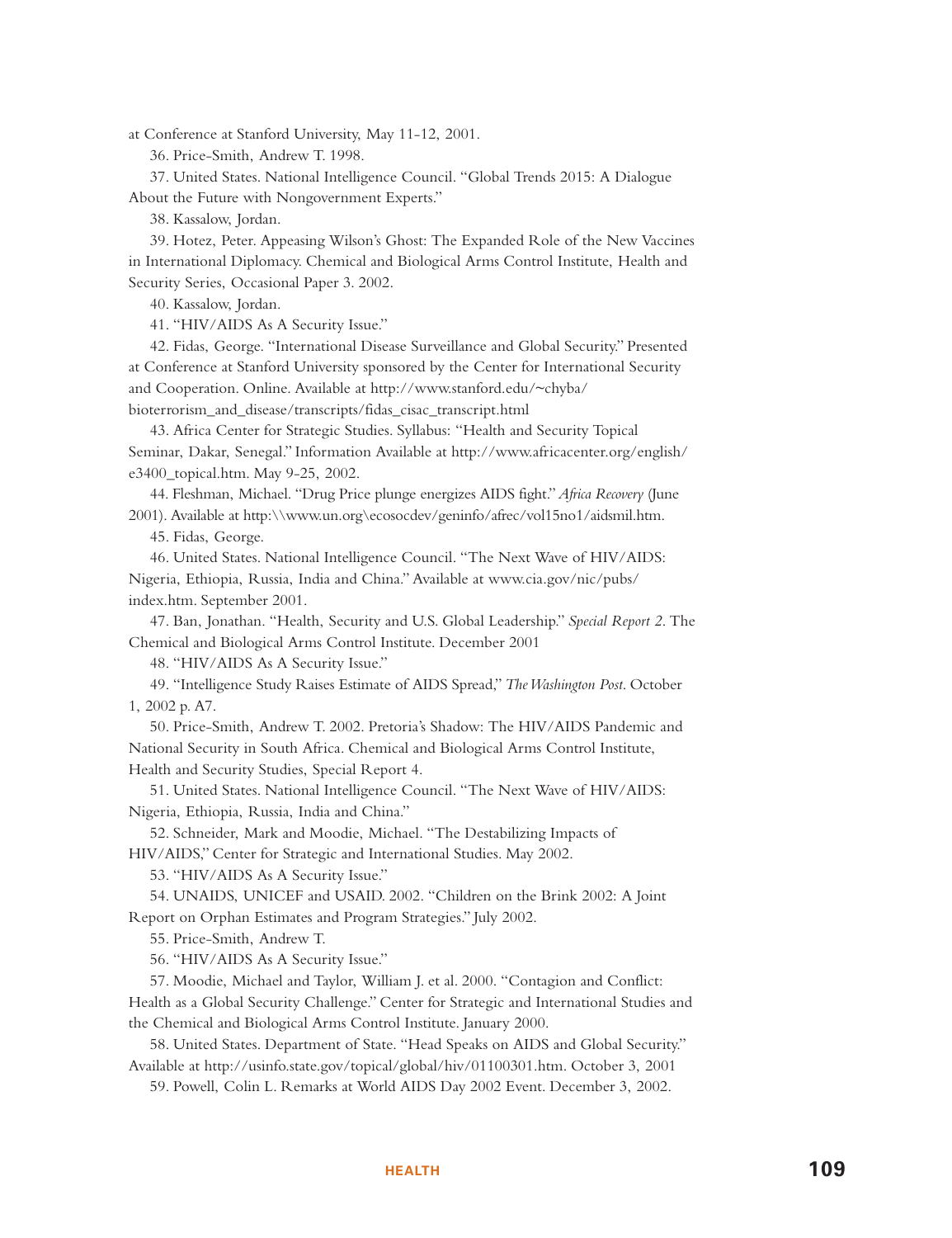at Conference at Stanford University, May 11-12, 2001.

36. Price-Smith, Andrew T. 1998.

37. United States. National Intelligence Council. "Global Trends 2015: A Dialogue About the Future with Nongovernment Experts."

38. Kassalow, Jordan.

39. Hotez, Peter. Appeasing Wilson's Ghost: The Expanded Role of the New Vaccines in International Diplomacy. Chemical and Biological Arms Control Institute, Health and Security Series, Occasional Paper 3. 2002.

40. Kassalow, Jordan.

41. "HIV/AIDS As A Security Issue."

42. Fidas, George. "International Disease Surveillance and Global Security." Presented at Conference at Stanford University sponsored by the Center for International Security and Cooperation. Online. Available at http://www.stanford.edu/~chyba/ bioterrorism\_and\_disease/transcripts/fidas\_cisac\_transcript.html

43. Africa Center for Strategic Studies. Syllabus: "Health and Security Topical Seminar, Dakar, Senegal." Information Available at http://www.africacenter.org/english/ e3400\_topical.htm. May 9-25, 2002.

44. Fleshman, Michael. "Drug Price plunge energizes AIDS fight."*Africa Recovery* (June 2001). Available at http:\\www.un.org\ecosocdev/geninfo/afrec/vol15no1/aidsmil.htm.

45. Fidas, George.

46. United States. National Intelligence Council. "The Next Wave of HIV/AIDS: Nigeria, Ethiopia, Russia, India and China." Available at www.cia.gov/nic/pubs/ index.htm. September 2001.

47. Ban, Jonathan. "Health, Security and U.S. Global Leadership." *Special Report 2*. The Chemical and Biological Arms Control Institute. December 2001

48. "HIV/AIDS As A Security Issue."

49. "Intelligence Study Raises Estimate of AIDS Spread,"*The Washington Post*. October 1, 2002 p. A7.

50. Price-Smith, Andrew T. 2002. Pretoria's Shadow: The HIV/AIDS Pandemic and National Security in South Africa. Chemical and Biological Arms Control Institute, Health and Security Studies, Special Report 4.

51. United States. National Intelligence Council. "The Next Wave of HIV/AIDS: Nigeria, Ethiopia, Russia, India and China."

52. Schneider, Mark and Moodie, Michael. "The Destabilizing Impacts of HIV/AIDS," Center for Strategic and International Studies. May 2002.

53. "HIV/AIDS As A Security Issue."

54. UNAIDS, UNICEF and USAID. 2002. "Children on the Brink 2002: A Joint Report on Orphan Estimates and Program Strategies." July 2002.

55. Price-Smith, Andrew T.

56. "HIV/AIDS As A Security Issue."

57. Moodie, Michael and Taylor, William J. et al. 2000. "Contagion and Conflict: Health as a Global Security Challenge." Center for Strategic and International Studies and the Chemical and Biological Arms Control Institute. January 2000.

58. United States. Department of State. "Head Speaks on AIDS and Global Security." Available at http://usinfo.state.gov/topical/global/hiv/01100301.htm. October 3, 2001

59. Powell, Colin L. Remarks at World AIDS Day 2002 Event. December 3, 2002.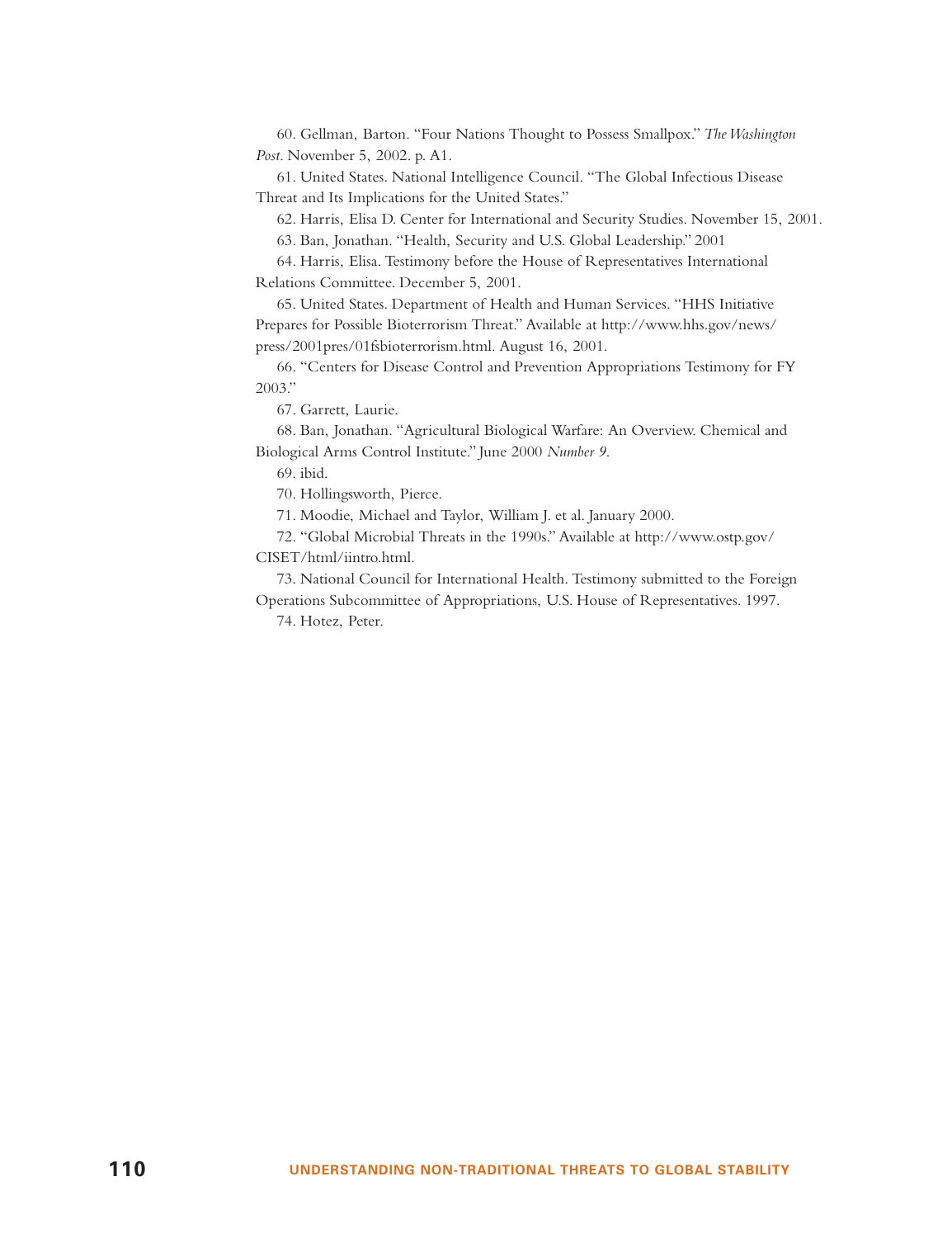60. Gellman, Barton. "Four Nations Thought to Possess Smallpox." *The Washington Post*. November 5, 2002. p. A1.

61. United States. National Intelligence Council. "The Global Infectious Disease Threat and Its Implications for the United States."

62. Harris, Elisa D. Center for International and Security Studies. November 15, 2001.

63. Ban, Jonathan. "Health, Security and U.S. Global Leadership." 2001

64. Harris, Elisa. Testimony before the House of Representatives International Relations Committee. December 5, 2001.

65. United States. Department of Health and Human Services. "HHS Initiative Prepares for Possible Bioterrorism Threat." Available at http://www.hhs.gov/news/ press/2001pres/01fsbioterrorism.html. August 16, 2001.

66. "Centers for Disease Control and Prevention Appropriations Testimony for FY 2003."

67. Garrett, Laurie.

68. Ban, Jonathan. "Agricultural Biological Warfare: An Overview. Chemical and Biological Arms Control Institute." June 2000 *Number 9*.

69. ibid.

70. Hollingsworth, Pierce.

71. Moodie, Michael and Taylor, William J. et al. January 2000.

72. "Global Microbial Threats in the 1990s." Available at http://www.ostp.gov/ CISET/html/iintro.html.

73. National Council for International Health. Testimony submitted to the Foreign Operations Subcommittee of Appropriations, U.S. House of Representatives. 1997.

74. Hotez, Peter.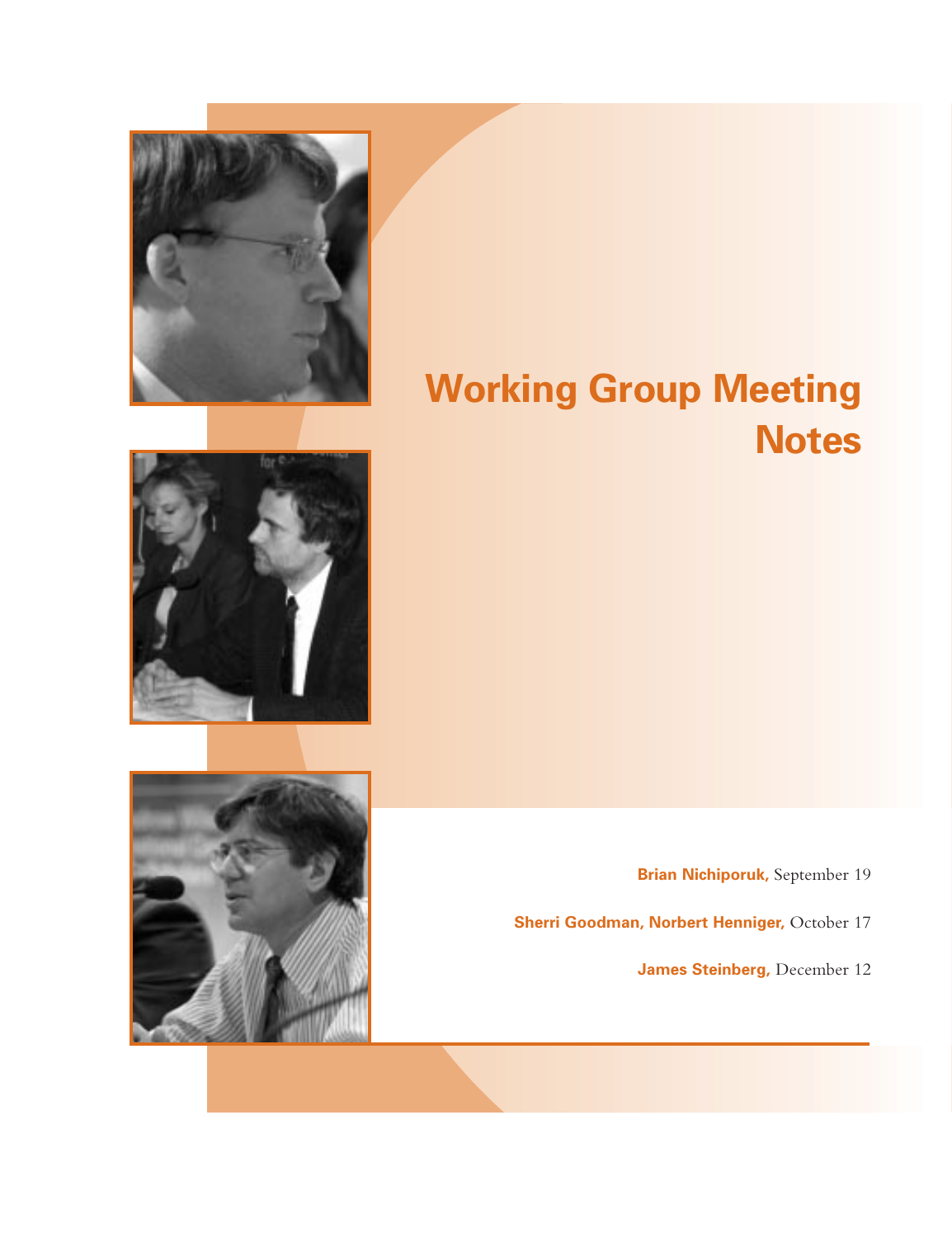

# **Working Group Meeting Notes**

**Brian Nichiporuk,** September 19

**Sherri Goodman, Norbert Henniger, October 17** 

**James Steinberg,** December 12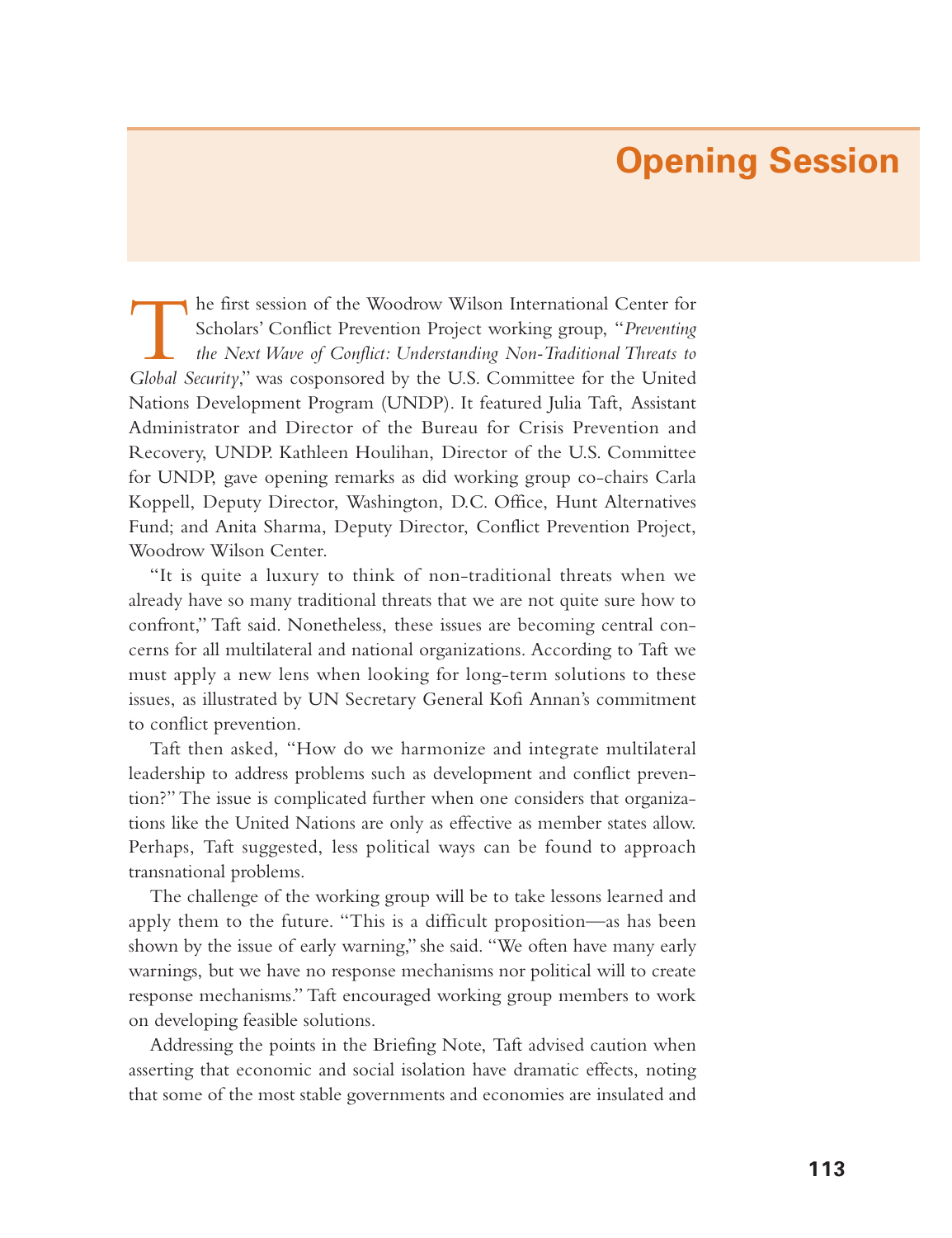## **Opening Session**

The first session of the Woodrow Wilson International Center for<br>Scholars' Conflict Prevention Project working group, "Preventing<br>the Next Wave of Conflict: Understanding Non-Traditional Threats to *Global Security*," was cosponsored by the U.S. Committee for the United Nations Development Program (UNDP). It featured Julia Taft, Assistant Administrator and Director of the Bureau for Crisis Prevention and Recovery, UNDP. Kathleen Houlihan, Director of the U.S. Committee for UNDP, gave opening remarks as did working group co-chairs Carla Koppell, Deputy Director, Washington, D.C. Office, Hunt Alternatives Fund; and Anita Sharma, Deputy Director, Conflict Prevention Project, Woodrow Wilson Center.

"It is quite a luxury to think of non-traditional threats when we already have so many traditional threats that we are not quite sure how to confront," Taft said. Nonetheless, these issues are becoming central concerns for all multilateral and national organizations. According to Taft we must apply a new lens when looking for long-term solutions to these issues, as illustrated by UN Secretary General Kofi Annan's commitment to conflict prevention.

Taft then asked, "How do we harmonize and integrate multilateral leadership to address problems such as development and conflict prevention?" The issue is complicated further when one considers that organizations like the United Nations are only as effective as member states allow. Perhaps, Taft suggested, less political ways can be found to approach transnational problems.

The challenge of the working group will be to take lessons learned and apply them to the future. "This is a difficult proposition—as has been shown by the issue of early warning," she said. "We often have many early warnings, but we have no response mechanisms nor political will to create response mechanisms." Taft encouraged working group members to work on developing feasible solutions.

Addressing the points in the Briefing Note, Taft advised caution when asserting that economic and social isolation have dramatic effects, noting that some of the most stable governments and economies are insulated and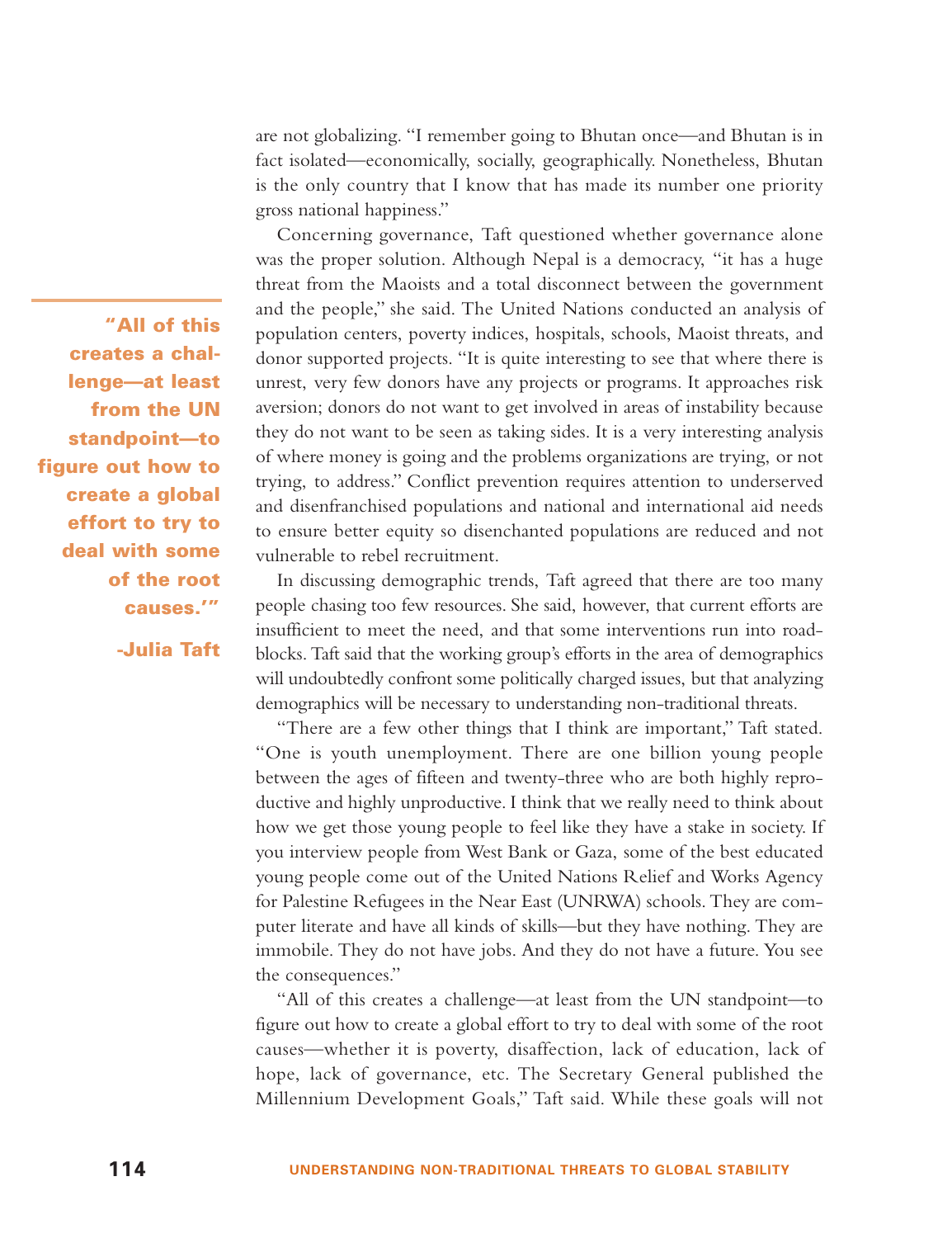are not globalizing. "I remember going to Bhutan once—and Bhutan is in fact isolated—economically, socially, geographically. Nonetheless, Bhutan is the only country that I know that has made its number one priority gross national happiness."

Concerning governance, Taft questioned whether governance alone was the proper solution. Although Nepal is a democracy, "it has a huge threat from the Maoists and a total disconnect between the government and the people," she said. The United Nations conducted an analysis of population centers, poverty indices, hospitals, schools, Maoist threats, and donor supported projects. "It is quite interesting to see that where there is unrest, very few donors have any projects or programs. It approaches risk aversion; donors do not want to get involved in areas of instability because they do not want to be seen as taking sides. It is a very interesting analysis of where money is going and the problems organizations are trying, or not trying, to address." Conflict prevention requires attention to underserved and disenfranchised populations and national and international aid needs to ensure better equity so disenchanted populations are reduced and not vulnerable to rebel recruitment.

In discussing demographic trends, Taft agreed that there are too many people chasing too few resources. She said, however, that current efforts are insufficient to meet the need, and that some interventions run into roadblocks. Taft said that the working group's efforts in the area of demographics will undoubtedly confront some politically charged issues, but that analyzing demographics will be necessary to understanding non-traditional threats.

"There are a few other things that I think are important," Taft stated. "One is youth unemployment. There are one billion young people between the ages of fifteen and twenty-three who are both highly reproductive and highly unproductive. I think that we really need to think about how we get those young people to feel like they have a stake in society. If you interview people from West Bank or Gaza, some of the best educated young people come out of the United Nations Relief and Works Agency for Palestine Refugees in the Near East (UNRWA) schools. They are computer literate and have all kinds of skills—but they have nothing. They are immobile. They do not have jobs. And they do not have a future. You see the consequences."

"All of this creates a challenge—at least from the UN standpoint—to figure out how to create a global effort to try to deal with some of the root causes—whether it is poverty, disaffection, lack of education, lack of hope, lack of governance, etc. The Secretary General published the Millennium Development Goals," Taft said. While these goals will not

**"All of this creates a challenge—at least from the UN standpoint—to figure out how to create a global effort to try to deal with some of the root causes.'"**

**-Julia Taft**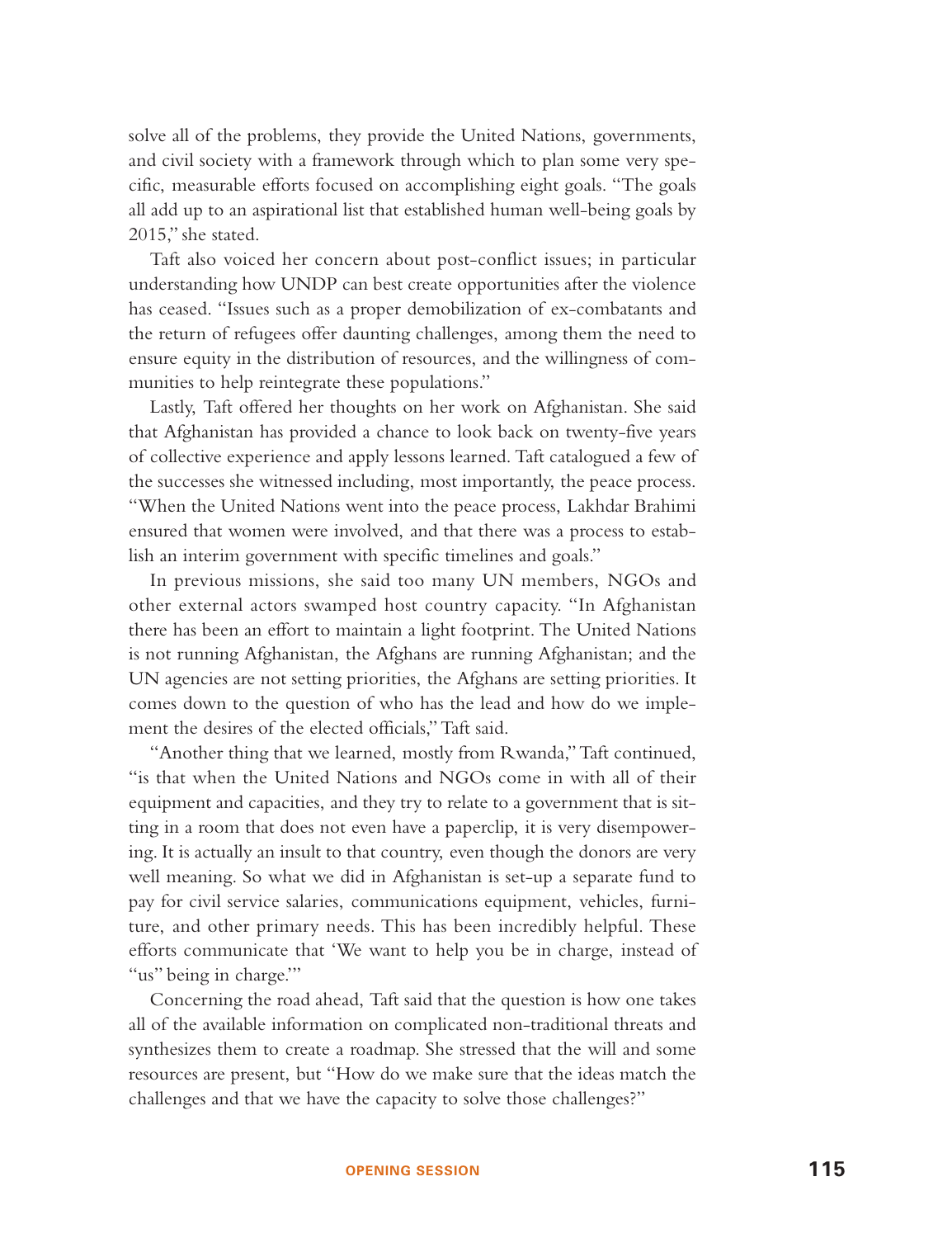solve all of the problems, they provide the United Nations, governments, and civil society with a framework through which to plan some very specific, measurable efforts focused on accomplishing eight goals. "The goals all add up to an aspirational list that established human well-being goals by 2015," she stated.

Taft also voiced her concern about post-conflict issues; in particular understanding how UNDP can best create opportunities after the violence has ceased. "Issues such as a proper demobilization of ex-combatants and the return of refugees offer daunting challenges, among them the need to ensure equity in the distribution of resources, and the willingness of communities to help reintegrate these populations."

Lastly, Taft offered her thoughts on her work on Afghanistan. She said that Afghanistan has provided a chance to look back on twenty-five years of collective experience and apply lessons learned. Taft catalogued a few of the successes she witnessed including, most importantly, the peace process. "When the United Nations went into the peace process, Lakhdar Brahimi ensured that women were involved, and that there was a process to establish an interim government with specific timelines and goals."

In previous missions, she said too many UN members, NGOs and other external actors swamped host country capacity. "In Afghanistan there has been an effort to maintain a light footprint. The United Nations is not running Afghanistan, the Afghans are running Afghanistan; and the UN agencies are not setting priorities, the Afghans are setting priorities. It comes down to the question of who has the lead and how do we implement the desires of the elected officials," Taft said.

"Another thing that we learned, mostly from Rwanda,"Taft continued, "is that when the United Nations and NGOs come in with all of their equipment and capacities, and they try to relate to a government that is sitting in a room that does not even have a paperclip, it is very disempowering. It is actually an insult to that country, even though the donors are very well meaning. So what we did in Afghanistan is set-up a separate fund to pay for civil service salaries, communications equipment, vehicles, furniture, and other primary needs. This has been incredibly helpful. These efforts communicate that 'We want to help you be in charge, instead of "us" being in charge."

Concerning the road ahead, Taft said that the question is how one takes all of the available information on complicated non-traditional threats and synthesizes them to create a roadmap. She stressed that the will and some resources are present, but "How do we make sure that the ideas match the challenges and that we have the capacity to solve those challenges?"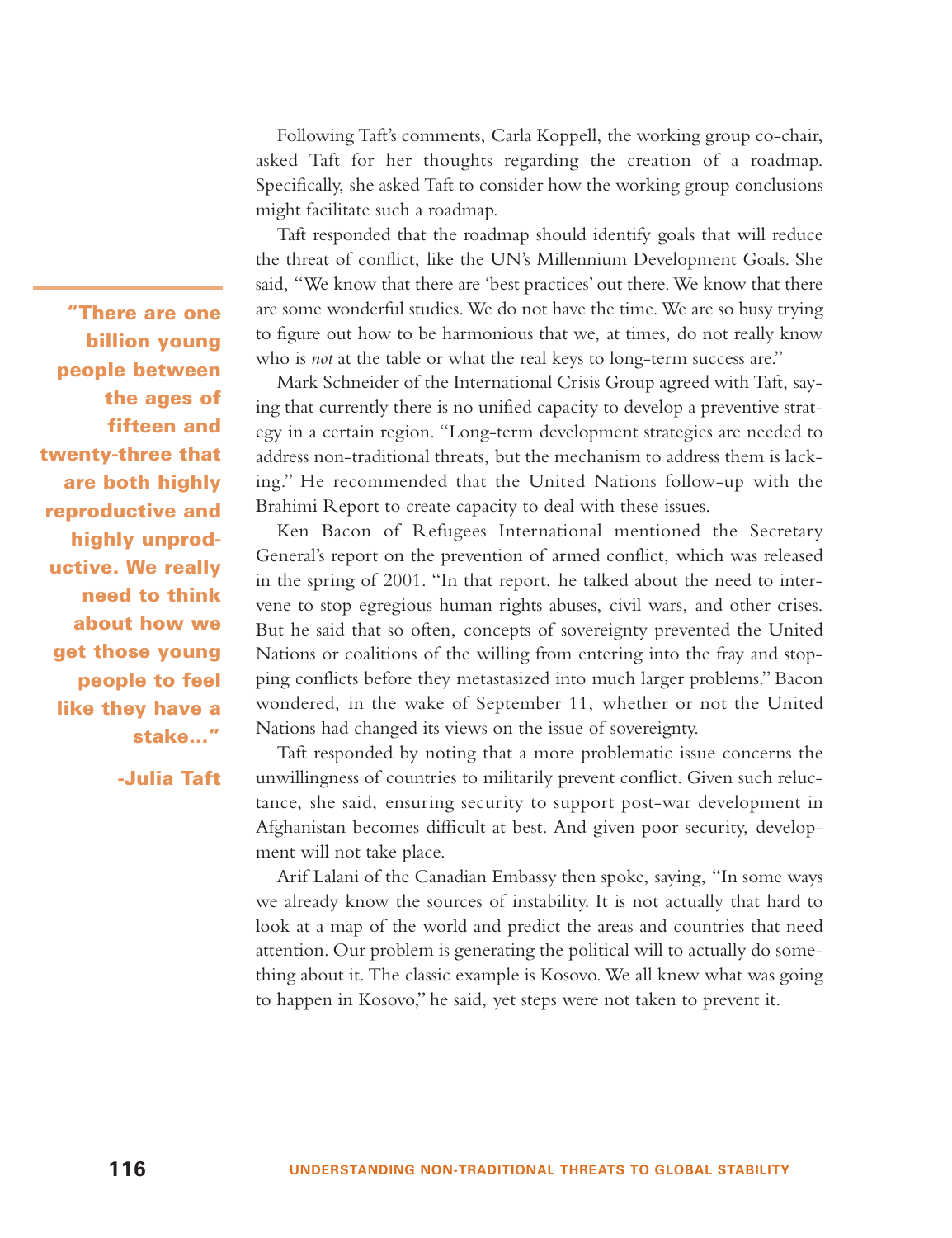Following Taft's comments, Carla Koppell, the working group co-chair, asked Taft for her thoughts regarding the creation of a roadmap. Specifically, she asked Taft to consider how the working group conclusions might facilitate such a roadmap.

Taft responded that the roadmap should identify goals that will reduce the threat of conflict, like the UN's Millennium Development Goals. She said, "We know that there are 'best practices' out there. We know that there are some wonderful studies. We do not have the time. We are so busy trying to figure out how to be harmonious that we, at times, do not really know who is *not* at the table or what the real keys to long-term success are."

Mark Schneider of the International Crisis Group agreed with Taft, saying that currently there is no unified capacity to develop a preventive strategy in a certain region. "Long-term development strategies are needed to address non-traditional threats, but the mechanism to address them is lacking." He recommended that the United Nations follow-up with the Brahimi Report to create capacity to deal with these issues.

Ken Bacon of Refugees International mentioned the Secretary General's report on the prevention of armed conflict, which was released in the spring of 2001. "In that report, he talked about the need to intervene to stop egregious human rights abuses, civil wars, and other crises. But he said that so often, concepts of sovereignty prevented the United Nations or coalitions of the willing from entering into the fray and stopping conflicts before they metastasized into much larger problems." Bacon wondered, in the wake of September 11, whether or not the United Nations had changed its views on the issue of sovereignty.

Taft responded by noting that a more problematic issue concerns the unwillingness of countries to militarily prevent conflict. Given such reluctance, she said, ensuring security to support post-war development in Afghanistan becomes difficult at best. And given poor security, development will not take place.

Arif Lalani of the Canadian Embassy then spoke, saying, "In some ways we already know the sources of instability. It is not actually that hard to look at a map of the world and predict the areas and countries that need attention. Our problem is generating the political will to actually do something about it. The classic example is Kosovo. We all knew what was going to happen in Kosovo," he said, yet steps were not taken to prevent it.

**"There are one billion young people between the ages of fifteen and twenty-three that are both highly reproductive and highly unproductive. We really need to think about how we get those young people to feel like they have a stake..."**

**-Julia Taft**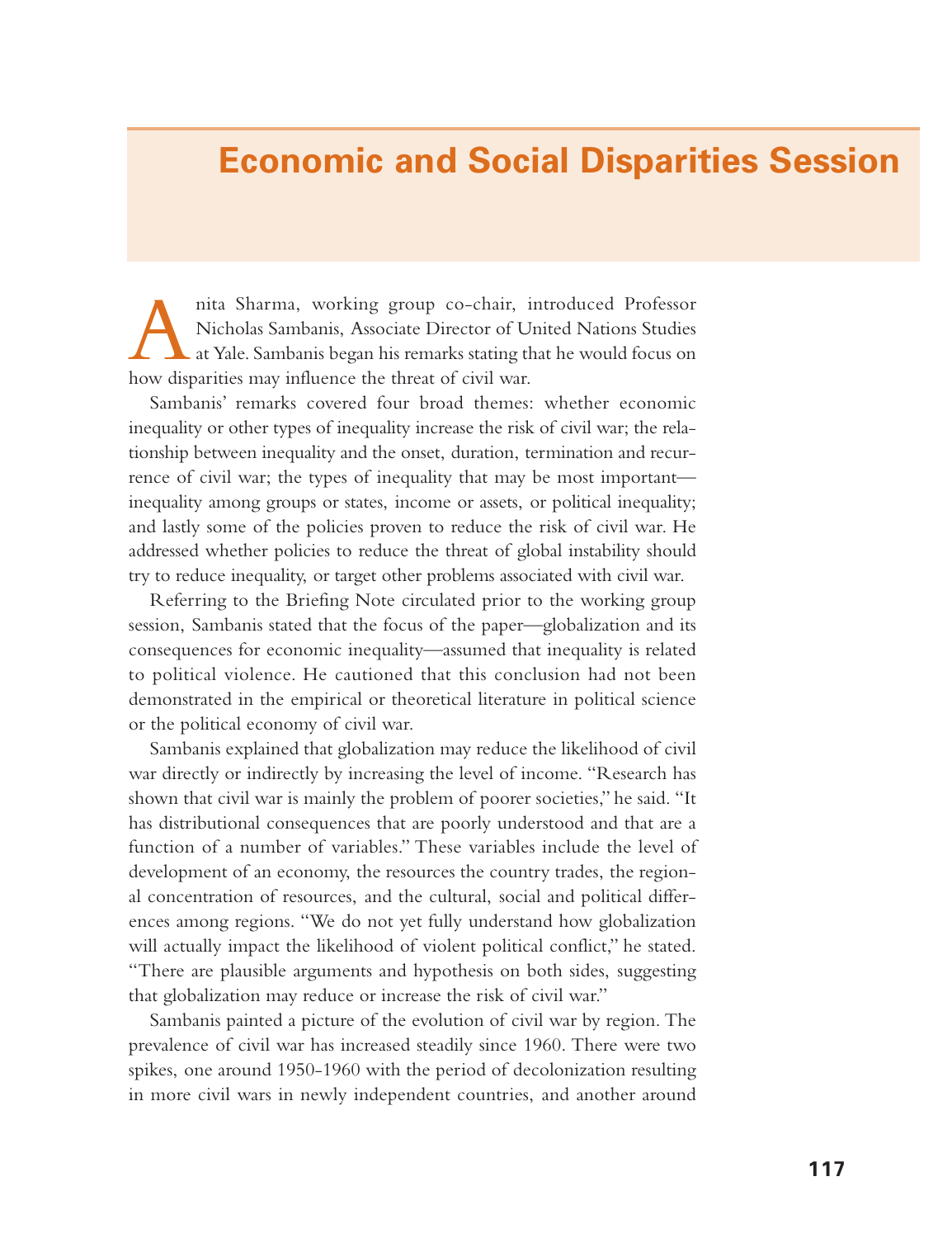#### **Economic and Social Disparities Session**

Anita Sharma, working group co-chair, introduced Professor Nicholas Sambanis, Associate Director of United Nations Studies at Yale. Sambanis began his remarks stating that he would focus on how disparities may influence the threat of civil war.

Sambanis' remarks covered four broad themes: whether economic inequality or other types of inequality increase the risk of civil war; the relationship between inequality and the onset, duration, termination and recurrence of civil war; the types of inequality that may be most important inequality among groups or states, income or assets, or political inequality; and lastly some of the policies proven to reduce the risk of civil war. He addressed whether policies to reduce the threat of global instability should try to reduce inequality, or target other problems associated with civil war.

Referring to the Briefing Note circulated prior to the working group session, Sambanis stated that the focus of the paper—globalization and its consequences for economic inequality—assumed that inequality is related to political violence. He cautioned that this conclusion had not been demonstrated in the empirical or theoretical literature in political science or the political economy of civil war.

Sambanis explained that globalization may reduce the likelihood of civil war directly or indirectly by increasing the level of income. "Research has shown that civil war is mainly the problem of poorer societies," he said. "It has distributional consequences that are poorly understood and that are a function of a number of variables." These variables include the level of development of an economy, the resources the country trades, the regional concentration of resources, and the cultural, social and political differences among regions. "We do not yet fully understand how globalization will actually impact the likelihood of violent political conflict," he stated. "There are plausible arguments and hypothesis on both sides, suggesting that globalization may reduce or increase the risk of civil war."

Sambanis painted a picture of the evolution of civil war by region. The prevalence of civil war has increased steadily since 1960. There were two spikes, one around 1950-1960 with the period of decolonization resulting in more civil wars in newly independent countries, and another around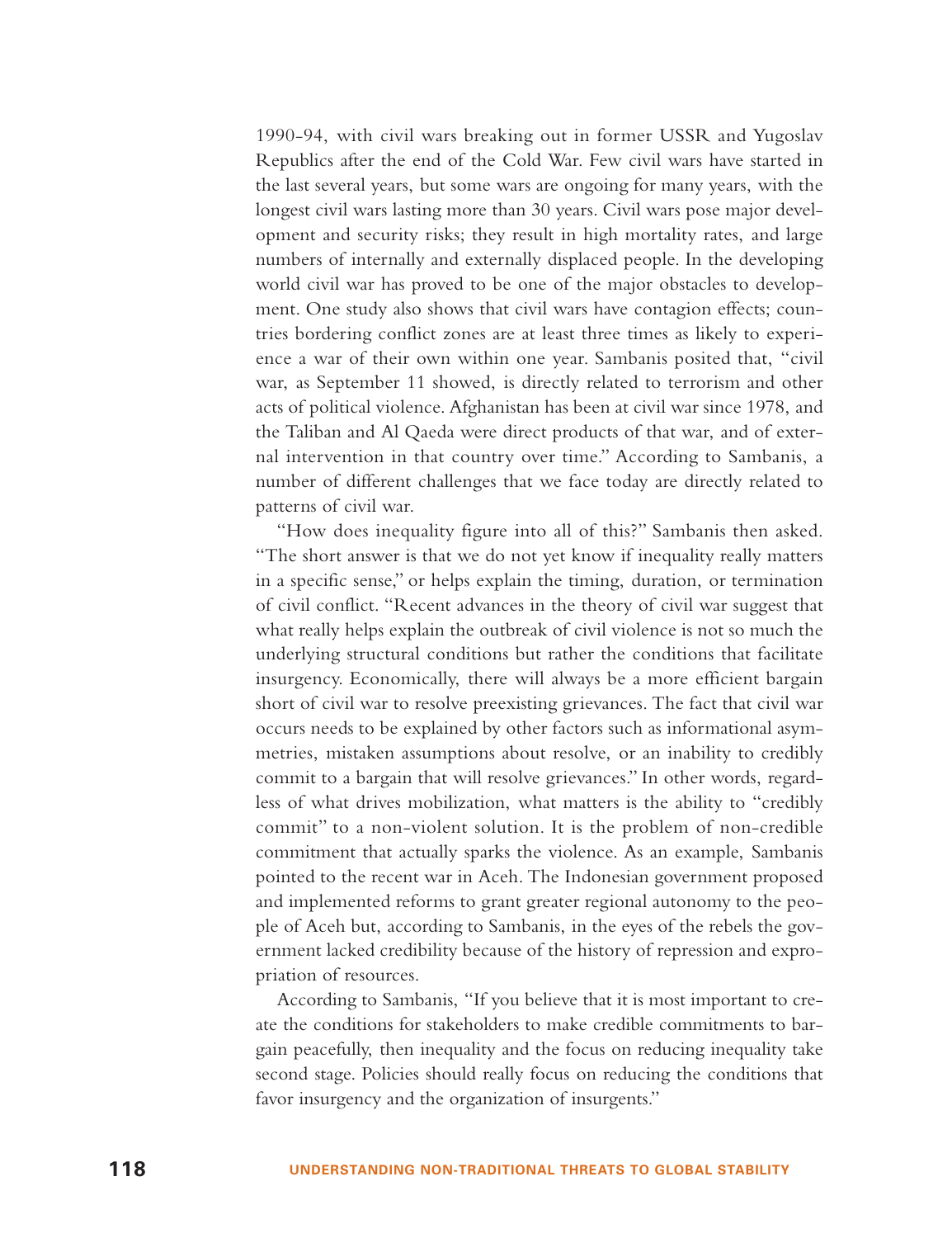1990-94, with civil wars breaking out in former USSR and Yugoslav Republics after the end of the Cold War. Few civil wars have started in the last several years, but some wars are ongoing for many years, with the longest civil wars lasting more than 30 years. Civil wars pose major development and security risks; they result in high mortality rates, and large numbers of internally and externally displaced people. In the developing world civil war has proved to be one of the major obstacles to development. One study also shows that civil wars have contagion effects; countries bordering conflict zones are at least three times as likely to experience a war of their own within one year. Sambanis posited that, "civil war, as September 11 showed, is directly related to terrorism and other acts of political violence. Afghanistan has been at civil war since 1978, and the Taliban and Al Qaeda were direct products of that war, and of external intervention in that country over time." According to Sambanis, <sup>a</sup> number of different challenges that we face today are directly related to patterns of civil war.

"How does inequality figure into all of this?" Sambanis then asked. "The short answer is that we do not yet know if inequality really matters in a specific sense," or helps explain the timing, duration, or termination of civil conflict. "Recent advances in the theory of civil war suggest that what really helps explain the outbreak of civil violence is not so much the underlying structural conditions but rather the conditions that facilitate insurgency. Economically, there will always be a more efficient bargain short of civil war to resolve preexisting grievances. The fact that civil war occurs needs to be explained by other factors such as informational asymmetries, mistaken assumptions about resolve, or an inability to credibly commit to a bargain that will resolve grievances." In other words, regardless of what drives mobilization, what matters is the ability to "credibly commit" to a non-violent solution. It is the problem of non-credible commitment that actually sparks the violence. As an example, Sambanis pointed to the recent war in Aceh. The Indonesian government proposed and implemented reforms to grant greater regional autonomy to the people of Aceh but, according to Sambanis, in the eyes of the rebels the government lacked credibility because of the history of repression and expropriation of resources.

According to Sambanis, "If you believe that it is most important to create the conditions for stakeholders to make credible commitments to bargain peacefully, then inequality and the focus on reducing inequality take second stage. Policies should really focus on reducing the conditions that favor insurgency and the organization of insurgents."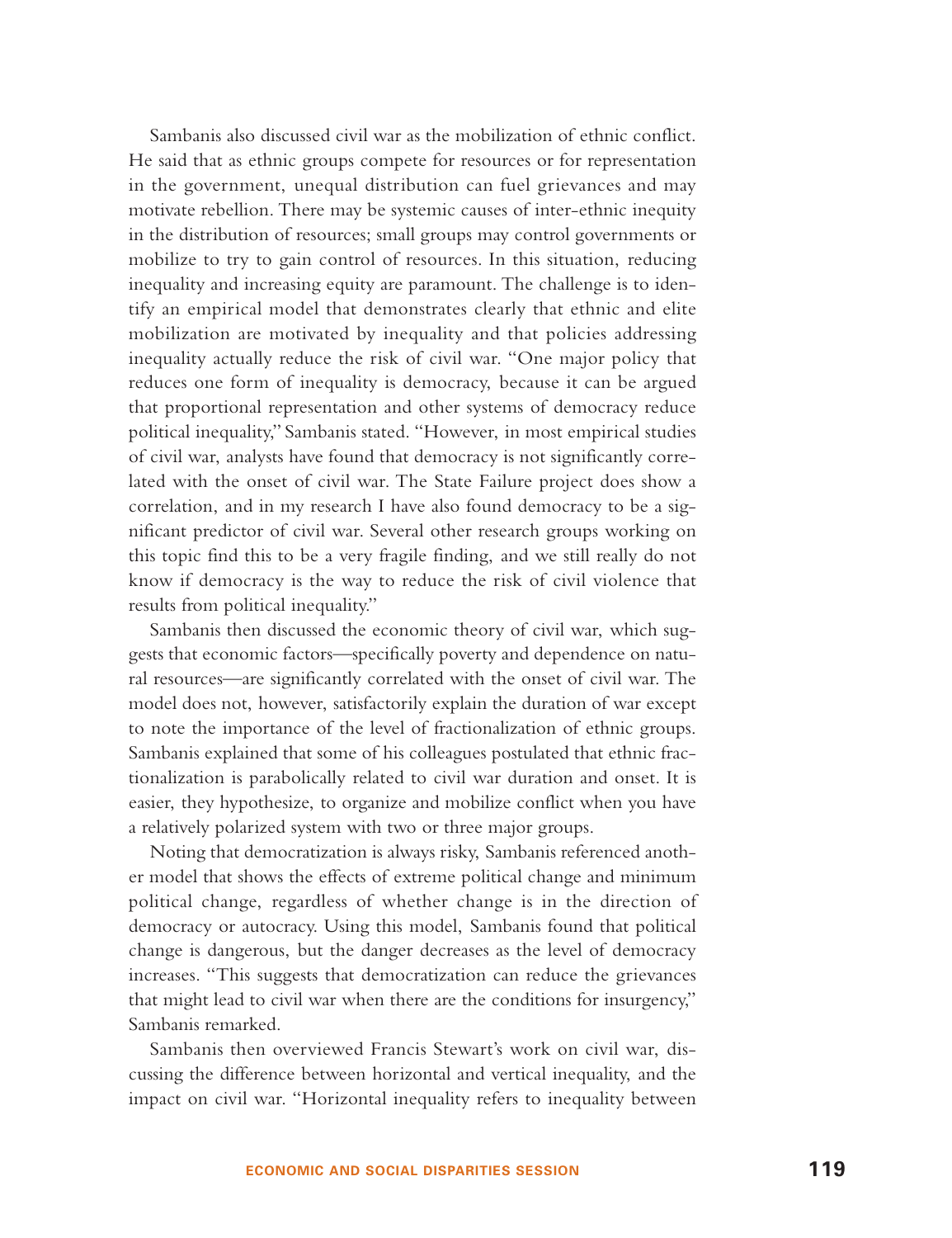Sambanis also discussed civil war as the mobilization of ethnic conflict. He said that as ethnic groups compete for resources or for representation in the government, unequal distribution can fuel grievances and may motivate rebellion. There may be systemic causes of inter-ethnic inequity in the distribution of resources; small groups may control governments or mobilize to try to gain control of resources. In this situation, reducing inequality and increasing equity are paramount. The challenge is to identify an empirical model that demonstrates clearly that ethnic and elite mobilization are motivated by inequality and that policies addressing inequality actually reduce the risk of civil war. "One major policy that reduces one form of inequality is democracy, because it can be argued that proportional representation and other systems of democracy reduce political inequality," Sambanis stated. "However, in most empirical studies of civil war, analysts have found that democracy is not significantly correlated with the onset of civil war. The State Failure project does show a correlation, and in my research I have also found democracy to be a significant predictor of civil war. Several other research groups working on this topic find this to be a very fragile finding, and we still really do not know if democracy is the way to reduce the risk of civil violence that results from political inequality."

Sambanis then discussed the economic theory of civil war, which suggests that economic factors—specifically poverty and dependence on natural resources—are significantly correlated with the onset of civil war. The model does not, however, satisfactorily explain the duration of war excep<sup>t</sup> to note the importance of the level of fractionalization of ethnic groups. Sambanis explained that some of his colleagues postulated that ethnic fractionalization is parabolically related to civil war duration and onset. It is easier, they hypothesize, to organize and mobilize conflict when you have a relatively polarized system with two or three major groups.

Noting that democratization is always risky, Sambanis referenced another model that shows the effects of extreme political change and minimum political change, regardless of whether change is in the direction of democracy or autocracy. Using this model, Sambanis found that political change is dangerous, but the danger decreases as the level of democracy increases. "This suggests that democratization can reduce the grievances that might lead to civil war when there are the conditions for insurgency," Sambanis remarked.

Sambanis then overviewed Francis Stewart's work on civil war, discussing the difference between horizontal and vertical inequality, and the impact on civil war. "Horizontal inequality refers to inequality between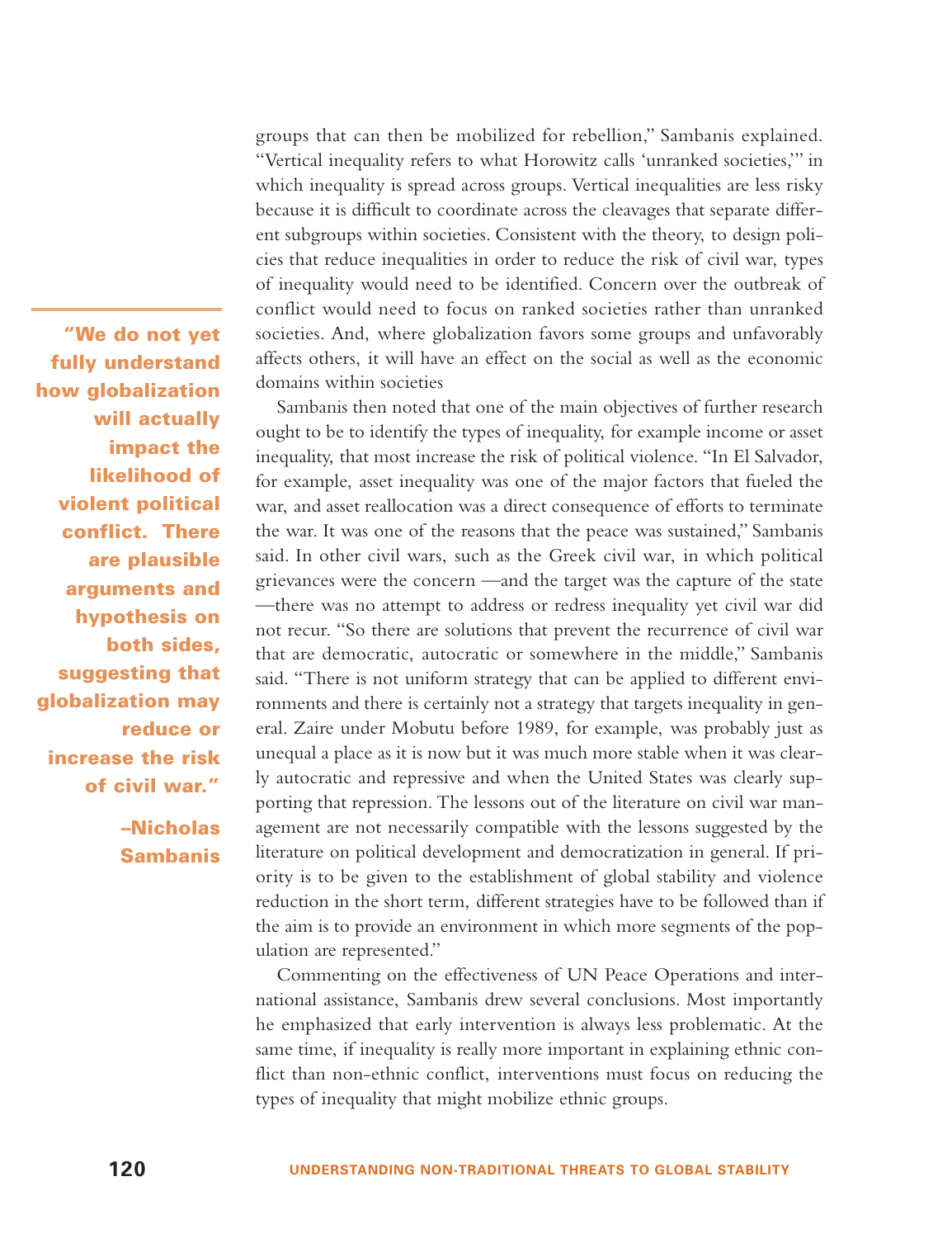**"We do not yet fully understand how globalization will actually impact the likelihood of violent political conflict. There are plausible arguments and hypothesis on both sides, suggesting that globalization may reduce or increase the risk of civil war."**

> **–Nicholas Sambanis**

groups that can then be mobilized for rebellion," Sambanis explained. "Vertical inequality refers to what Horowitz calls 'unranked societies,'" in which inequality is spread across groups. Vertical inequalities are less risky because it is difficult to coordinate across the cleavages that separate different subgroups within societies. Consistent with the theory, to design policies that reduce inequalities in order to reduce the risk of civil war, types of inequality would need to be identified. Concern over the outbreak of conflict would need to focus on ranked societies rather than unranked societies. And, where globalization favors some groups and unfavorably affects others, it will have an effect on the social as well as the economic domains within societies

Sambanis then noted that one of the main objectives of further research ought to be to identify the types of inequality, for example income or asset inequality, that most increase the risk of political violence. "In El Salvador, for example, asset inequality was one of the major factors that fueled the war, and asset reallocation was a direct consequence of efforts to terminate the war. It was one of the reasons that the peace was sustained," Sambanis said. In other civil wars, such as the Greek civil war, in which political grievances were the concern —and the target was the capture of the state —there was no attempt to address or redress inequality yet civil war did not recur. "So there are solutions that prevent the recurrence of civil war that are democratic, autocratic or somewhere in the middle," Sambanis said. "There is not uniform strategy that can be applied to different environments and there is certainly not a strategy that targets inequality in general. Zaire under Mobutu before 1989, for example, was probably just as unequal a place as it is now but it was much more stable when it was clearly autocratic and repressive and when the United States was clearly supporting that repression. The lessons out of the literature on civil war management are not necessarily compatible with the lessons suggested by the literature on political development and democratization in general. If priority is to be given to the establishment of global stability and violence reduction in the short term, different strategies have to be followed than if the aim is to provide an environment in which more segments of the population are represented."

Commenting on the effectiveness of UN Peace Operations and international assistance, Sambanis drew several conclusions. Most importantly he emphasized that early intervention is always less problematic. At the same time, if inequality is really more important in explaining ethnic conflict than non-ethnic conflict, interventions must focus on reducing the types of inequality that might mobilize ethnic groups.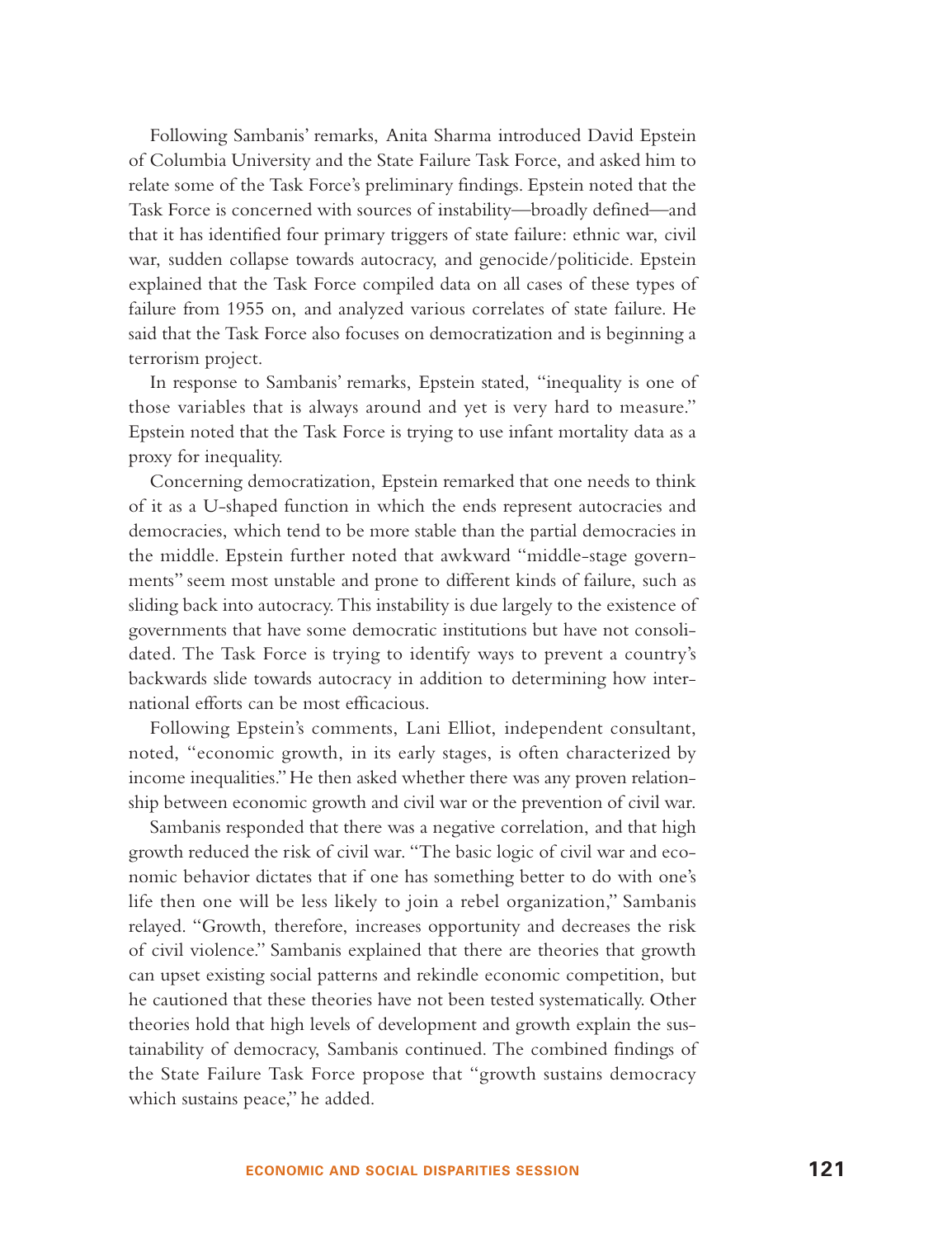Following Sambanis' remarks, Anita Sharma introduced David Epstein of Columbia University and the State Failure Task Force, and asked him to relate some of the Task Force's preliminary findings. Epstein noted that the Task Force is concerned with sources of instability—broadly defined—and that it has identified four primary triggers of state failure: ethnic war, civil war, sudden collapse towards autocracy, and genocide/politicide. Epstein explained that the Task Force compiled data on all cases of these types of failure from 1955 on, and analyzed various correlates of state failure. He said that the Task Force also focuses on democratization and is beginning a terrorism project.

In response to Sambanis' remarks, Epstein stated, "inequality is one of those variables that is always around and yet is very hard to measure." Epstein noted that the Task Force is trying to use infant mortality data as a proxy for inequality.

Concerning democratization, Epstein remarked that one needs to think of it as a U-shaped function in which the ends represent autocracies and democracies, which tend to be more stable than the partial democracies in the middle. Epstein further noted that awkward "middle-stage governments" seem most unstable and prone to different kinds of failure, such as sliding back into autocracy. This instability is due largely to the existence of governments that have some democratic institutions but have not consolidated. The Task Force is trying to identify ways to prevent a country's backwards slide towards autocracy in addition to determining how international efforts can be most efficacious.

Following Epstein's comments, Lani Elliot, independent consultant, noted, "economic growth, in its early stages, is often characterized by income inequalities." He then asked whether there was any proven relationship between economic growth and civil war or the prevention of civil war.

Sambanis responded that there was a negative correlation, and that high growth reduced the risk of civil war. "The basic logic of civil war and economic behavior dictates that if one has something better to do with one's life then one will be less likely to join a rebel organization," Sambanis relayed. "Growth, therefore, increases opportunity and decreases the risk of civil violence." Sambanis explained that there are theories that growth can upset existing social patterns and rekindle economic competition, but he cautioned that these theories have not been tested systematically. Other theories hold that high levels of development and growth explain the sustainability of democracy, Sambanis continued. The combined findings of the State Failure Task Force propose that "growth sustains democracy which sustains peace," he added.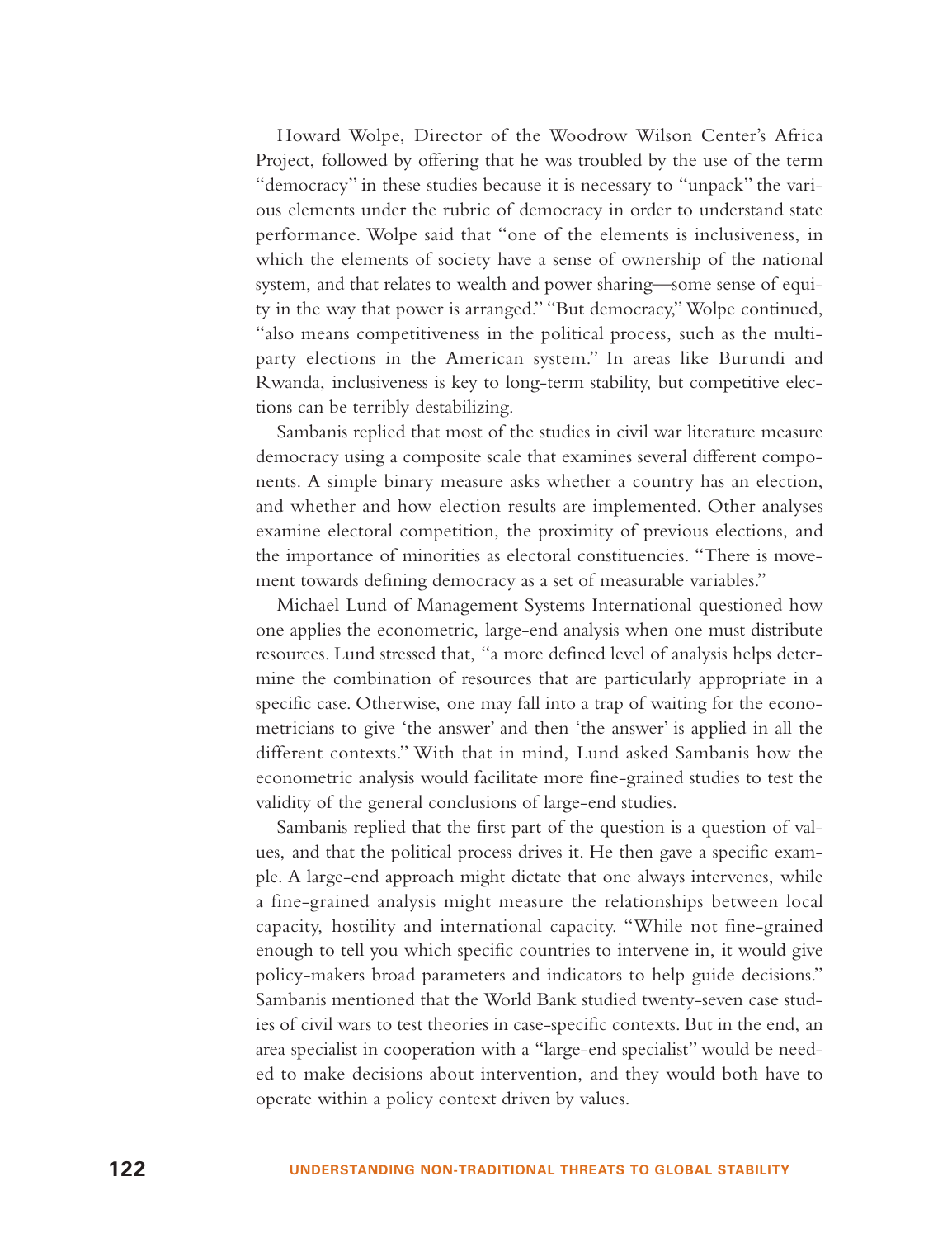Howard Wolpe, Director of the Woodrow Wilson Center's Africa Project, followed by offering that he was troubled by the use of the term "democracy" in these studies because it is necessary to "unpack" the various elements under the rubric of democracy in order to understand state performance. Wolpe said that "one of the elements is inclusiveness, in which the elements of society have a sense of ownership of the national system, and that relates to wealth and power sharing—some sense of equity in the way that power is arranged." "But democracy," Wolpe continued, "also means competitiveness in the political process, such as the multiparty elections in the American system." In areas like Burundi and Rwanda, inclusiveness is key to long-term stability, but competitive elections can be terribly destabilizing.

Sambanis replied that most of the studies in civil war literature measure democracy using a composite scale that examines several different components. A simple binary measure asks whether a country has an election, and whether and how election results are implemented. Other analyses examine electoral competition, the proximity of previous elections, and the importance of minorities as electoral constituencies. "There is movement towards defining democracy as a set of measurable variables."

Michael Lund of Management Systems International questioned how one applies the econometric, large-end analysis when one must distribute resources. Lund stressed that, "a more defined level of analysis helps determine the combination of resources that are particularly appropriate in a specific case. Otherwise, one may fall into a trap of waiting for the econometricians to give 'the answer' and then 'the answer' is applied in all the different contexts." With that in mind, Lund asked Sambanis how the econometric analysis would facilitate more fine-grained studies to test the validity of the general conclusions of large-end studies.

Sambanis replied that the first part of the question is a question of values, and that the political process drives it. He then gave a specific example. A large-end approach might dictate that one always intervenes, while a fine-grained analysis might measure the relationships between local capacity, hostility and international capacity. "While not fine-grained enough to tell you which specific countries to intervene in, it would give policy-makers broad parameters and indicators to help guide decisions." Sambanis mentioned that the World Bank studied twenty-seven case studies of civil wars to test theories in case-specific contexts. But in the end, an area specialist in cooperation with a "large-end specialist" would be needed to make decisions about intervention, and they would both have to operate within a policy context driven by values.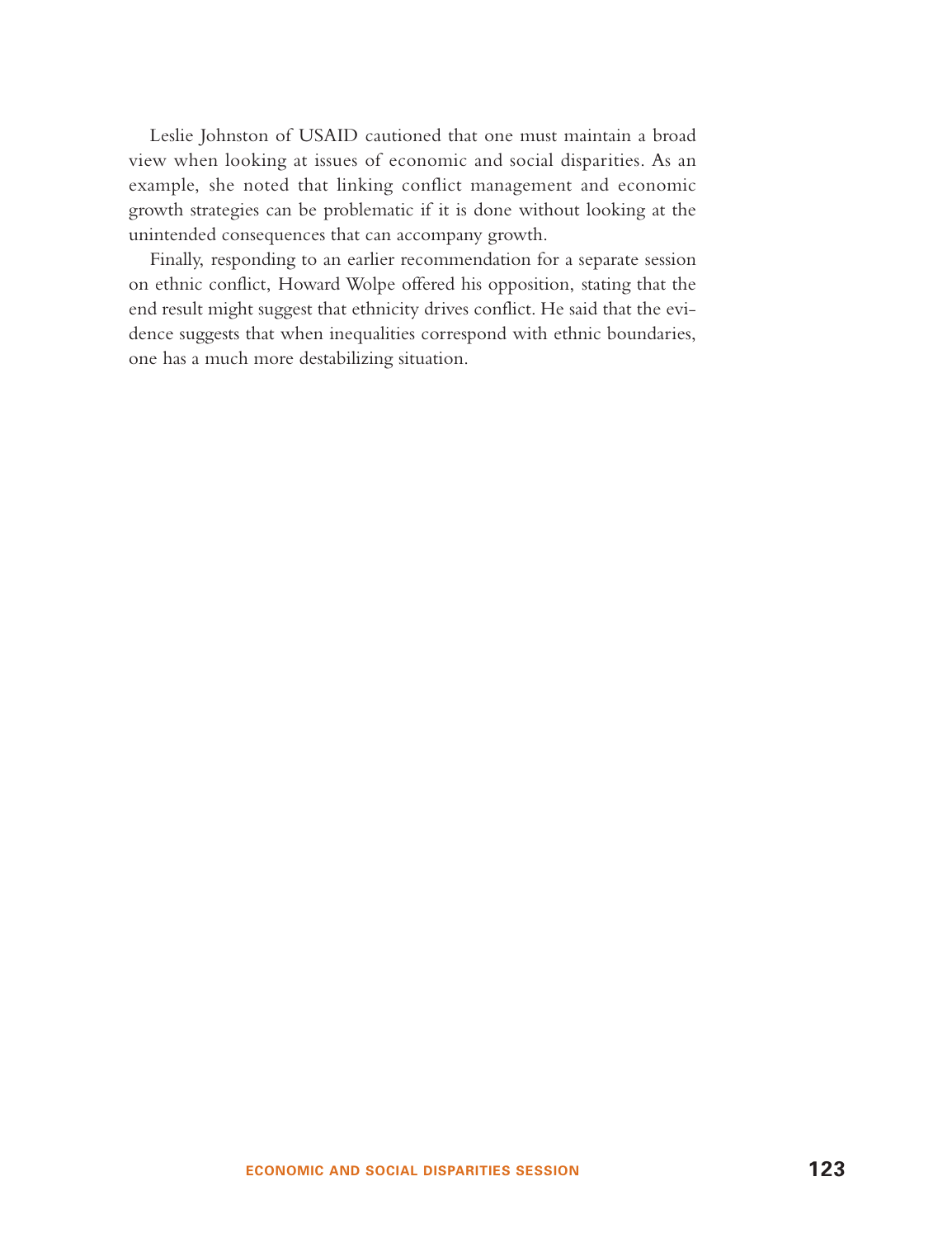Leslie Johnston of USAID cautioned that one must maintain a broad view when looking at issues of economic and social disparities. As an example, she noted that linking conflict management and economic growth strategies can be problematic if it is done without looking at the unintended consequences that can accompany growth.

Finally, responding to an earlier recommendation for a separate session on ethnic conflict, Howard Wolpe offered his opposition, stating that the end result might suggest that ethnicity drives conflict. He said that the evidence suggests that when inequalities correspond with ethnic boundaries, one has a much more destabilizing situation.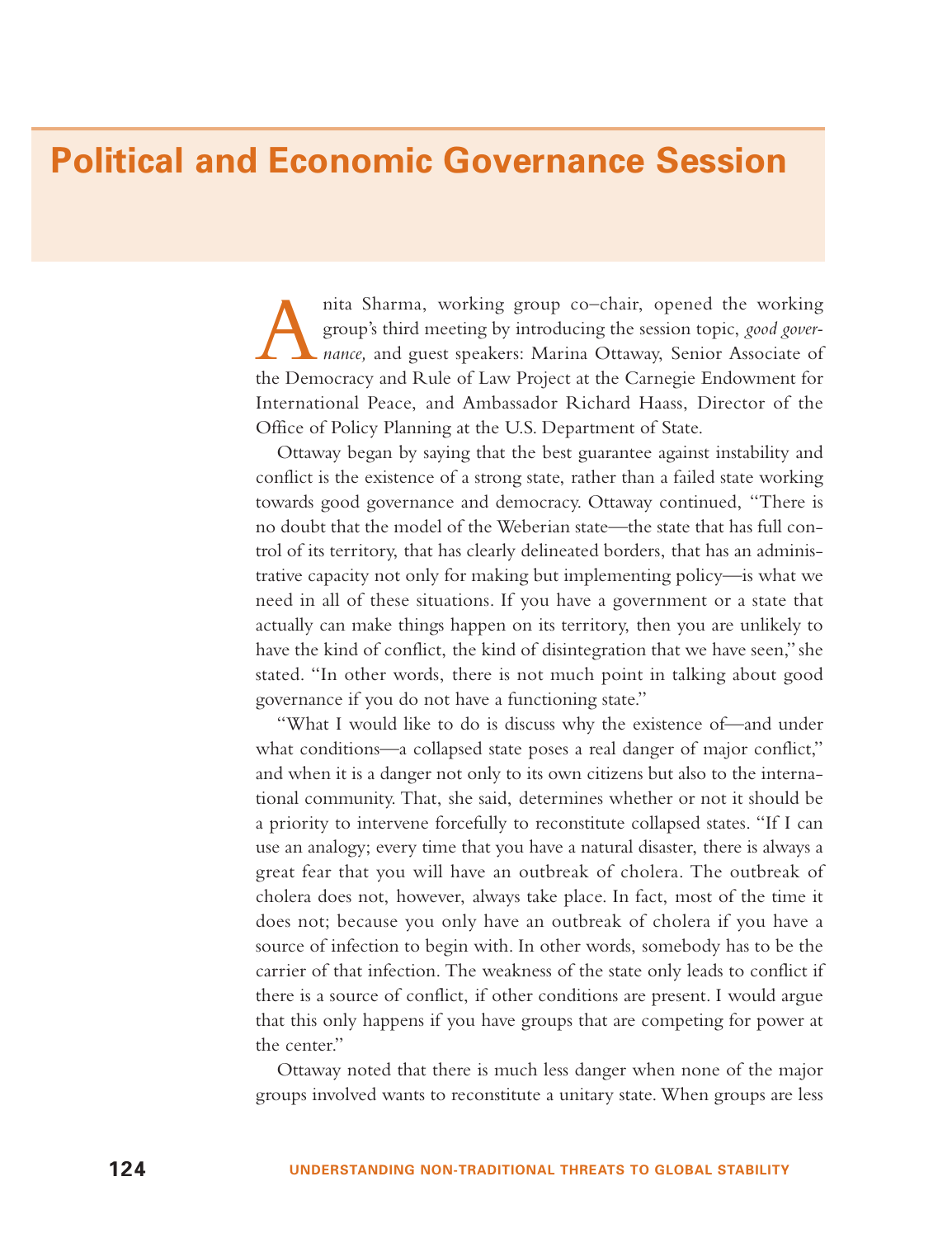### **Political and Economic Governance Session**

nita Sharma, working group co–chair, opened the working group's third meeting by introducing the session topic, *good gover*-<br>*nance*, and guest speakers: Marina Ottaway, Senior Associate of the Democracy and Rule of Law Project at the Carnegie Endowment for International Peace, and Ambassador Richard Haass, Director of the Office of Policy Planning at the U.S. Department of State.

Ottaway began by saying that the best guarantee against instability and conflict is the existence of a strong state, rather than a failed state working towards good governance and democracy. Ottaway continued, "There is no doubt that the model of the Weberian state—the state that has full control of its territory, that has clearly delineated borders, that has an administrative capacity not only for making but implementing policy—is what we need in all of these situations. If you have a government or a state that actually can make things happen on its territory, then you are unlikely to have the kind of conflict, the kind of disintegration that we have seen," she stated. "In other words, there is not much point in talking about good governance if you do not have a functioning state."

"What I would like to do is discuss why the existence of—and under what conditions—a collapsed state poses a real danger of major conflict," and when it is a danger not only to its own citizens but also to the international community. That, she said, determines whether or not it should be a priority to intervene forcefully to reconstitute collapsed states. "If I can use an analogy; every time that you have a natural disaster, there is always a great fear that you will have an outbreak of cholera. The outbreak of cholera does not, however, always take place. In fact, most of the time it does not; because you only have an outbreak of cholera if you have a source of infection to begin with. In other words, somebody has to be the carrier of that infection. The weakness of the state only leads to conflict if there is a source of conflict, if other conditions are present. I would argue that this only happens if you have groups that are competing for power at the center."

Ottaway noted that there is much less danger when none of the major groups involved wants to reconstitute a unitary state. When groups are less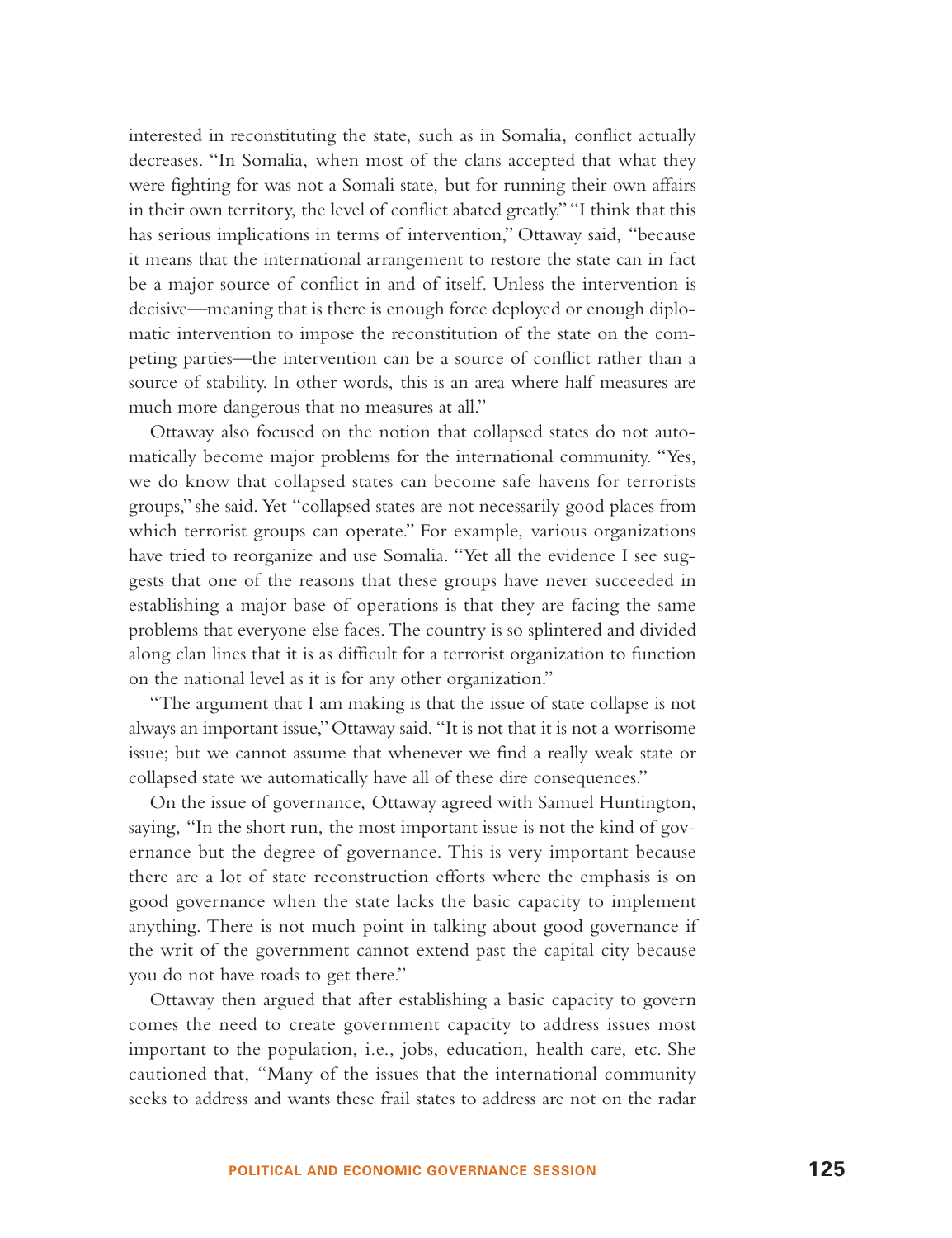interested in reconstituting the state, such as in Somalia, conflict actually decreases. "In Somalia, when most of the clans accepted that what they were fighting for was not a Somali state, but for running their own affairs in their own territory, the level of conflict abated greatly." "I think that this has serious implications in terms of intervention," Ottaway said, "because it means that the international arrangement to restore the state can in fact be a major source of conflict in and of itself. Unless the intervention is decisive—meaning that is there is enough force deployed or enough diplomatic intervention to impose the reconstitution of the state on the competing parties—the intervention can be a source of conflict rather than a source of stability. In other words, this is an area where half measures are much more dangerous that no measures at all."

Ottaway also focused on the notion that collapsed states do not automatically become major problems for the international community. "Yes, we do know that collapsed states can become safe havens for terrorists groups," she said. Yet "collapsed states are not necessarily good places from which terrorist groups can operate." For example, various organizations have tried to reorganize and use Somalia. "Yet all the evidence I see suggests that one of the reasons that these groups have never succeeded in establishing a major base of operations is that they are facing the same problems that everyone else faces. The country is so splintered and divided along clan lines that it is as difficult for a terrorist organization to function on the national level as it is for any other organization."

"The argument that I am making is that the issue of state collapse is not always an important issue,"Ottaway said. "It is not that it is not a worrisome issue; but we cannot assume that whenever we find a really weak state or collapsed state we automatically have all of these dire consequences."

On the issue of governance, Ottaway agreed with Samuel Huntington, saying, "In the short run, the most important issue is not the kind of governance but the degree of governance. This is very important because there are a lot of state reconstruction efforts where the emphasis is on good governance when the state lacks the basic capacity to implement anything. There is not much point in talking about good governance if the writ of the government cannot extend past the capital city because you do not have roads to get there."

Ottaway then argued that after establishing a basic capacity to govern comes the need to create government capacity to address issues most important to the population, i.e., jobs, education, health care, etc. She cautioned that, "Many of the issues that the international community seeks to address and wants these frail states to address are not on the radar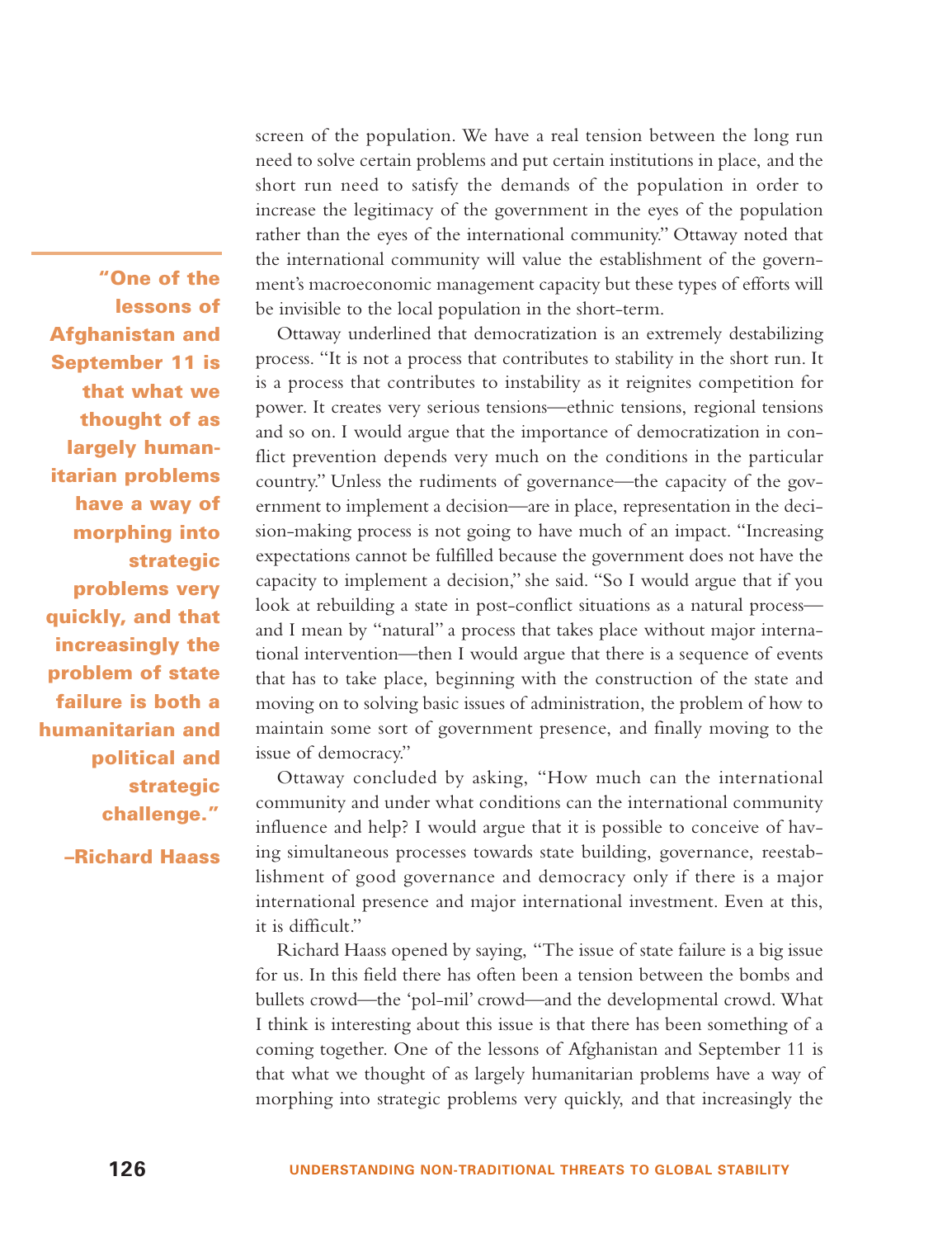screen of the population. We have a real tension between the long run need to solve certain problems and put certain institutions in place, and the short run need to satisfy the demands of the population in order to increase the legitimacy of the government in the eyes of the population rather than the eyes of the international community." Ottaway noted that the international community will value the establishment of the government's macroeconomic management capacity but these types of efforts will be invisible to the local population in the short-term.

Ottaway underlined that democratization is an extremely destabilizing process. "It is not a process that contributes to stability in the short run. It is a process that contributes to instability as it reignites competition for power. It creates very serious tensions—ethnic tensions, regional tensions and so on. I would argue that the importance of democratization in conflict prevention depends very much on the conditions in the particular country." Unless the rudiments of governance—the capacity of the government to implement a decision—are in place, representation in the decision-making process is not going to have much of an impact. "Increasing expectations cannot be fulfilled because the government does not have the capacity to implement a decision," she said. "So I would argue that if you look at rebuilding a state in post-conflict situations as a natural process and I mean by "natural" a process that takes place without major international intervention—then I would argue that there is a sequence of events that has to take place, beginning with the construction of the state and moving on to solving basic issues of administration, the problem of how to maintain some sort of government presence, and finally moving to the issue of democracy."

Ottaway concluded by asking, "How much can the international community and under what conditions can the international community influence and help? I would argue that it is possible to conceive of having simultaneous processes towards state building, governance, reestablishment of good governance and democracy only if there is a major international presence and major international investment. Even at this, it is difficult."

Richard Haass opened by saying, "The issue of state failure is a big issue for us. In this field there has often been a tension between the bombs and bullets crowd—the 'pol-mil' crowd—and the developmental crowd. What I think is interesting about this issue is that there has been something of <sup>a</sup> coming together. One of the lessons of Afghanistan and September 11 is that what we thought of as largely humanitarian problems have a way of morphing into strategic problems very quickly, and that increasingly the

**"One of the lessons of Afghanistan and September 11 is that what we thought of as largely humanitarian problems have a way of morphing into strategic problems very quickly, and that increasingly the problem of state failure is both a humanitarian and political and strategic challenge."**

**–Richard Haass**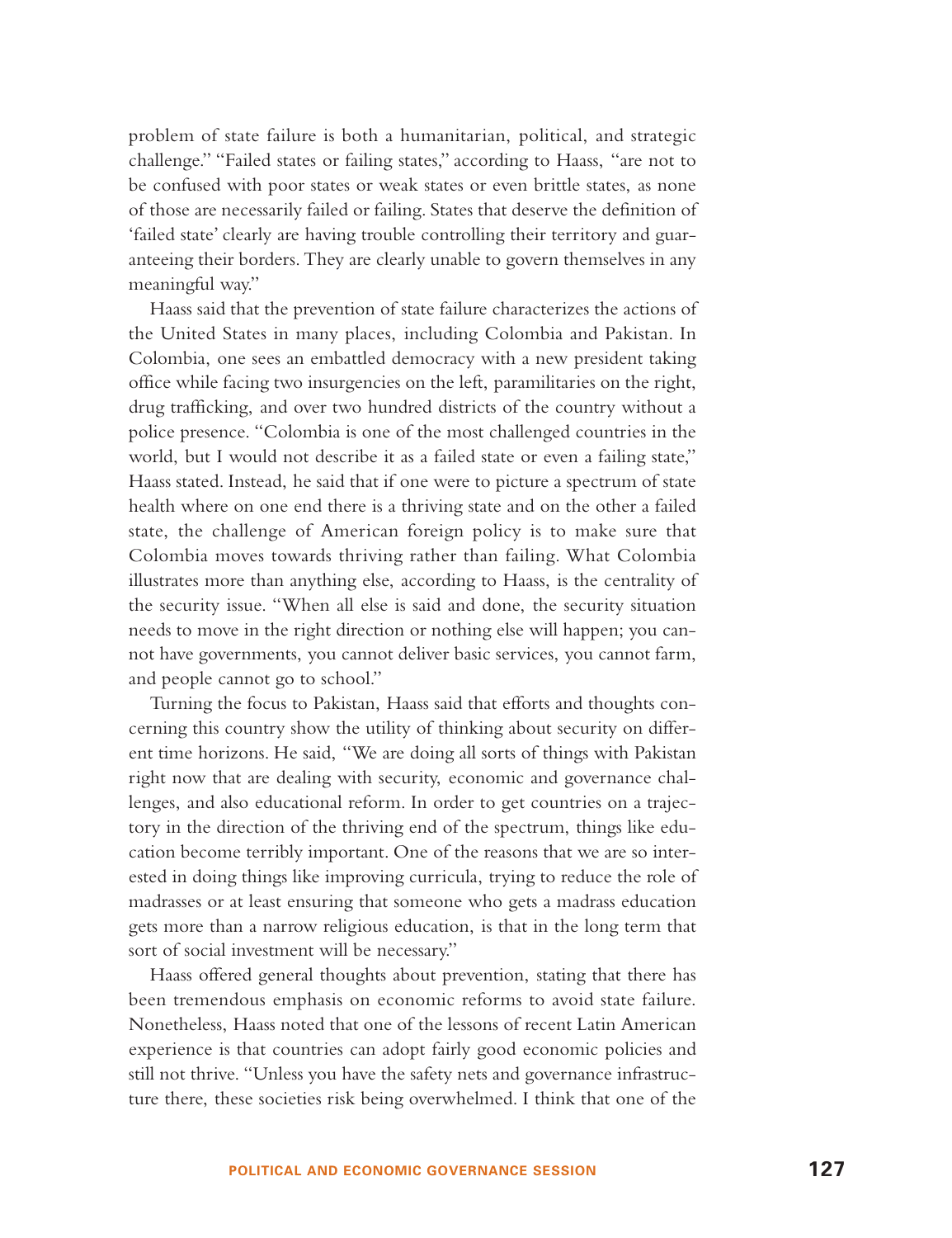problem of state failure is both a humanitarian, political, and strategic challenge." "Failed states or failing states," according to Haass, "are not to be confused with poor states or weak states or even brittle states, as none of those are necessarily failed or failing. States that deserve the definition of 'failed state' clearly are having trouble controlling their territory and guaranteeing their borders. They are clearly unable to govern themselves in any meaningful way."

Haass said that the prevention of state failure characterizes the actions of the United States in many places, including Colombia and Pakistan. In Colombia, one sees an embattled democracy with a new president taking office while facing two insurgencies on the left, paramilitaries on the right, drug trafficking, and over two hundred districts of the country without a police presence. "Colombia is one of the most challenged countries in the world, but I would not describe it as a failed state or even a failing state," Haass stated. Instead, he said that if one were to picture a spectrum of state health where on one end there is a thriving state and on the other a failed state, the challenge of American foreign policy is to make sure that Colombia moves towards thriving rather than failing. What Colombia illustrates more than anything else, according to Haass, is the centrality of the security issue. "When all else is said and done, the security situation needs to move in the right direction or nothing else will happen; you cannot have governments, you cannot deliver basic services, you cannot farm, and people cannot go to school."

Turning the focus to Pakistan, Haass said that efforts and thoughts concerning this country show the utility of thinking about security on different time horizons. He said, "We are doing all sorts of things with Pakistan right now that are dealing with security, economic and governance challenges, and also educational reform. In order to get countries on a trajectory in the direction of the thriving end of the spectrum, things like education become terribly important. One of the reasons that we are so interested in doing things like improving curricula, trying to reduce the role of madrasses or at least ensuring that someone who gets a madrass education gets more than a narrow religious education, is that in the long term that sort of social investment will be necessary."

Haass offered general thoughts about prevention, stating that there has been tremendous emphasis on economic reforms to avoid state failure. Nonetheless, Haass noted that one of the lessons of recent Latin American experience is that countries can adopt fairly good economic policies and still not thrive. "Unless you have the safety nets and governance infrastructure there, these societies risk being overwhelmed. I think that one of the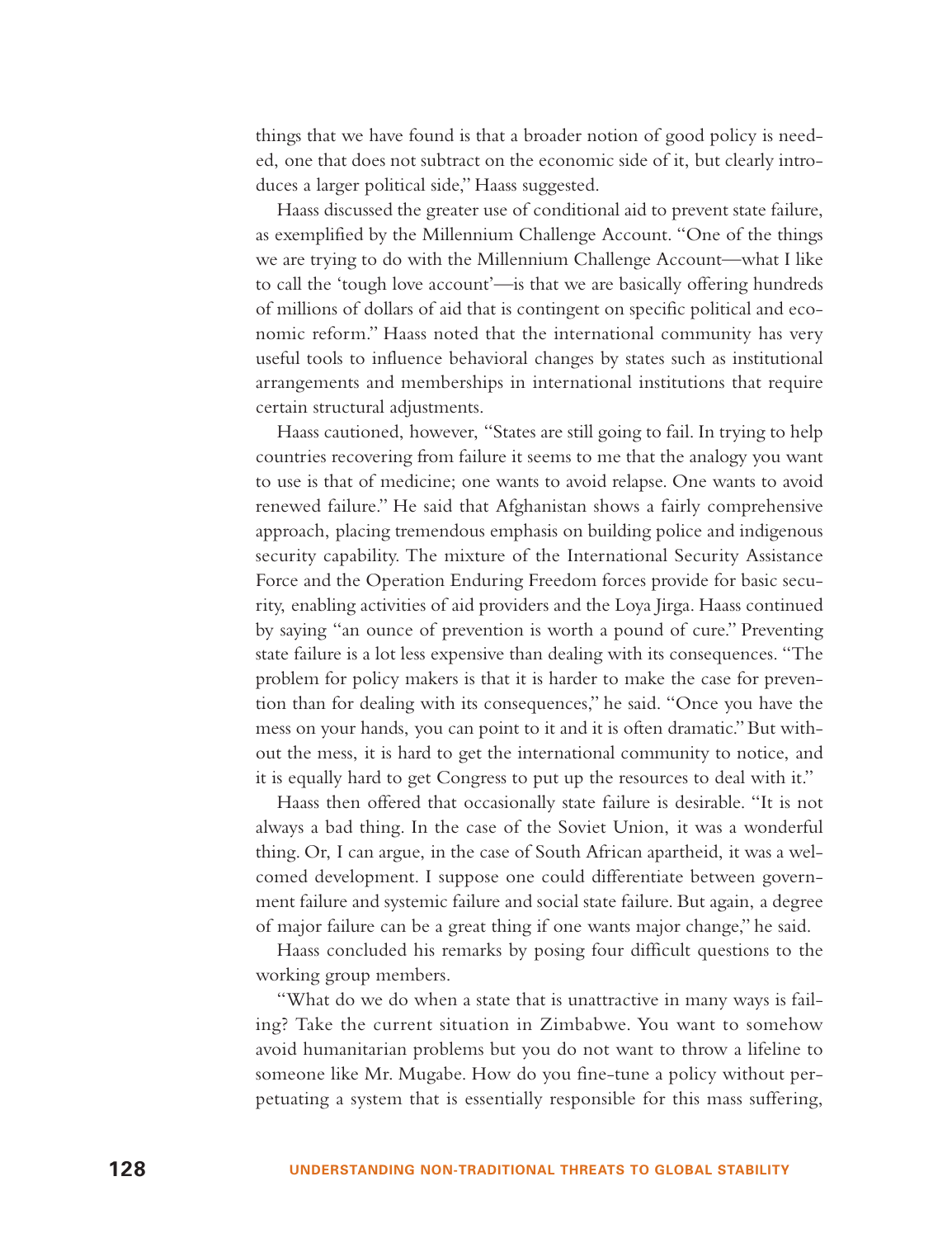things that we have found is that a broader notion of good policy is needed, one that does not subtract on the economic side of it, but clearly introduces a larger political side," Haass suggested.

Haass discussed the greater use of conditional aid to prevent state failure, as exemplified by the Millennium Challenge Account. "One of the things we are trying to do with the Millennium Challenge Account—what I like to call the 'tough love account'—is that we are basically offering hundreds of millions of dollars of aid that is contingent on specific political and economic reform." Haass noted that the international community has very useful tools to influence behavioral changes by states such as institutional arrangements and memberships in international institutions that require certain structural adjustments.

Haass cautioned, however, "States are still going to fail. In trying to help countries recovering from failure it seems to me that the analogy you want to use is that of medicine; one wants to avoid relapse. One wants to avoid renewed failure." He said that Afghanistan shows a fairly comprehensive approach, placing tremendous emphasis on building police and indigenous security capability. The mixture of the International Security Assistance Force and the Operation Enduring Freedom forces provide for basic security, enabling activities of aid providers and the Loya Jirga. Haass continued by saying "an ounce of prevention is worth a pound of cure." Preventing state failure is a lot less expensive than dealing with its consequences. "The problem for policy makers is that it is harder to make the case for prevention than for dealing with its consequences," he said. "Once you have the mess on your hands, you can point to it and it is often dramatic." But without the mess, it is hard to get the international community to notice, and it is equally hard to get Congress to put up the resources to deal with it."

Haass then offered that occasionally state failure is desirable. "It is not always a bad thing. In the case of the Soviet Union, it was a wonderful thing. Or, I can argue, in the case of South African apartheid, it was a welcomed development. I suppose one could differentiate between government failure and systemic failure and social state failure. But again, a degree of major failure can be a great thing if one wants major change," he said.

Haass concluded his remarks by posing four difficult questions to the working group members.

"What do we do when a state that is unattractive in many ways is failing? Take the current situation in Zimbabwe. You want to somehow avoid humanitarian problems but you do not want to throw a lifeline to someone like Mr. Mugabe. How do you fine-tune a policy without perpetuating a system that is essentially responsible for this mass suffering,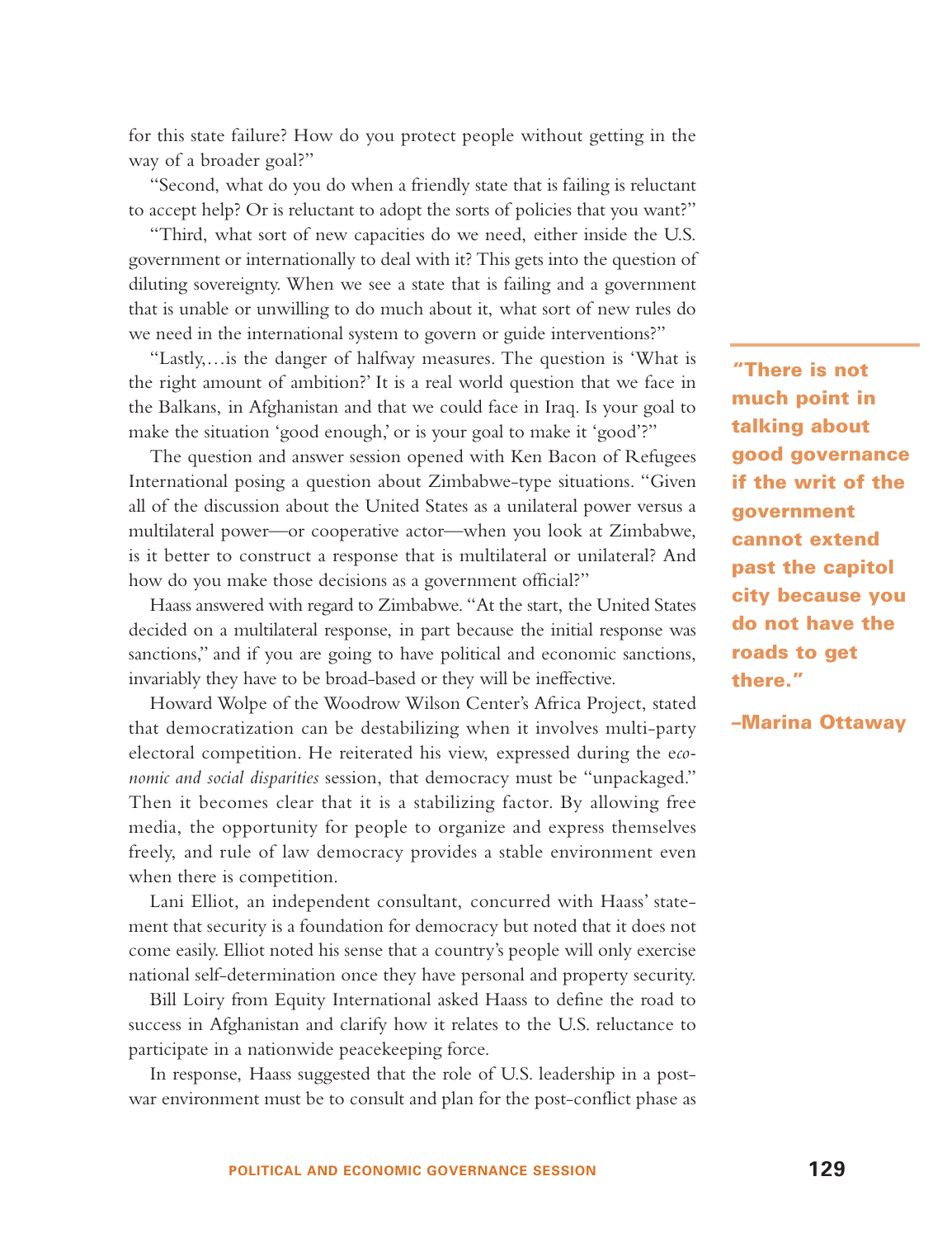for this state failure? How do you protect people without getting in the way of a broader goal?"

"Second, what do you do when a friendly state that is failing is reluctant to accept help? Or is reluctant to adopt the sorts of policies that you want?"

"Third, what sort of new capacities do we need, either inside the U.S. government or internationally to deal with it? This gets into the question of diluting sovereignty. When we see a state that is failing and a government that is unable or unwilling to do much about it, what sort of new rules do we need in the international system to govern or guide interventions?"

"Lastly,…is the danger of halfway measures. The question is 'What is the right amount of ambition?' It is a real world question that we face in the Balkans, in Afghanistan and that we could face in Iraq. Is your goal to make the situation 'good enough,' or is your goal to make it 'good'?"

The question and answer session opened with Ken Bacon of Refugees International posing a question about Zimbabwe-type situations. "Given all of the discussion about the United States as a unilateral power versus a multilateral power—or cooperative actor—when you look at Zimbabwe, is it better to construct a response that is multilateral or unilateral? And how do you make those decisions as a government official?"

Haass answered with regard to Zimbabwe. "At the start, the United States decided on a multilateral response, in part because the initial response was sanctions," and if you are going to have political and economic sanctions, invariably they have to be broad-based or they will be ineffective.

Howard Wolpe of the Woodrow Wilson Center's Africa Project, stated that democratization can be destabilizing when it involves multi-party electoral competition. He reiterated his view, expressed during the e*conomic and social disparities* session, that democracy must be "unpackaged." Then it becomes clear that it is a stabilizing factor. By allowing free media, the opportunity for people to organize and express themselves freely, and rule of law democracy provides a stable environment even when there is competition.

Lani Elliot, an independent consultant, concurred with Haass' statement that security is a foundation for democracy but noted that it does not come easily. Elliot noted his sense that a country's people will only exercise national self-determination once they have personal and property security.

Bill Loiry from Equity International asked Haass to define the road to success in Afghanistan and clarify how it relates to the U.S. reluctance to participate in a nationwide peacekeeping force.

In response, Haass suggested that the role of U.S. leadership in a postwar environment must be to consult and plan for the post-conflict phase as

**"There is not much point in talking about good governance if the writ of the government cannot extend past the capitol city because you do not have the roads to get there."**

#### **–Marina Ottaway**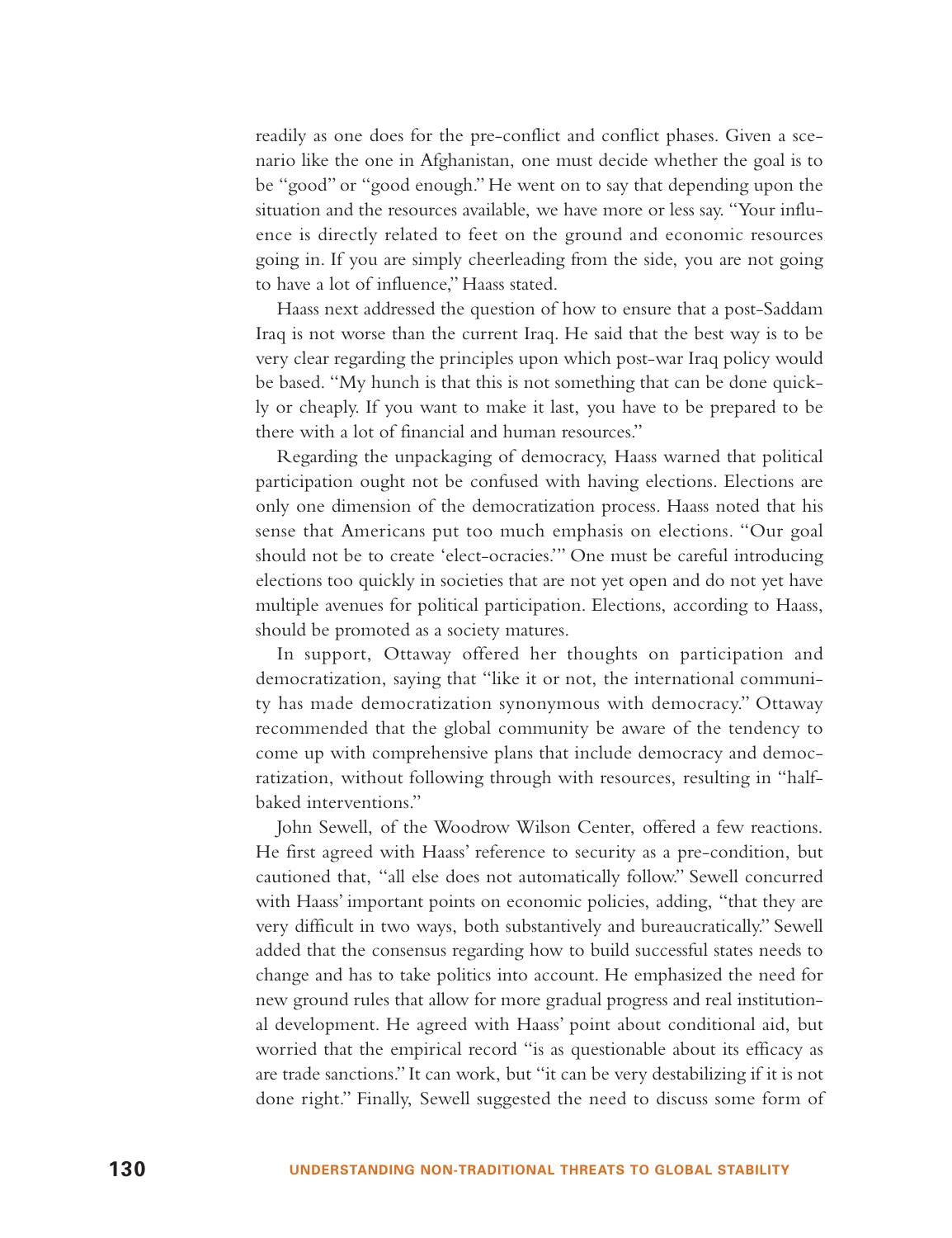readily as one does for the pre-conflict and conflict phases. Given a scenario like the one in Afghanistan, one must decide whether the goal is to be "good" or "good enough." He went on to say that depending upon the situation and the resources available, we have more or less say. "Your influence is directly related to feet on the ground and economic resources going in. If you are simply cheerleading from the side, you are not going to have a lot of influence," Haass stated.

Haass next addressed the question of how to ensure that a post-Saddam Iraq is not worse than the current Iraq. He said that the best way is to be very clear regarding the principles upon which post-war Iraq policy would be based. "My hunch is that this is not something that can be done quickly or cheaply. If you want to make it last, you have to be prepared to be there with a lot of financial and human resources."

Regarding the unpackaging of democracy, Haass warned that political participation ought not be confused with having elections. Elections are only one dimension of the democratization process. Haass noted that his sense that Americans put too much emphasis on elections. "Our goal should not be to create 'elect-ocracies.'" One must be careful introducing elections too quickly in societies that are not yet open and do not yet have multiple avenues for political participation. Elections, according to Haass, should be promoted as a society matures.

In support, Ottaway offered her thoughts on participation and democratization, saying that "like it or not, the international community has made democratization synonymous with democracy." Ottaway recommended that the global community be aware of the tendency to come up with comprehensive plans that include democracy and democratization, without following through with resources, resulting in "halfbaked interventions."

John Sewell, of the Woodrow Wilson Center, offered a few reactions. He first agreed with Haass' reference to security as a pre-condition, but cautioned that, "all else does not automatically follow." Sewell concurred with Haass' important points on economic policies, adding, "that they are very difficult in two ways, both substantively and bureaucratically." Sewell added that the consensus regarding how to build successful states needs to change and has to take politics into account. He emphasized the need for new ground rules that allow for more gradual progress and real institutional development. He agreed with Haass' point about conditional aid, but worried that the empirical record "is as questionable about its efficacy as are trade sanctions." It can work, but "it can be very destabilizing if it is not done right." Finally, Sewell suggested the need to discuss some form of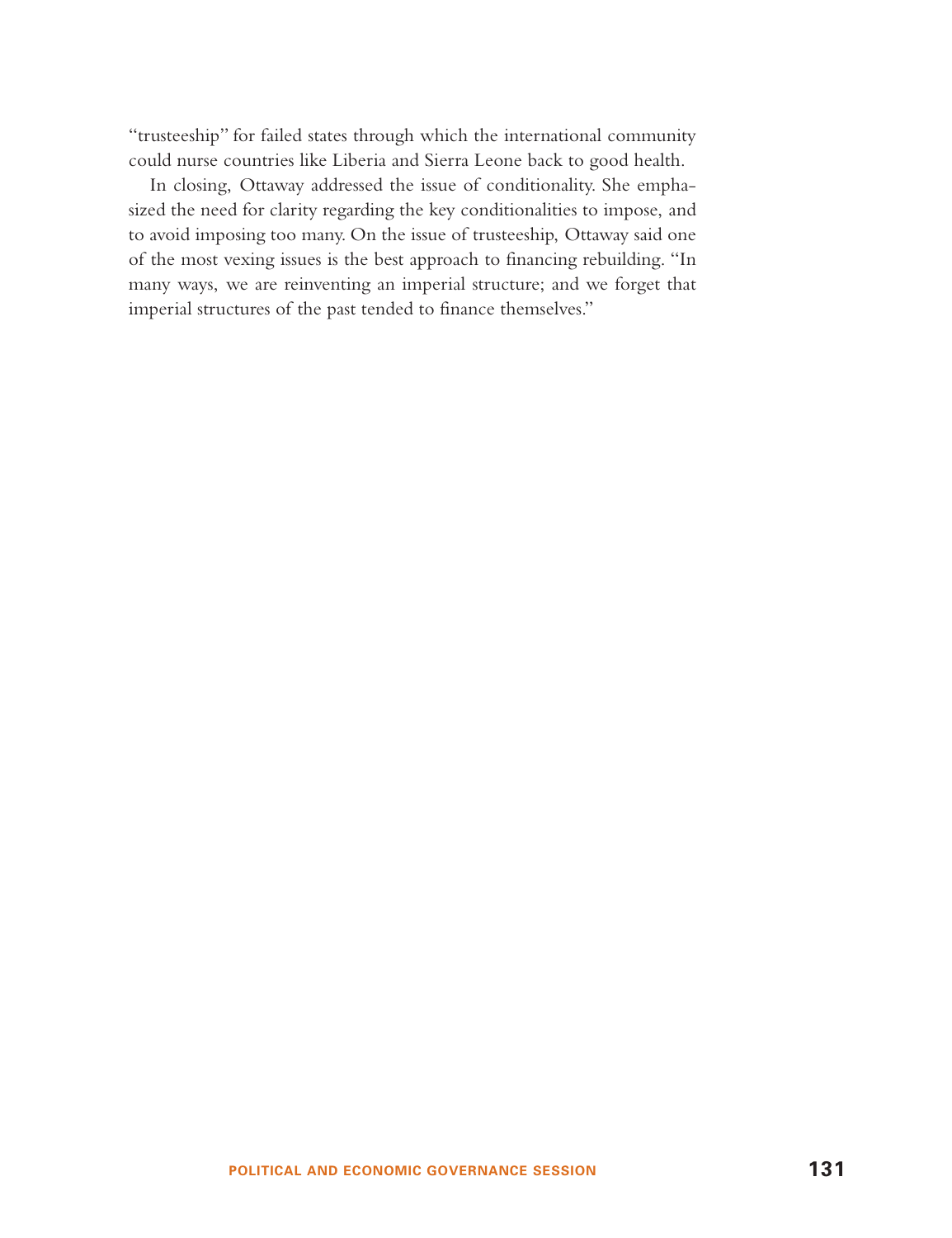"trusteeship" for failed states through which the international community could nurse countries like Liberia and Sierra Leone back to good health.

In closing, Ottaway addressed the issue of conditionality. She emphasized the need for clarity regarding the key conditionalities to impose, and to avoid imposing too many. On the issue of trusteeship, Ottaway said one of the most vexing issues is the best approach to financing rebuilding. "In many ways, we are reinventing an imperial structure; and we forget that imperial structures of the past tended to finance themselves."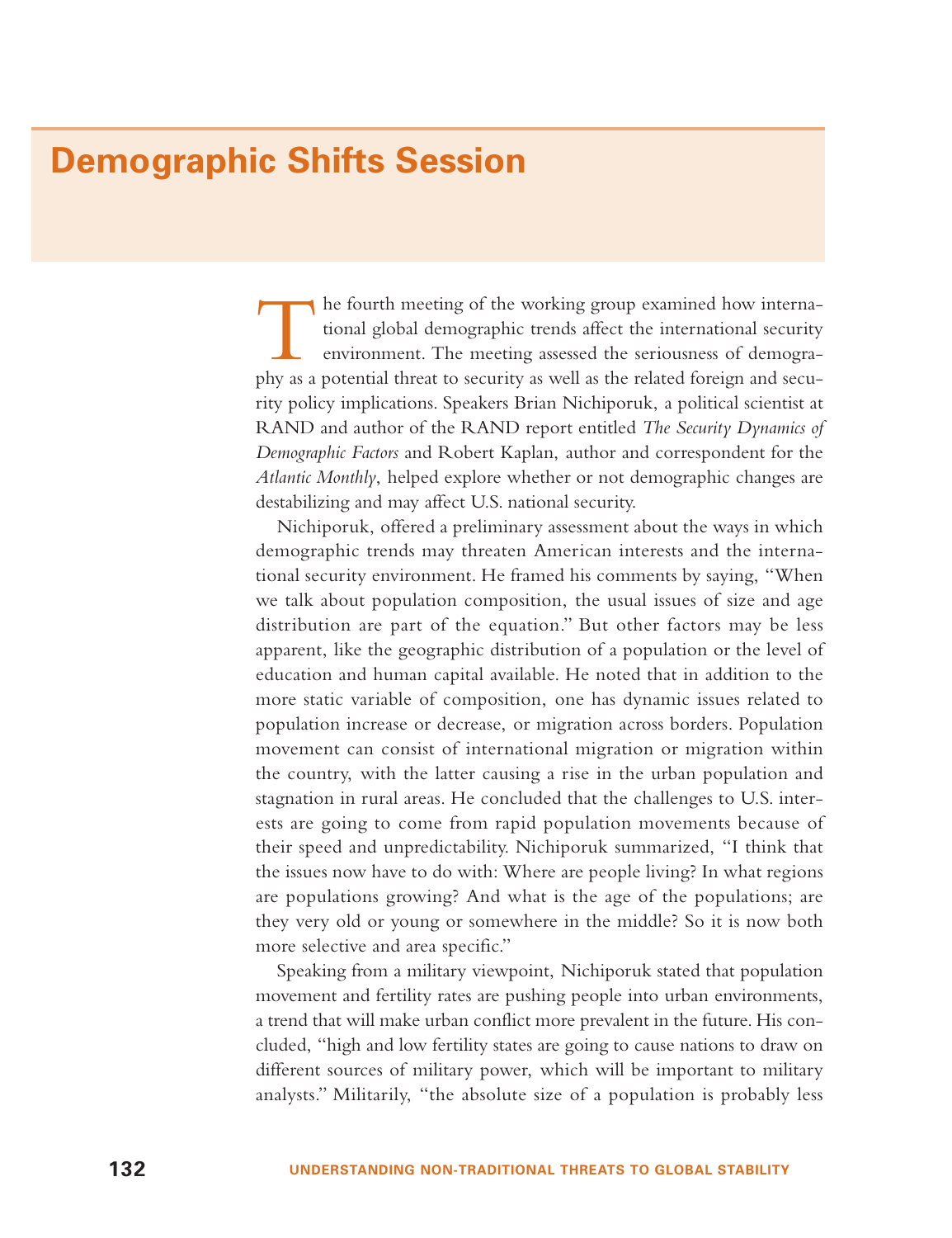### **Demographic Shifts Session**

The fourth meeting of the working group examined how interna- tional global demographic trends affect the international security environment. The meeting assessed the seriousness of demography as a potential threat to security as well as the related foreign and security policy implications. Speakers Brian Nichiporuk, a political scientist at RAND and author of the RAND report entitled *The Security Dynamics of Demographic Factors* and Robert Kaplan, author and correspondent for the *Atlantic Monthly*, helped explore whether or not demographic changes are destabilizing and may affect U.S. national security.

Nichiporuk, offered a preliminary assessment about the ways in which demographic trends may threaten American interests and the international security environment. He framed his comments by saying, "When we talk about population composition, the usual issues of size and age distribution are part of the equation." But other factors may be less apparent, like the geographic distribution of a population or the level of education and human capital available. He noted that in addition to the more static variable of composition, one has dynamic issues related to population increase or decrease, or migration across borders. Population movement can consist of international migration or migration within the country, with the latter causing a rise in the urban population and stagnation in rural areas. He concluded that the challenges to U.S. interests are going to come from rapid population movements because of their speed and unpredictability. Nichiporuk summarized, "I think that the issues now have to do with: Where are people living? In what regions are populations growing? And what is the age of the populations; are they very old or young or somewhere in the middle? So it is now both more selective and area specific."

Speaking from a military viewpoint, Nichiporuk stated that population movement and fertility rates are pushing people into urban environments, a trend that will make urban conflict more prevalent in the future. His concluded, "high and low fertility states are going to cause nations to draw on different sources of military power, which will be important to military analysts." Militarily, "the absolute size of a population is probably less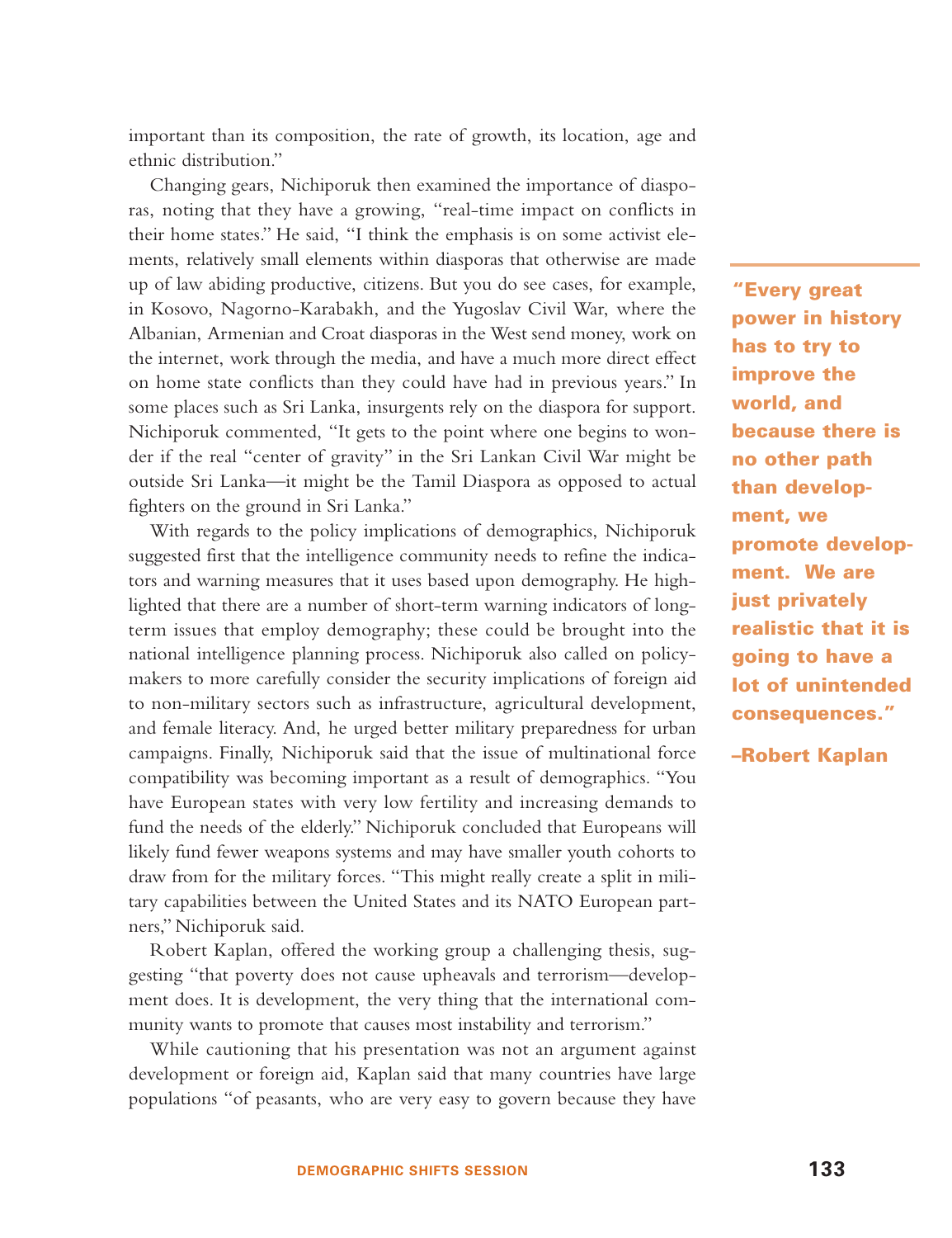important than its composition, the rate of growth, its location, age and ethnic distribution."

Changing gears, Nichiporuk then examined the importance of diasporas, noting that they have a growing, "real-time impact on conflicts in their home states." He said, "I think the emphasis is on some activist elements, relatively small elements within diasporas that otherwise are made up of law abiding productive, citizens. But you do see cases, for example, in Kosovo, Nagorno-Karabakh, and the Yugoslav Civil War, where the Albanian, Armenian and Croat diasporas in the West send money, work on the internet, work through the media, and have a much more direct effect on home state conflicts than they could have had in previous years." In some places such as Sri Lanka, insurgents rely on the diaspora for support. Nichiporuk commented, "It gets to the point where one begins to wonder if the real "center of gravity" in the Sri Lankan Civil War might be outside Sri Lanka—it might be the Tamil Diaspora as opposed to actual fighters on the ground in Sri Lanka."

With regards to the policy implications of demographics, Nichiporuk suggested first that the intelligence community needs to refine the indicators and warning measures that it uses based upon demography. He highlighted that there are a number of short-term warning indicators of longterm issues that employ demography; these could be brought into the national intelligence planning process. Nichiporuk also called on policymakers to more carefully consider the security implications of foreign aid to non-military sectors such as infrastructure, agricultural development, and female literacy. And, he urged better military preparedness for urban campaigns. Finally, Nichiporuk said that the issue of multinational force compatibility was becoming important as a result of demographics. "You have European states with very low fertility and increasing demands to fund the needs of the elderly." Nichiporuk concluded that Europeans will likely fund fewer weapons systems and may have smaller youth cohorts to draw from for the military forces. "This might really create a split in military capabilities between the United States and its NATO European partners," Nichiporuk said.

Robert Kaplan, offered the working group a challenging thesis, suggesting "that poverty does not cause upheavals and terrorism—development does. It is development, the very thing that the international community wants to promote that causes most instability and terrorism."

While cautioning that his presentation was not an argument against development or foreign aid, Kaplan said that many countries have large populations "of peasants, who are very easy to govern because they have

**"Every great power in history has to try to improve the world, and because there is no other path than development, we promote development. We are just privately realistic that it is going to have a lot of unintended consequences."**

**–Robert Kaplan**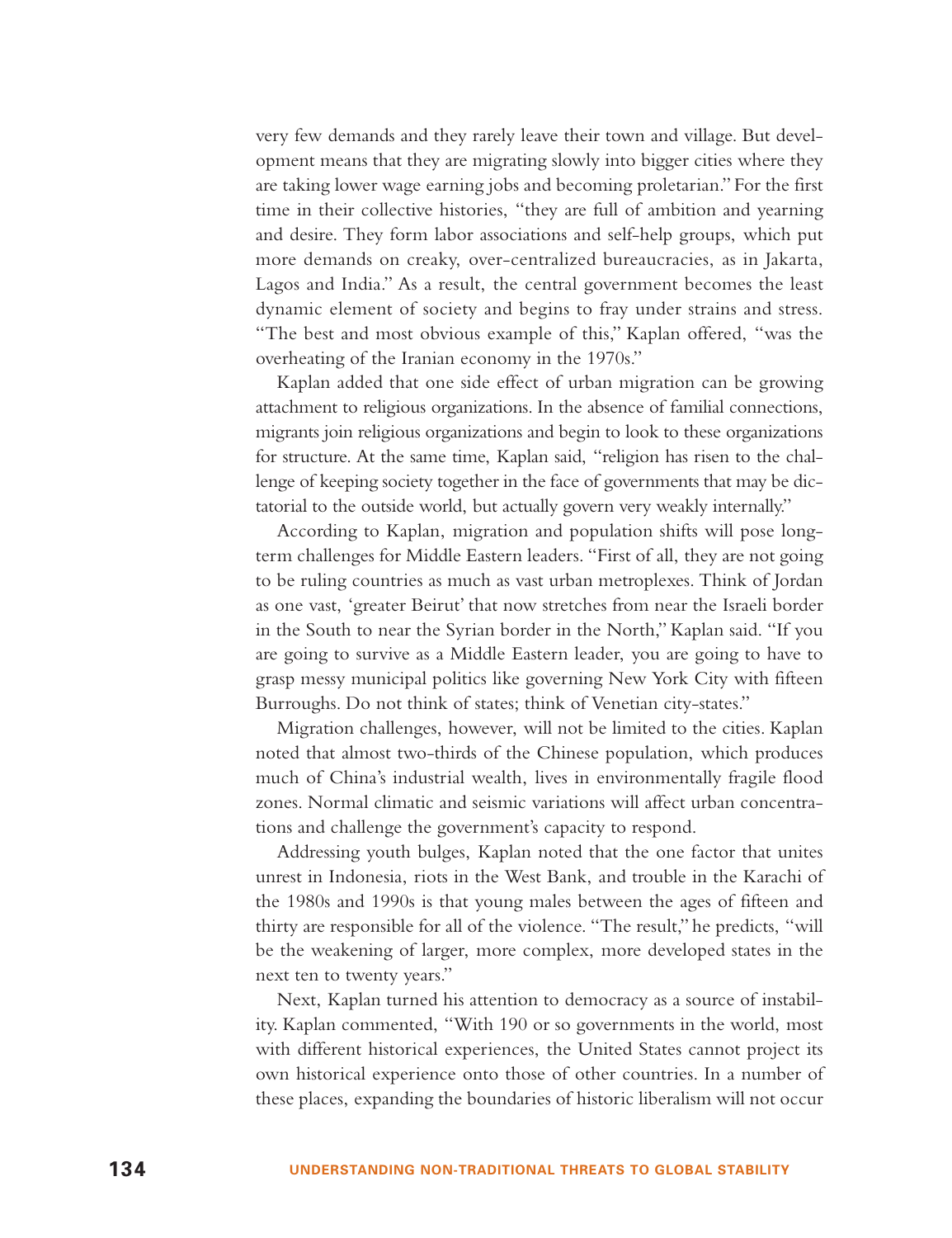very few demands and they rarely leave their town and village. But development means that they are migrating slowly into bigger cities where they are taking lower wage earning jobs and becoming proletarian." For the first time in their collective histories, "they are full of ambition and yearning and desire. They form labor associations and self-help groups, which put more demands on creaky, over-centralized bureaucracies, as in Jakarta, Lagos and India." As a result, the central government becomes the least dynamic element of society and begins to fray under strains and stress. "The best and most obvious example of this," Kaplan offered, "was the overheating of the Iranian economy in the 1970s."

Kaplan added that one side effect of urban migration can be growing attachment to religious organizations. In the absence of familial connections, migrants join religious organizations and begin to look to these organizations for structure. At the same time, Kaplan said, "religion has risen to the challenge of keeping society together in the face of governments that may be dictatorial to the outside world, but actually govern very weakly internally."

According to Kaplan, migration and population shifts will pose longterm challenges for Middle Eastern leaders. "First of all, they are not going to be ruling countries as much as vast urban metroplexes. Think of Jordan as one vast, 'greater Beirut' that now stretches from near the Israeli border in the South to near the Syrian border in the North," Kaplan said. "If you are going to survive as a Middle Eastern leader, you are going to have to grasp messy municipal politics like governing New York City with fifteen Burroughs. Do not think of states; think of Venetian city-states."

Migration challenges, however, will not be limited to the cities. Kaplan noted that almost two-thirds of the Chinese population, which produces much of China's industrial wealth, lives in environmentally fragile flood zones. Normal climatic and seismic variations will affect urban concentrations and challenge the government's capacity to respond.

Addressing youth bulges, Kaplan noted that the one factor that unites unrest in Indonesia, riots in the West Bank, and trouble in the Karachi of the 1980s and 1990s is that young males between the ages of fifteen and thirty are responsible for all of the violence. "The result," he predicts, "will be the weakening of larger, more complex, more developed states in the next ten to twenty years."

Next, Kaplan turned his attention to democracy as a source of instability. Kaplan commented, "With 190 or so governments in the world, most with different historical experiences, the United States cannot project its own historical experience onto those of other countries. In a number of these places, expanding the boundaries of historic liberalism will not occur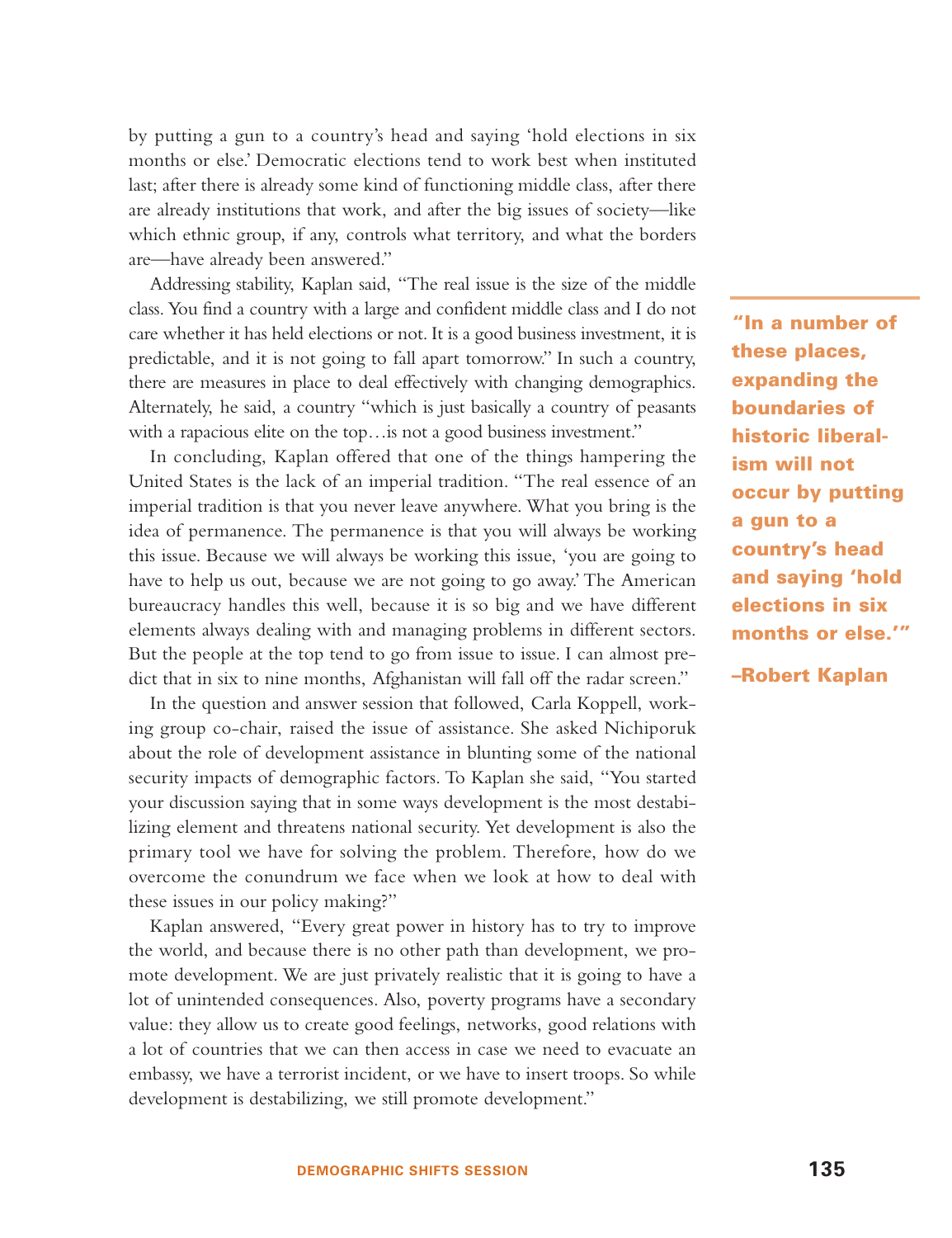by putting a gun to a country's head and saying 'hold elections in six months or else.' Democratic elections tend to work best when instituted last; after there is already some kind of functioning middle class, after there are already institutions that work, and after the big issues of society—like which ethnic group, if any, controls what territory, and what the borders are—have already been answered."

Addressing stability, Kaplan said, "The real issue is the size of the middle class. You find a country with a large and confident middle class and I do not care whether it has held elections or not. It is a good business investment, it is predictable, and it is not going to fall apart tomorrow." In such a country, there are measures in place to deal effectively with changing demographics. Alternately, he said, a country "which is just basically a country of peasants with a rapacious elite on the top... is not a good business investment."

In concluding, Kaplan offered that one of the things hampering the United States is the lack of an imperial tradition. "The real essence of an imperial tradition is that you never leave anywhere. What you bring is the idea of permanence. The permanence is that you will always be working this issue. Because we will always be working this issue, 'you are going to have to help us out, because we are not going to go away.' The American bureaucracy handles this well, because it is so big and we have different elements always dealing with and managing problems in different sectors. But the people at the top tend to go from issue to issue. I can almost predict that in six to nine months, Afghanistan will fall off the radar screen."

In the question and answer session that followed, Carla Koppell, working group co-chair, raised the issue of assistance. She asked Nichiporuk about the role of development assistance in blunting some of the national security impacts of demographic factors. To Kaplan she said, "You started your discussion saying that in some ways development is the most destabilizing element and threatens national security. Yet development is also the primary tool we have for solving the problem. Therefore, how do we overcome the conundrum we face when we look at how to deal with these issues in our policy making?"

Kaplan answered, "Every great power in history has to try to improve the world, and because there is no other path than development, we promote development. We are just privately realistic that it is going to have a lot of unintended consequences. Also, poverty programs have a secondary value: they allow us to create good feelings, networks, good relations with a lot of countries that we can then access in case we need to evacuate an embassy, we have a terrorist incident, or we have to insert troops. So while development is destabilizing, we still promote development."

**"In a number of these places, expanding the boundaries of historic liberalism will not occur by putting a gun to a country's head and saying 'hold elections in six months or else.'"**

**–Robert Kaplan**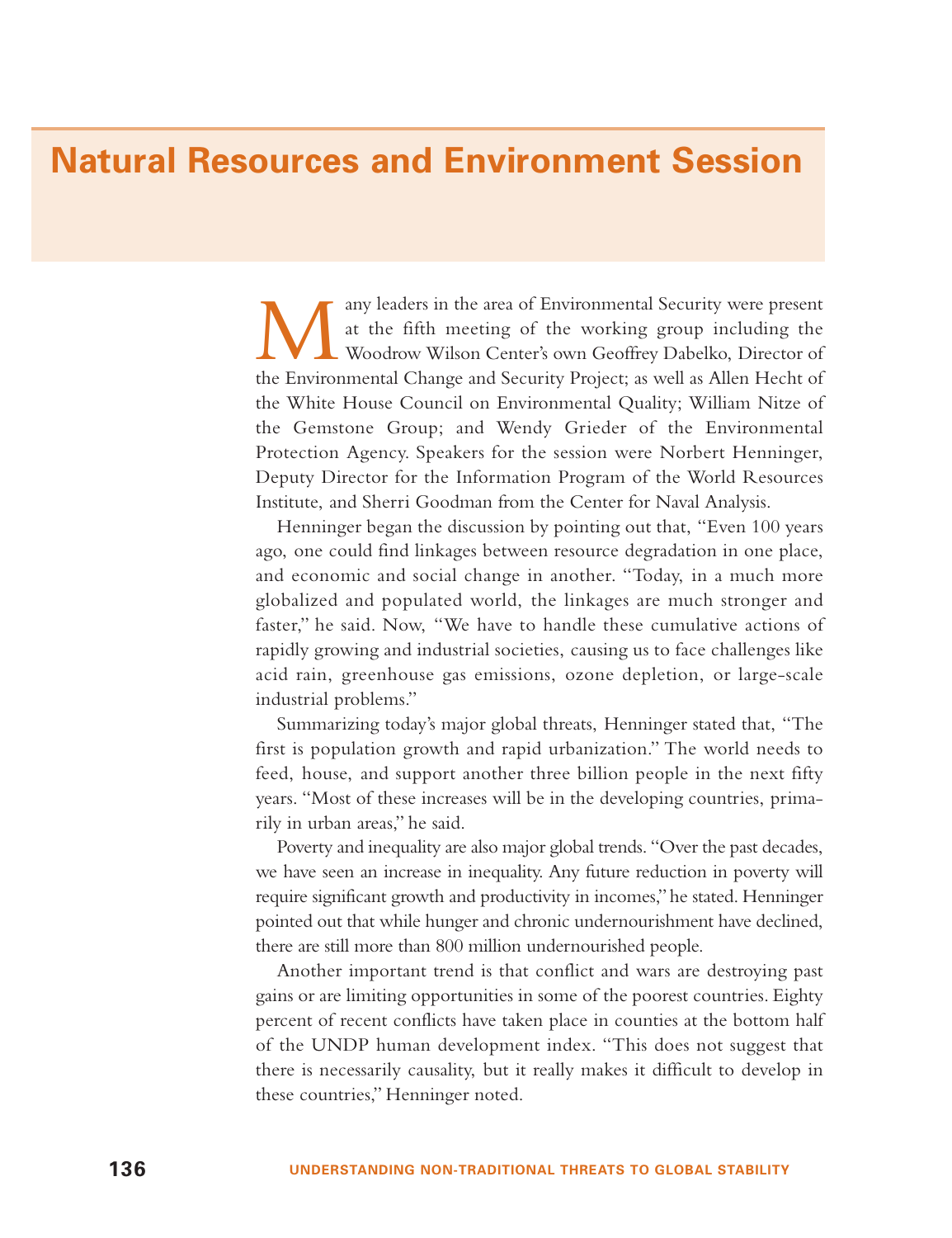## **Natural Resources and Environment Session**

Many leaders in the area of Environmental Security were present at the fifth meeting of the working group including the Woodrow Wilson Center's own Geoffrey Dabelko, Director of the Environmental Change and Security Project; as well as Allen Hecht of the White House Council on Environmental Quality; William Nitze of the Gemstone Group; and Wendy Grieder of the Environmental Protection Agency. Speakers for the session were Norbert Henninger, Deputy Director for the Information Program of the World Resources Institute, and Sherri Goodman from the Center for Naval Analysis.

Henninger began the discussion by pointing out that, "Even 100 years ago, one could find linkages between resource degradation in one place, and economic and social change in another. "Today, in a much more globalized and populated world, the linkages are much stronger and faster," he said. Now, "We have to handle these cumulative actions of rapidly growing and industrial societies, causing us to face challenges like acid rain, greenhouse gas emissions, ozone depletion, or large-scale industrial problems."

Summarizing today's major global threats, Henninger stated that, "The first is population growth and rapid urbanization." The world needs to feed, house, and support another three billion people in the next fifty years. "Most of these increases will be in the developing countries, primarily in urban areas," he said.

Poverty and inequality are also major global trends. "Over the past decades, we have seen an increase in inequality. Any future reduction in poverty will require significant growth and productivity in incomes,"he stated. Henninger pointed out that while hunger and chronic undernourishment have declined, there are still more than 800 million undernourished people.

Another important trend is that conflict and wars are destroying past gains or are limiting opportunities in some of the poorest countries. Eighty percent of recent conflicts have taken place in counties at the bottom half of the UNDP human development index. "This does not suggest that there is necessarily causality, but it really makes it difficult to develop in these countries," Henninger noted.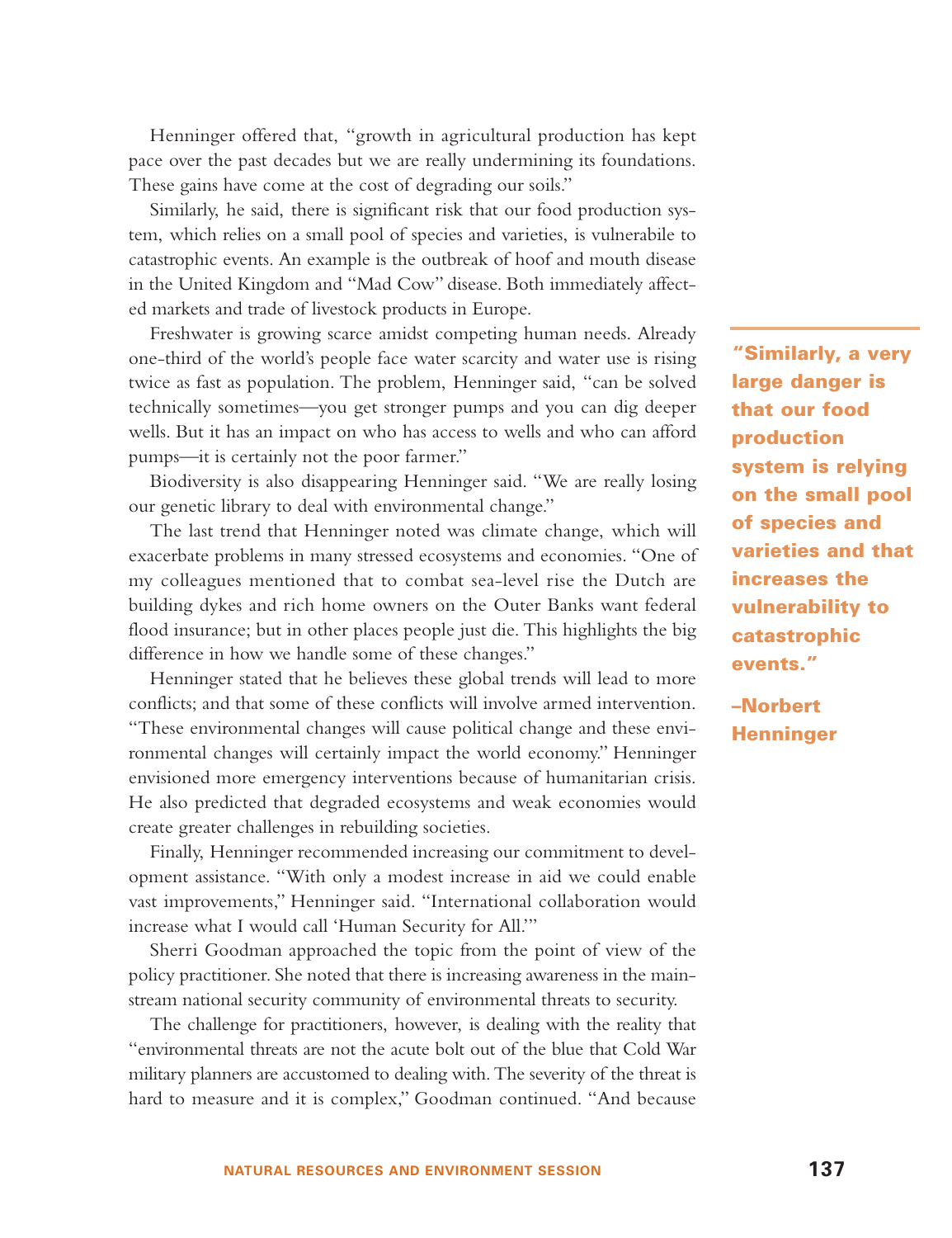Henninger offered that, "growth in agricultural production has kept pace over the past decades but we are really undermining its foundations. These gains have come at the cost of degrading our soils."

Similarly, he said, there is significant risk that our food production system, which relies on a small pool of species and varieties, is vulnerabile to catastrophic events. An example is the outbreak of hoof and mouth disease in the United Kingdom and "Mad Cow" disease. Both immediately affected markets and trade of livestock products in Europe.

Freshwater is growing scarce amidst competing human needs. Already one-third of the world's people face water scarcity and water use is rising twice as fast as population. The problem, Henninger said, "can be solved technically sometimes—you get stronger pumps and you can dig deeper wells. But it has an impact on who has access to wells and who can afford pumps—it is certainly not the poor farmer."

Biodiversity is also disappearing Henninger said. "We are really losing our genetic library to deal with environmental change."

The last trend that Henninger noted was climate change, which will exacerbate problems in many stressed ecosystems and economies. "One of my colleagues mentioned that to combat sea-level rise the Dutch are building dykes and rich home owners on the Outer Banks want federal flood insurance; but in other places people just die. This highlights the big difference in how we handle some of these changes."

Henninger stated that he believes these global trends will lead to more conflicts; and that some of these conflicts will involve armed intervention. "These environmental changes will cause political change and these environmental changes will certainly impact the world economy." Henninger envisioned more emergency interventions because of humanitarian crisis. He also predicted that degraded ecosystems and weak economies would create greater challenges in rebuilding societies.

Finally, Henninger recommended increasing our commitment to development assistance. "With only a modest increase in aid we could enable vast improvements," Henninger said. "International collaboration would increase what I would call 'Human Security for All.'"

Sherri Goodman approached the topic from the point of view of the policy practitioner. She noted that there is increasing awareness in the mainstream national security community of environmental threats to security.

The challenge for practitioners, however, is dealing with the reality that "environmental threats are not the acute bolt out of the blue that Cold War military planners are accustomed to dealing with. The severity of the threat is hard to measure and it is complex," Goodman continued. "And because

**"Similarly, a very large danger is that our food production system is relying on the small pool of species and varieties and that increases the vulnerability to catastrophic events."**

**–Norbert Henninger**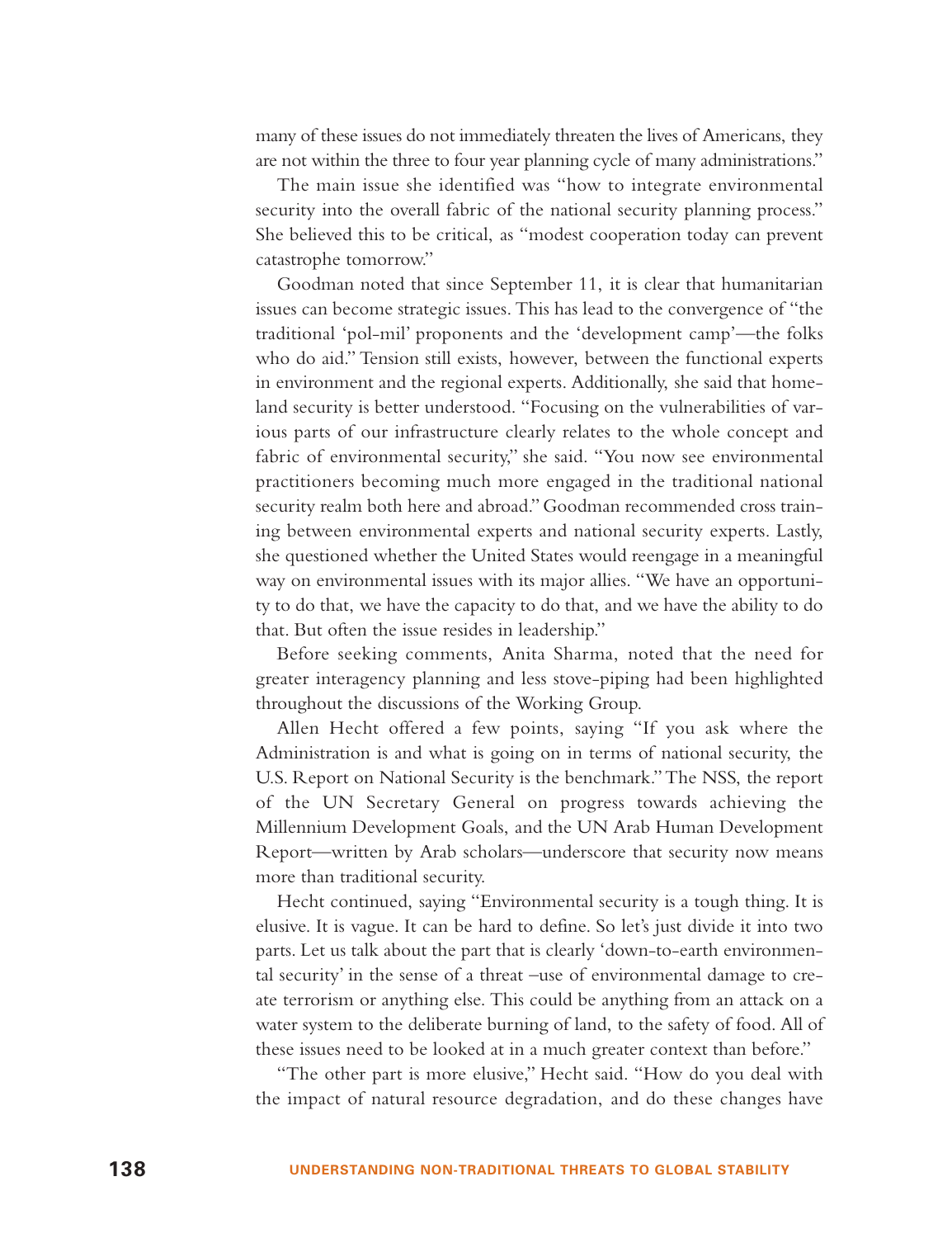many of these issues do not immediately threaten the lives of Americans, they are not within the three to four year planning cycle of many administrations."

The main issue she identified was "how to integrate environmental security into the overall fabric of the national security planning process." She believed this to be critical, as "modest cooperation today can prevent catastrophe tomorrow."

Goodman noted that since September 11, it is clear that humanitarian issues can become strategic issues. This has lead to the convergence of "the traditional 'pol-mil' proponents and the 'development camp'—the folks who do aid." Tension still exists, however, between the functional experts in environment and the regional experts. Additionally, she said that homeland security is better understood. "Focusing on the vulnerabilities of various parts of our infrastructure clearly relates to the whole concept and fabric of environmental security," she said. "You now see environmental practitioners becoming much more engaged in the traditional national security realm both here and abroad." Goodman recommended cross training between environmental experts and national security experts. Lastly, she questioned whether the United States would reengage in a meaningful way on environmental issues with its major allies. "We have an opportunity to do that, we have the capacity to do that, and we have the ability to do that. But often the issue resides in leadership."

Before seeking comments, Anita Sharma, noted that the need for greater interagency planning and less stove-piping had been highlighted throughout the discussions of the Working Group.

Allen Hecht offered a few points, saying "If you ask where the Administration is and what is going on in terms of national security, the U.S. Report on National Security is the benchmark."The NSS, the report of the UN Secretary General on progress towards achieving the Millennium Development Goals, and the UN Arab Human Development Report—written by Arab scholars—underscore that security now means more than traditional security.

Hecht continued, saying "Environmental security is a tough thing. It is elusive. It is vague. It can be hard to define. So let's just divide it into two parts. Let us talk about the part that is clearly 'down-to-earth environmental security' in the sense of a threat –use of environmental damage to create terrorism or anything else. This could be anything from an attack on a water system to the deliberate burning of land, to the safety of food. All of these issues need to be looked at in a much greater context than before."

"The other part is more elusive," Hecht said. "How do you deal with the impact of natural resource degradation, and do these changes have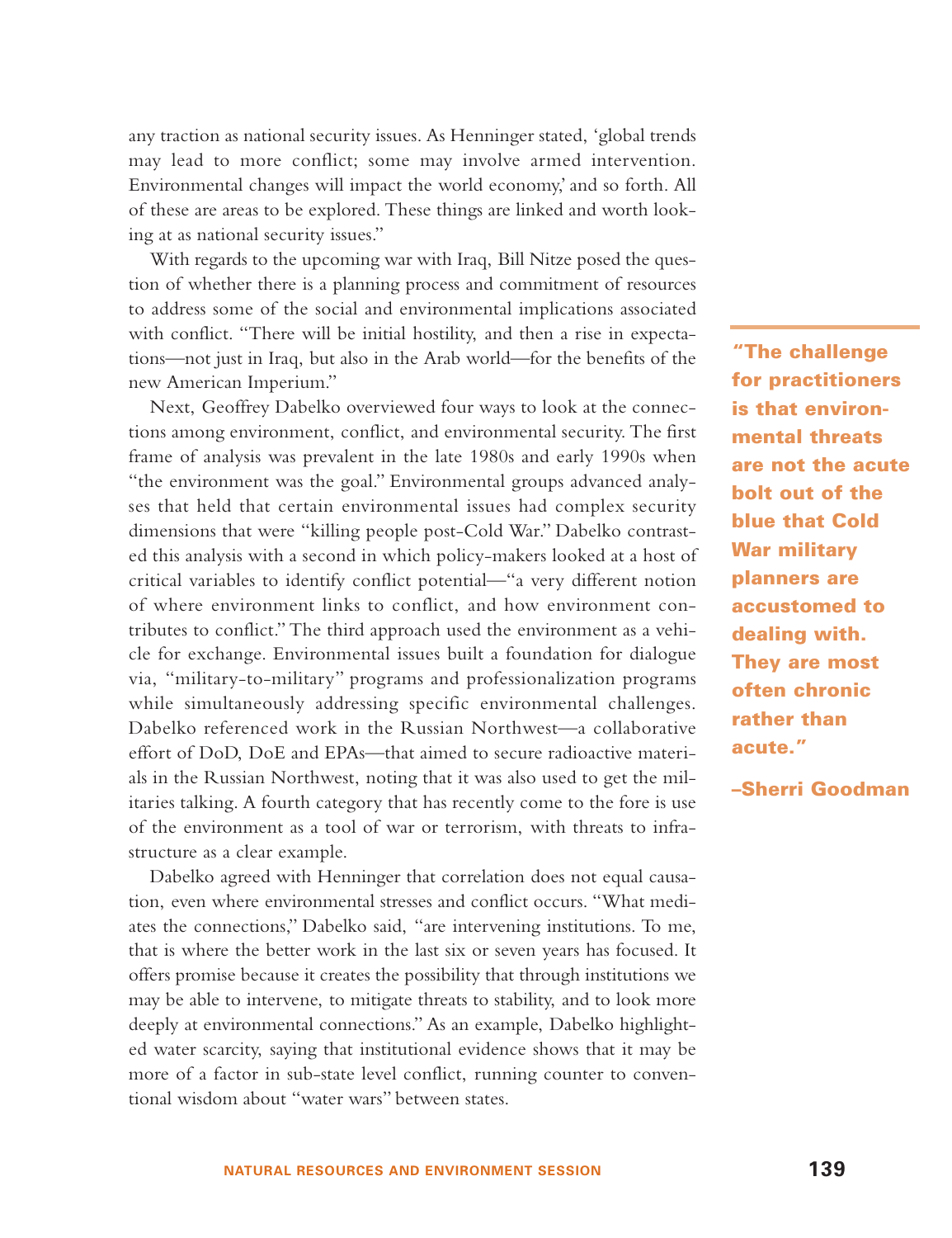any traction as national security issues. As Henninger stated, 'global trends may lead to more conflict; some may involve armed intervention. Environmental changes will impact the world economy,' and so forth. All of these are areas to be explored. These things are linked and worth looking at as national security issues."

With regards to the upcoming war with Iraq, Bill Nitze posed the question of whether there is a planning process and commitment of resources to address some of the social and environmental implications associated with conflict. "There will be initial hostility, and then a rise in expectations—not just in Iraq, but also in the Arab world—for the benefits of the new American Imperium."

Next, Geoffrey Dabelko overviewed four ways to look at the connections among environment, conflict, and environmental security. The first frame of analysis was prevalent in the late 1980s and early 1990s when "the environment was the goal." Environmental groups advanced analyses that held that certain environmental issues had complex security dimensions that were "killing people post-Cold War." Dabelko contrasted this analysis with a second in which policy-makers looked at a host of critical variables to identify conflict potential—"a very different notion of where environment links to conflict, and how environment contributes to conflict." The third approach used the environment as a vehicle for exchange. Environmental issues built a foundation for dialogue via, "military-to-military" programs and professionalization programs while simultaneously addressing specific environmental challenges. Dabelko referenced work in the Russian Northwest—a collaborative effort of DoD, DoE and EPAs—that aimed to secure radioactive materials in the Russian Northwest, noting that it was also used to get the militaries talking. A fourth category that has recently come to the fore is use of the environment as a tool of war or terrorism, with threats to infrastructure as a clear example.

Dabelko agreed with Henninger that correlation does not equal causation, even where environmental stresses and conflict occurs. "What mediates the connections," Dabelko said, "are intervening institutions. To me, that is where the better work in the last six or seven years has focused. It offers promise because it creates the possibility that through institutions we may be able to intervene, to mitigate threats to stability, and to look more deeply at environmental connections." As an example, Dabelko highlighted water scarcity, saying that institutional evidence shows that it may be more of a factor in sub-state level conflict, running counter to conventional wisdom about "water wars" between states.

**"The challenge for practitioners is that environmental threats are not the acute bolt out of the blue that Cold War military planners are accustomed to dealing with. They are most often chronic rather than acute."**

**–Sherri Goodman**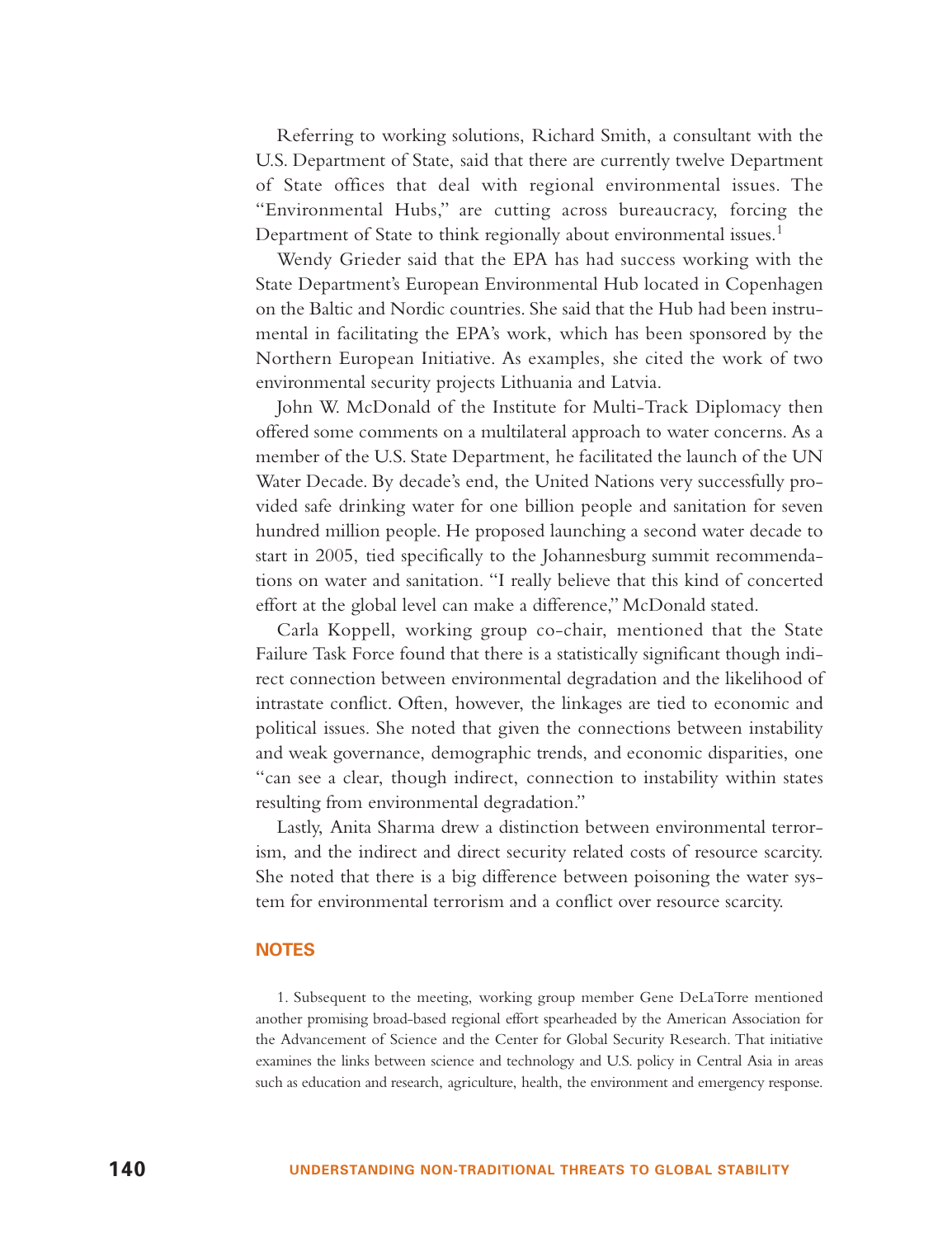Referring to working solutions, Richard Smith, a consultant with the U.S. Department of State, said that there are currently twelve Department of State offices that deal with regional environmental issues. The "Environmental Hubs," are cutting across bureaucracy, forcing the Department of State to think regionally about environmental issues.<sup>1</sup>

Wendy Grieder said that the EPA has had success working with the State Department's European Environmental Hub located in Copenhagen on the Baltic and Nordic countries. She said that the Hub had been instrumental in facilitating the EPA's work, which has been sponsored by the Northern European Initiative. As examples, she cited the work of two environmental security projects Lithuania and Latvia.

John W. McDonald of the Institute for Multi-Track Diplomacy then offered some comments on a multilateral approach to water concerns. As a member of the U.S. State Department, he facilitated the launch of the UN Water Decade. By decade's end, the United Nations very successfully provided safe drinking water for one billion people and sanitation for seven hundred million people. He proposed launching a second water decade to start in 2005, tied specifically to the Johannesburg summit recommendations on water and sanitation. "I really believe that this kind of concerted effort at the global level can make a difference," McDonald stated.

Carla Koppell, working group co-chair, mentioned that the State Failure Task Force found that there is a statistically significant though indirect connection between environmental degradation and the likelihood of intrastate conflict. Often, however, the linkages are tied to economic and political issues. She noted that given the connections between instability and weak governance, demographic trends, and economic disparities, one "can see a clear, though indirect, connection to instability within states resulting from environmental degradation."

Lastly, Anita Sharma drew a distinction between environmental terrorism, and the indirect and direct security related costs of resource scarcity. She noted that there is a big difference between poisoning the water system for environmental terrorism and a conflict over resource scarcity.

#### **NOTES**

1. Subsequent to the meeting, working group member Gene DeLaTorre mentioned another promising broad-based regional effort spearheaded by the American Association for the Advancement of Science and the Center for Global Security Research. That initiative examines the links between science and technology and U.S. policy in Central Asia in areas such as education and research, agriculture, health, the environment and emergency response.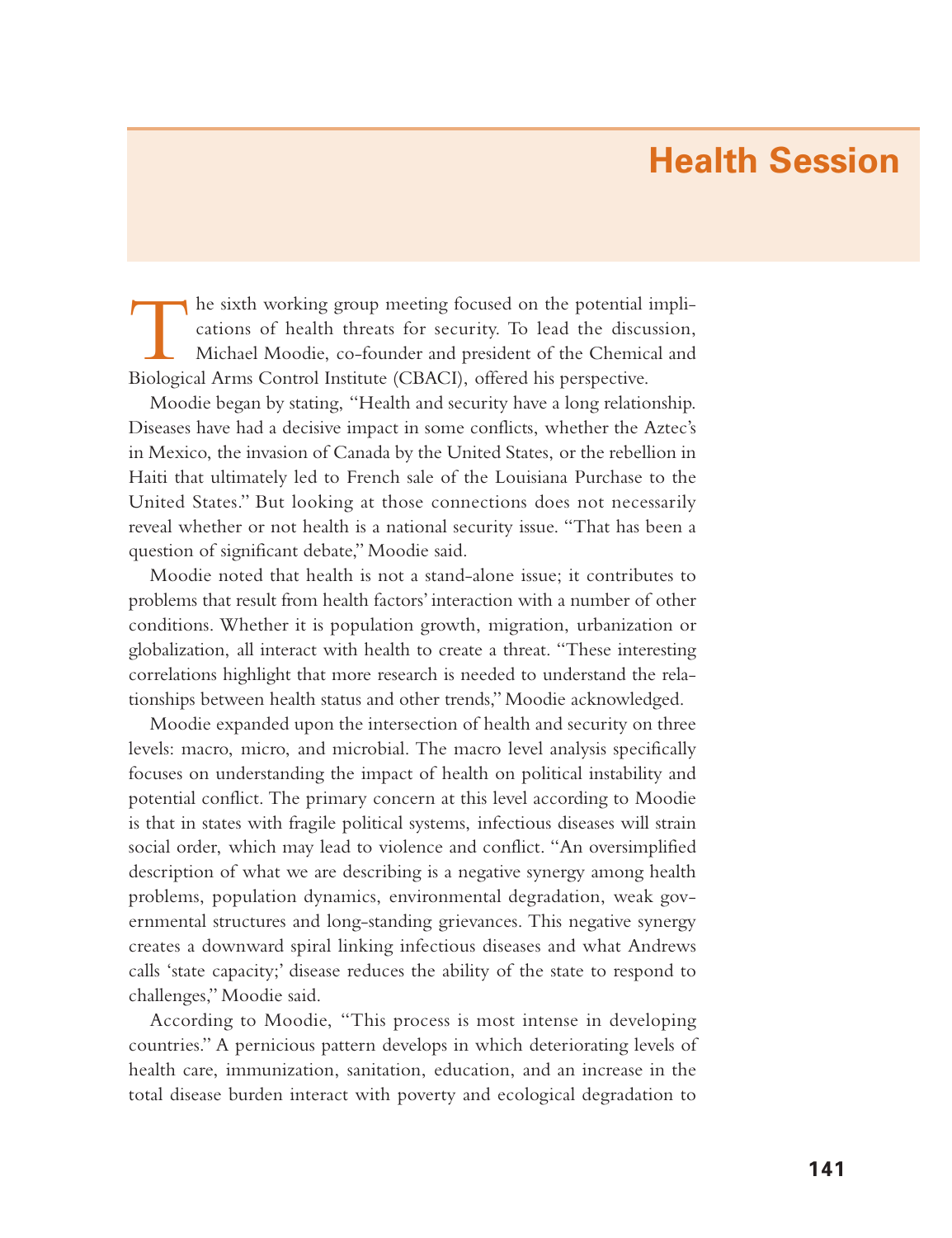## **Health Session**

The sixth working group meeting focused on the potential impli- cations of health threats for security. To lead the discussion, Michael Moodie, co-founder and president of the Chemical and Biological Arms Control Institute (CBACI), offered his perspective.

Moodie began by stating, "Health and security have a long relationship. Diseases have had a decisive impact in some conflicts, whether the Aztec's in Mexico, the invasion of Canada by the United States, or the rebellion in Haiti that ultimately led to French sale of the Louisiana Purchase to the United States." But looking at those connections does not necessarily reveal whether or not health is a national security issue. "That has been a question of significant debate," Moodie said.

Moodie noted that health is not a stand-alone issue; it contributes to problems that result from health factors' interaction with a number of other conditions. Whether it is population growth, migration, urbanization or globalization, all interact with health to create a threat. "These interesting correlations highlight that more research is needed to understand the relationships between health status and other trends," Moodie acknowledged.

Moodie expanded upon the intersection of health and security on three levels: macro, micro, and microbial. The macro level analysis specifically focuses on understanding the impact of health on political instability and potential conflict. The primary concern at this level according to Moodie is that in states with fragile political systems, infectious diseases will strain social order, which may lead to violence and conflict. "An oversimplified description of what we are describing is a negative synergy among health problems, population dynamics, environmental degradation, weak governmental structures and long-standing grievances. This negative synergy creates a downward spiral linking infectious diseases and what Andrews calls 'state capacity;' disease reduces the ability of the state to respond to challenges," Moodie said.

According to Moodie, "This process is most intense in developing countries." A pernicious pattern develops in which deteriorating levels of health care, immunization, sanitation, education, and an increase in the total disease burden interact with poverty and ecological degradation to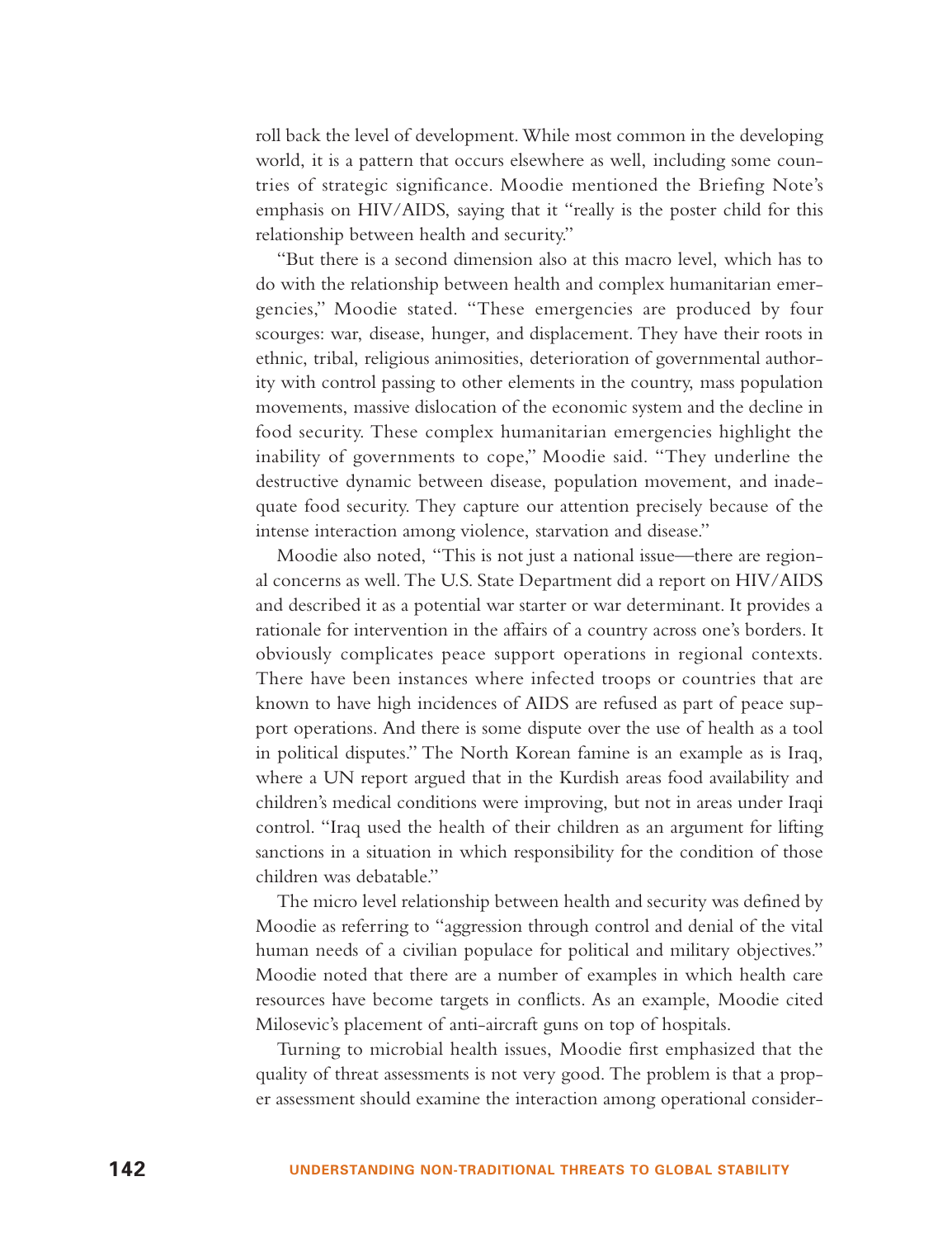roll back the level of development. While most common in the developing world, it is a pattern that occurs elsewhere as well, including some countries of strategic significance. Moodie mentioned the Briefing Note's emphasis on HIV/AIDS, saying that it "really is the poster child for this relationship between health and security."

"But there is a second dimension also at this macro level, which has to do with the relationship between health and complex humanitarian emergencies," Moodie stated. "These emergencies are produced by four scourges: war, disease, hunger, and displacement. They have their roots in ethnic, tribal, religious animosities, deterioration of governmental authority with control passing to other elements in the country, mass population movements, massive dislocation of the economic system and the decline in food security. These complex humanitarian emergencies highlight the inability of governments to cope," Moodie said. "They underline the destructive dynamic between disease, population movement, and inadequate food security. They capture our attention precisely because of the intense interaction among violence, starvation and disease."

Moodie also noted, "This is not just a national issue—there are regional concerns as well. The U.S. State Department did a report on HIV/AIDS and described it as a potential war starter or war determinant. It provides a rationale for intervention in the affairs of a country across one's borders. It obviously complicates peace support operations in regional contexts. There have been instances where infected troops or countries that are known to have high incidences of AIDS are refused as part of peace support operations. And there is some dispute over the use of health as a tool in political disputes." The North Korean famine is an example as is Iraq, where a UN report argued that in the Kurdish areas food availability and children's medical conditions were improving, but not in areas under Iraqi control. "Iraq used the health of their children as an argument for lifting sanctions in a situation in which responsibility for the condition of those children was debatable."

The micro level relationship between health and security was defined by Moodie as referring to "aggression through control and denial of the vital human needs of a civilian populace for political and military objectives." Moodie noted that there are a number of examples in which health care resources have become targets in conflicts. As an example, Moodie cited Milosevic's placement of anti-aircraft guns on top of hospitals.

Turning to microbial health issues, Moodie first emphasized that the quality of threat assessments is not very good. The problem is that a proper assessment should examine the interaction among operational consider-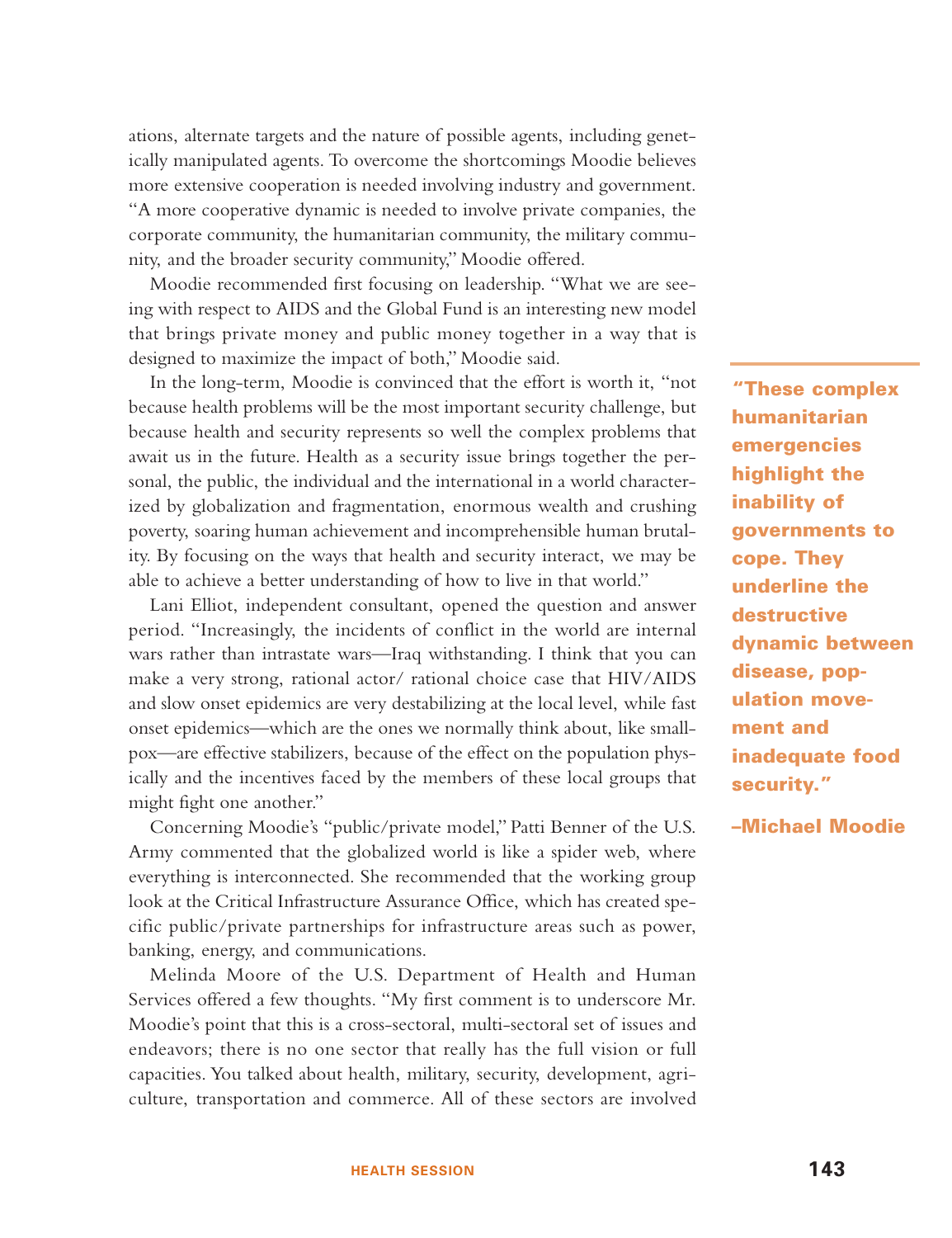ations, alternate targets and the nature of possible agents, including genetically manipulated agents. To overcome the shortcomings Moodie believes more extensive cooperation is needed involving industry and government. "A more cooperative dynamic is needed to involve private companies, the corporate community, the humanitarian community, the military community, and the broader security community," Moodie offered.

Moodie recommended first focusing on leadership. "What we are seeing with respect to AIDS and the Global Fund is an interesting new model that brings private money and public money together in a way that is designed to maximize the impact of both," Moodie said.

In the long-term, Moodie is convinced that the effort is worth it, "not because health problems will be the most important security challenge, but because health and security represents so well the complex problems that await us in the future. Health as a security issue brings together the personal, the public, the individual and the international in a world characterized by globalization and fragmentation, enormous wealth and crushing poverty, soaring human achievement and incomprehensible human brutality. By focusing on the ways that health and security interact, we may be able to achieve a better understanding of how to live in that world."

Lani Elliot, independent consultant, opened the question and answer period. "Increasingly, the incidents of conflict in the world are internal wars rather than intrastate wars—Iraq withstanding. I think that you can make a very strong, rational actor/ rational choice case that HIV/AIDS and slow onset epidemics are very destabilizing at the local level, while fast onset epidemics—which are the ones we normally think about, like smallpox—are effective stabilizers, because of the effect on the population physically and the incentives faced by the members of these local groups that might fight one another."

Concerning Moodie's "public/private model," Patti Benner of the U.S. Army commented that the globalized world is like a spider web, where everything is interconnected. She recommended that the working group look at the Critical Infrastructure Assurance Office, which has created specific public/private partnerships for infrastructure areas such as power, banking, energy, and communications.

Melinda Moore of the U.S. Department of Health and Human Services offered a few thoughts. "My first comment is to underscore Mr. Moodie's point that this is a cross-sectoral, multi-sectoral set of issues and endeavors; there is no one sector that really has the full vision or full capacities. You talked about health, military, security, development, agriculture, transportation and commerce. All of these sectors are involved

**"These complex humanitarian emergencies highlight the inability of governments to cope. They underline the destructive dynamic between disease, population movement and inadequate food security."**

**–Michael Moodie**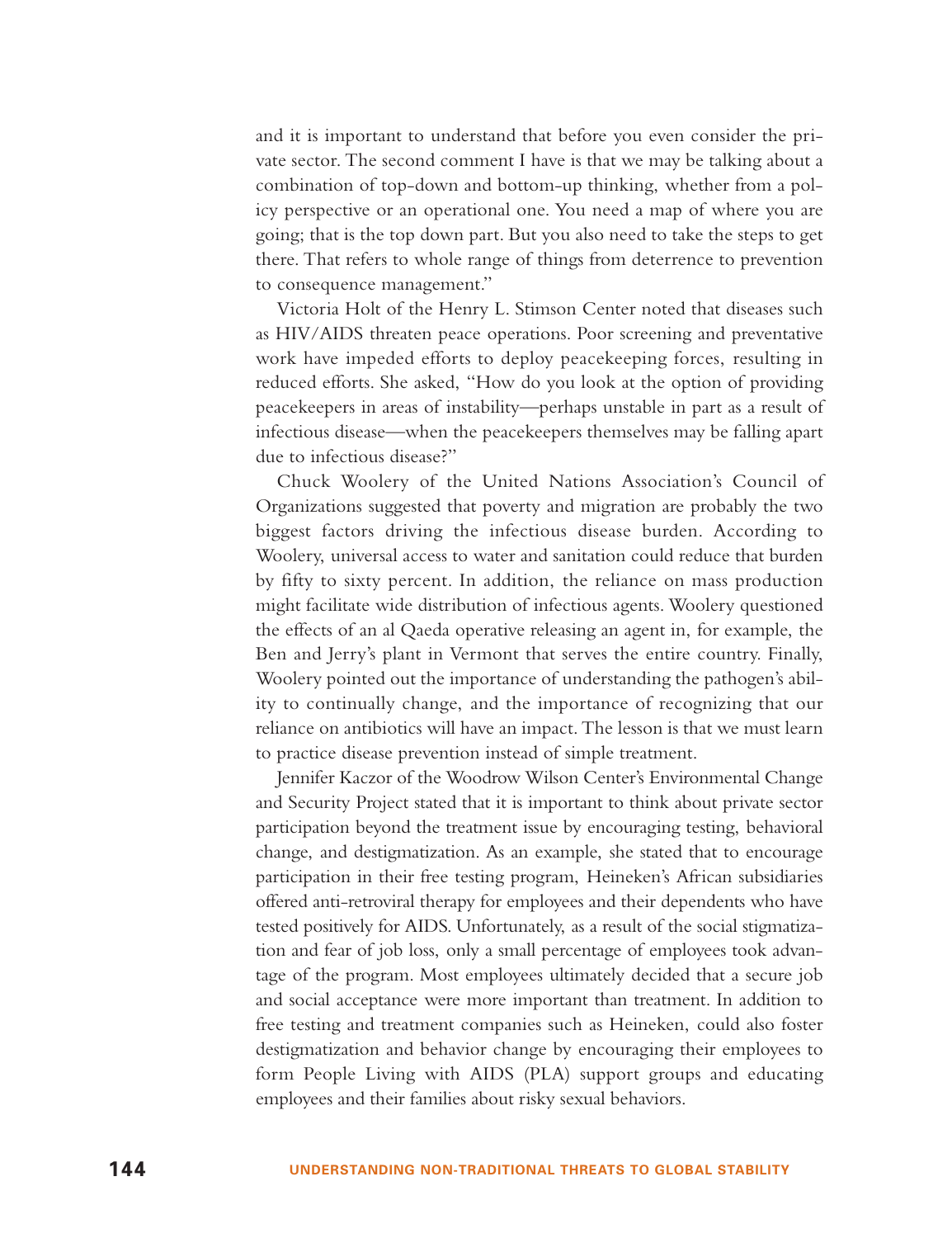and it is important to understand that before you even consider the private sector. The second comment I have is that we may be talking about a combination of top-down and bottom-up thinking, whether from a policy perspective or an operational one. You need a map of where you are going; that is the top down part. But you also need to take the steps to get there. That refers to whole range of things from deterrence to prevention to consequence management."

Victoria Holt of the Henry L. Stimson Center noted that diseases such as HIV/AIDS threaten peace operations. Poor screening and preventative work have impeded efforts to deploy peacekeeping forces, resulting in reduced efforts. She asked, "How do you look at the option of providing peacekeepers in areas of instability—perhaps unstable in part as a result of infectious disease—when the peacekeepers themselves may be falling apart due to infectious disease?"

Chuck Woolery of the United Nations Association's Council of Organizations suggested that poverty and migration are probably the two biggest factors driving the infectious disease burden. According to Woolery, universal access to water and sanitation could reduce that burden by fifty to sixty percent. In addition, the reliance on mass production might facilitate wide distribution of infectious agents. Woolery questioned the effects of an al Qaeda operative releasing an agent in, for example, the Ben and Jerry's plant in Vermont that serves the entire country. Finally, Woolery pointed out the importance of understanding the pathogen's ability to continually change, and the importance of recognizing that our reliance on antibiotics will have an impact. The lesson is that we must learn to practice disease prevention instead of simple treatment.

Jennifer Kaczor of the Woodrow Wilson Center's Environmental Change and Security Project stated that it is important to think about private sector participation beyond the treatment issue by encouraging testing, behavioral change, and destigmatization. As an example, she stated that to encourage participation in their free testing program, Heineken's African subsidiaries offered anti-retroviral therapy for employees and their dependents who have tested positively for AIDS. Unfortunately, as a result of the social stigmatization and fear of job loss, only a small percentage of employees took advantage of the program. Most employees ultimately decided that a secure job and social acceptance were more important than treatment. In addition to free testing and treatment companies such as Heineken, could also foster destigmatization and behavior change by encouraging their employees to form People Living with AIDS (PLA) support groups and educating employees and their families about risky sexual behaviors.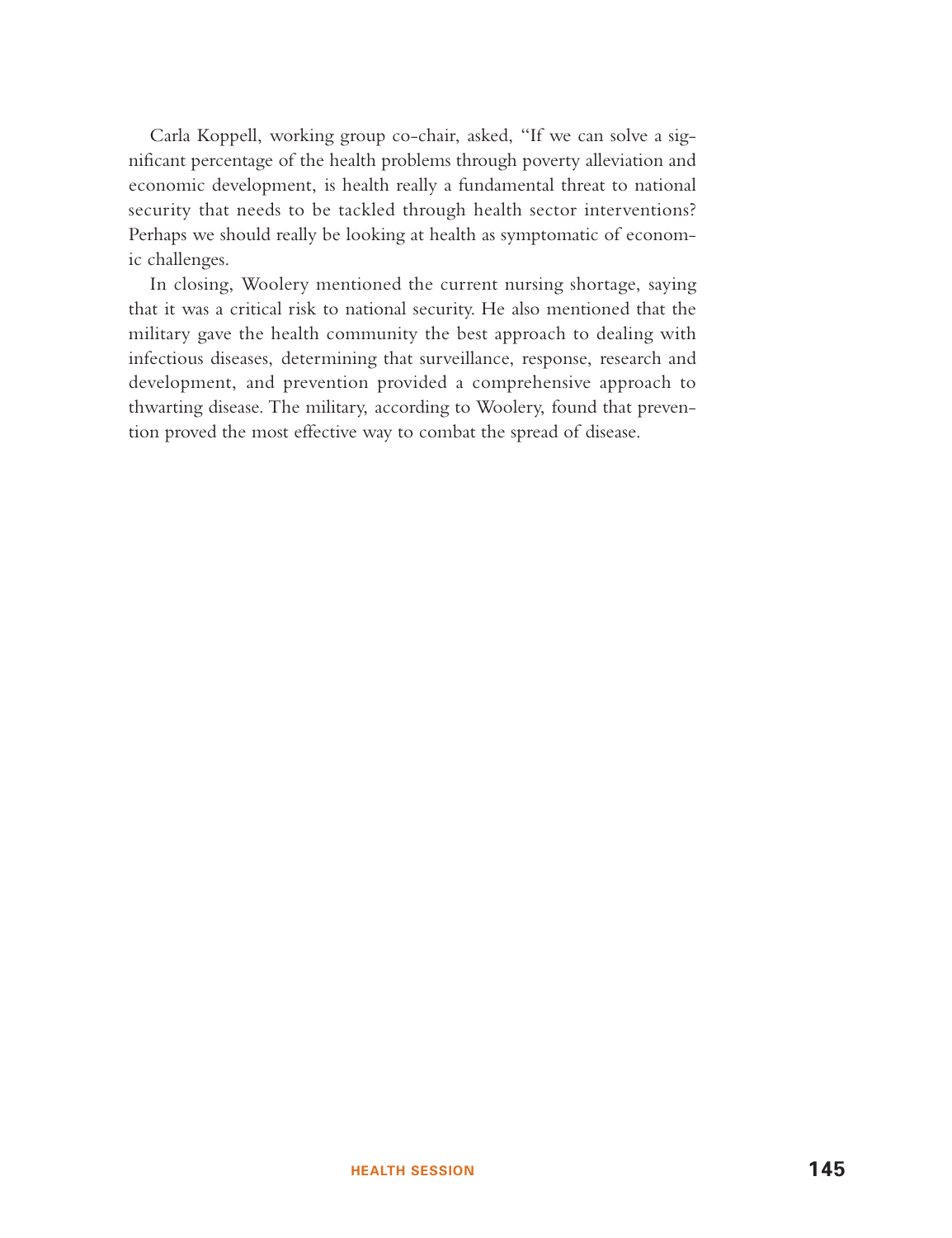Carla Koppell, working group co-chair, asked, "If we can solve a significant percentage of the health problems through poverty alleviation and economic development, is health really a fundamental threat to national security that needs to be tackled through health sector interventions? Perhaps we should really be looking at health as symptomatic of economic challenges.

In closing, Woolery mentioned the current nursing shortage, saying that it was a critical risk to national security. He also mentioned that the military gave the health community the best approach to dealing with infectious diseases, determining that surveillance, response, research and development, and prevention provided a comprehensive approach to thwarting disease. The military, according to Woolery, found that prevention proved the most effective way to combat the spread of disease.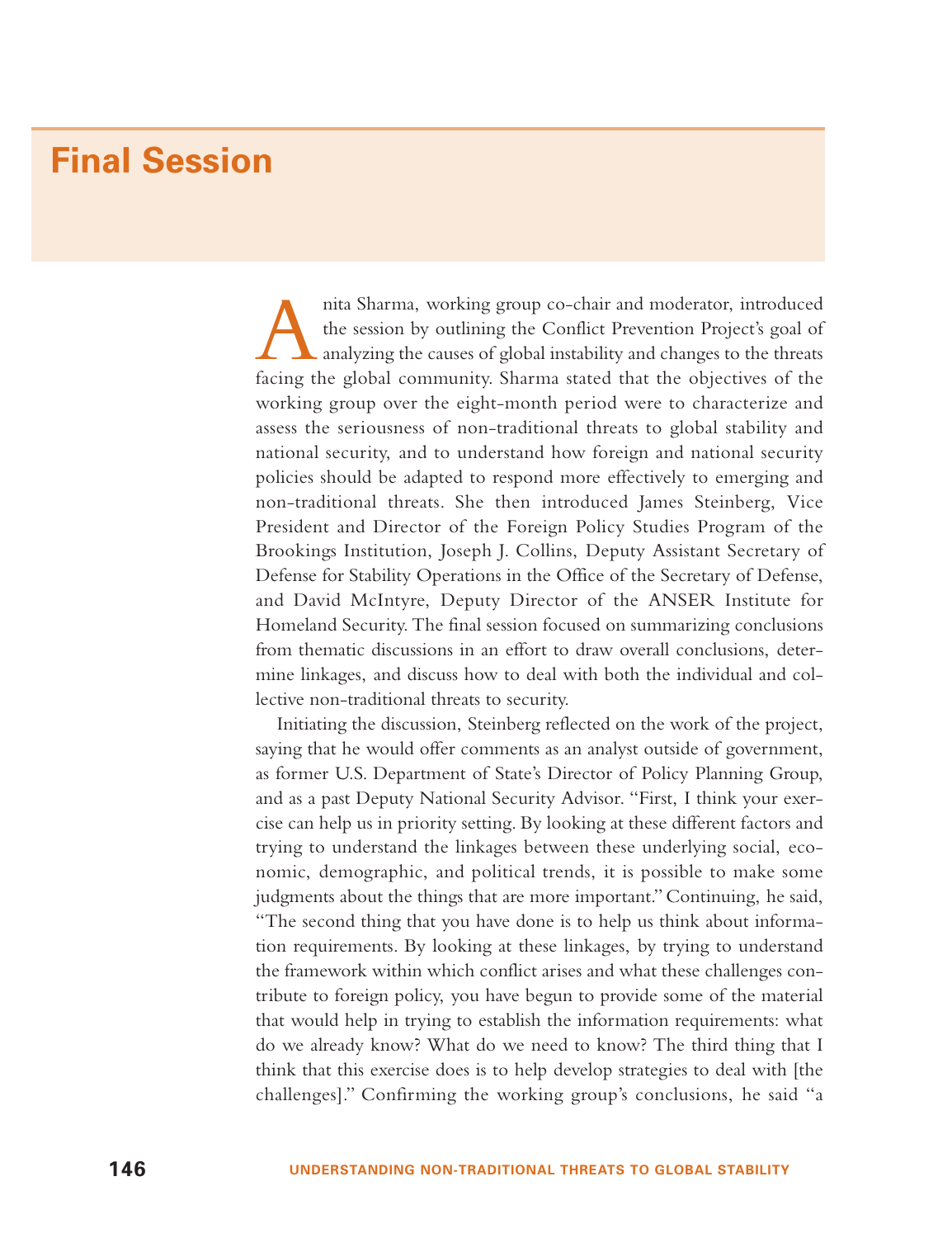### **Final Session**

Anita Sharma, working group co-chair and moderator, introduced the session by outlining the Conflict Prevention Project's goal of analyzing the causes of <sup>g</sup>lobal instability and changes to the threats facing the global community. Sharma stated that the objectives of the working group over the eight-month period were to characterize and assess the seriousness of non-traditional threats to global stability and national security, and to understand how foreign and national security policies should be adapted to respond more effectively to emerging and non-traditional threats. She then introduced James Steinberg, Vice President and Director of the Foreign Policy Studies Program of the Brookings Institution, Joseph J. Collins, Deputy Assistant Secretary of Defense for Stability Operations in the Office of the Secretary of Defense, and David McIntyre, Deputy Director of the ANSER Institute for Homeland Security. The final session focused on summarizing conclusions from thematic discussions in an effort to draw overall conclusions, determine linkages, and discuss how to deal with both the individual and collective non-traditional threats to security.

Initiating the discussion, Steinberg reflected on the work of the project, saying that he would offer comments as an analyst outside of government, as former U.S. Department of State's Director of Policy Planning Group, and as a past Deputy National Security Advisor. "First, I think your exercise can help us in priority setting. By looking at these different factors and trying to understand the linkages between these underlying social, economic, demographic, and political trends, it is possible to make some judgments about the things that are more important." Continuing, he said, "The second thing that you have done is to help us think about information requirements. By looking at these linkages, by trying to understand the framework within which conflict arises and what these challenges contribute to foreign policy, you have begun to provide some of the material that would help in trying to establish the information requirements: what do we already know? What do we need to know? The third thing that I think that this exercise does is to help develop strategies to deal with [the challenges]." Confirming the working group's conclusions, he said "a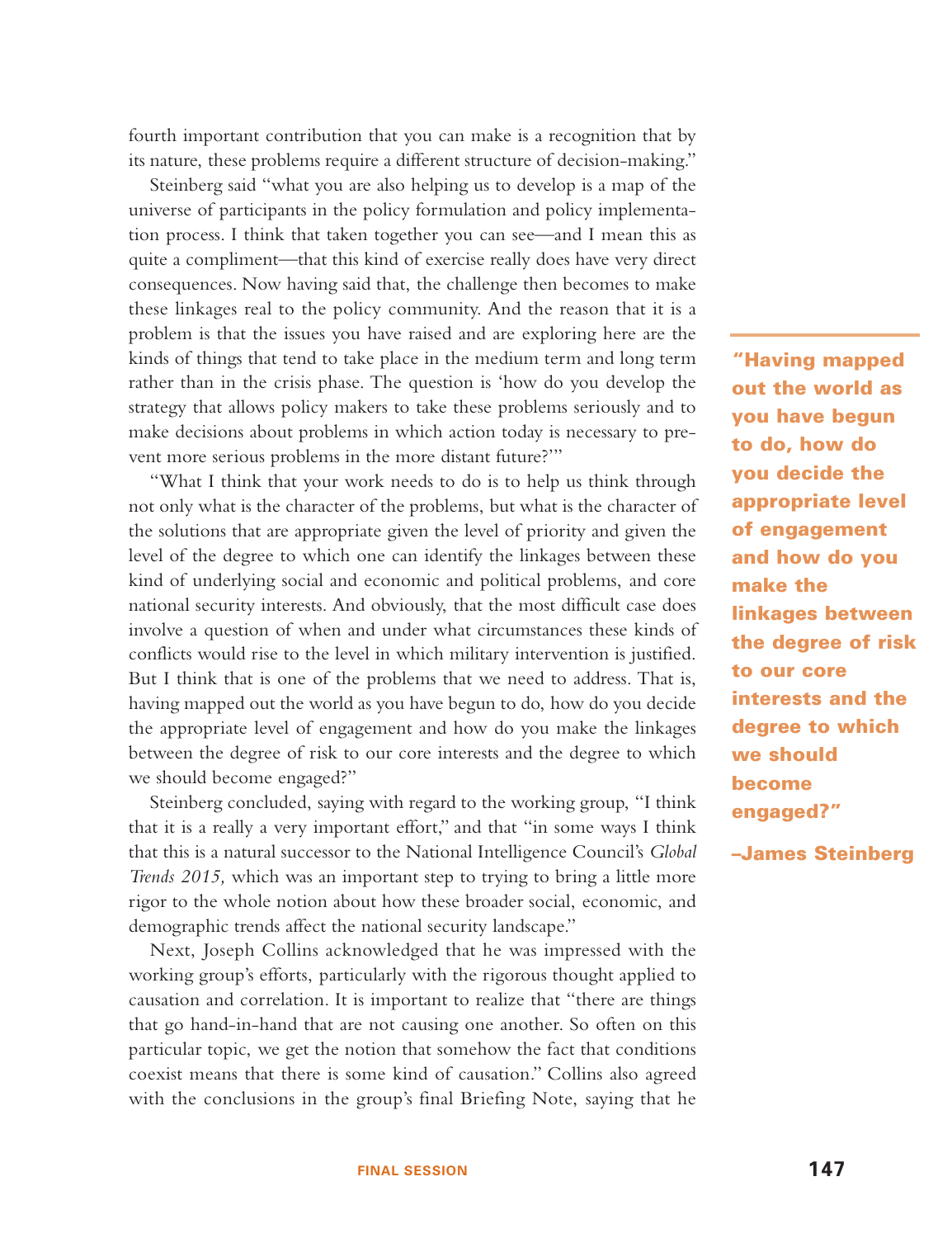fourth important contribution that you can make is a recognition that by its nature, these problems require a different structure of decision-making."

Steinberg said "what you are also helping us to develop is a map of the universe of participants in the policy formulation and policy implementation process. I think that taken together you can see—and I mean this as quite a compliment—that this kind of exercise really does have very direct consequences. Now having said that, the challenge then becomes to make these linkages real to the policy community. And the reason that it is a problem is that the issues you have raised and are exploring here are the kinds of things that tend to take place in the medium term and long term rather than in the crisis phase. The question is 'how do you develop the strategy that allows policy makers to take these problems seriously and to make decisions about problems in which action today is necessary to prevent more serious problems in the more distant future?'"

"What I think that your work needs to do is to help us think through not only what is the character of the problems, but what is the character of the solutions that are appropriate given the level of priority and given the level of the degree to which one can identify the linkages between these kind of underlying social and economic and political problems, and core national security interests. And obviously, that the most difficult case does involve a question of when and under what circumstances these kinds of conflicts would rise to the level in which military intervention is justified. But I think that is one of the problems that we need to address. That is, having mapped out the world as you have begun to do, how do you decide the appropriate level of engagement and how do you make the linkages between the degree of risk to our core interests and the degree to which we should become engaged?"

Steinberg concluded, saying with regard to the working group, "I think that it is a really a very important effort," and that "in some ways I think that this is a natural successor to the National Intelligence Council's *Global Trends 2015,* which was an important step to trying to bring a little more rigor to the whole notion about how these broader social, economic, and demographic trends affect the national security landscape."

Next, Joseph Collins acknowledged that he was impressed with the working group's efforts, particularly with the rigorous thought applied to causation and correlation. It is important to realize that "there are things that go hand-in-hand that are not causing one another. So often on this particular topic, we get the notion that somehow the fact that conditions coexist means that there is some kind of causation." Collins also agreed with the conclusions in the group's final Briefing Note, saying that he

**"Having mapped out the world as you have begun to do, how do you decide the appropriate level of engagement and how do you make the linkages between the degree of risk to our core interests and the degree to which we should become engaged?"**

**–James Steinberg**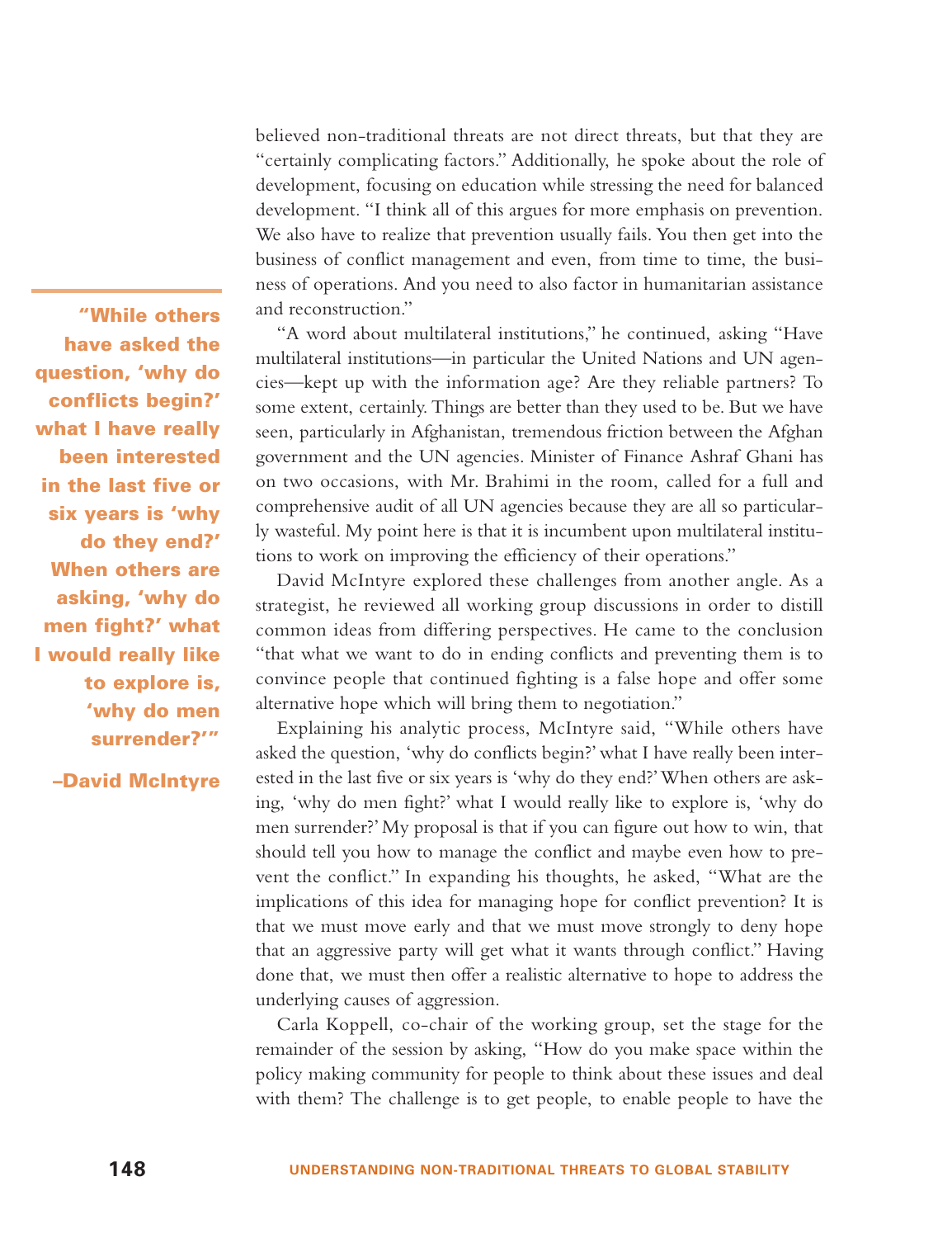believed non-traditional threats are not direct threats, but that they are "certainly complicating factors." Additionally, he spoke about the role of development, focusing on education while stressing the need for balanced development. "I think all of this argues for more emphasis on prevention. We also have to realize that prevention usually fails. You then get into the business of conflict management and even, from time to time, the business of operations. And you need to also factor in humanitarian assistance and reconstruction."

"A word about multilateral institutions," he continued, asking "Have multilateral institutions—in particular the United Nations and UN agencies—kept up with the information age? Are they reliable partners? To some extent, certainly. Things are better than they used to be. But we have seen, particularly in Afghanistan, tremendous friction between the Afghan government and the UN agencies. Minister of Finance Ashraf Ghani has on two occasions, with Mr. Brahimi in the room, called for a full and comprehensive audit of all UN agencies because they are all so particularly wasteful. My point here is that it is incumbent upon multilateral institutions to work on improving the efficiency of their operations."

David McIntyre explored these challenges from another angle. As a strategist, he reviewed all working group discussions in order to distill common ideas from differing perspectives. He came to the conclusion "that what we want to do in ending conflicts and preventing them is to convince people that continued fighting is a false hope and offer some alternative hope which will bring them to negotiation."

Explaining his analytic process, McIntyre said, "While others have asked the question, 'why do conflicts begin?' what I have really been interested in the last five or six years is 'why do they end?'When others are asking, 'why do men fight?' what I would really like to explore is, 'why do men surrender?' My proposal is that if you can figure out how to win, that should tell you how to manage the conflict and maybe even how to prevent the conflict." In expanding his thoughts, he asked, "What are the implications of this idea for managing hope for conflict prevention? It is that we must move early and that we must move strongly to deny hope that an aggressive party will get what it wants through conflict." Having done that, we must then offer a realistic alternative to hope to address the underlying causes of aggression.

Carla Koppell, co-chair of the working group, set the stage for the remainder of the session by asking, "How do you make space within the policy making community for people to think about these issues and deal with them? The challenge is to get people, to enable people to have the

**in the last five or six years is 'why do they end?' When others are asking, 'why do men fight?' what I would really like to explore is, 'why do men surrender?'"**

**"While others have asked the question, 'why do conflicts begin?' what I have really been interested**

**–David McIntyre**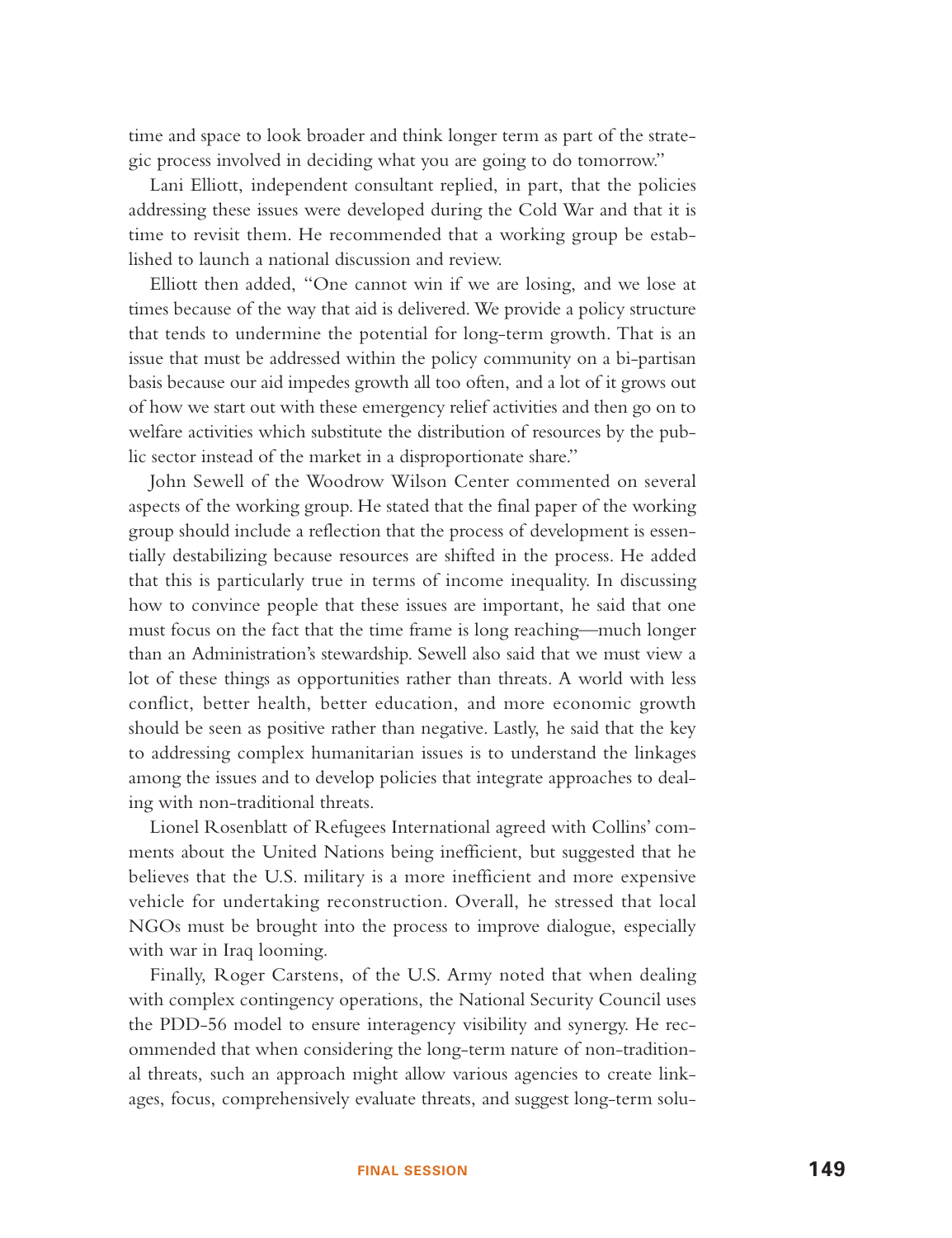time and space to look broader and think longer term as part of the strategic process involved in deciding what you are going to do tomorrow."

Lani Elliott, independent consultant replied, in part, that the policies addressing these issues were developed during the Cold War and that it is time to revisit them. He recommended that a working group be established to launch a national discussion and review.

Elliott then added, "One cannot win if we are losing, and we lose at times because of the way that aid is delivered. We provide a policy structure that tends to undermine the potential for long-term growth. That is an issue that must be addressed within the policy community on a bi-partisan basis because our aid impedes growth all too often, and a lot of it grows out of how we start out with these emergency relief activities and then go on to welfare activities which substitute the distribution of resources by the public sector instead of the market in a disproportionate share."

John Sewell of the Woodrow Wilson Center commented on several aspects of the working group. He stated that the final paper of the working group should include a reflection that the process of development is essentially destabilizing because resources are shifted in the process. He added that this is particularly true in terms of income inequality. In discussing how to convince people that these issues are important, he said that one must focus on the fact that the time frame is long reaching—much longer than an Administration's stewardship. Sewell also said that we must view a lot of these things as opportunities rather than threats. A world with less conflict, better health, better education, and more economic growth should be seen as positive rather than negative. Lastly, he said that the key to addressing complex humanitarian issues is to understand the linkages among the issues and to develop policies that integrate approaches to dealing with non-traditional threats.

Lionel Rosenblatt of Refugees International agreed with Collins' comments about the United Nations being inefficient, but suggested that he believes that the U.S. military is a more inefficient and more expensive vehicle for undertaking reconstruction. Overall, he stressed that local NGOs must be brought into the process to improve dialogue, especially with war in Iraq looming.

Finally, Roger Carstens, of the U.S. Army noted that when dealing with complex contingency operations, the National Security Council uses the PDD-56 model to ensure interagency visibility and synergy. He recommended that when considering the long-term nature of non-traditional threats, such an approach might allow various agencies to create linkages, focus, comprehensively evaluate threats, and suggest long-term solu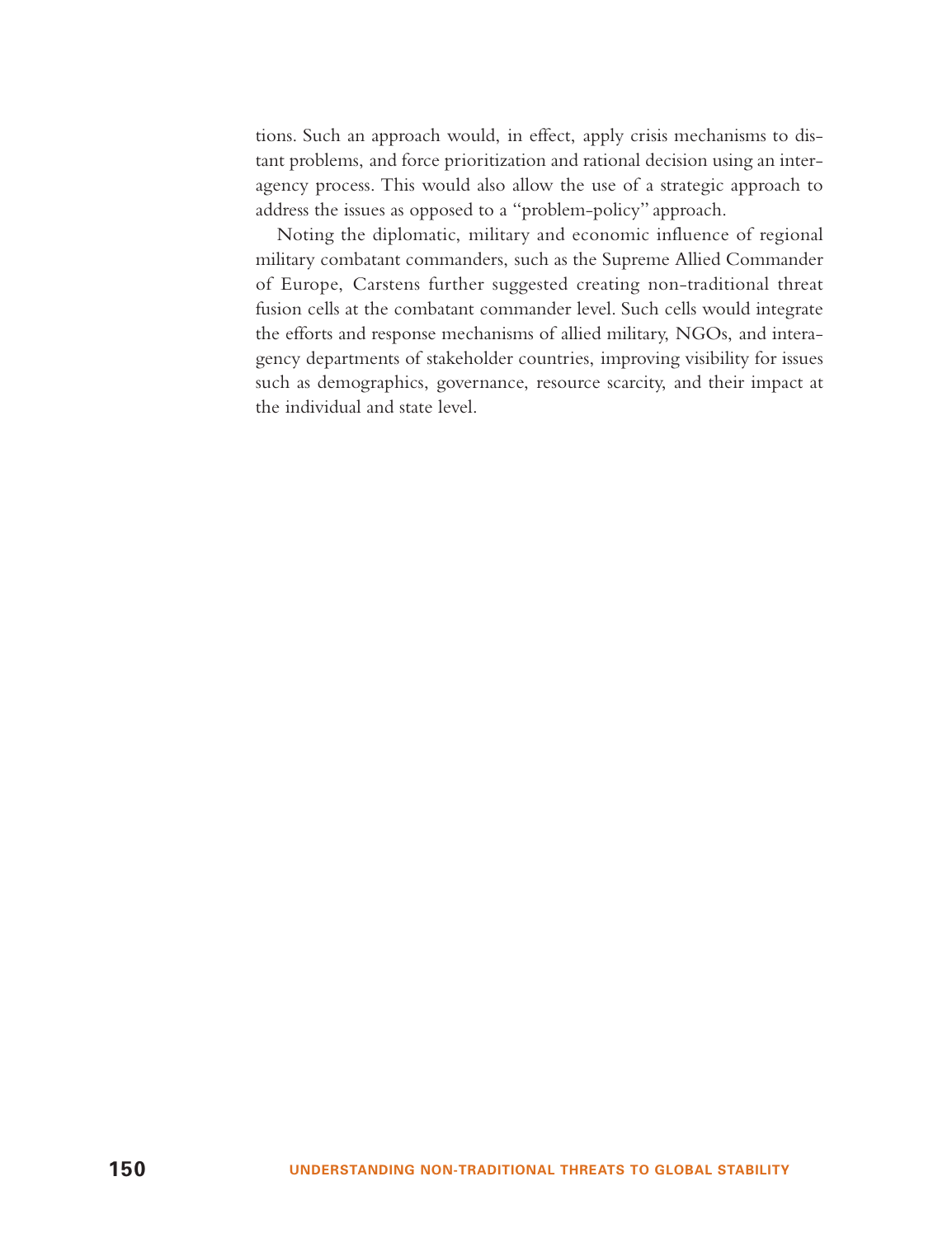tions. Such an approach would, in effect, apply crisis mechanisms to distant problems, and force prioritization and rational decision using an interagency process. This would also allow the use of a strategic approach to address the issues as opposed to a "problem-policy" approach.

Noting the diplomatic, military and economic influence of regional military combatant commanders, such as the Supreme Allied Commander of Europe, Carstens further suggested creating non-traditional threat fusion cells at the combatant commander level. Such cells would integrate the efforts and response mechanisms of allied military, NGOs, and interagency departments of stakeholder countries, improving visibility for issues such as demographics, governance, resource scarcity, and their impact at the individual and state level.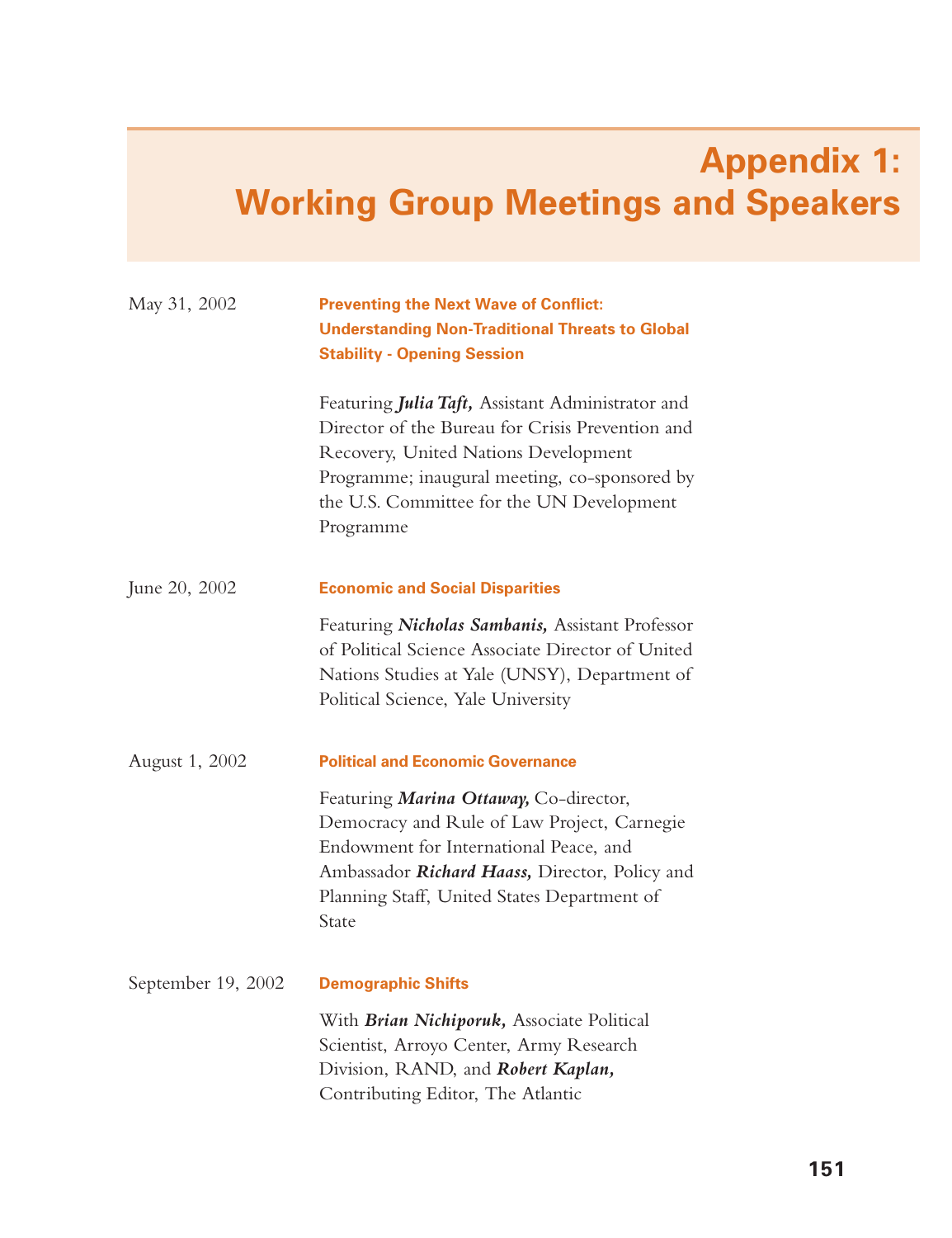# **Appendix 1: Working Group Meetings and Speakers**

| May 31, 2002       | <b>Preventing the Next Wave of Conflict:</b>                                                                                                                                                                                                             |
|--------------------|----------------------------------------------------------------------------------------------------------------------------------------------------------------------------------------------------------------------------------------------------------|
|                    | <b>Understanding Non-Traditional Threats to Global</b><br><b>Stability - Opening Session</b>                                                                                                                                                             |
|                    | Featuring Julia Taft, Assistant Administrator and<br>Director of the Bureau for Crisis Prevention and<br>Recovery, United Nations Development<br>Programme; inaugural meeting, co-sponsored by<br>the U.S. Committee for the UN Development<br>Programme |
| June 20, 2002      | <b>Economic and Social Disparities</b>                                                                                                                                                                                                                   |
|                    | Featuring Nicholas Sambanis, Assistant Professor<br>of Political Science Associate Director of United<br>Nations Studies at Yale (UNSY), Department of<br>Political Science, Yale University                                                             |
| August 1, 2002     | <b>Political and Economic Governance</b>                                                                                                                                                                                                                 |
|                    | Featuring Marina Ottaway, Co-director,<br>Democracy and Rule of Law Project, Carnegie<br>Endowment for International Peace, and<br>Ambassador Richard Haass, Director, Policy and<br>Planning Staff, United States Department of<br>State                |
| September 19, 2002 | <b>Demographic Shifts</b>                                                                                                                                                                                                                                |
|                    | With Brian Nichiporuk, Associate Political<br>Scientist, Arroyo Center, Army Research<br>Division, RAND, and Robert Kaplan,<br>Contributing Editor, The Atlantic                                                                                         |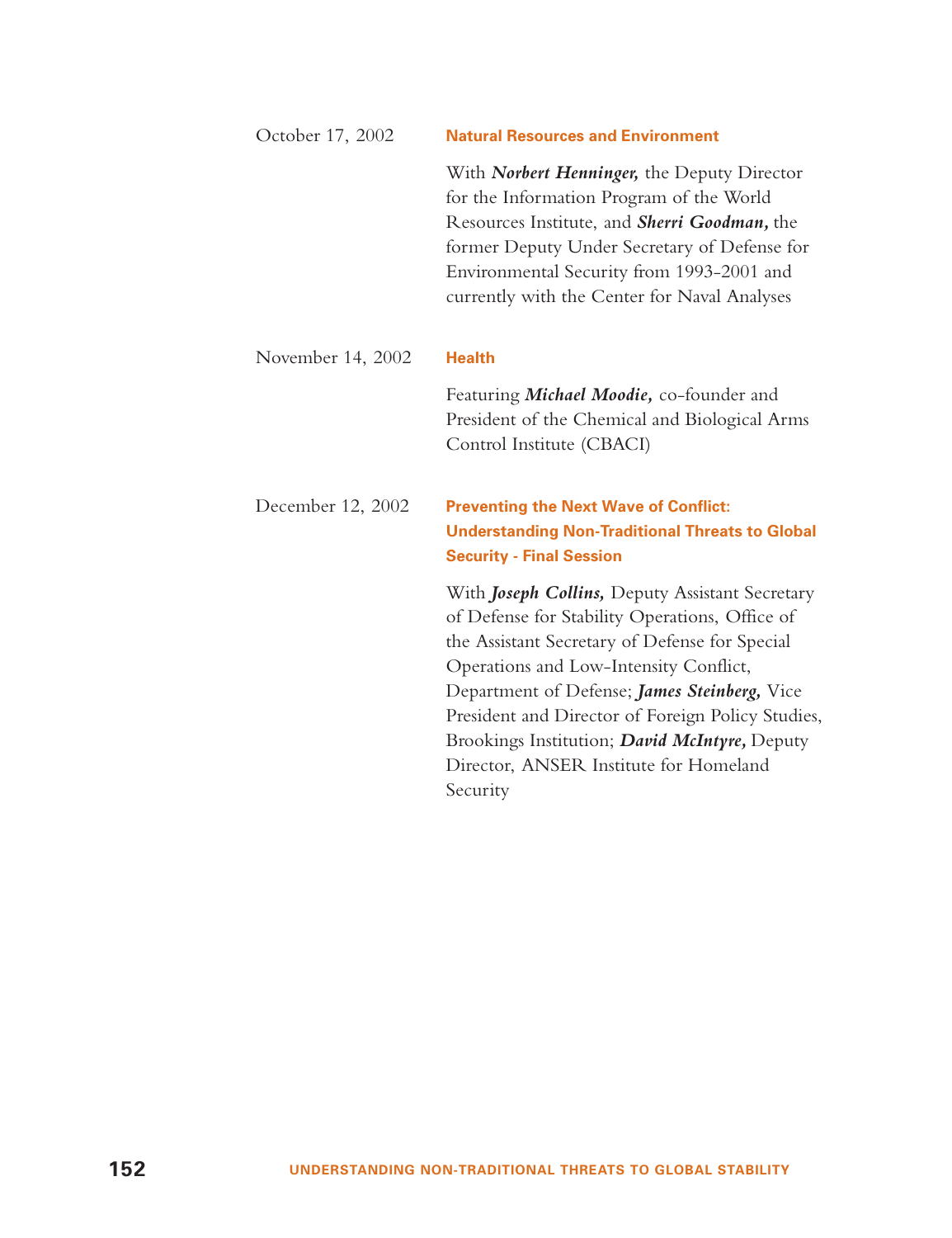| October 17, 2002  | <b>Natural Resources and Environment</b>                                                                                                                                                                                                                                                                                                                                                                  |
|-------------------|-----------------------------------------------------------------------------------------------------------------------------------------------------------------------------------------------------------------------------------------------------------------------------------------------------------------------------------------------------------------------------------------------------------|
|                   | With Norbert Henninger, the Deputy Director<br>for the Information Program of the World<br>Resources Institute, and Sherri Goodman, the<br>former Deputy Under Secretary of Defense for<br>Environmental Security from 1993-2001 and<br>currently with the Center for Naval Analyses                                                                                                                      |
| November 14, 2002 | <b>Health</b>                                                                                                                                                                                                                                                                                                                                                                                             |
|                   | Featuring Michael Moodie, co-founder and<br>President of the Chemical and Biological Arms<br>Control Institute (CBACI)                                                                                                                                                                                                                                                                                    |
| December 12, 2002 | <b>Preventing the Next Wave of Conflict:</b><br><b>Understanding Non-Traditional Threats to Global</b><br><b>Security - Final Session</b>                                                                                                                                                                                                                                                                 |
|                   | With Joseph Collins, Deputy Assistant Secretary<br>of Defense for Stability Operations, Office of<br>the Assistant Secretary of Defense for Special<br>Operations and Low-Intensity Conflict,<br>Department of Defense; James Steinberg, Vice<br>President and Director of Foreign Policy Studies,<br>Brookings Institution; David McIntyre, Deputy<br>Director, ANSER Institute for Homeland<br>Security |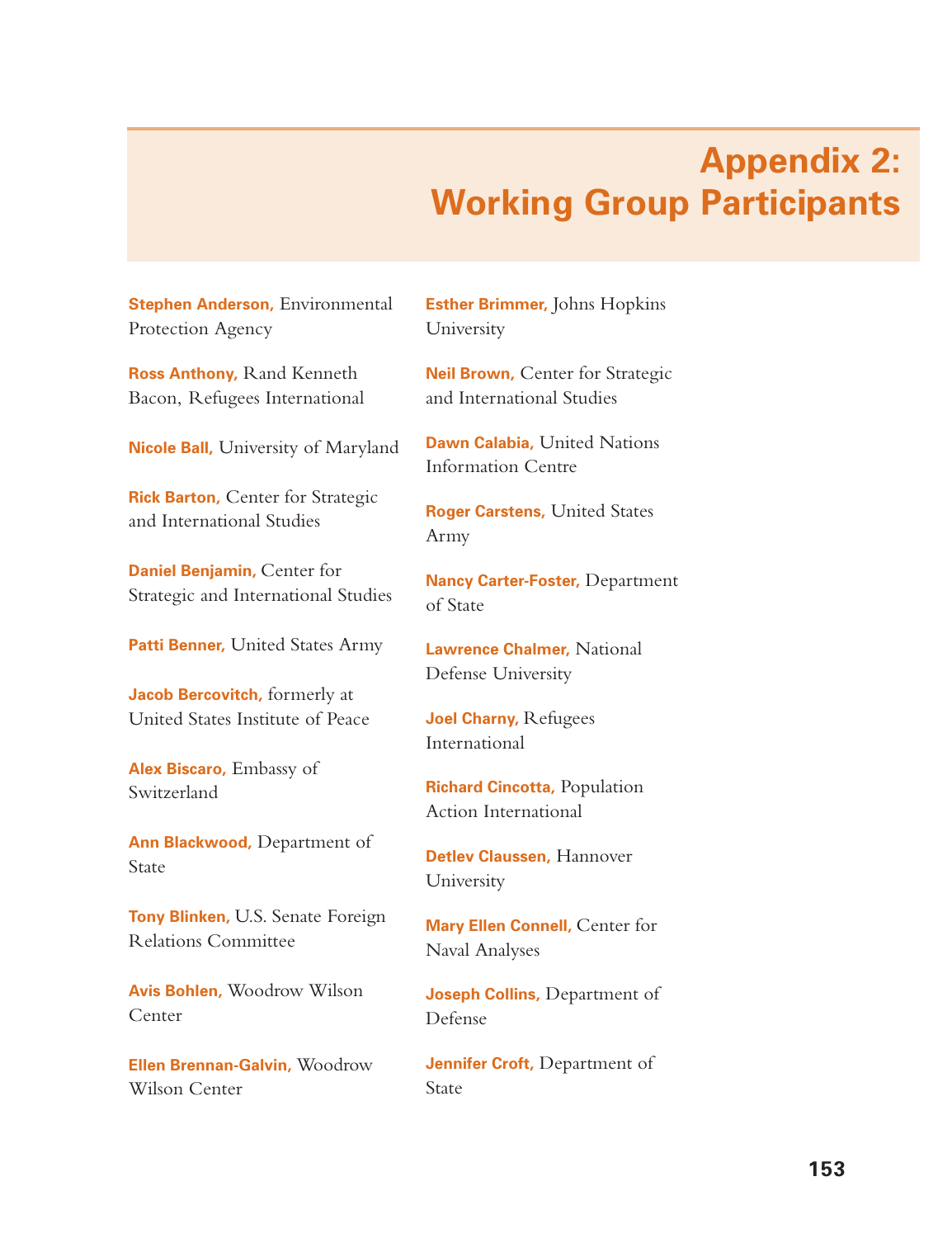## **Appendix 2: Working Group Participants**

**Stephen Anderson,** Environmental Protection Agency

**Ross Anthony,** Rand Kenneth Bacon, Refugees International

**Nicole Ball,** University of Maryland

**Rick Barton,** Center for Strategic and International Studies

**Daniel Benjamin,** Center for Strategic and International Studies

**Patti Benner,** United States Army

**Jacob Bercovitch,** formerly at United States Institute of Peace

**Alex Biscaro,** Embassy of Switzerland

**Ann Blackwood,** Department of **State** 

**Tony Blinken,** U.S. Senate Foreign Relations Committee

**Avis Bohlen,** Woodrow Wilson Center

**Ellen Brennan-Galvin,** Woodrow Wilson Center

**Esther Brimmer,** Johns Hopkins University

**Neil Brown,** Center for Strategic and International Studies

**Dawn Calabia,** United Nations Information Centre

**Roger Carstens,** United States Army

**Nancy Carter-Foster,** Department of State

**Lawrence Chalmer,** National Defense University

**Joel Charny,** Refugees International

**Richard Cincotta,** Population Action International

**Detlev Claussen,** Hannover University

**Mary Ellen Connell,** Center for Naval Analyses

**Joseph Collins,** Department of Defense

**Jennifer Croft,** Department of State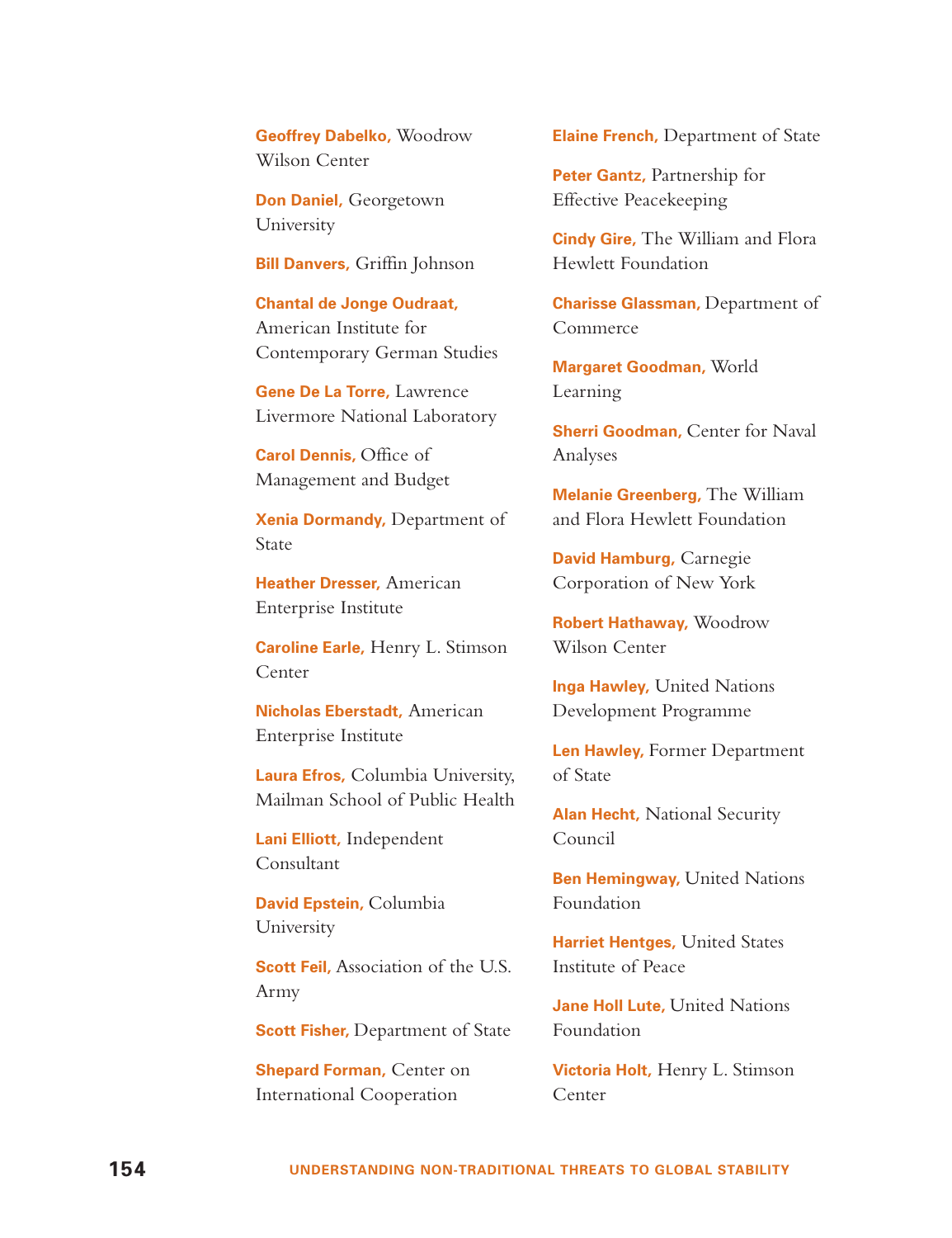**Geoffrey Dabelko,** Woodrow Wilson Center

**Don Daniel,** Georgetown University

**Bill Danvers,** Griffin Johnson

**Chantal de Jonge Oudraat,** American Institute for Contemporary German Studies

**Gene De La Torre,** Lawrence Livermore National Laboratory

**Carol Dennis,** Office of Management and Budget

**Xenia Dormandy,** Department of State

**Heather Dresser,** American Enterprise Institute

**Caroline Earle,** Henry L. Stimson Center

**Nicholas Eberstadt,** American Enterprise Institute

**Laura Efros,** Columbia University, Mailman School of Public Health

**Lani Elliott,** Independent Consultant

**David Epstein,** Columbia University

**Scott Feil, Association of the U.S.** Army

**Scott Fisher,** Department of State

**Shepard Forman,** Center on International Cooperation

**Elaine French,** Department of State

**Peter Gantz,** Partnership for Effective Peacekeeping

**Cindy Gire,** The William and Flora Hewlett Foundation

**Charisse Glassman,** Department of Commerce

**Margaret Goodman,** World Learning

**Sherri Goodman, Center for Naval** Analyses

**Melanie Greenberg,** The William and Flora Hewlett Foundation

**David Hamburg,** Carnegie Corporation of New York

**Robert Hathaway,** Woodrow Wilson Center

**Inga Hawley,** United Nations Development Programme

**Len Hawley,** Former Department of State

**Alan Hecht,** National Security Council

**Ben Hemingway, United Nations** Foundation

**Harriet Hentges,** United States Institute of Peace

**Jane Holl Lute,** United Nations Foundation

**Victoria Holt,** Henry L. Stimson Center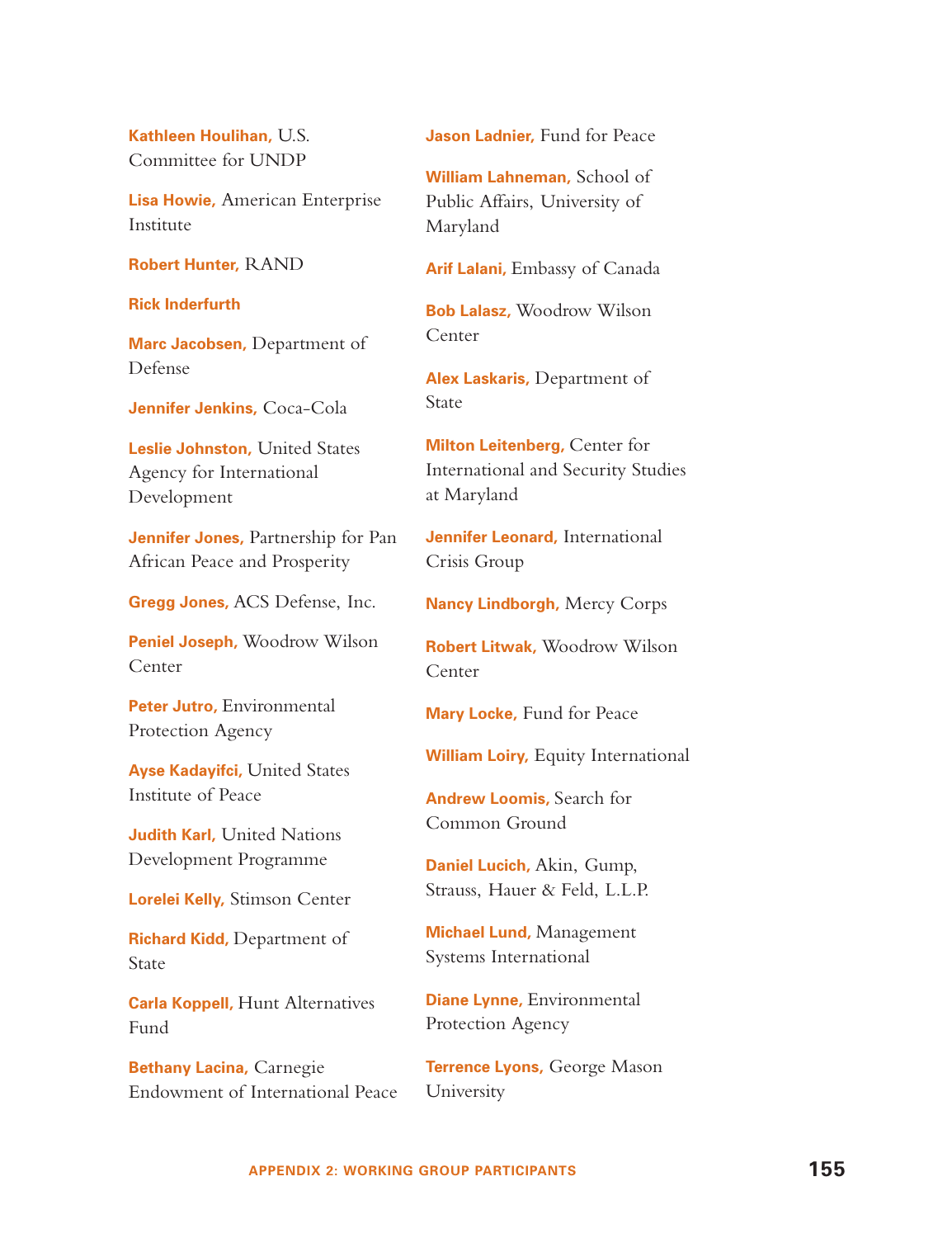**Kathleen Houlihan,** U.S. Committee for UNDP

**Lisa Howie,** American Enterprise Institute

**Robert Hunter,** RAND

**Rick Inderfurth** 

**Marc Jacobsen,** Department of Defense

**Jennifer Jenkins,** Coca-Cola

**Leslie Johnston,** United States Agency for International Development

**Jennifer Jones,** Partnership for Pan African Peace and Prosperity

**Gregg Jones,** ACS Defense, Inc.

**Peniel Joseph,** Woodrow Wilson Center

**Peter Jutro,** Environmental Protection Agency

**Ayse Kadayifci,** United States Institute of Peace

**Judith Karl,** United Nations Development Programme

**Lorelei Kelly,** Stimson Center

**Richard Kidd,** Department of State

**Carla Koppell,** Hunt Alternatives Fund

**Bethany Lacina,** Carnegie Endowment of International Peace **Jason Ladnier,** Fund for Peace

**William Lahneman,** School of Public Affairs, University of Maryland

**Arif Lalani,** Embassy of Canada

**Bob Lalasz,** Woodrow Wilson Center

**Alex Laskaris,** Department of State

**Milton Leitenberg,** Center for International and Security Studies at Maryland

**Jennifer Leonard,** International Crisis Group

**Nancy Lindborgh,** Mercy Corps

**Robert Litwak,** Woodrow Wilson Center

**Mary Locke,** Fund for Peace

**William Loiry,** Equity International

**Andrew Loomis,** Search for Common Ground

**Daniel Lucich,** Akin, Gump, Strauss, Hauer & Feld, L.L.P.

**Michael Lund,** Management Systems International

**Diane Lynne,** Environmental Protection Agency

**Terrence Lyons,** George Mason University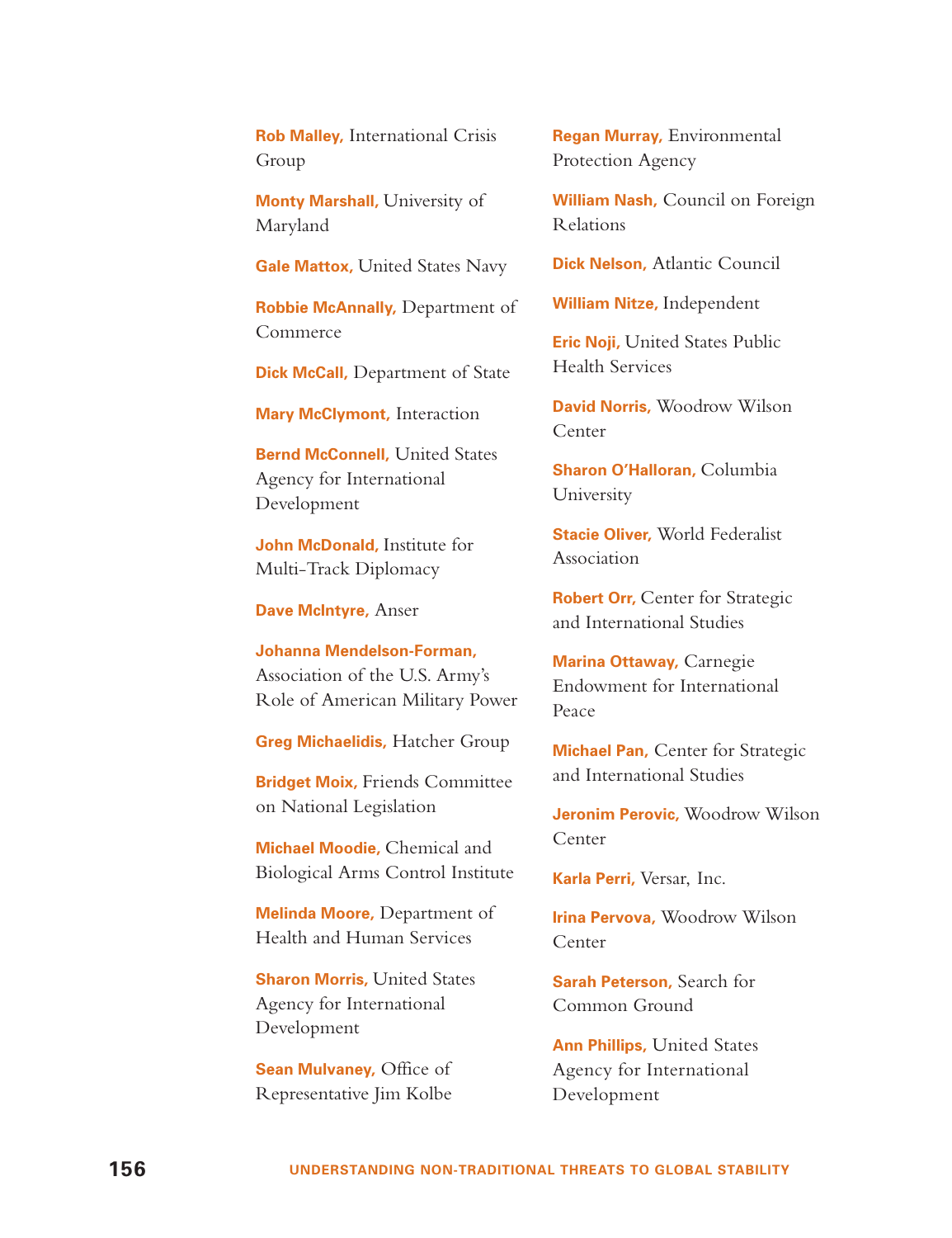**Rob Malley,** International Crisis Group

**Monty Marshall,** University of Maryland

**Gale Mattox,** United States Navy

**Robbie McAnnally,** Department of Commerce

**Dick McCall,** Department of State

**Mary McClymont,** Interaction

**Bernd McConnell,** United States Agency for International Development

**John McDonald,** Institute for Multi-Track Diplomacy

**Dave McIntyre,** Anser

**Johanna Mendelson-Forman,** Association of the U.S. Army's Role of American Military Power

**Greg Michaelidis,** Hatcher Group

**Bridget Moix,** Friends Committee on National Legislation

**Michael Moodie,** Chemical and Biological Arms Control Institute

**Melinda Moore,** Department of Health and Human Services

**Sharon Morris,** United States Agency for International Development

**Sean Mulvaney,** Office of Representative Jim Kolbe

**Regan Murray,** Environmental Protection Agency

**William Nash,** Council on Foreign Relations

**Dick Nelson,** Atlantic Council

**William Nitze,** Independent

**Eric Noji,** United States Public Health Services

**David Norris,** Woodrow Wilson Center

**Sharon O'Halloran,** Columbia University

**Stacie Oliver,** World Federalist Association

**Robert Orr,** Center for Strategic and International Studies

**Marina Ottaway,** Carnegie Endowment for International Peace

**Michael Pan,** Center for Strategic and International Studies

**Jeronim Perovic,** Woodrow Wilson Center

**Karla Perri,** Versar, Inc.

**Irina Pervova,** Woodrow Wilson Center

**Sarah Peterson,** Search for Common Ground

**Ann Phillips,** United States Agency for International Development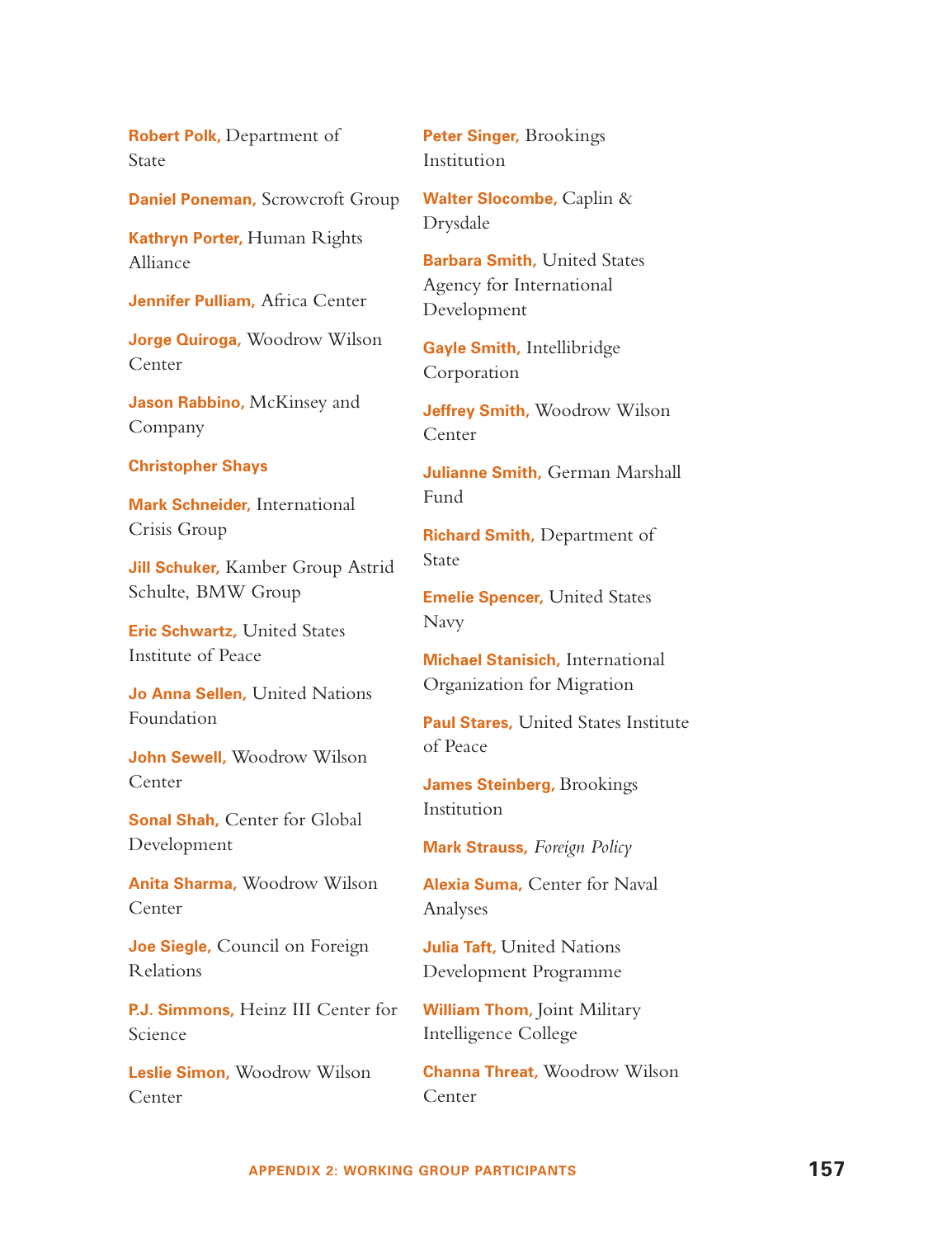**Robert Polk,** Department of State

**Daniel Poneman,** Scrowcroft Group

**Kathryn Porter,** Human Rights Alliance

**Jennifer Pulliam,** Africa Center

**Jorge Quiroga,** Woodrow Wilson Center

**Jason Rabbino,** McKinsey and Company

#### **Christopher Shays**

**Mark Schneider,** International Crisis Group

**Jill Schuker,** Kamber Group Astrid Schulte, BMW Group

**Eric Schwartz,** United States Institute of Peace

**Jo Anna Sellen,** United Nations Foundation

**John Sewell,** Woodrow Wilson Center

**Sonal Shah,** Center for Global Development

**Anita Sharma,** Woodrow Wilson Center

**Joe Siegle,** Council on Foreign Relations

**P.J. Simmons,** Heinz III Center for Science

**Leslie Simon,** Woodrow Wilson Center

**Peter Singer,** Brookings Institution

**Walter Slocombe,** Caplin & Drysdale

**Barbara Smith,** United States Agency for International Development

**Gayle Smith,** Intellibridge Corporation

**Jeffrey Smith,** Woodrow Wilson Center

**Julianne Smith,** German Marshall Fund

**Richard Smith,** Department of State

**Emelie Spencer,** United States Navy

**Michael Stanisich,** International Organization for Migration

**Paul Stares,** United States Institute of Peace

**James Steinberg,** Brookings Institution

**Mark Strauss,** *Foreign Policy*

**Alexia Suma,** Center for Naval Analyses

**Julia Taft,** United Nations Development Programme

**William Thom,** Joint Military Intelligence College

**Channa Threat,** Woodrow Wilson Center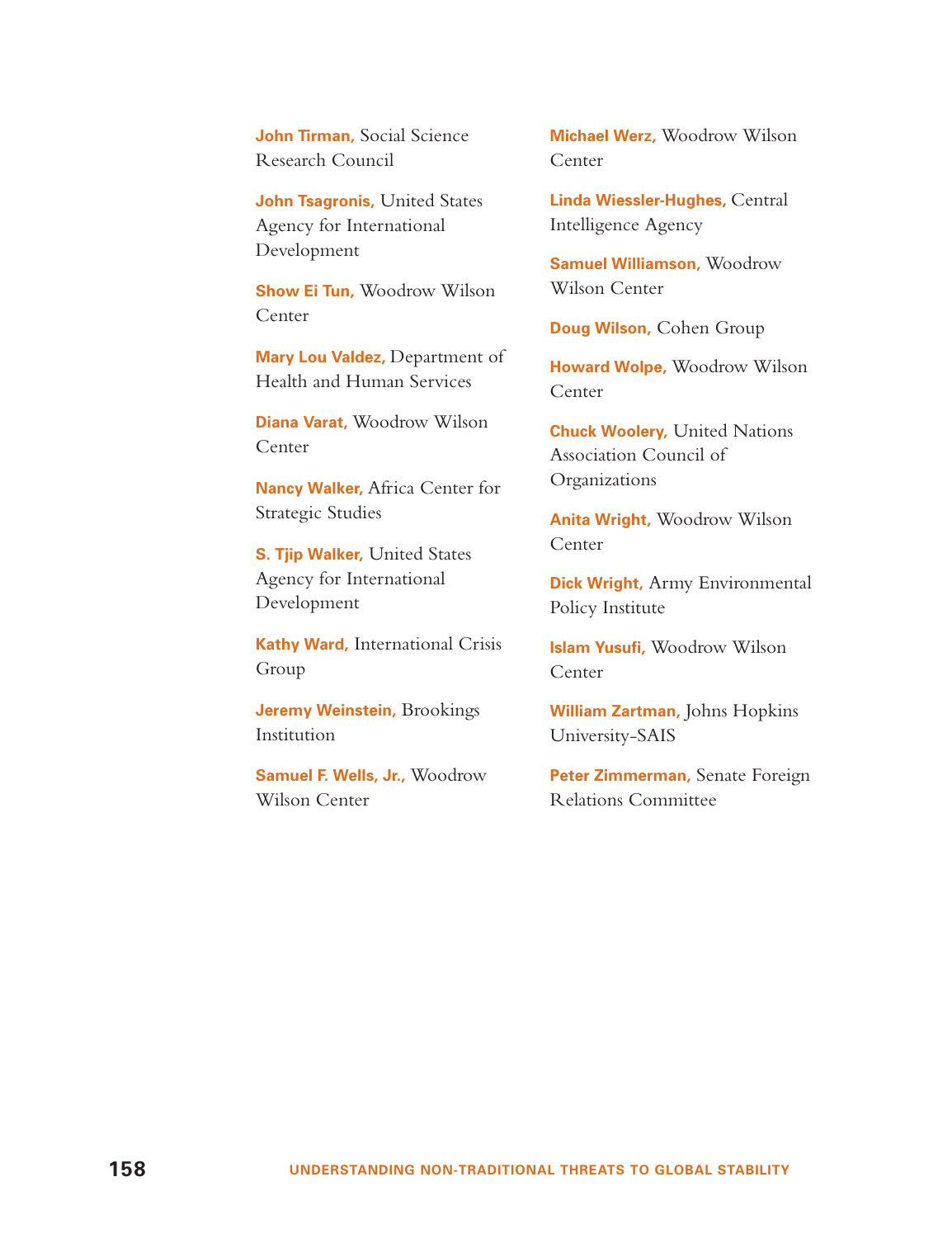**John Tirman,** Social Science Research Council

**John Tsagronis,** United States Agency for International Development

**Show Ei Tun,** Woodrow Wilson Center

**Mary Lou Valdez,** Department of Health and Human Services

**Diana Varat,** Woodrow Wilson Center

**Nancy Walker,** Africa Center for Strategic Studies

**S. Tjip Walker,** United States Agency for International Development

**Kathy Ward,** International Crisis Group

**Jeremy Weinstein,** Brookings Institution

**Samuel F. Wells, Jr.,** Woodrow Wilson Center

**Michael Werz,** Woodrow Wilson Center

**Linda Wiessler-Hughes,** Central Intelligence Agency

**Samuel Williamson,** Woodrow Wilson Center

**Doug Wilson,** Cohen Group

**Howard Wolpe,** Woodrow Wilson Center

**Chuck Woolery,** United Nations Association Council of Organizations

**Anita Wright,** Woodrow Wilson Center

**Dick Wright,** Army Environmental Policy Institute

**Islam Yusufi,** Woodrow Wilson Center

**William Zartman,** Johns Hopkins University-SAIS

**Peter Zimmerman,** Senate Foreign Relations Committee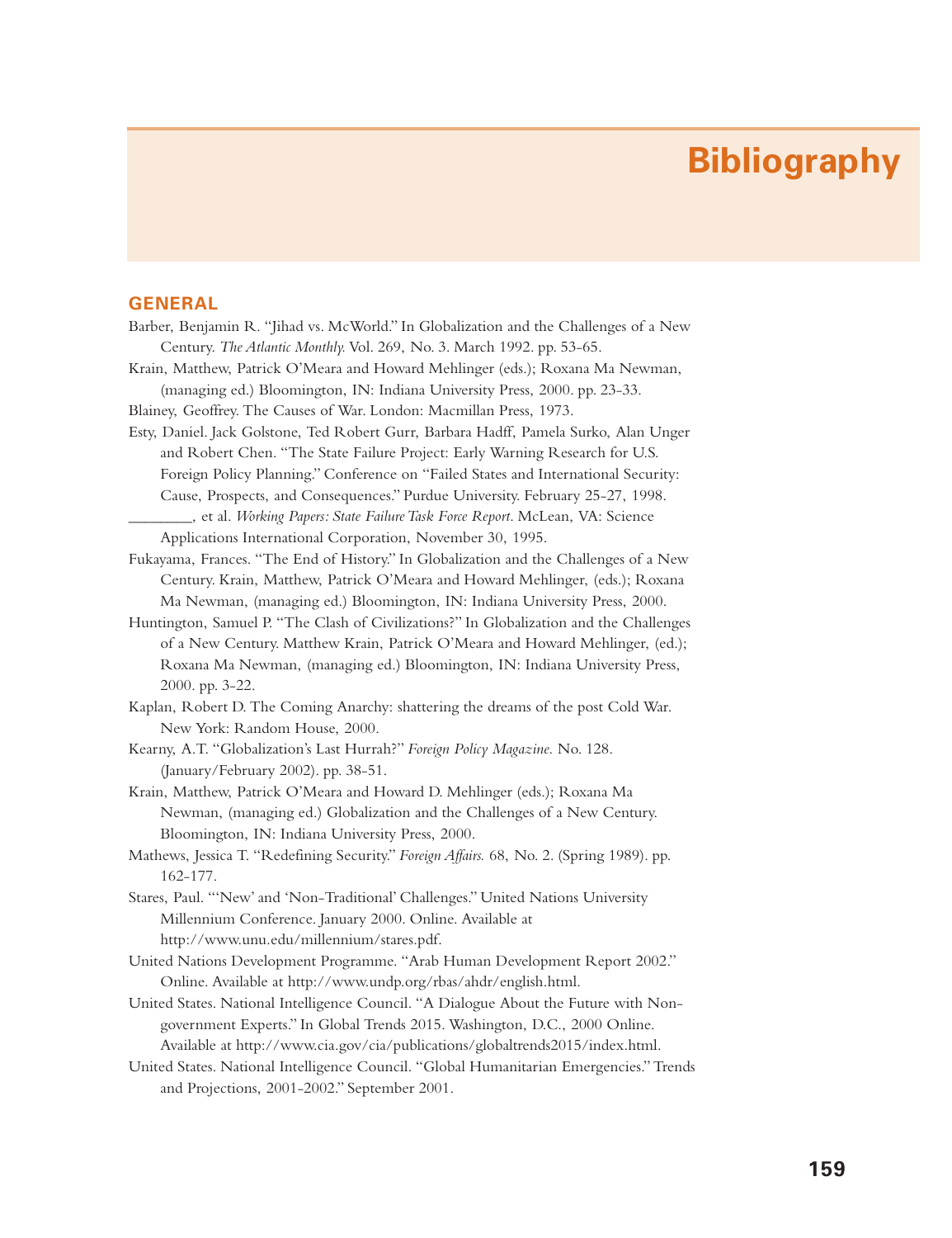## **Bibliography**

#### **GENERAL**

- Barber, Benjamin R. "Jihad vs. McWorld." In Globalization and the Challenges of a New Century. *The Atlantic Monthly.* Vol. 269, No. 3. March 1992. pp. 53-65.
- Krain, Matthew, Patrick O'Meara and Howard Mehlinger (eds.); Roxana Ma Newman, (managing ed.) Bloomington, IN: Indiana University Press, 2000. pp. 23-33.

Blainey, Geoffrey. The Causes of War. London: Macmillan Press, 1973.

Esty, Daniel. Jack Golstone, Ted Robert Gurr, Barbara Hadff, Pamela Surko, Alan Unger and Robert Chen. "The State Failure Project: Early Warning Research for U.S. Foreign Policy Planning." Conference on "Failed States and International Security: Cause, Prospects, and Consequences." Purdue University. February 25-27, 1998. \_\_\_\_\_\_\_\_, et al. *Working Papers: State Failure Task Force Report*. McLean, VA: Science

Applications International Corporation, November 30, 1995.

- Fukayama, Frances. "The End of History." In Globalization and the Challenges of a New Century. Krain, Matthew, Patrick O'Meara and Howard Mehlinger, (eds.); Roxana Ma Newman, (managing ed.) Bloomington, IN: Indiana University Press, 2000.
- Huntington, Samuel P. "The Clash of Civilizations?" In Globalization and the Challenges of a New Century. Matthew Krain, Patrick O'Meara and Howard Mehlinger, (ed.); Roxana Ma Newman, (managing ed.) Bloomington, IN: Indiana University Press, 2000. pp. 3-22.
- Kaplan, Robert D. The Coming Anarchy: shattering the dreams of the post Cold War. New York: Random House, 2000.
- Kearny, A.T. "Globalization's Last Hurrah?" *Foreign Policy Magazine.* No. 128. (January/February 2002). pp. 38-51.
- Krain, Matthew, Patrick O'Meara and Howard D. Mehlinger (eds.); Roxana Ma Newman, (managing ed.) Globalization and the Challenges of a New Century. Bloomington, IN: Indiana University Press, 2000.
- Mathews, Jessica T. "Redefining Security." *Foreign Affairs.* 68, No. 2. (Spring 1989). pp. 162-177.
- Stares, Paul. "'New' and 'Non-Traditional' Challenges." United Nations University Millennium Conference. January 2000. Online. Available at http://www.unu.edu/millennium/stares.pdf.
- United Nations Development Programme. "Arab Human Development Report 2002." Online. Available at http://www.undp.org/rbas/ahdr/english.html.
- United States. National Intelligence Council. "A Dialogue About the Future with Nongovernment Experts." In Global Trends 2015. Washington, D.C., 2000 Online. Available at http://www.cia.gov/cia/publications/globaltrends2015/index.html.
- United States. National Intelligence Council. "Global Humanitarian Emergencies." Trends and Projections, 2001-2002." September 2001.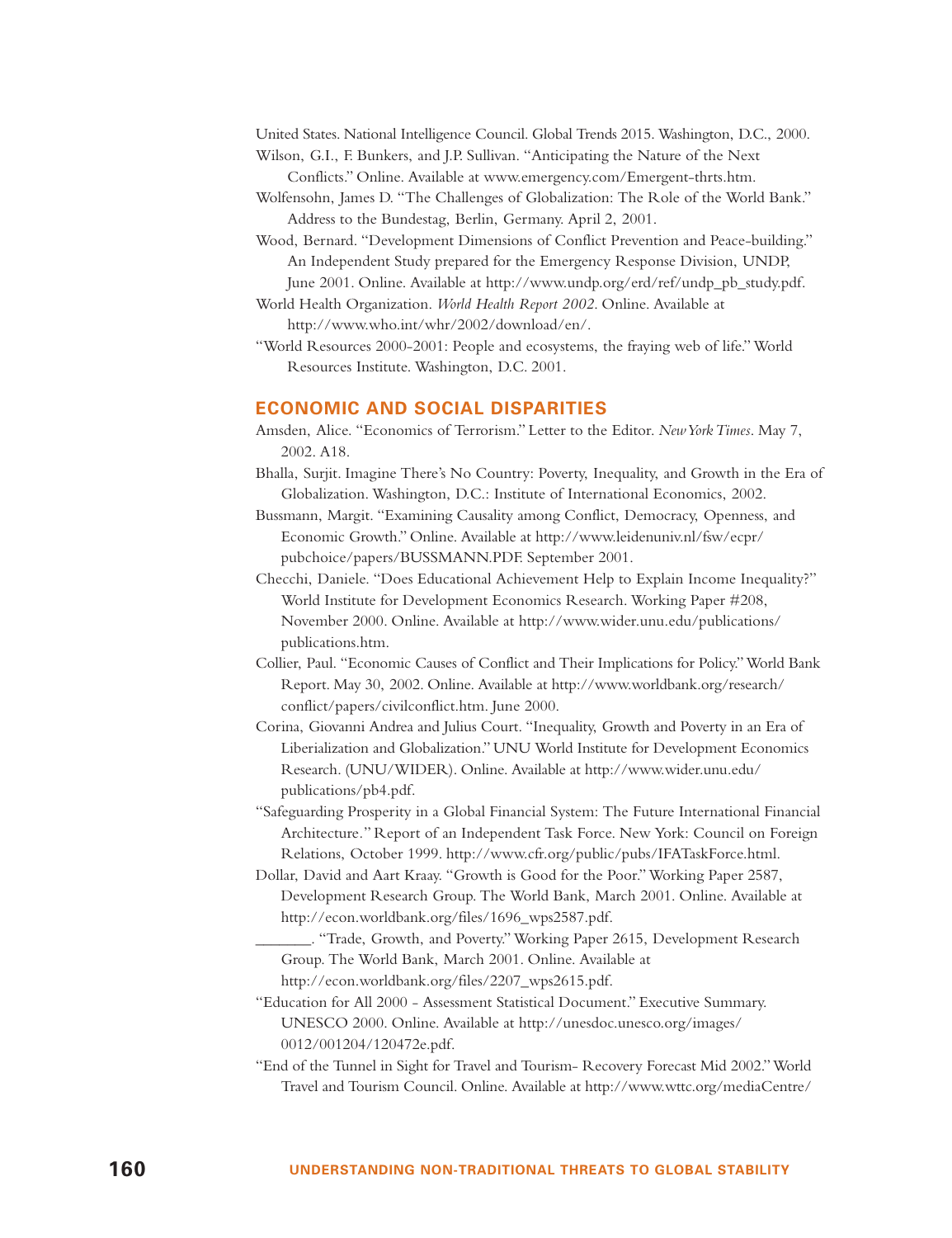United States. National Intelligence Council. Global Trends 2015. Washington, D.C., 2000.

- Wilson, G.I., F. Bunkers, and J.P. Sullivan. "Anticipating the Nature of the Next Conflicts." Online. Available at www.emergency.com/Emergent-thrts.htm.
- Wolfensohn, James D. "The Challenges of Globalization: The Role of the World Bank." Address to the Bundestag, Berlin, Germany. April 2, 2001.
- Wood, Bernard. "Development Dimensions of Conflict Prevention and Peace-building." An Independent Study prepared for the Emergency Response Division, UNDP, June 2001. Online. Available at http://www.undp.org/erd/ref/undp\_pb\_study.pdf.
- World Health Organization. *World Health Report 2002*. Online. Available at

http://www.who.int/whr/2002/download/en/.

"World Resources 2000-2001: People and ecosystems, the fraying web of life." World Resources Institute. Washington, D.C. 2001.

#### **ECONOMIC AND SOCIAL DISPARITIES**

- Amsden, Alice. "Economics of Terrorism." Letter to the Editor. *New York Times*. May 7, 2002. A18.
- Bhalla, Surjit. Imagine There's No Country: Poverty, Inequality, and Growth in the Era of Globalization. Washington, D.C.: Institute of International Economics, 2002.
- Bussmann, Margit. "Examining Causality among Conflict, Democracy, Openness, and Economic Growth." Online. Available at http://www.leidenuniv.nl/fsw/ecpr/ pubchoice/papers/BUSSMANN.PDF. September 2001.
- Checchi, Daniele. "Does Educational Achievement Help to Explain Income Inequality?" World Institute for Development Economics Research. Working Paper #208, November 2000. Online. Available at http://www.wider.unu.edu/publications/ publications.htm.
- Collier, Paul. "Economic Causes of Conflict and Their Implications for Policy."World Bank Report. May 30, 2002. Online. Available at http://www.worldbank.org/research/ conflict/papers/civilconflict.htm. June 2000.
- Corina, Giovanni Andrea and Julius Court. "Inequality, Growth and Poverty in an Era of Liberialization and Globalization." UNU World Institute for Development Economics Research. (UNU/WIDER). Online. Available at http://www.wider.unu.edu/ publications/pb4.pdf.
- "Safeguarding Prosperity in a Global Financial System: The Future International Financial Architecture*.*" Report of an Independent Task Force. New York: Council on Foreign Relations, October 1999. http://www.cfr.org/public/pubs/IFATaskForce.html.
- Dollar, David and Aart Kraay. "Growth is Good for the Poor." Working Paper 2587, Development Research Group. The World Bank, March 2001. Online. Available at http://econ.worldbank.org/files/1696\_wps2587.pdf.
	- \_\_\_\_\_\_\_. "Trade, Growth, and Poverty." Working Paper 2615, Development Research Group. The World Bank, March 2001. Online. Available at http://econ.worldbank.org/files/2207\_wps2615.pdf.
- "Education for All 2000 Assessment Statistical Document." Executive Summary. UNESCO 2000. Online. Available at http://unesdoc.unesco.org/images/ 0012/001204/120472e.pdf.
- "End of the Tunnel in Sight for Travel and Tourism- Recovery Forecast Mid 2002."World Travel and Tourism Council. Online. Available at http://www.wttc.org/mediaCentre/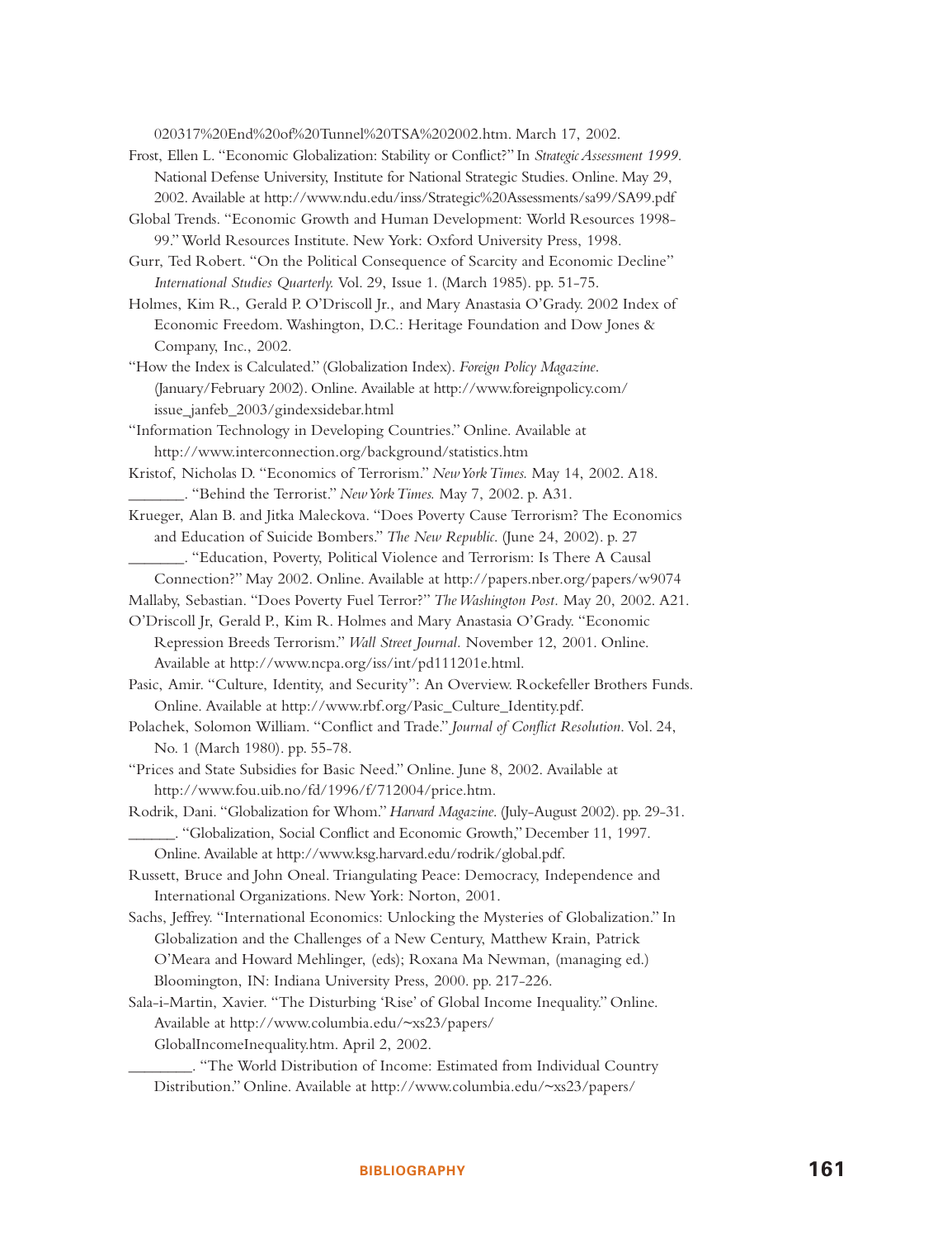020317%20End%20of%20Tunnel%20TSA%202002.htm. March 17, 2002.

- Frost, Ellen L. "Economic Globalization: Stability or Conflict?" In *Strategic Assessment 1999.* National Defense University, Institute for National Strategic Studies. Online. May 29, 2002. Available at http://www.ndu.edu/inss/Strategic%20Assessments/sa99/SA99.pdf
- Global Trends. "Economic Growth and Human Development: World Resources 1998- 99." World Resources Institute. New York: Oxford University Press, 1998.
- Gurr, Ted Robert. "On the Political Consequence of Scarcity and Economic Decline" *International Studies Quarterly.* Vol. 29, Issue 1. (March 1985). pp. 51-75.
- Holmes, Kim R., Gerald P. O'Driscoll Jr., and Mary Anastasia O'Grady. 2002 Index of Economic Freedom. Washington, D.C.: Heritage Foundation and Dow Jones & Company, Inc., 2002.
- "How the Index is Calculated." (Globalization Index). *Foreign Policy Magazine*. (January/February 2002). Online. Available at http://www.foreignpolicy.com/ issue\_janfeb\_2003/gindexsidebar.html
- "Information Technology in Developing Countries." Online. Available at http://www.interconnection.org/background/statistics.htm
- Kristof, Nicholas D. "Economics of Terrorism." *New York Times.* May 14, 2002. A18. \_\_\_\_\_\_\_. "Behind the Terrorist." *New York Times.* May 7, 2002. p. A31.
- Krueger, Alan B. and Jitka Maleckova. "Does Poverty Cause Terrorism? The Economics and Education of Suicide Bombers." *The New Republic*. (June 24, 2002). p. 27 \_\_\_\_\_\_\_. "Education, Poverty, Political Violence and Terrorism: Is There A Causal
	- Connection?" May 2002. Online. Available at http://papers.nber.org/papers/w9074
- Mallaby, Sebastian. "Does Poverty Fuel Terror?" *The Washington Post.* May 20, 2002. A21.
- O'Driscoll Jr, Gerald P., Kim R. Holmes and Mary Anastasia O'Grady. "Economic Repression Breeds Terrorism." *Wall Street Journal.* November 12, 2001. Online. Available at http://www.ncpa.org/iss/int/pd111201e.html.

Pasic, Amir. "Culture, Identity, and Security": An Overview. Rockefeller Brothers Funds. Online. Available at http://www.rbf.org/Pasic\_Culture\_Identity.pdf.

- Polachek, Solomon William. "Conflict and Trade." *Journal of Conflict Resolution*. Vol. 24, No. 1 (March 1980). pp. 55-78.
- "Prices and State Subsidies for Basic Need." Online. June 8, 2002. Available at http://www.fou.uib.no/fd/1996/f/712004/price.htm.
- Rodrik, Dani. "Globalization for Whom."*Harvard Magazine*. (July-August 2002). pp. 29-31. \_\_\_\_\_\_. "Globalization, Social Conflict and Economic Growth," December 11, 1997. Online. Available at http://www.ksg.harvard.edu/rodrik/global.pdf.
- Russett, Bruce and John Oneal. Triangulating Peace: Democracy, Independence and International Organizations. New York: Norton, 2001.
- Sachs, Jeffrey. "International Economics: Unlocking the Mysteries of Globalization." In Globalization and the Challenges of a New Century, Matthew Krain, Patrick O'Meara and Howard Mehlinger, (eds); Roxana Ma Newman, (managing ed.) Bloomington, IN: Indiana University Press, 2000. pp. 217-226.
- Sala-i-Martin, Xavier. "The Disturbing 'Rise' of Global Income Inequality." Online. Available at http://www.columbia.edu/~xs23/papers/ GlobalIncomeInequality.htm. April 2, 2002.
	- \_\_\_\_\_\_\_\_. "The World Distribution of Income: Estimated from Individual Country Distribution." Online. Available at http://www.columbia.edu/~xs23/papers/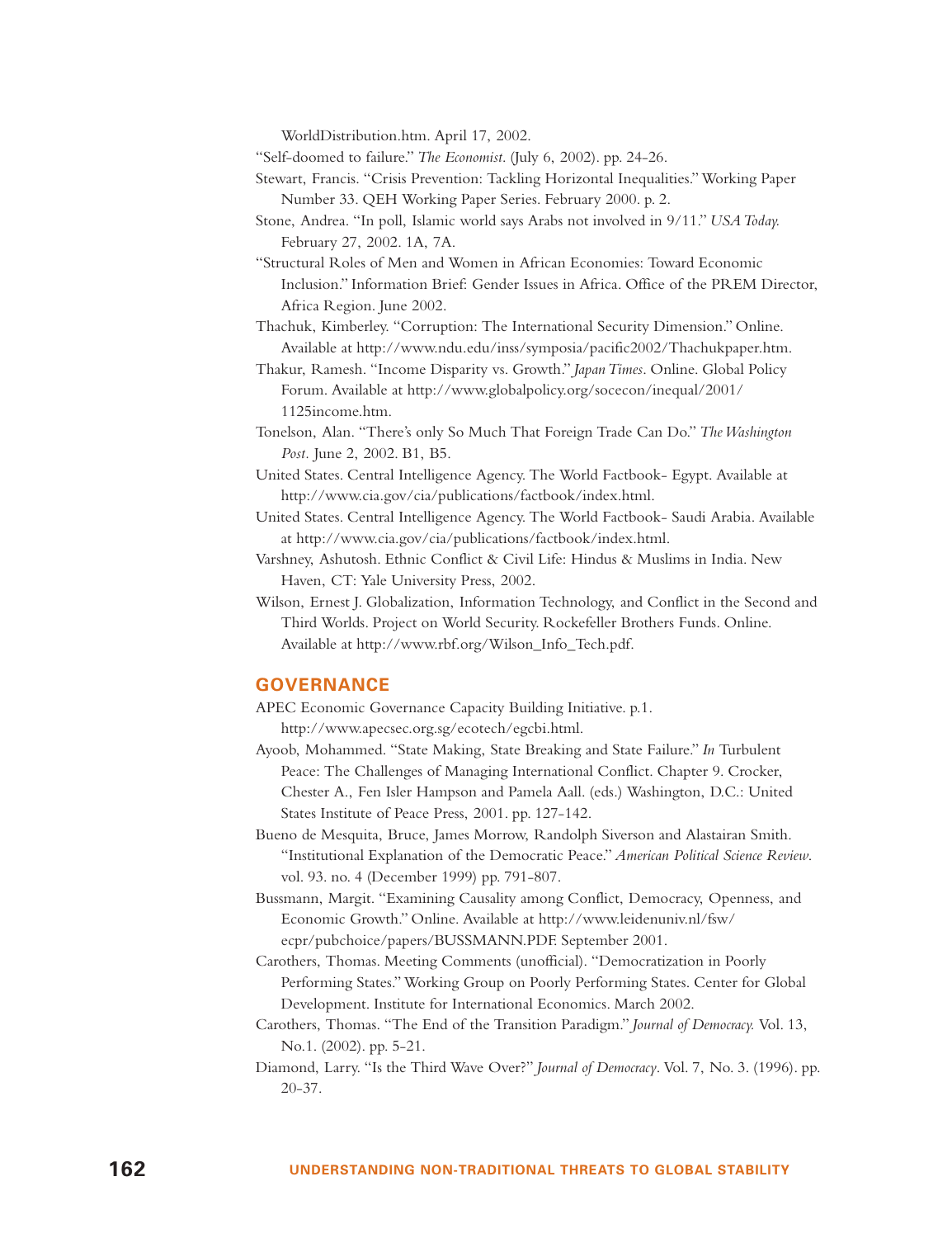WorldDistribution.htm. April 17, 2002.

"Self-doomed to failure." *The Economist*. (July 6, 2002). pp. 24-26.

- Stewart, Francis. "Crisis Prevention: Tackling Horizontal Inequalities." Working Paper Number 33. QEH Working Paper Series. February 2000. p. 2.
- Stone, Andrea. "In poll, Islamic world says Arabs not involved in 9/11." *USA Today.* February 27, 2002. 1A, 7A.
- "Structural Roles of Men and Women in African Economies: Toward Economic Inclusion." Information Brief: Gender Issues in Africa. Office of the PREM Director, Africa Region. June 2002.
- Thachuk, Kimberley. "Corruption: The International Security Dimension." Online. Available at http://www.ndu.edu/inss/symposia/pacific2002/Thachukpaper.htm.
- Thakur, Ramesh. "Income Disparity vs. Growth." *Japan Times*. Online. Global Policy Forum. Available at http://www.globalpolicy.org/socecon/inequal/2001/ 1125income.htm.
- Tonelson, Alan. "There's only So Much That Foreign Trade Can Do." *The Washington Post.* June 2, 2002. B1, B5.
- United States. Central Intelligence Agency. The World Factbook- Egypt. Available at http://www.cia.gov/cia/publications/factbook/index.html.
- United States. Central Intelligence Agency. The World Factbook- Saudi Arabia. Available at http://www.cia.gov/cia/publications/factbook/index.html.
- Varshney, Ashutosh. Ethnic Conflict & Civil Life: Hindus & Muslims in India. New Haven, CT: Yale University Press, 2002.
- Wilson, Ernest J. Globalization, Information Technology, and Conflict in the Second and Third Worlds. Project on World Security. Rockefeller Brothers Funds. Online. Available at http://www.rbf.org/Wilson\_Info\_Tech.pdf.

#### **GOVERNANCE**

- APEC Economic Governance Capacity Building Initiative. p.1. http://www.apecsec.org.sg/ecotech/egcbi.html.
- Ayoob, Mohammed. "State Making, State Breaking and State Failure." *In* Turbulent Peace: The Challenges of Managing International Conflict. Chapter 9. Crocker, Chester A., Fen Isler Hampson and Pamela Aall. (eds.) Washington, D.C.: United States Institute of Peace Press, 2001. pp. 127-142.
- Bueno de Mesquita, Bruce, James Morrow, Randolph Siverson and Alastairan Smith. "Institutional Explanation of the Democratic Peace." *American Political Science Review*. vol. 93. no. 4 (December 1999) pp. 791-807.
- Bussmann, Margit. "Examining Causality among Conflict, Democracy, Openness, and Economic Growth." Online. Available at http://www.leidenuniv.nl/fsw/ ecpr/pubchoice/papers/BUSSMANN.PDF. September 2001.
- Carothers, Thomas. Meeting Comments (unofficial). "Democratization in Poorly Performing States." Working Group on Poorly Performing States. Center for Global Development. Institute for International Economics. March 2002.
- Carothers, Thomas. "The End of the Transition Paradigm." *Journal of Democracy.* Vol. 13, No.1. (2002). pp. 5-21.
- Diamond, Larry. "Is the Third Wave Over?" *Journal of Democracy*. Vol. 7, No. 3. (1996). pp. 20-37.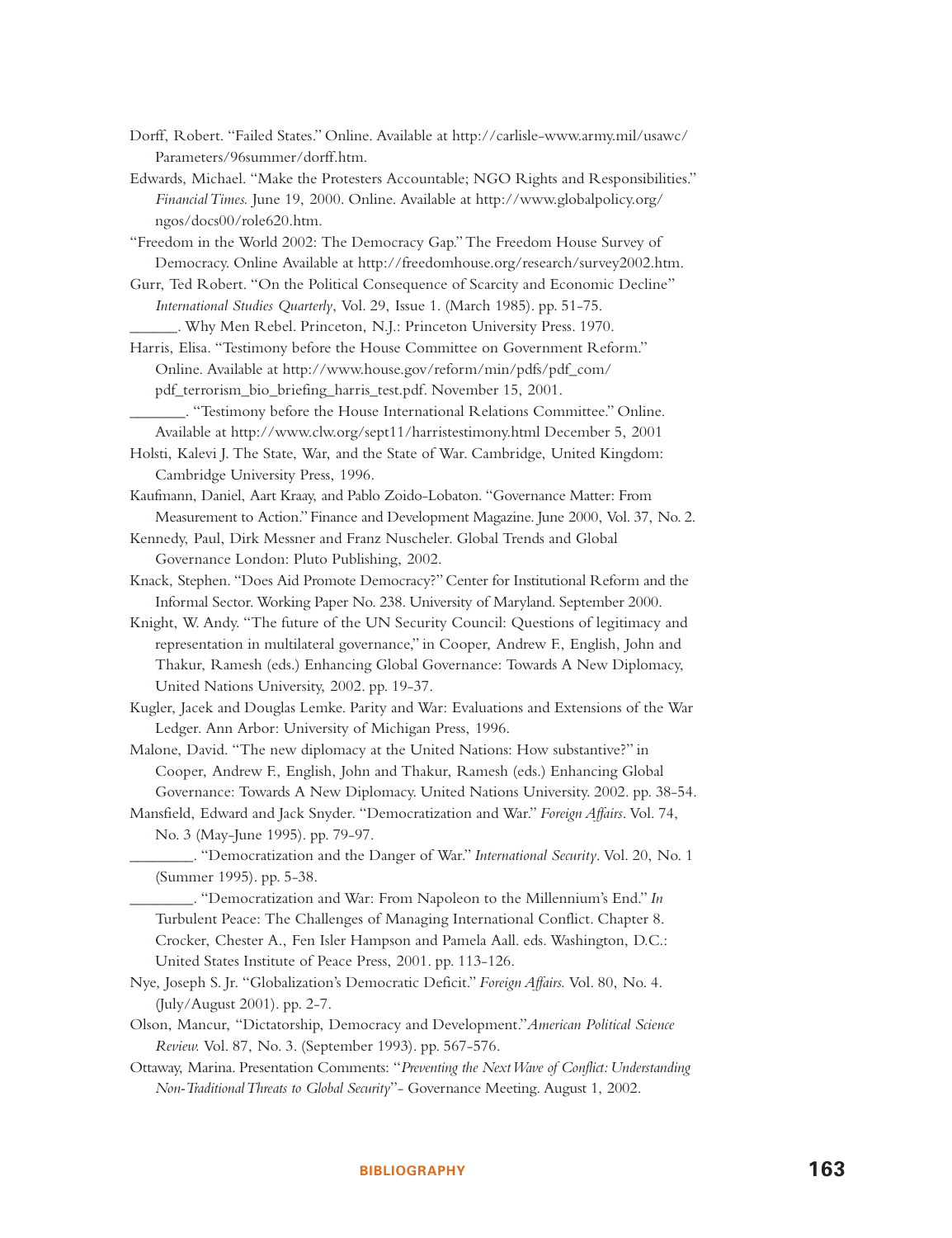- Dorff, Robert. "Failed States." Online. Available at http://carlisle-www.army.mil/usawc/ Parameters/96summer/dorff.htm.
- Edwards, Michael. "Make the Protesters Accountable; NGO Rights and Responsibilities." *Financial Times.* June 19, 2000. Online. Available at http://www.globalpolicy.org/ ngos/docs00/role620.htm.
- "Freedom in the World 2002: The Democracy Gap." The Freedom House Survey of Democracy. Online Available at http://freedomhouse.org/research/survey2002.htm.
- Gurr, Ted Robert. "On the Political Consequence of Scarcity and Economic Decline" *International Studies Quarterly*, Vol. 29, Issue 1. (March 1985). pp. 51-75.
	- \_\_\_\_\_\_. Why Men Rebel. Princeton, N.J.: Princeton University Press. 1970.
- Harris, Elisa. "Testimony before the House Committee on Government Reform." Online. Available at http://www.house.gov/reform/min/pdfs/pdf\_com/ pdf\_terrorism\_bio\_briefing\_harris\_test.pdf. November 15, 2001.
- \_\_\_\_\_\_\_. "Testimony before the House International Relations Committee." Online. Available at http://www.clw.org/sept11/harristestimony.html December 5, 2001
- Holsti, Kalevi J. The State, War, and the State of War. Cambridge, United Kingdom: Cambridge University Press, 1996.
- Kaufmann, Daniel, Aart Kraay, and Pablo Zoido-Lobaton. "Governance Matter: From Measurement to Action." Finance and Development Magazine. June 2000, Vol. 37, No. 2.
- Kennedy, Paul, Dirk Messner and Franz Nuscheler. Global Trends and Global Governance London: Pluto Publishing, 2002.
- Knack, Stephen. "Does Aid Promote Democracy?" Center for Institutional Reform and the Informal Sector. Working Paper No. 238. University of Maryland. September 2000.
- Knight, W. Andy. "The future of the UN Security Council: Questions of legitimacy and representation in multilateral governance," in Cooper, Andrew F., English, John and Thakur, Ramesh (eds.) Enhancing Global Governance: Towards A New Diplomacy, United Nations University, 2002. pp. 19-37.
- Kugler, Jacek and Douglas Lemke. Parity and War: Evaluations and Extensions of the War Ledger. Ann Arbor: University of Michigan Press, 1996.
- Malone, David. "The new diplomacy at the United Nations: How substantive?" in Cooper, Andrew F., English, John and Thakur, Ramesh (eds.) Enhancing Global Governance: Towards A New Diplomacy. United Nations University. 2002. pp. 38-54.
- Mansfield, Edward and Jack Snyder. "Democratization and War." *Foreign Affairs*. Vol. 74, No. 3 (May-June 1995). pp. 79-97.
	- \_\_\_\_\_\_\_\_. "Democratization and the Danger of War." *International Security*. Vol. 20, No. 1 (Summer 1995). pp. 5-38.
	- \_\_\_\_\_\_\_\_. "Democratization and War: From Napoleon to the Millennium's End." *In* Turbulent Peace: The Challenges of Managing International Conflict. Chapter 8. Crocker, Chester A., Fen Isler Hampson and Pamela Aall. eds. Washington, D.C.: United States Institute of Peace Press, 2001. pp. 113-126.
- Nye, Joseph S. Jr. "Globalization's Democratic Deficit." *Foreign Affairs.* Vol. 80, No. 4. (July/August 2001). pp. 2-7.
- Olson, Mancur, "Dictatorship, Democracy and Development."*American Political Science Review.* Vol. 87, No. 3. (September 1993). pp. 567-576.
- Ottaway, Marina. Presentation Comments: "*Preventing the Next Wave of Conflict: Understanding Non-Traditional Threats to Global Security*"- Governance Meeting. August 1, 2002.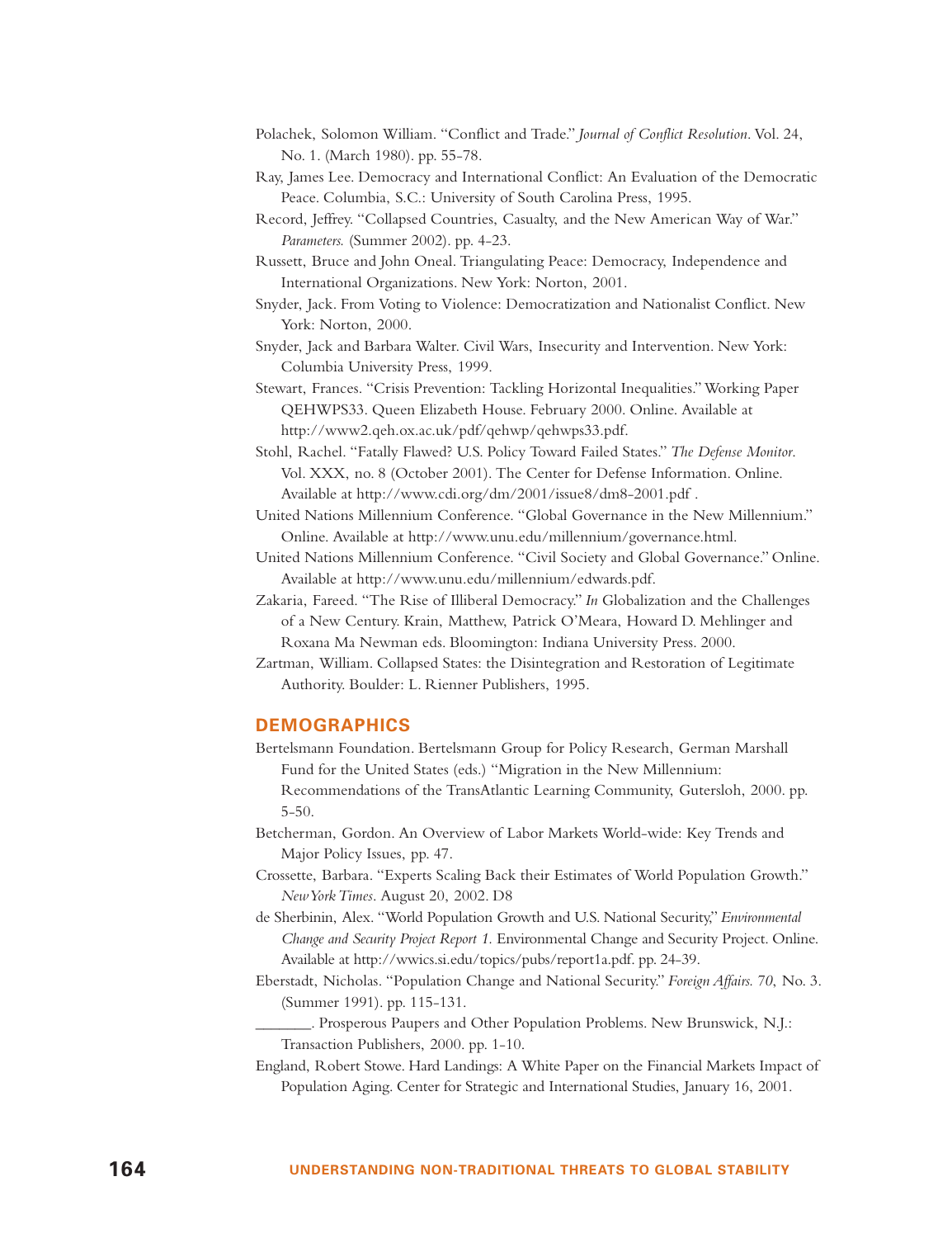- Polachek, Solomon William. "Conflict and Trade." *Journal of Conflict Resolution*. Vol. 24, No. 1. (March 1980). pp. 55-78.
- Ray, James Lee. Democracy and International Conflict: An Evaluation of the Democratic Peace. Columbia, S.C.: University of South Carolina Press, 1995.
- Record, Jeffrey. "Collapsed Countries, Casualty, and the New American Way of War." *Parameters.* (Summer 2002). pp. 4-23.
- Russett, Bruce and John Oneal. Triangulating Peace: Democracy, Independence and International Organizations. New York: Norton, 2001.
- Snyder, Jack. From Voting to Violence: Democratization and Nationalist Conflict. New York: Norton, 2000.
- Snyder, Jack and Barbara Walter. Civil Wars, Insecurity and Intervention. New York: Columbia University Press, 1999.
- Stewart, Frances. "Crisis Prevention: Tackling Horizontal Inequalities." Working Paper QEHWPS33. Queen Elizabeth House. February 2000. Online. Available at http://www2.qeh.ox.ac.uk/pdf/qehwp/qehwps33.pdf.
- Stohl, Rachel. "Fatally Flawed? U.S. Policy Toward Failed States." *The Defense Monitor*. Vol. XXX, no. 8 (October 2001). The Center for Defense Information. Online. Available at http://www.cdi.org/dm/2001/issue8/dm8-2001.pdf .
- United Nations Millennium Conference. "Global Governance in the New Millennium." Online. Available at http://www.unu.edu/millennium/governance.html.
- United Nations Millennium Conference. "Civil Society and Global Governance." Online. Available at http://www.unu.edu/millennium/edwards.pdf.
- Zakaria, Fareed. "The Rise of Illiberal Democracy." *In* Globalization and the Challenges of a New Century. Krain, Matthew, Patrick O'Meara, Howard D. Mehlinger and Roxana Ma Newman eds. Bloomington: Indiana University Press. 2000.
- Zartman, William. Collapsed States: the Disintegration and Restoration of Legitimate Authority. Boulder: L. Rienner Publishers, 1995.

#### **DEMOGRAPHICS**

- Bertelsmann Foundation. Bertelsmann Group for Policy Research, German Marshall Fund for the United States (eds.) "Migration in the New Millennium: Recommendations of the TransAtlantic Learning Community, Gutersloh, 2000. pp. 5-50.
- Betcherman, Gordon. An Overview of Labor Markets World-wide: Key Trends and Major Policy Issues, pp. 47.
- Crossette, Barbara. "Experts Scaling Back their Estimates of World Population Growth." *New York Times*. August 20, 2002. D8
- de Sherbinin, Alex. "World Population Growth and U.S. National Security,"*Environmental Change and Security Project Report 1.* Environmental Change and Security Project. Online. Available at http://wwics.si.edu/topics/pubs/report1a.pdf. pp. 24-39.
- Eberstadt, Nicholas. "Population Change and National Security." *Foreign Affairs. 70*, No. 3. (Summer 1991). pp. 115-131.

\_\_\_\_\_\_\_. Prosperous Paupers and Other Population Problems. New Brunswick, N.J.: Transaction Publishers, 2000. pp. 1-10.

England, Robert Stowe. Hard Landings: A White Paper on the Financial Markets Impact of Population Aging. Center for Strategic and International Studies, January 16, 2001.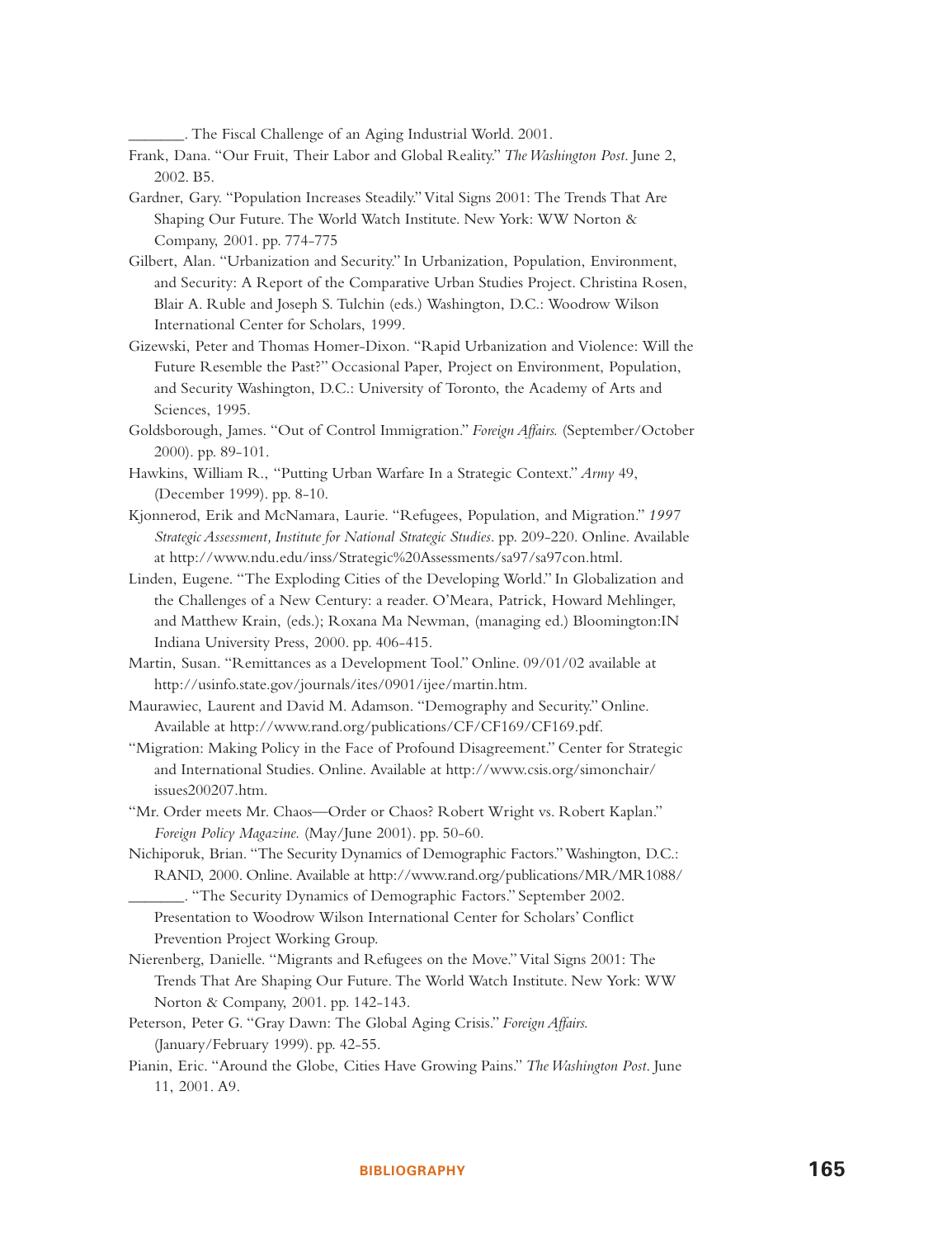\_\_\_\_\_\_\_. The Fiscal Challenge of an Aging Industrial World. 2001.

- Frank, Dana. "Our Fruit, Their Labor and Global Reality." *The Washington Post*. June 2, 2002. B5.
- Gardner, Gary. "Population Increases Steadily." Vital Signs 2001: The Trends That Are Shaping Our Future. The World Watch Institute. New York: WW Norton & Company, 2001. pp. 774-775
- Gilbert, Alan. "Urbanization and Security." In Urbanization, Population, Environment, and Security: A Report of the Comparative Urban Studies Project. Christina Rosen, Blair A. Ruble and Joseph S. Tulchin (eds.) Washington, D.C.: Woodrow Wilson International Center for Scholars, 1999.
- Gizewski, Peter and Thomas Homer-Dixon. "Rapid Urbanization and Violence: Will the Future Resemble the Past?" Occasional Paper, Project on Environment, Population, and Security Washington, D.C.: University of Toronto, the Academy of Arts and Sciences, 1995.
- Goldsborough, James. "Out of Control Immigration." *Foreign Affairs.* (September/October 2000). pp. 89-101.
- Hawkins, William R., "Putting Urban Warfare In a Strategic Context." *Army* 49, (December 1999). pp. 8-10.
- Kjonnerod, Erik and McNamara, Laurie. "Refugees, Population, and Migration." *1997 Strategic Assessment, Institute for National Strategic Studies*. pp. 209-220. Online. Available at http://www.ndu.edu/inss/Strategic%20Assessments/sa97/sa97con.html.
- Linden, Eugene. "The Exploding Cities of the Developing World." In Globalization and the Challenges of a New Century: a reader. O'Meara, Patrick, Howard Mehlinger, and Matthew Krain, (eds.); Roxana Ma Newman, (managing ed.) Bloomington:IN Indiana University Press, 2000. pp. 406-415.
- Martin, Susan. "Remittances as a Development Tool." Online. 09/01/02 available at http://usinfo.state.gov/journals/ites/0901/ijee/martin.htm.
- Maurawiec, Laurent and David M. Adamson. "Demography and Security." Online. Available at http://www.rand.org/publications/CF/CF169/CF169.pdf.
- "Migration: Making Policy in the Face of Profound Disagreement." Center for Strategic and International Studies. Online. Available at http://www.csis.org/simonchair/ issues200207.htm.
- "Mr. Order meets Mr. Chaos—Order or Chaos? Robert Wright vs. Robert Kaplan." *Foreign Policy Magazine.* (May/June 2001). pp. 50-60.
- Nichiporuk, Brian. "The Security Dynamics of Demographic Factors."Washington, D.C.: RAND, 2000. Online. Available at http://www.rand.org/publications/MR/MR1088/ \_\_\_\_\_\_\_. "The Security Dynamics of Demographic Factors." September 2002.
	- Presentation to Woodrow Wilson International Center for Scholars' Conflict Prevention Project Working Group.
- Nierenberg, Danielle. "Migrants and Refugees on the Move." Vital Signs 2001: The Trends That Are Shaping Our Future. The World Watch Institute. New York: WW Norton & Company, 2001. pp. 142-143.
- Peterson, Peter G. "Gray Dawn: The Global Aging Crisis." *Foreign Affairs.* (January/February 1999). pp. 42-55.
- Pianin, Eric. "Around the Globe, Cities Have Growing Pains." *The Washington Post*. June 11, 2001. A9.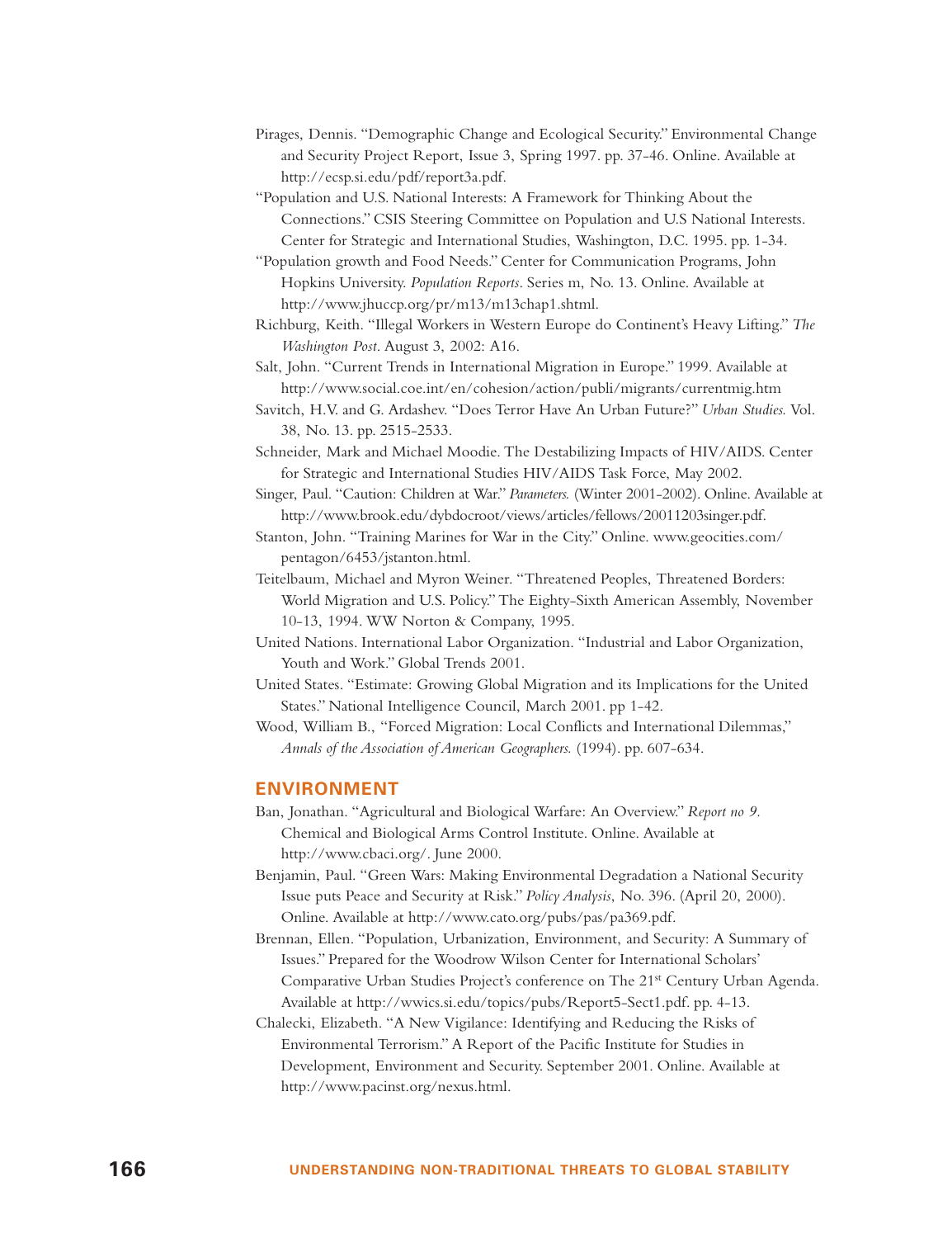- Pirages, Dennis. "Demographic Change and Ecological Security." Environmental Change and Security Project Report, Issue 3, Spring 1997. pp. 37-46. Online. Available at http://ecsp.si.edu/pdf/report3a.pdf.
- "Population and U.S. National Interests: A Framework for Thinking About the Connections." CSIS Steering Committee on Population and U.S National Interests. Center for Strategic and International Studies, Washington, D.C. 1995. pp. 1-34.
- "Population growth and Food Needs." Center for Communication Programs, John Hopkins University. *Population Reports*. Series m, No. 13. Online. Available at http://www.jhuccp.org/pr/m13/m13chap1.shtml.
- Richburg, Keith. "Illegal Workers in Western Europe do Continent's Heavy Lifting." *The Washington Post*. August 3, 2002: A16.

Salt, John. "Current Trends in International Migration in Europe." 1999. Available at http://www.social.coe.int/en/cohesion/action/publi/migrants/currentmig.htm

- Savitch, H.V. and G. Ardashev. "Does Terror Have An Urban Future?" *Urban Studies.* Vol. 38, No. 13. pp. 2515-2533.
- Schneider, Mark and Michael Moodie. The Destabilizing Impacts of HIV/AIDS. Center for Strategic and International Studies HIV/AIDS Task Force, May 2002.
- Singer, Paul. "Caution: Children at War." *Parameters.* (Winter 2001-2002). Online. Available at http://www.brook.edu/dybdocroot/views/articles/fellows/20011203singer.pdf.
- Stanton, John. "Training Marines for War in the City." Online. www.geocities.com/ pentagon/6453/jstanton.html.

Teitelbaum, Michael and Myron Weiner. "Threatened Peoples, Threatened Borders: World Migration and U.S. Policy." The Eighty-Sixth American Assembly, November 10-13, 1994. WW Norton & Company, 1995.

- United Nations. International Labor Organization. "Industrial and Labor Organization, Youth and Work." Global Trends 2001.
- United States. "Estimate: Growing Global Migration and its Implications for the United States." National Intelligence Council, March 2001. pp 1-42.

Wood, William B., "Forced Migration: Local Conflicts and International Dilemmas," *Annals of the Association of American Geographers.* (1994). pp. 607-634.

#### **ENVIRONMENT**

- Ban, Jonathan. "Agricultural and Biological Warfare: An Overview." *Report no 9.* Chemical and Biological Arms Control Institute. Online. Available at http://www.cbaci.org/. June 2000.
- Benjamin, Paul. "Green Wars: Making Environmental Degradation a National Security Issue puts Peace and Security at Risk." *Policy Analysis*, No. 396. (April 20, 2000). Online. Available at http://www.cato.org/pubs/pas/pa369.pdf.
- Brennan, Ellen. "Population, Urbanization, Environment, and Security: A Summary of Issues." Prepared for the Woodrow Wilson Center for International Scholars' Comparative Urban Studies Project's conference on The 21st Century Urban Agenda. Available at http://wwics.si.edu/topics/pubs/Report5-Sect1.pdf. pp. 4-13.
- Chalecki, Elizabeth. "A New Vigilance: Identifying and Reducing the Risks of Environmental Terrorism." A Report of the Pacific Institute for Studies in Development, Environment and Security. September 2001. Online. Available at http://www.pacinst.org/nexus.html.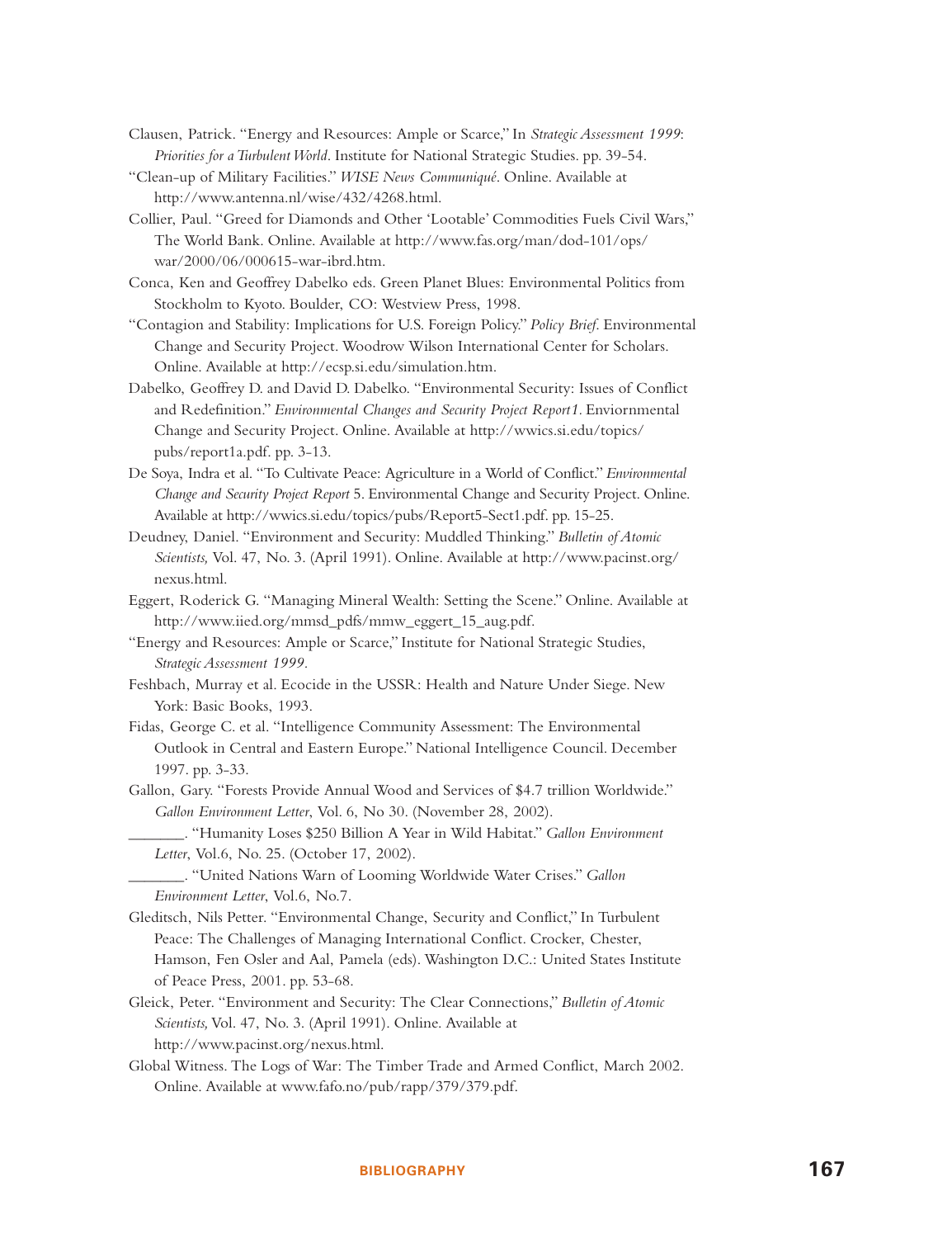- Clausen, Patrick. "Energy and Resources: Ample or Scarce," In *Strategic Assessment 1999*: *Priorities for a Turbulent World*. Institute for National Strategic Studies. pp. 39-54.
- "Clean-up of Military Facilities." *WISE News Communiqué*. Online. Available at http://www.antenna.nl/wise/432/4268.html.
- Collier, Paul. "Greed for Diamonds and Other 'Lootable' Commodities Fuels Civil Wars," The World Bank. Online. Available at http://www.fas.org/man/dod-101/ops/ war/2000/06/000615-war-ibrd.htm.
- Conca, Ken and Geoffrey Dabelko eds. Green Planet Blues: Environmental Politics from Stockholm to Kyoto. Boulder, CO: Westview Press, 1998.
- "Contagion and Stability: Implications for U.S. Foreign Policy." *Policy Brief*. Environmental Change and Security Project. Woodrow Wilson International Center for Scholars. Online. Available at http://ecsp.si.edu/simulation.htm.
- Dabelko, Geoffrey D. and David D. Dabelko. "Environmental Security: Issues of Conflict and Redefinition." *Environmental Changes and Security Project Report1.* Enviornmental Change and Security Project. Online. Available at http://wwics.si.edu/topics/ pubs/report1a.pdf. pp. 3-13.
- De Soya, Indra et al. "To Cultivate Peace: Agriculture in a World of Conflict."*Environmental Change and Security Project Report* 5. Environmental Change and Security Project. Online. Available at http://wwics.si.edu/topics/pubs/Report5-Sect1.pdf. pp. 15-25.
- Deudney, Daniel. "Environment and Security: Muddled Thinking." *Bulletin of Atomic Scientists,* Vol. 47, No. 3. (April 1991). Online. Available at http://www.pacinst.org/ nexus.html.
- Eggert, Roderick G. "Managing Mineral Wealth: Setting the Scene." Online. Available at http://www.iied.org/mmsd\_pdfs/mmw\_eggert\_15\_aug.pdf.
- "Energy and Resources: Ample or Scarce," Institute for National Strategic Studies, *Strategic Assessment 1999.*
- Feshbach, Murray et al. Ecocide in the USSR: Health and Nature Under Siege. New York: Basic Books, 1993.
- Fidas, George C. et al. "Intelligence Community Assessment: The Environmental Outlook in Central and Eastern Europe." National Intelligence Council. December 1997. pp. 3-33.
- Gallon, Gary. "Forests Provide Annual Wood and Services of \$4.7 trillion Worldwide." *Gallon Environment Letter*, Vol. 6, No 30. (November 28, 2002).
	- \_\_\_\_\_\_\_. "Humanity Loses \$250 Billion A Year in Wild Habitat." *Gallon Environment Letter*, Vol.6, No. 25. (October 17, 2002).
	- \_\_\_\_\_\_\_. "United Nations Warn of Looming Worldwide Water Crises." *Gallon Environment Letter*, Vol.6, No.7.
- Gleditsch, Nils Petter. "Environmental Change, Security and Conflict," In Turbulent Peace: The Challenges of Managing International Conflict. Crocker, Chester, Hamson, Fen Osler and Aal, Pamela (eds). Washington D.C.: United States Institute of Peace Press, 2001. pp. 53-68.
- Gleick, Peter. "Environment and Security: The Clear Connections," *Bulletin of Atomic Scientists,* Vol. 47, No. 3. (April 1991). Online. Available at http://www.pacinst.org/nexus.html.
- Global Witness. The Logs of War: The Timber Trade and Armed Conflict, March 2002. Online. Available at www.fafo.no/pub/rapp/379/379.pdf.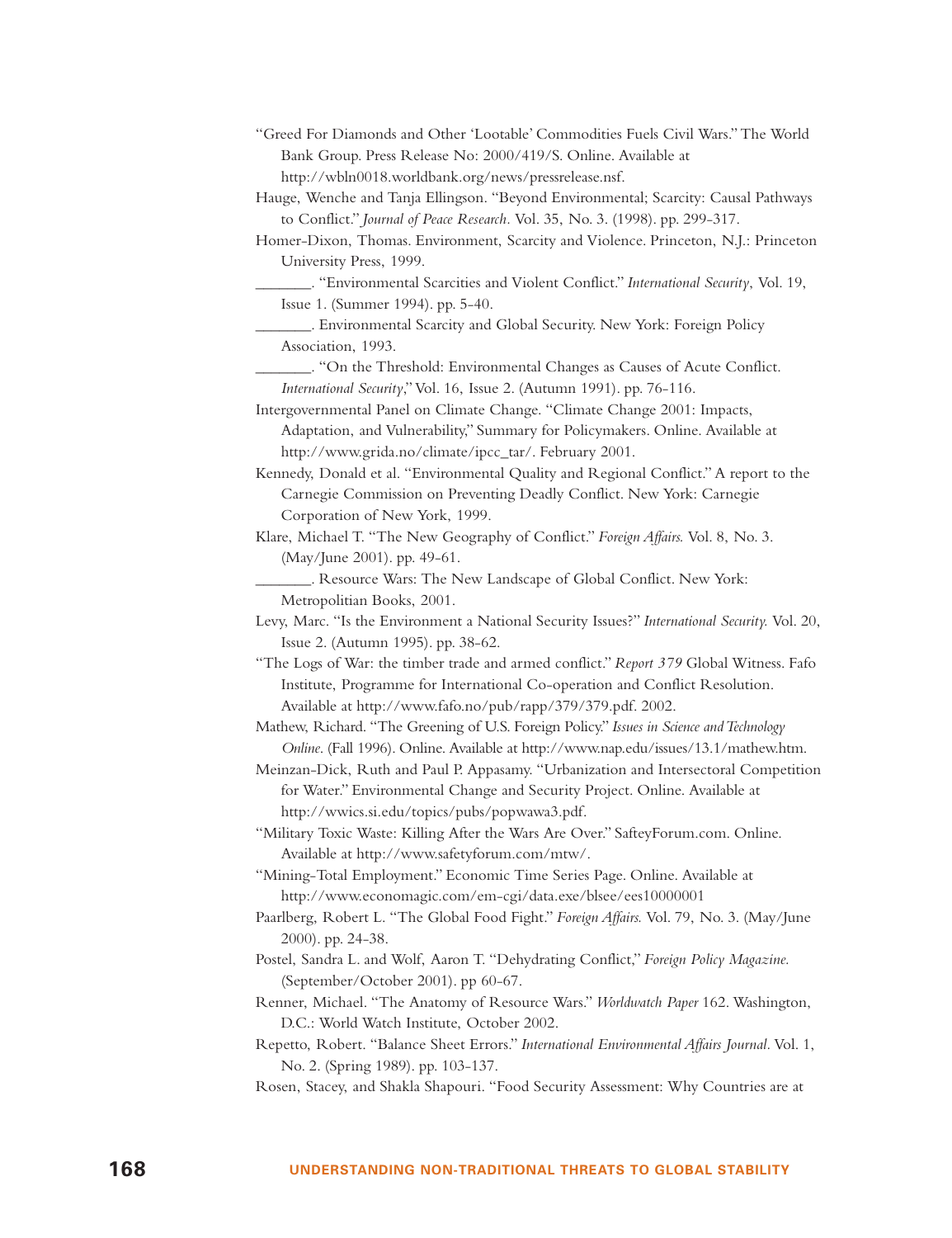| "Greed For Diamonds and Other 'Lootable' Commodities Fuels Civil Wars." The World |
|-----------------------------------------------------------------------------------|
| Bank Group. Press Release No: 2000/419/S. Online. Available at                    |
| http://wbln0018.worldbank.org/news/pressrelease.nsf.                              |

- Hauge, Wenche and Tanja Ellingson. "Beyond Environmental; Scarcity: Causal Pathways to Conflict." *Journal of Peace Research.* Vol. 35, No. 3. (1998). pp. 299-317.
- Homer-Dixon, Thomas. Environment, Scarcity and Violence. Princeton, N.J.: Princeton University Press, 1999.
- \_\_\_\_\_\_\_. "Environmental Scarcities and Violent Conflict." *International Security*, Vol. 19, Issue 1. (Summer 1994). pp. 5-40.

\_\_\_\_\_\_\_. Environmental Scarcity and Global Security. New York: Foreign Policy Association, 1993.

\_\_\_\_\_\_\_. "On the Threshold: Environmental Changes as Causes of Acute Conflict. *International Security*,"Vol. 16, Issue 2. (Autumn 1991). pp. 76-116.

Intergovernmental Panel on Climate Change. "Climate Change 2001: Impacts, Adaptation, and Vulnerability," Summary for Policymakers. Online. Available at http://www.grida.no/climate/ipcc\_tar/. February 2001.

Kennedy, Donald et al. "Environmental Quality and Regional Conflict." A report to the Carnegie Commission on Preventing Deadly Conflict. New York: Carnegie Corporation of New York, 1999.

Klare, Michael T. "The New Geography of Conflict." *Foreign Affairs.* Vol. 8, No. 3. (May/June 2001). pp. 49-61.

\_\_\_\_\_\_\_. Resource Wars: The New Landscape of Global Conflict. New York: Metropolitian Books, 2001.

Levy, Marc. "Is the Environment a National Security Issues?" *International Security.* Vol. 20, Issue 2. (Autumn 1995). pp. 38-62.

"The Logs of War: the timber trade and armed conflict." *Report 379* Global Witness. Fafo Institute, Programme for International Co-operation and Conflict Resolution. Available at http://www.fafo.no/pub/rapp/379/379.pdf. 2002.

Mathew, Richard. "The Greening of U.S. Foreign Policy." *Issues in Science and Technology Online*. (Fall 1996). Online. Available at http://www.nap.edu/issues/13.1/mathew.htm.

Meinzan-Dick, Ruth and Paul P. Appasamy. "Urbanization and Intersectoral Competition for Water." Environmental Change and Security Project. Online. Available at http://wwics.si.edu/topics/pubs/popwawa3.pdf.

"Military Toxic Waste: Killing After the Wars Are Over." SafteyForum.com. Online. Available at http://www.safetyforum.com/mtw/.

- "Mining-Total Employment." Economic Time Series Page. Online. Available at http://www.economagic.com/em-cgi/data.exe/blsee/ees10000001
- Paarlberg, Robert L. "The Global Food Fight." *Foreign Affairs.* Vol. 79, No. 3. (May/June 2000). pp. 24-38.
- Postel, Sandra L. and Wolf, Aaron T. "Dehydrating Conflict," *Foreign Policy Magazine.* (September/October 2001). pp 60-67.
- Renner, Michael. "The Anatomy of Resource Wars." *Worldwatch Paper* 162. Washington, D.C.: World Watch Institute, October 2002.
- Repetto, Robert. "Balance Sheet Errors." *International Environmental Affairs Journal.* Vol. 1, No. 2. (Spring 1989). pp. 103-137.
- Rosen, Stacey, and Shakla Shapouri. "Food Security Assessment: Why Countries are at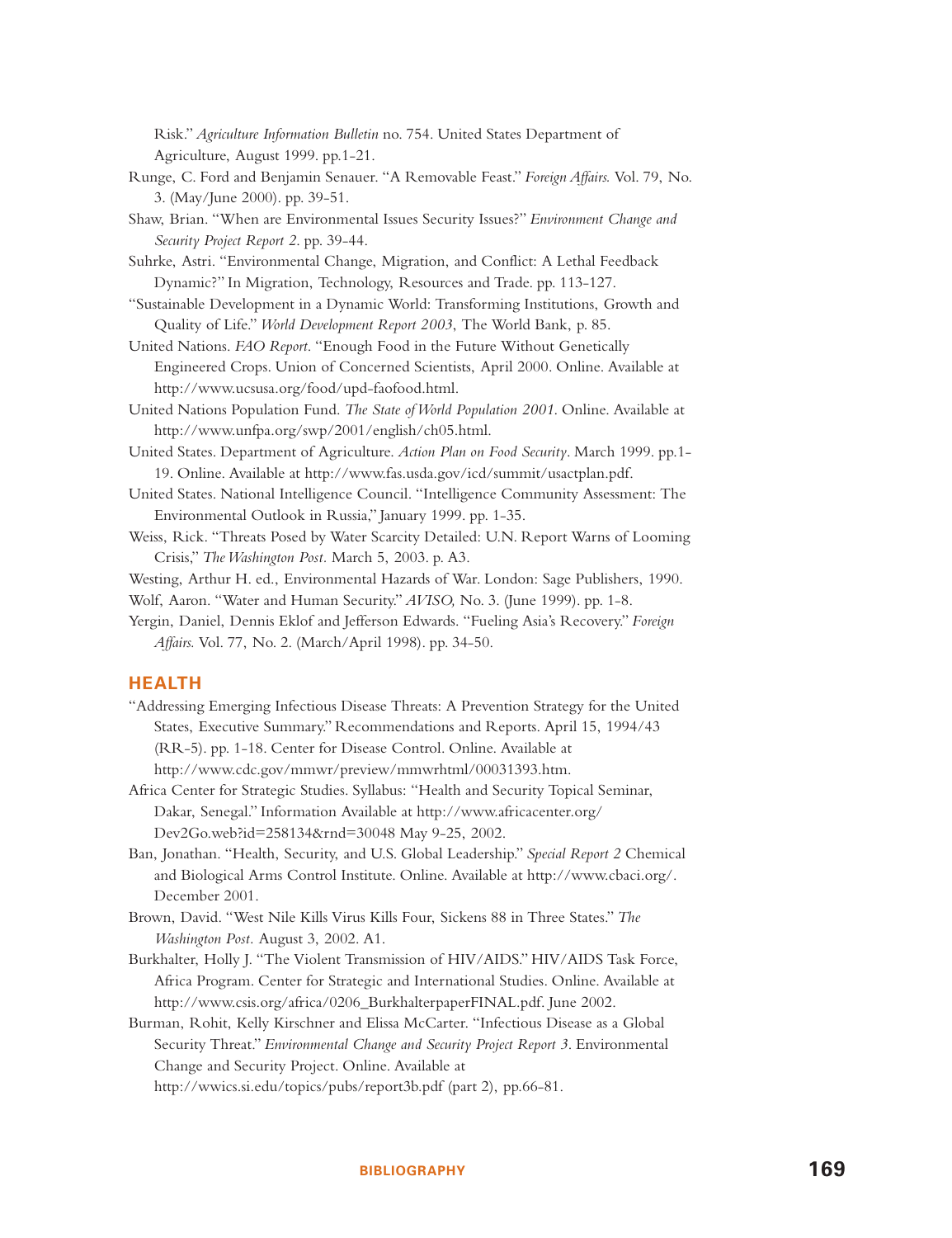Risk." *Agriculture Information Bulletin* no. 754. United States Department of Agriculture, August 1999. pp.1-21.

- Runge, C. Ford and Benjamin Senauer. "A Removable Feast." *Foreign Affairs.* Vol. 79, No. 3. (May/June 2000). pp. 39-51.
- Shaw, Brian. "When are Environmental Issues Security Issues?" *Environment Change and Security Project Report 2*. pp. 39-44.
- Suhrke, Astri. "Environmental Change, Migration, and Conflict: A Lethal Feedback Dynamic?" In Migration, Technology, Resources and Trade. pp. 113-127.
- "Sustainable Development in a Dynamic World: Transforming Institutions, Growth and Quality of Life." *World Development Report 2003*, The World Bank, p. 85.
- United Nations. *FAO Report*. "Enough Food in the Future Without Genetically Engineered Crops. Union of Concerned Scientists, April 2000. Online. Available at http://www.ucsusa.org/food/upd-faofood.html.
- United Nations Population Fund. *The State of World Population 2001*. Online. Available at http://www.unfpa.org/swp/2001/english/ch05.html.
- United States. Department of Agriculture. *Action Plan on Food Security*. March 1999. pp.1- 19. Online. Available at http://www.fas.usda.gov/icd/summit/usactplan.pdf.
- United States. National Intelligence Council. "Intelligence Community Assessment: The Environmental Outlook in Russia," January 1999. pp. 1-35.
- Weiss, Rick. "Threats Posed by Water Scarcity Detailed: U.N. Report Warns of Looming Crisis," *The Washington Post.* March 5, 2003. p. A3.

Westing, Arthur H. ed., Environmental Hazards of War. London: Sage Publishers, 1990.

Wolf, Aaron. "Water and Human Security." *AVISO,* No. 3. (June 1999). pp. 1-8.

Yergin, Daniel, Dennis Eklof and Jefferson Edwards. "Fueling Asia's Recovery." *Foreign Affairs.* Vol. 77, No. 2. (March/April 1998). pp. 34-50.

#### **HEALTH**

- "Addressing Emerging Infectious Disease Threats: A Prevention Strategy for the United States, Executive Summary." Recommendations and Reports. April 15, 1994/43 (RR-5). pp. 1-18. Center for Disease Control. Online. Available at http://www.cdc.gov/mmwr/preview/mmwrhtml/00031393.htm.
- Africa Center for Strategic Studies. Syllabus: "Health and Security Topical Seminar, Dakar, Senegal." Information Available at http://www.africacenter.org/ Dev2Go.web?id=258134&rnd=30048 May 9-25, 2002.
- Ban, Jonathan. "Health, Security, and U.S. Global Leadership." *Special Report 2* Chemical and Biological Arms Control Institute. Online. Available at http://www.cbaci.org/. December 2001.
- Brown, David. "West Nile Kills Virus Kills Four, Sickens 88 in Three States." *The Washington Post.* August 3, 2002. A1.
- Burkhalter, Holly J. "The Violent Transmission of HIV/AIDS." HIV/AIDS Task Force, Africa Program. Center for Strategic and International Studies. Online. Available at http://www.csis.org/africa/0206\_BurkhalterpaperFINAL.pdf. June 2002.
- Burman, Rohit, Kelly Kirschner and Elissa McCarter. "Infectious Disease as a Global Security Threat." *Environmental Change and Security Project Report 3*. Environmental Change and Security Project. Online. Available at http://wwics.si.edu/topics/pubs/report3b.pdf (part 2), pp.66-81.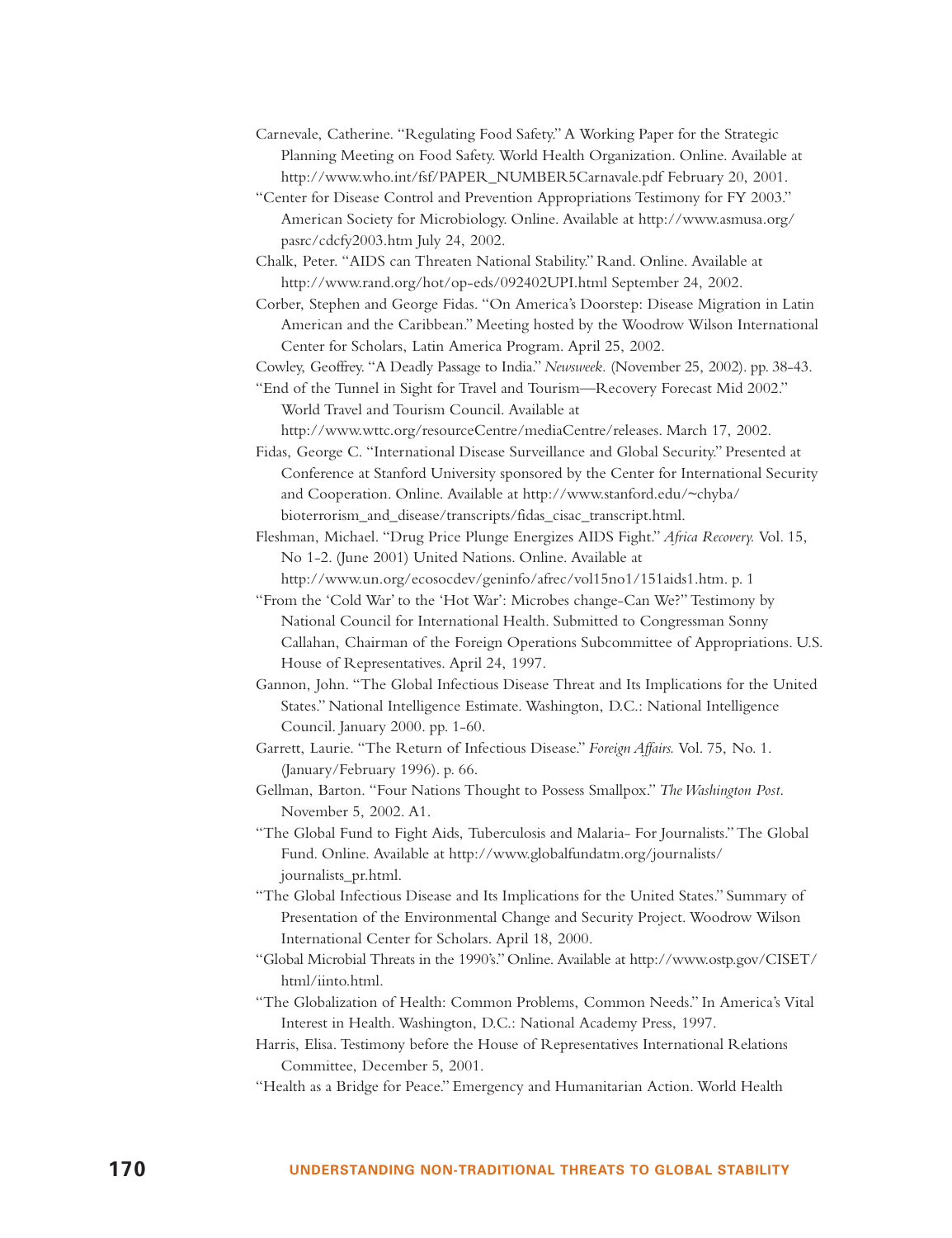- Carnevale, Catherine. "Regulating Food Safety." A Working Paper for the Strategic Planning Meeting on Food Safety. World Health Organization. Online. Available at http://www.who.int/fsf/PAPER\_NUMBER5Carnavale.pdf February 20, 2001.
- "Center for Disease Control and Prevention Appropriations Testimony for FY 2003." American Society for Microbiology. Online. Available at http://www.asmusa.org/ pasrc/cdcfy2003.htm July 24, 2002.
- Chalk, Peter. "AIDS can Threaten National Stability." Rand. Online. Available at http://www.rand.org/hot/op-eds/092402UPI.html September 24, 2002.

Corber, Stephen and George Fidas. "On America's Doorstep: Disease Migration in Latin American and the Caribbean." Meeting hosted by the Woodrow Wilson International Center for Scholars, Latin America Program. April 25, 2002.

Cowley, Geoffrey. "A Deadly Passage to India."*Newsweek.* (November 25, 2002). pp. 38-43.

"End of the Tunnel in Sight for Travel and Tourism—Recovery Forecast Mid 2002." World Travel and Tourism Council. Available at

http://www.wttc.org/resourceCentre/mediaCentre/releases. March 17, 2002.

Fidas, George C. "International Disease Surveillance and Global Security." Presented at Conference at Stanford University sponsored by the Center for International Security and Cooperation. Online. Available at http://www.stanford.edu/~chyba/ bioterrorism\_and\_disease/transcripts/fidas\_cisac\_transcript.html.

Fleshman, Michael. "Drug Price Plunge Energizes AIDS Fight." *Africa Recovery.* Vol. 15, No 1-2. (June 2001) United Nations. Online. Available at http://www.un.org/ecosocdev/geninfo/afrec/vol15no1/151aids1.htm. p. 1

- "From the 'Cold War' to the 'Hot War': Microbes change-Can We?" Testimony by National Council for International Health. Submitted to Congressman Sonny Callahan, Chairman of the Foreign Operations Subcommittee of Appropriations. U.S. House of Representatives. April 24, 1997.
- Gannon, John. "The Global Infectious Disease Threat and Its Implications for the United States." National Intelligence Estimate. Washington, D.C.: National Intelligence Council. January 2000. pp. 1-60.
- Garrett, Laurie. "The Return of Infectious Disease." *Foreign Affairs.* Vol. 75, No. 1. (January/February 1996). p. 66.
- Gellman, Barton. "Four Nations Thought to Possess Smallpox." *The Washington Post*. November 5, 2002. A1.

"The Global Fund to Fight Aids, Tuberculosis and Malaria- For Journalists." The Global Fund. Online. Available at http://www.globalfundatm.org/journalists/ journalists\_pr.html.

"The Global Infectious Disease and Its Implications for the United States." Summary of Presentation of the Environmental Change and Security Project. Woodrow Wilson International Center for Scholars. April 18, 2000.

- "Global Microbial Threats in the 1990's." Online. Available at http://www.ostp.gov/CISET/ html/iinto.html.
- "The Globalization of Health: Common Problems, Common Needs." In America's Vital Interest in Health. Washington, D.C.: National Academy Press, 1997.
- Harris, Elisa. Testimony before the House of Representatives International Relations Committee, December 5, 2001.
- "Health as a Bridge for Peace." Emergency and Humanitarian Action. World Health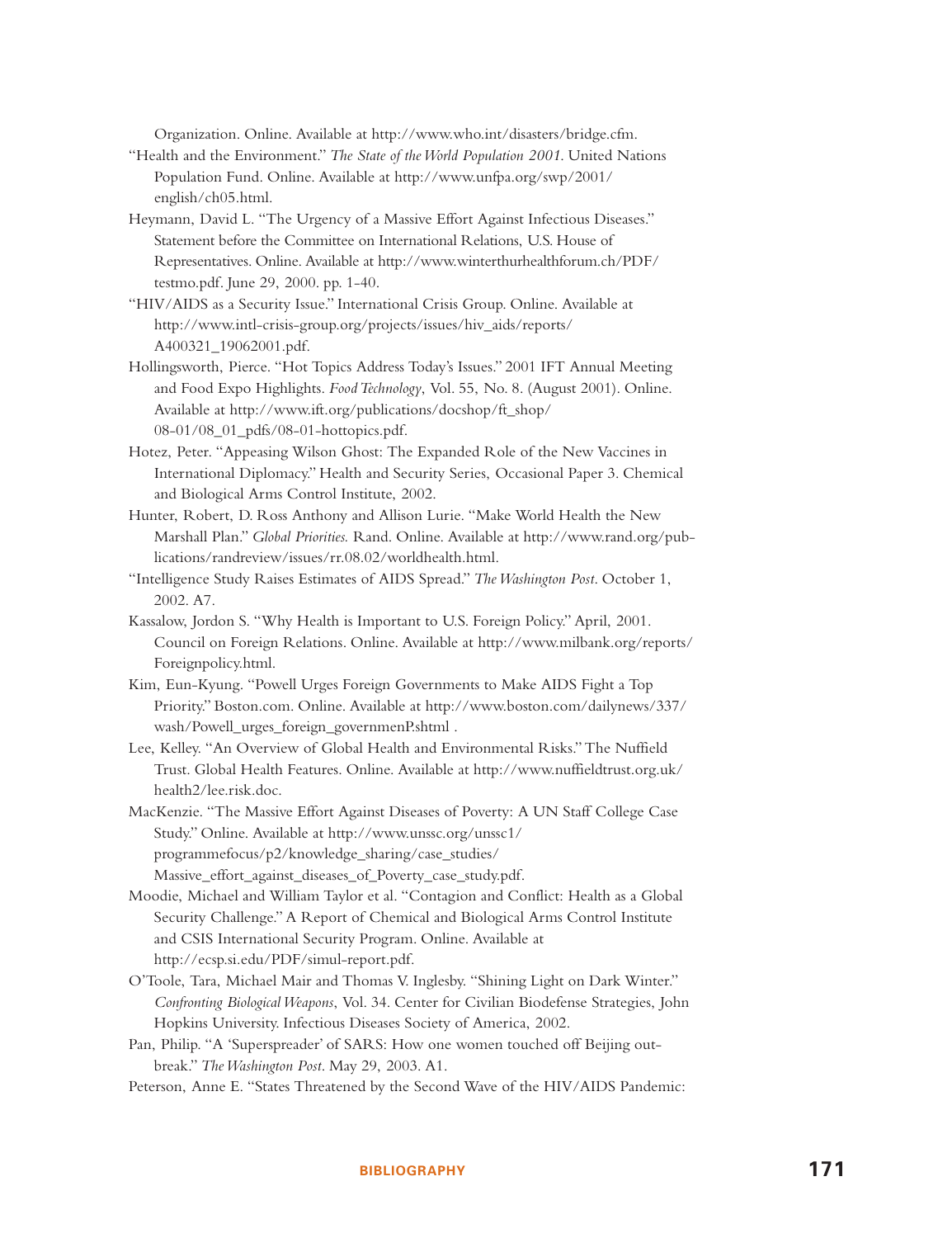Organization. Online. Available at http://www.who.int/disasters/bridge.cfm.

- "Health and the Environment." *The State of the World Population 2001*. United Nations Population Fund. Online. Available at http://www.unfpa.org/swp/2001/ english/ch05.html.
- Heymann, David L. "The Urgency of a Massive Effort Against Infectious Diseases." Statement before the Committee on International Relations, U.S. House of Representatives. Online. Available at http://www.winterthurhealthforum.ch/PDF/ testmo.pdf. June 29, 2000. pp. 1-40.
- "HIV/AIDS as a Security Issue." International Crisis Group. Online. Available at http://www.intl-crisis-group.org/projects/issues/hiv\_aids/reports/ A400321\_19062001.pdf.
- Hollingsworth, Pierce. "Hot Topics Address Today's Issues." 2001 IFT Annual Meeting and Food Expo Highlights. *Food Technology*, Vol. 55, No. 8. (August 2001). Online. Available at http://www.ift.org/publications/docshop/ft\_shop/ 08-01/08\_01\_pdfs/08-01-hottopics.pdf.
- Hotez, Peter. "Appeasing Wilson Ghost: The Expanded Role of the New Vaccines in International Diplomacy." Health and Security Series, Occasional Paper 3. Chemical and Biological Arms Control Institute, 2002.
- Hunter, Robert, D. Ross Anthony and Allison Lurie. "Make World Health the New Marshall Plan." *Global Priorities.* Rand. Online. Available at http://www.rand.org/publications/randreview/issues/rr.08.02/worldhealth.html.
- "Intelligence Study Raises Estimates of AIDS Spread." *The Washington Post*. October 1, 2002. A7.
- Kassalow, Jordon S. "Why Health is Important to U.S. Foreign Policy." April, 2001. Council on Foreign Relations. Online. Available at http://www.milbank.org/reports/ Foreignpolicy.html.
- Kim, Eun-Kyung. "Powell Urges Foreign Governments to Make AIDS Fight a Top Priority." Boston.com. Online. Available at http://www.boston.com/dailynews/337/ wash/Powell\_urges\_foreign\_governmenP.shtml .
- Lee, Kelley. "An Overview of Global Health and Environmental Risks." The Nuffield Trust. Global Health Features. Online. Available at http://www.nuffieldtrust.org.uk/ health2/lee.risk.doc.
- MacKenzie. "The Massive Effort Against Diseases of Poverty: A UN Staff College Case Study." Online. Available at http://www.unssc.org/unssc1/ programmefocus/p2/knowledge\_sharing/case\_studies/ Massive\_effort\_against\_diseases\_of\_Poverty\_case\_study.pdf.
- Moodie, Michael and William Taylor et al. "Contagion and Conflict: Health as a Global Security Challenge." A Report of Chemical and Biological Arms Control Institute and CSIS International Security Program. Online. Available at http://ecsp.si.edu/PDF/simul-report.pdf.
- O'Toole, Tara, Michael Mair and Thomas V. Inglesby. "Shining Light on Dark Winter." *Confronting Biological Weapons*, Vol. 34. Center for Civilian Biodefense Strategies, John Hopkins University. Infectious Diseases Society of America, 2002.
- Pan, Philip. "A 'Superspreader' of SARS: How one women touched off Beijing outbreak." *The Washington Post*. May 29, 2003. A1.
- Peterson, Anne E. "States Threatened by the Second Wave of the HIV/AIDS Pandemic: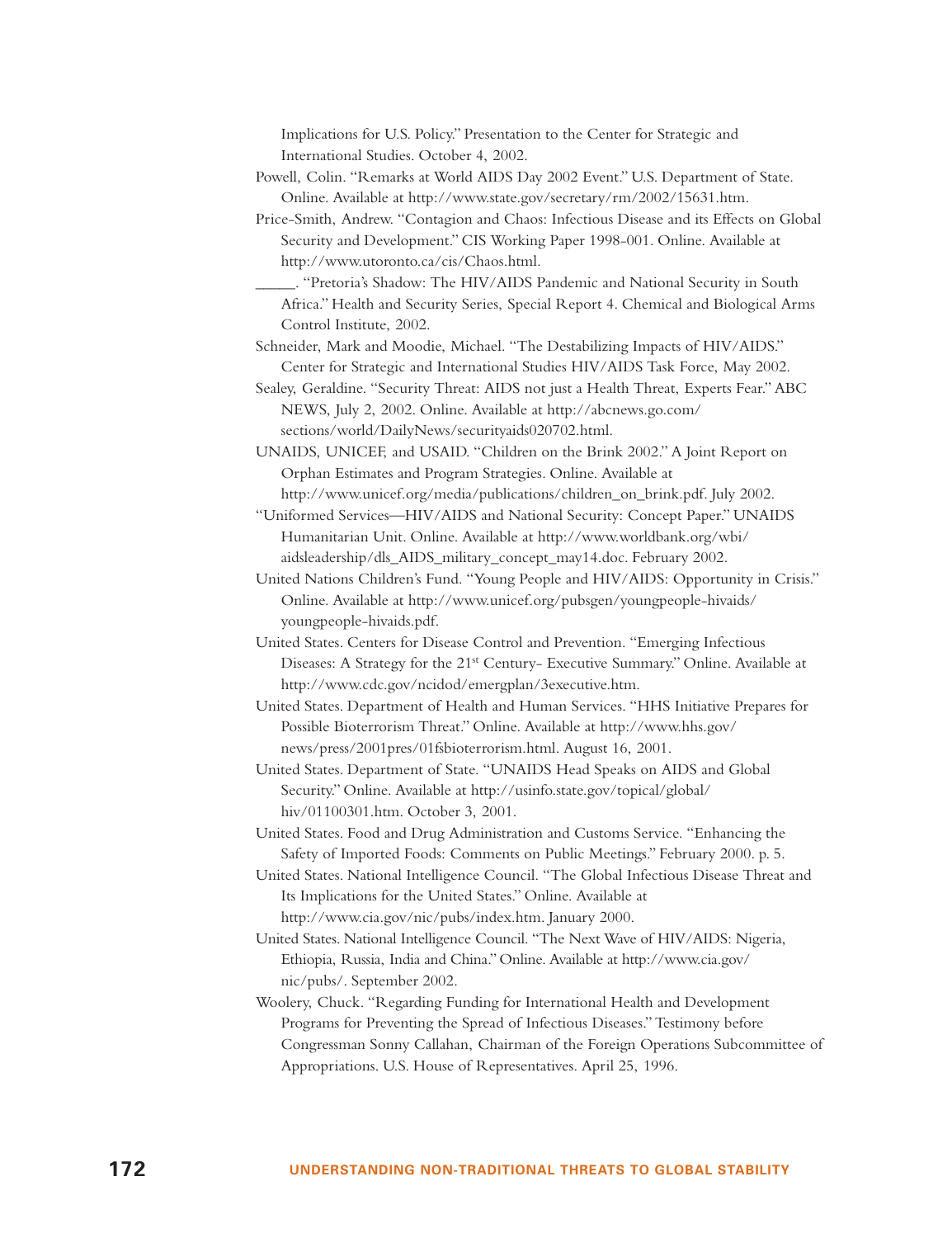Implications for U.S. Policy." Presentation to the Center for Strategic and International Studies. October 4, 2002.

- Powell, Colin. "Remarks at World AIDS Day 2002 Event." U.S. Department of State. Online. Available at http://www.state.gov/secretary/rm/2002/15631.htm.
- Price-Smith, Andrew. "Contagion and Chaos: Infectious Disease and its Effects on Global Security and Development." CIS Working Paper 1998-001. Online. Available at http://www.utoronto.ca/cis/Chaos.html.
	- \_\_\_\_\_. "Pretoria's Shadow: The HIV/AIDS Pandemic and National Security in South Africa." Health and Security Series, Special Report 4. Chemical and Biological Arms Control Institute, 2002.

Schneider, Mark and Moodie, Michael. "The Destabilizing Impacts of HIV/AIDS." Center for Strategic and International Studies HIV/AIDS Task Force, May 2002.

Sealey, Geraldine. "Security Threat: AIDS not just a Health Threat, Experts Fear." ABC NEWS, July 2, 2002. Online. Available at http://abcnews.go.com/ sections/world/DailyNews/securityaids020702.html.

UNAIDS, UNICEF, and USAID. "Children on the Brink 2002." A Joint Report on Orphan Estimates and Program Strategies. Online. Available at http://www.unicef.org/media/publications/children\_on\_brink.pdf. July 2002.

"Uniformed Services—HIV/AIDS and National Security: Concept Paper." UNAIDS Humanitarian Unit. Online. Available at http://www.worldbank.org/wbi/ aidsleadership/dls\_AIDS\_military\_concept\_may14.doc. February 2002.

United Nations Children's Fund. "Young People and HIV/AIDS: Opportunity in Crisis." Online. Available at http://www.unicef.org/pubsgen/youngpeople-hivaids/ youngpeople-hivaids.pdf.

United States. Centers for Disease Control and Prevention. "Emerging Infectious Diseases: A Strategy for the 21st Century- Executive Summary." Online. Available at http://www.cdc.gov/ncidod/emergplan/3executive.htm.

United States. Department of Health and Human Services. "HHS Initiative Prepares for Possible Bioterrorism Threat." Online. Available at http://www.hhs.gov/ news/press/2001pres/01fsbioterrorism.html. August 16, 2001.

United States. Department of State. "UNAIDS Head Speaks on AIDS and Global Security." Online. Available at http://usinfo.state.gov/topical/global/ hiv/01100301.htm. October 3, 2001.

United States. Food and Drug Administration and Customs Service. "Enhancing the Safety of Imported Foods: Comments on Public Meetings." February 2000. p. 5.

United States. National Intelligence Council. "The Global Infectious Disease Threat and Its Implications for the United States." Online. Available at http://www.cia.gov/nic/pubs/index.htm. January 2000.

United States. National Intelligence Council. "The Next Wave of HIV/AIDS: Nigeria, Ethiopia, Russia, India and China." Online. Available at http://www.cia.gov/ nic/pubs/. September 2002.

Woolery, Chuck. "Regarding Funding for International Health and Development Programs for Preventing the Spread of Infectious Diseases." Testimony before Congressman Sonny Callahan, Chairman of the Foreign Operations Subcommittee of Appropriations. U.S. House of Representatives. April 25, 1996.